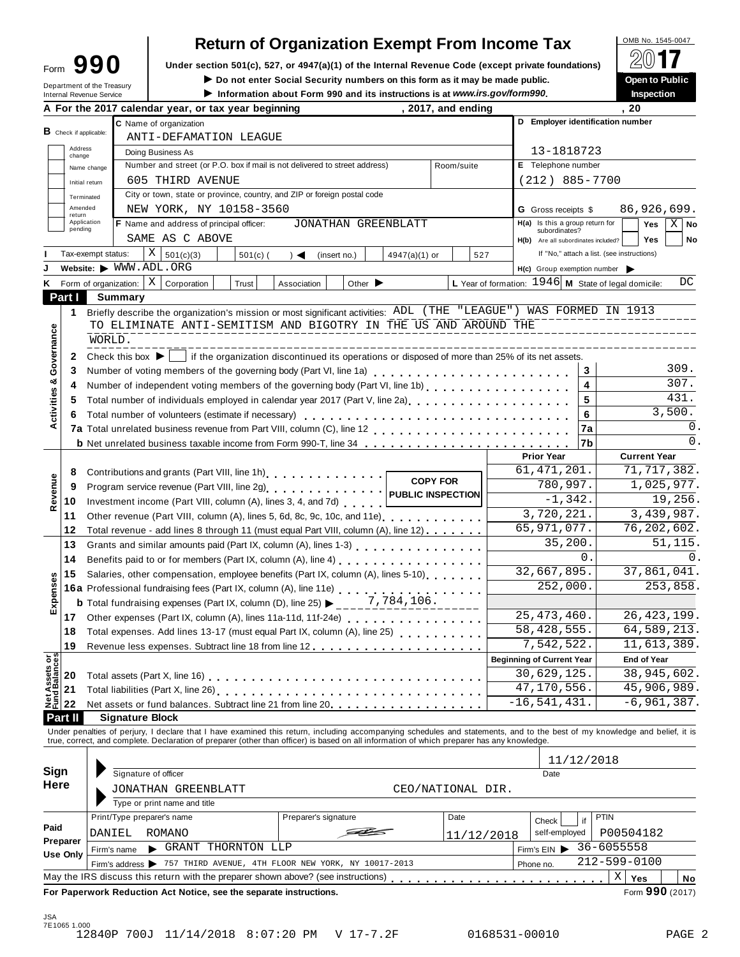| Form                       |  | 990 |
|----------------------------|--|-----|
| Department of the Treasury |  |     |

# **Return of Organization Exempt From Income Tax**<br>section 501(c), 527, or 4947(a)(1) of the Internal Revenue Code (except private foundations)

**Under section 501(c), 527, or 4947(a)(1)** of the Internal Revenue Code (except private foundations) **Form 990 E Dependence Form 30 Propertion Public Public** 

 $\blacktriangleright$  Do not enter Social Security numbers on this form as it may be made public.

Information about Form 990 and its instructions is at www.irs.gov/form990.

| Inspection |
|------------|
|------------|

|                               |                        | , 2017, and ending<br>A For the 2017 calendar year, or tax year beginning                                                                                                                                                                                                                                                |                                                  |     | . 20                                                              |
|-------------------------------|------------------------|--------------------------------------------------------------------------------------------------------------------------------------------------------------------------------------------------------------------------------------------------------------------------------------------------------------------------|--------------------------------------------------|-----|-------------------------------------------------------------------|
|                               |                        | C Name of organization                                                                                                                                                                                                                                                                                                   | D Employer identification number                 |     |                                                                   |
| <b>B</b> Check if applicable: |                        | ANTI-DEFAMATION LEAGUE                                                                                                                                                                                                                                                                                                   |                                                  |     |                                                                   |
| change                        | Address                | Doing Business As                                                                                                                                                                                                                                                                                                        | 13-1818723                                       |     |                                                                   |
|                               | Name change            | Number and street (or P.O. box if mail is not delivered to street address)<br>Room/suite                                                                                                                                                                                                                                 | E Telephone number                               |     |                                                                   |
|                               | Initial return         | 605 THIRD AVENUE                                                                                                                                                                                                                                                                                                         | $(212) 885 - 7700$                               |     |                                                                   |
|                               | Terminated             | City or town, state or province, country, and ZIP or foreign postal code                                                                                                                                                                                                                                                 |                                                  |     |                                                                   |
| return                        | Amended                | NEW YORK, NY 10158-3560                                                                                                                                                                                                                                                                                                  | <b>G</b> Gross receipts \$                       |     | 86,926,699.                                                       |
|                               | Application<br>pending | F Name and address of principal officer:<br>JONATHAN GREENBLATT                                                                                                                                                                                                                                                          | H(a) Is this a group return for<br>subordinates? |     | $X \mid$ No<br>Yes                                                |
|                               |                        | SAME AS C ABOVE                                                                                                                                                                                                                                                                                                          | H(b) Are all subordinates included?              |     | <b>Yes</b><br>No                                                  |
|                               | Tax-exempt status:     | Χ<br>501(c)(3)<br>(insert no.)<br>4947(a)(1) or<br>$501(c)$ (<br>$\rightarrow$<br>527                                                                                                                                                                                                                                    |                                                  |     | If "No," attach a list. (see instructions)                        |
|                               |                        | Website: WWW.ADL.ORG                                                                                                                                                                                                                                                                                                     | $H(c)$ Group exemption number                    |     |                                                                   |
|                               |                        | Form of organization: $ X $<br>Corporation<br>Other $\blacktriangleright$<br>Trust<br>Association                                                                                                                                                                                                                        |                                                  |     | L Year of formation: $1946 \mid M$ State of legal domicile:<br>DC |
| Part I                        |                        | <b>Summary</b>                                                                                                                                                                                                                                                                                                           |                                                  |     |                                                                   |
| 1                             |                        | Briefly describe the organization's mission or most significant activities: ADL (THE "LEAGUE") WAS FORMED IN 1913                                                                                                                                                                                                        |                                                  |     |                                                                   |
|                               |                        | TO ELIMINATE ANTI-SEMITISM AND BIGOTRY IN THE US AND AROUND THE                                                                                                                                                                                                                                                          |                                                  |     |                                                                   |
| Governance                    | WORLD.                 |                                                                                                                                                                                                                                                                                                                          |                                                  |     |                                                                   |
| 2                             |                        | if the organization discontinued its operations or disposed of more than 25% of its net assets.<br>Check this box $\blacktriangleright$                                                                                                                                                                                  |                                                  |     |                                                                   |
| 3                             |                        | Number of voting members of the governing body (Part VI, line 1a)                                                                                                                                                                                                                                                        |                                                  | 3   | 309.                                                              |
| 4                             |                        | Number of independent voting members of the governing body (Part VI, line 1b)                                                                                                                                                                                                                                            |                                                  | 4   | 307.                                                              |
| 5                             |                        | Total number of individuals employed in calendar year 2017 (Part V, line 2a)<br>The 2a)                                                                                                                                                                                                                                  |                                                  | 5   | 431.                                                              |
| Activities &<br>6             |                        | Total number of volunteers (estimate if necessary)                                                                                                                                                                                                                                                                       |                                                  | 6   | 3,500.                                                            |
|                               |                        |                                                                                                                                                                                                                                                                                                                          |                                                  | 7a  | 0.                                                                |
|                               |                        | <b>b</b> Net unrelated business taxable income from Form 990-T, line 34                                                                                                                                                                                                                                                  |                                                  | 17b | $0$ .                                                             |
|                               |                        |                                                                                                                                                                                                                                                                                                                          | <b>Prior Year</b>                                |     | <b>Current Year</b>                                               |
| 8                             |                        |                                                                                                                                                                                                                                                                                                                          | 61, 471, 201.                                    |     | 71, 717, 382.                                                     |
| Revenue<br>9                  |                        | <b>COPY FOR</b>                                                                                                                                                                                                                                                                                                          | 780,997.                                         |     | 1,025,977.                                                        |
| 10                            |                        | Investment income (Part VIII, column (A), lines 3, 4, and 7d)                                                                                                                                                                                                                                                            | $-1,342.$                                        |     | 19,256.                                                           |
| 11                            |                        | Other revenue (Part VIII, column (A), lines 5, 6d, 8c, 9c, 10c, and 11e)                                                                                                                                                                                                                                                 | 3,720,221.                                       |     | 3,439,987.                                                        |
| 12                            |                        | Total revenue - add lines 8 through 11 (must equal Part VIII, column (A), line 12)                                                                                                                                                                                                                                       | 65, 971, 077.                                    |     | 76, 202, 602.                                                     |
| 13                            |                        |                                                                                                                                                                                                                                                                                                                          | 35,200.                                          |     | 51, 115.                                                          |
| 14                            |                        | Benefits paid to or for members (Part IX, column (A), line 4)                                                                                                                                                                                                                                                            |                                                  | 0.  | 0.                                                                |
| 15                            |                        | Salaries, other compensation, employee benefits (Part IX, column (A), lines 5-10)                                                                                                                                                                                                                                        | 32,667,895.                                      |     | 37,861,041.                                                       |
|                               |                        | 16a Professional fundraising fees (Part IX, column (A), line 11e)<br>The Marian System (Part IX, column (D), line 25)<br>The 251 2021                                                                                                                                                                                    | 252,000.                                         |     | 253,858.                                                          |
| Expenses                      |                        |                                                                                                                                                                                                                                                                                                                          |                                                  |     |                                                                   |
| 17                            |                        |                                                                                                                                                                                                                                                                                                                          | 25,473,460.                                      |     | 26, 423, 199.                                                     |
| 18                            |                        | Total expenses. Add lines 13-17 (must equal Part IX, column (A), line 25)                                                                                                                                                                                                                                                | 58, 428, 555.                                    |     | 64,589,213.                                                       |
| 19                            |                        |                                                                                                                                                                                                                                                                                                                          | 7,542,522.                                       |     | 11,613,389.                                                       |
|                               |                        |                                                                                                                                                                                                                                                                                                                          | <b>Beginning of Current Year</b>                 |     | <b>End of Year</b>                                                |
| 20                            |                        |                                                                                                                                                                                                                                                                                                                          | 30,629,125.                                      |     | 38,945,602.                                                       |
| Net Assets or<br>21           |                        | Total liabilities (Part X, line 26)<br><u>.</u>                                                                                                                                                                                                                                                                          | 47,170,556.                                      |     | 45,906,989.                                                       |
| 22                            |                        | Net assets or fund balances. Subtract line 21 from line 20                                                                                                                                                                                                                                                               | $-16, 541, 431.$                                 |     | $-6,961,387.$                                                     |
| Part II                       |                        | <b>Signature Block</b>                                                                                                                                                                                                                                                                                                   |                                                  |     |                                                                   |
|                               |                        | Under penalties of perjury, I declare that I have examined this return, including accompanying schedules and statements, and to the best of my knowledge and belief, it is<br>true, correct, and complete. Declaration of preparer (other than officer) is based on all information of which preparer has any knowledge. |                                                  |     |                                                                   |
|                               |                        |                                                                                                                                                                                                                                                                                                                          |                                                  |     |                                                                   |
|                               |                        |                                                                                                                                                                                                                                                                                                                          | 11/12/2018                                       |     |                                                                   |
| Sign                          |                        | Signature of officer                                                                                                                                                                                                                                                                                                     | Date                                             |     |                                                                   |
| Here                          |                        | JONATHAN GREENBLATT<br>CEO/NATIONAL DIR.                                                                                                                                                                                                                                                                                 |                                                  |     |                                                                   |
|                               |                        | Type or print name and title                                                                                                                                                                                                                                                                                             |                                                  |     |                                                                   |
| Paid                          |                        | Print/Type preparer's name<br>Date<br>Preparer's signature                                                                                                                                                                                                                                                               | Check                                            | if  | PTIN                                                              |
| Preparer                      | DANIEL                 | <b>ROMANO</b><br>Æ<br>11/12/2018                                                                                                                                                                                                                                                                                         | self-employed                                    |     | P00504182                                                         |
| <b>Use Only</b>               |                        | GRANT THORNTON LLP<br>Firm's name                                                                                                                                                                                                                                                                                        | Firm's EIN                                       |     | 36-6055558                                                        |
|                               |                        |                                                                                                                                                                                                                                                                                                                          |                                                  |     | 212-599-0100                                                      |
|                               |                        | Firm's address > 757 THIRD AVENUE, 4TH FLOOR NEW YORK, NY 10017-2013                                                                                                                                                                                                                                                     | Phone no.                                        |     |                                                                   |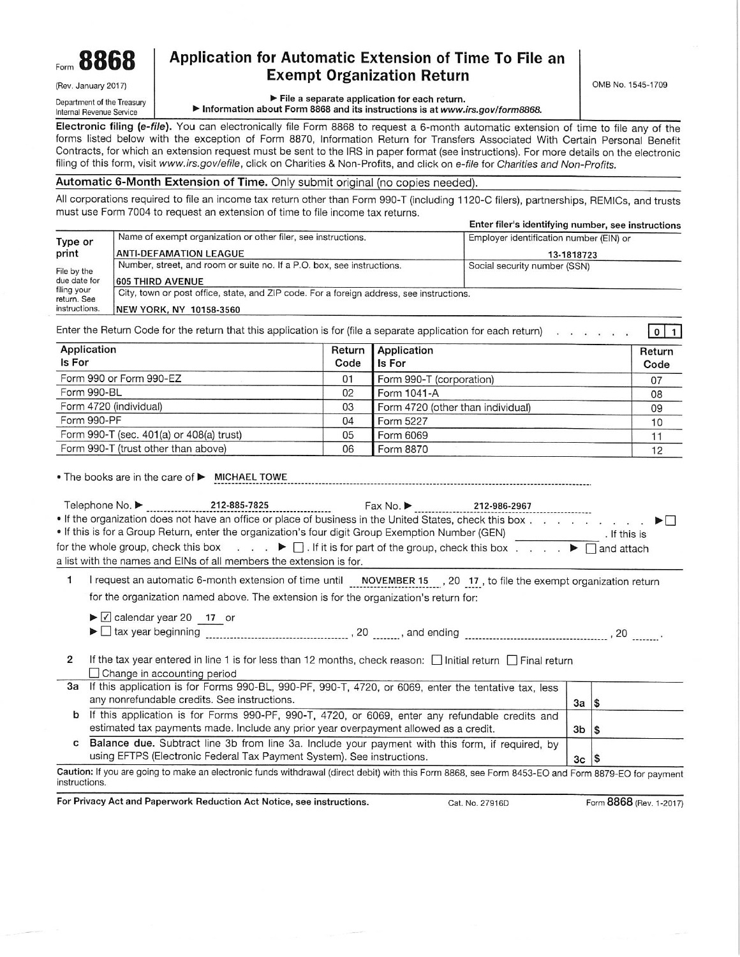

(Rev. January 2017)

Department of the Treasury Internal Revenue Service

## Application for Automatic Extension of Time To File an **Exempt Organization Return**

OMB No. 1545-1709

File a separate application for each return.

Information about Form 8868 and its instructions is at www.irs.gov/form8868.

Electronic filing (e-file). You can electronically file Form 8868 to request a 6-month automatic extension of time to file any of the forms listed below with the exception of Form 8870, Information Return for Transfers Associated With Certain Personal Benefit Contracts, for which an extension request must be sent to the IRS in paper format (see instructions). For more details on the electronic filing of this form, visit www.irs.gov/efile, click on Charities & Non-Profits, and click on e-file for Charities and Non-Profits.

#### Automatic 6-Month Extension of Time. Only submit original (no copies needed).

All corporations required to file an income tax return other than Form 990-T (including 1120-C filers), partnerships, REMICs, and trusts must use Form 7004 to request an extension of time to file income tax returns. Enter filmle identificio

|                                                                                          | Enter filer's identifying number, see instructions |
|------------------------------------------------------------------------------------------|----------------------------------------------------|
| Name of exempt organization or other filer, see instructions.                            | Employer identification number (EIN) or            |
| <b>ANTI-DEFAMATION LEAGUE</b>                                                            | 13-1818723                                         |
| Number, street, and room or suite no. If a P.O. box, see instructions.                   | Social security number (SSN)                       |
| <b>605 THIRD AVENUE</b>                                                                  |                                                    |
| City, town or post office, state, and ZIP code. For a foreign address, see instructions. |                                                    |
| NEW YORK, NY 10158-3560                                                                  |                                                    |
|                                                                                          |                                                    |

Enter the Return Code for the return that this application is for (file a separate application for each return).  $|0|1|$ 

| Application                              |      | Return Application                | Return |
|------------------------------------------|------|-----------------------------------|--------|
| <b>Is For</b>                            | Code | Is For                            | Code   |
| Form 990 or Form 990-EZ                  | 01   | Form 990-T (corporation)          | 07     |
| Form 990-BL                              | 02   | Form 1041-A                       | 08     |
| Form 4720 (individual)                   | 03   | Form 4720 (other than individual) | 09     |
| Form 990-PF                              | 04   | Form 5227                         | 10     |
| Form 990-T (sec. 401(a) or 408(a) trust) | 05   | Form 6069                         | 11     |
| Form 990-T (trust other than above)      | 06   | Form 8870                         | 12     |

| Telephone No. ▶ | 212-885-7825 | Fax No. ► | 212-986-2967 |
|-----------------|--------------|-----------|--------------|
|                 |              |           |              |

| . If the organization does not have an office or place of business in the United States, check this box .          |  |  |                                           |              |  |
|--------------------------------------------------------------------------------------------------------------------|--|--|-------------------------------------------|--------------|--|
| If this is for a Group Return, enter the organization's four digit Group Exemption Number (GEN)                    |  |  |                                           | . If this is |  |
| for the whole group, check this box<br>$\blacktriangleright \Box$ . If it is for part of the group, check this box |  |  | $\ldots$ $\blacktriangleright$ and attach |              |  |

|  |  |  |  |  | a list with the names and EINs of all members the extension is for |  |
|--|--|--|--|--|--------------------------------------------------------------------|--|

I request an automatic 6-month extension of time until NOVEMBER 15 , 20 17, to file the exempt organization return 1 for the organization named above. The extension is for the organization's return for:

| $\blacktriangleright$ $\lnot$ calendar year 20 |  | 17 or |  |
|------------------------------------------------|--|-------|--|
|                                                |  |       |  |

| $\overline{\phantom{a}}$<br>vear beginning<br>.dx | ז ר<br>-------- | and<br>enaina | nr<br>-------- |
|---------------------------------------------------|-----------------|---------------|----------------|
|---------------------------------------------------|-----------------|---------------|----------------|

If the tax year entered in line 1 is for less than 12 months, check reason:  $\Box$  Initial return  $\Box$  Final return  $\overline{2}$ □ Change in accounting period

| 3a If this application is for Forms 990-BL, 990-PF, 990-T, 4720, or 6069, enter the tentative tax, less |                   |  |
|---------------------------------------------------------------------------------------------------------|-------------------|--|
| any nonrefundable credits. See instructions.                                                            | $3a \,$ $\,$ $\,$ |  |
| b If this application is for Forms 990-PF, 990-T, 4720, or 6069, enter any refundable credits and       |                   |  |
| estimated tax payments made. Include any prior year overpayment allowed as a credit.                    | $3b$ $ S $        |  |
| c Balance due. Subtract line 3b from line 3a. Include your payment with this form, if required, by      |                   |  |
| using EFTPS (Electronic Federal Tax Payment System). See instructions.                                  | $3c$ $\sqrt{3}$   |  |

Caution: If you are going to make an electronic funds withdrawal (direct debit) with this Form 8868, see Form 8453-EO and Form 8879-EO for payment instructions.

For Privacy Act and Paperwork Reduction Act Notice, see instructions.

Cat. No. 27916D

Form 8868 (Rev. 1-2017)

 $\blacktriangleright\Box$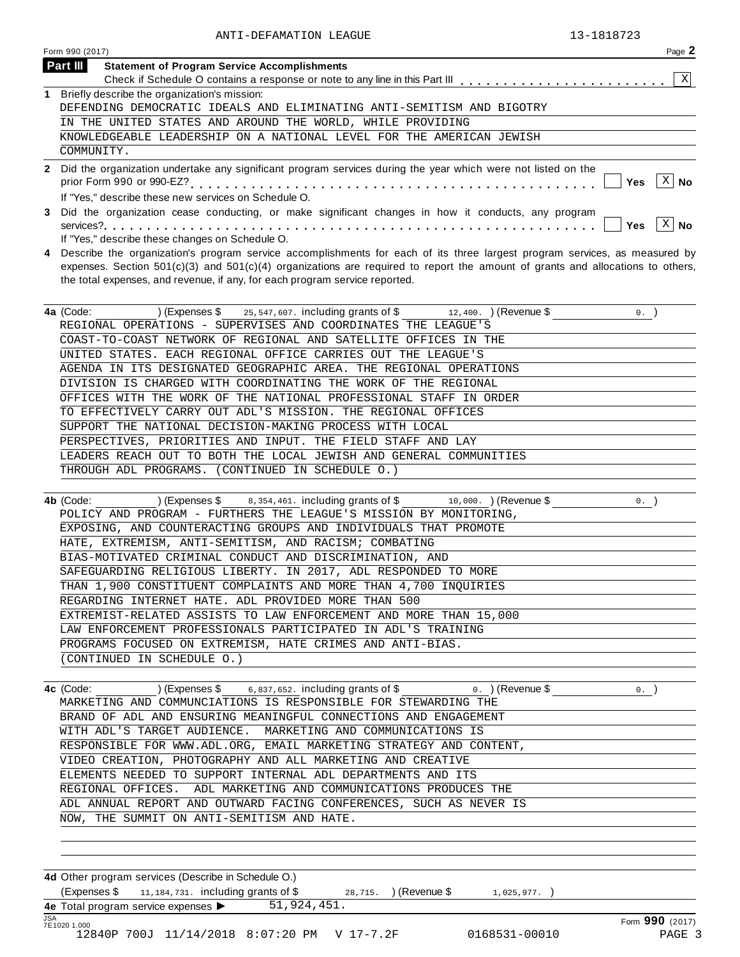| Page 2<br>Form 990 (2017)                                                                                                                                                                           |
|-----------------------------------------------------------------------------------------------------------------------------------------------------------------------------------------------------|
| Part III<br><b>Statement of Program Service Accomplishments</b>                                                                                                                                     |
|                                                                                                                                                                                                     |
| 1 Briefly describe the organization's mission:                                                                                                                                                      |
| DEFENDING DEMOCRATIC IDEALS AND ELIMINATING ANTI-SEMITISM AND BIGOTRY                                                                                                                               |
| IN THE UNITED STATES AND AROUND THE WORLD, WHILE PROVIDING                                                                                                                                          |
| KNOWLEDGEABLE LEADERSHIP ON A NATIONAL LEVEL FOR THE AMERICAN JEWISH                                                                                                                                |
| COMMUNITY.                                                                                                                                                                                          |
| 2 Did the organization undertake any significant program services during the year which were not listed on the<br>$X \mid No$<br><b>Yes</b><br>If "Yes," describe these new services on Schedule O. |
| 3 Did the organization cease conducting, or make significant changes in how it conducts, any program<br>No<br>∣ Yes                                                                                 |

If "Yes," describe these changes on Schedule O.

**4** Describe the organization's program service accomplishments for each of its three largest program services, as measured by expenses. Section 501(c)(3) and 501(c)(4) organizations are required to report the amount of grants and allocations to others, the total expenses, and revenue, if any, for each program service reported.

| 4a (Code:<br>(Expenses \$25,547,607. including grants of \$12,400. ) (Revenue \$<br>$\mathbb O$ . |
|---------------------------------------------------------------------------------------------------|
| REGIONAL OPERATIONS - SUPERVISES AND COORDINATES THE LEAGUE'S                                     |
| COAST-TO-COAST NETWORK OF REGIONAL AND SATELLITE OFFICES IN THE                                   |
| UNITED STATES. EACH REGIONAL OFFICE CARRIES OUT THE LEAGUE'S                                      |
| AGENDA IN ITS DESIGNATED GEOGRAPHIC AREA. THE REGIONAL OPERATIONS                                 |
| DIVISION IS CHARGED WITH COORDINATING THE WORK OF THE REGIONAL                                    |
| OFFICES WITH THE WORK OF THE NATIONAL PROFESSIONAL STAFF IN ORDER                                 |
| TO EFFECTIVELY CARRY OUT ADL'S MISSION. THE REGIONAL OFFICES                                      |
| SUPPORT THE NATIONAL DECISION-MAKING PROCESS WITH LOCAL                                           |
| PERSPECTIVES, PRIORITIES AND INPUT. THE FIELD STAFF AND LAY                                       |
| LEADERS REACH OUT TO BOTH THE LOCAL JEWISH AND GENERAL COMMUNITIES                                |
| THROUGH ADL PROGRAMS. (CONTINUED IN SCHEDULE O.)                                                  |

| ) (Expenses $\$\$ 8, 354, 461. including grants of $\$$ 10,000. ) (Revenue $\$$<br>4b (Code:<br>$0$ . |  |  |  |  |  |  |  |  |  |  |  |  |
|-------------------------------------------------------------------------------------------------------|--|--|--|--|--|--|--|--|--|--|--|--|
| POLICY AND PROGRAM - FURTHERS THE LEAGUE'S MISSION BY MONITORING,                                     |  |  |  |  |  |  |  |  |  |  |  |  |
| EXPOSING, AND COUNTERACTING GROUPS AND INDIVIDUALS THAT PROMOTE                                       |  |  |  |  |  |  |  |  |  |  |  |  |
| HATE, EXTREMISM, ANTI-SEMITISM, AND RACISM; COMBATING                                                 |  |  |  |  |  |  |  |  |  |  |  |  |
| BIAS-MOTIVATED CRIMINAL CONDUCT AND DISCRIMINATION, AND                                               |  |  |  |  |  |  |  |  |  |  |  |  |
| SAFEGUARDING RELIGIOUS LIBERTY. IN 2017, ADL RESPONDED TO MORE                                        |  |  |  |  |  |  |  |  |  |  |  |  |
| THAN 1,900 CONSTITUENT COMPLAINTS AND MORE THAN 4,700 INOUIRIES                                       |  |  |  |  |  |  |  |  |  |  |  |  |
| REGARDING INTERNET HATE. ADL PROVIDED MORE THAN 500                                                   |  |  |  |  |  |  |  |  |  |  |  |  |
| EXTREMIST-RELATED ASSISTS TO LAW ENFORCEMENT AND MORE THAN 15,000                                     |  |  |  |  |  |  |  |  |  |  |  |  |
| LAW ENFORCEMENT PROFESSIONALS PARTICIPATED IN ADL'S TRAINING                                          |  |  |  |  |  |  |  |  |  |  |  |  |
| PROGRAMS FOCUSED ON EXTREMISM, HATE CRIMES AND ANTI-BIAS.                                             |  |  |  |  |  |  |  |  |  |  |  |  |
| (CONTINUED IN SCHEDULE O.)                                                                            |  |  |  |  |  |  |  |  |  |  |  |  |

**4c** (Code: ) (Expenses \$ 6,837,652. including grants of \$ 0. ) (Revenue \$ 0. ) (Revenue \$ MARKETING AND COMMUNCIATIONS IS RESPONSIBLE FOR STEWARDING THE BRAND OF ADL AND ENSURING MEANINGFUL CONNECTIONS AND ENGAGEMENT WITH ADL'S TARGET AUDIENCE. MARKETING AND COMMUNICATIONS IS RESPONSIBLE FOR WWW.ADL.ORG, EMAIL MARKETING STRATEGY AND CONTENT, VIDEO CREATION, PHOTOGRAPHY AND ALL MARKETING AND CREATIVE ELEMENTS NEEDED TO SUPPORT INTERNAL ADL DEPARTMENTS AND ITS REGIONAL OFFICES. ADL MARKETING AND COMMUNICATIONS PRODUCES THE ADL ANNUAL REPORT AND OUTWARD FACING CONFERENCES, SUCH AS NEVER IS NOW, THE SUMMIT ON ANTI-SEMITISM AND HATE.

**4d** Other program services (Describe in Schedule O.) (Expenses \$  $11,184,731$ . including grants of \$  $28,715$ . ) (Revenue \$  $1,025,977$ . ) **4e** Total program service expenses <br> **4e** Total program service expenses <br> **4**  $\frac{15A}{7510201.000}$ JSA Form **990** (2017) 7E1020 1.000 51,924,451. 12840P 700J 11/14/2018 8:07:20 PM V 17-7.2F 0168531-00010 PAGE 3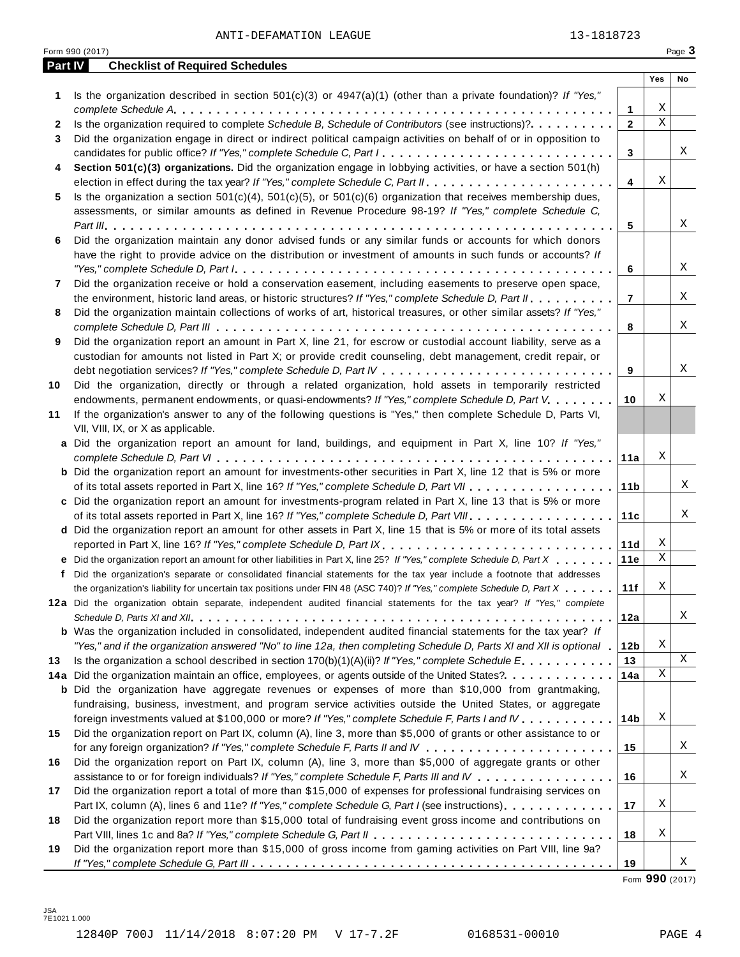|         | Form 990 (2017)                                                                                                                                                                                                                                                                                                                                                                               |                     |             | Page 3 |
|---------|-----------------------------------------------------------------------------------------------------------------------------------------------------------------------------------------------------------------------------------------------------------------------------------------------------------------------------------------------------------------------------------------------|---------------------|-------------|--------|
| Part IV | <b>Checklist of Required Schedules</b>                                                                                                                                                                                                                                                                                                                                                        |                     |             |        |
|         |                                                                                                                                                                                                                                                                                                                                                                                               |                     | Yes         | No     |
| 1.      | Is the organization described in section $501(c)(3)$ or $4947(a)(1)$ (other than a private foundation)? If "Yes,"                                                                                                                                                                                                                                                                             |                     | Χ           |        |
|         | Is the organization required to complete Schedule B, Schedule of Contributors (see instructions)?.                                                                                                                                                                                                                                                                                            | 1<br>$\overline{2}$ | $\mathbf X$ |        |
| 2<br>3  | Did the organization engage in direct or indirect political campaign activities on behalf of or in opposition to                                                                                                                                                                                                                                                                              |                     |             |        |
|         | candidates for public office? If "Yes," complete Schedule C, Part I.                                                                                                                                                                                                                                                                                                                          | 3                   |             | Χ      |
| 4       | Section 501(c)(3) organizations. Did the organization engage in lobbying activities, or have a section 501(h)                                                                                                                                                                                                                                                                                 |                     |             |        |
|         |                                                                                                                                                                                                                                                                                                                                                                                               | $\overline{4}$      | Χ           |        |
| 5       | Is the organization a section $501(c)(4)$ , $501(c)(5)$ , or $501(c)(6)$ organization that receives membership dues,                                                                                                                                                                                                                                                                          |                     |             |        |
|         | assessments, or similar amounts as defined in Revenue Procedure 98-19? If "Yes," complete Schedule C,                                                                                                                                                                                                                                                                                         |                     |             |        |
|         |                                                                                                                                                                                                                                                                                                                                                                                               | 5                   |             | Χ      |
| 6       | Did the organization maintain any donor advised funds or any similar funds or accounts for which donors                                                                                                                                                                                                                                                                                       |                     |             |        |
|         | have the right to provide advice on the distribution or investment of amounts in such funds or accounts? If                                                                                                                                                                                                                                                                                   |                     |             |        |
|         | "Yes," complete Schedule D, Part $l_1, \ldots, l_k, \ldots, l_k, \ldots, l_k, \ldots, l_k, \ldots, l_k, \ldots, l_k, \ldots, l_k, \ldots, l_k, \ldots, l_k, \ldots, l_k, \ldots, l_k, \ldots, l_k, \ldots, l_k, \ldots, l_k, \ldots, l_k, \ldots, l_k, \ldots, l_k, \ldots, l_k, \ldots, l_k, \ldots, l_k, \ldots, l_k, \ldots, l_k, \ldots, l_k, \ldots, l_k, \ldots, l_k, \ldots, l_k, \ld$ | 6                   |             | Χ      |
| 7       | Did the organization receive or hold a conservation easement, including easements to preserve open space,                                                                                                                                                                                                                                                                                     |                     |             |        |
|         | the environment, historic land areas, or historic structures? If "Yes," complete Schedule D, Part II.                                                                                                                                                                                                                                                                                         | $\overline{7}$      |             | Χ      |
| 8       | Did the organization maintain collections of works of art, historical treasures, or other similar assets? If "Yes,"                                                                                                                                                                                                                                                                           |                     |             |        |
|         |                                                                                                                                                                                                                                                                                                                                                                                               | 8                   |             | Χ      |
| 9       | Did the organization report an amount in Part X, line 21, for escrow or custodial account liability, serve as a                                                                                                                                                                                                                                                                               |                     |             |        |
|         | custodian for amounts not listed in Part X; or provide credit counseling, debt management, credit repair, or                                                                                                                                                                                                                                                                                  |                     |             |        |
|         |                                                                                                                                                                                                                                                                                                                                                                                               | 9                   |             | Χ      |
| 10      | Did the organization, directly or through a related organization, hold assets in temporarily restricted                                                                                                                                                                                                                                                                                       |                     |             |        |
|         | endowments, permanent endowments, or quasi-endowments? If "Yes," complete Schedule D, Part V.                                                                                                                                                                                                                                                                                                 | 10                  | Χ           |        |
| 11      | If the organization's answer to any of the following questions is "Yes," then complete Schedule D, Parts VI,                                                                                                                                                                                                                                                                                  |                     |             |        |
|         | VII, VIII, IX, or X as applicable.                                                                                                                                                                                                                                                                                                                                                            |                     |             |        |
|         | a Did the organization report an amount for land, buildings, and equipment in Part X, line 10? If "Yes,"                                                                                                                                                                                                                                                                                      |                     |             |        |
|         |                                                                                                                                                                                                                                                                                                                                                                                               | 11a                 | Χ           |        |
|         | <b>b</b> Did the organization report an amount for investments-other securities in Part X, line 12 that is 5% or more                                                                                                                                                                                                                                                                         |                     |             |        |
|         |                                                                                                                                                                                                                                                                                                                                                                                               | 11 <sub>b</sub>     |             | Χ      |
|         | c Did the organization report an amount for investments-program related in Part X, line 13 that is 5% or more                                                                                                                                                                                                                                                                                 |                     |             |        |
|         |                                                                                                                                                                                                                                                                                                                                                                                               | 11c                 |             | Χ      |
|         | d Did the organization report an amount for other assets in Part X, line 15 that is 5% or more of its total assets                                                                                                                                                                                                                                                                            |                     |             |        |
|         | reported in Part X, line 16? If "Yes," complete Schedule D, Part IX.                                                                                                                                                                                                                                                                                                                          | 11d                 | Χ           |        |
|         | e Did the organization report an amount for other liabilities in Part X, line 25? If "Yes," complete Schedule D, Part X                                                                                                                                                                                                                                                                       | 11e                 | Χ           |        |
|         | f Did the organization's separate or consolidated financial statements for the tax year include a footnote that addresses                                                                                                                                                                                                                                                                     |                     |             |        |
|         | the organization's liability for uncertain tax positions under FIN 48 (ASC 740)? If "Yes," complete Schedule D, Part X                                                                                                                                                                                                                                                                        | 11f                 | Χ           |        |
|         | 12a Did the organization obtain separate, independent audited financial statements for the tax year? If "Yes," complete                                                                                                                                                                                                                                                                       |                     |             |        |
|         |                                                                                                                                                                                                                                                                                                                                                                                               | 12a                 |             | Χ      |
|         | <b>b</b> Was the organization included in consolidated, independent audited financial statements for the tax year? If                                                                                                                                                                                                                                                                         |                     |             |        |
|         | "Yes," and if the organization answered "No" to line 12a, then completing Schedule D, Parts XI and XII is optional 1                                                                                                                                                                                                                                                                          | 12 <sub>b</sub>     | Χ           |        |
| 13      | Is the organization a school described in section 170(b)(1)(A)(ii)? If "Yes," complete Schedule E.                                                                                                                                                                                                                                                                                            | 13                  |             | X      |
|         | 14a Did the organization maintain an office, employees, or agents outside of the United States?.                                                                                                                                                                                                                                                                                              | 14a                 | Χ           |        |
|         | <b>b</b> Did the organization have aggregate revenues or expenses of more than \$10,000 from grantmaking,                                                                                                                                                                                                                                                                                     |                     |             |        |
|         | fundraising, business, investment, and program service activities outside the United States, or aggregate                                                                                                                                                                                                                                                                                     |                     |             |        |
|         | foreign investments valued at \$100,000 or more? If "Yes," complete Schedule F, Parts I and IV                                                                                                                                                                                                                                                                                                | 14 <sub>b</sub>     | Χ           |        |
| 15      | Did the organization report on Part IX, column (A), line 3, more than \$5,000 of grants or other assistance to or                                                                                                                                                                                                                                                                             |                     |             |        |
|         |                                                                                                                                                                                                                                                                                                                                                                                               | 15                  |             | Χ      |
| 16      | Did the organization report on Part IX, column (A), line 3, more than \$5,000 of aggregate grants or other                                                                                                                                                                                                                                                                                    |                     |             |        |
|         | assistance to or for foreign individuals? If "Yes," complete Schedule F, Parts III and IV                                                                                                                                                                                                                                                                                                     | 16                  |             | Χ      |
| 17      | Did the organization report a total of more than \$15,000 of expenses for professional fundraising services on                                                                                                                                                                                                                                                                                |                     |             |        |
|         | Part IX, column (A), lines 6 and 11e? If "Yes," complete Schedule G, Part I (see instructions)                                                                                                                                                                                                                                                                                                | 17                  | Χ           |        |
| 18      | Did the organization report more than \$15,000 total of fundraising event gross income and contributions on                                                                                                                                                                                                                                                                                   |                     |             |        |
|         |                                                                                                                                                                                                                                                                                                                                                                                               | 18                  | Χ           |        |
| 19      | Did the organization report more than \$15,000 of gross income from gaming activities on Part VIII, line 9a?                                                                                                                                                                                                                                                                                  |                     |             |        |
|         |                                                                                                                                                                                                                                                                                                                                                                                               | 19                  |             | Χ      |

Form **990** (2017)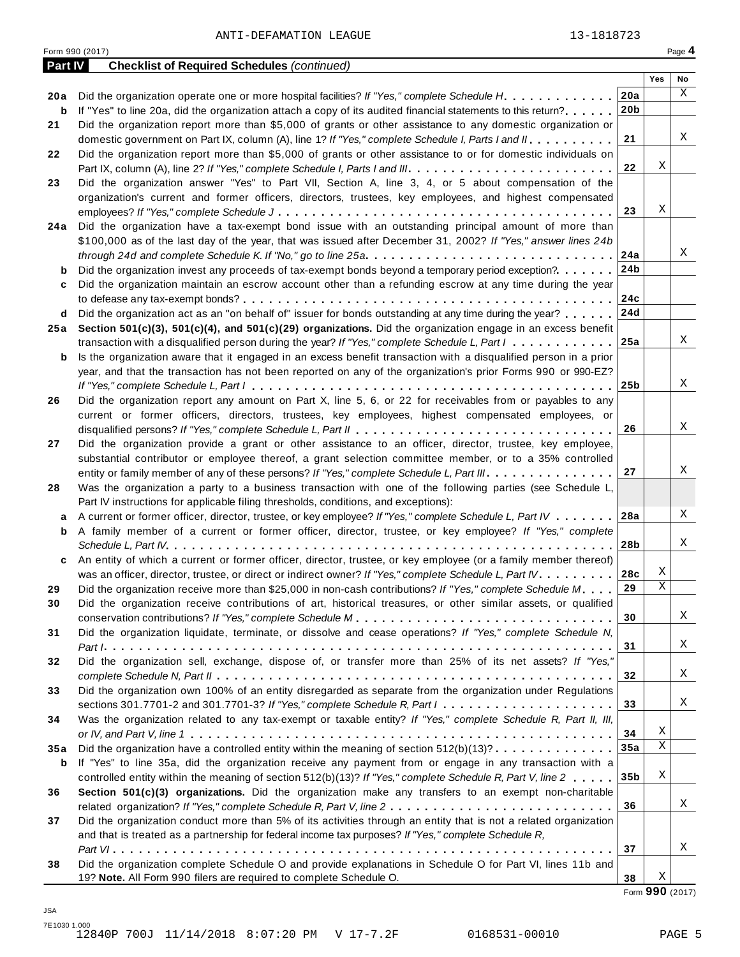|         | Form 990 (2017)                                                                                                             |                 |                       | Page 4 |
|---------|-----------------------------------------------------------------------------------------------------------------------------|-----------------|-----------------------|--------|
| Part IV | <b>Checklist of Required Schedules (continued)</b>                                                                          |                 |                       |        |
|         |                                                                                                                             |                 | Yes                   | No     |
| 20 a    | Did the organization operate one or more hospital facilities? If "Yes," complete Schedule H.                                | 20a             |                       | X      |
| b       | If "Yes" to line 20a, did the organization attach a copy of its audited financial statements to this return?                | 20 <sub>b</sub> |                       |        |
| 21      | Did the organization report more than \$5,000 of grants or other assistance to any domestic organization or                 |                 |                       |        |
|         | domestic government on Part IX, column (A), line 1? If "Yes," complete Schedule I, Parts I and II.                          | 21              |                       | Χ      |
| 22      | Did the organization report more than \$5,000 of grants or other assistance to or for domestic individuals on               |                 |                       |        |
|         |                                                                                                                             | 22              | Χ                     |        |
| 23      | Did the organization answer "Yes" to Part VII, Section A, line 3, 4, or 5 about compensation of the                         |                 |                       |        |
|         | organization's current and former officers, directors, trustees, key employees, and highest compensated                     |                 |                       |        |
|         |                                                                                                                             | 23              | Χ                     |        |
| 24 a    | Did the organization have a tax-exempt bond issue with an outstanding principal amount of more than                         |                 |                       |        |
|         | \$100,000 as of the last day of the year, that was issued after December 31, 2002? If "Yes," answer lines 24b               |                 |                       |        |
|         |                                                                                                                             | 24a             |                       | Χ      |
| b       | Did the organization invest any proceeds of tax-exempt bonds beyond a temporary period exception?                           | 24b             |                       |        |
| c       | Did the organization maintain an escrow account other than a refunding escrow at any time during the year                   |                 |                       |        |
|         |                                                                                                                             | 24c             |                       |        |
| d       | Did the organization act as an "on behalf of" issuer for bonds outstanding at any time during the year?                     | 24d             |                       |        |
| 25a     | Section 501(c)(3), 501(c)(4), and 501(c)(29) organizations. Did the organization engage in an excess benefit                |                 |                       |        |
|         | transaction with a disqualified person during the year? If "Yes," complete Schedule L, Part $1, \ldots, \ldots, \ldots$     | 25a             |                       | Χ      |
| b       | Is the organization aware that it engaged in an excess benefit transaction with a disqualified person in a prior            |                 |                       |        |
|         | year, and that the transaction has not been reported on any of the organization's prior Forms 990 or 990-EZ?                |                 |                       |        |
|         |                                                                                                                             | 25 <sub>b</sub> |                       | Χ      |
|         | Did the organization report any amount on Part X, line 5, 6, or 22 for receivables from or payables to any                  |                 |                       |        |
| 26      |                                                                                                                             |                 |                       |        |
|         | current or former officers, directors, trustees, key employees, highest compensated employees, or                           | 26              |                       | Χ      |
|         |                                                                                                                             |                 |                       |        |
| 27      | Did the organization provide a grant or other assistance to an officer, director, trustee, key employee,                    |                 |                       |        |
|         | substantial contributor or employee thereof, a grant selection committee member, or to a 35% controlled                     |                 |                       | Χ      |
|         | entity or family member of any of these persons? If "Yes," complete Schedule L, Part III.                                   | 27              |                       |        |
| 28      | Was the organization a party to a business transaction with one of the following parties (see Schedule L,                   |                 |                       |        |
|         | Part IV instructions for applicable filing thresholds, conditions, and exceptions):                                         |                 |                       |        |
| a       | A current or former officer, director, trustee, or key employee? If "Yes," complete Schedule L, Part IV                     | 28a             |                       | Χ      |
| b       | A family member of a current or former officer, director, trustee, or key employee? If "Yes," complete                      |                 |                       |        |
|         |                                                                                                                             | 28b             |                       | Χ      |
| c       | An entity of which a current or former officer, director, trustee, or key employee (or a family member thereof)             |                 |                       |        |
|         | was an officer, director, trustee, or direct or indirect owner? If "Yes," complete Schedule L, Part IV.                     | 28c             | Χ                     |        |
| 29      | Did the organization receive more than \$25,000 in non-cash contributions? If "Yes," complete Schedule M                    | 29              | $\overline{\text{X}}$ |        |
| 30      | Did the organization receive contributions of art, historical treasures, or other similar assets, or qualified              |                 |                       |        |
|         |                                                                                                                             | 30              |                       | Χ      |
| 31      | Did the organization liquidate, terminate, or dissolve and cease operations? If "Yes," complete Schedule N,                 |                 |                       |        |
|         |                                                                                                                             | 31              |                       | Χ      |
| 32      | Did the organization sell, exchange, dispose of, or transfer more than 25% of its net assets? If "Yes,"                     |                 |                       |        |
|         |                                                                                                                             | 32              |                       | Χ      |
| 33      | Did the organization own 100% of an entity disregarded as separate from the organization under Regulations                  |                 |                       |        |
|         | sections 301.7701-2 and 301.7701-3? If "Yes," complete Schedule R, Part $1, \ldots, \ldots, \ldots, \ldots, \ldots, \ldots$ | 33              |                       | Χ      |
| 34      | Was the organization related to any tax-exempt or taxable entity? If "Yes," complete Schedule R, Part II, III,              |                 |                       |        |
|         |                                                                                                                             | 34              | Χ                     |        |
| 35 a    | Did the organization have a controlled entity within the meaning of section $512(b)(13)? \ldots \ldots \ldots \ldots$       | 35a             | Χ                     |        |
|         |                                                                                                                             |                 |                       |        |
| b       | If "Yes" to line 35a, did the organization receive any payment from or engage in any transaction with a                     | 35 <sub>b</sub> | Χ                     |        |
|         | controlled entity within the meaning of section 512(b)(13)? If "Yes," complete Schedule R, Part V, line 2                   |                 |                       |        |
| 36      | Section 501(c)(3) organizations. Did the organization make any transfers to an exempt non-charitable                        |                 |                       |        |
|         |                                                                                                                             | 36              |                       | Χ      |
| 37      | Did the organization conduct more than 5% of its activities through an entity that is not a related organization            |                 |                       |        |
|         | and that is treated as a partnership for federal income tax purposes? If "Yes," complete Schedule R,                        |                 |                       |        |
|         |                                                                                                                             | 37              |                       | Χ      |
| 38      | Did the organization complete Schedule O and provide explanations in Schedule O for Part VI, lines 11b and                  |                 |                       |        |
|         | 19? Note. All Form 990 filers are required to complete Schedule O.                                                          | 38              | Χ                     |        |

Form **990** (2017)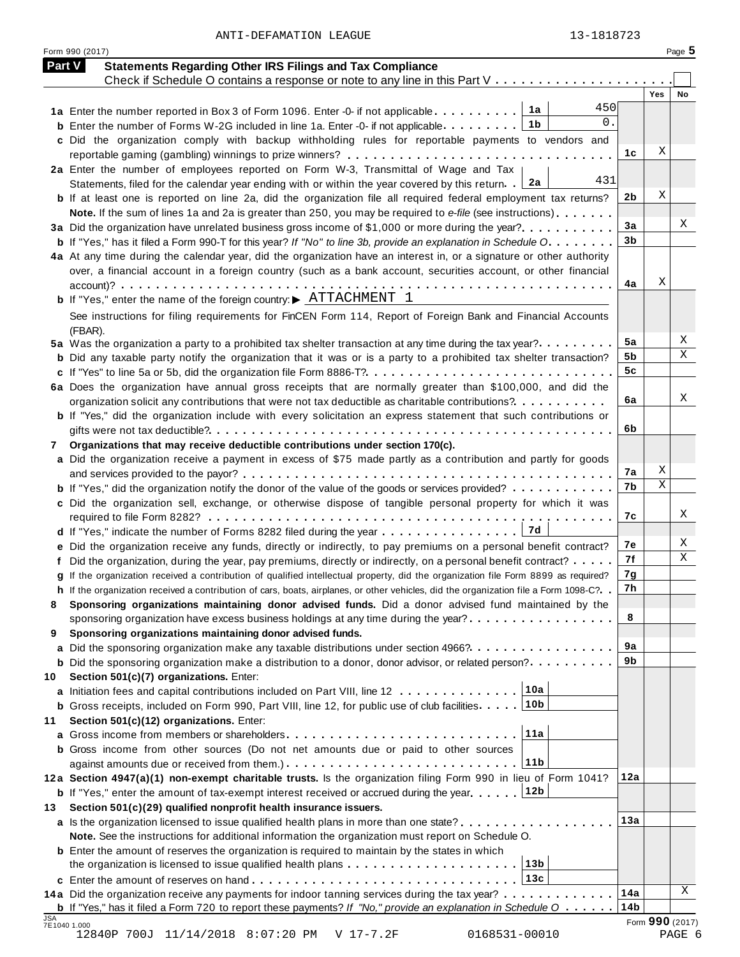Form <sup>990</sup> (2017) Page **5**

| <b>Part V</b> | <b>Statements Regarding Other IRS Filings and Tax Compliance</b>                                                                        |                 |     |                 |
|---------------|-----------------------------------------------------------------------------------------------------------------------------------------|-----------------|-----|-----------------|
|               | Check if Schedule O contains a response or note to any line in this Part V                                                              |                 |     |                 |
|               | 450                                                                                                                                     |                 | Yes | No              |
|               | 0.                                                                                                                                      |                 |     |                 |
|               | 1b<br><b>b</b> Enter the number of Forms W-2G included in line 1a. Enter -0- if not applicable                                          |                 |     |                 |
|               | c Did the organization comply with backup withholding rules for reportable payments to vendors and                                      |                 | Χ   |                 |
|               |                                                                                                                                         | 1с              |     |                 |
|               | 2a Enter the number of employees reported on Form W-3, Transmittal of Wage and Tax<br>431                                               |                 |     |                 |
|               | 2a<br>Statements, filed for the calendar year ending with or within the year covered by this return.                                    |                 | Χ   |                 |
|               | <b>b</b> If at least one is reported on line 2a, did the organization file all required federal employment tax returns?                 | 2 <sub>b</sub>  |     |                 |
|               | Note. If the sum of lines 1a and 2a is greater than 250, you may be required to e-file (see instructions)                               |                 |     | X               |
|               | 3a Did the organization have unrelated business gross income of \$1,000 or more during the year?                                        | 3a              |     |                 |
|               | <b>b</b> If "Yes," has it filed a Form 990-T for this year? If "No" to line 3b, provide an explanation in Schedule O.                   | 3 <sub>b</sub>  |     |                 |
|               | 4a At any time during the calendar year, did the organization have an interest in, or a signature or other authority                    |                 |     |                 |
|               | over, a financial account in a foreign country (such as a bank account, securities account, or other financial                          |                 |     |                 |
|               |                                                                                                                                         | 4a              | Χ   |                 |
|               | <b>b</b> If "Yes," enter the name of the foreign country: $\blacktriangleright$ $\angle$ ATTACHMENT 1                                   |                 |     |                 |
|               | See instructions for filing requirements for FinCEN Form 114, Report of Foreign Bank and Financial Accounts                             |                 |     |                 |
|               | (FBAR).                                                                                                                                 |                 |     |                 |
|               | 5a Was the organization a party to a prohibited tax shelter transaction at any time during the tax year?                                | 5a              |     | Χ               |
|               | <b>b</b> Did any taxable party notify the organization that it was or is a party to a prohibited tax shelter transaction?               | 5b              |     | Χ               |
|               | c If "Yes" to line 5a or 5b, did the organization file Form 8886-T?                                                                     | 5c              |     |                 |
|               | 6a Does the organization have annual gross receipts that are normally greater than \$100,000, and did the                               |                 |     |                 |
|               | organization solicit any contributions that were not tax deductible as charitable contributions?                                        | 6a              |     | X               |
|               | <b>b</b> If "Yes," did the organization include with every solicitation an express statement that such contributions or                 |                 |     |                 |
|               |                                                                                                                                         | 6b              |     |                 |
| 7             | Organizations that may receive deductible contributions under section 170(c).                                                           |                 |     |                 |
|               | a Did the organization receive a payment in excess of \$75 made partly as a contribution and partly for goods                           |                 |     |                 |
|               |                                                                                                                                         | 7а              | Χ   |                 |
|               | <b>b</b> If "Yes," did the organization notify the donor of the value of the goods or services provided?                                | 7b              | Χ   |                 |
|               | c Did the organization sell, exchange, or otherwise dispose of tangible personal property for which it was                              |                 |     |                 |
|               |                                                                                                                                         | 7c              |     | X               |
|               | 7d<br>d If "Yes," indicate the number of Forms 8282 filed during the year                                                               |                 |     |                 |
|               | e Did the organization receive any funds, directly or indirectly, to pay premiums on a personal benefit contract?                       | 7е              |     | Χ               |
|               | f Did the organization, during the year, pay premiums, directly or indirectly, on a personal benefit contract?                          | 7f              |     | Χ               |
|               | g If the organization received a contribution of qualified intellectual property, did the organization file Form 8899 as required?      | 7g              |     |                 |
|               | h If the organization received a contribution of cars, boats, airplanes, or other vehicles, did the organization file a Form 1098-C?. . | 7h              |     |                 |
|               | Sponsoring organizations maintaining donor advised funds. Did a donor advised fund maintained by the                                    |                 |     |                 |
|               | sponsoring organization have excess business holdings at any time during the year? $\ldots$ , $\ldots$ , $\ldots$ , $\ldots$            | 8               |     |                 |
| 9             | Sponsoring organizations maintaining donor advised funds.                                                                               |                 |     |                 |
|               | a Did the sponsoring organization make any taxable distributions under section 4966?                                                    | 9a              |     |                 |
|               | <b>b</b> Did the sponsoring organization make a distribution to a donor, donor advisor, or related person?                              | 9b              |     |                 |
| 10            | Section 501(c)(7) organizations. Enter:                                                                                                 |                 |     |                 |
|               | 10a<br>a Initiation fees and capital contributions included on Part VIII, line 12                                                       |                 |     |                 |
|               | 10b<br><b>b</b> Gross receipts, included on Form 990, Part VIII, line 12, for public use of club facilities                             |                 |     |                 |
| 11            | Section 501(c)(12) organizations. Enter:                                                                                                |                 |     |                 |
|               | 11a                                                                                                                                     |                 |     |                 |
|               | <b>b</b> Gross income from other sources (Do not net amounts due or paid to other sources                                               |                 |     |                 |
|               | 11 <sub>b</sub><br>against amounts due or received from them.) $\ldots \ldots \ldots \ldots \ldots \ldots \ldots \ldots \ldots \ldots$  |                 |     |                 |
|               | 12a Section 4947(a)(1) non-exempt charitable trusts. Is the organization filing Form 990 in lieu of Form 1041?                          | 12a             |     |                 |
|               | 12b<br><b>b</b> If "Yes," enter the amount of tax-exempt interest received or accrued during the year                                   |                 |     |                 |
| 13            | Section 501(c)(29) qualified nonprofit health insurance issuers.                                                                        |                 |     |                 |
|               |                                                                                                                                         | 13a             |     |                 |
|               | <b>a</b> Is the organization licensed to issue qualified health plans in more than one state?                                           |                 |     |                 |
|               | Note. See the instructions for additional information the organization must report on Schedule O.                                       |                 |     |                 |
|               | <b>b</b> Enter the amount of reserves the organization is required to maintain by the states in which<br>13 <sub>b</sub>                |                 |     |                 |
|               | the organization is licensed to issue qualified health plans<br>13c                                                                     |                 |     |                 |
|               |                                                                                                                                         | 14a             |     | Χ               |
|               | 14a Did the organization receive any payments for indoor tanning services during the tax year?                                          | 14 <sub>b</sub> |     |                 |
|               | <b>b</b> If "Yes," has it filed a Form 720 to report these payments? If "No," provide an explanation in Schedule $0 \ldots \ldots$      |                 |     | Form 990 (2017) |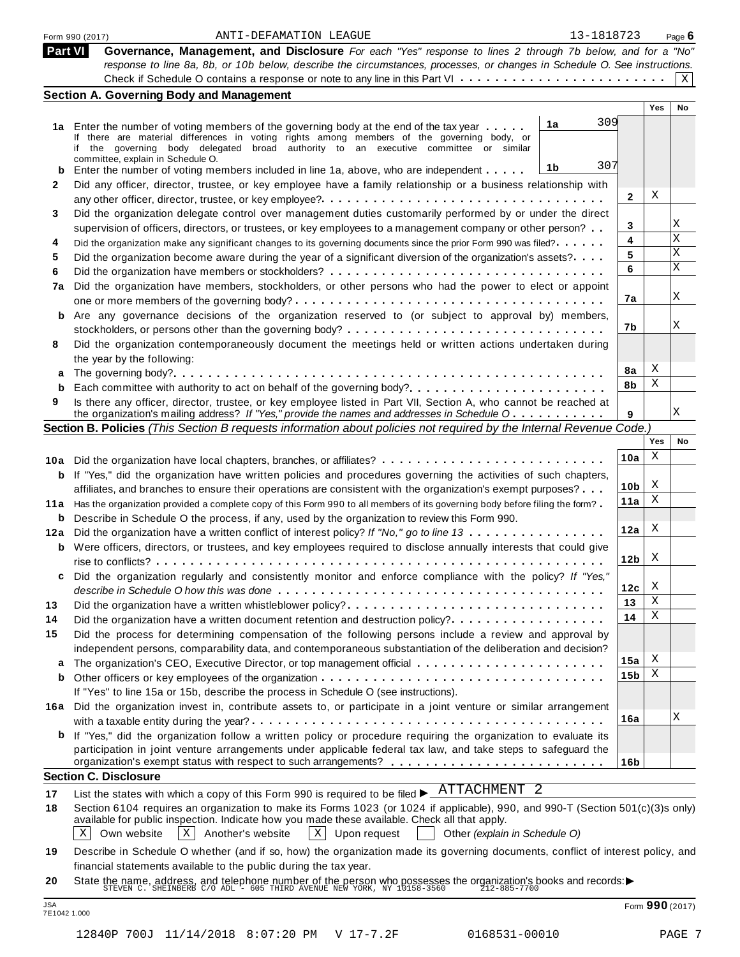|         | 13-1818723<br>ANTI-DEFAMATION LEAGUE<br>Form 990 (2017)                                                                                                                                                                         |                 |            | Page $6$  |
|---------|---------------------------------------------------------------------------------------------------------------------------------------------------------------------------------------------------------------------------------|-----------------|------------|-----------|
| Part VI | Governance, Management, and Disclosure For each "Yes" response to lines 2 through 7b below, and for a "No"                                                                                                                      |                 |            |           |
|         | response to line 8a, 8b, or 10b below, describe the circumstances, processes, or changes in Schedule O. See instructions.                                                                                                       |                 |            |           |
|         |                                                                                                                                                                                                                                 |                 |            | Χ         |
|         | <b>Section A. Governing Body and Management</b>                                                                                                                                                                                 |                 | <b>Yes</b> | <b>No</b> |
|         | 309                                                                                                                                                                                                                             |                 |            |           |
|         | 1a<br>1a Enter the number of voting members of the governing body at the end of the tax year<br>If there are material differences in voting rights among members of the governing body, or                                      |                 |            |           |
|         | if the governing body delegated broad authority to an executive committee or similar                                                                                                                                            |                 |            |           |
|         | committee, explain in Schedule O.<br>307<br>1b                                                                                                                                                                                  |                 |            |           |
|         | Enter the number of voting members included in line 1a, above, who are independent                                                                                                                                              |                 |            |           |
| 2       | Did any officer, director, trustee, or key employee have a family relationship or a business relationship with                                                                                                                  | 2               | Χ          |           |
|         |                                                                                                                                                                                                                                 |                 |            |           |
| 3       | Did the organization delegate control over management duties customarily performed by or under the direct                                                                                                                       | 3               |            | Χ         |
| 4       | supervision of officers, directors, or trustees, or key employees to a management company or other person?                                                                                                                      | 4               |            | X         |
| 5       | Did the organization make any significant changes to its governing documents since the prior Form 990 was filed?.<br>Did the organization become aware during the year of a significant diversion of the organization's assets? | 5               |            | Χ         |
| 6       |                                                                                                                                                                                                                                 | 6               |            | Χ         |
| 7a      | Did the organization have members, stockholders, or other persons who had the power to elect or appoint                                                                                                                         |                 |            |           |
|         |                                                                                                                                                                                                                                 | 7а              |            | Χ         |
| b       | Are any governance decisions of the organization reserved to (or subject to approval by) members,                                                                                                                               |                 |            |           |
|         |                                                                                                                                                                                                                                 | 7b              |            | Χ         |
| 8       | Did the organization contemporaneously document the meetings held or written actions undertaken during                                                                                                                          |                 |            |           |
|         | the year by the following:                                                                                                                                                                                                      |                 |            |           |
| а       |                                                                                                                                                                                                                                 | 8a              | X          |           |
| b       | Each committee with authority to act on behalf of the governing body?                                                                                                                                                           | 8b              | Χ          |           |
| 9       | Is there any officer, director, trustee, or key employee listed in Part VII, Section A, who cannot be reached at                                                                                                                |                 |            |           |
|         | the organization's mailing address? If "Yes," provide the names and addresses in Schedule O                                                                                                                                     | 9               |            | Χ         |
|         | Section B. Policies (This Section B requests information about policies not required by the Internal Revenue Code.)                                                                                                             |                 |            |           |
|         |                                                                                                                                                                                                                                 |                 | Yes        | No        |
|         | 10a Did the organization have local chapters, branches, or affiliates?                                                                                                                                                          | 10a             | Χ          |           |
|         | <b>b</b> If "Yes," did the organization have written policies and procedures governing the activities of such chapters,                                                                                                         |                 |            |           |
|         | affiliates, and branches to ensure their operations are consistent with the organization's exempt purposes?                                                                                                                     | 10 <sub>b</sub> | X          |           |
|         | 11a Has the organization provided a complete copy of this Form 990 to all members of its governing body before filing the form?                                                                                                 | 11a             | X          |           |
| b       | Describe in Schedule O the process, if any, used by the organization to review this Form 990.                                                                                                                                   |                 |            |           |
|         | 12a Did the organization have a written conflict of interest policy? If "No," go to line 13                                                                                                                                     | 12a             | X          |           |
|         | <b>b</b> Were officers, directors, or trustees, and key employees required to disclose annually interests that could give                                                                                                       |                 |            |           |
|         |                                                                                                                                                                                                                                 | 12 <sub>b</sub> | X          |           |
|         | Did the organization regularly and consistently monitor and enforce compliance with the policy? If "Yes,"                                                                                                                       |                 | X          |           |
|         |                                                                                                                                                                                                                                 | 12c<br>13       | X          |           |
| 13      | Did the organization have a written whistleblower policy?                                                                                                                                                                       | 14              | Χ          |           |
| 14      | Did the organization have a written document retention and destruction policy?                                                                                                                                                  |                 |            |           |
| 15      | Did the process for determining compensation of the following persons include a review and approval by                                                                                                                          |                 |            |           |
|         | independent persons, comparability data, and contemporaneous substantiation of the deliberation and decision?<br>The organization's CEO, Executive Director, or top management official                                         | 15a             | Χ          |           |
| b       |                                                                                                                                                                                                                                 | 15 <sub>b</sub> | Χ          |           |
|         | If "Yes" to line 15a or 15b, describe the process in Schedule O (see instructions).                                                                                                                                             |                 |            |           |
| 16а     | Did the organization invest in, contribute assets to, or participate in a joint venture or similar arrangement                                                                                                                  |                 |            |           |
|         |                                                                                                                                                                                                                                 | 16a             |            | Χ         |
| b       | If "Yes," did the organization follow a written policy or procedure requiring the organization to evaluate its                                                                                                                  |                 |            |           |
|         | participation in joint venture arrangements under applicable federal tax law, and take steps to safeguard the                                                                                                                   |                 |            |           |
|         |                                                                                                                                                                                                                                 | 16 <sub>b</sub> |            |           |
|         | <b>Section C. Disclosure</b>                                                                                                                                                                                                    |                 |            |           |
| 17      | List the states with which a copy of this Form 990 is required to be filed $\blacktriangleright$ ATTACHMENT 2                                                                                                                   |                 |            |           |
| 18      | Section 6104 requires an organization to make its Forms 1023 (or 1024 if applicable), 990, and 990-T (Section 501(c)(3)s only)                                                                                                  |                 |            |           |
|         | available for public inspection. Indicate how you made these available. Check all that apply.                                                                                                                                   |                 |            |           |
|         | $X$ Upon request<br>Own website<br>$X \vert$<br>Another's website<br>Χ<br>Other (explain in Schedule O)                                                                                                                         |                 |            |           |
| 19      | Describe in Schedule O whether (and if so, how) the organization made its governing documents, conflict of interest policy, and                                                                                                 |                 |            |           |
|         | financial statements available to the public during the tax year.                                                                                                                                                               |                 |            |           |
| 20      | State the name, address, and telephone number of the person who possesses the organization's books and records: $\blacktriangleright$<br>STEVEN C. SHEINBERB C/O ADL - 605 THIRD AVENUE NEW YORK, NY 10158-3560 212-885-7700    |                 |            |           |

JSA Form **<sup>990</sup>** (2017) 7E1042 1.000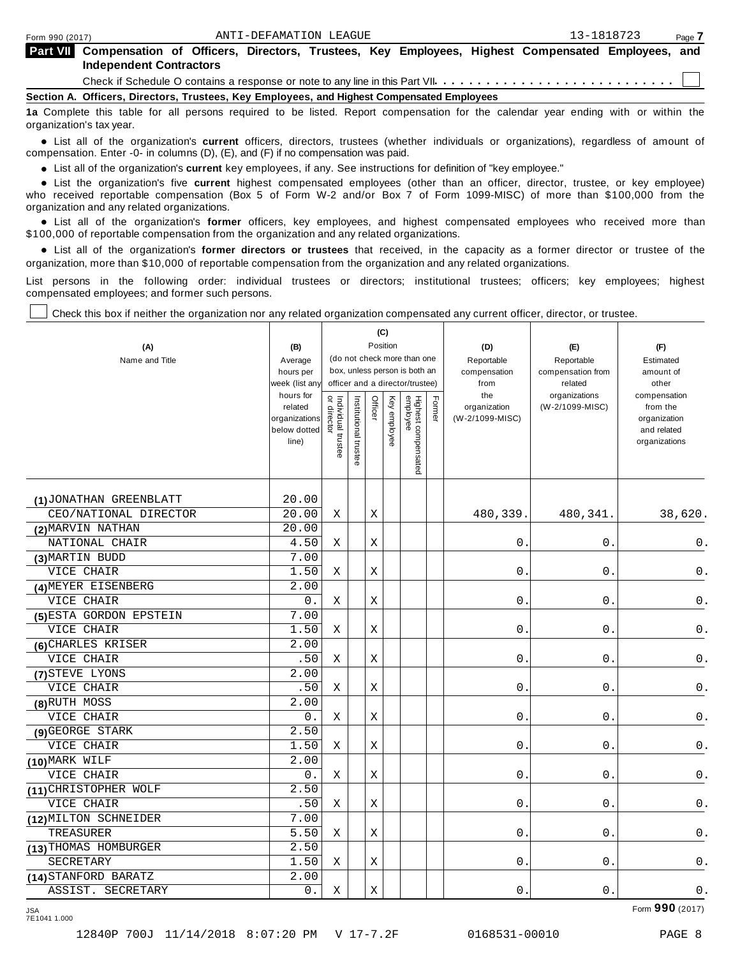| Form 990 (2017) |                                                                                                           |  | ANTI-DEFAMATION LEAGUE |  |  | 13-1818723 | Page 7 |  |
|-----------------|-----------------------------------------------------------------------------------------------------------|--|------------------------|--|--|------------|--------|--|
|                 | Part VII Compensation of Officers, Directors, Trustees, Key Employees, Highest Compensated Employees, and |  |                        |  |  |            |        |  |
|                 | <b>Independent Contractors</b>                                                                            |  |                        |  |  |            |        |  |

Check if Schedule O contains a response or note to any line in this Part VII.  $\ldots \ldots \ldots \ldots \ldots \ldots \ldots \ldots$ 

**Section A. Officers, Directors, Trustees, Key Employees, and Highest Compensated Employees**

**1a** Complete this table for all persons required to be listed. Report compensation for the calendar year ending with or within the organization's tax year.

anization's lax year.<br>● List all of the organization's **current** officers, directors, trustees (whether individuals or organizations), regardless of amount of<br>nnensation Enter -0- in columns (D) (E) and (E) if no compensa compensation. Enter -0- in columns (D), (E), and (F) if no compensation was paid.

• List all of the organization's **current** key employees, if any. See instructions for definition of "key employee."<br>● List the experientials five expect highest expressed explores (other than an efficer director of

**Example in the organization's current** key employees, if any. See instructions for definition of key employee.<br>• List the organization's five **current** highest compensated employees (other than an officer, director, trust who received reportable compensation (Box 5 of Form W-2 and/or Box 7 of Form 1099-MISC) of more than \$100,000 from the

organization and any related organizations.<br>• List all of the organization's **former** officers, key employees, and highest compensated employees who received more than<br>\$1.00.000 of reportable componention from the erganiza \$100,000 of reportable compensation from the organization and any related organizations.

% List all of the organization's **former directors or trustees** that received, in the capacity as a former director or trustee of the organization, more than \$10,000 of reportable compensation from the organization and any related organizations.

List persons in the following order: individual trustees or directors; institutional trustees; officers; key employees; highest compensated employees; and former such persons.

Check this box if neither the organization nor any related organization compensated any current officer, director, or trustee.

┰

| (A)<br>Name and Title   | (B)<br>Average<br>hours per<br>week (list any<br>hours for<br>related<br>organizations<br>below dotted<br>line) | or director<br>Individual trustee | Institutional trustee | Officer | (C)<br>Position<br>Key employee | (do not check more than one<br>box, unless person is both an<br>officer and a director/trustee)<br>Highest compensated<br>employee | Former | (D)<br>Reportable<br>compensation<br>from<br>the<br>organization<br>(W-2/1099-MISC) | (E)<br>Reportable<br>compensation from<br>related<br>organizations<br>(W-2/1099-MISC) | (F)<br>Estimated<br>amount of<br>other<br>compensation<br>from the<br>organization<br>and related<br>organizations |
|-------------------------|-----------------------------------------------------------------------------------------------------------------|-----------------------------------|-----------------------|---------|---------------------------------|------------------------------------------------------------------------------------------------------------------------------------|--------|-------------------------------------------------------------------------------------|---------------------------------------------------------------------------------------|--------------------------------------------------------------------------------------------------------------------|
| (1) JONATHAN GREENBLATT | 20.00                                                                                                           |                                   |                       |         |                                 |                                                                                                                                    |        |                                                                                     |                                                                                       |                                                                                                                    |
| CEO/NATIONAL DIRECTOR   | 20.00                                                                                                           | Χ                                 |                       | Χ       |                                 |                                                                                                                                    |        | 480,339.                                                                            | 480,341.                                                                              | 38,620.                                                                                                            |
| (2) MARVIN NATHAN       | 20.00                                                                                                           |                                   |                       |         |                                 |                                                                                                                                    |        |                                                                                     |                                                                                       |                                                                                                                    |
| NATIONAL CHAIR          | 4.50                                                                                                            | Χ                                 |                       | Χ       |                                 |                                                                                                                                    |        | 0.                                                                                  | $0$ .                                                                                 | 0.                                                                                                                 |
| (3) MARTIN BUDD         | 7.00                                                                                                            |                                   |                       |         |                                 |                                                                                                                                    |        |                                                                                     |                                                                                       |                                                                                                                    |
| VICE CHAIR              | 1.50                                                                                                            | Χ                                 |                       | Χ       |                                 |                                                                                                                                    |        | 0.                                                                                  | $0$ .                                                                                 | $\mathsf 0$ .                                                                                                      |
| (4) MEYER EISENBERG     | 2.00                                                                                                            |                                   |                       |         |                                 |                                                                                                                                    |        |                                                                                     |                                                                                       |                                                                                                                    |
| VICE CHAIR              | $0$ .                                                                                                           | Χ                                 |                       | Χ       |                                 |                                                                                                                                    |        | $0\,$ .                                                                             | 0.                                                                                    | $\mathsf 0$ .                                                                                                      |
| (5) ESTA GORDON EPSTEIN | 7.00                                                                                                            |                                   |                       |         |                                 |                                                                                                                                    |        |                                                                                     |                                                                                       |                                                                                                                    |
| VICE CHAIR              | 1.50                                                                                                            | X                                 |                       | X       |                                 |                                                                                                                                    |        | 0.                                                                                  | $0$ .                                                                                 | $\mathsf 0$ .                                                                                                      |
| (6) CHARLES KRISER      | 2.00                                                                                                            |                                   |                       |         |                                 |                                                                                                                                    |        |                                                                                     |                                                                                       |                                                                                                                    |
| VICE CHAIR              | .50                                                                                                             | Χ                                 |                       | Χ       |                                 |                                                                                                                                    |        | 0.                                                                                  | 0.                                                                                    | 0.                                                                                                                 |
| (7) STEVE LYONS         | 2.00                                                                                                            |                                   |                       |         |                                 |                                                                                                                                    |        |                                                                                     |                                                                                       |                                                                                                                    |
| VICE CHAIR              | .50                                                                                                             | Χ                                 |                       | Χ       |                                 |                                                                                                                                    |        | $0$ .                                                                               | $0$ .                                                                                 | $\mathsf 0$ .                                                                                                      |
| (8) RUTH MOSS           | 2.00                                                                                                            |                                   |                       |         |                                 |                                                                                                                                    |        |                                                                                     |                                                                                       |                                                                                                                    |
| VICE CHAIR              | 0.                                                                                                              | Χ                                 |                       | Χ       |                                 |                                                                                                                                    |        | 0.                                                                                  | 0.                                                                                    | 0.                                                                                                                 |
| (9) GEORGE STARK        | 2.50                                                                                                            |                                   |                       |         |                                 |                                                                                                                                    |        |                                                                                     |                                                                                       |                                                                                                                    |
| VICE CHAIR              | 1.50                                                                                                            | X                                 |                       | Х       |                                 |                                                                                                                                    |        | $\mathsf{O}$ .                                                                      | 0.                                                                                    | $\mathsf 0$ .                                                                                                      |
| $(10)$ MARK WILF        | 2.00                                                                                                            |                                   |                       |         |                                 |                                                                                                                                    |        |                                                                                     |                                                                                       |                                                                                                                    |
| VICE CHAIR              | $\overline{0}$ .                                                                                                | Χ                                 |                       | Χ       |                                 |                                                                                                                                    |        | $\mathsf{O}$ .                                                                      | 0.                                                                                    | $\mathsf 0$ .                                                                                                      |
| (11) CHRISTOPHER WOLF   | 2.50                                                                                                            |                                   |                       |         |                                 |                                                                                                                                    |        |                                                                                     |                                                                                       |                                                                                                                    |
| VICE CHAIR              | .50                                                                                                             | Χ                                 |                       | Χ       |                                 |                                                                                                                                    |        | $0$ .                                                                               | $0$ .                                                                                 | 0.                                                                                                                 |
| (12) MILTON SCHNEIDER   | 7.00                                                                                                            |                                   |                       |         |                                 |                                                                                                                                    |        |                                                                                     |                                                                                       |                                                                                                                    |
| TREASURER               | 5.50                                                                                                            | X                                 |                       | X       |                                 |                                                                                                                                    |        | 0.                                                                                  | 0.                                                                                    | $0$ .                                                                                                              |
| (13) THOMAS HOMBURGER   | 2.50                                                                                                            |                                   |                       |         |                                 |                                                                                                                                    |        |                                                                                     |                                                                                       |                                                                                                                    |
| SECRETARY               | 1.50                                                                                                            | Χ                                 |                       | Χ       |                                 |                                                                                                                                    |        | 0.                                                                                  | 0.                                                                                    | 0.                                                                                                                 |
| (14) STANFORD BARATZ    | 2.00                                                                                                            |                                   |                       |         |                                 |                                                                                                                                    |        |                                                                                     |                                                                                       |                                                                                                                    |
| ASSIST. SECRETARY       | 0.                                                                                                              | X                                 |                       | Χ       |                                 |                                                                                                                                    |        | 0.                                                                                  | $0$ .                                                                                 | $0$ .                                                                                                              |

7E1041 1.000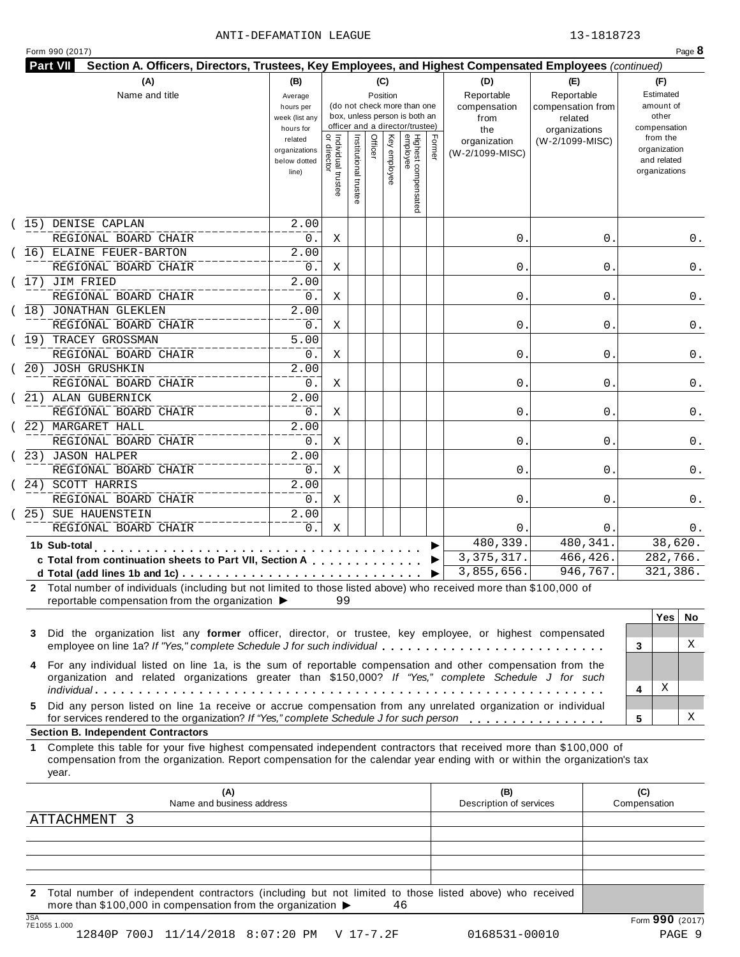|    | (A)<br>Name and title                                                                                                                                                  | (B)<br>Average<br>hours per<br>week (list any<br>hours for |                                           |                       |         | (C)<br>Position | (do not check more than one<br>box, unless person is both an<br>officer and a director/trustee) |        | (D)<br>Reportable<br>compensation<br>from<br>the | (E)<br>Reportable<br>compensation from<br>related<br>organizations |                                                          |  |
|----|------------------------------------------------------------------------------------------------------------------------------------------------------------------------|------------------------------------------------------------|-------------------------------------------|-----------------------|---------|-----------------|-------------------------------------------------------------------------------------------------|--------|--------------------------------------------------|--------------------------------------------------------------------|----------------------------------------------------------|--|
|    |                                                                                                                                                                        | related<br>organizations<br>below dotted<br>line)          | <br>  Individual trustee<br>  or director | Institutional trustee | Officer | Key employee    | Highest compensated<br>employee                                                                 | Former | organization<br>(W-2/1099-MISC)                  | (W-2/1099-MISC)                                                    | from the<br>organization<br>and related<br>organizations |  |
|    | (15) DENISE CAPLAN                                                                                                                                                     | 2.00                                                       |                                           |                       |         |                 |                                                                                                 |        |                                                  |                                                                    |                                                          |  |
|    | REGIONAL BOARD CHAIR                                                                                                                                                   | 0.                                                         | Χ                                         |                       |         |                 |                                                                                                 |        | 0.                                               | 0                                                                  | 0.                                                       |  |
|    | (16) ELAINE FEUER-BARTON                                                                                                                                               | 2.00                                                       |                                           |                       |         |                 |                                                                                                 |        |                                                  |                                                                    |                                                          |  |
|    | REGIONAL BOARD CHAIR<br>$(17)$ JIM FRIED                                                                                                                               | $0$ .<br>2.00                                              | Χ                                         |                       |         |                 |                                                                                                 |        | 0.                                               | 0                                                                  | 0.                                                       |  |
|    | REGIONAL BOARD CHAIR                                                                                                                                                   | $0$ .                                                      | Χ                                         |                       |         |                 |                                                                                                 |        | 0.                                               | 0                                                                  | 0.                                                       |  |
|    | (18) JONATHAN GLEKLEN                                                                                                                                                  | $\overline{2.00}$                                          |                                           |                       |         |                 |                                                                                                 |        |                                                  |                                                                    |                                                          |  |
|    | REGIONAL BOARD CHAIR                                                                                                                                                   | 0.                                                         | Χ                                         |                       |         |                 |                                                                                                 |        | 0.                                               | 0                                                                  | 0.                                                       |  |
|    | (19) TRACEY GROSSMAN                                                                                                                                                   | $\overline{5.00}$                                          |                                           |                       |         |                 |                                                                                                 |        |                                                  |                                                                    |                                                          |  |
|    | REGIONAL BOARD CHAIR                                                                                                                                                   | 0.                                                         | Χ                                         |                       |         |                 |                                                                                                 |        | 0.                                               | 0                                                                  | 0.                                                       |  |
|    | (20) JOSH GRUSHKIN                                                                                                                                                     | $\overline{2.00}$                                          |                                           |                       |         |                 |                                                                                                 |        |                                                  |                                                                    |                                                          |  |
|    | REGIONAL BOARD CHAIR                                                                                                                                                   | $0$ .                                                      | Χ                                         |                       |         |                 |                                                                                                 |        | 0.                                               | 0                                                                  | 0.                                                       |  |
|    | 21) ALAN GUBERNICK                                                                                                                                                     | 2.00                                                       |                                           |                       |         |                 |                                                                                                 |        |                                                  |                                                                    |                                                          |  |
|    | REGIONAL BOARD CHAIR                                                                                                                                                   | $0$ .                                                      | Χ                                         |                       |         |                 |                                                                                                 |        | 0.                                               | 0                                                                  | 0.                                                       |  |
|    | 22) MARGARET HALL                                                                                                                                                      | $\overline{2.00}$                                          |                                           |                       |         |                 |                                                                                                 |        |                                                  |                                                                    |                                                          |  |
|    | REGIONAL BOARD CHAIR                                                                                                                                                   | 0.                                                         | Χ                                         |                       |         |                 |                                                                                                 |        | 0.                                               | 0                                                                  | 0.                                                       |  |
|    | (23) JASON HALPER                                                                                                                                                      | $\overline{2.00}$                                          |                                           |                       |         |                 |                                                                                                 |        |                                                  |                                                                    |                                                          |  |
|    | REGIONAL BOARD CHAIR                                                                                                                                                   | 0.                                                         | Χ                                         |                       |         |                 |                                                                                                 |        | 0.                                               | 0                                                                  | 0.                                                       |  |
|    | (24) SCOTT HARRIS                                                                                                                                                      | 2.00                                                       |                                           |                       |         |                 |                                                                                                 |        |                                                  |                                                                    |                                                          |  |
|    | REGIONAL BOARD CHAIR                                                                                                                                                   | $0$ .                                                      | Χ                                         |                       |         |                 |                                                                                                 |        | 0.                                               | 0                                                                  | 0.                                                       |  |
|    | 25) SUE HAUENSTEIN                                                                                                                                                     | 2.00                                                       |                                           |                       |         |                 |                                                                                                 |        |                                                  |                                                                    |                                                          |  |
|    | REGIONAL BOARD CHAIR                                                                                                                                                   | 0.                                                         | Χ                                         |                       |         |                 |                                                                                                 |        | О.                                               | 0                                                                  | 0.                                                       |  |
|    | 1b Sub-total                                                                                                                                                           |                                                            |                                           |                       |         |                 |                                                                                                 |        | 480,339.                                         | 480,341.                                                           | 38,620.                                                  |  |
|    | c Total from continuation sheets to Part VII, Section A                                                                                                                |                                                            |                                           |                       |         |                 |                                                                                                 |        | 3, 375, 317.                                     | 466,426.                                                           | 282,766.                                                 |  |
|    |                                                                                                                                                                        |                                                            |                                           |                       |         |                 |                                                                                                 | ▶      | 3,855,656.                                       | 946,767.                                                           | 321,386.                                                 |  |
|    | 2 Total number of individuals (including but not limited to those listed above) who received more than \$100,000 of<br>reportable compensation from the organization ▶ |                                                            | 99                                        |                       |         |                 |                                                                                                 |        |                                                  |                                                                    |                                                          |  |
|    | Did the organization list any former officer, director, or trustee, key employee, or highest compensated                                                               |                                                            |                                           |                       |         |                 |                                                                                                 |        |                                                  |                                                                    | <b>Yes</b><br>No.                                        |  |
| 3  | employee on line 1a? If "Yes," complete Schedule J for such individual                                                                                                 |                                                            |                                           |                       |         |                 |                                                                                                 |        |                                                  |                                                                    | X<br>3                                                   |  |
| 4  | For any individual listed on line 1a, is the sum of reportable compensation and other compensation from the                                                            |                                                            |                                           |                       |         |                 |                                                                                                 |        |                                                  |                                                                    |                                                          |  |
|    | organization and related organizations greater than \$150,000? If "Yes," complete Schedule J for such                                                                  |                                                            |                                           |                       |         |                 |                                                                                                 |        |                                                  |                                                                    | Χ                                                        |  |
|    |                                                                                                                                                                        |                                                            |                                           |                       |         |                 |                                                                                                 |        |                                                  |                                                                    | 4                                                        |  |
|    | Did any person listed on line 1a receive or accrue compensation from any unrelated organization or individual                                                          |                                                            |                                           |                       |         |                 |                                                                                                 |        |                                                  |                                                                    | х                                                        |  |
| 5. | for services rendered to the organization? If "Yes," complete Schedule J for such person<br><b>Section B. Independent Contractors</b>                                  |                                                            |                                           |                       |         |                 |                                                                                                 |        |                                                  |                                                                    | 5                                                        |  |
|    | Complete this table for your five highest compensated independent contractors that received more than \$100,000 of                                                     |                                                            |                                           |                       |         |                 |                                                                                                 |        |                                                  |                                                                    |                                                          |  |
|    |                                                                                                                                                                        |                                                            |                                           |                       |         |                 |                                                                                                 |        |                                                  |                                                                    |                                                          |  |
|    | compensation from the organization. Report compensation for the calendar year ending with or within the organization's tax<br>year.                                    |                                                            |                                           |                       |         |                 |                                                                                                 |        | (B)                                              |                                                                    | (C)                                                      |  |
|    | (A)                                                                                                                                                                    |                                                            |                                           |                       |         |                 |                                                                                                 |        |                                                  |                                                                    |                                                          |  |
|    | Name and business address                                                                                                                                              |                                                            |                                           |                       |         |                 |                                                                                                 |        | Description of services                          |                                                                    | Compensation                                             |  |
|    | ATTACHMENT 3                                                                                                                                                           |                                                            |                                           |                       |         |                 |                                                                                                 |        |                                                  |                                                                    |                                                          |  |
| 1  |                                                                                                                                                                        |                                                            |                                           |                       |         |                 |                                                                                                 |        |                                                  |                                                                    |                                                          |  |
|    |                                                                                                                                                                        |                                                            |                                           |                       |         |                 |                                                                                                 |        |                                                  |                                                                    |                                                          |  |

JSA Form **990** (2017) 7E1055 1.000 12840P 700J 11/14/2018 8:07:20 PM V 17-7.2F 0168531-00010 PAGE 9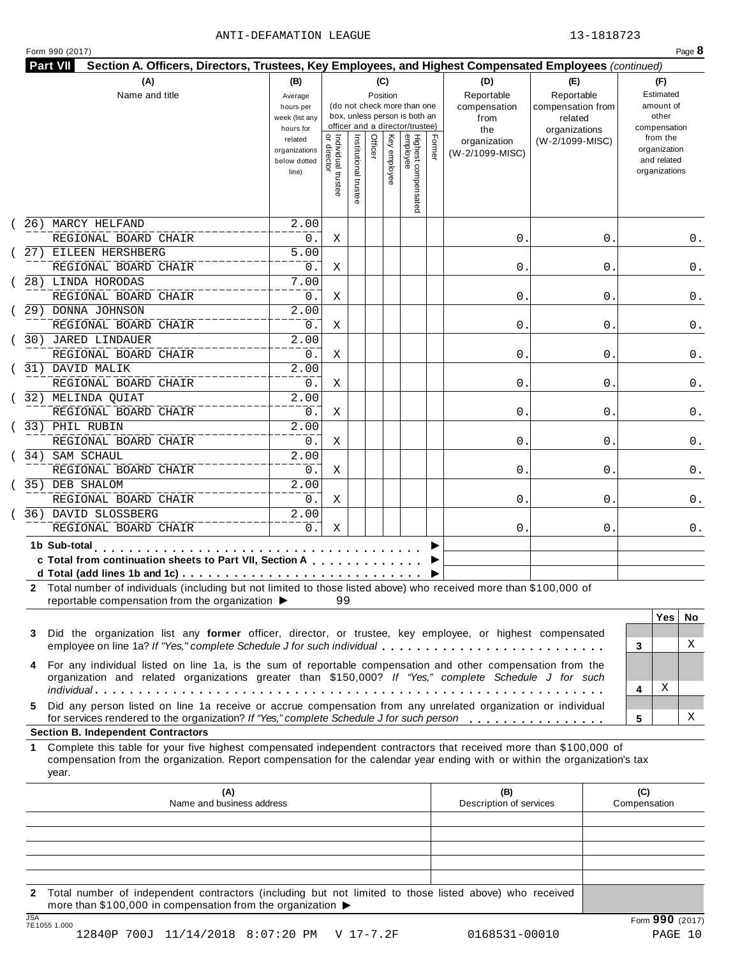| Form 990 (2017) |
|-----------------|
|-----------------|

|         | 26) MARCY HELFAND<br>REGIONAL BOARD CHAIR<br>27) EILEEN HERSHBERG<br>REGIONAL BOARD CHAIR<br>28) LINDA HORODAS<br>REGIONAL BOARD CHAIR<br>29) DONNA JOHNSON<br>REGIONAL BOARD CHAIR                                                                                                                                                                          | related<br>organizations<br>below dotted<br>line)<br>2.00<br>0.<br>5.00<br>0.<br>7.00<br>0. | <br>  Individual trustee<br>  or director<br>Χ<br>Χ | Institutional trustee | Officer | Key employee | Highest compensated<br>employee | Former | organization<br>(W-2/1099-MISC) | (W-2/1099-MISC) | from the<br>organization<br>and related<br>organizations |
|---------|--------------------------------------------------------------------------------------------------------------------------------------------------------------------------------------------------------------------------------------------------------------------------------------------------------------------------------------------------------------|---------------------------------------------------------------------------------------------|-----------------------------------------------------|-----------------------|---------|--------------|---------------------------------|--------|---------------------------------|-----------------|----------------------------------------------------------|
|         |                                                                                                                                                                                                                                                                                                                                                              |                                                                                             |                                                     |                       |         |              |                                 |        |                                 |                 |                                                          |
|         |                                                                                                                                                                                                                                                                                                                                                              |                                                                                             |                                                     |                       |         |              |                                 |        |                                 |                 |                                                          |
|         |                                                                                                                                                                                                                                                                                                                                                              |                                                                                             |                                                     |                       |         |              |                                 |        | 0.                              | 0               | 0.                                                       |
|         |                                                                                                                                                                                                                                                                                                                                                              |                                                                                             |                                                     |                       |         |              |                                 |        |                                 |                 |                                                          |
|         |                                                                                                                                                                                                                                                                                                                                                              |                                                                                             |                                                     |                       |         |              |                                 |        | 0.                              | 0               | 0.                                                       |
|         |                                                                                                                                                                                                                                                                                                                                                              |                                                                                             | Χ                                                   |                       |         |              |                                 |        | 0.                              | 0               | 0.                                                       |
|         |                                                                                                                                                                                                                                                                                                                                                              | 2.00                                                                                        |                                                     |                       |         |              |                                 |        |                                 |                 |                                                          |
|         |                                                                                                                                                                                                                                                                                                                                                              | 0.                                                                                          | Χ                                                   |                       |         |              |                                 |        | 0.                              | 0               | 0.                                                       |
|         | 30) JARED LINDAUER                                                                                                                                                                                                                                                                                                                                           | $\overline{2.00}$                                                                           |                                                     |                       |         |              |                                 |        |                                 |                 |                                                          |
|         | REGIONAL BOARD CHAIR                                                                                                                                                                                                                                                                                                                                         | 0.                                                                                          | Χ                                                   |                       |         |              |                                 |        | 0.                              | 0               | 0.                                                       |
|         | 31) DAVID MALIK                                                                                                                                                                                                                                                                                                                                              | 2.00                                                                                        |                                                     |                       |         |              |                                 |        |                                 |                 |                                                          |
|         | REGIONAL BOARD CHAIR                                                                                                                                                                                                                                                                                                                                         | $0$ .                                                                                       | Χ                                                   |                       |         |              |                                 |        | 0.                              | 0               | 0.                                                       |
|         | (32) MELINDA QUIAT                                                                                                                                                                                                                                                                                                                                           | 2.00                                                                                        |                                                     |                       |         |              |                                 |        |                                 |                 |                                                          |
|         | REGIONAL BOARD CHAIR                                                                                                                                                                                                                                                                                                                                         | 0.                                                                                          | Χ                                                   |                       |         |              |                                 |        | 0.                              | 0               | 0.                                                       |
|         | 33) PHIL RUBIN                                                                                                                                                                                                                                                                                                                                               | 2.00                                                                                        |                                                     |                       |         |              |                                 |        |                                 |                 |                                                          |
|         | REGIONAL BOARD CHAIR                                                                                                                                                                                                                                                                                                                                         | 0.                                                                                          | Χ                                                   |                       |         |              |                                 |        | 0.                              | 0               | 0.                                                       |
|         | 34) SAM SCHAUL                                                                                                                                                                                                                                                                                                                                               | 2.00                                                                                        |                                                     |                       |         |              |                                 |        |                                 |                 |                                                          |
|         | REGIONAL BOARD CHAIR                                                                                                                                                                                                                                                                                                                                         | 0.                                                                                          | Χ                                                   |                       |         |              |                                 |        | 0.                              | 0               | 0.                                                       |
|         | 35) DEB SHALOM                                                                                                                                                                                                                                                                                                                                               | 2.00                                                                                        |                                                     |                       |         |              |                                 |        |                                 |                 |                                                          |
|         | REGIONAL BOARD CHAIR                                                                                                                                                                                                                                                                                                                                         | $0$ .                                                                                       | Χ                                                   |                       |         |              |                                 |        | 0.                              | 0               | 0.                                                       |
|         | 36) DAVID SLOSSBERG                                                                                                                                                                                                                                                                                                                                          | 2.00                                                                                        |                                                     |                       |         |              |                                 |        |                                 |                 |                                                          |
|         | REGIONAL BOARD CHAIR                                                                                                                                                                                                                                                                                                                                         | 0.                                                                                          | Χ                                                   |                       |         |              |                                 |        | 0.                              | 0               | 0.                                                       |
|         | 1b Sub-total<br>c Total from continuation sheets to Part VII, Section A                                                                                                                                                                                                                                                                                      |                                                                                             |                                                     |                       |         |              |                                 |        |                                 |                 |                                                          |
| 3       | 2 Total number of individuals (including but not limited to those listed above) who received more than \$100,000 of<br>reportable compensation from the organization ▶<br>Did the organization list any former officer, director, or trustee, key employee, or highest compensated<br>employee on line 1a? If "Yes," complete Schedule J for such individual |                                                                                             | 99                                                  |                       |         |              |                                 |        |                                 |                 | <b>Yes</b><br>No.<br>X<br>3                              |
| 4<br>5. | For any individual listed on line 1a, is the sum of reportable compensation and other compensation from the<br>organization and related organizations greater than \$150,000? If "Yes," complete Schedule J for such<br>Did any person listed on line 1a receive or accrue compensation from any unrelated organization or individual                        |                                                                                             |                                                     |                       |         |              |                                 |        |                                 |                 | х<br>4<br>х                                              |
|         | for services rendered to the organization? If "Yes," complete Schedule J for such person<br><b>Section B. Independent Contractors</b>                                                                                                                                                                                                                        |                                                                                             |                                                     |                       |         |              |                                 |        |                                 |                 | 5                                                        |
| 1       | Complete this table for your five highest compensated independent contractors that received more than \$100,000 of<br>compensation from the organization. Report compensation for the calendar year ending with or within the organization's tax<br>year.                                                                                                    |                                                                                             |                                                     |                       |         |              |                                 |        |                                 |                 |                                                          |
|         | (A)<br>Name and business address                                                                                                                                                                                                                                                                                                                             |                                                                                             |                                                     |                       |         |              |                                 |        | (B)<br>Description of services  |                 | (C)<br>Compensation                                      |
|         |                                                                                                                                                                                                                                                                                                                                                              |                                                                                             |                                                     |                       |         |              |                                 |        |                                 |                 |                                                          |
|         |                                                                                                                                                                                                                                                                                                                                                              |                                                                                             |                                                     |                       |         |              |                                 |        |                                 |                 |                                                          |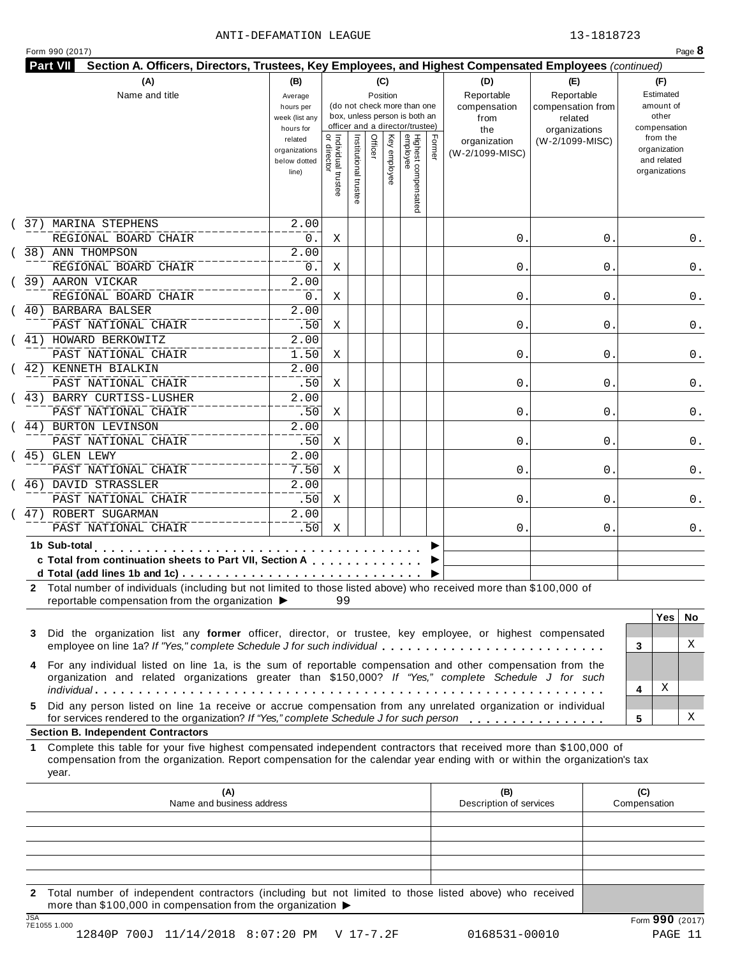| Form 990 (2017) |  |
|-----------------|--|
|-----------------|--|

|         |                                                                                                                                                                                                                                                                                                                                                              | hours per<br>week (list any<br>hours for          |                                           |                       |         | Position     | (do not check more than one<br>box, unless person is both an<br>officer and a director/trustee) |        | Reportable<br>compensation<br>from<br>the | Reportable<br>compensation from<br>related<br>organizations | Estimated<br>amount of<br>other<br>compensation          |
|---------|--------------------------------------------------------------------------------------------------------------------------------------------------------------------------------------------------------------------------------------------------------------------------------------------------------------------------------------------------------------|---------------------------------------------------|-------------------------------------------|-----------------------|---------|--------------|-------------------------------------------------------------------------------------------------|--------|-------------------------------------------|-------------------------------------------------------------|----------------------------------------------------------|
|         |                                                                                                                                                                                                                                                                                                                                                              | related<br>organizations<br>below dotted<br>line) | <br>  Individual trustee<br>  or director | Institutional trustee | Officer | Key employee | Highest compensated<br>employee                                                                 | Former | organization<br>(W-2/1099-MISC)           | (W-2/1099-MISC)                                             | from the<br>organization<br>and related<br>organizations |
|         | 37) MARINA STEPHENS                                                                                                                                                                                                                                                                                                                                          | 2.00                                              |                                           |                       |         |              |                                                                                                 |        |                                           |                                                             |                                                          |
|         | REGIONAL BOARD CHAIR                                                                                                                                                                                                                                                                                                                                         | 0.                                                | Χ                                         |                       |         |              |                                                                                                 |        | 0.                                        | 0                                                           | 0.                                                       |
|         | 38) ANN THOMPSON                                                                                                                                                                                                                                                                                                                                             | 2.00                                              |                                           |                       |         |              |                                                                                                 |        |                                           |                                                             |                                                          |
|         | REGIONAL BOARD CHAIR                                                                                                                                                                                                                                                                                                                                         | $0$ .                                             | Χ                                         |                       |         |              |                                                                                                 |        | 0.                                        | 0                                                           | 0.                                                       |
|         | 39) AARON VICKAR                                                                                                                                                                                                                                                                                                                                             | 2.00                                              |                                           |                       |         |              |                                                                                                 |        |                                           |                                                             |                                                          |
|         | REGIONAL BOARD CHAIR<br>40) BARBARA BALSER                                                                                                                                                                                                                                                                                                                   | 0.<br>2.00                                        | Χ                                         |                       |         |              |                                                                                                 |        | 0.                                        | 0                                                           | 0.                                                       |
|         | PAST NATIONAL CHAIR                                                                                                                                                                                                                                                                                                                                          | .50                                               | Χ                                         |                       |         |              |                                                                                                 |        | 0.                                        | 0                                                           | 0.                                                       |
|         | 41) HOWARD BERKOWITZ                                                                                                                                                                                                                                                                                                                                         | 2.00                                              |                                           |                       |         |              |                                                                                                 |        |                                           |                                                             |                                                          |
|         | PAST NATIONAL CHAIR                                                                                                                                                                                                                                                                                                                                          | 1.50                                              | Χ                                         |                       |         |              |                                                                                                 |        | 0.                                        | 0                                                           | 0.                                                       |
|         | ( 42) KENNETH BIALKIN                                                                                                                                                                                                                                                                                                                                        | 2.00                                              |                                           |                       |         |              |                                                                                                 |        |                                           |                                                             |                                                          |
|         | PAST NATIONAL CHAIR                                                                                                                                                                                                                                                                                                                                          | .50                                               | X                                         |                       |         |              |                                                                                                 |        | 0.                                        | 0                                                           | 0.                                                       |
|         | 43) BARRY CURTISS-LUSHER                                                                                                                                                                                                                                                                                                                                     | 2.00                                              |                                           |                       |         |              |                                                                                                 |        |                                           |                                                             |                                                          |
|         | PAST NATIONAL CHAIR                                                                                                                                                                                                                                                                                                                                          | .50                                               | X                                         |                       |         |              |                                                                                                 |        | 0.                                        | 0                                                           | 0.                                                       |
|         | 44) BURTON LEVINSON                                                                                                                                                                                                                                                                                                                                          | 2.00                                              |                                           |                       |         |              |                                                                                                 |        |                                           |                                                             |                                                          |
|         | PAST NATIONAL CHAIR                                                                                                                                                                                                                                                                                                                                          | .50                                               | Χ                                         |                       |         |              |                                                                                                 |        | 0.                                        | 0                                                           | 0.                                                       |
|         | 45) GLEN LEWY                                                                                                                                                                                                                                                                                                                                                | 2.00                                              |                                           |                       |         |              |                                                                                                 |        |                                           |                                                             |                                                          |
|         | PAST NATIONAL CHAIR                                                                                                                                                                                                                                                                                                                                          | 7.50                                              | X                                         |                       |         |              |                                                                                                 |        | 0.                                        | 0                                                           | 0.                                                       |
|         | 46) DAVID STRASSLER                                                                                                                                                                                                                                                                                                                                          | 2.00                                              |                                           |                       |         |              |                                                                                                 |        |                                           |                                                             |                                                          |
|         | PAST NATIONAL CHAIR                                                                                                                                                                                                                                                                                                                                          | .50                                               | X                                         |                       |         |              |                                                                                                 |        | 0.                                        | 0                                                           | 0.                                                       |
|         | 47) ROBERT SUGARMAN                                                                                                                                                                                                                                                                                                                                          | 2.00                                              |                                           |                       |         |              |                                                                                                 |        |                                           |                                                             |                                                          |
|         | PAST NATIONAL CHAIR                                                                                                                                                                                                                                                                                                                                          | .50                                               | Χ                                         |                       |         |              |                                                                                                 |        | 0.                                        | 0.                                                          | 0.                                                       |
|         | 1b Sub-total<br>c Total from continuation sheets to Part VII, Section A                                                                                                                                                                                                                                                                                      |                                                   |                                           |                       |         |              |                                                                                                 |        |                                           |                                                             |                                                          |
| 3       | 2 Total number of individuals (including but not limited to those listed above) who received more than \$100,000 of<br>reportable compensation from the organization ▶<br>Did the organization list any former officer, director, or trustee, key employee, or highest compensated<br>employee on line 1a? If "Yes," complete Schedule J for such individual |                                                   | 99                                        |                       |         |              |                                                                                                 |        |                                           |                                                             | <b>Yes</b><br>No.<br>X<br>3                              |
| 4<br>5. | For any individual listed on line 1a, is the sum of reportable compensation and other compensation from the<br>organization and related organizations greater than \$150,000? If "Yes," complete Schedule J for such<br>Did any person listed on line 1a receive or accrue compensation from any unrelated organization or individual                        |                                                   |                                           |                       |         |              |                                                                                                 |        |                                           |                                                             | х<br>4<br>х                                              |
|         | for services rendered to the organization? If "Yes," complete Schedule J for such person<br><b>Section B. Independent Contractors</b>                                                                                                                                                                                                                        |                                                   |                                           |                       |         |              |                                                                                                 |        |                                           |                                                             | 5                                                        |
| 1       | Complete this table for your five highest compensated independent contractors that received more than \$100,000 of<br>compensation from the organization. Report compensation for the calendar year ending with or within the organization's tax<br>year.                                                                                                    |                                                   |                                           |                       |         |              |                                                                                                 |        |                                           |                                                             |                                                          |
|         | (A)<br>Name and business address                                                                                                                                                                                                                                                                                                                             |                                                   |                                           |                       |         |              |                                                                                                 |        | (B)<br>Description of services            |                                                             | (C)<br>Compensation                                      |
|         |                                                                                                                                                                                                                                                                                                                                                              |                                                   |                                           |                       |         |              |                                                                                                 |        |                                           |                                                             |                                                          |
|         |                                                                                                                                                                                                                                                                                                                                                              |                                                   |                                           |                       |         |              |                                                                                                 |        |                                           |                                                             |                                                          |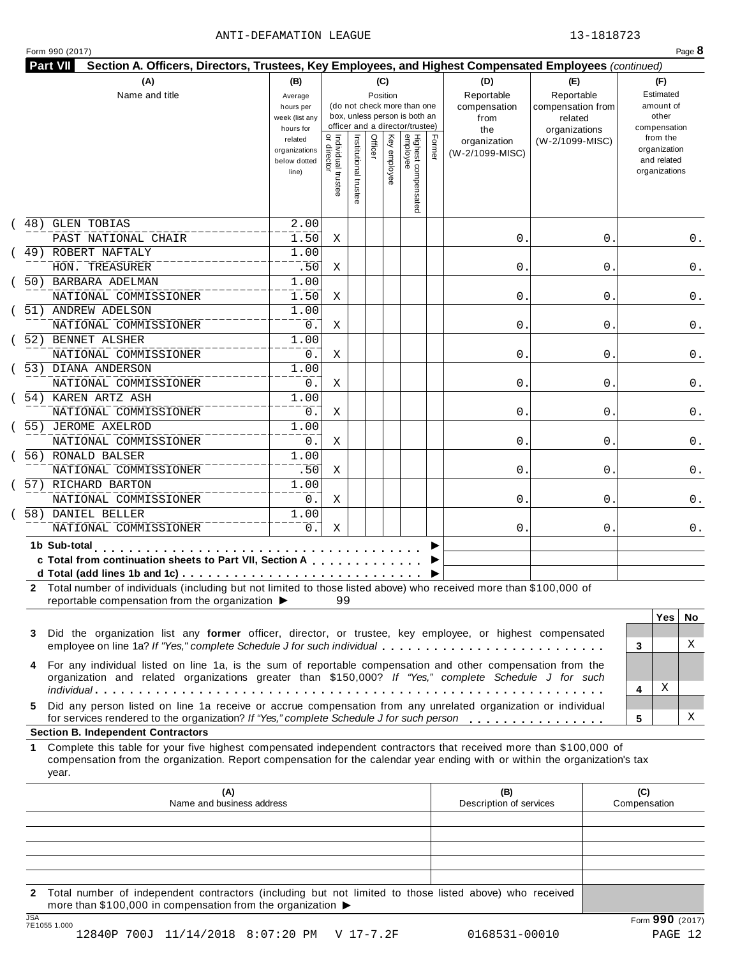| Form 990 (2017) |  |
|-----------------|--|
|-----------------|--|

|     | (A)<br>Name and title                                                                                                                                                                                                                                                                                                                                        | (B)<br>Average<br>hours per<br>week (list any<br>hours for |                                   |                       |         | (C)<br>Position | (do not check more than one<br>box, unless person is both an<br>officer and a director/trustee) |        | (D)<br>Reportable<br>compensation<br>from<br>the | (E)<br>Reportable<br>compensation from<br>related<br>organizations | (F)<br>Estimated<br>amount of<br>other<br>compensation   |
|-----|--------------------------------------------------------------------------------------------------------------------------------------------------------------------------------------------------------------------------------------------------------------------------------------------------------------------------------------------------------------|------------------------------------------------------------|-----------------------------------|-----------------------|---------|-----------------|-------------------------------------------------------------------------------------------------|--------|--------------------------------------------------|--------------------------------------------------------------------|----------------------------------------------------------|
|     |                                                                                                                                                                                                                                                                                                                                                              | related<br>organizations<br>below dotted<br>line)          | Individual trustee<br>or director | Institutional trustee | Officer | Key employee    | Highest compensated<br>employee                                                                 | Former | organization<br>(W-2/1099-MISC)                  | (W-2/1099-MISC)                                                    | from the<br>organization<br>and related<br>organizations |
| 48) | <b>GLEN TOBIAS</b>                                                                                                                                                                                                                                                                                                                                           | $\overline{2.00}$                                          |                                   |                       |         |                 |                                                                                                 |        |                                                  |                                                                    |                                                          |
|     | PAST NATIONAL CHAIR                                                                                                                                                                                                                                                                                                                                          | 1.50                                                       | Χ                                 |                       |         |                 |                                                                                                 |        | 0.                                               | 0                                                                  | 0.                                                       |
|     | 49) ROBERT NAFTALY                                                                                                                                                                                                                                                                                                                                           | 1.00                                                       |                                   |                       |         |                 |                                                                                                 |        |                                                  |                                                                    |                                                          |
|     | HON. TREASURER                                                                                                                                                                                                                                                                                                                                               | .50                                                        | Χ                                 |                       |         |                 |                                                                                                 |        | 0.                                               | 0                                                                  | 0.                                                       |
|     | 50) BARBARA ADELMAN                                                                                                                                                                                                                                                                                                                                          | 1.00                                                       |                                   |                       |         |                 |                                                                                                 |        |                                                  |                                                                    |                                                          |
|     | NATIONAL COMMISSIONER                                                                                                                                                                                                                                                                                                                                        | 1.50                                                       | X                                 |                       |         |                 |                                                                                                 |        | 0.                                               | 0                                                                  | 0.                                                       |
|     | 51) ANDREW ADELSON                                                                                                                                                                                                                                                                                                                                           | 1.00                                                       |                                   |                       |         |                 |                                                                                                 |        |                                                  |                                                                    |                                                          |
|     | NATIONAL COMMISSIONER                                                                                                                                                                                                                                                                                                                                        | $0$ .                                                      | Χ                                 |                       |         |                 |                                                                                                 |        | 0.                                               | 0                                                                  | 0.                                                       |
|     | 52) BENNET ALSHER<br>NATIONAL COMMISSIONER                                                                                                                                                                                                                                                                                                                   | 1.00<br>0.                                                 |                                   |                       |         |                 |                                                                                                 |        | 0.                                               |                                                                    |                                                          |
|     | 53) DIANA ANDERSON                                                                                                                                                                                                                                                                                                                                           | 1.00                                                       | Χ                                 |                       |         |                 |                                                                                                 |        |                                                  | 0                                                                  | 0.                                                       |
|     | NATIONAL COMMISSIONER                                                                                                                                                                                                                                                                                                                                        | 0.                                                         | X                                 |                       |         |                 |                                                                                                 |        | 0.                                               | 0                                                                  | 0.                                                       |
|     | 54) KAREN ARTZ ASH                                                                                                                                                                                                                                                                                                                                           | 1.00                                                       |                                   |                       |         |                 |                                                                                                 |        |                                                  |                                                                    |                                                          |
|     | NATIONAL COMMISSIONER                                                                                                                                                                                                                                                                                                                                        | 0.                                                         | X                                 |                       |         |                 |                                                                                                 |        | 0.                                               | 0                                                                  | 0.                                                       |
|     | 55) JEROME AXELROD                                                                                                                                                                                                                                                                                                                                           | 1.00                                                       |                                   |                       |         |                 |                                                                                                 |        |                                                  |                                                                    |                                                          |
|     | NATIONAL COMMISSIONER                                                                                                                                                                                                                                                                                                                                        | 0.                                                         | Χ                                 |                       |         |                 |                                                                                                 |        | 0.                                               | 0                                                                  | 0.                                                       |
|     | 56) RONALD BALSER                                                                                                                                                                                                                                                                                                                                            | 1.00                                                       |                                   |                       |         |                 |                                                                                                 |        |                                                  |                                                                    |                                                          |
|     | NATIONAL COMMISSIONER                                                                                                                                                                                                                                                                                                                                        | .50                                                        | X                                 |                       |         |                 |                                                                                                 |        | 0.                                               | 0                                                                  | 0.                                                       |
|     | 57) RICHARD BARTON                                                                                                                                                                                                                                                                                                                                           | 1.00                                                       |                                   |                       |         |                 |                                                                                                 |        |                                                  |                                                                    |                                                          |
|     | NATIONAL COMMISSIONER                                                                                                                                                                                                                                                                                                                                        | $0$ .                                                      | X                                 |                       |         |                 |                                                                                                 |        | 0.                                               | 0                                                                  | 0.                                                       |
|     | 58) DANIEL BELLER                                                                                                                                                                                                                                                                                                                                            | 1.00                                                       |                                   |                       |         |                 |                                                                                                 |        |                                                  |                                                                    |                                                          |
|     | NATIONAL COMMISSIONER                                                                                                                                                                                                                                                                                                                                        | 0.                                                         | Χ                                 |                       |         |                 |                                                                                                 |        | 0.                                               | 0.                                                                 | 0.                                                       |
|     | 1b Sub-total<br>c Total from continuation sheets to Part VII, Section A                                                                                                                                                                                                                                                                                      |                                                            |                                   |                       |         |                 |                                                                                                 |        |                                                  |                                                                    |                                                          |
| 3   | 2 Total number of individuals (including but not limited to those listed above) who received more than \$100,000 of<br>reportable compensation from the organization ▶<br>Did the organization list any former officer, director, or trustee, key employee, or highest compensated<br>employee on line 1a? If "Yes," complete Schedule J for such individual |                                                            | 99                                |                       |         |                 |                                                                                                 |        |                                                  |                                                                    | <b>Yes</b><br>No.<br>X<br>3                              |
| 4   | For any individual listed on line 1a, is the sum of reportable compensation and other compensation from the<br>organization and related organizations greater than \$150,000? If "Yes," complete Schedule J for such<br>Did any person listed on line 1a receive or accrue compensation from any unrelated organization or individual                        |                                                            |                                   |                       |         |                 |                                                                                                 |        |                                                  |                                                                    | х<br>4<br>х                                              |
| 5.  |                                                                                                                                                                                                                                                                                                                                                              |                                                            |                                   |                       |         |                 |                                                                                                 |        |                                                  |                                                                    | 5                                                        |
|     | for services rendered to the organization? If "Yes," complete Schedule J for such person                                                                                                                                                                                                                                                                     |                                                            |                                   |                       |         |                 |                                                                                                 |        |                                                  |                                                                    |                                                          |
|     | <b>Section B. Independent Contractors</b><br>Complete this table for your five highest compensated independent contractors that received more than \$100,000 of<br>compensation from the organization. Report compensation for the calendar year ending with or within the organization's tax<br>year.                                                       |                                                            |                                   |                       |         |                 |                                                                                                 |        |                                                  |                                                                    |                                                          |
|     | (A)<br>Name and business address                                                                                                                                                                                                                                                                                                                             |                                                            |                                   |                       |         |                 |                                                                                                 |        | (B)<br>Description of services                   |                                                                    | (C)<br>Compensation                                      |
| 1   |                                                                                                                                                                                                                                                                                                                                                              |                                                            |                                   |                       |         |                 |                                                                                                 |        |                                                  |                                                                    |                                                          |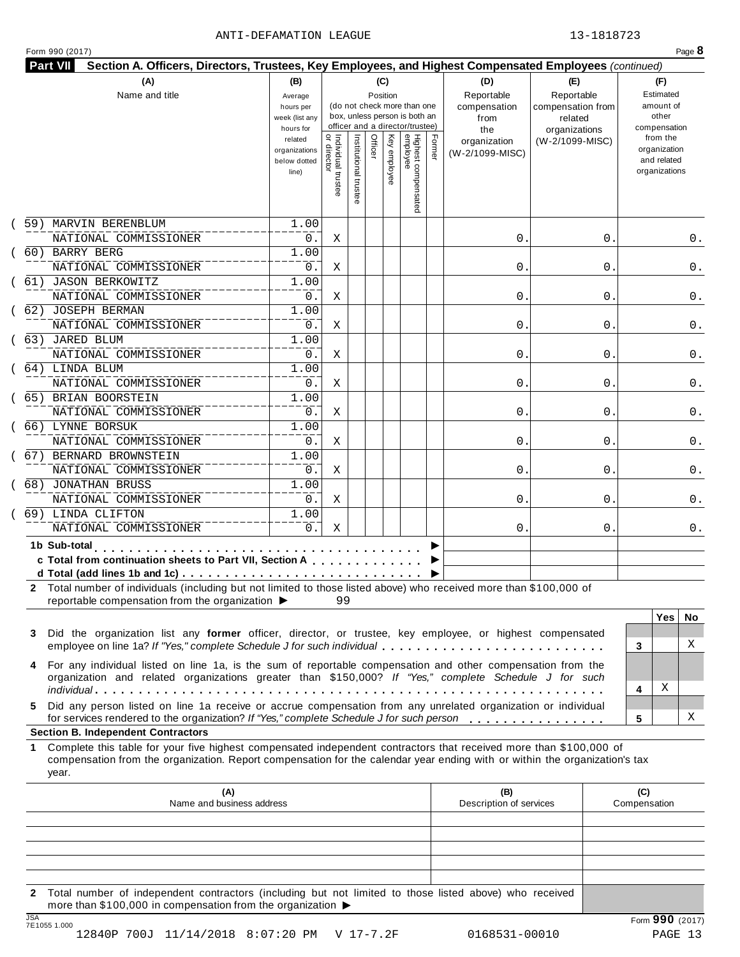| Form 990 (2017) |  |
|-----------------|--|
|-----------------|--|

|         | (A)<br>Name and title                                                                                                                                                                                                                                                              | (B)<br>Average<br>hours per<br>week (list any<br>hours for |                                     |                       | (C)     | Position     | (do not check more than one<br>box, unless person is both an<br>officer and a director/trustee) |        | (D)<br>Reportable<br>compensation<br>from<br>the | (E)<br>Reportable<br>compensation from<br>related<br>organizations | (F)<br>Estimated<br>amount of<br>other<br>compensation   |
|---------|------------------------------------------------------------------------------------------------------------------------------------------------------------------------------------------------------------------------------------------------------------------------------------|------------------------------------------------------------|-------------------------------------|-----------------------|---------|--------------|-------------------------------------------------------------------------------------------------|--------|--------------------------------------------------|--------------------------------------------------------------------|----------------------------------------------------------|
|         |                                                                                                                                                                                                                                                                                    | related<br>organizations<br>below dotted<br>line)          | Individual trustee<br>  or director | Institutional trustee | Officer | Key employee | Highest compensated<br>employee                                                                 | Former | organization<br>(W-2/1099-MISC)                  | (W-2/1099-MISC)                                                    | from the<br>organization<br>and related<br>organizations |
|         | 59) MARVIN BERENBLUM                                                                                                                                                                                                                                                               | 1.00                                                       |                                     |                       |         |              |                                                                                                 |        |                                                  |                                                                    |                                                          |
|         | NATIONAL COMMISSIONER                                                                                                                                                                                                                                                              | 0.                                                         | Χ                                   |                       |         |              |                                                                                                 |        | 0.                                               | 0                                                                  | 0.                                                       |
|         | 60) BARRY BERG                                                                                                                                                                                                                                                                     | 1.00                                                       |                                     |                       |         |              |                                                                                                 |        |                                                  |                                                                    |                                                          |
|         | NATIONAL COMMISSIONER<br>61) JASON BERKOWITZ                                                                                                                                                                                                                                       | 0.<br>1.00                                                 | Χ                                   |                       |         |              |                                                                                                 |        | 0.                                               | 0                                                                  | 0.                                                       |
|         | NATIONAL COMMISSIONER                                                                                                                                                                                                                                                              | 0.                                                         | X                                   |                       |         |              |                                                                                                 |        | 0.                                               | 0                                                                  | 0.                                                       |
|         | 62) JOSEPH BERMAN                                                                                                                                                                                                                                                                  | 1.00                                                       |                                     |                       |         |              |                                                                                                 |        |                                                  |                                                                    |                                                          |
|         | NATIONAL COMMISSIONER                                                                                                                                                                                                                                                              | 0.                                                         | Χ                                   |                       |         |              |                                                                                                 |        | 0.                                               | 0                                                                  | 0.                                                       |
|         | 63) JARED BLUM                                                                                                                                                                                                                                                                     | 1.00                                                       |                                     |                       |         |              |                                                                                                 |        |                                                  |                                                                    |                                                          |
|         | NATIONAL COMMISSIONER                                                                                                                                                                                                                                                              | 0.                                                         | Χ                                   |                       |         |              |                                                                                                 |        | 0.                                               | 0                                                                  | 0.                                                       |
|         | 64) LINDA BLUM                                                                                                                                                                                                                                                                     | 1.00                                                       |                                     |                       |         |              |                                                                                                 |        |                                                  |                                                                    |                                                          |
|         | NATIONAL COMMISSIONER                                                                                                                                                                                                                                                              | 0.                                                         | X                                   |                       |         |              |                                                                                                 |        | 0.                                               | 0                                                                  | 0.                                                       |
|         | 65) BRIAN BOORSTEIN                                                                                                                                                                                                                                                                | 1.00                                                       |                                     |                       |         |              |                                                                                                 |        |                                                  |                                                                    |                                                          |
|         | NATIONAL COMMISSIONER                                                                                                                                                                                                                                                              | 0.                                                         | X                                   |                       |         |              |                                                                                                 |        | 0.                                               | 0                                                                  | 0.                                                       |
|         | 66) LYNNE BORSUK                                                                                                                                                                                                                                                                   | 1.00                                                       |                                     |                       |         |              |                                                                                                 |        |                                                  |                                                                    |                                                          |
|         | NATIONAL COMMISSIONER                                                                                                                                                                                                                                                              | 0.                                                         | Χ                                   |                       |         |              |                                                                                                 |        | 0.                                               | 0                                                                  | 0.                                                       |
|         | 67) BERNARD BROWNSTEIN                                                                                                                                                                                                                                                             | 1.00                                                       |                                     |                       |         |              |                                                                                                 |        |                                                  |                                                                    |                                                          |
|         | NATIONAL COMMISSIONER                                                                                                                                                                                                                                                              | 0.                                                         | Χ                                   |                       |         |              |                                                                                                 |        | 0.                                               | 0                                                                  | 0.                                                       |
|         | 68) JONATHAN BRUSS                                                                                                                                                                                                                                                                 | 1.00                                                       |                                     |                       |         |              |                                                                                                 |        |                                                  |                                                                    |                                                          |
|         | NATIONAL COMMISSIONER                                                                                                                                                                                                                                                              | $0$ .                                                      | X                                   |                       |         |              |                                                                                                 |        | 0.                                               | 0                                                                  | 0.                                                       |
|         | 69) LINDA CLIFTON                                                                                                                                                                                                                                                                  | 1.00<br>0.                                                 |                                     |                       |         |              |                                                                                                 |        |                                                  |                                                                    |                                                          |
|         | NATIONAL COMMISSIONER                                                                                                                                                                                                                                                              |                                                            | Χ                                   |                       |         |              |                                                                                                 |        | 0.                                               | 0.                                                                 | 0.                                                       |
|         | 1b Sub-total<br>c Total from continuation sheets to Part VII, Section A                                                                                                                                                                                                            |                                                            |                                     |                       |         |              |                                                                                                 |        |                                                  |                                                                    |                                                          |
|         | 2 Total number of individuals (including but not limited to those listed above) who received more than \$100,000 of<br>reportable compensation from the organization ▶<br>Did the organization list any former officer, director, or trustee, key employee, or highest compensated |                                                            | 99                                  |                       |         |              |                                                                                                 |        |                                                  |                                                                    | <b>Yes</b><br>No.                                        |
| 3       | employee on line 1a? If "Yes," complete Schedule J for such individual<br>For any individual listed on line 1a, is the sum of reportable compensation and other compensation from the                                                                                              |                                                            |                                     |                       |         |              |                                                                                                 |        |                                                  |                                                                    | X<br>3                                                   |
|         | organization and related organizations greater than \$150,000? If "Yes," complete Schedule J for such                                                                                                                                                                              |                                                            |                                     |                       |         |              |                                                                                                 |        |                                                  |                                                                    |                                                          |
|         |                                                                                                                                                                                                                                                                                    |                                                            |                                     |                       |         |              |                                                                                                 |        |                                                  |                                                                    | х<br>4                                                   |
| 4<br>5. | Did any person listed on line 1a receive or accrue compensation from any unrelated organization or individual<br>for services rendered to the organization? If "Yes," complete Schedule J for such person                                                                          |                                                            |                                     |                       |         |              |                                                                                                 |        |                                                  |                                                                    | х<br>5                                                   |
|         | <b>Section B. Independent Contractors</b>                                                                                                                                                                                                                                          |                                                            |                                     |                       |         |              |                                                                                                 |        |                                                  |                                                                    |                                                          |
| 1       | Complete this table for your five highest compensated independent contractors that received more than \$100,000 of<br>compensation from the organization. Report compensation for the calendar year ending with or within the organization's tax<br>year.                          |                                                            |                                     |                       |         |              |                                                                                                 |        |                                                  |                                                                    |                                                          |
|         | (A)<br>Name and business address                                                                                                                                                                                                                                                   |                                                            |                                     |                       |         |              |                                                                                                 |        | (B)<br>Description of services                   |                                                                    | (C)<br>Compensation                                      |
|         |                                                                                                                                                                                                                                                                                    |                                                            |                                     |                       |         |              |                                                                                                 |        |                                                  |                                                                    |                                                          |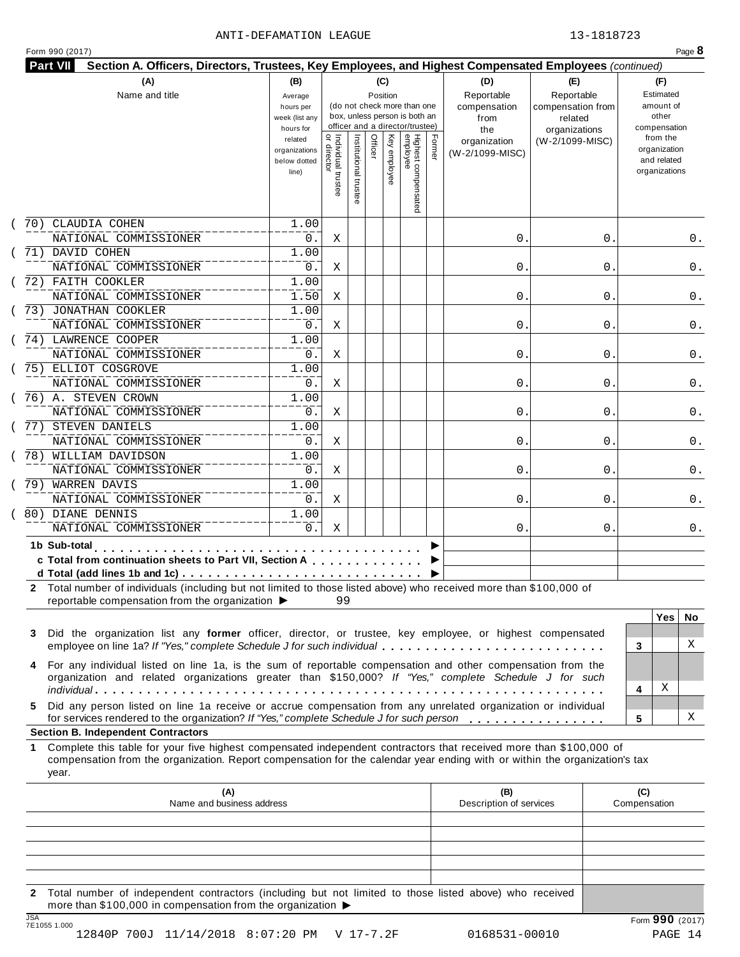| Form 990 (2017) |  |
|-----------------|--|
|-----------------|--|

| Highest compensated<br>employee<br>related<br>(W-2/1099-MISC)<br>organization<br>organization<br>organizations<br>(W-2/1099-MISC)<br>and related<br>below dotted<br>organizations<br>line)<br>CLAUDIA COHEN<br>1.00<br>70)<br>NATIONAL COMMISSIONER<br>0.<br>0.<br>Χ<br>0<br>71) DAVID COHEN<br>1.00<br>NATIONAL COMMISSIONER<br>0.<br>0.<br>Χ<br>0<br>0.<br>72) FAITH COOKLER<br>1.00<br>1.50<br>NATIONAL COMMISSIONER<br>0.<br>X<br>0<br>0.<br>73) JONATHAN COOKLER<br>1.00<br>NATIONAL COMMISSIONER<br>0.<br>0.<br>Χ<br>0<br>74) LAWRENCE COOPER<br>1.00<br>NATIONAL COMMISSIONER<br>0.<br>0.<br>Χ<br>0<br>75) ELLIOT COSGROVE<br>1.00<br>NATIONAL COMMISSIONER<br>0.<br>0.<br>Χ<br>0<br>76) A. STEVEN CROWN<br>1.00<br>0.<br>0.<br>NATIONAL COMMISSIONER<br>X<br>0<br>77) STEVEN DANIELS<br>1.00<br>NATIONAL COMMISSIONER<br>0.<br>0.<br>Χ<br>0<br>78) WILLIAM DAVIDSON<br>1.00<br>NATIONAL COMMISSIONER<br>0.<br>0.<br>Χ<br>0<br>79) WARREN DAVIS<br>1.00<br>NATIONAL COMMISSIONER<br>$0$ .<br>0.<br>X<br>0<br>80) DIANE DENNIS<br>1.00<br>0.<br>NATIONAL COMMISSIONER<br>Χ<br>0.<br>0.<br>1b Sub-total<br>c Total from continuation sheets to Part VII, Section A<br>2 Total number of individuals (including but not limited to those listed above) who received more than \$100,000 of<br>reportable compensation from the organization ▶<br>99<br><b>Yes</b><br>Did the organization list any former officer, director, or trustee, key employee, or highest compensated<br>employee on line 1a? If "Yes," complete Schedule J for such individual<br>3<br>For any individual listed on line 1a, is the sum of reportable compensation and other compensation from the<br>organization and related organizations greater than \$150,000? If "Yes," complete Schedule J for such<br>х<br>4<br>Did any person listed on line 1a receive or accrue compensation from any unrelated organization or individual<br>for services rendered to the organization? If "Yes," complete Schedule J for such person<br>5<br><b>Section B. Independent Contractors</b><br>Complete this table for your five highest compensated independent contractors that received more than \$100,000 of<br>compensation from the organization. Report compensation for the calendar year ending with or within the organization's tax<br>year.<br>(A)<br>(B)<br>(C)<br>Description of services<br>Name and business address<br>Compensation |         | (A)<br>Name and title | (B)<br>Average<br>hours per<br>week (list any<br>hours for |                                     |                       |         | (C)<br>Position | (do not check more than one<br>box, unless person is both an<br>officer and a director/trustee) |        | (D)<br>Reportable<br>compensation<br>from<br>the | (E)<br>Reportable<br>compensation from<br>related<br>organizations | (F)<br>Estimated<br>amount of<br>other<br>compensation |
|-----------------------------------------------------------------------------------------------------------------------------------------------------------------------------------------------------------------------------------------------------------------------------------------------------------------------------------------------------------------------------------------------------------------------------------------------------------------------------------------------------------------------------------------------------------------------------------------------------------------------------------------------------------------------------------------------------------------------------------------------------------------------------------------------------------------------------------------------------------------------------------------------------------------------------------------------------------------------------------------------------------------------------------------------------------------------------------------------------------------------------------------------------------------------------------------------------------------------------------------------------------------------------------------------------------------------------------------------------------------------------------------------------------------------------------------------------------------------------------------------------------------------------------------------------------------------------------------------------------------------------------------------------------------------------------------------------------------------------------------------------------------------------------------------------------------------------------------------------------------------------------------------------------------------------------------------------------------------------------------------------------------------------------------------------------------------------------------------------------------------------------------------------------------------------------------------------------------------------------------------------------------------------------------------------------------------------------------------------------------------------------------------------------------------------|---------|-----------------------|------------------------------------------------------------|-------------------------------------|-----------------------|---------|-----------------|-------------------------------------------------------------------------------------------------|--------|--------------------------------------------------|--------------------------------------------------------------------|--------------------------------------------------------|
|                                                                                                                                                                                                                                                                                                                                                                                                                                                                                                                                                                                                                                                                                                                                                                                                                                                                                                                                                                                                                                                                                                                                                                                                                                                                                                                                                                                                                                                                                                                                                                                                                                                                                                                                                                                                                                                                                                                                                                                                                                                                                                                                                                                                                                                                                                                                                                                                                             |         |                       |                                                            | Individual trustee<br>  or director | Institutional trustee | Officer | Key employee    |                                                                                                 | Former |                                                  |                                                                    | from the                                               |
|                                                                                                                                                                                                                                                                                                                                                                                                                                                                                                                                                                                                                                                                                                                                                                                                                                                                                                                                                                                                                                                                                                                                                                                                                                                                                                                                                                                                                                                                                                                                                                                                                                                                                                                                                                                                                                                                                                                                                                                                                                                                                                                                                                                                                                                                                                                                                                                                                             |         |                       |                                                            |                                     |                       |         |                 |                                                                                                 |        |                                                  |                                                                    |                                                        |
|                                                                                                                                                                                                                                                                                                                                                                                                                                                                                                                                                                                                                                                                                                                                                                                                                                                                                                                                                                                                                                                                                                                                                                                                                                                                                                                                                                                                                                                                                                                                                                                                                                                                                                                                                                                                                                                                                                                                                                                                                                                                                                                                                                                                                                                                                                                                                                                                                             |         |                       |                                                            |                                     |                       |         |                 |                                                                                                 |        |                                                  |                                                                    | 0.                                                     |
|                                                                                                                                                                                                                                                                                                                                                                                                                                                                                                                                                                                                                                                                                                                                                                                                                                                                                                                                                                                                                                                                                                                                                                                                                                                                                                                                                                                                                                                                                                                                                                                                                                                                                                                                                                                                                                                                                                                                                                                                                                                                                                                                                                                                                                                                                                                                                                                                                             |         |                       |                                                            |                                     |                       |         |                 |                                                                                                 |        |                                                  |                                                                    |                                                        |
|                                                                                                                                                                                                                                                                                                                                                                                                                                                                                                                                                                                                                                                                                                                                                                                                                                                                                                                                                                                                                                                                                                                                                                                                                                                                                                                                                                                                                                                                                                                                                                                                                                                                                                                                                                                                                                                                                                                                                                                                                                                                                                                                                                                                                                                                                                                                                                                                                             |         |                       |                                                            |                                     |                       |         |                 |                                                                                                 |        |                                                  |                                                                    |                                                        |
|                                                                                                                                                                                                                                                                                                                                                                                                                                                                                                                                                                                                                                                                                                                                                                                                                                                                                                                                                                                                                                                                                                                                                                                                                                                                                                                                                                                                                                                                                                                                                                                                                                                                                                                                                                                                                                                                                                                                                                                                                                                                                                                                                                                                                                                                                                                                                                                                                             |         |                       |                                                            |                                     |                       |         |                 |                                                                                                 |        |                                                  |                                                                    |                                                        |
|                                                                                                                                                                                                                                                                                                                                                                                                                                                                                                                                                                                                                                                                                                                                                                                                                                                                                                                                                                                                                                                                                                                                                                                                                                                                                                                                                                                                                                                                                                                                                                                                                                                                                                                                                                                                                                                                                                                                                                                                                                                                                                                                                                                                                                                                                                                                                                                                                             |         |                       |                                                            |                                     |                       |         |                 |                                                                                                 |        |                                                  |                                                                    |                                                        |
|                                                                                                                                                                                                                                                                                                                                                                                                                                                                                                                                                                                                                                                                                                                                                                                                                                                                                                                                                                                                                                                                                                                                                                                                                                                                                                                                                                                                                                                                                                                                                                                                                                                                                                                                                                                                                                                                                                                                                                                                                                                                                                                                                                                                                                                                                                                                                                                                                             |         |                       |                                                            |                                     |                       |         |                 |                                                                                                 |        |                                                  |                                                                    | 0.                                                     |
|                                                                                                                                                                                                                                                                                                                                                                                                                                                                                                                                                                                                                                                                                                                                                                                                                                                                                                                                                                                                                                                                                                                                                                                                                                                                                                                                                                                                                                                                                                                                                                                                                                                                                                                                                                                                                                                                                                                                                                                                                                                                                                                                                                                                                                                                                                                                                                                                                             |         |                       |                                                            |                                     |                       |         |                 |                                                                                                 |        |                                                  |                                                                    |                                                        |
|                                                                                                                                                                                                                                                                                                                                                                                                                                                                                                                                                                                                                                                                                                                                                                                                                                                                                                                                                                                                                                                                                                                                                                                                                                                                                                                                                                                                                                                                                                                                                                                                                                                                                                                                                                                                                                                                                                                                                                                                                                                                                                                                                                                                                                                                                                                                                                                                                             |         |                       |                                                            |                                     |                       |         |                 |                                                                                                 |        |                                                  |                                                                    | 0.                                                     |
|                                                                                                                                                                                                                                                                                                                                                                                                                                                                                                                                                                                                                                                                                                                                                                                                                                                                                                                                                                                                                                                                                                                                                                                                                                                                                                                                                                                                                                                                                                                                                                                                                                                                                                                                                                                                                                                                                                                                                                                                                                                                                                                                                                                                                                                                                                                                                                                                                             |         |                       |                                                            |                                     |                       |         |                 |                                                                                                 |        |                                                  |                                                                    |                                                        |
|                                                                                                                                                                                                                                                                                                                                                                                                                                                                                                                                                                                                                                                                                                                                                                                                                                                                                                                                                                                                                                                                                                                                                                                                                                                                                                                                                                                                                                                                                                                                                                                                                                                                                                                                                                                                                                                                                                                                                                                                                                                                                                                                                                                                                                                                                                                                                                                                                             |         |                       |                                                            |                                     |                       |         |                 |                                                                                                 |        |                                                  |                                                                    | 0.                                                     |
|                                                                                                                                                                                                                                                                                                                                                                                                                                                                                                                                                                                                                                                                                                                                                                                                                                                                                                                                                                                                                                                                                                                                                                                                                                                                                                                                                                                                                                                                                                                                                                                                                                                                                                                                                                                                                                                                                                                                                                                                                                                                                                                                                                                                                                                                                                                                                                                                                             |         |                       |                                                            |                                     |                       |         |                 |                                                                                                 |        |                                                  |                                                                    |                                                        |
|                                                                                                                                                                                                                                                                                                                                                                                                                                                                                                                                                                                                                                                                                                                                                                                                                                                                                                                                                                                                                                                                                                                                                                                                                                                                                                                                                                                                                                                                                                                                                                                                                                                                                                                                                                                                                                                                                                                                                                                                                                                                                                                                                                                                                                                                                                                                                                                                                             |         |                       |                                                            |                                     |                       |         |                 |                                                                                                 |        |                                                  |                                                                    | 0.                                                     |
|                                                                                                                                                                                                                                                                                                                                                                                                                                                                                                                                                                                                                                                                                                                                                                                                                                                                                                                                                                                                                                                                                                                                                                                                                                                                                                                                                                                                                                                                                                                                                                                                                                                                                                                                                                                                                                                                                                                                                                                                                                                                                                                                                                                                                                                                                                                                                                                                                             |         |                       |                                                            |                                     |                       |         |                 |                                                                                                 |        |                                                  |                                                                    |                                                        |
|                                                                                                                                                                                                                                                                                                                                                                                                                                                                                                                                                                                                                                                                                                                                                                                                                                                                                                                                                                                                                                                                                                                                                                                                                                                                                                                                                                                                                                                                                                                                                                                                                                                                                                                                                                                                                                                                                                                                                                                                                                                                                                                                                                                                                                                                                                                                                                                                                             |         |                       |                                                            |                                     |                       |         |                 |                                                                                                 |        |                                                  |                                                                    | 0.                                                     |
|                                                                                                                                                                                                                                                                                                                                                                                                                                                                                                                                                                                                                                                                                                                                                                                                                                                                                                                                                                                                                                                                                                                                                                                                                                                                                                                                                                                                                                                                                                                                                                                                                                                                                                                                                                                                                                                                                                                                                                                                                                                                                                                                                                                                                                                                                                                                                                                                                             |         |                       |                                                            |                                     |                       |         |                 |                                                                                                 |        |                                                  |                                                                    |                                                        |
|                                                                                                                                                                                                                                                                                                                                                                                                                                                                                                                                                                                                                                                                                                                                                                                                                                                                                                                                                                                                                                                                                                                                                                                                                                                                                                                                                                                                                                                                                                                                                                                                                                                                                                                                                                                                                                                                                                                                                                                                                                                                                                                                                                                                                                                                                                                                                                                                                             |         |                       |                                                            |                                     |                       |         |                 |                                                                                                 |        |                                                  |                                                                    | 0.                                                     |
|                                                                                                                                                                                                                                                                                                                                                                                                                                                                                                                                                                                                                                                                                                                                                                                                                                                                                                                                                                                                                                                                                                                                                                                                                                                                                                                                                                                                                                                                                                                                                                                                                                                                                                                                                                                                                                                                                                                                                                                                                                                                                                                                                                                                                                                                                                                                                                                                                             |         |                       |                                                            |                                     |                       |         |                 |                                                                                                 |        |                                                  |                                                                    |                                                        |
|                                                                                                                                                                                                                                                                                                                                                                                                                                                                                                                                                                                                                                                                                                                                                                                                                                                                                                                                                                                                                                                                                                                                                                                                                                                                                                                                                                                                                                                                                                                                                                                                                                                                                                                                                                                                                                                                                                                                                                                                                                                                                                                                                                                                                                                                                                                                                                                                                             |         |                       |                                                            |                                     |                       |         |                 |                                                                                                 |        |                                                  |                                                                    | 0.                                                     |
|                                                                                                                                                                                                                                                                                                                                                                                                                                                                                                                                                                                                                                                                                                                                                                                                                                                                                                                                                                                                                                                                                                                                                                                                                                                                                                                                                                                                                                                                                                                                                                                                                                                                                                                                                                                                                                                                                                                                                                                                                                                                                                                                                                                                                                                                                                                                                                                                                             |         |                       |                                                            |                                     |                       |         |                 |                                                                                                 |        |                                                  |                                                                    |                                                        |
|                                                                                                                                                                                                                                                                                                                                                                                                                                                                                                                                                                                                                                                                                                                                                                                                                                                                                                                                                                                                                                                                                                                                                                                                                                                                                                                                                                                                                                                                                                                                                                                                                                                                                                                                                                                                                                                                                                                                                                                                                                                                                                                                                                                                                                                                                                                                                                                                                             |         |                       |                                                            |                                     |                       |         |                 |                                                                                                 |        |                                                  |                                                                    | 0.                                                     |
|                                                                                                                                                                                                                                                                                                                                                                                                                                                                                                                                                                                                                                                                                                                                                                                                                                                                                                                                                                                                                                                                                                                                                                                                                                                                                                                                                                                                                                                                                                                                                                                                                                                                                                                                                                                                                                                                                                                                                                                                                                                                                                                                                                                                                                                                                                                                                                                                                             |         |                       |                                                            |                                     |                       |         |                 |                                                                                                 |        |                                                  |                                                                    |                                                        |
|                                                                                                                                                                                                                                                                                                                                                                                                                                                                                                                                                                                                                                                                                                                                                                                                                                                                                                                                                                                                                                                                                                                                                                                                                                                                                                                                                                                                                                                                                                                                                                                                                                                                                                                                                                                                                                                                                                                                                                                                                                                                                                                                                                                                                                                                                                                                                                                                                             | 3       |                       |                                                            |                                     |                       |         |                 |                                                                                                 |        |                                                  |                                                                    | No.<br>X                                               |
|                                                                                                                                                                                                                                                                                                                                                                                                                                                                                                                                                                                                                                                                                                                                                                                                                                                                                                                                                                                                                                                                                                                                                                                                                                                                                                                                                                                                                                                                                                                                                                                                                                                                                                                                                                                                                                                                                                                                                                                                                                                                                                                                                                                                                                                                                                                                                                                                                             |         |                       |                                                            |                                     |                       |         |                 |                                                                                                 |        |                                                  |                                                                    |                                                        |
|                                                                                                                                                                                                                                                                                                                                                                                                                                                                                                                                                                                                                                                                                                                                                                                                                                                                                                                                                                                                                                                                                                                                                                                                                                                                                                                                                                                                                                                                                                                                                                                                                                                                                                                                                                                                                                                                                                                                                                                                                                                                                                                                                                                                                                                                                                                                                                                                                             |         |                       |                                                            |                                     |                       |         |                 |                                                                                                 |        |                                                  |                                                                    |                                                        |
|                                                                                                                                                                                                                                                                                                                                                                                                                                                                                                                                                                                                                                                                                                                                                                                                                                                                                                                                                                                                                                                                                                                                                                                                                                                                                                                                                                                                                                                                                                                                                                                                                                                                                                                                                                                                                                                                                                                                                                                                                                                                                                                                                                                                                                                                                                                                                                                                                             | 4<br>5. |                       |                                                            |                                     |                       |         |                 |                                                                                                 |        |                                                  |                                                                    | х                                                      |
|                                                                                                                                                                                                                                                                                                                                                                                                                                                                                                                                                                                                                                                                                                                                                                                                                                                                                                                                                                                                                                                                                                                                                                                                                                                                                                                                                                                                                                                                                                                                                                                                                                                                                                                                                                                                                                                                                                                                                                                                                                                                                                                                                                                                                                                                                                                                                                                                                             | 1       |                       |                                                            |                                     |                       |         |                 |                                                                                                 |        |                                                  |                                                                    |                                                        |
|                                                                                                                                                                                                                                                                                                                                                                                                                                                                                                                                                                                                                                                                                                                                                                                                                                                                                                                                                                                                                                                                                                                                                                                                                                                                                                                                                                                                                                                                                                                                                                                                                                                                                                                                                                                                                                                                                                                                                                                                                                                                                                                                                                                                                                                                                                                                                                                                                             |         |                       |                                                            |                                     |                       |         |                 |                                                                                                 |        |                                                  |                                                                    |                                                        |
|                                                                                                                                                                                                                                                                                                                                                                                                                                                                                                                                                                                                                                                                                                                                                                                                                                                                                                                                                                                                                                                                                                                                                                                                                                                                                                                                                                                                                                                                                                                                                                                                                                                                                                                                                                                                                                                                                                                                                                                                                                                                                                                                                                                                                                                                                                                                                                                                                             |         |                       |                                                            |                                     |                       |         |                 |                                                                                                 |        |                                                  |                                                                    |                                                        |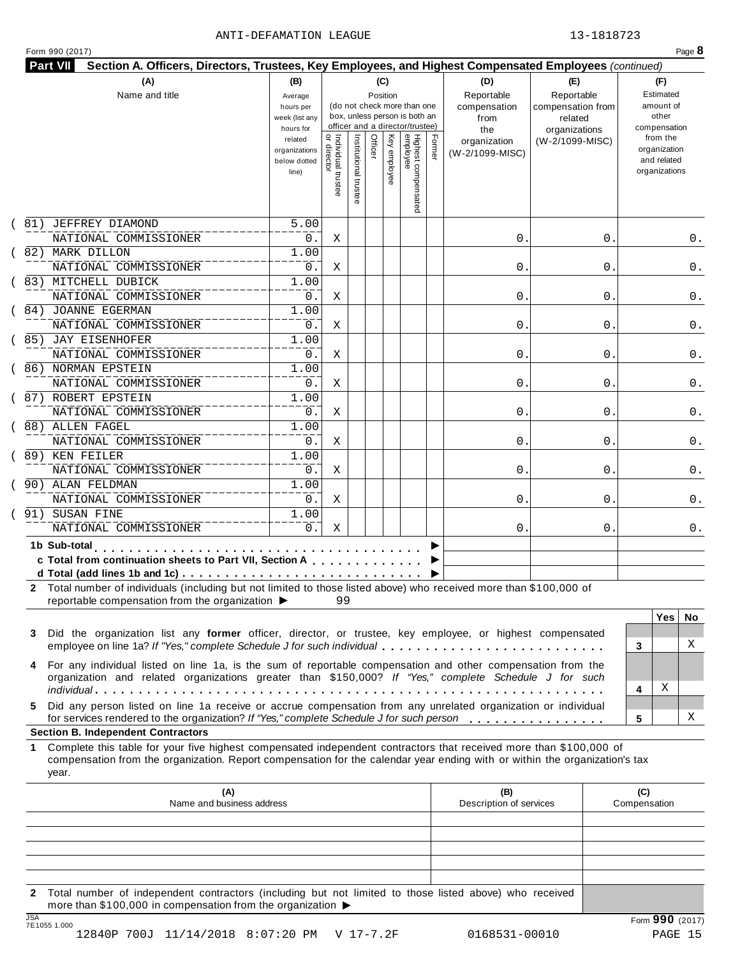| Form 990 (2017) |  |
|-----------------|--|
|-----------------|--|

| Individual trustee<br>  or director<br>Highest compensated<br>employee<br>Institutional trustee<br>Officer<br>Key employee<br>Former<br>from the<br>related<br>(W-2/1099-MISC)<br>organization<br>organization<br>organizations<br>(W-2/1099-MISC)<br>and related<br>below dotted<br>organizations<br>line)<br>81) JEFFREY DIAMOND<br>5.00<br>NATIONAL COMMISSIONER<br>0.<br>0.<br>Χ<br>0<br>82) MARK DILLON<br>1.00<br>NATIONAL COMMISSIONER<br>0.<br>0.<br>Χ<br>0<br>83) MITCHELL DUBICK<br>1.00<br>NATIONAL COMMISSIONER<br>0.<br>0.<br>X<br>0<br>84) JOANNE EGERMAN<br>1.00<br>NATIONAL COMMISSIONER<br>0.<br>0.<br>Χ<br>0<br>85) JAY EISENHOFER<br>1.00<br>NATIONAL COMMISSIONER<br>0.<br>0.<br>Χ<br>0<br>86) NORMAN EPSTEIN<br>1.00<br>0.<br>0.<br>NATIONAL COMMISSIONER<br>Χ<br>0<br>( 87) ROBERT EPSTEIN<br>1.00<br>NATIONAL COMMISSIONER<br>0.<br>0.<br>X<br>0<br>88) ALLEN FAGEL<br>1.00<br>NATIONAL COMMISSIONER<br>0.<br>0.<br>Χ<br>0<br>89) KEN FEILER<br>1.00<br>NATIONAL COMMISSIONER<br>0.<br>0.<br>Χ<br>0<br>90) ALAN FELDMAN<br>1.00<br>$0$ .<br>0.<br>NATIONAL COMMISSIONER<br>X<br>0<br>91) SUSAN FINE<br>1.00<br>0.<br>NATIONAL COMMISSIONER<br>Χ<br>0.<br>0<br>1b Sub-total<br>c Total from continuation sheets to Part VII, Section A<br>2 Total number of individuals (including but not limited to those listed above) who received more than \$100,000 of<br>reportable compensation from the organization ▶<br>99<br><b>Yes</b><br>Did the organization list any former officer, director, or trustee, key employee, or highest compensated<br>employee on line 1a? If "Yes," complete Schedule J for such individual<br>3<br>For any individual listed on line 1a, is the sum of reportable compensation and other compensation from the<br>organization and related organizations greater than \$150,000? If "Yes," complete Schedule J for such<br>х<br>4<br>Did any person listed on line 1a receive or accrue compensation from any unrelated organization or individual<br>for services rendered to the organization? If "Yes," complete Schedule J for such person<br>5<br><b>Section B. Independent Contractors</b><br>Complete this table for your five highest compensated independent contractors that received more than \$100,000 of<br>compensation from the organization. Report compensation for the calendar year ending with or within the organization's tax<br>year.<br>(A)<br>(B)<br>(C)<br>Description of services<br>Name and business address<br>Compensation |         | (A)<br>Name and title | (B)<br>Average<br>hours per<br>week (list any<br>hours for |  | (C)<br>Position | (do not check more than one<br>box, unless person is both an<br>officer and a director/trustee) | (D)<br>Reportable<br>compensation<br>from<br>the | (E)<br>Reportable<br>compensation from<br>related<br>organizations | (F)<br>Estimated<br>amount of<br>other<br>compensation |
|------------------------------------------------------------------------------------------------------------------------------------------------------------------------------------------------------------------------------------------------------------------------------------------------------------------------------------------------------------------------------------------------------------------------------------------------------------------------------------------------------------------------------------------------------------------------------------------------------------------------------------------------------------------------------------------------------------------------------------------------------------------------------------------------------------------------------------------------------------------------------------------------------------------------------------------------------------------------------------------------------------------------------------------------------------------------------------------------------------------------------------------------------------------------------------------------------------------------------------------------------------------------------------------------------------------------------------------------------------------------------------------------------------------------------------------------------------------------------------------------------------------------------------------------------------------------------------------------------------------------------------------------------------------------------------------------------------------------------------------------------------------------------------------------------------------------------------------------------------------------------------------------------------------------------------------------------------------------------------------------------------------------------------------------------------------------------------------------------------------------------------------------------------------------------------------------------------------------------------------------------------------------------------------------------------------------------------------------------------------------------------------------------------------------------------------------------------------------------------------------------------------|---------|-----------------------|------------------------------------------------------------|--|-----------------|-------------------------------------------------------------------------------------------------|--------------------------------------------------|--------------------------------------------------------------------|--------------------------------------------------------|
|                                                                                                                                                                                                                                                                                                                                                                                                                                                                                                                                                                                                                                                                                                                                                                                                                                                                                                                                                                                                                                                                                                                                                                                                                                                                                                                                                                                                                                                                                                                                                                                                                                                                                                                                                                                                                                                                                                                                                                                                                                                                                                                                                                                                                                                                                                                                                                                                                                                                                                                  |         |                       |                                                            |  |                 |                                                                                                 |                                                  |                                                                    |                                                        |
|                                                                                                                                                                                                                                                                                                                                                                                                                                                                                                                                                                                                                                                                                                                                                                                                                                                                                                                                                                                                                                                                                                                                                                                                                                                                                                                                                                                                                                                                                                                                                                                                                                                                                                                                                                                                                                                                                                                                                                                                                                                                                                                                                                                                                                                                                                                                                                                                                                                                                                                  |         |                       |                                                            |  |                 |                                                                                                 |                                                  |                                                                    |                                                        |
|                                                                                                                                                                                                                                                                                                                                                                                                                                                                                                                                                                                                                                                                                                                                                                                                                                                                                                                                                                                                                                                                                                                                                                                                                                                                                                                                                                                                                                                                                                                                                                                                                                                                                                                                                                                                                                                                                                                                                                                                                                                                                                                                                                                                                                                                                                                                                                                                                                                                                                                  |         |                       |                                                            |  |                 |                                                                                                 |                                                  |                                                                    | 0.                                                     |
|                                                                                                                                                                                                                                                                                                                                                                                                                                                                                                                                                                                                                                                                                                                                                                                                                                                                                                                                                                                                                                                                                                                                                                                                                                                                                                                                                                                                                                                                                                                                                                                                                                                                                                                                                                                                                                                                                                                                                                                                                                                                                                                                                                                                                                                                                                                                                                                                                                                                                                                  |         |                       |                                                            |  |                 |                                                                                                 |                                                  |                                                                    |                                                        |
|                                                                                                                                                                                                                                                                                                                                                                                                                                                                                                                                                                                                                                                                                                                                                                                                                                                                                                                                                                                                                                                                                                                                                                                                                                                                                                                                                                                                                                                                                                                                                                                                                                                                                                                                                                                                                                                                                                                                                                                                                                                                                                                                                                                                                                                                                                                                                                                                                                                                                                                  |         |                       |                                                            |  |                 |                                                                                                 |                                                  |                                                                    | 0.                                                     |
|                                                                                                                                                                                                                                                                                                                                                                                                                                                                                                                                                                                                                                                                                                                                                                                                                                                                                                                                                                                                                                                                                                                                                                                                                                                                                                                                                                                                                                                                                                                                                                                                                                                                                                                                                                                                                                                                                                                                                                                                                                                                                                                                                                                                                                                                                                                                                                                                                                                                                                                  |         |                       |                                                            |  |                 |                                                                                                 |                                                  |                                                                    |                                                        |
|                                                                                                                                                                                                                                                                                                                                                                                                                                                                                                                                                                                                                                                                                                                                                                                                                                                                                                                                                                                                                                                                                                                                                                                                                                                                                                                                                                                                                                                                                                                                                                                                                                                                                                                                                                                                                                                                                                                                                                                                                                                                                                                                                                                                                                                                                                                                                                                                                                                                                                                  |         |                       |                                                            |  |                 |                                                                                                 |                                                  |                                                                    | 0.                                                     |
|                                                                                                                                                                                                                                                                                                                                                                                                                                                                                                                                                                                                                                                                                                                                                                                                                                                                                                                                                                                                                                                                                                                                                                                                                                                                                                                                                                                                                                                                                                                                                                                                                                                                                                                                                                                                                                                                                                                                                                                                                                                                                                                                                                                                                                                                                                                                                                                                                                                                                                                  |         |                       |                                                            |  |                 |                                                                                                 |                                                  |                                                                    | 0.                                                     |
|                                                                                                                                                                                                                                                                                                                                                                                                                                                                                                                                                                                                                                                                                                                                                                                                                                                                                                                                                                                                                                                                                                                                                                                                                                                                                                                                                                                                                                                                                                                                                                                                                                                                                                                                                                                                                                                                                                                                                                                                                                                                                                                                                                                                                                                                                                                                                                                                                                                                                                                  |         |                       |                                                            |  |                 |                                                                                                 |                                                  |                                                                    |                                                        |
|                                                                                                                                                                                                                                                                                                                                                                                                                                                                                                                                                                                                                                                                                                                                                                                                                                                                                                                                                                                                                                                                                                                                                                                                                                                                                                                                                                                                                                                                                                                                                                                                                                                                                                                                                                                                                                                                                                                                                                                                                                                                                                                                                                                                                                                                                                                                                                                                                                                                                                                  |         |                       |                                                            |  |                 |                                                                                                 |                                                  |                                                                    | 0.                                                     |
|                                                                                                                                                                                                                                                                                                                                                                                                                                                                                                                                                                                                                                                                                                                                                                                                                                                                                                                                                                                                                                                                                                                                                                                                                                                                                                                                                                                                                                                                                                                                                                                                                                                                                                                                                                                                                                                                                                                                                                                                                                                                                                                                                                                                                                                                                                                                                                                                                                                                                                                  |         |                       |                                                            |  |                 |                                                                                                 |                                                  |                                                                    |                                                        |
|                                                                                                                                                                                                                                                                                                                                                                                                                                                                                                                                                                                                                                                                                                                                                                                                                                                                                                                                                                                                                                                                                                                                                                                                                                                                                                                                                                                                                                                                                                                                                                                                                                                                                                                                                                                                                                                                                                                                                                                                                                                                                                                                                                                                                                                                                                                                                                                                                                                                                                                  |         |                       |                                                            |  |                 |                                                                                                 |                                                  |                                                                    | 0.                                                     |
|                                                                                                                                                                                                                                                                                                                                                                                                                                                                                                                                                                                                                                                                                                                                                                                                                                                                                                                                                                                                                                                                                                                                                                                                                                                                                                                                                                                                                                                                                                                                                                                                                                                                                                                                                                                                                                                                                                                                                                                                                                                                                                                                                                                                                                                                                                                                                                                                                                                                                                                  |         |                       |                                                            |  |                 |                                                                                                 |                                                  |                                                                    |                                                        |
|                                                                                                                                                                                                                                                                                                                                                                                                                                                                                                                                                                                                                                                                                                                                                                                                                                                                                                                                                                                                                                                                                                                                                                                                                                                                                                                                                                                                                                                                                                                                                                                                                                                                                                                                                                                                                                                                                                                                                                                                                                                                                                                                                                                                                                                                                                                                                                                                                                                                                                                  |         |                       |                                                            |  |                 |                                                                                                 |                                                  |                                                                    | 0.                                                     |
|                                                                                                                                                                                                                                                                                                                                                                                                                                                                                                                                                                                                                                                                                                                                                                                                                                                                                                                                                                                                                                                                                                                                                                                                                                                                                                                                                                                                                                                                                                                                                                                                                                                                                                                                                                                                                                                                                                                                                                                                                                                                                                                                                                                                                                                                                                                                                                                                                                                                                                                  |         |                       |                                                            |  |                 |                                                                                                 |                                                  |                                                                    |                                                        |
|                                                                                                                                                                                                                                                                                                                                                                                                                                                                                                                                                                                                                                                                                                                                                                                                                                                                                                                                                                                                                                                                                                                                                                                                                                                                                                                                                                                                                                                                                                                                                                                                                                                                                                                                                                                                                                                                                                                                                                                                                                                                                                                                                                                                                                                                                                                                                                                                                                                                                                                  |         |                       |                                                            |  |                 |                                                                                                 |                                                  |                                                                    | 0.                                                     |
|                                                                                                                                                                                                                                                                                                                                                                                                                                                                                                                                                                                                                                                                                                                                                                                                                                                                                                                                                                                                                                                                                                                                                                                                                                                                                                                                                                                                                                                                                                                                                                                                                                                                                                                                                                                                                                                                                                                                                                                                                                                                                                                                                                                                                                                                                                                                                                                                                                                                                                                  |         |                       |                                                            |  |                 |                                                                                                 |                                                  |                                                                    |                                                        |
|                                                                                                                                                                                                                                                                                                                                                                                                                                                                                                                                                                                                                                                                                                                                                                                                                                                                                                                                                                                                                                                                                                                                                                                                                                                                                                                                                                                                                                                                                                                                                                                                                                                                                                                                                                                                                                                                                                                                                                                                                                                                                                                                                                                                                                                                                                                                                                                                                                                                                                                  |         |                       |                                                            |  |                 |                                                                                                 |                                                  |                                                                    | 0.                                                     |
|                                                                                                                                                                                                                                                                                                                                                                                                                                                                                                                                                                                                                                                                                                                                                                                                                                                                                                                                                                                                                                                                                                                                                                                                                                                                                                                                                                                                                                                                                                                                                                                                                                                                                                                                                                                                                                                                                                                                                                                                                                                                                                                                                                                                                                                                                                                                                                                                                                                                                                                  |         |                       |                                                            |  |                 |                                                                                                 |                                                  |                                                                    |                                                        |
|                                                                                                                                                                                                                                                                                                                                                                                                                                                                                                                                                                                                                                                                                                                                                                                                                                                                                                                                                                                                                                                                                                                                                                                                                                                                                                                                                                                                                                                                                                                                                                                                                                                                                                                                                                                                                                                                                                                                                                                                                                                                                                                                                                                                                                                                                                                                                                                                                                                                                                                  |         |                       |                                                            |  |                 |                                                                                                 |                                                  |                                                                    | 0.                                                     |
|                                                                                                                                                                                                                                                                                                                                                                                                                                                                                                                                                                                                                                                                                                                                                                                                                                                                                                                                                                                                                                                                                                                                                                                                                                                                                                                                                                                                                                                                                                                                                                                                                                                                                                                                                                                                                                                                                                                                                                                                                                                                                                                                                                                                                                                                                                                                                                                                                                                                                                                  |         |                       |                                                            |  |                 |                                                                                                 |                                                  |                                                                    |                                                        |
|                                                                                                                                                                                                                                                                                                                                                                                                                                                                                                                                                                                                                                                                                                                                                                                                                                                                                                                                                                                                                                                                                                                                                                                                                                                                                                                                                                                                                                                                                                                                                                                                                                                                                                                                                                                                                                                                                                                                                                                                                                                                                                                                                                                                                                                                                                                                                                                                                                                                                                                  |         |                       |                                                            |  |                 |                                                                                                 |                                                  |                                                                    | 0.                                                     |
|                                                                                                                                                                                                                                                                                                                                                                                                                                                                                                                                                                                                                                                                                                                                                                                                                                                                                                                                                                                                                                                                                                                                                                                                                                                                                                                                                                                                                                                                                                                                                                                                                                                                                                                                                                                                                                                                                                                                                                                                                                                                                                                                                                                                                                                                                                                                                                                                                                                                                                                  |         |                       |                                                            |  |                 |                                                                                                 |                                                  |                                                                    |                                                        |
|                                                                                                                                                                                                                                                                                                                                                                                                                                                                                                                                                                                                                                                                                                                                                                                                                                                                                                                                                                                                                                                                                                                                                                                                                                                                                                                                                                                                                                                                                                                                                                                                                                                                                                                                                                                                                                                                                                                                                                                                                                                                                                                                                                                                                                                                                                                                                                                                                                                                                                                  | 3       |                       |                                                            |  |                 |                                                                                                 |                                                  |                                                                    | No.<br>X                                               |
|                                                                                                                                                                                                                                                                                                                                                                                                                                                                                                                                                                                                                                                                                                                                                                                                                                                                                                                                                                                                                                                                                                                                                                                                                                                                                                                                                                                                                                                                                                                                                                                                                                                                                                                                                                                                                                                                                                                                                                                                                                                                                                                                                                                                                                                                                                                                                                                                                                                                                                                  | 4<br>5. |                       |                                                            |  |                 |                                                                                                 |                                                  |                                                                    | х                                                      |
|                                                                                                                                                                                                                                                                                                                                                                                                                                                                                                                                                                                                                                                                                                                                                                                                                                                                                                                                                                                                                                                                                                                                                                                                                                                                                                                                                                                                                                                                                                                                                                                                                                                                                                                                                                                                                                                                                                                                                                                                                                                                                                                                                                                                                                                                                                                                                                                                                                                                                                                  |         |                       |                                                            |  |                 |                                                                                                 |                                                  |                                                                    |                                                        |
|                                                                                                                                                                                                                                                                                                                                                                                                                                                                                                                                                                                                                                                                                                                                                                                                                                                                                                                                                                                                                                                                                                                                                                                                                                                                                                                                                                                                                                                                                                                                                                                                                                                                                                                                                                                                                                                                                                                                                                                                                                                                                                                                                                                                                                                                                                                                                                                                                                                                                                                  | 1       |                       |                                                            |  |                 |                                                                                                 |                                                  |                                                                    |                                                        |
|                                                                                                                                                                                                                                                                                                                                                                                                                                                                                                                                                                                                                                                                                                                                                                                                                                                                                                                                                                                                                                                                                                                                                                                                                                                                                                                                                                                                                                                                                                                                                                                                                                                                                                                                                                                                                                                                                                                                                                                                                                                                                                                                                                                                                                                                                                                                                                                                                                                                                                                  |         |                       |                                                            |  |                 |                                                                                                 |                                                  |                                                                    |                                                        |
|                                                                                                                                                                                                                                                                                                                                                                                                                                                                                                                                                                                                                                                                                                                                                                                                                                                                                                                                                                                                                                                                                                                                                                                                                                                                                                                                                                                                                                                                                                                                                                                                                                                                                                                                                                                                                                                                                                                                                                                                                                                                                                                                                                                                                                                                                                                                                                                                                                                                                                                  |         |                       |                                                            |  |                 |                                                                                                 |                                                  |                                                                    |                                                        |
|                                                                                                                                                                                                                                                                                                                                                                                                                                                                                                                                                                                                                                                                                                                                                                                                                                                                                                                                                                                                                                                                                                                                                                                                                                                                                                                                                                                                                                                                                                                                                                                                                                                                                                                                                                                                                                                                                                                                                                                                                                                                                                                                                                                                                                                                                                                                                                                                                                                                                                                  |         |                       |                                                            |  |                 |                                                                                                 |                                                  |                                                                    |                                                        |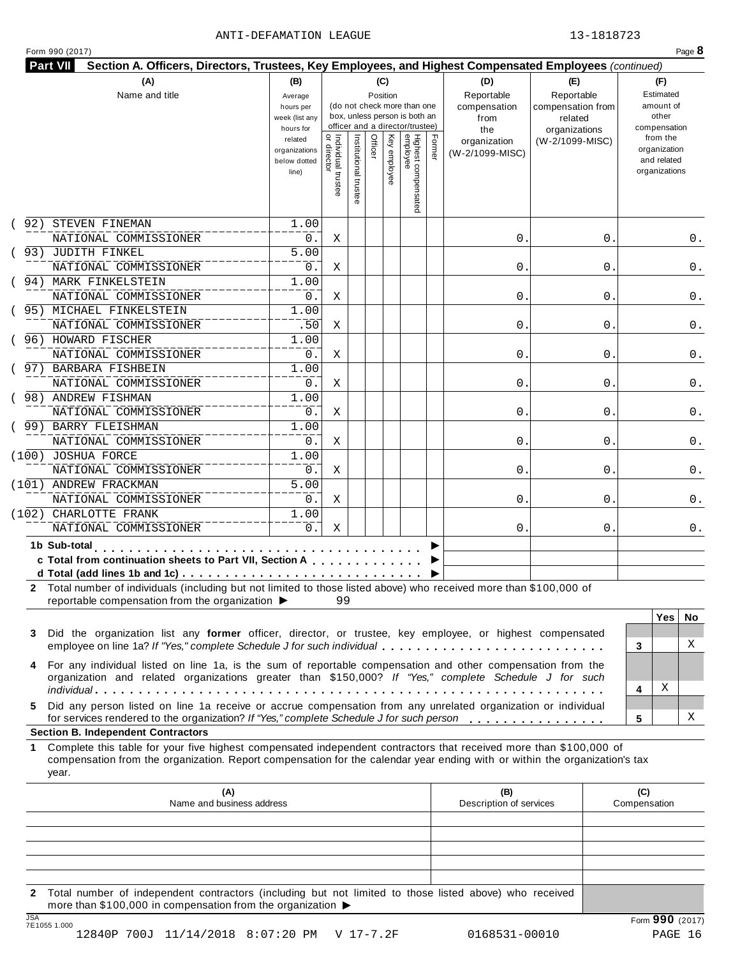| Form 990 (2017) |  |
|-----------------|--|
|-----------------|--|

| Highest compensated<br>employee<br>related<br>(W-2/1099-MISC)<br>organization<br>organization<br>organizations<br>(W-2/1099-MISC)<br>and related<br>below dotted<br>organizations<br>line)<br>STEVEN FINEMAN<br>1.00<br>NATIONAL COMMISSIONER<br>0.<br>0.<br>Χ<br>0<br>93) JUDITH FINKEL<br>5.00<br>NATIONAL COMMISSIONER<br>0.<br>0.<br>Χ<br>0<br>94) MARK FINKELSTEIN<br>1.00<br>NATIONAL COMMISSIONER<br>0.<br>0.<br>Χ<br>0<br>95) MICHAEL FINKELSTEIN<br>1.00<br>NATIONAL COMMISSIONER<br>.50<br>0.<br>Χ<br>0<br>96) HOWARD FISCHER<br>1.00<br>NATIONAL COMMISSIONER<br>0.<br>0.<br>Χ<br>0<br>97) BARBARA FISHBEIN<br>1.00<br>NATIONAL COMMISSIONER<br>0.<br>0.<br>Χ<br>0<br>98) ANDREW FISHMAN<br>1.00<br>0.<br>0.<br>NATIONAL COMMISSIONER<br>X<br>0<br>( 99) BARRY FLEISHMAN<br>1.00<br>NATIONAL COMMISSIONER<br>0.<br>0.<br>Χ<br>0<br>(100) JOSHUA FORCE<br>1.00<br>NATIONAL COMMISSIONER<br>0.<br>0.<br>Χ<br>0<br>(101) ANDREW FRACKMAN<br>5.00<br>$0$ .<br>0.<br>NATIONAL COMMISSIONER<br>X<br>0<br>(102) CHARLOTTE FRANK<br>1.00<br>0.<br>NATIONAL COMMISSIONER<br>Χ<br>0.<br>0<br>1b Sub-total<br>c Total from continuation sheets to Part VII, Section A<br>2 Total number of individuals (including but not limited to those listed above) who received more than \$100,000 of<br>reportable compensation from the organization ▶<br>99<br><b>Yes</b><br>Did the organization list any former officer, director, or trustee, key employee, or highest compensated<br>X<br>employee on line 1a? If "Yes," complete Schedule J for such individual<br>3<br>For any individual listed on line 1a, is the sum of reportable compensation and other compensation from the<br>organization and related organizations greater than \$150,000? If "Yes," complete Schedule J for such<br>х<br>4<br>Did any person listed on line 1a receive or accrue compensation from any unrelated organization or individual<br>х<br>for services rendered to the organization? If "Yes," complete Schedule J for such person<br>5<br><b>Section B. Independent Contractors</b><br>Complete this table for your five highest compensated independent contractors that received more than \$100,000 of<br>1<br>compensation from the organization. Report compensation for the calendar year ending with or within the organization's tax<br>year.<br>(A)<br>(B)<br>(C)<br>Description of services<br>Name and business address<br>Compensation |     | (A)<br>Name and title | (B)<br>Average<br>hours per<br>week (list any<br>hours for |                                     |                       |         | (C)<br>Position | (do not check more than one<br>box, unless person is both an<br>officer and a director/trustee) |        | (D)<br>Reportable<br>compensation<br>from<br>the | (E)<br>Reportable<br>compensation from<br>related<br>organizations | (F)<br>Estimated<br>amount of<br>other<br>compensation |
|------------------------------------------------------------------------------------------------------------------------------------------------------------------------------------------------------------------------------------------------------------------------------------------------------------------------------------------------------------------------------------------------------------------------------------------------------------------------------------------------------------------------------------------------------------------------------------------------------------------------------------------------------------------------------------------------------------------------------------------------------------------------------------------------------------------------------------------------------------------------------------------------------------------------------------------------------------------------------------------------------------------------------------------------------------------------------------------------------------------------------------------------------------------------------------------------------------------------------------------------------------------------------------------------------------------------------------------------------------------------------------------------------------------------------------------------------------------------------------------------------------------------------------------------------------------------------------------------------------------------------------------------------------------------------------------------------------------------------------------------------------------------------------------------------------------------------------------------------------------------------------------------------------------------------------------------------------------------------------------------------------------------------------------------------------------------------------------------------------------------------------------------------------------------------------------------------------------------------------------------------------------------------------------------------------------------------------------------------------------------------------------------------------------------------------------|-----|-----------------------|------------------------------------------------------------|-------------------------------------|-----------------------|---------|-----------------|-------------------------------------------------------------------------------------------------|--------|--------------------------------------------------|--------------------------------------------------------------------|--------------------------------------------------------|
|                                                                                                                                                                                                                                                                                                                                                                                                                                                                                                                                                                                                                                                                                                                                                                                                                                                                                                                                                                                                                                                                                                                                                                                                                                                                                                                                                                                                                                                                                                                                                                                                                                                                                                                                                                                                                                                                                                                                                                                                                                                                                                                                                                                                                                                                                                                                                                                                                                          |     |                       |                                                            | Individual trustee<br>  or director | Institutional trustee | Officer | Key employee    |                                                                                                 | Former |                                                  |                                                                    | from the                                               |
|                                                                                                                                                                                                                                                                                                                                                                                                                                                                                                                                                                                                                                                                                                                                                                                                                                                                                                                                                                                                                                                                                                                                                                                                                                                                                                                                                                                                                                                                                                                                                                                                                                                                                                                                                                                                                                                                                                                                                                                                                                                                                                                                                                                                                                                                                                                                                                                                                                          | 92) |                       |                                                            |                                     |                       |         |                 |                                                                                                 |        |                                                  |                                                                    |                                                        |
|                                                                                                                                                                                                                                                                                                                                                                                                                                                                                                                                                                                                                                                                                                                                                                                                                                                                                                                                                                                                                                                                                                                                                                                                                                                                                                                                                                                                                                                                                                                                                                                                                                                                                                                                                                                                                                                                                                                                                                                                                                                                                                                                                                                                                                                                                                                                                                                                                                          |     |                       |                                                            |                                     |                       |         |                 |                                                                                                 |        |                                                  |                                                                    | 0.                                                     |
|                                                                                                                                                                                                                                                                                                                                                                                                                                                                                                                                                                                                                                                                                                                                                                                                                                                                                                                                                                                                                                                                                                                                                                                                                                                                                                                                                                                                                                                                                                                                                                                                                                                                                                                                                                                                                                                                                                                                                                                                                                                                                                                                                                                                                                                                                                                                                                                                                                          |     |                       |                                                            |                                     |                       |         |                 |                                                                                                 |        |                                                  |                                                                    |                                                        |
|                                                                                                                                                                                                                                                                                                                                                                                                                                                                                                                                                                                                                                                                                                                                                                                                                                                                                                                                                                                                                                                                                                                                                                                                                                                                                                                                                                                                                                                                                                                                                                                                                                                                                                                                                                                                                                                                                                                                                                                                                                                                                                                                                                                                                                                                                                                                                                                                                                          |     |                       |                                                            |                                     |                       |         |                 |                                                                                                 |        |                                                  |                                                                    | 0.                                                     |
|                                                                                                                                                                                                                                                                                                                                                                                                                                                                                                                                                                                                                                                                                                                                                                                                                                                                                                                                                                                                                                                                                                                                                                                                                                                                                                                                                                                                                                                                                                                                                                                                                                                                                                                                                                                                                                                                                                                                                                                                                                                                                                                                                                                                                                                                                                                                                                                                                                          |     |                       |                                                            |                                     |                       |         |                 |                                                                                                 |        |                                                  |                                                                    |                                                        |
|                                                                                                                                                                                                                                                                                                                                                                                                                                                                                                                                                                                                                                                                                                                                                                                                                                                                                                                                                                                                                                                                                                                                                                                                                                                                                                                                                                                                                                                                                                                                                                                                                                                                                                                                                                                                                                                                                                                                                                                                                                                                                                                                                                                                                                                                                                                                                                                                                                          |     |                       |                                                            |                                     |                       |         |                 |                                                                                                 |        |                                                  |                                                                    | 0.                                                     |
|                                                                                                                                                                                                                                                                                                                                                                                                                                                                                                                                                                                                                                                                                                                                                                                                                                                                                                                                                                                                                                                                                                                                                                                                                                                                                                                                                                                                                                                                                                                                                                                                                                                                                                                                                                                                                                                                                                                                                                                                                                                                                                                                                                                                                                                                                                                                                                                                                                          |     |                       |                                                            |                                     |                       |         |                 |                                                                                                 |        |                                                  |                                                                    |                                                        |
|                                                                                                                                                                                                                                                                                                                                                                                                                                                                                                                                                                                                                                                                                                                                                                                                                                                                                                                                                                                                                                                                                                                                                                                                                                                                                                                                                                                                                                                                                                                                                                                                                                                                                                                                                                                                                                                                                                                                                                                                                                                                                                                                                                                                                                                                                                                                                                                                                                          |     |                       |                                                            |                                     |                       |         |                 |                                                                                                 |        |                                                  |                                                                    | 0.                                                     |
|                                                                                                                                                                                                                                                                                                                                                                                                                                                                                                                                                                                                                                                                                                                                                                                                                                                                                                                                                                                                                                                                                                                                                                                                                                                                                                                                                                                                                                                                                                                                                                                                                                                                                                                                                                                                                                                                                                                                                                                                                                                                                                                                                                                                                                                                                                                                                                                                                                          |     |                       |                                                            |                                     |                       |         |                 |                                                                                                 |        |                                                  |                                                                    |                                                        |
|                                                                                                                                                                                                                                                                                                                                                                                                                                                                                                                                                                                                                                                                                                                                                                                                                                                                                                                                                                                                                                                                                                                                                                                                                                                                                                                                                                                                                                                                                                                                                                                                                                                                                                                                                                                                                                                                                                                                                                                                                                                                                                                                                                                                                                                                                                                                                                                                                                          |     |                       |                                                            |                                     |                       |         |                 |                                                                                                 |        |                                                  |                                                                    | 0.                                                     |
|                                                                                                                                                                                                                                                                                                                                                                                                                                                                                                                                                                                                                                                                                                                                                                                                                                                                                                                                                                                                                                                                                                                                                                                                                                                                                                                                                                                                                                                                                                                                                                                                                                                                                                                                                                                                                                                                                                                                                                                                                                                                                                                                                                                                                                                                                                                                                                                                                                          |     |                       |                                                            |                                     |                       |         |                 |                                                                                                 |        |                                                  |                                                                    |                                                        |
|                                                                                                                                                                                                                                                                                                                                                                                                                                                                                                                                                                                                                                                                                                                                                                                                                                                                                                                                                                                                                                                                                                                                                                                                                                                                                                                                                                                                                                                                                                                                                                                                                                                                                                                                                                                                                                                                                                                                                                                                                                                                                                                                                                                                                                                                                                                                                                                                                                          |     |                       |                                                            |                                     |                       |         |                 |                                                                                                 |        |                                                  |                                                                    | 0.                                                     |
|                                                                                                                                                                                                                                                                                                                                                                                                                                                                                                                                                                                                                                                                                                                                                                                                                                                                                                                                                                                                                                                                                                                                                                                                                                                                                                                                                                                                                                                                                                                                                                                                                                                                                                                                                                                                                                                                                                                                                                                                                                                                                                                                                                                                                                                                                                                                                                                                                                          |     |                       |                                                            |                                     |                       |         |                 |                                                                                                 |        |                                                  |                                                                    |                                                        |
|                                                                                                                                                                                                                                                                                                                                                                                                                                                                                                                                                                                                                                                                                                                                                                                                                                                                                                                                                                                                                                                                                                                                                                                                                                                                                                                                                                                                                                                                                                                                                                                                                                                                                                                                                                                                                                                                                                                                                                                                                                                                                                                                                                                                                                                                                                                                                                                                                                          |     |                       |                                                            |                                     |                       |         |                 |                                                                                                 |        |                                                  |                                                                    | 0.                                                     |
|                                                                                                                                                                                                                                                                                                                                                                                                                                                                                                                                                                                                                                                                                                                                                                                                                                                                                                                                                                                                                                                                                                                                                                                                                                                                                                                                                                                                                                                                                                                                                                                                                                                                                                                                                                                                                                                                                                                                                                                                                                                                                                                                                                                                                                                                                                                                                                                                                                          |     |                       |                                                            |                                     |                       |         |                 |                                                                                                 |        |                                                  |                                                                    |                                                        |
|                                                                                                                                                                                                                                                                                                                                                                                                                                                                                                                                                                                                                                                                                                                                                                                                                                                                                                                                                                                                                                                                                                                                                                                                                                                                                                                                                                                                                                                                                                                                                                                                                                                                                                                                                                                                                                                                                                                                                                                                                                                                                                                                                                                                                                                                                                                                                                                                                                          |     |                       |                                                            |                                     |                       |         |                 |                                                                                                 |        |                                                  |                                                                    | 0.                                                     |
|                                                                                                                                                                                                                                                                                                                                                                                                                                                                                                                                                                                                                                                                                                                                                                                                                                                                                                                                                                                                                                                                                                                                                                                                                                                                                                                                                                                                                                                                                                                                                                                                                                                                                                                                                                                                                                                                                                                                                                                                                                                                                                                                                                                                                                                                                                                                                                                                                                          |     |                       |                                                            |                                     |                       |         |                 |                                                                                                 |        |                                                  |                                                                    |                                                        |
|                                                                                                                                                                                                                                                                                                                                                                                                                                                                                                                                                                                                                                                                                                                                                                                                                                                                                                                                                                                                                                                                                                                                                                                                                                                                                                                                                                                                                                                                                                                                                                                                                                                                                                                                                                                                                                                                                                                                                                                                                                                                                                                                                                                                                                                                                                                                                                                                                                          |     |                       |                                                            |                                     |                       |         |                 |                                                                                                 |        |                                                  |                                                                    | 0.                                                     |
|                                                                                                                                                                                                                                                                                                                                                                                                                                                                                                                                                                                                                                                                                                                                                                                                                                                                                                                                                                                                                                                                                                                                                                                                                                                                                                                                                                                                                                                                                                                                                                                                                                                                                                                                                                                                                                                                                                                                                                                                                                                                                                                                                                                                                                                                                                                                                                                                                                          |     |                       |                                                            |                                     |                       |         |                 |                                                                                                 |        |                                                  |                                                                    |                                                        |
|                                                                                                                                                                                                                                                                                                                                                                                                                                                                                                                                                                                                                                                                                                                                                                                                                                                                                                                                                                                                                                                                                                                                                                                                                                                                                                                                                                                                                                                                                                                                                                                                                                                                                                                                                                                                                                                                                                                                                                                                                                                                                                                                                                                                                                                                                                                                                                                                                                          |     |                       |                                                            |                                     |                       |         |                 |                                                                                                 |        |                                                  |                                                                    | 0.                                                     |
|                                                                                                                                                                                                                                                                                                                                                                                                                                                                                                                                                                                                                                                                                                                                                                                                                                                                                                                                                                                                                                                                                                                                                                                                                                                                                                                                                                                                                                                                                                                                                                                                                                                                                                                                                                                                                                                                                                                                                                                                                                                                                                                                                                                                                                                                                                                                                                                                                                          |     |                       |                                                            |                                     |                       |         |                 |                                                                                                 |        |                                                  |                                                                    |                                                        |
|                                                                                                                                                                                                                                                                                                                                                                                                                                                                                                                                                                                                                                                                                                                                                                                                                                                                                                                                                                                                                                                                                                                                                                                                                                                                                                                                                                                                                                                                                                                                                                                                                                                                                                                                                                                                                                                                                                                                                                                                                                                                                                                                                                                                                                                                                                                                                                                                                                          |     |                       |                                                            |                                     |                       |         |                 |                                                                                                 |        |                                                  |                                                                    | 0.                                                     |
|                                                                                                                                                                                                                                                                                                                                                                                                                                                                                                                                                                                                                                                                                                                                                                                                                                                                                                                                                                                                                                                                                                                                                                                                                                                                                                                                                                                                                                                                                                                                                                                                                                                                                                                                                                                                                                                                                                                                                                                                                                                                                                                                                                                                                                                                                                                                                                                                                                          |     |                       |                                                            |                                     |                       |         |                 |                                                                                                 |        |                                                  |                                                                    |                                                        |
|                                                                                                                                                                                                                                                                                                                                                                                                                                                                                                                                                                                                                                                                                                                                                                                                                                                                                                                                                                                                                                                                                                                                                                                                                                                                                                                                                                                                                                                                                                                                                                                                                                                                                                                                                                                                                                                                                                                                                                                                                                                                                                                                                                                                                                                                                                                                                                                                                                          |     |                       |                                                            |                                     |                       |         |                 |                                                                                                 |        |                                                  |                                                                    |                                                        |
|                                                                                                                                                                                                                                                                                                                                                                                                                                                                                                                                                                                                                                                                                                                                                                                                                                                                                                                                                                                                                                                                                                                                                                                                                                                                                                                                                                                                                                                                                                                                                                                                                                                                                                                                                                                                                                                                                                                                                                                                                                                                                                                                                                                                                                                                                                                                                                                                                                          |     |                       |                                                            |                                     |                       |         |                 |                                                                                                 |        |                                                  |                                                                    | No.                                                    |
|                                                                                                                                                                                                                                                                                                                                                                                                                                                                                                                                                                                                                                                                                                                                                                                                                                                                                                                                                                                                                                                                                                                                                                                                                                                                                                                                                                                                                                                                                                                                                                                                                                                                                                                                                                                                                                                                                                                                                                                                                                                                                                                                                                                                                                                                                                                                                                                                                                          | 3   |                       |                                                            |                                     |                       |         |                 |                                                                                                 |        |                                                  |                                                                    |                                                        |
|                                                                                                                                                                                                                                                                                                                                                                                                                                                                                                                                                                                                                                                                                                                                                                                                                                                                                                                                                                                                                                                                                                                                                                                                                                                                                                                                                                                                                                                                                                                                                                                                                                                                                                                                                                                                                                                                                                                                                                                                                                                                                                                                                                                                                                                                                                                                                                                                                                          | 4   |                       |                                                            |                                     |                       |         |                 |                                                                                                 |        |                                                  |                                                                    |                                                        |
|                                                                                                                                                                                                                                                                                                                                                                                                                                                                                                                                                                                                                                                                                                                                                                                                                                                                                                                                                                                                                                                                                                                                                                                                                                                                                                                                                                                                                                                                                                                                                                                                                                                                                                                                                                                                                                                                                                                                                                                                                                                                                                                                                                                                                                                                                                                                                                                                                                          |     |                       |                                                            |                                     |                       |         |                 |                                                                                                 |        |                                                  |                                                                    |                                                        |
|                                                                                                                                                                                                                                                                                                                                                                                                                                                                                                                                                                                                                                                                                                                                                                                                                                                                                                                                                                                                                                                                                                                                                                                                                                                                                                                                                                                                                                                                                                                                                                                                                                                                                                                                                                                                                                                                                                                                                                                                                                                                                                                                                                                                                                                                                                                                                                                                                                          |     |                       |                                                            |                                     |                       |         |                 |                                                                                                 |        |                                                  |                                                                    |                                                        |
|                                                                                                                                                                                                                                                                                                                                                                                                                                                                                                                                                                                                                                                                                                                                                                                                                                                                                                                                                                                                                                                                                                                                                                                                                                                                                                                                                                                                                                                                                                                                                                                                                                                                                                                                                                                                                                                                                                                                                                                                                                                                                                                                                                                                                                                                                                                                                                                                                                          | 5.  |                       |                                                            |                                     |                       |         |                 |                                                                                                 |        |                                                  |                                                                    |                                                        |
|                                                                                                                                                                                                                                                                                                                                                                                                                                                                                                                                                                                                                                                                                                                                                                                                                                                                                                                                                                                                                                                                                                                                                                                                                                                                                                                                                                                                                                                                                                                                                                                                                                                                                                                                                                                                                                                                                                                                                                                                                                                                                                                                                                                                                                                                                                                                                                                                                                          |     |                       |                                                            |                                     |                       |         |                 |                                                                                                 |        |                                                  |                                                                    |                                                        |
|                                                                                                                                                                                                                                                                                                                                                                                                                                                                                                                                                                                                                                                                                                                                                                                                                                                                                                                                                                                                                                                                                                                                                                                                                                                                                                                                                                                                                                                                                                                                                                                                                                                                                                                                                                                                                                                                                                                                                                                                                                                                                                                                                                                                                                                                                                                                                                                                                                          |     |                       |                                                            |                                     |                       |         |                 |                                                                                                 |        |                                                  |                                                                    |                                                        |
|                                                                                                                                                                                                                                                                                                                                                                                                                                                                                                                                                                                                                                                                                                                                                                                                                                                                                                                                                                                                                                                                                                                                                                                                                                                                                                                                                                                                                                                                                                                                                                                                                                                                                                                                                                                                                                                                                                                                                                                                                                                                                                                                                                                                                                                                                                                                                                                                                                          |     |                       |                                                            |                                     |                       |         |                 |                                                                                                 |        |                                                  |                                                                    |                                                        |
|                                                                                                                                                                                                                                                                                                                                                                                                                                                                                                                                                                                                                                                                                                                                                                                                                                                                                                                                                                                                                                                                                                                                                                                                                                                                                                                                                                                                                                                                                                                                                                                                                                                                                                                                                                                                                                                                                                                                                                                                                                                                                                                                                                                                                                                                                                                                                                                                                                          |     |                       |                                                            |                                     |                       |         |                 |                                                                                                 |        |                                                  |                                                                    |                                                        |
|                                                                                                                                                                                                                                                                                                                                                                                                                                                                                                                                                                                                                                                                                                                                                                                                                                                                                                                                                                                                                                                                                                                                                                                                                                                                                                                                                                                                                                                                                                                                                                                                                                                                                                                                                                                                                                                                                                                                                                                                                                                                                                                                                                                                                                                                                                                                                                                                                                          |     |                       |                                                            |                                     |                       |         |                 |                                                                                                 |        |                                                  |                                                                    |                                                        |
|                                                                                                                                                                                                                                                                                                                                                                                                                                                                                                                                                                                                                                                                                                                                                                                                                                                                                                                                                                                                                                                                                                                                                                                                                                                                                                                                                                                                                                                                                                                                                                                                                                                                                                                                                                                                                                                                                                                                                                                                                                                                                                                                                                                                                                                                                                                                                                                                                                          |     |                       |                                                            |                                     |                       |         |                 |                                                                                                 |        |                                                  |                                                                    |                                                        |
|                                                                                                                                                                                                                                                                                                                                                                                                                                                                                                                                                                                                                                                                                                                                                                                                                                                                                                                                                                                                                                                                                                                                                                                                                                                                                                                                                                                                                                                                                                                                                                                                                                                                                                                                                                                                                                                                                                                                                                                                                                                                                                                                                                                                                                                                                                                                                                                                                                          |     |                       |                                                            |                                     |                       |         |                 |                                                                                                 |        |                                                  |                                                                    |                                                        |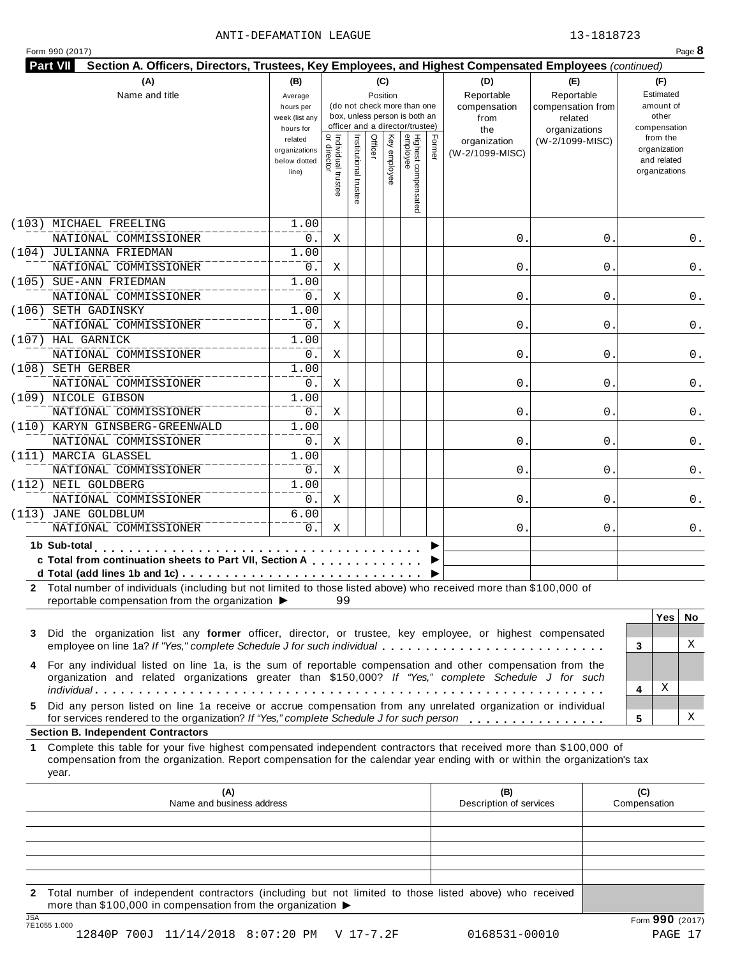| Form 990 (2017) |
|-----------------|
|-----------------|

| Name and title                                                                                                                                                                                                                                                                           | (B)<br>(C)<br>Position<br>Average<br>(do not check more than one<br>hours per<br>box, unless person is both an<br>week (list any<br>officer and a director/trustee)<br>hours for |                                   |                     |                            |                                 |        | (D)<br>Reportable<br>compensation<br>from<br>the | (E)<br>Reportable<br>compensation from<br>related<br>organizations | (F)<br>Estimated<br>amount of<br>other<br>compensation   |
|------------------------------------------------------------------------------------------------------------------------------------------------------------------------------------------------------------------------------------------------------------------------------------------|----------------------------------------------------------------------------------------------------------------------------------------------------------------------------------|-----------------------------------|---------------------|----------------------------|---------------------------------|--------|--------------------------------------------------|--------------------------------------------------------------------|----------------------------------------------------------|
|                                                                                                                                                                                                                                                                                          | related<br>organizations<br>below dotted<br>line)                                                                                                                                | Individual trustee<br>or director | Institutional trust | Officer<br>Key<br>employee | Highest compensated<br>employee | Former | organization<br>(W-2/1099-MISC)                  | (W-2/1099-MISC)                                                    | from the<br>organization<br>and related<br>organizations |
| (103) MICHAEL FREELING                                                                                                                                                                                                                                                                   | 1.00                                                                                                                                                                             |                                   |                     |                            |                                 |        |                                                  |                                                                    |                                                          |
| NATIONAL COMMISSIONER                                                                                                                                                                                                                                                                    | 0.                                                                                                                                                                               | Χ                                 |                     |                            |                                 |        | $\mathsf{O}$ .                                   | 0                                                                  | 0.                                                       |
| (104) JULIANNA FRIEDMAN                                                                                                                                                                                                                                                                  | 1.00                                                                                                                                                                             |                                   |                     |                            |                                 |        |                                                  |                                                                    |                                                          |
| NATIONAL COMMISSIONER                                                                                                                                                                                                                                                                    | 0.                                                                                                                                                                               | Χ                                 |                     |                            |                                 |        | $\mathsf{O}$ .                                   | 0                                                                  | 0.                                                       |
| (105) SUE-ANN FRIEDMAN                                                                                                                                                                                                                                                                   | 1.00                                                                                                                                                                             |                                   |                     |                            |                                 |        |                                                  |                                                                    |                                                          |
| NATIONAL COMMISSIONER                                                                                                                                                                                                                                                                    | $0$ .                                                                                                                                                                            | Χ                                 |                     |                            |                                 |        | $\mathsf{O}$ .                                   | 0                                                                  | 0.                                                       |
| (106) SETH GADINSKY                                                                                                                                                                                                                                                                      | 1.00                                                                                                                                                                             |                                   |                     |                            |                                 |        |                                                  |                                                                    |                                                          |
| NATIONAL COMMISSIONER                                                                                                                                                                                                                                                                    | 0.                                                                                                                                                                               | Χ                                 |                     |                            |                                 |        | $\mathsf{O}$ .                                   | 0                                                                  | 0.                                                       |
| (107) HAL GARNICK                                                                                                                                                                                                                                                                        | 1.00                                                                                                                                                                             |                                   |                     |                            |                                 |        |                                                  |                                                                    |                                                          |
| NATIONAL COMMISSIONER                                                                                                                                                                                                                                                                    | 0.                                                                                                                                                                               | Χ                                 |                     |                            |                                 |        | $\mathsf{O}$ .                                   | 0                                                                  | 0.                                                       |
| (108) SETH GERBER                                                                                                                                                                                                                                                                        | 1.00                                                                                                                                                                             |                                   |                     |                            |                                 |        |                                                  |                                                                    |                                                          |
| NATIONAL COMMISSIONER                                                                                                                                                                                                                                                                    | $0$ .                                                                                                                                                                            | Χ                                 |                     |                            |                                 |        | $\mathsf{O}$ .                                   | 0                                                                  | 0.                                                       |
| (109) NICOLE GIBSON                                                                                                                                                                                                                                                                      | 1.00                                                                                                                                                                             |                                   |                     |                            |                                 |        |                                                  |                                                                    |                                                          |
| NATIONAL COMMISSIONER                                                                                                                                                                                                                                                                    | 0.                                                                                                                                                                               | Χ                                 |                     |                            |                                 |        | $\mathsf{O}$ .                                   | 0                                                                  | 0.                                                       |
| (110) KARYN GINSBERG-GREENWALD                                                                                                                                                                                                                                                           | 1.00                                                                                                                                                                             |                                   |                     |                            |                                 |        |                                                  |                                                                    |                                                          |
| NATIONAL COMMISSIONER                                                                                                                                                                                                                                                                    | 0.                                                                                                                                                                               | Χ                                 |                     |                            |                                 |        | $\mathbf{0}$ .                                   | 0                                                                  | 0.                                                       |
| (111) MARCIA GLASSEL                                                                                                                                                                                                                                                                     | 1.00                                                                                                                                                                             |                                   |                     |                            |                                 |        |                                                  |                                                                    |                                                          |
| NATIONAL COMMISSIONER                                                                                                                                                                                                                                                                    | 0.                                                                                                                                                                               | Χ                                 |                     |                            |                                 |        | $\mathsf{O}$ .                                   | 0                                                                  | 0.                                                       |
| (112) NEIL GOLDBERG                                                                                                                                                                                                                                                                      |                                                                                                                                                                                  |                                   |                     |                            |                                 |        |                                                  |                                                                    |                                                          |
|                                                                                                                                                                                                                                                                                          | 1.00                                                                                                                                                                             |                                   |                     |                            |                                 |        |                                                  |                                                                    |                                                          |
| NATIONAL COMMISSIONER                                                                                                                                                                                                                                                                    | 0.                                                                                                                                                                               | Χ                                 |                     |                            |                                 |        | $\mathsf{O}$ .                                   | 0                                                                  | 0.                                                       |
| (113) JANE GOLDBLUM                                                                                                                                                                                                                                                                      | 6.00                                                                                                                                                                             |                                   |                     |                            |                                 |        |                                                  |                                                                    |                                                          |
| NATIONAL COMMISSIONER                                                                                                                                                                                                                                                                    | 0.                                                                                                                                                                               | Χ                                 |                     |                            |                                 |        | 0.                                               | 0                                                                  | 0.                                                       |
| 1b Sub-total experience in the set of the set of the set of the set of the set of the set of the set of the set of the set of the set of the set of the set of the set of the set of the set of the set of the set of the set<br>c Total from continuation sheets to Part VII, Section A |                                                                                                                                                                                  |                                   |                     |                            |                                 |        |                                                  |                                                                    |                                                          |
| 2 Total number of individuals (including but not limited to those listed above) who received more than \$100,000 of<br>reportable compensation from the organization ▶                                                                                                                   |                                                                                                                                                                                  | 99                                |                     |                            |                                 |        |                                                  |                                                                    |                                                          |
|                                                                                                                                                                                                                                                                                          |                                                                                                                                                                                  |                                   |                     |                            |                                 |        |                                                  |                                                                    | <b>Yes</b><br>No.                                        |
| Did the organization list any former officer, director, or trustee, key employee, or highest compensated<br>3<br>employee on line 1a? If "Yes," complete Schedule J for such individual                                                                                                  |                                                                                                                                                                                  |                                   |                     |                            |                                 |        |                                                  |                                                                    | X<br>3                                                   |
| For any individual listed on line 1a, is the sum of reportable compensation and other compensation from the<br>4                                                                                                                                                                         |                                                                                                                                                                                  |                                   |                     |                            |                                 |        |                                                  |                                                                    | Χ<br>4                                                   |
| organization and related organizations greater than \$150,000? If "Yes," complete Schedule J for such                                                                                                                                                                                    |                                                                                                                                                                                  |                                   |                     |                            |                                 |        |                                                  |                                                                    |                                                          |
| Did any person listed on line 1a receive or accrue compensation from any unrelated organization or individual<br>5                                                                                                                                                                       |                                                                                                                                                                                  |                                   |                     |                            |                                 |        |                                                  |                                                                    | 5                                                        |
| for services rendered to the organization? If "Yes," complete Schedule J for such person<br><b>Section B. Independent Contractors</b>                                                                                                                                                    |                                                                                                                                                                                  |                                   |                     |                            |                                 |        |                                                  |                                                                    | Χ                                                        |
| Complete this table for your five highest compensated independent contractors that received more than \$100,000 of<br>1.<br>compensation from the organization. Report compensation for the calendar year ending with or within the organization's tax<br>year.                          |                                                                                                                                                                                  |                                   |                     |                            |                                 |        |                                                  |                                                                    |                                                          |
| (A)<br>Name and business address                                                                                                                                                                                                                                                         |                                                                                                                                                                                  |                                   |                     |                            |                                 |        | (B)<br>Description of services                   |                                                                    | (C)<br>Compensation                                      |
|                                                                                                                                                                                                                                                                                          |                                                                                                                                                                                  |                                   |                     |                            |                                 |        |                                                  |                                                                    |                                                          |
|                                                                                                                                                                                                                                                                                          |                                                                                                                                                                                  |                                   |                     |                            |                                 |        |                                                  |                                                                    |                                                          |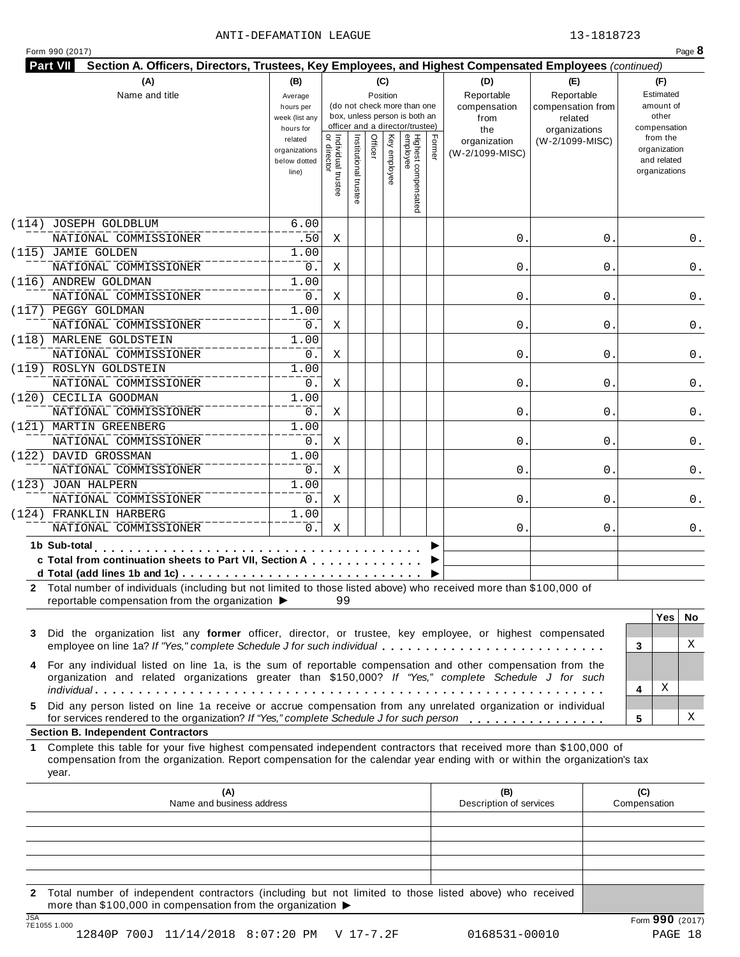| Form 990 (2017) |
|-----------------|
|-----------------|

| (A)<br>Name and title                                                                                                                                                                                                                                                                                                  | (B)<br>Average<br>hours per<br>week (list any<br>hours for |                                   |                      | (C)<br>Position |                 | (do not check more than one<br>box, unless person is both an<br>officer and a director/trustee) |        | (D)<br>Reportable<br>compensation<br>from<br>the | (E)<br>Reportable<br>compensation from<br>related<br>organizations | (F)<br>Estimated<br>amount of<br>other<br>compensation   |
|------------------------------------------------------------------------------------------------------------------------------------------------------------------------------------------------------------------------------------------------------------------------------------------------------------------------|------------------------------------------------------------|-----------------------------------|----------------------|-----------------|-----------------|-------------------------------------------------------------------------------------------------|--------|--------------------------------------------------|--------------------------------------------------------------------|----------------------------------------------------------|
|                                                                                                                                                                                                                                                                                                                        | related<br>organizations<br>below dotted<br>line)          | Individual trustee<br>or director | Institutional truste | Officer         | Κêλ<br>employee | Highest compensated<br>employee                                                                 | Former | organization<br>(W-2/1099-MISC)                  | (W-2/1099-MISC)                                                    | from the<br>organization<br>and related<br>organizations |
| (114) JOSEPH GOLDBLUM                                                                                                                                                                                                                                                                                                  | 6.00                                                       |                                   |                      |                 |                 |                                                                                                 |        |                                                  |                                                                    |                                                          |
| NATIONAL COMMISSIONER                                                                                                                                                                                                                                                                                                  | .50                                                        | Χ                                 |                      |                 |                 |                                                                                                 |        | $\mathbf 0$ .                                    | 0                                                                  | 0.                                                       |
| (115) JAMIE GOLDEN                                                                                                                                                                                                                                                                                                     | 1.00                                                       |                                   |                      |                 |                 |                                                                                                 |        |                                                  |                                                                    |                                                          |
| NATIONAL COMMISSIONER                                                                                                                                                                                                                                                                                                  | 0.                                                         | Χ                                 |                      |                 |                 |                                                                                                 |        | 0.                                               | 0                                                                  | 0.                                                       |
| (116) ANDREW GOLDMAN                                                                                                                                                                                                                                                                                                   | 1.00                                                       |                                   |                      |                 |                 |                                                                                                 |        |                                                  |                                                                    |                                                          |
| NATIONAL COMMISSIONER                                                                                                                                                                                                                                                                                                  | 0.                                                         | Χ                                 |                      |                 |                 |                                                                                                 |        | $\mathbf{0}$ .                                   | 0                                                                  | 0.                                                       |
| (117) PEGGY GOLDMAN                                                                                                                                                                                                                                                                                                    | 1.00                                                       |                                   |                      |                 |                 |                                                                                                 |        |                                                  |                                                                    |                                                          |
| NATIONAL COMMISSIONER                                                                                                                                                                                                                                                                                                  | 0.                                                         | Χ                                 |                      |                 |                 |                                                                                                 |        | $\mathbf 0$ .                                    | 0                                                                  | 0.                                                       |
| (118) MARLENE GOLDSTEIN                                                                                                                                                                                                                                                                                                | 1.00                                                       |                                   |                      |                 |                 |                                                                                                 |        |                                                  |                                                                    |                                                          |
| NATIONAL COMMISSIONER                                                                                                                                                                                                                                                                                                  | 0.                                                         | Χ                                 |                      |                 |                 |                                                                                                 |        | $\mathbf 0$ .                                    | 0                                                                  | 0.                                                       |
| (119) ROSLYN GOLDSTEIN                                                                                                                                                                                                                                                                                                 | 1.00                                                       |                                   |                      |                 |                 |                                                                                                 |        |                                                  |                                                                    |                                                          |
| NATIONAL COMMISSIONER                                                                                                                                                                                                                                                                                                  | 0.                                                         | Χ                                 |                      |                 |                 |                                                                                                 |        | $\mathsf{O}$ .                                   | 0                                                                  | 0.                                                       |
| (120) CECILIA GOODMAN                                                                                                                                                                                                                                                                                                  | 1.00                                                       |                                   |                      |                 |                 |                                                                                                 |        |                                                  |                                                                    |                                                          |
| NATIONAL COMMISSIONER                                                                                                                                                                                                                                                                                                  | 0.                                                         | Χ                                 |                      |                 |                 |                                                                                                 |        | $\mathbf 0$ .                                    | 0                                                                  | 0.                                                       |
| (121) MARTIN GREENBERG                                                                                                                                                                                                                                                                                                 | 1.00                                                       |                                   |                      |                 |                 |                                                                                                 |        |                                                  |                                                                    |                                                          |
| NATIONAL COMMISSIONER                                                                                                                                                                                                                                                                                                  | 0.                                                         | Χ                                 |                      |                 |                 |                                                                                                 |        | $\mathbf 0$ .                                    | 0                                                                  | 0.                                                       |
| (122) DAVID GROSSMAN                                                                                                                                                                                                                                                                                                   | 1.00                                                       |                                   |                      |                 |                 |                                                                                                 |        |                                                  |                                                                    |                                                          |
| NATIONAL COMMISSIONER                                                                                                                                                                                                                                                                                                  | 0.                                                         | Χ                                 |                      |                 |                 |                                                                                                 |        | $\mathbf 0$ .                                    | 0                                                                  | 0.                                                       |
| (123) JOAN HALPERN                                                                                                                                                                                                                                                                                                     | 1.00                                                       |                                   |                      |                 |                 |                                                                                                 |        |                                                  |                                                                    |                                                          |
| NATIONAL COMMISSIONER                                                                                                                                                                                                                                                                                                  | 0.                                                         | Χ                                 |                      |                 |                 |                                                                                                 |        | $\mathbf 0$ .                                    | 0                                                                  | 0.                                                       |
| (124) FRANKLIN HARBERG                                                                                                                                                                                                                                                                                                 | 1.00                                                       |                                   |                      |                 |                 |                                                                                                 |        |                                                  |                                                                    |                                                          |
| NATIONAL COMMISSIONER                                                                                                                                                                                                                                                                                                  | 0.                                                         | Χ                                 |                      |                 |                 |                                                                                                 |        | 0.                                               | 0                                                                  | 0.                                                       |
| 1b Sub-total<br>.<br>c Total from continuation sheets to Part VII, Section A<br>2 Total number of individuals (including but not limited to those listed above) who received more than \$100,000 of<br>reportable compensation from the organization ▶                                                                 |                                                            | 99                                |                      |                 |                 |                                                                                                 |        |                                                  |                                                                    |                                                          |
| Did the organization list any former officer, director, or trustee, key employee, or highest compensated<br>3<br>employee on line 1a? If "Yes," complete Schedule J for such individual<br>For any individual listed on line 1a, is the sum of reportable compensation and other compensation from the<br>4            |                                                            |                                   |                      |                 |                 |                                                                                                 |        |                                                  |                                                                    | <b>Yes</b><br>No.<br>X<br>3                              |
| organization and related organizations greater than \$150,000? If "Yes," complete Schedule J for such                                                                                                                                                                                                                  |                                                            |                                   |                      |                 |                 |                                                                                                 |        |                                                  |                                                                    | Χ<br>4                                                   |
| Did any person listed on line 1a receive or accrue compensation from any unrelated organization or individual<br>5.                                                                                                                                                                                                    |                                                            |                                   |                      |                 |                 |                                                                                                 |        |                                                  |                                                                    |                                                          |
| for services rendered to the organization? If "Yes," complete Schedule J for such person                                                                                                                                                                                                                               |                                                            |                                   |                      |                 |                 |                                                                                                 |        |                                                  |                                                                    | х<br>5                                                   |
| <b>Section B. Independent Contractors</b><br>Complete this table for your five highest compensated independent contractors that received more than \$100,000 of<br>$\mathbf{1}$<br>compensation from the organization. Report compensation for the calendar year ending with or within the organization's tax<br>year. |                                                            |                                   |                      |                 |                 |                                                                                                 |        |                                                  |                                                                    |                                                          |
| (A)<br>Name and business address                                                                                                                                                                                                                                                                                       |                                                            |                                   |                      |                 |                 |                                                                                                 |        | (B)<br>Description of services                   |                                                                    | (C)<br>Compensation                                      |
|                                                                                                                                                                                                                                                                                                                        |                                                            |                                   |                      |                 |                 |                                                                                                 |        |                                                  |                                                                    |                                                          |
| 2 Total number of independent contractors (including but not limited to those listed above) who received<br>more than \$100,000 in compensation from the organization $\blacktriangleright$                                                                                                                            |                                                            |                                   |                      |                 |                 |                                                                                                 |        |                                                  |                                                                    |                                                          |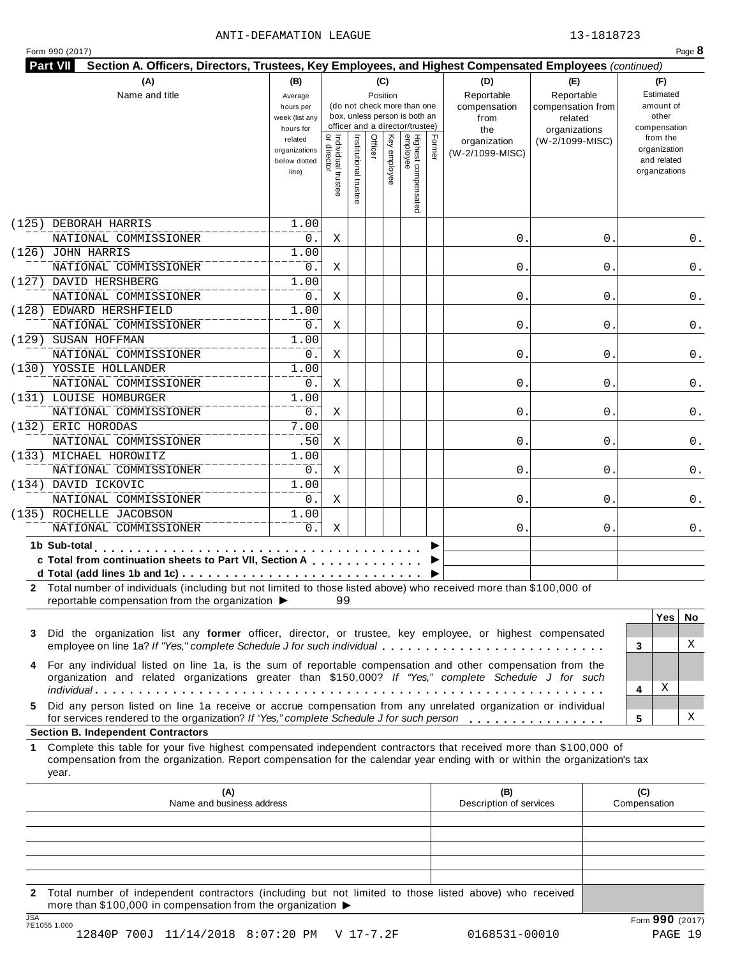| Form 990 (2017) |
|-----------------|
|-----------------|

| (A)<br>Name and title                                                                                                                                                                                                                                                                                                  | (B)<br>Average<br>hours per<br>week (list any<br>hours for |                                   |                                                                                 |         | (C)<br>Position | (do not check more than one<br>box, unless person is both an<br>officer and a director/trustee) |        | (D)<br>Reportable<br>compensation<br>from<br>the | (E)<br>Reportable<br>compensation from<br>related<br>organizations | (F)<br>Estimated<br>amount of<br>other<br>compensation   |
|------------------------------------------------------------------------------------------------------------------------------------------------------------------------------------------------------------------------------------------------------------------------------------------------------------------------|------------------------------------------------------------|-----------------------------------|---------------------------------------------------------------------------------|---------|-----------------|-------------------------------------------------------------------------------------------------|--------|--------------------------------------------------|--------------------------------------------------------------------|----------------------------------------------------------|
|                                                                                                                                                                                                                                                                                                                        | related<br>organizations<br>below dotted<br>line)          | Individual trustee<br>or director | Institutional truste                                                            | Officer | Ķey<br>employee | Highest compensated<br>employee                                                                 | Former | organization<br>(W-2/1099-MISC)                  | (W-2/1099-MISC)                                                    | from the<br>organization<br>and related<br>organizations |
| (125) DEBORAH HARRIS                                                                                                                                                                                                                                                                                                   | 1.00                                                       |                                   |                                                                                 |         |                 |                                                                                                 |        |                                                  |                                                                    |                                                          |
| NATIONAL COMMISSIONER                                                                                                                                                                                                                                                                                                  | 0.                                                         | Χ                                 |                                                                                 |         |                 |                                                                                                 |        | $\mathbf 0$ .                                    | 0                                                                  | 0.                                                       |
| (126) JOHN HARRIS                                                                                                                                                                                                                                                                                                      | 1.00                                                       |                                   |                                                                                 |         |                 |                                                                                                 |        |                                                  |                                                                    |                                                          |
| NATIONAL COMMISSIONER                                                                                                                                                                                                                                                                                                  | 0.                                                         | Χ                                 |                                                                                 |         |                 |                                                                                                 |        | 0.                                               | 0                                                                  | 0.                                                       |
| (127) DAVID HERSHBERG                                                                                                                                                                                                                                                                                                  | 1.00                                                       |                                   |                                                                                 |         |                 |                                                                                                 |        |                                                  |                                                                    |                                                          |
| NATIONAL COMMISSIONER                                                                                                                                                                                                                                                                                                  | 0.                                                         | Χ                                 |                                                                                 |         |                 |                                                                                                 |        | $\mathbf{0}$ .                                   | 0                                                                  | 0.                                                       |
| (128) EDWARD HERSHFIELD                                                                                                                                                                                                                                                                                                | 1.00                                                       |                                   |                                                                                 |         |                 |                                                                                                 |        |                                                  |                                                                    |                                                          |
| NATIONAL COMMISSIONER                                                                                                                                                                                                                                                                                                  | 0.                                                         | Χ                                 |                                                                                 |         |                 |                                                                                                 |        | $\mathbf 0$ .                                    | 0                                                                  | 0.                                                       |
| (129) SUSAN HOFFMAN                                                                                                                                                                                                                                                                                                    | 1.00                                                       |                                   |                                                                                 |         |                 |                                                                                                 |        |                                                  |                                                                    |                                                          |
| NATIONAL COMMISSIONER                                                                                                                                                                                                                                                                                                  | 0.                                                         | Χ                                 |                                                                                 |         |                 |                                                                                                 |        | $\mathbf 0$ .                                    | 0                                                                  | 0.                                                       |
| (130) YOSSIE HOLLANDER                                                                                                                                                                                                                                                                                                 | 1.00                                                       |                                   |                                                                                 |         |                 |                                                                                                 |        |                                                  |                                                                    |                                                          |
| NATIONAL COMMISSIONER                                                                                                                                                                                                                                                                                                  | 0.                                                         | Χ                                 |                                                                                 |         |                 |                                                                                                 |        | $\mathsf{O}$ .                                   | 0                                                                  | 0.                                                       |
| (131) LOUISE HOMBURGER                                                                                                                                                                                                                                                                                                 | 1.00                                                       |                                   |                                                                                 |         |                 |                                                                                                 |        |                                                  |                                                                    |                                                          |
| NATIONAL COMMISSIONER                                                                                                                                                                                                                                                                                                  | 0.                                                         | Χ                                 |                                                                                 |         |                 |                                                                                                 |        | $\mathbf 0$ .                                    | 0                                                                  | 0.                                                       |
| (132) ERIC HORODAS                                                                                                                                                                                                                                                                                                     | 7.00                                                       |                                   |                                                                                 |         |                 |                                                                                                 |        |                                                  |                                                                    |                                                          |
| NATIONAL COMMISSIONER                                                                                                                                                                                                                                                                                                  | .50                                                        | Χ                                 |                                                                                 |         |                 |                                                                                                 |        | $\mathbf 0$ .                                    | 0                                                                  | 0.                                                       |
| (133) MICHAEL HOROWITZ                                                                                                                                                                                                                                                                                                 | 1.00                                                       |                                   |                                                                                 |         |                 |                                                                                                 |        |                                                  |                                                                    |                                                          |
| NATIONAL COMMISSIONER                                                                                                                                                                                                                                                                                                  | 0.                                                         | Χ                                 |                                                                                 |         |                 |                                                                                                 |        | $\mathbf 0$ .                                    | 0                                                                  | 0.                                                       |
| (134) DAVID ICKOVIC                                                                                                                                                                                                                                                                                                    | 1.00                                                       |                                   |                                                                                 |         |                 |                                                                                                 |        |                                                  |                                                                    |                                                          |
| NATIONAL COMMISSIONER                                                                                                                                                                                                                                                                                                  | 0.                                                         | Χ                                 |                                                                                 |         |                 |                                                                                                 |        | $\mathbf 0$ .                                    | 0                                                                  | 0.                                                       |
| (135) ROCHELLE JACOBSON                                                                                                                                                                                                                                                                                                | 1.00                                                       |                                   |                                                                                 |         |                 |                                                                                                 |        |                                                  |                                                                    |                                                          |
| NATIONAL COMMISSIONER                                                                                                                                                                                                                                                                                                  | 0.                                                         | Χ                                 |                                                                                 |         |                 |                                                                                                 |        | 0.                                               | 0                                                                  | 0.                                                       |
| 1b Sub-total<br>.<br>c Total from continuation sheets to Part VII, Section A<br>2 Total number of individuals (including but not limited to those listed above) who received more than \$100,000 of<br>reportable compensation from the organization ▶                                                                 |                                                            | 99                                |                                                                                 |         |                 |                                                                                                 |        |                                                  |                                                                    |                                                          |
| Did the organization list any former officer, director, or trustee, key employee, or highest compensated<br>3<br>employee on line 1a? If "Yes," complete Schedule J for such individual<br>For any individual listed on line 1a, is the sum of reportable compensation and other compensation from the<br>4            |                                                            |                                   |                                                                                 |         |                 |                                                                                                 |        |                                                  |                                                                    | <b>Yes</b><br>No.<br>X<br>3                              |
| organization and related organizations greater than \$150,000? If "Yes," complete Schedule J for such                                                                                                                                                                                                                  |                                                            |                                   |                                                                                 |         |                 |                                                                                                 |        |                                                  |                                                                    | Χ<br>4                                                   |
| Did any person listed on line 1a receive or accrue compensation from any unrelated organization or individual<br>5.                                                                                                                                                                                                    |                                                            |                                   |                                                                                 |         |                 |                                                                                                 |        |                                                  |                                                                    |                                                          |
| for services rendered to the organization? If "Yes," complete Schedule J for such person                                                                                                                                                                                                                               |                                                            |                                   |                                                                                 |         |                 |                                                                                                 |        |                                                  |                                                                    | х<br>5                                                   |
| <b>Section B. Independent Contractors</b><br>Complete this table for your five highest compensated independent contractors that received more than \$100,000 of<br>$\mathbf{1}$<br>compensation from the organization. Report compensation for the calendar year ending with or within the organization's tax<br>year. |                                                            |                                   |                                                                                 |         |                 |                                                                                                 |        |                                                  |                                                                    |                                                          |
| (A)<br>Name and business address                                                                                                                                                                                                                                                                                       |                                                            |                                   |                                                                                 |         |                 |                                                                                                 |        | (B)<br>Description of services                   |                                                                    | (C)<br>Compensation                                      |
|                                                                                                                                                                                                                                                                                                                        |                                                            |                                   |                                                                                 |         |                 |                                                                                                 |        |                                                  |                                                                    |                                                          |
| 2 Total number of independent contractors (including but not limited to those listed above) who received                                                                                                                                                                                                               |                                                            |                                   | more than \$100,000 in compensation from the organization $\blacktriangleright$ |         |                 |                                                                                                 |        |                                                  |                                                                    |                                                          |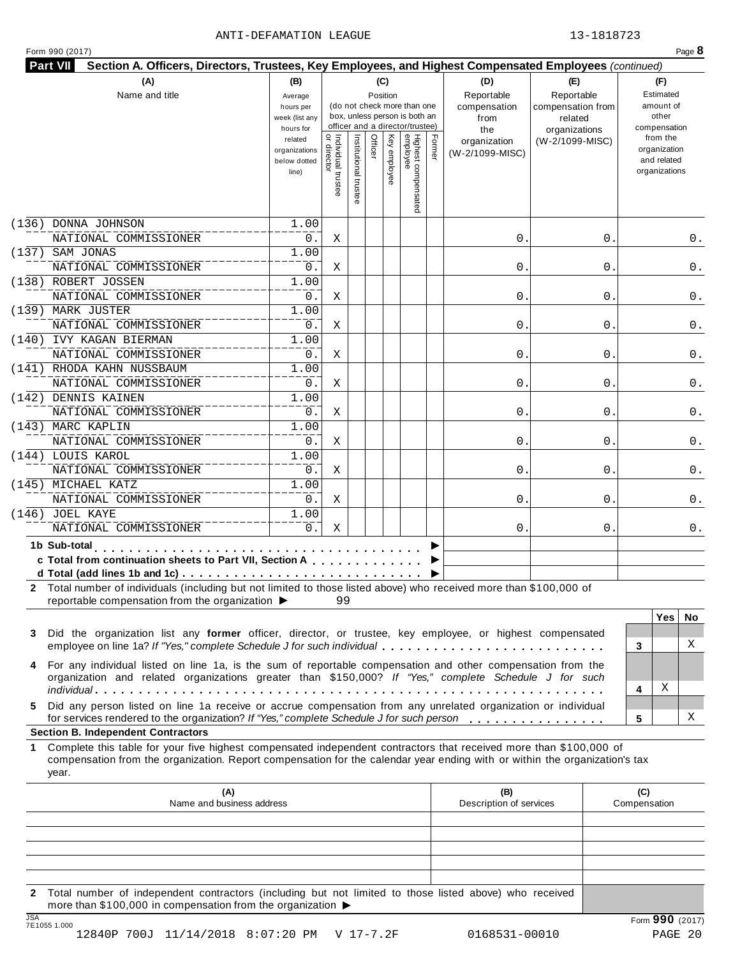|  | Form 990 (2017) |  |
|--|-----------------|--|
|  |                 |  |

| Name and title                                                                                                                                                                                                                   | (B)<br>Average<br>hours per<br>week (list any<br>hours for | $\frac{1}{2}$ $\frac{1}{2}$  |                      | (C)<br>Position            | (do not check more than one<br>box, unless person is both an<br>officer and a director/trustee) |        | (D)<br>Reportable<br>compensation<br>from<br>the | (E)<br>Reportable<br>compensation from<br>related<br>organizations | (F)<br>Estimated<br>amount of<br>other<br>compensation<br>from the |
|----------------------------------------------------------------------------------------------------------------------------------------------------------------------------------------------------------------------------------|------------------------------------------------------------|------------------------------|----------------------|----------------------------|-------------------------------------------------------------------------------------------------|--------|--------------------------------------------------|--------------------------------------------------------------------|--------------------------------------------------------------------|
|                                                                                                                                                                                                                                  | related<br>organizations<br>below dotted<br>line)          | dividual trustee<br>director | Institutional truste | Officer<br>Ķey<br>employee | Highest compensated<br>employee                                                                 | Former | organization<br>(W-2/1099-MISC)                  | (W-2/1099-MISC)                                                    | organization<br>and related<br>organizations                       |
| (136) DONNA JOHNSON                                                                                                                                                                                                              | 1.00                                                       |                              |                      |                            |                                                                                                 |        |                                                  |                                                                    |                                                                    |
| NATIONAL COMMISSIONER                                                                                                                                                                                                            | 0.                                                         | Χ                            |                      |                            |                                                                                                 |        | 0                                                | 0                                                                  | 0.                                                                 |
| (137) SAM JONAS                                                                                                                                                                                                                  | 1.00                                                       |                              |                      |                            |                                                                                                 |        |                                                  |                                                                    |                                                                    |
| NATIONAL COMMISSIONER                                                                                                                                                                                                            | 0.                                                         | Χ                            |                      |                            |                                                                                                 |        | 0                                                | 0                                                                  | 0.                                                                 |
| (138) ROBERT JOSSEN                                                                                                                                                                                                              | 1.00                                                       |                              |                      |                            |                                                                                                 |        |                                                  |                                                                    |                                                                    |
| NATIONAL COMMISSIONER                                                                                                                                                                                                            | 0.                                                         | Χ                            |                      |                            |                                                                                                 |        | 0                                                | 0                                                                  | 0.                                                                 |
| (139) MARK JUSTER                                                                                                                                                                                                                | 1.00                                                       |                              |                      |                            |                                                                                                 |        |                                                  |                                                                    |                                                                    |
| NATIONAL COMMISSIONER<br>(140) IVY KAGAN BIERMAN                                                                                                                                                                                 | 0.                                                         | Χ                            |                      |                            |                                                                                                 |        | 0                                                | 0                                                                  | 0.                                                                 |
|                                                                                                                                                                                                                                  | 1.00                                                       |                              |                      |                            |                                                                                                 |        |                                                  |                                                                    |                                                                    |
| NATIONAL COMMISSIONER<br>(141) RHODA KAHN NUSSBAUM                                                                                                                                                                               | 0.<br>1.00                                                 | Χ                            |                      |                            |                                                                                                 |        | 0                                                | 0                                                                  | 0.                                                                 |
| NATIONAL COMMISSIONER                                                                                                                                                                                                            | 0.                                                         | Χ                            |                      |                            |                                                                                                 |        | 0                                                | 0                                                                  | 0.                                                                 |
| (142) DENNIS KAINEN                                                                                                                                                                                                              | 1.00                                                       |                              |                      |                            |                                                                                                 |        |                                                  |                                                                    |                                                                    |
| NATIONAL COMMISSIONER                                                                                                                                                                                                            | 0.                                                         | Χ                            |                      |                            |                                                                                                 |        | 0                                                | 0                                                                  | 0.                                                                 |
| (143) MARC KAPLIN                                                                                                                                                                                                                | 1.00                                                       |                              |                      |                            |                                                                                                 |        |                                                  |                                                                    |                                                                    |
| NATIONAL COMMISSIONER                                                                                                                                                                                                            | 0.                                                         | Χ                            |                      |                            |                                                                                                 |        | 0                                                | 0                                                                  | 0.                                                                 |
| (144) LOUIS KAROL                                                                                                                                                                                                                | 1.00                                                       |                              |                      |                            |                                                                                                 |        |                                                  |                                                                    |                                                                    |
| NATIONAL COMMISSIONER                                                                                                                                                                                                            | 0.                                                         | Χ                            |                      |                            |                                                                                                 |        | 0                                                | 0                                                                  | 0.                                                                 |
| (145) MICHAEL KATZ                                                                                                                                                                                                               | 1.00                                                       |                              |                      |                            |                                                                                                 |        |                                                  |                                                                    |                                                                    |
| NATIONAL COMMISSIONER                                                                                                                                                                                                            | 0.                                                         | Χ                            |                      |                            |                                                                                                 |        | 0                                                | 0                                                                  | 0.                                                                 |
| (146) JOEL KAYE                                                                                                                                                                                                                  | 1.00                                                       |                              |                      |                            |                                                                                                 |        |                                                  |                                                                    |                                                                    |
| NATIONAL COMMISSIONER                                                                                                                                                                                                            | 0.                                                         | Χ                            |                      |                            |                                                                                                 |        | 0.                                               | 0                                                                  | 0.                                                                 |
| 1b Sub-total<br>.<br>c Total from continuation sheets to Part VII, Section A                                                                                                                                                     |                                                            |                              |                      |                            |                                                                                                 |        |                                                  |                                                                    |                                                                    |
| 2 Total number of individuals (including but not limited to those listed above) who received more than \$100,000 of<br>reportable compensation from the organization ▶                                                           |                                                            | 99                           |                      |                            |                                                                                                 |        |                                                  |                                                                    |                                                                    |
| Did the organization list any former officer, director, or trustee, key employee, or highest compensated<br>3<br>employee on line 1a? If "Yes," complete Schedule J for such individual enterpretation on the state of the state |                                                            |                              |                      |                            |                                                                                                 |        |                                                  |                                                                    | <b>Yes</b><br>No.<br>X<br>3                                        |
| 4 For any individual listed on line 1a, is the sum of reportable compensation and other compensation from the<br>organization and related organizations greater than \$150,000? If "Yes," complete Schedule J for such           |                                                            |                              |                      |                            |                                                                                                 |        |                                                  |                                                                    | Χ<br>4                                                             |
| Did any person listed on line 1a receive or accrue compensation from any unrelated organization or individual<br>5<br>for services rendered to the organization? If "Yes," complete Schedule J for such person                   |                                                            |                              |                      |                            |                                                                                                 |        |                                                  |                                                                    | х<br>5                                                             |
| <b>Section B. Independent Contractors</b><br>Complete this table for your five highest compensated independent contractors that received more than \$100,000 of<br>1.                                                            |                                                            |                              |                      |                            |                                                                                                 |        |                                                  |                                                                    |                                                                    |
| compensation from the organization. Report compensation for the calendar year ending with or within the organization's tax<br>year.                                                                                              |                                                            |                              |                      |                            |                                                                                                 |        |                                                  |                                                                    |                                                                    |
| (A)<br>Name and business address                                                                                                                                                                                                 |                                                            |                              |                      |                            |                                                                                                 |        | (B)<br>Description of services                   |                                                                    | (C)<br>Compensation                                                |
|                                                                                                                                                                                                                                  |                                                            |                              |                      |                            |                                                                                                 |        |                                                  |                                                                    |                                                                    |
|                                                                                                                                                                                                                                  |                                                            |                              |                      |                            |                                                                                                 |        |                                                  |                                                                    |                                                                    |
|                                                                                                                                                                                                                                  |                                                            |                              |                      |                            |                                                                                                 |        |                                                  |                                                                    |                                                                    |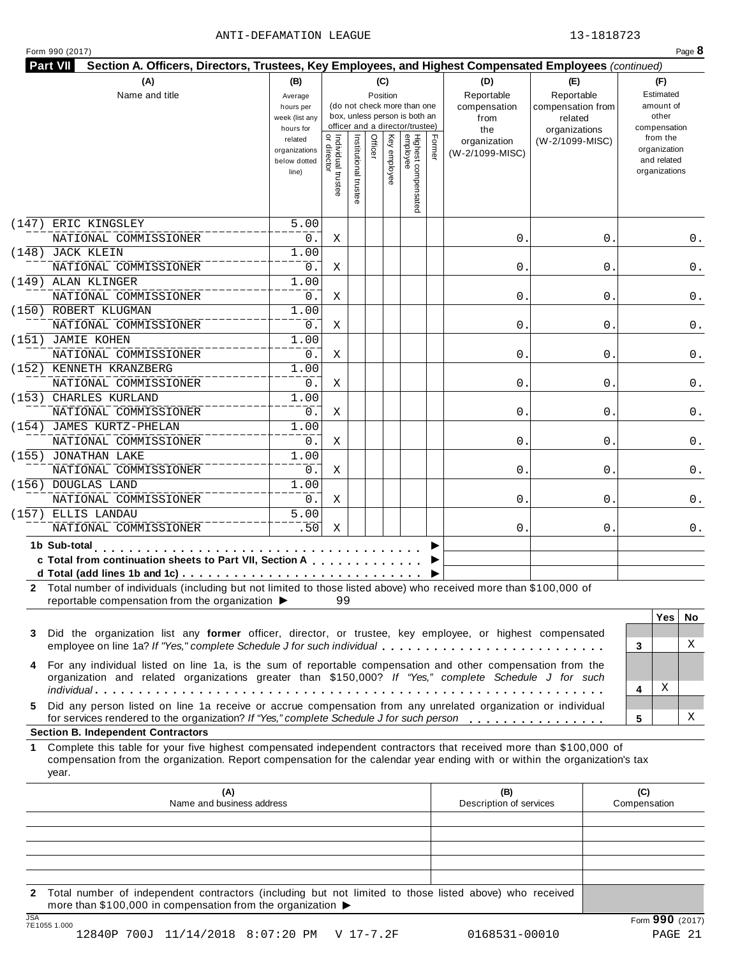| Form 990 (2017) |
|-----------------|
|-----------------|

| (A)<br>Name and title                                                                                                                                                                                                                                                                                        | (B)<br>Average<br>hours per<br>week (list any<br>hours for |                                     |                      | (C)<br>Position |                 | (do not check more than one<br>box, unless person is both an<br>officer and a director/trustee) |        | (D)<br>Reportable<br>compensation<br>from<br>the | (E)<br>Reportable<br>compensation from<br>related<br>organizations | (F)<br>Estimated<br>amount of<br>other<br>compensation   |
|--------------------------------------------------------------------------------------------------------------------------------------------------------------------------------------------------------------------------------------------------------------------------------------------------------------|------------------------------------------------------------|-------------------------------------|----------------------|-----------------|-----------------|-------------------------------------------------------------------------------------------------|--------|--------------------------------------------------|--------------------------------------------------------------------|----------------------------------------------------------|
|                                                                                                                                                                                                                                                                                                              | related<br>organizations<br>below dotted<br>line)          | Individual trustee<br>  or director | Institutional truste | Officer         | Ķey<br>employee | Highest compensated<br>employee                                                                 | Former | organization<br>(W-2/1099-MISC)                  | (W-2/1099-MISC)                                                    | from the<br>organization<br>and related<br>organizations |
| (147)<br>ERIC KINGSLEY                                                                                                                                                                                                                                                                                       | 5.00                                                       |                                     |                      |                 |                 |                                                                                                 |        |                                                  |                                                                    |                                                          |
| NATIONAL COMMISSIONER                                                                                                                                                                                                                                                                                        | 0.                                                         | Χ                                   |                      |                 |                 |                                                                                                 |        | 0                                                | 0                                                                  | 0.                                                       |
| (148) JACK KLEIN                                                                                                                                                                                                                                                                                             | 1.00                                                       |                                     |                      |                 |                 |                                                                                                 |        |                                                  |                                                                    |                                                          |
| NATIONAL COMMISSIONER                                                                                                                                                                                                                                                                                        | 0.                                                         | Χ                                   |                      |                 |                 |                                                                                                 |        | 0                                                | 0                                                                  | 0.                                                       |
| (149) ALAN KLINGER                                                                                                                                                                                                                                                                                           | 1.00                                                       |                                     |                      |                 |                 |                                                                                                 |        |                                                  |                                                                    |                                                          |
| NATIONAL COMMISSIONER                                                                                                                                                                                                                                                                                        | 0.                                                         | Χ                                   |                      |                 |                 |                                                                                                 |        | 0                                                | 0                                                                  | 0.                                                       |
| (150) ROBERT KLUGMAN                                                                                                                                                                                                                                                                                         | 1.00                                                       |                                     |                      |                 |                 |                                                                                                 |        |                                                  |                                                                    |                                                          |
| NATIONAL COMMISSIONER                                                                                                                                                                                                                                                                                        | 0.                                                         | Χ                                   |                      |                 |                 |                                                                                                 |        | 0                                                | 0                                                                  | 0.                                                       |
| (151) JAMIE KOHEN                                                                                                                                                                                                                                                                                            | 1.00                                                       |                                     |                      |                 |                 |                                                                                                 |        |                                                  |                                                                    |                                                          |
| NATIONAL COMMISSIONER                                                                                                                                                                                                                                                                                        | 0.                                                         | Χ                                   |                      |                 |                 |                                                                                                 |        | 0                                                | 0                                                                  | 0.                                                       |
| (152) KENNETH KRANZBERG                                                                                                                                                                                                                                                                                      | 1.00                                                       |                                     |                      |                 |                 |                                                                                                 |        |                                                  |                                                                    |                                                          |
| NATIONAL COMMISSIONER                                                                                                                                                                                                                                                                                        | 0.                                                         | Χ                                   |                      |                 |                 |                                                                                                 |        | 0                                                | 0                                                                  | 0.                                                       |
| (153) CHARLES KURLAND                                                                                                                                                                                                                                                                                        | 1.00                                                       |                                     |                      |                 |                 |                                                                                                 |        |                                                  |                                                                    |                                                          |
|                                                                                                                                                                                                                                                                                                              |                                                            |                                     |                      |                 |                 |                                                                                                 |        |                                                  |                                                                    |                                                          |
| NATIONAL COMMISSIONER                                                                                                                                                                                                                                                                                        | 0.                                                         | Χ                                   |                      |                 |                 |                                                                                                 |        | 0                                                | 0                                                                  | 0.                                                       |
| (154) JAMES KURTZ-PHELAN                                                                                                                                                                                                                                                                                     | 1.00                                                       |                                     |                      |                 |                 |                                                                                                 |        |                                                  |                                                                    |                                                          |
| NATIONAL COMMISSIONER                                                                                                                                                                                                                                                                                        | 0.                                                         | Χ                                   |                      |                 |                 |                                                                                                 |        | 0                                                | 0                                                                  | 0.                                                       |
| (155) JONATHAN LAKE                                                                                                                                                                                                                                                                                          | 1.00                                                       |                                     |                      |                 |                 |                                                                                                 |        |                                                  |                                                                    |                                                          |
| NATIONAL COMMISSIONER                                                                                                                                                                                                                                                                                        | 0.                                                         | Χ                                   |                      |                 |                 |                                                                                                 |        | 0                                                | 0                                                                  | 0.                                                       |
| (156) DOUGLAS LAND                                                                                                                                                                                                                                                                                           | 1.00                                                       |                                     |                      |                 |                 |                                                                                                 |        |                                                  |                                                                    |                                                          |
| NATIONAL COMMISSIONER                                                                                                                                                                                                                                                                                        | 0.                                                         | Χ                                   |                      |                 |                 |                                                                                                 |        | 0                                                | 0                                                                  | 0.                                                       |
| (157) ELLIS LANDAU                                                                                                                                                                                                                                                                                           | 5.00                                                       |                                     |                      |                 |                 |                                                                                                 |        |                                                  |                                                                    |                                                          |
| NATIONAL COMMISSIONER                                                                                                                                                                                                                                                                                        | .50                                                        | Χ                                   |                      |                 |                 |                                                                                                 |        | 0.                                               | 0                                                                  | 0.                                                       |
| .<br>c Total from continuation sheets to Part VII, Section A<br>2 Total number of individuals (including but not limited to those listed above) who received more than \$100,000 of<br>reportable compensation from the organization ▶                                                                       |                                                            | 99                                  |                      |                 |                 |                                                                                                 |        |                                                  |                                                                    |                                                          |
| Did the organization list any former officer, director, or trustee, key employee, or highest compensated<br>3<br>employee on line 1a? If "Yes," complete Schedule J for such individual                                                                                                                      |                                                            |                                     |                      |                 |                 |                                                                                                 |        |                                                  |                                                                    | <b>Yes</b><br>No.<br>X<br>3                              |
| 4 For any individual listed on line 1a, is the sum of reportable compensation and other compensation from the<br>organization and related organizations greater than \$150,000? If "Yes," complete Schedule J for such                                                                                       |                                                            |                                     |                      |                 |                 |                                                                                                 |        |                                                  |                                                                    | Χ<br>4                                                   |
| Did any person listed on line 1a receive or accrue compensation from any unrelated organization or individual<br>5                                                                                                                                                                                           |                                                            |                                     |                      |                 |                 |                                                                                                 |        |                                                  |                                                                    |                                                          |
| for services rendered to the organization? If "Yes," complete Schedule J for such person                                                                                                                                                                                                                     |                                                            |                                     |                      |                 |                 |                                                                                                 |        |                                                  |                                                                    | х<br>5                                                   |
| <b>Section B. Independent Contractors</b><br>Complete this table for your five highest compensated independent contractors that received more than \$100,000 of<br>1.<br>compensation from the organization. Report compensation for the calendar year ending with or within the organization's tax<br>year. |                                                            |                                     |                      |                 |                 |                                                                                                 |        |                                                  |                                                                    |                                                          |
| (A)<br>Name and business address                                                                                                                                                                                                                                                                             |                                                            |                                     |                      |                 |                 |                                                                                                 |        | (B)<br>Description of services                   |                                                                    | (C)<br>Compensation                                      |
|                                                                                                                                                                                                                                                                                                              |                                                            |                                     |                      |                 |                 |                                                                                                 |        |                                                  |                                                                    |                                                          |
| 2 Total number of independent contractors (including but not limited to those listed above) who received<br>more than \$100,000 in compensation from the organization ▶                                                                                                                                      |                                                            |                                     |                      |                 |                 |                                                                                                 |        |                                                  |                                                                    |                                                          |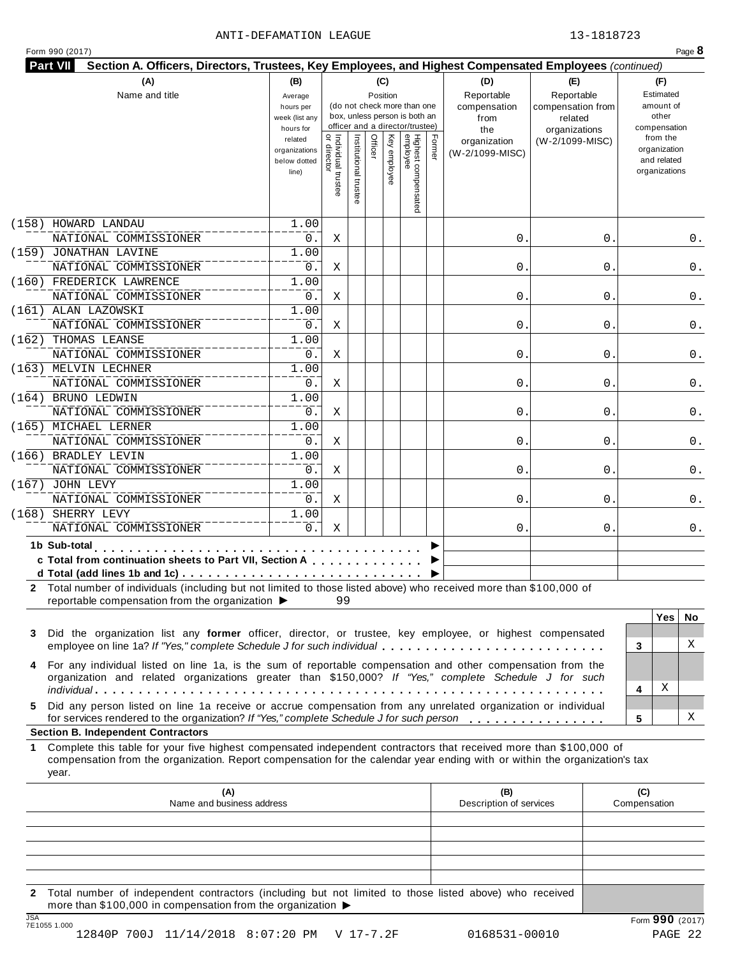|  | Form 990 (2017) |  |
|--|-----------------|--|
|  |                 |  |

| (A)<br>Name and title                                                                                                                                                                                                                                                                                                                                                                                                                                              | (B)<br>Average<br>hours per<br>week (list any<br>hours for |                                   |                     | (C)<br>Position |              | (do not check more than one<br>box, unless person is both an<br>officer and a director/trustee) |        | (D)<br>Reportable<br>compensation<br>from<br>the | (E)<br>Reportable<br>compensation from<br>related<br>organizations | (F)<br>Estimated<br>amount of<br>other<br>compensation   |
|--------------------------------------------------------------------------------------------------------------------------------------------------------------------------------------------------------------------------------------------------------------------------------------------------------------------------------------------------------------------------------------------------------------------------------------------------------------------|------------------------------------------------------------|-----------------------------------|---------------------|-----------------|--------------|-------------------------------------------------------------------------------------------------|--------|--------------------------------------------------|--------------------------------------------------------------------|----------------------------------------------------------|
|                                                                                                                                                                                                                                                                                                                                                                                                                                                                    | related<br>organizations<br>below dotted<br>line)          | Individual trustee<br>or director | Institutional trust | Officer         | Key employee | Highest compensated<br>employee                                                                 | Former | organization<br>(W-2/1099-MISC)                  | (W-2/1099-MISC)                                                    | from the<br>organization<br>and related<br>organizations |
| (158) HOWARD LANDAU                                                                                                                                                                                                                                                                                                                                                                                                                                                | 1.00                                                       |                                   |                     |                 |              |                                                                                                 |        |                                                  |                                                                    |                                                          |
| NATIONAL COMMISSIONER                                                                                                                                                                                                                                                                                                                                                                                                                                              | 0.                                                         | Χ                                 |                     |                 |              |                                                                                                 |        | $\mathsf{O}$ .                                   | 0                                                                  | 0.                                                       |
| (159) JONATHAN LAVINE                                                                                                                                                                                                                                                                                                                                                                                                                                              | 1.00                                                       |                                   |                     |                 |              |                                                                                                 |        |                                                  |                                                                    |                                                          |
| NATIONAL COMMISSIONER                                                                                                                                                                                                                                                                                                                                                                                                                                              | 0.                                                         | Χ                                 |                     |                 |              |                                                                                                 |        | $\mathsf{O}$ .                                   | 0                                                                  | 0.                                                       |
| (160) FREDERICK LAWRENCE                                                                                                                                                                                                                                                                                                                                                                                                                                           | 1.00                                                       |                                   |                     |                 |              |                                                                                                 |        |                                                  |                                                                    |                                                          |
| NATIONAL COMMISSIONER                                                                                                                                                                                                                                                                                                                                                                                                                                              | $0$ .                                                      | Χ                                 |                     |                 |              |                                                                                                 |        | $\mathsf{O}$ .                                   | 0                                                                  | 0.                                                       |
| (161) ALAN LAZOWSKI                                                                                                                                                                                                                                                                                                                                                                                                                                                | 1.00                                                       |                                   |                     |                 |              |                                                                                                 |        |                                                  |                                                                    |                                                          |
| NATIONAL COMMISSIONER                                                                                                                                                                                                                                                                                                                                                                                                                                              | 0.                                                         | Χ                                 |                     |                 |              |                                                                                                 |        | $\mathsf{O}$ .                                   | 0                                                                  | 0.                                                       |
| (162) THOMAS LEANSE                                                                                                                                                                                                                                                                                                                                                                                                                                                | 1.00                                                       |                                   |                     |                 |              |                                                                                                 |        |                                                  |                                                                    |                                                          |
| NATIONAL COMMISSIONER                                                                                                                                                                                                                                                                                                                                                                                                                                              | 0.                                                         | Χ                                 |                     |                 |              |                                                                                                 |        | $\mathsf{O}$ .                                   | 0                                                                  | 0.                                                       |
| (163) MELVIN LECHNER                                                                                                                                                                                                                                                                                                                                                                                                                                               | 1.00                                                       |                                   |                     |                 |              |                                                                                                 |        |                                                  |                                                                    |                                                          |
| NATIONAL COMMISSIONER                                                                                                                                                                                                                                                                                                                                                                                                                                              | $0$ .                                                      | Χ                                 |                     |                 |              |                                                                                                 |        | $\mathsf{O}$ .                                   | 0                                                                  | 0.                                                       |
| (164) BRUNO LEDWIN                                                                                                                                                                                                                                                                                                                                                                                                                                                 | 1.00                                                       |                                   |                     |                 |              |                                                                                                 |        |                                                  |                                                                    |                                                          |
| NATIONAL COMMISSIONER                                                                                                                                                                                                                                                                                                                                                                                                                                              | 0.                                                         | Χ                                 |                     |                 |              |                                                                                                 |        | $\mathsf{O}$ .                                   | 0                                                                  | 0.                                                       |
| (165) MICHAEL LERNER                                                                                                                                                                                                                                                                                                                                                                                                                                               | 1.00                                                       |                                   |                     |                 |              |                                                                                                 |        |                                                  |                                                                    |                                                          |
| NATIONAL COMMISSIONER                                                                                                                                                                                                                                                                                                                                                                                                                                              | 0.                                                         | Χ                                 |                     |                 |              |                                                                                                 |        | $\mathsf{O}$ .                                   | 0                                                                  | 0.                                                       |
| (166) BRADLEY LEVIN                                                                                                                                                                                                                                                                                                                                                                                                                                                | 1.00                                                       |                                   |                     |                 |              |                                                                                                 |        |                                                  |                                                                    |                                                          |
| NATIONAL COMMISSIONER                                                                                                                                                                                                                                                                                                                                                                                                                                              | $0$ .                                                      | Χ                                 |                     |                 |              |                                                                                                 |        | $\mathsf{O}$ .                                   | 0                                                                  | 0.                                                       |
| (167) JOHN LEVY                                                                                                                                                                                                                                                                                                                                                                                                                                                    | 1.00                                                       |                                   |                     |                 |              |                                                                                                 |        |                                                  |                                                                    |                                                          |
| NATIONAL COMMISSIONER                                                                                                                                                                                                                                                                                                                                                                                                                                              | $0$ .                                                      | Χ                                 |                     |                 |              |                                                                                                 |        | $\mathsf{O}$ .                                   | 0                                                                  | 0.                                                       |
| (168) SHERRY LEVY                                                                                                                                                                                                                                                                                                                                                                                                                                                  | 1.00                                                       |                                   |                     |                 |              |                                                                                                 |        |                                                  |                                                                    |                                                          |
| NATIONAL COMMISSIONER                                                                                                                                                                                                                                                                                                                                                                                                                                              | $0$ .                                                      | Χ                                 |                     |                 |              |                                                                                                 |        | 0.                                               | 0                                                                  | 0.                                                       |
| 1b Sub-total experience in the set of the set of the set of the set of the set of the set of the set of the set of the set of the set of the set of the set of the set of the set of the set of the set of the set of the set<br>c Total from continuation sheets to Part VII, Section A<br>2 Total number of individuals (including but not limited to those listed above) who received more than \$100,000 of<br>reportable compensation from the organization ▶ |                                                            | 99                                |                     |                 |              |                                                                                                 |        |                                                  |                                                                    |                                                          |
| Did the organization list any former officer, director, or trustee, key employee, or highest compensated<br>3<br>employee on line 1a? If "Yes," complete Schedule J for such individual                                                                                                                                                                                                                                                                            |                                                            |                                   |                     |                 |              |                                                                                                 |        |                                                  |                                                                    | <b>Yes</b><br>No.<br>X<br>3                              |
| For any individual listed on line 1a, is the sum of reportable compensation and other compensation from the<br>4<br>organization and related organizations greater than \$150,000? If "Yes," complete Schedule J for such                                                                                                                                                                                                                                          |                                                            |                                   |                     |                 |              |                                                                                                 |        |                                                  |                                                                    | х<br>4                                                   |
| Did any person listed on line 1a receive or accrue compensation from any unrelated organization or individual<br>5                                                                                                                                                                                                                                                                                                                                                 |                                                            |                                   |                     |                 |              |                                                                                                 |        |                                                  |                                                                    |                                                          |
| for services rendered to the organization? If "Yes," complete Schedule J for such person                                                                                                                                                                                                                                                                                                                                                                           |                                                            |                                   |                     |                 |              |                                                                                                 |        |                                                  |                                                                    | Χ<br>5                                                   |
| <b>Section B. Independent Contractors</b><br>Complete this table for your five highest compensated independent contractors that received more than \$100,000 of<br>1.<br>compensation from the organization. Report compensation for the calendar year ending with or within the organization's tax<br>year.                                                                                                                                                       |                                                            |                                   |                     |                 |              |                                                                                                 |        |                                                  |                                                                    |                                                          |
| (A)<br>Name and business address                                                                                                                                                                                                                                                                                                                                                                                                                                   |                                                            |                                   |                     |                 |              |                                                                                                 |        | (B)<br>Description of services                   |                                                                    | (C)<br>Compensation                                      |
|                                                                                                                                                                                                                                                                                                                                                                                                                                                                    |                                                            |                                   |                     |                 |              |                                                                                                 |        |                                                  |                                                                    |                                                          |
| 2 Total number of independent contractors (including but not limited to those listed above) who received<br>more than \$100,000 in compensation from the organization $\blacktriangleright$                                                                                                                                                                                                                                                                        |                                                            |                                   |                     |                 |              |                                                                                                 |        |                                                  |                                                                    |                                                          |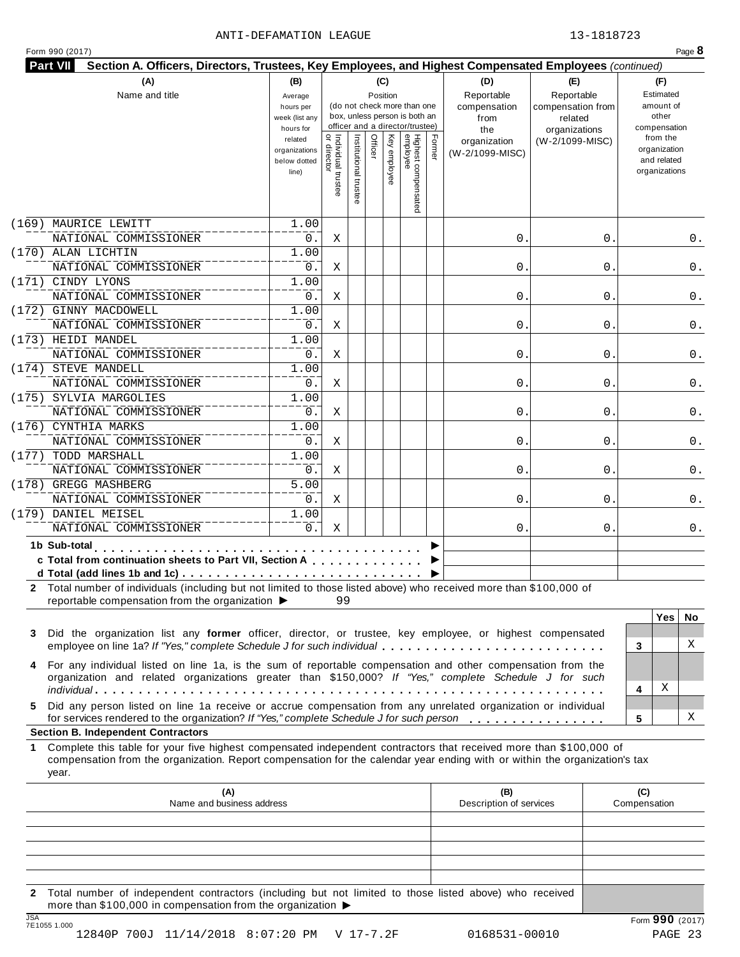|    | (A)<br>(B)<br>(C)<br>(D)<br>(E)<br>Reportable<br>Reportable<br>Name and title<br>Position<br>Average<br>(do not check more than one<br>compensation<br>compensation from<br>hours per<br>box, unless person is both an<br>week (list any<br>from<br>related<br>officer and a director/trustee)<br>hours for<br>organizations<br>the |                                                   |                                           |                       |         |              |                                 |        | (F)<br>Estimated<br>amount of<br>other<br>compensation |                 |                                                          |
|----|-------------------------------------------------------------------------------------------------------------------------------------------------------------------------------------------------------------------------------------------------------------------------------------------------------------------------------------|---------------------------------------------------|-------------------------------------------|-----------------------|---------|--------------|---------------------------------|--------|--------------------------------------------------------|-----------------|----------------------------------------------------------|
|    |                                                                                                                                                                                                                                                                                                                                     | related<br>organizations<br>below dotted<br>line) | <br>  Individual trustee<br>  or director | Institutional trustee | Officer | Key employee | Highest compensated<br>employee | Former | organization<br>(W-2/1099-MISC)                        | (W-2/1099-MISC) | from the<br>organization<br>and related<br>organizations |
|    | (169) MAURICE LEWITT                                                                                                                                                                                                                                                                                                                | 1.00                                              |                                           |                       |         |              |                                 |        |                                                        |                 |                                                          |
|    | NATIONAL COMMISSIONER                                                                                                                                                                                                                                                                                                               | $0$ .                                             | Χ                                         |                       |         |              |                                 |        | 0.                                                     | 0               | 0.                                                       |
|    | (170) ALAN LICHTIN                                                                                                                                                                                                                                                                                                                  | 1.00                                              |                                           |                       |         |              |                                 |        |                                                        |                 |                                                          |
|    | NATIONAL COMMISSIONER                                                                                                                                                                                                                                                                                                               | 0.                                                | Χ                                         |                       |         |              |                                 |        | 0.                                                     | 0               | 0.                                                       |
|    | (171) CINDY LYONS                                                                                                                                                                                                                                                                                                                   | 1.00                                              |                                           |                       |         |              |                                 |        |                                                        |                 |                                                          |
|    | NATIONAL COMMISSIONER                                                                                                                                                                                                                                                                                                               | 0.                                                | Χ                                         |                       |         |              |                                 |        | 0.                                                     | 0               | 0.                                                       |
|    | (172) GINNY MACDOWELL                                                                                                                                                                                                                                                                                                               | 1.00                                              |                                           |                       |         |              |                                 |        |                                                        |                 |                                                          |
|    | NATIONAL COMMISSIONER                                                                                                                                                                                                                                                                                                               | 0.                                                | Χ                                         |                       |         |              |                                 |        | 0.                                                     | 0               | 0.                                                       |
|    | (173) HEIDI MANDEL                                                                                                                                                                                                                                                                                                                  | 1.00                                              |                                           |                       |         |              |                                 |        |                                                        |                 |                                                          |
|    | NATIONAL COMMISSIONER                                                                                                                                                                                                                                                                                                               | $0$ .                                             | Χ                                         |                       |         |              |                                 |        | 0.                                                     | 0               | 0.                                                       |
|    | (174) STEVE MANDELL                                                                                                                                                                                                                                                                                                                 | 1.00                                              |                                           |                       |         |              |                                 |        |                                                        |                 |                                                          |
|    | NATIONAL COMMISSIONER                                                                                                                                                                                                                                                                                                               | $0$ .                                             | Χ                                         |                       |         |              |                                 |        | 0.                                                     | 0               | 0.                                                       |
|    | (175) SYLVIA MARGOLIES                                                                                                                                                                                                                                                                                                              | 1.00                                              |                                           |                       |         |              |                                 |        |                                                        |                 |                                                          |
|    | NATIONAL COMMISSIONER                                                                                                                                                                                                                                                                                                               | $0$ .                                             | Χ                                         |                       |         |              |                                 |        | 0.                                                     | 0               | 0.                                                       |
|    | (176) CYNTHIA MARKS                                                                                                                                                                                                                                                                                                                 | 1.00                                              |                                           |                       |         |              |                                 |        |                                                        |                 |                                                          |
|    | NATIONAL COMMISSIONER                                                                                                                                                                                                                                                                                                               | $0$ .                                             | Χ                                         |                       |         |              |                                 |        | 0.                                                     | 0               | 0.                                                       |
|    | (177) TODD MARSHALL                                                                                                                                                                                                                                                                                                                 | 1.00                                              |                                           |                       |         |              |                                 |        |                                                        |                 |                                                          |
|    | NATIONAL COMMISSIONER                                                                                                                                                                                                                                                                                                               | $0$ .                                             | Χ                                         |                       |         |              |                                 |        | 0.                                                     | 0               | 0.                                                       |
|    | (178) GREGG MASHBERG                                                                                                                                                                                                                                                                                                                | 5.00                                              |                                           |                       |         |              |                                 |        |                                                        |                 |                                                          |
|    | NATIONAL COMMISSIONER                                                                                                                                                                                                                                                                                                               | $0$ .                                             | Χ                                         |                       |         |              |                                 |        | 0.                                                     | 0               | 0.                                                       |
|    | (179) DANIEL MEISEL                                                                                                                                                                                                                                                                                                                 | 1.00                                              |                                           |                       |         |              |                                 |        |                                                        |                 |                                                          |
|    | NATIONAL COMMISSIONER                                                                                                                                                                                                                                                                                                               | 0.                                                | Χ                                         |                       |         |              |                                 |        | 0.                                                     | 0.              | 0.                                                       |
|    |                                                                                                                                                                                                                                                                                                                                     |                                                   |                                           |                       |         |              |                                 |        |                                                        |                 |                                                          |
|    | 1b Sub-total<br>.<br>c Total from continuation sheets to Part VII, Section A                                                                                                                                                                                                                                                        |                                                   |                                           |                       |         |              |                                 |        |                                                        |                 |                                                          |
|    | 2 Total number of individuals (including but not limited to those listed above) who received more than \$100,000 of                                                                                                                                                                                                                 |                                                   |                                           |                       |         |              |                                 |        |                                                        |                 |                                                          |
|    | reportable compensation from the organization ▶                                                                                                                                                                                                                                                                                     |                                                   | 99                                        |                       |         |              |                                 |        |                                                        |                 |                                                          |
| 3  | Did the organization list any former officer, director, or trustee, key employee, or highest compensated<br>employee on line 1a? If "Yes," complete Schedule J for such individual                                                                                                                                                  |                                                   |                                           |                       |         |              |                                 |        |                                                        |                 | <b>Yes</b><br>No.<br>X<br>3                              |
| 4  | For any individual listed on line 1a, is the sum of reportable compensation and other compensation from the<br>organization and related organizations greater than \$150,000? If "Yes," complete Schedule J for such                                                                                                                |                                                   |                                           |                       |         |              |                                 |        |                                                        |                 | х<br>4                                                   |
| 5. | Did any person listed on line 1a receive or accrue compensation from any unrelated organization or individual<br>for services rendered to the organization? If "Yes," complete Schedule J for such person                                                                                                                           |                                                   |                                           |                       |         |              |                                 |        |                                                        |                 | х<br>5                                                   |
|    | <b>Section B. Independent Contractors</b>                                                                                                                                                                                                                                                                                           |                                                   |                                           |                       |         |              |                                 |        |                                                        |                 |                                                          |
| 1  | Complete this table for your five highest compensated independent contractors that received more than \$100,000 of<br>compensation from the organization. Report compensation for the calendar year ending with or within the organization's tax<br>year.                                                                           |                                                   |                                           |                       |         |              |                                 |        |                                                        |                 |                                                          |
|    | (A)<br>Name and business address                                                                                                                                                                                                                                                                                                    |                                                   |                                           |                       |         |              |                                 |        | (B)<br>Description of services                         |                 | (C)<br>Compensation                                      |
|    |                                                                                                                                                                                                                                                                                                                                     |                                                   |                                           |                       |         |              |                                 |        |                                                        |                 |                                                          |
|    |                                                                                                                                                                                                                                                                                                                                     |                                                   |                                           |                       |         |              |                                 |        |                                                        |                 |                                                          |

JSA Form **990** (2017) 7E1055 1.000 12840P 700J 11/14/2018 8:07:20 PM V 17-7.2F 0168531-00010 PAGE 23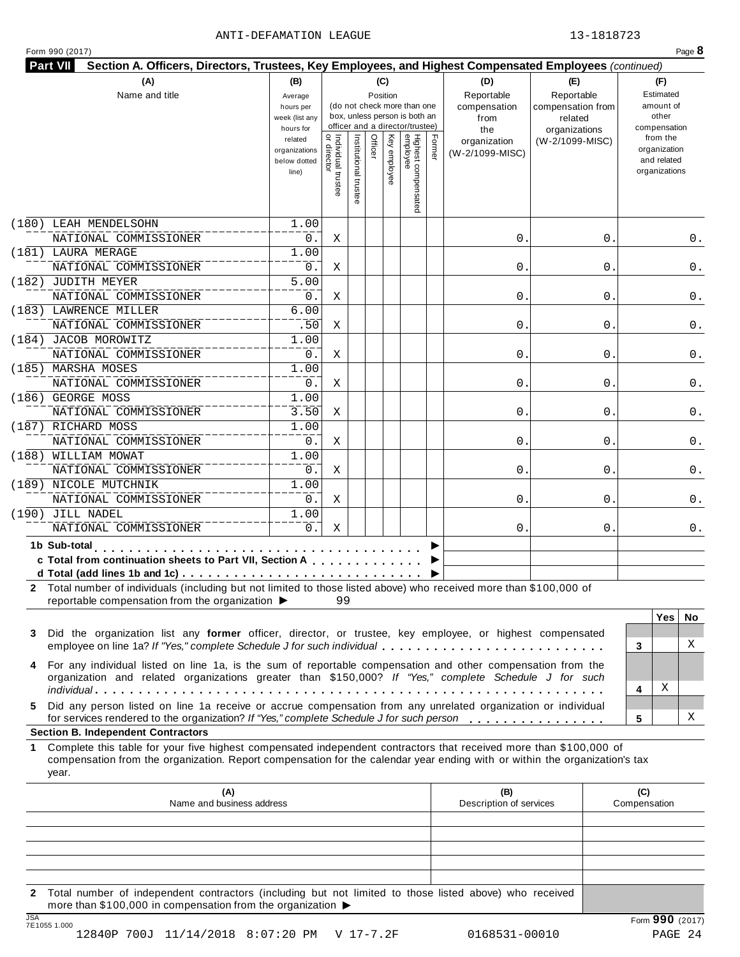| Form 990 (2017) |
|-----------------|
|-----------------|

| (A)<br>Name and title                                                                                                                                                                                                                                                                                        | (B)<br>Average<br>hours per<br>week (list any<br>hours for |                                     |                      | (C)<br>Position |                 | (do not check more than one<br>box, unless person is both an<br>officer and a director/trustee) |        | (D)<br>Reportable<br>compensation<br>from<br>the | (E)<br>Reportable<br>compensation from<br>related<br>organizations | (F)<br>Estimated<br>amount of<br>other<br>compensation   |
|--------------------------------------------------------------------------------------------------------------------------------------------------------------------------------------------------------------------------------------------------------------------------------------------------------------|------------------------------------------------------------|-------------------------------------|----------------------|-----------------|-----------------|-------------------------------------------------------------------------------------------------|--------|--------------------------------------------------|--------------------------------------------------------------------|----------------------------------------------------------|
|                                                                                                                                                                                                                                                                                                              | related<br>organizations<br>below dotted<br>line)          | Individual trustee<br>  or director | Institutional truste | Officer         | Ķey<br>employee | Highest compensated<br>employee                                                                 | Former | organization<br>(W-2/1099-MISC)                  | (W-2/1099-MISC)                                                    | from the<br>organization<br>and related<br>organizations |
| (180) LEAH MENDELSOHN                                                                                                                                                                                                                                                                                        | 1.00                                                       |                                     |                      |                 |                 |                                                                                                 |        |                                                  |                                                                    |                                                          |
| NATIONAL COMMISSIONER                                                                                                                                                                                                                                                                                        | 0.                                                         | Χ                                   |                      |                 |                 |                                                                                                 |        | 0                                                | 0                                                                  | 0.                                                       |
| (181) LAURA MERAGE                                                                                                                                                                                                                                                                                           | 1.00                                                       |                                     |                      |                 |                 |                                                                                                 |        |                                                  |                                                                    |                                                          |
| NATIONAL COMMISSIONER                                                                                                                                                                                                                                                                                        | 0.                                                         | Χ                                   |                      |                 |                 |                                                                                                 |        | $\mathbf 0$ .                                    | 0                                                                  | 0.                                                       |
| (182) JUDITH MEYER<br>NATIONAL COMMISSIONER                                                                                                                                                                                                                                                                  | $\overline{5.00}$<br>0.                                    |                                     |                      |                 |                 |                                                                                                 |        | 0                                                |                                                                    |                                                          |
| (183) LAWRENCE MILLER                                                                                                                                                                                                                                                                                        | 6.00                                                       | Χ                                   |                      |                 |                 |                                                                                                 |        |                                                  | 0                                                                  | 0.                                                       |
| NATIONAL COMMISSIONER                                                                                                                                                                                                                                                                                        | .50                                                        | Χ                                   |                      |                 |                 |                                                                                                 |        | 0                                                | 0                                                                  | 0.                                                       |
| (184) JACOB MOROWITZ                                                                                                                                                                                                                                                                                         | 1.00                                                       |                                     |                      |                 |                 |                                                                                                 |        |                                                  |                                                                    |                                                          |
| NATIONAL COMMISSIONER                                                                                                                                                                                                                                                                                        | 0.                                                         | Χ                                   |                      |                 |                 |                                                                                                 |        | 0                                                | 0                                                                  | 0.                                                       |
| (185) MARSHA MOSES                                                                                                                                                                                                                                                                                           | 1.00                                                       |                                     |                      |                 |                 |                                                                                                 |        |                                                  |                                                                    |                                                          |
| NATIONAL COMMISSIONER                                                                                                                                                                                                                                                                                        | 0.                                                         | Χ                                   |                      |                 |                 |                                                                                                 |        | 0                                                | 0                                                                  | 0.                                                       |
| (186) GEORGE MOSS                                                                                                                                                                                                                                                                                            | 1.00                                                       |                                     |                      |                 |                 |                                                                                                 |        |                                                  |                                                                    |                                                          |
| NATIONAL COMMISSIONER                                                                                                                                                                                                                                                                                        | 3.50                                                       | Χ                                   |                      |                 |                 |                                                                                                 |        | 0                                                | 0                                                                  | 0.                                                       |
| (187) RICHARD MOSS                                                                                                                                                                                                                                                                                           | 1.00                                                       |                                     |                      |                 |                 |                                                                                                 |        |                                                  |                                                                    |                                                          |
| NATIONAL COMMISSIONER                                                                                                                                                                                                                                                                                        | $0$ .                                                      | Χ                                   |                      |                 |                 |                                                                                                 |        | 0                                                | 0                                                                  | 0.                                                       |
| (188) WILLIAM MOWAT                                                                                                                                                                                                                                                                                          | 1.00                                                       |                                     |                      |                 |                 |                                                                                                 |        |                                                  |                                                                    |                                                          |
| NATIONAL COMMISSIONER                                                                                                                                                                                                                                                                                        | 0.                                                         | Χ                                   |                      |                 |                 |                                                                                                 |        | 0                                                | 0                                                                  | 0.                                                       |
| (189) NICOLE MUTCHNIK                                                                                                                                                                                                                                                                                        | 1.00                                                       |                                     |                      |                 |                 |                                                                                                 |        |                                                  |                                                                    |                                                          |
| NATIONAL COMMISSIONER                                                                                                                                                                                                                                                                                        | 0.                                                         | Χ                                   |                      |                 |                 |                                                                                                 |        | 0                                                | 0                                                                  | 0.                                                       |
| (190) JILL NADEL                                                                                                                                                                                                                                                                                             | 1.00                                                       |                                     |                      |                 |                 |                                                                                                 |        |                                                  |                                                                    |                                                          |
| NATIONAL COMMISSIONER                                                                                                                                                                                                                                                                                        | 0.                                                         | Χ                                   |                      |                 |                 |                                                                                                 |        | 0.                                               | 0                                                                  | 0.                                                       |
| c Total from continuation sheets to Part VII, Section A<br>2 Total number of individuals (including but not limited to those listed above) who received more than \$100,000 of<br>reportable compensation from the organization ▶                                                                            |                                                            | 99                                  |                      |                 |                 |                                                                                                 |        |                                                  |                                                                    |                                                          |
| Did the organization list any former officer, director, or trustee, key employee, or highest compensated<br>3<br>employee on line 1a? If "Yes," complete Schedule J for such individual                                                                                                                      |                                                            |                                     |                      |                 |                 |                                                                                                 |        |                                                  |                                                                    | <b>Yes</b><br>No.<br>X<br>3                              |
| 4 For any individual listed on line 1a, is the sum of reportable compensation and other compensation from the<br>organization and related organizations greater than \$150,000? If "Yes," complete Schedule J for such                                                                                       |                                                            |                                     |                      |                 |                 |                                                                                                 |        |                                                  |                                                                    | Χ<br>4                                                   |
| Did any person listed on line 1a receive or accrue compensation from any unrelated organization or individual<br>5                                                                                                                                                                                           |                                                            |                                     |                      |                 |                 |                                                                                                 |        |                                                  |                                                                    |                                                          |
| for services rendered to the organization? If "Yes," complete Schedule J for such person                                                                                                                                                                                                                     |                                                            |                                     |                      |                 |                 |                                                                                                 |        |                                                  |                                                                    | х<br>5                                                   |
| <b>Section B. Independent Contractors</b><br>Complete this table for your five highest compensated independent contractors that received more than \$100,000 of<br>1.<br>compensation from the organization. Report compensation for the calendar year ending with or within the organization's tax<br>year. |                                                            |                                     |                      |                 |                 |                                                                                                 |        |                                                  |                                                                    |                                                          |
| (A)<br>Name and business address                                                                                                                                                                                                                                                                             |                                                            |                                     |                      |                 |                 |                                                                                                 |        | (B)<br>Description of services                   |                                                                    | (C)<br>Compensation                                      |
|                                                                                                                                                                                                                                                                                                              |                                                            |                                     |                      |                 |                 |                                                                                                 |        |                                                  |                                                                    |                                                          |
| 2 Total number of independent contractors (including but not limited to those listed above) who received<br>more than \$100,000 in compensation from the organization ▶                                                                                                                                      |                                                            |                                     |                      |                 |                 |                                                                                                 |        |                                                  |                                                                    |                                                          |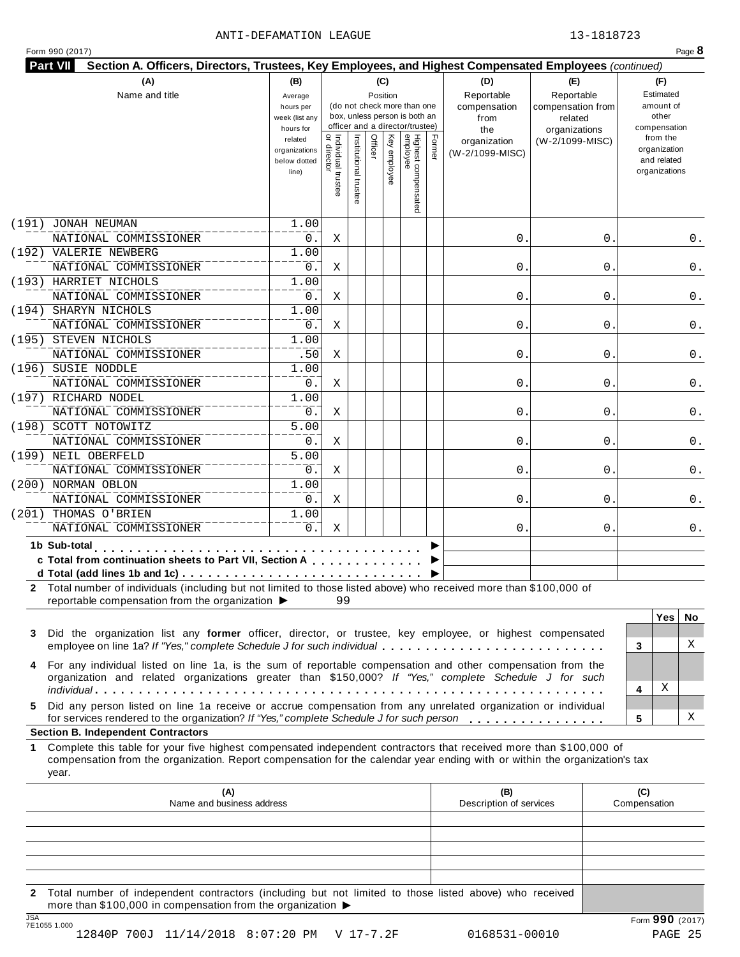| Form 990 (2017) |
|-----------------|
|-----------------|

|        | (A)<br>Name and title                                                                                                                                                                                                                                                                          | (B)<br>(C)<br>(D)<br>(E)<br>Reportable<br>Reportable<br>Position<br>Average<br>(do not check more than one<br>compensation<br>compensation from<br>hours per<br>box, unless person is both an<br>week (list any<br>from<br>related<br>officer and a director/trustee)<br>hours for<br>organizations<br>the |                                   |                                 |                 |                                 |        |                                 | (F)<br>Estimated<br>amount of<br>other<br>compensation |                                                          |
|--------|------------------------------------------------------------------------------------------------------------------------------------------------------------------------------------------------------------------------------------------------------------------------------------------------|------------------------------------------------------------------------------------------------------------------------------------------------------------------------------------------------------------------------------------------------------------------------------------------------------------|-----------------------------------|---------------------------------|-----------------|---------------------------------|--------|---------------------------------|--------------------------------------------------------|----------------------------------------------------------|
|        |                                                                                                                                                                                                                                                                                                | related<br>organizations<br>below dotted<br>line)                                                                                                                                                                                                                                                          | Individual trustee<br>or director | Officer<br>Institutional truste | Ķey<br>employee | Highest compensated<br>employee | Former | organization<br>(W-2/1099-MISC) | (W-2/1099-MISC)                                        | from the<br>organization<br>and related<br>organizations |
|        | (191) JONAH NEUMAN                                                                                                                                                                                                                                                                             | 1.00                                                                                                                                                                                                                                                                                                       |                                   |                                 |                 |                                 |        |                                 |                                                        |                                                          |
|        | NATIONAL COMMISSIONER                                                                                                                                                                                                                                                                          | 0.                                                                                                                                                                                                                                                                                                         | Χ                                 |                                 |                 |                                 |        | $\mathbf 0$ .                   | 0                                                      | 0.                                                       |
|        | (192) VALERIE NEWBERG                                                                                                                                                                                                                                                                          | 1.00                                                                                                                                                                                                                                                                                                       |                                   |                                 |                 |                                 |        |                                 |                                                        |                                                          |
|        | NATIONAL COMMISSIONER                                                                                                                                                                                                                                                                          | 0.                                                                                                                                                                                                                                                                                                         | Χ                                 |                                 |                 |                                 |        | $\mathsf{O}$                    | 0                                                      | 0.                                                       |
|        | (193) HARRIET NICHOLS                                                                                                                                                                                                                                                                          | 1.00                                                                                                                                                                                                                                                                                                       |                                   |                                 |                 |                                 |        |                                 |                                                        |                                                          |
|        | NATIONAL COMMISSIONER                                                                                                                                                                                                                                                                          | 0.                                                                                                                                                                                                                                                                                                         | Χ                                 |                                 |                 |                                 |        | $\mathbf{0}$ .                  | 0                                                      | 0.                                                       |
|        | (194) SHARYN NICHOLS                                                                                                                                                                                                                                                                           | 1.00                                                                                                                                                                                                                                                                                                       |                                   |                                 |                 |                                 |        |                                 |                                                        |                                                          |
|        | NATIONAL COMMISSIONER                                                                                                                                                                                                                                                                          | 0.                                                                                                                                                                                                                                                                                                         | Χ                                 |                                 |                 |                                 |        | $\mathbf 0$ .                   | 0                                                      | 0.                                                       |
|        | (195) STEVEN NICHOLS                                                                                                                                                                                                                                                                           | 1.00                                                                                                                                                                                                                                                                                                       |                                   |                                 |                 |                                 |        |                                 |                                                        |                                                          |
|        | NATIONAL COMMISSIONER                                                                                                                                                                                                                                                                          | .50                                                                                                                                                                                                                                                                                                        | Χ                                 |                                 |                 |                                 |        | $\mathbf 0$ .                   | 0                                                      | 0.                                                       |
|        | (196) SUSIE NODDLE                                                                                                                                                                                                                                                                             | 1.00                                                                                                                                                                                                                                                                                                       |                                   |                                 |                 |                                 |        |                                 |                                                        |                                                          |
|        | NATIONAL COMMISSIONER                                                                                                                                                                                                                                                                          | 0.                                                                                                                                                                                                                                                                                                         | Χ                                 |                                 |                 |                                 |        | $\mathsf{O}$ .                  | 0                                                      | 0.                                                       |
|        | (197) RICHARD NODEL                                                                                                                                                                                                                                                                            | 1.00                                                                                                                                                                                                                                                                                                       |                                   |                                 |                 |                                 |        |                                 |                                                        |                                                          |
|        | NATIONAL COMMISSIONER                                                                                                                                                                                                                                                                          | 0.                                                                                                                                                                                                                                                                                                         | Χ                                 |                                 |                 |                                 |        | $\mathbf 0$ .                   | 0                                                      | 0.                                                       |
|        | (198) SCOTT NOTOWITZ                                                                                                                                                                                                                                                                           | 5.00                                                                                                                                                                                                                                                                                                       |                                   |                                 |                 |                                 |        |                                 |                                                        |                                                          |
|        | NATIONAL COMMISSIONER                                                                                                                                                                                                                                                                          | 0.                                                                                                                                                                                                                                                                                                         | Χ                                 |                                 |                 |                                 |        | $\mathbf 0$ .                   | 0                                                      | 0.                                                       |
|        | (199) NEIL OBERFELD                                                                                                                                                                                                                                                                            | 5.00                                                                                                                                                                                                                                                                                                       |                                   |                                 |                 |                                 |        |                                 |                                                        |                                                          |
|        | NATIONAL COMMISSIONER                                                                                                                                                                                                                                                                          | 0.                                                                                                                                                                                                                                                                                                         | Χ                                 |                                 |                 |                                 |        | $\mathbf 0$ .                   | 0                                                      | 0.                                                       |
|        | (200) NORMAN OBLON                                                                                                                                                                                                                                                                             | 1.00                                                                                                                                                                                                                                                                                                       |                                   |                                 |                 |                                 |        |                                 |                                                        |                                                          |
|        | NATIONAL COMMISSIONER                                                                                                                                                                                                                                                                          | 0.                                                                                                                                                                                                                                                                                                         | Χ                                 |                                 |                 |                                 |        | $\mathbf 0$ .                   | 0                                                      | 0.                                                       |
|        | (201) THOMAS O'BRIEN                                                                                                                                                                                                                                                                           | 1.00                                                                                                                                                                                                                                                                                                       |                                   |                                 |                 |                                 |        |                                 |                                                        |                                                          |
|        | NATIONAL COMMISSIONER                                                                                                                                                                                                                                                                          | 0.                                                                                                                                                                                                                                                                                                         | Χ                                 |                                 |                 |                                 |        | 0.                              | 0                                                      | 0.                                                       |
|        | 1b Sub-total<br>.<br>c Total from continuation sheets to Part VII, Section A<br>2 Total number of individuals (including but not limited to those listed above) who received more than \$100,000 of                                                                                            |                                                                                                                                                                                                                                                                                                            |                                   |                                 |                 |                                 |        |                                 |                                                        |                                                          |
|        | reportable compensation from the organization ▶                                                                                                                                                                                                                                                |                                                                                                                                                                                                                                                                                                            | 99                                |                                 |                 |                                 |        |                                 |                                                        |                                                          |
|        | Did the organization list any former officer, director, or trustee, key employee, or highest compensated                                                                                                                                                                                       |                                                                                                                                                                                                                                                                                                            |                                   |                                 |                 |                                 |        |                                 |                                                        | <b>Yes</b><br>No.                                        |
| 3<br>4 | employee on line 1a? If "Yes," complete Schedule J for such individual<br>For any individual listed on line 1a, is the sum of reportable compensation and other compensation from the<br>organization and related organizations greater than \$150,000? If "Yes," complete Schedule J for such |                                                                                                                                                                                                                                                                                                            |                                   |                                 |                 |                                 |        |                                 |                                                        | 3<br>Χ<br>4                                              |
| 5.     | Did any person listed on line 1a receive or accrue compensation from any unrelated organization or individual<br>for services rendered to the organization? If "Yes," complete Schedule J for such person<br><b>Section B. Independent Contractors</b>                                         |                                                                                                                                                                                                                                                                                                            |                                   |                                 |                 |                                 |        |                                 |                                                        | 5                                                        |
| 1.     | Complete this table for your five highest compensated independent contractors that received more than \$100,000 of<br>compensation from the organization. Report compensation for the calendar year ending with or within the organization's tax<br>year.                                      |                                                                                                                                                                                                                                                                                                            |                                   |                                 |                 |                                 |        |                                 |                                                        |                                                          |
|        | (A)<br>Name and business address                                                                                                                                                                                                                                                               |                                                                                                                                                                                                                                                                                                            |                                   |                                 |                 |                                 |        | (B)<br>Description of services  |                                                        | (C)<br>Compensation                                      |
|        |                                                                                                                                                                                                                                                                                                |                                                                                                                                                                                                                                                                                                            |                                   |                                 |                 |                                 |        |                                 |                                                        | X<br>х                                                   |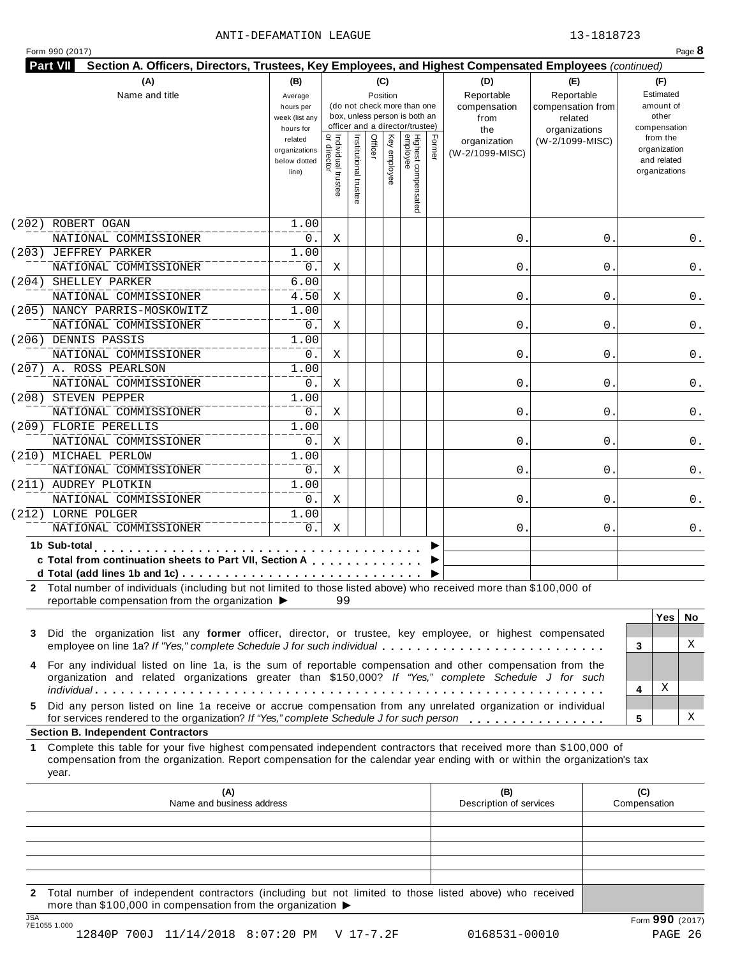|  | Form 990 (2017) |  |
|--|-----------------|--|
|  |                 |  |

| (A)<br>Name and title                                                                                                                                                                                                                                           | (B)<br>Average<br>hours per<br>week (list any<br>hours for |                                     |                      |         | (C)<br>Position | (do not check more than one<br>box, unless person is both an<br>officer and a director/trustee) |        | (D)<br>Reportable<br>compensation<br>from<br>the | (E)<br>Reportable<br>compensation from<br>related<br>organizations | (F)<br>Estimated<br>amount of<br>other<br>compensation   |
|-----------------------------------------------------------------------------------------------------------------------------------------------------------------------------------------------------------------------------------------------------------------|------------------------------------------------------------|-------------------------------------|----------------------|---------|-----------------|-------------------------------------------------------------------------------------------------|--------|--------------------------------------------------|--------------------------------------------------------------------|----------------------------------------------------------|
|                                                                                                                                                                                                                                                                 | related<br>organizations<br>below dotted<br>line)          | Individual trustee<br>  or director | Institutional truste | Officer | Key employee    | Highest compensated<br>employee                                                                 | Former | organization<br>(W-2/1099-MISC)                  | (W-2/1099-MISC)                                                    | from the<br>organization<br>and related<br>organizations |
| (202) ROBERT OGAN                                                                                                                                                                                                                                               | 1.00                                                       |                                     |                      |         |                 |                                                                                                 |        |                                                  |                                                                    |                                                          |
| NATIONAL COMMISSIONER                                                                                                                                                                                                                                           | 0.                                                         | Χ                                   |                      |         |                 |                                                                                                 |        | 0.                                               | 0                                                                  | 0.                                                       |
| (203) JEFFREY PARKER                                                                                                                                                                                                                                            | 1.00                                                       |                                     |                      |         |                 |                                                                                                 |        |                                                  |                                                                    |                                                          |
| NATIONAL COMMISSIONER                                                                                                                                                                                                                                           | $0$ .                                                      | Χ                                   |                      |         |                 |                                                                                                 |        | 0.                                               | 0                                                                  | 0.                                                       |
| (204) SHELLEY PARKER                                                                                                                                                                                                                                            | 6.00                                                       |                                     |                      |         |                 |                                                                                                 |        |                                                  |                                                                    |                                                          |
| NATIONAL COMMISSIONER                                                                                                                                                                                                                                           | 4.50                                                       | Χ                                   |                      |         |                 |                                                                                                 |        | 0.                                               | 0                                                                  | 0.                                                       |
| (205) NANCY PARRIS-MOSKOWITZ                                                                                                                                                                                                                                    | 1.00                                                       |                                     |                      |         |                 |                                                                                                 |        |                                                  |                                                                    |                                                          |
| NATIONAL COMMISSIONER                                                                                                                                                                                                                                           | 0.                                                         | Χ                                   |                      |         |                 |                                                                                                 |        | 0.                                               | 0                                                                  | 0.                                                       |
| (206) DENNIS PASSIS                                                                                                                                                                                                                                             | 1.00                                                       |                                     |                      |         |                 |                                                                                                 |        |                                                  |                                                                    |                                                          |
| NATIONAL COMMISSIONER                                                                                                                                                                                                                                           | $0$ .                                                      | Χ                                   |                      |         |                 |                                                                                                 |        | 0.                                               | 0                                                                  | 0.                                                       |
| (207) A. ROSS PEARLSON                                                                                                                                                                                                                                          | 1.00                                                       |                                     |                      |         |                 |                                                                                                 |        |                                                  |                                                                    |                                                          |
| NATIONAL COMMISSIONER                                                                                                                                                                                                                                           | $0$ .                                                      | Χ                                   |                      |         |                 |                                                                                                 |        | 0.                                               | 0                                                                  | 0.                                                       |
| (208) STEVEN PEPPER                                                                                                                                                                                                                                             | 1.00                                                       |                                     |                      |         |                 |                                                                                                 |        |                                                  |                                                                    |                                                          |
| NATIONAL COMMISSIONER                                                                                                                                                                                                                                           | 0.                                                         | Χ                                   |                      |         |                 |                                                                                                 |        | 0.                                               | 0                                                                  | 0.                                                       |
| (209) FLORIE PERELLIS                                                                                                                                                                                                                                           | 1.00                                                       |                                     |                      |         |                 |                                                                                                 |        |                                                  |                                                                    |                                                          |
| NATIONAL COMMISSIONER                                                                                                                                                                                                                                           | $0$ .                                                      | Χ                                   |                      |         |                 |                                                                                                 |        | 0.                                               | 0                                                                  | 0.                                                       |
| (210) MICHAEL PERLOW                                                                                                                                                                                                                                            | 1.00                                                       |                                     |                      |         |                 |                                                                                                 |        |                                                  |                                                                    |                                                          |
| NATIONAL COMMISSIONER                                                                                                                                                                                                                                           | $0$ .                                                      | Χ                                   |                      |         |                 |                                                                                                 |        | 0.                                               | 0                                                                  | 0.                                                       |
| (211) AUDREY PLOTKIN                                                                                                                                                                                                                                            | 1.00                                                       |                                     |                      |         |                 |                                                                                                 |        |                                                  |                                                                    |                                                          |
| NATIONAL COMMISSIONER                                                                                                                                                                                                                                           | 0.                                                         | Χ                                   |                      |         |                 |                                                                                                 |        | 0.                                               | 0                                                                  | 0.                                                       |
| (212) LORNE POLGER                                                                                                                                                                                                                                              | 1.00                                                       |                                     |                      |         |                 |                                                                                                 |        |                                                  |                                                                    |                                                          |
| NATIONAL COMMISSIONER                                                                                                                                                                                                                                           | 0.                                                         | Χ                                   |                      |         |                 |                                                                                                 |        | 0.                                               | 0                                                                  | 0.                                                       |
| c Total from continuation sheets to Part VII, Section A<br>2 Total number of individuals (including but not limited to those listed above) who received more than \$100,000 of<br>reportable compensation from the organization ▶                               |                                                            | 99                                  |                      |         |                 |                                                                                                 |        |                                                  |                                                                    |                                                          |
| Did the organization list any former officer, director, or trustee, key employee, or highest compensated<br>3<br>employee on line 1a? If "Yes," complete Schedule J for such individual                                                                         |                                                            |                                     |                      |         |                 |                                                                                                 |        |                                                  |                                                                    | <b>Yes</b><br>No.<br>X<br>3                              |
| 4 For any individual listed on line 1a, is the sum of reportable compensation and other compensation from the<br>organization and related organizations greater than \$150,000? If "Yes," complete Schedule J for such                                          |                                                            |                                     |                      |         |                 |                                                                                                 |        |                                                  |                                                                    | х<br>4                                                   |
| Did any person listed on line 1a receive or accrue compensation from any unrelated organization or individual<br>5.                                                                                                                                             |                                                            |                                     |                      |         |                 |                                                                                                 |        |                                                  |                                                                    | Χ                                                        |
| for services rendered to the organization? If "Yes," complete Schedule J for such person<br><b>Section B. Independent Contractors</b>                                                                                                                           |                                                            |                                     |                      |         |                 |                                                                                                 |        |                                                  |                                                                    | 5                                                        |
| Complete this table for your five highest compensated independent contractors that received more than \$100,000 of<br>1.<br>compensation from the organization. Report compensation for the calendar year ending with or within the organization's tax<br>year. |                                                            |                                     |                      |         |                 |                                                                                                 |        |                                                  |                                                                    |                                                          |
| (A)<br>Name and business address                                                                                                                                                                                                                                |                                                            |                                     |                      |         |                 |                                                                                                 |        | (B)<br>Description of services                   |                                                                    | (C)<br>Compensation                                      |
|                                                                                                                                                                                                                                                                 |                                                            |                                     |                      |         |                 |                                                                                                 |        |                                                  |                                                                    |                                                          |
| 2 Total number of independent contractors (including but not limited to those listed above) who received                                                                                                                                                        |                                                            |                                     |                      |         |                 |                                                                                                 |        |                                                  |                                                                    |                                                          |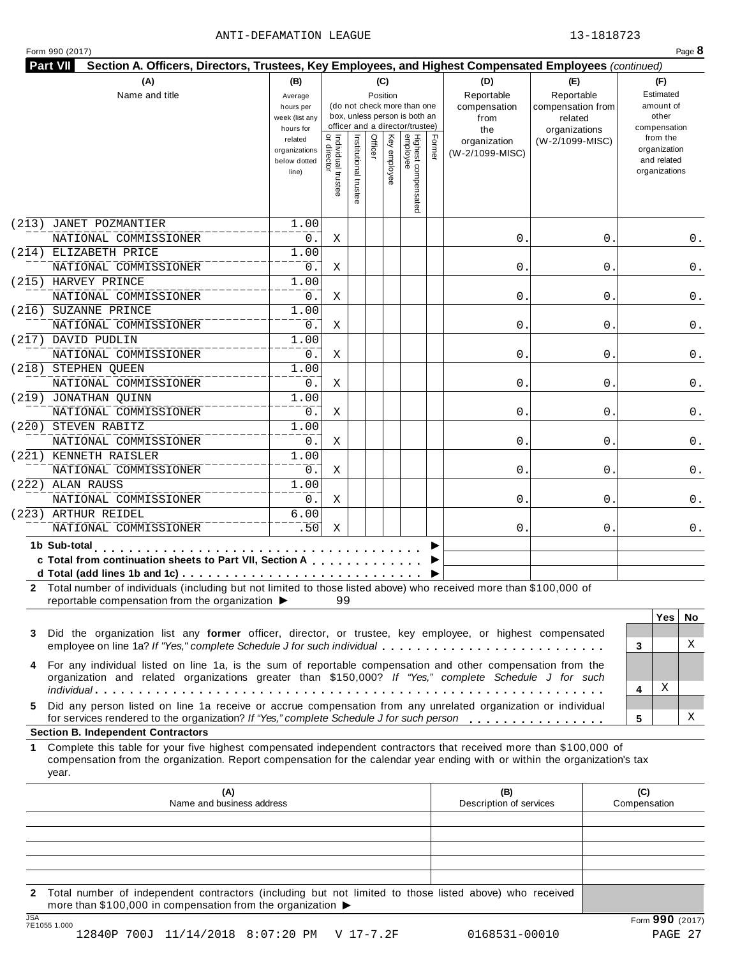|    | (A)<br>Name and title                                                                                                                                                                                                  | (B)<br>Average<br>hours per<br>week (list any<br>hours for |                                                 |                      | Position | (C)          | (do not check more than one<br>box, unless person is both an<br>officer and a director/trustee) |        | (D)<br>Reportable<br>compensation<br>from<br>the | (E)<br>Reportable<br>compensation from<br>related<br>organizations | (F)<br>Estimated<br>amount of<br>other<br>compensation   |
|----|------------------------------------------------------------------------------------------------------------------------------------------------------------------------------------------------------------------------|------------------------------------------------------------|-------------------------------------------------|----------------------|----------|--------------|-------------------------------------------------------------------------------------------------|--------|--------------------------------------------------|--------------------------------------------------------------------|----------------------------------------------------------|
|    |                                                                                                                                                                                                                        | related<br>organizations<br>below dotted<br>line)          | Individual trustee<br>  or director<br>director | Institutional truste | Officer  | Key employee | Highest compensated<br>employee                                                                 | Former | organization<br>(W-2/1099-MISC)                  | (W-2/1099-MISC)                                                    | from the<br>organization<br>and related<br>organizations |
|    | (213) JANET POZMANTIER                                                                                                                                                                                                 | 1.00                                                       |                                                 |                      |          |              |                                                                                                 |        |                                                  |                                                                    |                                                          |
|    | NATIONAL COMMISSIONER                                                                                                                                                                                                  | 0.                                                         | Χ                                               |                      |          |              |                                                                                                 |        | 0.                                               | 0                                                                  | 0.                                                       |
|    | (214) ELIZABETH PRICE                                                                                                                                                                                                  | 1.00                                                       |                                                 |                      |          |              |                                                                                                 |        |                                                  |                                                                    |                                                          |
|    | NATIONAL COMMISSIONER                                                                                                                                                                                                  | $0$ .                                                      | Χ                                               |                      |          |              |                                                                                                 |        | 0.                                               | 0                                                                  | 0.                                                       |
|    | (215) HARVEY PRINCE                                                                                                                                                                                                    | 1.00                                                       |                                                 |                      |          |              |                                                                                                 |        |                                                  |                                                                    |                                                          |
|    | NATIONAL COMMISSIONER                                                                                                                                                                                                  | $0$ .                                                      | Χ                                               |                      |          |              |                                                                                                 |        | 0.                                               | 0                                                                  | 0.                                                       |
|    | (216) SUZANNE PRINCE                                                                                                                                                                                                   | 1.00                                                       |                                                 |                      |          |              |                                                                                                 |        |                                                  |                                                                    |                                                          |
|    | NATIONAL COMMISSIONER                                                                                                                                                                                                  | 0.                                                         | Χ                                               |                      |          |              |                                                                                                 |        | 0.                                               | 0                                                                  | 0.                                                       |
|    | (217) DAVID PUDLIN                                                                                                                                                                                                     | 1.00                                                       |                                                 |                      |          |              |                                                                                                 |        |                                                  |                                                                    |                                                          |
|    | NATIONAL COMMISSIONER                                                                                                                                                                                                  | $0$ .                                                      | Χ                                               |                      |          |              |                                                                                                 |        | 0.                                               | 0                                                                  | 0.                                                       |
|    | (218) STEPHEN QUEEN                                                                                                                                                                                                    | 1.00                                                       |                                                 |                      |          |              |                                                                                                 |        |                                                  |                                                                    |                                                          |
|    | NATIONAL COMMISSIONER                                                                                                                                                                                                  | $0$ .                                                      | Χ                                               |                      |          |              |                                                                                                 |        | 0.                                               | 0                                                                  | 0.                                                       |
|    | (219) JONATHAN OUINN                                                                                                                                                                                                   | 1.00                                                       |                                                 |                      |          |              |                                                                                                 |        |                                                  |                                                                    |                                                          |
|    | NATIONAL COMMISSIONER                                                                                                                                                                                                  | 0.                                                         | Χ                                               |                      |          |              |                                                                                                 |        | 0.                                               | 0                                                                  | 0.                                                       |
|    | (220) STEVEN RABITZ                                                                                                                                                                                                    | 1.00                                                       |                                                 |                      |          |              |                                                                                                 |        |                                                  |                                                                    |                                                          |
|    | NATIONAL COMMISSIONER                                                                                                                                                                                                  | $0$ .                                                      | Χ                                               |                      |          |              |                                                                                                 |        | 0.                                               | 0                                                                  | 0.                                                       |
|    | (221) KENNETH RAISLER                                                                                                                                                                                                  | 1.00                                                       |                                                 |                      |          |              |                                                                                                 |        |                                                  |                                                                    |                                                          |
|    | NATIONAL COMMISSIONER                                                                                                                                                                                                  | $0$ .                                                      | Χ                                               |                      |          |              |                                                                                                 |        | 0.                                               | 0                                                                  | 0.                                                       |
|    | (222) ALAN RAUSS                                                                                                                                                                                                       | 1.00                                                       |                                                 |                      |          |              |                                                                                                 |        |                                                  |                                                                    |                                                          |
|    |                                                                                                                                                                                                                        |                                                            |                                                 |                      |          |              |                                                                                                 |        |                                                  |                                                                    |                                                          |
|    | NATIONAL COMMISSIONER                                                                                                                                                                                                  | 0.                                                         | Χ                                               |                      |          |              |                                                                                                 |        | 0.                                               | 0                                                                  | 0.                                                       |
|    | (223) ARTHUR REIDEL                                                                                                                                                                                                    | 6.00                                                       |                                                 |                      |          |              |                                                                                                 |        |                                                  |                                                                    |                                                          |
|    | NATIONAL COMMISSIONER                                                                                                                                                                                                  | .50                                                        | Χ                                               |                      |          |              |                                                                                                 |        | 0.                                               | $\mathsf{O}$ .                                                     | 0.                                                       |
|    | 1b Sub-total<br>c Total from continuation sheets to Part VII, Section A                                                                                                                                                |                                                            |                                                 |                      |          |              |                                                                                                 |        |                                                  |                                                                    |                                                          |
|    | 2 Total number of individuals (including but not limited to those listed above) who received more than \$100,000 of<br>reportable compensation from the organization ▶                                                 |                                                            | 99                                              |                      |          |              |                                                                                                 |        |                                                  |                                                                    |                                                          |
|    |                                                                                                                                                                                                                        |                                                            |                                                 |                      |          |              |                                                                                                 |        |                                                  |                                                                    | <b>Yes</b><br>No.                                        |
| 3  | Did the organization list any former officer, director, or trustee, key employee, or highest compensated<br>employee on line 1a? If "Yes," complete Schedule J for such individual                                     |                                                            |                                                 |                      |          |              |                                                                                                 |        |                                                  |                                                                    | X<br>3                                                   |
|    | 4 For any individual listed on line 1a, is the sum of reportable compensation and other compensation from the<br>organization and related organizations greater than \$150,000? If "Yes," complete Schedule J for such |                                                            |                                                 |                      |          |              |                                                                                                 |        |                                                  |                                                                    | х<br>4                                                   |
| 5. | Did any person listed on line 1a receive or accrue compensation from any unrelated organization or individual<br>for services rendered to the organization? If "Yes," complete Schedule J for such person              |                                                            |                                                 |                      |          |              |                                                                                                 |        |                                                  |                                                                    | Χ<br>5                                                   |
|    | <b>Section B. Independent Contractors</b><br>Complete this table for your five highest compensated independent contractors that received more than \$100,000 of                                                        |                                                            |                                                 |                      |          |              |                                                                                                 |        |                                                  |                                                                    |                                                          |
| 1. | compensation from the organization. Report compensation for the calendar year ending with or within the organization's tax<br>year.                                                                                    |                                                            |                                                 |                      |          |              |                                                                                                 |        |                                                  |                                                                    |                                                          |
|    | (A)<br>Name and business address                                                                                                                                                                                       |                                                            |                                                 |                      |          |              |                                                                                                 |        | (B)<br>Description of services                   |                                                                    | (C)<br>Compensation                                      |
|    |                                                                                                                                                                                                                        |                                                            |                                                 |                      |          |              |                                                                                                 |        |                                                  |                                                                    |                                                          |
|    |                                                                                                                                                                                                                        |                                                            |                                                 |                      |          |              |                                                                                                 |        |                                                  |                                                                    |                                                          |
|    |                                                                                                                                                                                                                        |                                                            |                                                 |                      |          |              |                                                                                                 |        |                                                  |                                                                    |                                                          |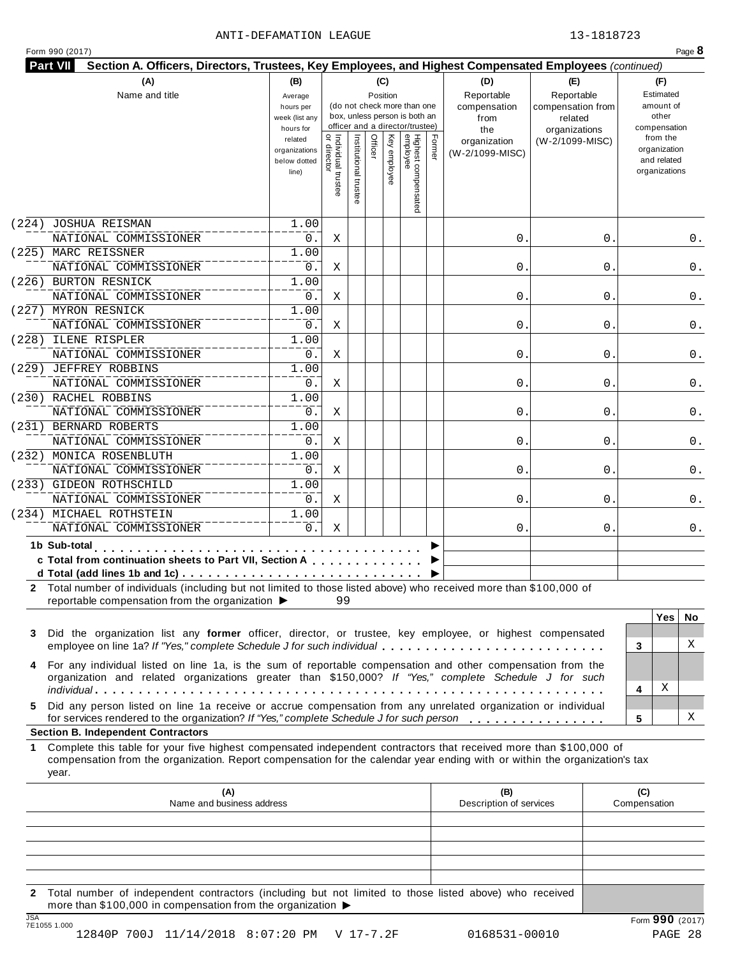|  | Form 990 (2017) |  |
|--|-----------------|--|
|  |                 |  |

|    | (A)<br>Name and title                                                                                                                                                                                                                                     | (B)<br>Average<br>hours per<br>week (list any<br>hours for |                                                 |                      |         | (C)<br>Position | (do not check more than one<br>box, unless person is both an<br>officer and a director/trustee) |        | (D)<br>Reportable<br>compensation<br>from<br>the | (E)<br>Reportable<br>compensation from<br>related<br>organizations | (F)<br>Estimated<br>amount of<br>other<br>compensation   |
|----|-----------------------------------------------------------------------------------------------------------------------------------------------------------------------------------------------------------------------------------------------------------|------------------------------------------------------------|-------------------------------------------------|----------------------|---------|-----------------|-------------------------------------------------------------------------------------------------|--------|--------------------------------------------------|--------------------------------------------------------------------|----------------------------------------------------------|
|    |                                                                                                                                                                                                                                                           | related<br>organizations<br>below dotted<br>line)          | Individual trustee<br>  or director<br>director | Institutional truste | Officer | Key employee    | Highest compensated<br>employee                                                                 | Former | organization<br>(W-2/1099-MISC)                  | (W-2/1099-MISC)                                                    | from the<br>organization<br>and related<br>organizations |
|    | (224) JOSHUA REISMAN                                                                                                                                                                                                                                      | 1.00                                                       |                                                 |                      |         |                 |                                                                                                 |        |                                                  |                                                                    |                                                          |
|    | NATIONAL COMMISSIONER                                                                                                                                                                                                                                     | 0.                                                         | Χ                                               |                      |         |                 |                                                                                                 |        | 0.                                               | 0                                                                  | 0.                                                       |
|    | (225) MARC REISSNER                                                                                                                                                                                                                                       | 1.00                                                       |                                                 |                      |         |                 |                                                                                                 |        |                                                  |                                                                    |                                                          |
|    | NATIONAL COMMISSIONER                                                                                                                                                                                                                                     | 0.                                                         | Χ                                               |                      |         |                 |                                                                                                 |        | 0.                                               | 0                                                                  | 0.                                                       |
|    | (226) BURTON RESNICK                                                                                                                                                                                                                                      | 1.00                                                       |                                                 |                      |         |                 |                                                                                                 |        |                                                  |                                                                    |                                                          |
|    | NATIONAL COMMISSIONER                                                                                                                                                                                                                                     | 0.                                                         | Χ                                               |                      |         |                 |                                                                                                 |        | 0.                                               | 0                                                                  | 0.                                                       |
|    | (227) MYRON RESNICK                                                                                                                                                                                                                                       | 1.00                                                       |                                                 |                      |         |                 |                                                                                                 |        |                                                  |                                                                    |                                                          |
|    | NATIONAL COMMISSIONER                                                                                                                                                                                                                                     | 0.                                                         | Χ                                               |                      |         |                 |                                                                                                 |        | 0.                                               | 0                                                                  | 0.                                                       |
|    | (228) ILENE RISPLER                                                                                                                                                                                                                                       | 1.00                                                       |                                                 |                      |         |                 |                                                                                                 |        |                                                  |                                                                    |                                                          |
|    | NATIONAL COMMISSIONER                                                                                                                                                                                                                                     | $0$ .                                                      | Χ                                               |                      |         |                 |                                                                                                 |        | 0.                                               | 0                                                                  | 0.                                                       |
|    | (229) JEFFREY ROBBINS                                                                                                                                                                                                                                     | 1.00                                                       |                                                 |                      |         |                 |                                                                                                 |        |                                                  |                                                                    |                                                          |
|    | NATIONAL COMMISSIONER                                                                                                                                                                                                                                     | $0$ .                                                      | Χ                                               |                      |         |                 |                                                                                                 |        | 0.                                               | 0                                                                  | 0.                                                       |
|    | (230) RACHEL ROBBINS                                                                                                                                                                                                                                      | 1.00                                                       |                                                 |                      |         |                 |                                                                                                 |        |                                                  |                                                                    |                                                          |
|    | NATIONAL COMMISSIONER                                                                                                                                                                                                                                     | 0.                                                         | Χ                                               |                      |         |                 |                                                                                                 |        | 0.                                               | 0                                                                  | 0.                                                       |
|    | (231) BERNARD ROBERTS                                                                                                                                                                                                                                     | 1.00                                                       |                                                 |                      |         |                 |                                                                                                 |        |                                                  |                                                                    |                                                          |
|    | NATIONAL COMMISSIONER                                                                                                                                                                                                                                     | $0$ .                                                      | Χ                                               |                      |         |                 |                                                                                                 |        | 0.                                               | 0                                                                  | 0.                                                       |
|    | (232) MONICA ROSENBLUTH                                                                                                                                                                                                                                   | 1.00                                                       |                                                 |                      |         |                 |                                                                                                 |        |                                                  |                                                                    |                                                          |
|    | NATIONAL COMMISSIONER                                                                                                                                                                                                                                     | $0$ .                                                      | Χ                                               |                      |         |                 |                                                                                                 |        | 0.                                               | 0                                                                  | 0.                                                       |
|    | (233) GIDEON ROTHSCHILD                                                                                                                                                                                                                                   | 1.00                                                       |                                                 |                      |         |                 |                                                                                                 |        |                                                  |                                                                    |                                                          |
|    | NATIONAL COMMISSIONER                                                                                                                                                                                                                                     | 0.                                                         | Χ                                               |                      |         |                 |                                                                                                 |        | 0.                                               | 0                                                                  | 0.                                                       |
|    | (234) MICHAEL ROTHSTEIN                                                                                                                                                                                                                                   | 1.00                                                       |                                                 |                      |         |                 |                                                                                                 |        |                                                  |                                                                    |                                                          |
|    | NATIONAL COMMISSIONER                                                                                                                                                                                                                                     | $0$ .                                                      | Χ                                               |                      |         |                 |                                                                                                 |        | 0.                                               | 0                                                                  | 0.                                                       |
|    |                                                                                                                                                                                                                                                           |                                                            |                                                 |                      |         |                 |                                                                                                 |        |                                                  |                                                                    |                                                          |
|    | 1b Sub-total<br>c Total from continuation sheets to Part VII, Section A                                                                                                                                                                                   |                                                            |                                                 |                      |         |                 |                                                                                                 |        |                                                  |                                                                    |                                                          |
|    | 2 Total number of individuals (including but not limited to those listed above) who received more than \$100,000 of<br>reportable compensation from the organization ▶                                                                                    |                                                            | 99                                              |                      |         |                 |                                                                                                 |        |                                                  |                                                                    |                                                          |
|    |                                                                                                                                                                                                                                                           |                                                            |                                                 |                      |         |                 |                                                                                                 |        |                                                  |                                                                    | <b>Yes</b><br>No.                                        |
| 3  | Did the organization list any former officer, director, or trustee, key employee, or highest compensated<br>employee on line 1a? If "Yes," complete Schedule J for such individual                                                                        |                                                            |                                                 |                      |         |                 |                                                                                                 |        |                                                  |                                                                    | X<br>3                                                   |
|    | 4 For any individual listed on line 1a, is the sum of reportable compensation and other compensation from the<br>organization and related organizations greater than \$150,000? If "Yes," complete Schedule J for such                                    |                                                            |                                                 |                      |         |                 |                                                                                                 |        |                                                  |                                                                    | х<br>4                                                   |
| 5. | Did any person listed on line 1a receive or accrue compensation from any unrelated organization or individual<br>for services rendered to the organization? If "Yes," complete Schedule J for such person                                                 |                                                            |                                                 |                      |         |                 |                                                                                                 |        |                                                  |                                                                    | Χ<br>5                                                   |
|    | <b>Section B. Independent Contractors</b>                                                                                                                                                                                                                 |                                                            |                                                 |                      |         |                 |                                                                                                 |        |                                                  |                                                                    |                                                          |
|    | Complete this table for your five highest compensated independent contractors that received more than \$100,000 of<br>compensation from the organization. Report compensation for the calendar year ending with or within the organization's tax<br>year. |                                                            |                                                 |                      |         |                 |                                                                                                 |        |                                                  |                                                                    |                                                          |
| 1. |                                                                                                                                                                                                                                                           |                                                            |                                                 |                      |         |                 |                                                                                                 |        | (B)<br>Description of services                   |                                                                    | (C)                                                      |
|    | (A)<br>Name and business address                                                                                                                                                                                                                          |                                                            |                                                 |                      |         |                 |                                                                                                 |        |                                                  |                                                                    | Compensation                                             |
|    |                                                                                                                                                                                                                                                           |                                                            |                                                 |                      |         |                 |                                                                                                 |        |                                                  |                                                                    |                                                          |
|    |                                                                                                                                                                                                                                                           |                                                            |                                                 |                      |         |                 |                                                                                                 |        |                                                  |                                                                    |                                                          |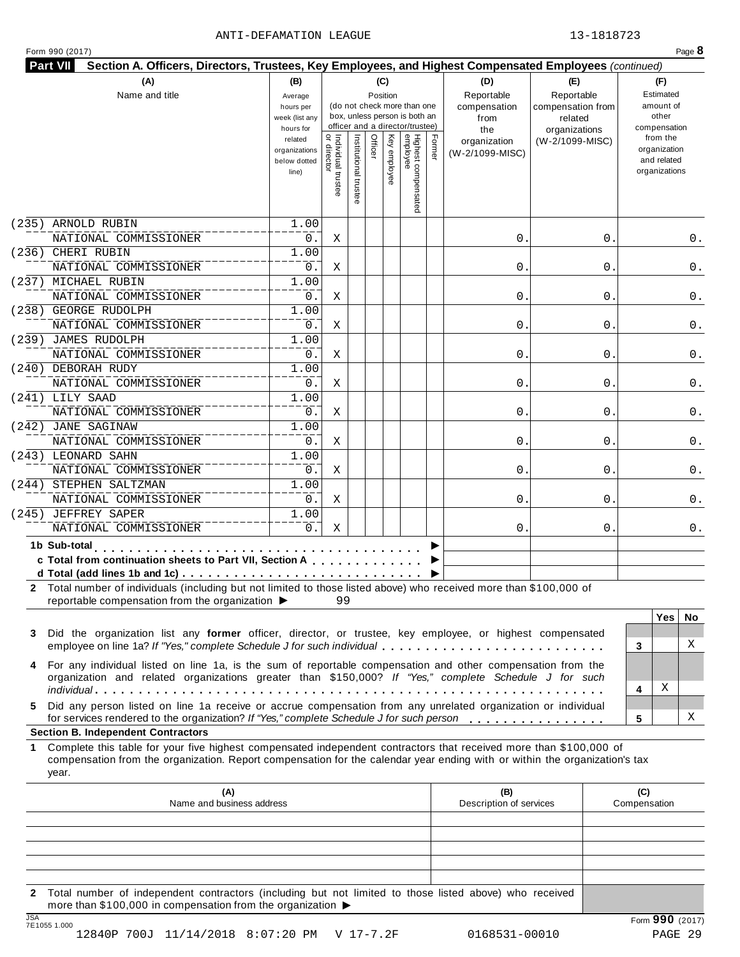|  | Form 990 (2017) |  |
|--|-----------------|--|
|  |                 |  |

|             | (235) ARNOLD RUBIN                                                                                                                                                                                                                                     | related<br>organizations<br>below dotted<br>line) | Individual trustee<br>or director | Officer<br>Institutional truste | Ķey      |                                 |        | the                             | organizations   | compensation                                             |
|-------------|--------------------------------------------------------------------------------------------------------------------------------------------------------------------------------------------------------------------------------------------------------|---------------------------------------------------|-----------------------------------|---------------------------------|----------|---------------------------------|--------|---------------------------------|-----------------|----------------------------------------------------------|
|             |                                                                                                                                                                                                                                                        |                                                   |                                   |                                 | employee | Highest compensated<br>employee | Former | organization<br>(W-2/1099-MISC) | (W-2/1099-MISC) | from the<br>organization<br>and related<br>organizations |
|             |                                                                                                                                                                                                                                                        | 1.00                                              |                                   |                                 |          |                                 |        |                                 |                 |                                                          |
|             | NATIONAL COMMISSIONER                                                                                                                                                                                                                                  | 0.                                                | Χ                                 |                                 |          |                                 |        | $\mathbf 0$ .                   | 0               | 0.                                                       |
|             | (236) CHERI RUBIN                                                                                                                                                                                                                                      | 1.00                                              |                                   |                                 |          |                                 |        |                                 |                 |                                                          |
|             | NATIONAL COMMISSIONER                                                                                                                                                                                                                                  | 0.                                                | Χ                                 |                                 |          |                                 |        | $\mathbf 0$ .                   | 0               | 0.                                                       |
|             | (237) MICHAEL RUBIN                                                                                                                                                                                                                                    | 1.00                                              |                                   |                                 |          |                                 |        |                                 |                 |                                                          |
|             | NATIONAL COMMISSIONER                                                                                                                                                                                                                                  | 0.                                                | Χ                                 |                                 |          |                                 |        | $\mathsf{O}$ .                  | 0               | 0.                                                       |
|             | (238) GEORGE RUDOLPH                                                                                                                                                                                                                                   | 1.00                                              |                                   |                                 |          |                                 |        |                                 |                 |                                                          |
|             | NATIONAL COMMISSIONER                                                                                                                                                                                                                                  | 0.                                                | Χ                                 |                                 |          |                                 |        | $\mathbf 0$ .                   | 0               | 0.                                                       |
|             | (239) JAMES RUDOLPH                                                                                                                                                                                                                                    | 1.00                                              |                                   |                                 |          |                                 |        |                                 |                 |                                                          |
|             | NATIONAL COMMISSIONER                                                                                                                                                                                                                                  | 0.                                                | Χ                                 |                                 |          |                                 |        | $\mathbf 0$ .                   | 0               | 0.                                                       |
|             | (240) DEBORAH RUDY                                                                                                                                                                                                                                     | 1.00                                              |                                   |                                 |          |                                 |        |                                 |                 |                                                          |
|             | NATIONAL COMMISSIONER                                                                                                                                                                                                                                  | 0.                                                | Χ                                 |                                 |          |                                 |        | $\mathsf{O}$ .                  | 0               | 0.                                                       |
|             | (241) LILY SAAD                                                                                                                                                                                                                                        | 1.00                                              |                                   |                                 |          |                                 |        |                                 |                 |                                                          |
|             | NATIONAL COMMISSIONER                                                                                                                                                                                                                                  | 0.                                                | Χ                                 |                                 |          |                                 |        | $\mathbf 0$ .                   | 0               | 0.                                                       |
|             | (242) JANE SAGINAW                                                                                                                                                                                                                                     | 1.00                                              |                                   |                                 |          |                                 |        |                                 |                 |                                                          |
|             | NATIONAL COMMISSIONER                                                                                                                                                                                                                                  | 0.                                                | Χ                                 |                                 |          |                                 |        | $\mathbf 0$ .                   | 0               | 0.                                                       |
|             | (243) LEONARD SAHN                                                                                                                                                                                                                                     | 1.00                                              |                                   |                                 |          |                                 |        |                                 |                 |                                                          |
|             | NATIONAL COMMISSIONER                                                                                                                                                                                                                                  | 0.                                                | Χ                                 |                                 |          |                                 |        | $\mathbf 0$ .                   | 0               | 0.                                                       |
|             | (244) STEPHEN SALTZMAN                                                                                                                                                                                                                                 | 1.00                                              |                                   |                                 |          |                                 |        |                                 |                 |                                                          |
|             | NATIONAL COMMISSIONER                                                                                                                                                                                                                                  | 0.                                                | Χ                                 |                                 |          |                                 |        | $\mathbf 0$ .                   | 0               | 0.                                                       |
|             | (245) JEFFREY SAPER                                                                                                                                                                                                                                    | 1.00                                              |                                   |                                 |          |                                 |        |                                 |                 |                                                          |
|             | NATIONAL COMMISSIONER                                                                                                                                                                                                                                  | 0.                                                | Χ                                 |                                 |          |                                 |        | 0.                              | 0               | 0.                                                       |
|             | 1b Sub-total<br>.<br>c Total from continuation sheets to Part VII, Section A<br>2 Total number of individuals (including but not limited to those listed above) who received more than \$100,000 of                                                    |                                                   |                                   |                                 |          |                                 |        |                                 |                 |                                                          |
|             | reportable compensation from the organization ▶                                                                                                                                                                                                        |                                                   | 99                                |                                 |          |                                 |        |                                 |                 | <b>Yes</b><br>No.                                        |
| 3           | Did the organization list any former officer, director, or trustee, key employee, or highest compensated<br>employee on line 1a? If "Yes," complete Schedule J for such individual                                                                     |                                                   |                                   |                                 |          |                                 |        |                                 |                 | X<br>3                                                   |
| 4           | For any individual listed on line 1a, is the sum of reportable compensation and other compensation from the<br>organization and related organizations greater than \$150,000? If "Yes," complete Schedule J for such                                   |                                                   |                                   |                                 |          |                                 |        |                                 |                 | Χ<br>4                                                   |
| 5.          | Did any person listed on line 1a receive or accrue compensation from any unrelated organization or individual<br>for services rendered to the organization? If "Yes," complete Schedule J for such person<br><b>Section B. Independent Contractors</b> |                                                   |                                   |                                 |          |                                 |        |                                 |                 | х<br>5                                                   |
| 1.<br>year. | Complete this table for your five highest compensated independent contractors that received more than \$100,000 of<br>compensation from the organization. Report compensation for the calendar year ending with or within the organization's tax       |                                                   |                                   |                                 |          |                                 |        |                                 |                 |                                                          |
|             | (A)<br>Name and business address                                                                                                                                                                                                                       |                                                   |                                   |                                 |          |                                 |        | (B)<br>Description of services  |                 | (C)<br>Compensation                                      |
|             |                                                                                                                                                                                                                                                        |                                                   |                                   |                                 |          |                                 |        |                                 |                 |                                                          |
|             |                                                                                                                                                                                                                                                        |                                                   |                                   |                                 |          |                                 |        |                                 |                 |                                                          |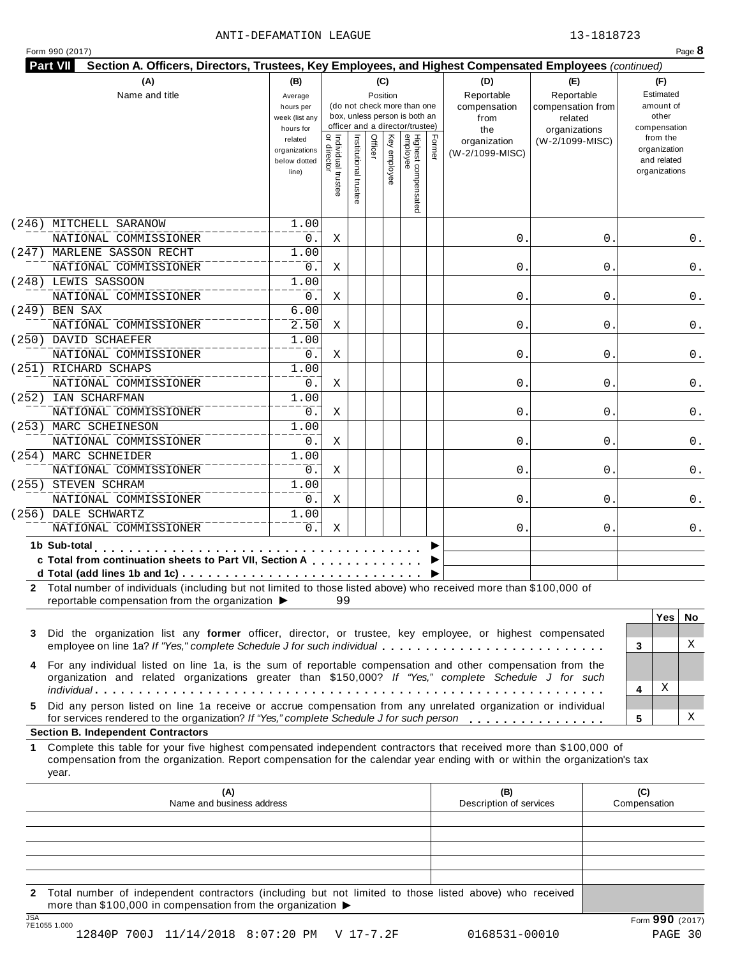| Form 990 (2017) |
|-----------------|
|-----------------|

|    | (A)<br>Name and title                                                                                                                                                                                                                                     | (B)<br>Average<br>hours per<br>week (list any<br>hours for |                                                 |                      |         | (C)<br>Position | (do not check more than one<br>box, unless person is both an<br>officer and a director/trustee) |        | (D)<br>Reportable<br>compensation<br>from<br>the | (E)<br>Reportable<br>compensation from<br>related<br>organizations | (F)<br>Estimated<br>amount of<br>other<br>compensation   |
|----|-----------------------------------------------------------------------------------------------------------------------------------------------------------------------------------------------------------------------------------------------------------|------------------------------------------------------------|-------------------------------------------------|----------------------|---------|-----------------|-------------------------------------------------------------------------------------------------|--------|--------------------------------------------------|--------------------------------------------------------------------|----------------------------------------------------------|
|    |                                                                                                                                                                                                                                                           | related<br>organizations<br>below dotted<br>line)          | Individual trustee<br>  or director<br>director | Institutional truste | Officer | Key employee    | Highest compensated<br>employee                                                                 | Former | organization<br>(W-2/1099-MISC)                  | (W-2/1099-MISC)                                                    | from the<br>organization<br>and related<br>organizations |
|    | (246) MITCHELL SARANOW                                                                                                                                                                                                                                    | 1.00                                                       |                                                 |                      |         |                 |                                                                                                 |        |                                                  |                                                                    |                                                          |
|    | NATIONAL COMMISSIONER                                                                                                                                                                                                                                     | 0.                                                         | Χ                                               |                      |         |                 |                                                                                                 |        | 0.                                               | 0                                                                  | 0.                                                       |
|    | (247) MARLENE SASSON RECHT                                                                                                                                                                                                                                | 1.00                                                       |                                                 |                      |         |                 |                                                                                                 |        |                                                  |                                                                    |                                                          |
|    | NATIONAL COMMISSIONER                                                                                                                                                                                                                                     | $0$ .                                                      | Χ                                               |                      |         |                 |                                                                                                 |        | 0.                                               | 0                                                                  | 0.                                                       |
|    | (248) LEWIS SASSOON                                                                                                                                                                                                                                       | 1.00                                                       |                                                 |                      |         |                 |                                                                                                 |        |                                                  |                                                                    |                                                          |
|    | NATIONAL COMMISSIONER                                                                                                                                                                                                                                     | $0$ .                                                      | Χ                                               |                      |         |                 |                                                                                                 |        | 0.                                               | 0                                                                  | 0.                                                       |
|    | (249) BEN SAX                                                                                                                                                                                                                                             | 6.00                                                       |                                                 |                      |         |                 |                                                                                                 |        |                                                  |                                                                    |                                                          |
|    | NATIONAL COMMISSIONER                                                                                                                                                                                                                                     | 2.50                                                       | Χ                                               |                      |         |                 |                                                                                                 |        | 0.                                               | 0                                                                  | 0.                                                       |
|    | (250) DAVID SCHAEFER                                                                                                                                                                                                                                      | 1.00                                                       |                                                 |                      |         |                 |                                                                                                 |        |                                                  |                                                                    |                                                          |
|    | NATIONAL COMMISSIONER                                                                                                                                                                                                                                     | $0$ .                                                      | Χ                                               |                      |         |                 |                                                                                                 |        | 0.                                               | 0                                                                  | 0.                                                       |
|    | (251) RICHARD SCHAPS                                                                                                                                                                                                                                      | 1.00                                                       |                                                 |                      |         |                 |                                                                                                 |        |                                                  |                                                                    |                                                          |
|    | NATIONAL COMMISSIONER                                                                                                                                                                                                                                     | $0$ .                                                      | Χ                                               |                      |         |                 |                                                                                                 |        | 0.                                               | 0                                                                  | 0.                                                       |
|    | (252) IAN SCHARFMAN                                                                                                                                                                                                                                       | 1.00                                                       |                                                 |                      |         |                 |                                                                                                 |        |                                                  |                                                                    |                                                          |
|    | NATIONAL COMMISSIONER                                                                                                                                                                                                                                     | 0.                                                         | Χ                                               |                      |         |                 |                                                                                                 |        | 0.                                               | 0                                                                  | 0.                                                       |
|    | (253) MARC SCHEINESON                                                                                                                                                                                                                                     | 1.00                                                       |                                                 |                      |         |                 |                                                                                                 |        |                                                  |                                                                    |                                                          |
|    | NATIONAL COMMISSIONER                                                                                                                                                                                                                                     | $0$ .                                                      | Χ                                               |                      |         |                 |                                                                                                 |        | 0.                                               | 0                                                                  | 0.                                                       |
|    | (254) MARC SCHNEIDER                                                                                                                                                                                                                                      | 1.00                                                       |                                                 |                      |         |                 |                                                                                                 |        |                                                  |                                                                    |                                                          |
|    | NATIONAL COMMISSIONER                                                                                                                                                                                                                                     | $0$ .                                                      | Χ                                               |                      |         |                 |                                                                                                 |        | 0.                                               | 0                                                                  | 0.                                                       |
|    | (255) STEVEN SCHRAM                                                                                                                                                                                                                                       | 1.00                                                       |                                                 |                      |         |                 |                                                                                                 |        |                                                  |                                                                    |                                                          |
|    | NATIONAL COMMISSIONER                                                                                                                                                                                                                                     | 0.                                                         | Χ                                               |                      |         |                 |                                                                                                 |        | 0.                                               | 0                                                                  | 0.                                                       |
|    | (256) DALE SCHWARTZ                                                                                                                                                                                                                                       | 1.00                                                       |                                                 |                      |         |                 |                                                                                                 |        |                                                  |                                                                    |                                                          |
|    | NATIONAL COMMISSIONER                                                                                                                                                                                                                                     | 0.                                                         | Χ                                               |                      |         |                 |                                                                                                 |        | 0.                                               | 0                                                                  | 0.                                                       |
|    |                                                                                                                                                                                                                                                           |                                                            |                                                 |                      |         |                 |                                                                                                 |        |                                                  |                                                                    |                                                          |
|    | 1b Sub-total<br>c Total from continuation sheets to Part VII, Section A                                                                                                                                                                                   |                                                            |                                                 |                      |         |                 |                                                                                                 |        |                                                  |                                                                    |                                                          |
|    | 2 Total number of individuals (including but not limited to those listed above) who received more than \$100,000 of<br>reportable compensation from the organization ▶                                                                                    |                                                            | 99                                              |                      |         |                 |                                                                                                 |        |                                                  |                                                                    |                                                          |
|    |                                                                                                                                                                                                                                                           |                                                            |                                                 |                      |         |                 |                                                                                                 |        |                                                  |                                                                    | <b>Yes</b><br>No.                                        |
| 3  | Did the organization list any former officer, director, or trustee, key employee, or highest compensated<br>employee on line 1a? If "Yes," complete Schedule J for such individual                                                                        |                                                            |                                                 |                      |         |                 |                                                                                                 |        |                                                  |                                                                    | X<br>3                                                   |
|    | 4 For any individual listed on line 1a, is the sum of reportable compensation and other compensation from the<br>organization and related organizations greater than \$150,000? If "Yes," complete Schedule J for such                                    |                                                            |                                                 |                      |         |                 |                                                                                                 |        |                                                  |                                                                    | х<br>4                                                   |
| 5. | Did any person listed on line 1a receive or accrue compensation from any unrelated organization or individual<br>for services rendered to the organization? If "Yes," complete Schedule J for such person                                                 |                                                            |                                                 |                      |         |                 |                                                                                                 |        |                                                  |                                                                    | Χ<br>5                                                   |
|    | <b>Section B. Independent Contractors</b>                                                                                                                                                                                                                 |                                                            |                                                 |                      |         |                 |                                                                                                 |        |                                                  |                                                                    |                                                          |
|    | Complete this table for your five highest compensated independent contractors that received more than \$100,000 of<br>compensation from the organization. Report compensation for the calendar year ending with or within the organization's tax<br>year. |                                                            |                                                 |                      |         |                 |                                                                                                 |        |                                                  |                                                                    |                                                          |
| 1. |                                                                                                                                                                                                                                                           |                                                            |                                                 |                      |         |                 |                                                                                                 |        | (B)<br>Description of services                   |                                                                    | (C)<br>Compensation                                      |
|    | (A)<br>Name and business address                                                                                                                                                                                                                          |                                                            |                                                 |                      |         |                 |                                                                                                 |        |                                                  |                                                                    |                                                          |
|    |                                                                                                                                                                                                                                                           |                                                            |                                                 |                      |         |                 |                                                                                                 |        |                                                  |                                                                    |                                                          |
|    |                                                                                                                                                                                                                                                           |                                                            |                                                 |                      |         |                 |                                                                                                 |        |                                                  |                                                                    |                                                          |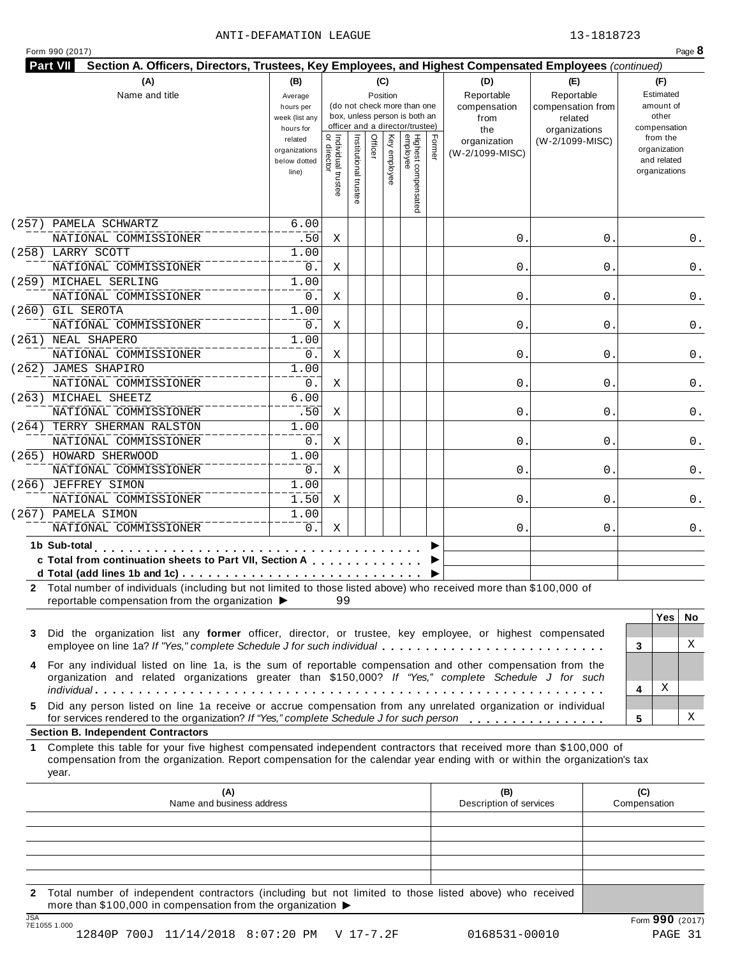| Form 990 (2017) |
|-----------------|
|-----------------|

| (A)<br>Name and title                                                                                                                                                                                                                                           | (B)<br>Average<br>hours per<br>week (list any<br>hours for |                                   | (do not check more than one<br>box, unless person is both an<br>officer and a director/trustee) | (C)<br>Position |                                 |        | (D)<br>Reportable<br>compensation<br>from<br>the | (E)<br>Reportable<br>compensation from<br>related<br>organizations | (F)<br>Estimated<br>amount of<br>other<br>compensation   |
|-----------------------------------------------------------------------------------------------------------------------------------------------------------------------------------------------------------------------------------------------------------------|------------------------------------------------------------|-----------------------------------|-------------------------------------------------------------------------------------------------|-----------------|---------------------------------|--------|--------------------------------------------------|--------------------------------------------------------------------|----------------------------------------------------------|
|                                                                                                                                                                                                                                                                 | related<br>organizations<br>below dotted<br>line)          | Individual trustee<br>or director | Officer<br>Institutional truste                                                                 | Ķey<br>employee | Highest compensated<br>employee | Former | organization<br>(W-2/1099-MISC)                  | (W-2/1099-MISC)                                                    | from the<br>organization<br>and related<br>organizations |
| (257) PAMELA SCHWARTZ                                                                                                                                                                                                                                           | 6.00                                                       |                                   |                                                                                                 |                 |                                 |        |                                                  |                                                                    |                                                          |
| NATIONAL COMMISSIONER                                                                                                                                                                                                                                           | .50                                                        | Χ                                 |                                                                                                 |                 |                                 |        | $\mathbf 0$ .                                    | 0                                                                  | 0.                                                       |
| (258) LARRY SCOTT                                                                                                                                                                                                                                               | 1.00                                                       |                                   |                                                                                                 |                 |                                 |        |                                                  |                                                                    |                                                          |
| NATIONAL COMMISSIONER                                                                                                                                                                                                                                           | 0.                                                         | Χ                                 |                                                                                                 |                 |                                 |        | $\mathbf 0$ .                                    | 0                                                                  | 0.                                                       |
| (259) MICHAEL SERLING                                                                                                                                                                                                                                           | 1.00                                                       |                                   |                                                                                                 |                 |                                 |        |                                                  |                                                                    |                                                          |
| NATIONAL COMMISSIONER                                                                                                                                                                                                                                           | 0.                                                         | Χ                                 |                                                                                                 |                 |                                 |        | $0$ .                                            | 0                                                                  | 0.                                                       |
| (260) GIL SEROTA                                                                                                                                                                                                                                                | 1.00                                                       |                                   |                                                                                                 |                 |                                 |        |                                                  |                                                                    |                                                          |
| NATIONAL COMMISSIONER                                                                                                                                                                                                                                           | 0.                                                         | Χ                                 |                                                                                                 |                 |                                 |        | $\mathbf 0$ .                                    | 0                                                                  | 0.                                                       |
| (261) NEAL SHAPERO                                                                                                                                                                                                                                              | 1.00                                                       |                                   |                                                                                                 |                 |                                 |        |                                                  |                                                                    |                                                          |
| NATIONAL COMMISSIONER                                                                                                                                                                                                                                           | 0.                                                         | Χ                                 |                                                                                                 |                 |                                 |        | $\mathbf 0$ .                                    | 0                                                                  | 0.                                                       |
| (262) JAMES SHAPIRO                                                                                                                                                                                                                                             | 1.00                                                       |                                   |                                                                                                 |                 |                                 |        |                                                  |                                                                    |                                                          |
| NATIONAL COMMISSIONER                                                                                                                                                                                                                                           | 0.                                                         | Χ                                 |                                                                                                 |                 |                                 |        | $\mathbf 0$ .                                    | 0                                                                  | 0.                                                       |
| (263) MICHAEL SHEETZ                                                                                                                                                                                                                                            | 6.00                                                       |                                   |                                                                                                 |                 |                                 |        |                                                  |                                                                    |                                                          |
| NATIONAL COMMISSIONER                                                                                                                                                                                                                                           | .50                                                        | Χ                                 |                                                                                                 |                 |                                 |        | $\mathbf 0$ .                                    | 0                                                                  | 0.                                                       |
| (264) TERRY SHERMAN RALSTON                                                                                                                                                                                                                                     | 1.00                                                       |                                   |                                                                                                 |                 |                                 |        |                                                  |                                                                    |                                                          |
| NATIONAL COMMISSIONER                                                                                                                                                                                                                                           | 0.                                                         | Χ                                 |                                                                                                 |                 |                                 |        | $\mathbf 0$ .                                    | 0                                                                  | 0.                                                       |
| (265) HOWARD SHERWOOD                                                                                                                                                                                                                                           | 1.00                                                       |                                   |                                                                                                 |                 |                                 |        |                                                  |                                                                    |                                                          |
| NATIONAL COMMISSIONER                                                                                                                                                                                                                                           | 0.                                                         | Χ                                 |                                                                                                 |                 |                                 |        | $\mathbf 0$ .                                    | 0                                                                  | 0.                                                       |
| (266) JEFFREY SIMON                                                                                                                                                                                                                                             | 1.00                                                       |                                   |                                                                                                 |                 |                                 |        |                                                  |                                                                    |                                                          |
| NATIONAL COMMISSIONER                                                                                                                                                                                                                                           | 1.50                                                       | Χ                                 |                                                                                                 |                 |                                 |        | $\mathbf 0$ .                                    | 0                                                                  | 0.                                                       |
| (267) PAMELA SIMON                                                                                                                                                                                                                                              | 1.00                                                       |                                   |                                                                                                 |                 |                                 |        |                                                  |                                                                    |                                                          |
| NATIONAL COMMISSIONER                                                                                                                                                                                                                                           | 0.                                                         | Χ                                 |                                                                                                 |                 |                                 |        | 0.                                               | 0                                                                  | 0.                                                       |
|                                                                                                                                                                                                                                                                 |                                                            |                                   |                                                                                                 |                 |                                 |        |                                                  |                                                                    |                                                          |
| 1b Sub-total<br>.<br>c Total from continuation sheets to Part VII, Section A<br>d Total (add lines 1b and 1c) $\ldots \ldots \ldots \ldots \ldots \ldots \ldots \ldots \ldots \ldots \ldots$                                                                    |                                                            |                                   |                                                                                                 |                 |                                 |        |                                                  |                                                                    |                                                          |
| 2 Total number of individuals (including but not limited to those listed above) who received more than \$100,000 of<br>reportable compensation from the organization ▶                                                                                          |                                                            | 99                                |                                                                                                 |                 |                                 |        |                                                  |                                                                    |                                                          |
| Did the organization list any former officer, director, or trustee, key employee, or highest compensated<br>3<br>employee on line 1a? If "Yes," complete Schedule J for such individual                                                                         |                                                            |                                   |                                                                                                 |                 |                                 |        |                                                  |                                                                    | <b>Yes</b><br>No.<br>X<br>3                              |
| For any individual listed on line 1a, is the sum of reportable compensation and other compensation from the<br>4<br>organization and related organizations greater than \$150,000? If "Yes," complete Schedule J for such                                       |                                                            |                                   |                                                                                                 |                 |                                 |        |                                                  |                                                                    | Χ<br>4                                                   |
| Did any person listed on line 1a receive or accrue compensation from any unrelated organization or individual<br>5.<br>for services rendered to the organization? If "Yes," complete Schedule J for such person<br><b>Section B. Independent Contractors</b>    |                                                            |                                   |                                                                                                 |                 |                                 |        |                                                  |                                                                    | х<br>5                                                   |
| Complete this table for your five highest compensated independent contractors that received more than \$100,000 of<br>1.<br>compensation from the organization. Report compensation for the calendar year ending with or within the organization's tax<br>year. |                                                            |                                   |                                                                                                 |                 |                                 |        |                                                  |                                                                    |                                                          |
| (A)<br>Name and business address                                                                                                                                                                                                                                |                                                            |                                   |                                                                                                 |                 |                                 |        | (B)<br>Description of services                   |                                                                    | (C)<br>Compensation                                      |
|                                                                                                                                                                                                                                                                 |                                                            |                                   |                                                                                                 |                 |                                 |        |                                                  |                                                                    |                                                          |
|                                                                                                                                                                                                                                                                 |                                                            |                                   |                                                                                                 |                 |                                 |        |                                                  |                                                                    |                                                          |
| 2 Total number of independent contractors (including but not limited to those listed above) who received<br>more than \$100,000 in compensation from the organization $\blacktriangleright$                                                                     |                                                            |                                   |                                                                                                 |                 |                                 |        |                                                  |                                                                    |                                                          |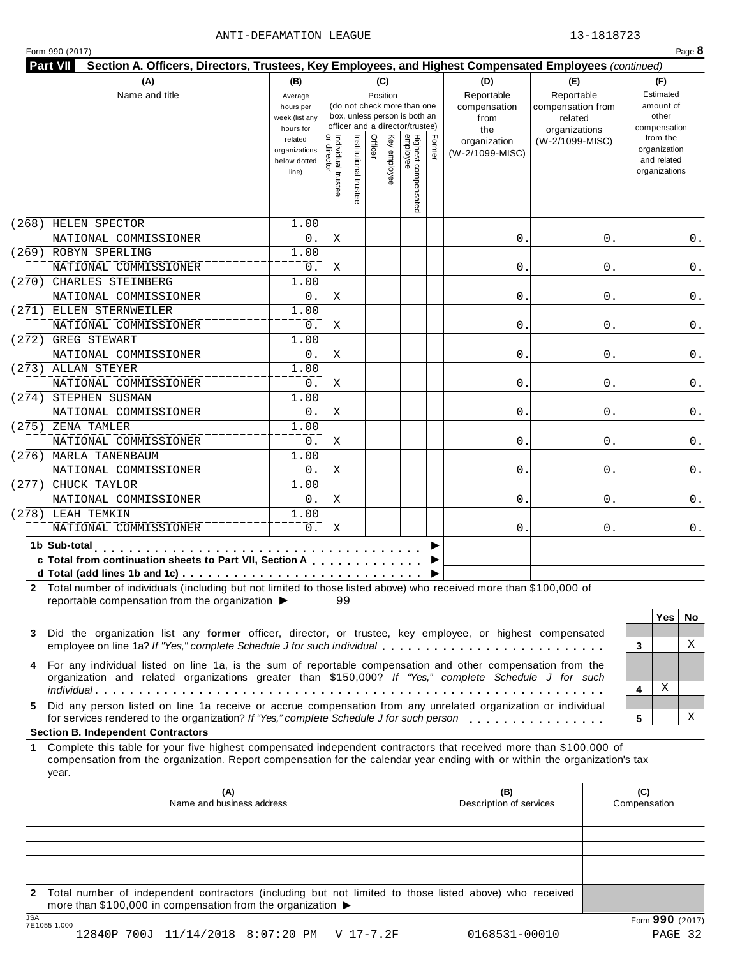|  | Form 990 (2017) |
|--|-----------------|
|  |                 |

| (A)<br>Name and title                                                                                                                                                                                                                                                                                        | (B)<br>Average<br>hours per<br>week (list any<br>hours for |                                     |                      |         | (C)<br>Position | (do not check more than one<br>box, unless person is both an<br>officer and a director/trustee) |        | (D)<br>Reportable<br>compensation<br>from<br>the | (E)<br>Reportable<br>compensation from<br>related<br>organizations | (F)<br>Estimated<br>amount of<br>other<br>compensation   |
|--------------------------------------------------------------------------------------------------------------------------------------------------------------------------------------------------------------------------------------------------------------------------------------------------------------|------------------------------------------------------------|-------------------------------------|----------------------|---------|-----------------|-------------------------------------------------------------------------------------------------|--------|--------------------------------------------------|--------------------------------------------------------------------|----------------------------------------------------------|
|                                                                                                                                                                                                                                                                                                              | related<br>organizations<br>below dotted<br>line)          | Individual trustee<br>  or director | Institutional truste | Officer | Key employee    | Highest compensated<br>employee                                                                 | Former | organization<br>(W-2/1099-MISC)                  | (W-2/1099-MISC)                                                    | from the<br>organization<br>and related<br>organizations |
| (268) HELEN SPECTOR                                                                                                                                                                                                                                                                                          | 1.00                                                       |                                     |                      |         |                 |                                                                                                 |        |                                                  |                                                                    |                                                          |
| NATIONAL COMMISSIONER                                                                                                                                                                                                                                                                                        | 0.                                                         | Χ                                   |                      |         |                 |                                                                                                 |        | 0.                                               | 0                                                                  | 0.                                                       |
| (269) ROBYN SPERLING                                                                                                                                                                                                                                                                                         | 1.00                                                       |                                     |                      |         |                 |                                                                                                 |        |                                                  |                                                                    |                                                          |
| NATIONAL COMMISSIONER                                                                                                                                                                                                                                                                                        | $0$ .                                                      | Χ                                   |                      |         |                 |                                                                                                 |        | 0.                                               | 0                                                                  | 0.                                                       |
| (270) CHARLES STEINBERG                                                                                                                                                                                                                                                                                      | 1.00                                                       |                                     |                      |         |                 |                                                                                                 |        |                                                  |                                                                    |                                                          |
| NATIONAL COMMISSIONER                                                                                                                                                                                                                                                                                        | 0.                                                         | Χ                                   |                      |         |                 |                                                                                                 |        | 0.                                               | 0                                                                  | 0.                                                       |
| (271) ELLEN STERNWEILER                                                                                                                                                                                                                                                                                      | 1.00                                                       |                                     |                      |         |                 |                                                                                                 |        |                                                  |                                                                    |                                                          |
| NATIONAL COMMISSIONER                                                                                                                                                                                                                                                                                        | $0$ .                                                      | Χ                                   |                      |         |                 |                                                                                                 |        | 0.                                               | 0                                                                  | 0.                                                       |
| (272) GREG STEWART                                                                                                                                                                                                                                                                                           | 1.00                                                       |                                     |                      |         |                 |                                                                                                 |        |                                                  |                                                                    |                                                          |
| NATIONAL COMMISSIONER                                                                                                                                                                                                                                                                                        | $0$ .                                                      | Χ                                   |                      |         |                 |                                                                                                 |        | 0.                                               | 0                                                                  | 0.                                                       |
| (273) ALLAN STEYER                                                                                                                                                                                                                                                                                           | 1.00                                                       |                                     |                      |         |                 |                                                                                                 |        |                                                  |                                                                    |                                                          |
| NATIONAL COMMISSIONER                                                                                                                                                                                                                                                                                        | $0$ .                                                      | Χ                                   |                      |         |                 |                                                                                                 |        | 0.                                               | 0                                                                  | 0.                                                       |
| (274) STEPHEN SUSMAN                                                                                                                                                                                                                                                                                         | 1.00                                                       |                                     |                      |         |                 |                                                                                                 |        |                                                  |                                                                    |                                                          |
| NATIONAL COMMISSIONER                                                                                                                                                                                                                                                                                        | $0$ .                                                      | Χ                                   |                      |         |                 |                                                                                                 |        | 0.                                               | 0                                                                  | 0.                                                       |
| (275) ZENA TAMLER                                                                                                                                                                                                                                                                                            | 1.00                                                       |                                     |                      |         |                 |                                                                                                 |        |                                                  |                                                                    |                                                          |
| NATIONAL COMMISSIONER                                                                                                                                                                                                                                                                                        | $0$ .                                                      | Χ                                   |                      |         |                 |                                                                                                 |        | 0.                                               | 0                                                                  | 0.                                                       |
| (276) MARLA TANENBAUM                                                                                                                                                                                                                                                                                        | 1.00                                                       |                                     |                      |         |                 |                                                                                                 |        |                                                  |                                                                    |                                                          |
| NATIONAL COMMISSIONER                                                                                                                                                                                                                                                                                        | $0$ .                                                      | Χ                                   |                      |         |                 |                                                                                                 |        | 0.                                               | 0                                                                  | 0.                                                       |
| (277) CHUCK TAYLOR                                                                                                                                                                                                                                                                                           | 1.00                                                       |                                     |                      |         |                 |                                                                                                 |        |                                                  |                                                                    |                                                          |
| NATIONAL COMMISSIONER                                                                                                                                                                                                                                                                                        | 0.                                                         | Χ                                   |                      |         |                 |                                                                                                 |        | 0.                                               | 0                                                                  | 0.                                                       |
| (278) LEAH TEMKIN                                                                                                                                                                                                                                                                                            | 1.00                                                       |                                     |                      |         |                 |                                                                                                 |        |                                                  |                                                                    |                                                          |
| NATIONAL COMMISSIONER                                                                                                                                                                                                                                                                                        | 0.                                                         | Χ                                   |                      |         |                 |                                                                                                 |        | 0.                                               | 0                                                                  | 0.                                                       |
| 1b Sub-total<br>c Total from continuation sheets to Part VII, Section A<br>2 Total number of individuals (including but not limited to those listed above) who received more than \$100,000 of<br>reportable compensation from the organization ▶                                                            |                                                            | 99                                  |                      |         |                 |                                                                                                 |        |                                                  |                                                                    |                                                          |
| Did the organization list any former officer, director, or trustee, key employee, or highest compensated<br>3<br>employee on line 1a? If "Yes," complete Schedule J for such individual                                                                                                                      |                                                            |                                     |                      |         |                 |                                                                                                 |        |                                                  |                                                                    | <b>Yes</b><br>No.<br>X<br>3                              |
| 4 For any individual listed on line 1a, is the sum of reportable compensation and other compensation from the<br>organization and related organizations greater than \$150,000? If "Yes," complete Schedule J for such                                                                                       |                                                            |                                     |                      |         |                 |                                                                                                 |        |                                                  |                                                                    | х<br>4                                                   |
| Did any person listed on line 1a receive or accrue compensation from any unrelated organization or individual<br>5.                                                                                                                                                                                          |                                                            |                                     |                      |         |                 |                                                                                                 |        |                                                  |                                                                    |                                                          |
| for services rendered to the organization? If "Yes," complete Schedule J for such person                                                                                                                                                                                                                     |                                                            |                                     |                      |         |                 |                                                                                                 |        |                                                  |                                                                    | Χ<br>5                                                   |
| <b>Section B. Independent Contractors</b><br>Complete this table for your five highest compensated independent contractors that received more than \$100,000 of<br>1.<br>compensation from the organization. Report compensation for the calendar year ending with or within the organization's tax<br>year. |                                                            |                                     |                      |         |                 |                                                                                                 |        |                                                  |                                                                    |                                                          |
| (A)<br>Name and business address                                                                                                                                                                                                                                                                             |                                                            |                                     |                      |         |                 |                                                                                                 |        | (B)<br>Description of services                   |                                                                    | (C)<br>Compensation                                      |
|                                                                                                                                                                                                                                                                                                              |                                                            |                                     |                      |         |                 |                                                                                                 |        |                                                  |                                                                    |                                                          |
| 2 Total number of independent contractors (including but not limited to those listed above) who received                                                                                                                                                                                                     |                                                            |                                     |                      |         |                 |                                                                                                 |        |                                                  |                                                                    |                                                          |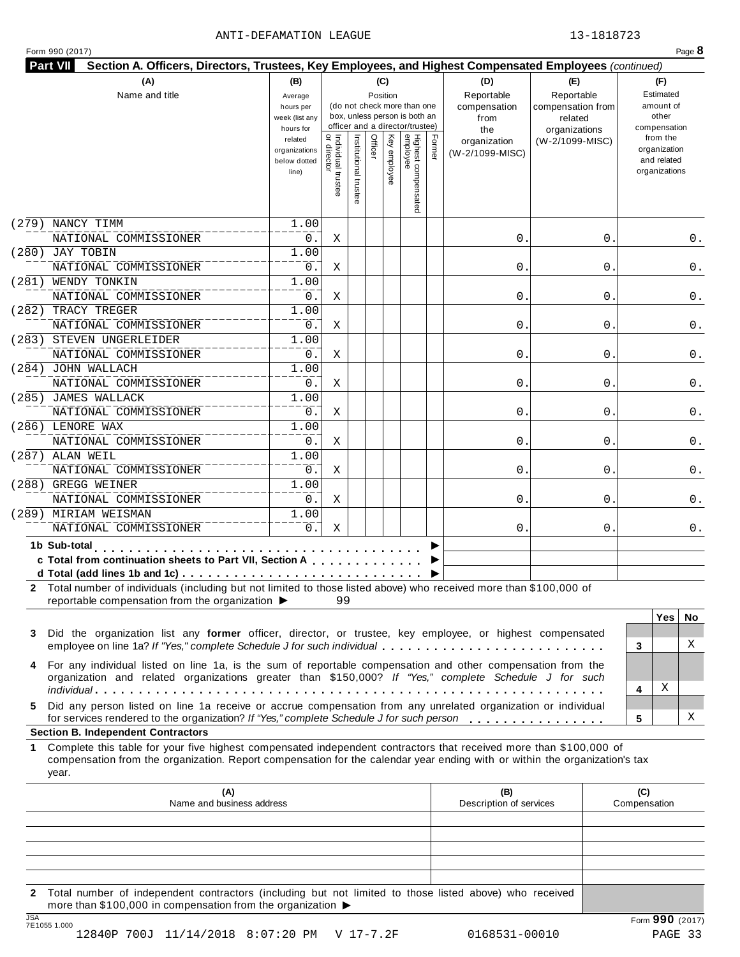|  | Form 990 (2017) |  |
|--|-----------------|--|
|  |                 |  |

| (A)<br>Name and title                                                                                                                                                                                                                                                     | (B)<br>Average<br>hours per<br>week (list any<br>hours for |                                   |                      |         | (C)<br>Position | (do not check more than one<br>box, unless person is both an<br>officer and a director/trustee) |        | (D)<br>Reportable<br>compensation<br>from<br>the | (E)<br>Reportable<br>compensation from<br>related<br>organizations | (F)<br>Estimated<br>amount of<br>other<br>compensation   |
|---------------------------------------------------------------------------------------------------------------------------------------------------------------------------------------------------------------------------------------------------------------------------|------------------------------------------------------------|-----------------------------------|----------------------|---------|-----------------|-------------------------------------------------------------------------------------------------|--------|--------------------------------------------------|--------------------------------------------------------------------|----------------------------------------------------------|
|                                                                                                                                                                                                                                                                           | related<br>organizations<br>below dotted<br>line)          | Individual trustee<br>or director | Institutional truste | Officer | Ķey<br>employee | Highest compensated<br>employee                                                                 | Former | organization<br>(W-2/1099-MISC)                  | (W-2/1099-MISC)                                                    | from the<br>organization<br>and related<br>organizations |
| (279) NANCY TIMM                                                                                                                                                                                                                                                          | 1.00                                                       |                                   |                      |         |                 |                                                                                                 |        |                                                  |                                                                    |                                                          |
| NATIONAL COMMISSIONER                                                                                                                                                                                                                                                     | 0.                                                         | Χ                                 |                      |         |                 |                                                                                                 |        | 0                                                | 0                                                                  | 0.                                                       |
| (280) JAY TOBIN                                                                                                                                                                                                                                                           | 1.00                                                       |                                   |                      |         |                 |                                                                                                 |        |                                                  |                                                                    |                                                          |
| NATIONAL COMMISSIONER                                                                                                                                                                                                                                                     | 0.                                                         | Χ                                 |                      |         |                 |                                                                                                 |        | $\mathbf 0$ .                                    | 0                                                                  | 0.                                                       |
| (281) WENDY TONKIN                                                                                                                                                                                                                                                        | 1.00                                                       |                                   |                      |         |                 |                                                                                                 |        |                                                  |                                                                    |                                                          |
| NATIONAL COMMISSIONER                                                                                                                                                                                                                                                     | 0.                                                         | Χ                                 |                      |         |                 |                                                                                                 |        | $0$ .                                            | 0                                                                  | 0.                                                       |
| (282) TRACY TREGER                                                                                                                                                                                                                                                        | 1.00                                                       |                                   |                      |         |                 |                                                                                                 |        |                                                  |                                                                    |                                                          |
| NATIONAL COMMISSIONER                                                                                                                                                                                                                                                     | 0.                                                         | Χ                                 |                      |         |                 |                                                                                                 |        | $\mathbf 0$ .                                    | 0                                                                  | 0.                                                       |
| (283) STEVEN UNGERLEIDER                                                                                                                                                                                                                                                  | 1.00                                                       |                                   |                      |         |                 |                                                                                                 |        |                                                  |                                                                    |                                                          |
| NATIONAL COMMISSIONER                                                                                                                                                                                                                                                     | 0.                                                         | Χ                                 |                      |         |                 |                                                                                                 |        | $\mathbf 0$ .                                    | 0                                                                  | 0.                                                       |
| (284) JOHN WALLACH                                                                                                                                                                                                                                                        | 1.00                                                       |                                   |                      |         |                 |                                                                                                 |        |                                                  |                                                                    |                                                          |
| NATIONAL COMMISSIONER                                                                                                                                                                                                                                                     | 0.                                                         | Χ                                 |                      |         |                 |                                                                                                 |        | $0$ .                                            | 0                                                                  | 0.                                                       |
| (285) JAMES WALLACK                                                                                                                                                                                                                                                       | 1.00                                                       |                                   |                      |         |                 |                                                                                                 |        |                                                  |                                                                    |                                                          |
| NATIONAL COMMISSIONER                                                                                                                                                                                                                                                     | 0.                                                         | Χ                                 |                      |         |                 |                                                                                                 |        | $\mathbf 0$ .                                    | 0                                                                  | 0.                                                       |
| (286) LENORE WAX                                                                                                                                                                                                                                                          | 1.00                                                       |                                   |                      |         |                 |                                                                                                 |        |                                                  |                                                                    |                                                          |
| NATIONAL COMMISSIONER                                                                                                                                                                                                                                                     | 0.                                                         | Χ                                 |                      |         |                 |                                                                                                 |        | $\mathbf 0$ .                                    | 0                                                                  | 0.                                                       |
| (287) ALAN WEIL                                                                                                                                                                                                                                                           | 1.00                                                       |                                   |                      |         |                 |                                                                                                 |        |                                                  |                                                                    |                                                          |
| NATIONAL COMMISSIONER                                                                                                                                                                                                                                                     | 0.                                                         | Χ                                 |                      |         |                 |                                                                                                 |        | $0$ .                                            | 0                                                                  | 0.                                                       |
| (288) GREGG WEINER                                                                                                                                                                                                                                                        | 1.00                                                       |                                   |                      |         |                 |                                                                                                 |        |                                                  |                                                                    |                                                          |
| NATIONAL COMMISSIONER                                                                                                                                                                                                                                                     | 0.                                                         | Χ                                 |                      |         |                 |                                                                                                 |        | $\mathbf 0$ .                                    | 0                                                                  | 0.                                                       |
| (289) MIRIAM WEISMAN                                                                                                                                                                                                                                                      | 1.00                                                       |                                   |                      |         |                 |                                                                                                 |        |                                                  |                                                                    |                                                          |
| NATIONAL COMMISSIONER                                                                                                                                                                                                                                                     | 0.                                                         | Χ                                 |                      |         |                 |                                                                                                 |        | 0.                                               | 0                                                                  | 0.                                                       |
| 1b Sub-total                                                                                                                                                                                                                                                              |                                                            |                                   |                      |         |                 |                                                                                                 |        |                                                  |                                                                    |                                                          |
| .<br>c Total from continuation sheets to Part VII, Section A<br>2 Total number of individuals (including but not limited to those listed above) who received more than \$100,000 of<br>reportable compensation from the organization ▶                                    |                                                            | 99                                |                      |         |                 |                                                                                                 |        |                                                  |                                                                    |                                                          |
| Did the organization list any former officer, director, or trustee, key employee, or highest compensated<br>3<br>employee on line 1a? If "Yes," complete Schedule J for such individual                                                                                   |                                                            |                                   |                      |         |                 |                                                                                                 |        |                                                  |                                                                    | <b>Yes</b><br>No.<br>X<br>3                              |
| For any individual listed on line 1a, is the sum of reportable compensation and other compensation from the<br>4<br>organization and related organizations greater than \$150,000? If "Yes," complete Schedule J for such                                                 |                                                            |                                   |                      |         |                 |                                                                                                 |        |                                                  |                                                                    | Χ<br>4                                                   |
| Did any person listed on line 1a receive or accrue compensation from any unrelated organization or individual<br>5.                                                                                                                                                       |                                                            |                                   |                      |         |                 |                                                                                                 |        |                                                  |                                                                    |                                                          |
| for services rendered to the organization? If "Yes," complete Schedule J for such person                                                                                                                                                                                  |                                                            |                                   |                      |         |                 |                                                                                                 |        |                                                  |                                                                    | х<br>5                                                   |
| <b>Section B. Independent Contractors</b>                                                                                                                                                                                                                                 |                                                            |                                   |                      |         |                 |                                                                                                 |        |                                                  |                                                                    |                                                          |
| Complete this table for your five highest compensated independent contractors that received more than \$100,000 of<br>$\mathbf{1}$<br>compensation from the organization. Report compensation for the calendar year ending with or within the organization's tax<br>year. |                                                            |                                   |                      |         |                 |                                                                                                 |        |                                                  |                                                                    |                                                          |
| (A)<br>Name and business address                                                                                                                                                                                                                                          |                                                            |                                   |                      |         |                 |                                                                                                 |        | (B)<br>Description of services                   |                                                                    | (C)<br>Compensation                                      |
|                                                                                                                                                                                                                                                                           |                                                            |                                   |                      |         |                 |                                                                                                 |        |                                                  |                                                                    |                                                          |
| 2 Total number of independent contractors (including but not limited to those listed above) who received                                                                                                                                                                  |                                                            |                                   |                      |         |                 |                                                                                                 |        |                                                  |                                                                    |                                                          |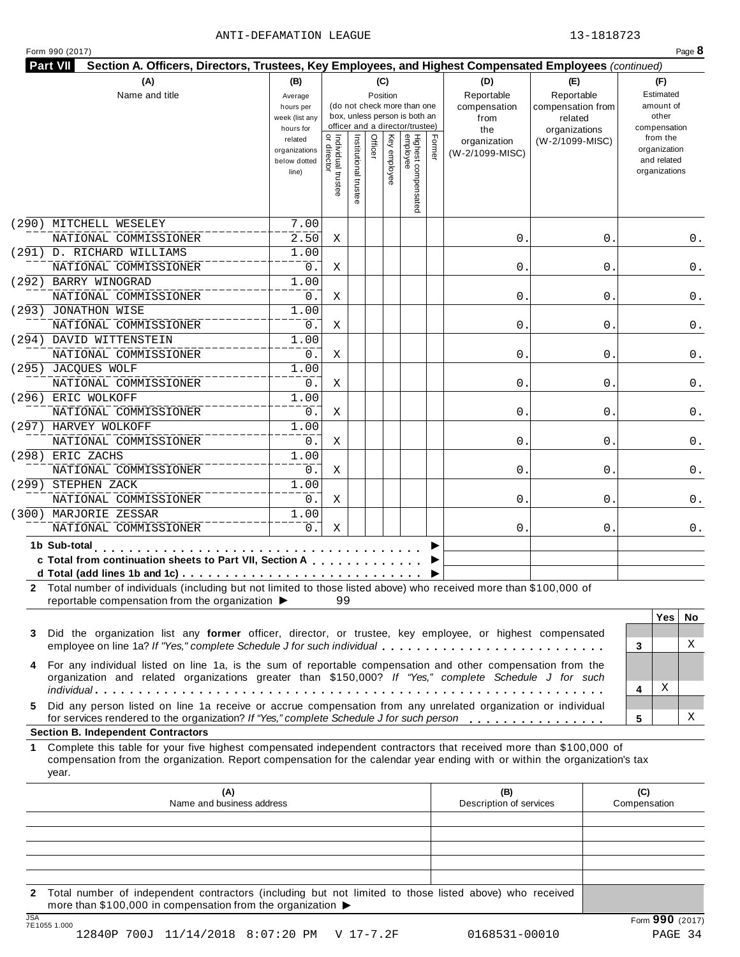|             | (A)<br>Name and title                                                                                                                                                                                                                                                                    | (B)<br>Average<br>hours per<br>week (list any<br>hours for |                                   |                     | (C)<br>Position |                 | (do not check more than one<br>box, unless person is both an<br>officer and a director/trustee) |        | (D)<br>Reportable<br>compensation<br>from<br>the | (E)<br>Reportable<br>compensation from<br>related<br>organizations | (F)<br>Estimated<br>amount of<br>other<br>compensation   |
|-------------|------------------------------------------------------------------------------------------------------------------------------------------------------------------------------------------------------------------------------------------------------------------------------------------|------------------------------------------------------------|-----------------------------------|---------------------|-----------------|-----------------|-------------------------------------------------------------------------------------------------|--------|--------------------------------------------------|--------------------------------------------------------------------|----------------------------------------------------------|
|             |                                                                                                                                                                                                                                                                                          | related<br>organizations<br>below dotted<br>line)          | Individual trustee<br>or director | Institutional trust | Officer         | Key<br>employee | Highest compensated<br>employee                                                                 | Former | organization<br>(W-2/1099-MISC)                  | (W-2/1099-MISC)                                                    | from the<br>organization<br>and related<br>organizations |
|             | (290) MITCHELL WESELEY                                                                                                                                                                                                                                                                   | 7.00                                                       |                                   |                     |                 |                 |                                                                                                 |        |                                                  |                                                                    |                                                          |
|             | NATIONAL COMMISSIONER                                                                                                                                                                                                                                                                    | 2.50                                                       | X                                 |                     |                 |                 |                                                                                                 |        | $\mathsf{O}$ .                                   | 0                                                                  | 0.                                                       |
|             | (291) D. RICHARD WILLIAMS                                                                                                                                                                                                                                                                | 1.00                                                       |                                   |                     |                 |                 |                                                                                                 |        |                                                  |                                                                    |                                                          |
|             | NATIONAL COMMISSIONER                                                                                                                                                                                                                                                                    | 0.                                                         | Χ                                 |                     |                 |                 |                                                                                                 |        | $\mathsf{O}$ .                                   | 0                                                                  | 0.                                                       |
|             | (292) BARRY WINOGRAD                                                                                                                                                                                                                                                                     | 1.00                                                       |                                   |                     |                 |                 |                                                                                                 |        |                                                  |                                                                    |                                                          |
|             | NATIONAL COMMISSIONER                                                                                                                                                                                                                                                                    | $0$ .                                                      | Χ                                 |                     |                 |                 |                                                                                                 |        | $\mathsf{O}$ .                                   | 0                                                                  | 0.                                                       |
|             | (293) JONATHON WISE                                                                                                                                                                                                                                                                      | 1.00                                                       |                                   |                     |                 |                 |                                                                                                 |        |                                                  |                                                                    |                                                          |
|             | NATIONAL COMMISSIONER                                                                                                                                                                                                                                                                    | 0.                                                         | Χ                                 |                     |                 |                 |                                                                                                 |        | $\mathsf{O}$ .                                   | 0                                                                  | 0.                                                       |
|             | (294) DAVID WITTENSTEIN                                                                                                                                                                                                                                                                  | 1.00                                                       |                                   |                     |                 |                 |                                                                                                 |        |                                                  |                                                                    |                                                          |
|             | NATIONAL COMMISSIONER                                                                                                                                                                                                                                                                    | 0.                                                         | Χ                                 |                     |                 |                 |                                                                                                 |        | $\mathsf{O}$ .                                   | 0                                                                  | 0.                                                       |
|             | (295) JACQUES WOLF                                                                                                                                                                                                                                                                       | 1.00                                                       |                                   |                     |                 |                 |                                                                                                 |        |                                                  |                                                                    |                                                          |
|             | NATIONAL COMMISSIONER                                                                                                                                                                                                                                                                    | $0$ .                                                      | Χ                                 |                     |                 |                 |                                                                                                 |        | $\mathsf{O}$ .                                   | 0                                                                  | 0.                                                       |
|             | (296) ERIC WOLKOFF                                                                                                                                                                                                                                                                       | 1.00                                                       |                                   |                     |                 |                 |                                                                                                 |        |                                                  |                                                                    |                                                          |
|             | NATIONAL COMMISSIONER                                                                                                                                                                                                                                                                    | $0$ .                                                      | Χ                                 |                     |                 |                 |                                                                                                 |        | $\mathsf{O}$ .                                   | 0                                                                  | 0.                                                       |
|             | (297) HARVEY WOLKOFF                                                                                                                                                                                                                                                                     | 1.00                                                       |                                   |                     |                 |                 |                                                                                                 |        |                                                  |                                                                    |                                                          |
|             | NATIONAL COMMISSIONER                                                                                                                                                                                                                                                                    | 0.                                                         | Χ                                 |                     |                 |                 |                                                                                                 |        | $\mathsf{O}$ .                                   | 0                                                                  | 0.                                                       |
|             | (298) ERIC ZACHS                                                                                                                                                                                                                                                                         | 1.00                                                       |                                   |                     |                 |                 |                                                                                                 |        |                                                  |                                                                    |                                                          |
|             | NATIONAL COMMISSIONER                                                                                                                                                                                                                                                                    | $0$ .                                                      | Χ                                 |                     |                 |                 |                                                                                                 |        | $\mathsf{O}$ .                                   | 0                                                                  | 0.                                                       |
|             | (299) STEPHEN ZACK                                                                                                                                                                                                                                                                       |                                                            |                                   |                     |                 |                 |                                                                                                 |        |                                                  |                                                                    |                                                          |
|             |                                                                                                                                                                                                                                                                                          | 1.00                                                       |                                   |                     |                 |                 |                                                                                                 |        |                                                  |                                                                    |                                                          |
|             | NATIONAL COMMISSIONER                                                                                                                                                                                                                                                                    | $0$ .                                                      | Χ                                 |                     |                 |                 |                                                                                                 |        | $\mathsf{O}$ .                                   | 0                                                                  | 0.                                                       |
|             | (300) MARJORIE ZESSAR                                                                                                                                                                                                                                                                    | 1.00                                                       |                                   |                     |                 |                 |                                                                                                 |        |                                                  |                                                                    |                                                          |
|             | NATIONAL COMMISSIONER                                                                                                                                                                                                                                                                    | $0$ .                                                      | Χ                                 |                     |                 |                 |                                                                                                 |        | 0.                                               | 0                                                                  | 0.                                                       |
|             | 1b Sub-total experience in the set of the set of the set of the set of the set of the set of the set of the set of the set of the set of the set of the set of the set of the set of the set of the set of the set of the set<br>c Total from continuation sheets to Part VII, Section A |                                                            |                                   |                     |                 |                 |                                                                                                 |        |                                                  |                                                                    |                                                          |
|             | 2 Total number of individuals (including but not limited to those listed above) who received more than \$100,000 of<br>reportable compensation from the organization ▶                                                                                                                   |                                                            | 99                                |                     |                 |                 |                                                                                                 |        |                                                  |                                                                    |                                                          |
|             |                                                                                                                                                                                                                                                                                          |                                                            |                                   |                     |                 |                 |                                                                                                 |        |                                                  |                                                                    | <b>Yes</b><br>No.                                        |
|             | Did the organization list any former officer, director, or trustee, key employee, or highest compensated<br>employee on line 1a? If "Yes," complete Schedule J for such individual                                                                                                       |                                                            |                                   |                     |                 |                 |                                                                                                 |        |                                                  |                                                                    | X<br>3                                                   |
|             | For any individual listed on line 1a, is the sum of reportable compensation and other compensation from the                                                                                                                                                                              |                                                            |                                   |                     |                 |                 |                                                                                                 |        |                                                  |                                                                    |                                                          |
|             | organization and related organizations greater than \$150,000? If "Yes," complete Schedule J for such                                                                                                                                                                                    |                                                            |                                   |                     |                 |                 |                                                                                                 |        |                                                  |                                                                    | Χ<br>4                                                   |
| 3<br>4<br>5 | Did any person listed on line 1a receive or accrue compensation from any unrelated organization or individual<br>for services rendered to the organization? If "Yes," complete Schedule J for such person                                                                                |                                                            |                                   |                     |                 |                 |                                                                                                 |        |                                                  |                                                                    | Χ<br>5                                                   |
|             | <b>Section B. Independent Contractors</b>                                                                                                                                                                                                                                                |                                                            |                                   |                     |                 |                 |                                                                                                 |        |                                                  |                                                                    |                                                          |
| 1.          | Complete this table for your five highest compensated independent contractors that received more than \$100,000 of<br>compensation from the organization. Report compensation for the calendar year ending with or within the organization's tax<br>year.                                |                                                            |                                   |                     |                 |                 |                                                                                                 |        |                                                  |                                                                    |                                                          |
|             | (A)<br>Name and business address                                                                                                                                                                                                                                                         |                                                            |                                   |                     |                 |                 |                                                                                                 |        | (B)<br>Description of services                   |                                                                    | (C)<br>Compensation                                      |
|             |                                                                                                                                                                                                                                                                                          |                                                            |                                   |                     |                 |                 |                                                                                                 |        |                                                  |                                                                    |                                                          |
|             |                                                                                                                                                                                                                                                                                          |                                                            |                                   |                     |                 |                 |                                                                                                 |        |                                                  |                                                                    |                                                          |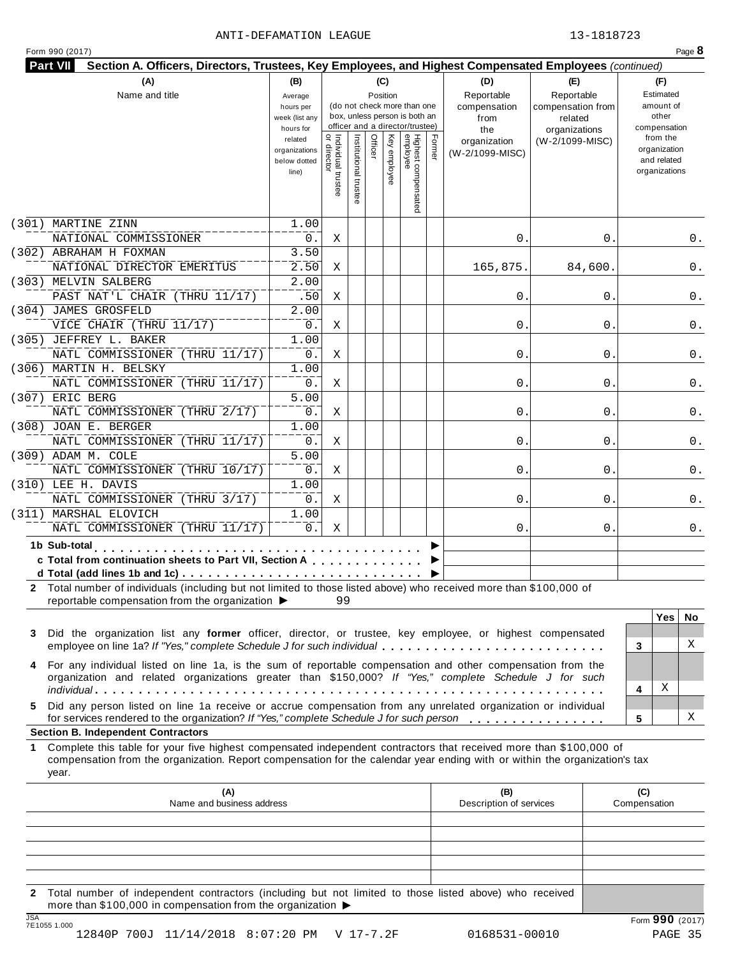| Form 990 (2017) |
|-----------------|
|-----------------|

| (A)<br>Name and title                                                                                                                                                                                                                                                                                        | (B)<br>Average<br>hours per<br>week (list any<br>hours for | (C)<br>Position<br>(do not check more than one<br>box, unless person is both an<br>officer and a director/trustee) |                    |         |                 |                                 |                                | (D)<br>Reportable<br>compensation<br>from<br>the | (E)<br>Reportable<br>compensation from<br>related<br>organizations | (F)<br>Estimated<br>amount of<br>other<br>compensation   |
|--------------------------------------------------------------------------------------------------------------------------------------------------------------------------------------------------------------------------------------------------------------------------------------------------------------|------------------------------------------------------------|--------------------------------------------------------------------------------------------------------------------|--------------------|---------|-----------------|---------------------------------|--------------------------------|--------------------------------------------------|--------------------------------------------------------------------|----------------------------------------------------------|
|                                                                                                                                                                                                                                                                                                              | related<br>organizations<br>below dotted<br>line)          | Individual trustee<br>or director                                                                                  | Institutional trus | Officer | Κey<br>employee | Highest compensated<br>employee | Former                         | organization<br>(W-2/1099-MISC)                  | (W-2/1099-MISC)                                                    | from the<br>organization<br>and related<br>organizations |
| (301) MARTINE ZINN                                                                                                                                                                                                                                                                                           | 1.00                                                       |                                                                                                                    |                    |         |                 |                                 |                                |                                                  |                                                                    |                                                          |
| NATIONAL COMMISSIONER                                                                                                                                                                                                                                                                                        | 0.                                                         | Χ                                                                                                                  |                    |         |                 |                                 |                                | $\mathbf{0}$ .                                   | 0                                                                  | 0.                                                       |
| (302) ABRAHAM H FOXMAN                                                                                                                                                                                                                                                                                       | 3.50                                                       |                                                                                                                    |                    |         |                 |                                 |                                |                                                  |                                                                    |                                                          |
| NATIONAL DIRECTOR EMERITUS                                                                                                                                                                                                                                                                                   | 2.50                                                       | Χ                                                                                                                  |                    |         |                 |                                 |                                | 165,875.                                         | 84,600.                                                            | 0.                                                       |
| (303) MELVIN SALBERG                                                                                                                                                                                                                                                                                         | 2.00                                                       |                                                                                                                    |                    |         |                 |                                 |                                |                                                  |                                                                    |                                                          |
| PAST NAT'L CHAIR (THRU 11/17)                                                                                                                                                                                                                                                                                | .50                                                        | Χ                                                                                                                  |                    |         |                 |                                 |                                | 0                                                | 0                                                                  | 0.                                                       |
| (304) JAMES GROSFELD                                                                                                                                                                                                                                                                                         | 2.00                                                       |                                                                                                                    |                    |         |                 |                                 |                                |                                                  |                                                                    |                                                          |
| VICE CHAIR (THRU 11/17)                                                                                                                                                                                                                                                                                      | 0.                                                         | Χ                                                                                                                  |                    |         |                 |                                 |                                | $\mathbf{0}$ .                                   | 0                                                                  | 0.                                                       |
| (305) JEFFREY L. BAKER                                                                                                                                                                                                                                                                                       | 1.00                                                       |                                                                                                                    |                    |         |                 |                                 |                                |                                                  |                                                                    |                                                          |
| NATL COMMISSIONER (THRU 11/17)                                                                                                                                                                                                                                                                               | 0.                                                         | Χ                                                                                                                  |                    |         |                 |                                 |                                | $\mathbf{0}$ .                                   | 0                                                                  | 0.                                                       |
| (306) MARTIN H. BELSKY                                                                                                                                                                                                                                                                                       | 1.00                                                       |                                                                                                                    |                    |         |                 |                                 |                                |                                                  |                                                                    |                                                          |
| NATL COMMISSIONER (THRU 11/17)                                                                                                                                                                                                                                                                               | $0$ .                                                      | Χ                                                                                                                  |                    |         |                 |                                 |                                | 0.                                               | 0                                                                  | 0.                                                       |
| (307) ERIC BERG                                                                                                                                                                                                                                                                                              | 5.00                                                       |                                                                                                                    |                    |         |                 |                                 |                                |                                                  |                                                                    |                                                          |
| NATL COMMISSIONER (THRU 2/17)                                                                                                                                                                                                                                                                                | $0$ .                                                      | Χ                                                                                                                  |                    |         |                 |                                 |                                | 0.                                               | 0                                                                  | 0.                                                       |
| (308) JOAN E. BERGER                                                                                                                                                                                                                                                                                         | 1.00                                                       |                                                                                                                    |                    |         |                 |                                 |                                |                                                  |                                                                    |                                                          |
| NATL COMMISSIONER (THRU 11/17)                                                                                                                                                                                                                                                                               | 0.                                                         | Χ                                                                                                                  |                    |         |                 |                                 |                                | $\mathbf{0}$ .                                   | 0                                                                  | 0.                                                       |
| (309) ADAM M. COLE                                                                                                                                                                                                                                                                                           | $\overline{5.00}$                                          |                                                                                                                    |                    |         |                 |                                 |                                |                                                  |                                                                    |                                                          |
| NATL COMMISSIONER (THRU 10/17)                                                                                                                                                                                                                                                                               | $0$ .                                                      | Χ                                                                                                                  |                    |         |                 |                                 |                                | 0.                                               | 0                                                                  | 0.                                                       |
| (310) LEE H. DAVIS                                                                                                                                                                                                                                                                                           | 1.00                                                       |                                                                                                                    |                    |         |                 |                                 |                                |                                                  |                                                                    |                                                          |
| NATL COMMISSIONER (THRU 3/17)                                                                                                                                                                                                                                                                                | 0.                                                         | Χ                                                                                                                  |                    |         |                 |                                 |                                | 0.                                               | 0                                                                  | 0.                                                       |
| (311) MARSHAL ELOVICH                                                                                                                                                                                                                                                                                        | 1.00                                                       |                                                                                                                    |                    |         |                 |                                 |                                |                                                  |                                                                    |                                                          |
| NATL COMMISSIONER (THRU 11/17)<br>1b Sub-total                                                                                                                                                                                                                                                               | 0.                                                         | Χ                                                                                                                  |                    |         |                 |                                 |                                | 0.                                               | 0                                                                  | 0.                                                       |
| c Total from continuation sheets to Part VII, Section A<br>2 Total number of individuals (including but not limited to those listed above) who received more than \$100,000 of<br>reportable compensation from the organization ▶                                                                            |                                                            | 99                                                                                                                 |                    |         |                 |                                 |                                |                                                  |                                                                    |                                                          |
| Did the organization list any former officer, director, or trustee, key employee, or highest compensated<br>3<br>employee on line 1a? If "Yes," complete Schedule J for such individual                                                                                                                      |                                                            |                                                                                                                    |                    |         |                 |                                 |                                |                                                  |                                                                    | <b>Yes</b><br>No.<br>X<br>3                              |
| For any individual listed on line 1a, is the sum of reportable compensation and other compensation from the<br>4<br>organization and related organizations greater than \$150,000? If "Yes," complete Schedule J for such                                                                                    |                                                            |                                                                                                                    |                    |         |                 |                                 |                                |                                                  |                                                                    | х<br>4                                                   |
| Did any person listed on line 1a receive or accrue compensation from any unrelated organization or individual<br>5                                                                                                                                                                                           |                                                            |                                                                                                                    |                    |         |                 |                                 |                                |                                                  |                                                                    |                                                          |
| for services rendered to the organization? If "Yes," complete Schedule J for such person                                                                                                                                                                                                                     |                                                            |                                                                                                                    |                    |         |                 |                                 |                                |                                                  |                                                                    | Χ<br>5                                                   |
| <b>Section B. Independent Contractors</b><br>Complete this table for your five highest compensated independent contractors that received more than \$100,000 of<br>1.<br>compensation from the organization. Report compensation for the calendar year ending with or within the organization's tax<br>year. |                                                            |                                                                                                                    |                    |         |                 |                                 |                                |                                                  |                                                                    |                                                          |
| (A)<br>Name and business address                                                                                                                                                                                                                                                                             |                                                            |                                                                                                                    |                    |         |                 |                                 | (B)<br>Description of services | (C)<br>Compensation                              |                                                                    |                                                          |
|                                                                                                                                                                                                                                                                                                              |                                                            |                                                                                                                    |                    |         |                 |                                 |                                |                                                  |                                                                    |                                                          |
| 2 Total number of independent contractors (including but not limited to those listed above) who received<br>more than \$100,000 in compensation from the organization $\blacktriangleright$                                                                                                                  |                                                            |                                                                                                                    |                    |         |                 |                                 |                                |                                                  |                                                                    |                                                          |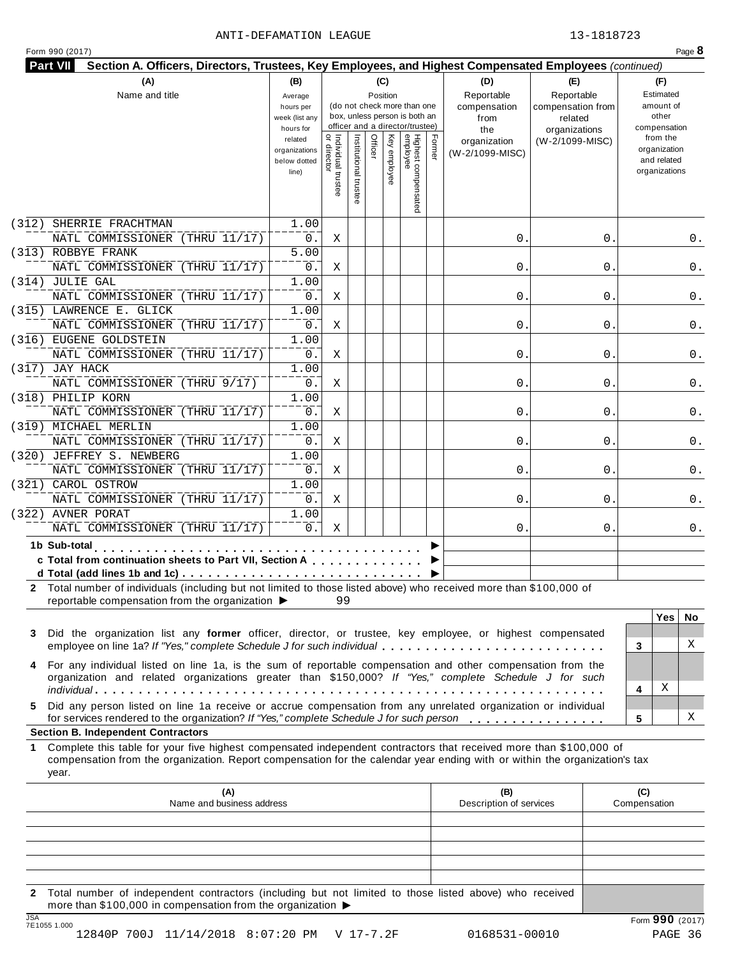| (A)<br>Name and title                                                                                                                                                                                                                                           | (B)<br>Average<br>hours per<br>week (list any<br>hours for | (C)<br>Position<br>(do not check more than one<br>box, unless person is both an<br>officer and a director/trustee)<br>$\overline{5}$ |                        |         |                   |                                 |                                | (D)<br>Reportable<br>compensation<br>from<br>the | (E)<br>Reportable<br>compensation from<br>related<br>organizations | (F)<br>Estimated<br>amount of<br>other<br>compensation   |
|-----------------------------------------------------------------------------------------------------------------------------------------------------------------------------------------------------------------------------------------------------------------|------------------------------------------------------------|--------------------------------------------------------------------------------------------------------------------------------------|------------------------|---------|-------------------|---------------------------------|--------------------------------|--------------------------------------------------|--------------------------------------------------------------------|----------------------------------------------------------|
|                                                                                                                                                                                                                                                                 | related<br>organizations<br>below dotted<br>line)          | dividual trustee                                                                                                                     | Institutional<br>$\Xi$ | Officer | Ķey<br>y employee | Highest compensated<br>employee | Former                         | organization<br>(W-2/1099-MISC)                  | (W-2/1099-MISC)                                                    | from the<br>organization<br>and related<br>organizations |
| SHERRIE FRACHTMAN<br>(312)                                                                                                                                                                                                                                      | 1.00                                                       |                                                                                                                                      |                        |         |                   |                                 |                                |                                                  |                                                                    |                                                          |
| NATL COMMISSIONER (THRU 11/17)                                                                                                                                                                                                                                  | 0.                                                         | Χ                                                                                                                                    |                        |         |                   |                                 |                                | 0                                                | 0                                                                  | 0.                                                       |
| (313) ROBBYE FRANK                                                                                                                                                                                                                                              | 5.00                                                       |                                                                                                                                      |                        |         |                   |                                 |                                |                                                  |                                                                    |                                                          |
| NATL COMMISSIONER (THRU 11/17)                                                                                                                                                                                                                                  | 0.                                                         | Χ                                                                                                                                    |                        |         |                   |                                 |                                | $0$ .                                            | 0                                                                  | 0.                                                       |
| (314) JULIE GAL                                                                                                                                                                                                                                                 | 1.00                                                       |                                                                                                                                      |                        |         |                   |                                 |                                |                                                  |                                                                    |                                                          |
| NATL COMMISSIONER (THRU 11/17)                                                                                                                                                                                                                                  | 0.                                                         | Χ                                                                                                                                    |                        |         |                   |                                 |                                | 0                                                | 0                                                                  | 0.                                                       |
| (315) LAWRENCE E. GLICK                                                                                                                                                                                                                                         | 1.00                                                       |                                                                                                                                      |                        |         |                   |                                 |                                |                                                  |                                                                    |                                                          |
| NATL COMMISSIONER (THRU 11/17)                                                                                                                                                                                                                                  | 0.                                                         | Χ                                                                                                                                    |                        |         |                   |                                 |                                | $0$ .                                            | 0                                                                  | 0.                                                       |
| (316) EUGENE GOLDSTEIN                                                                                                                                                                                                                                          | 1.00                                                       |                                                                                                                                      |                        |         |                   |                                 |                                |                                                  |                                                                    |                                                          |
| NATL COMMISSIONER (THRU 11/17)                                                                                                                                                                                                                                  | 0.                                                         | Χ                                                                                                                                    |                        |         |                   |                                 |                                | 0                                                | 0                                                                  | 0.                                                       |
| (317) JAY HACK                                                                                                                                                                                                                                                  | 1.00                                                       |                                                                                                                                      |                        |         |                   |                                 |                                |                                                  |                                                                    |                                                          |
| NATL COMMISSIONER (THRU 9/17)                                                                                                                                                                                                                                   | 0.                                                         | Χ                                                                                                                                    |                        |         |                   |                                 |                                | $\mathbf 0$ .                                    | 0                                                                  | 0.                                                       |
| (318) PHILIP KORN                                                                                                                                                                                                                                               | 1.00                                                       |                                                                                                                                      |                        |         |                   |                                 |                                |                                                  |                                                                    |                                                          |
| NATL COMMISSIONER (THRU 11/17)                                                                                                                                                                                                                                  | 0.                                                         | Χ                                                                                                                                    |                        |         |                   |                                 |                                | $0$ .                                            | 0                                                                  | 0.                                                       |
| (319) MICHAEL MERLIN                                                                                                                                                                                                                                            | 1.00                                                       |                                                                                                                                      |                        |         |                   |                                 |                                |                                                  |                                                                    |                                                          |
| NATL COMMISSIONER (THRU 11/17)                                                                                                                                                                                                                                  | 0.                                                         | Χ                                                                                                                                    |                        |         |                   |                                 |                                | 0                                                | 0                                                                  | 0.                                                       |
| (320) JEFFREY S. NEWBERG                                                                                                                                                                                                                                        | 1.00                                                       |                                                                                                                                      |                        |         |                   |                                 |                                |                                                  |                                                                    |                                                          |
| NATL COMMISSIONER (THRU 11/17)                                                                                                                                                                                                                                  | 0.                                                         | Χ                                                                                                                                    |                        |         |                   |                                 |                                | $0$ .                                            | 0                                                                  | 0.                                                       |
| (321) CAROL OSTROW                                                                                                                                                                                                                                              | 1.00                                                       |                                                                                                                                      |                        |         |                   |                                 |                                |                                                  |                                                                    |                                                          |
| NATL COMMISSIONER (THRU 11/17)                                                                                                                                                                                                                                  | 0.                                                         | Χ                                                                                                                                    |                        |         |                   |                                 |                                | 0                                                | 0                                                                  | 0.                                                       |
| (322) AVNER PORAT                                                                                                                                                                                                                                               | 1.00                                                       |                                                                                                                                      |                        |         |                   |                                 |                                |                                                  |                                                                    |                                                          |
| NATL COMMISSIONER (THRU 11/17)                                                                                                                                                                                                                                  | 0.                                                         | Χ                                                                                                                                    |                        |         |                   |                                 |                                | 0.                                               | 0                                                                  | 0.                                                       |
| 1b Sub-total<br>c Total from continuation sheets to Part VII, Section A<br>2 Total number of individuals (including but not limited to those listed above) who received more than \$100,000 of<br>reportable compensation from the organization ▶               |                                                            | 99                                                                                                                                   |                        |         |                   |                                 |                                |                                                  |                                                                    |                                                          |
| Did the organization list any former officer, director, or trustee, key employee, or highest compensated<br>3<br>employee on line 1a? If "Yes," complete Schedule J for such individual                                                                         |                                                            |                                                                                                                                      |                        |         |                   |                                 |                                |                                                  |                                                                    | <b>Yes</b><br>No.<br>X<br>3                              |
| 4 For any individual listed on line 1a, is the sum of reportable compensation and other compensation from the<br>organization and related organizations greater than \$150,000? If "Yes," complete Schedule J for such                                          |                                                            |                                                                                                                                      |                        |         |                   |                                 |                                |                                                  |                                                                    | Χ<br>4                                                   |
| Did any person listed on line 1a receive or accrue compensation from any unrelated organization or individual<br>5                                                                                                                                              |                                                            |                                                                                                                                      |                        |         |                   |                                 |                                |                                                  |                                                                    |                                                          |
| for services rendered to the organization? If "Yes," complete Schedule J for such person                                                                                                                                                                        |                                                            |                                                                                                                                      |                        |         |                   |                                 |                                |                                                  |                                                                    | х<br>5                                                   |
| <b>Section B. Independent Contractors</b>                                                                                                                                                                                                                       |                                                            |                                                                                                                                      |                        |         |                   |                                 |                                |                                                  |                                                                    |                                                          |
| Complete this table for your five highest compensated independent contractors that received more than \$100,000 of<br>1.<br>compensation from the organization. Report compensation for the calendar year ending with or within the organization's tax<br>year. |                                                            |                                                                                                                                      |                        |         |                   |                                 |                                |                                                  |                                                                    |                                                          |
| (A)<br>Name and business address                                                                                                                                                                                                                                |                                                            |                                                                                                                                      |                        |         |                   |                                 | (B)<br>Description of services |                                                  | (C)<br>Compensation                                                |                                                          |
|                                                                                                                                                                                                                                                                 |                                                            |                                                                                                                                      |                        |         |                   |                                 |                                |                                                  |                                                                    |                                                          |
| 2 Total number of independent contractors (including but not limited to those listed above) who received                                                                                                                                                        |                                                            |                                                                                                                                      |                        |         |                   |                                 |                                |                                                  |                                                                    |                                                          |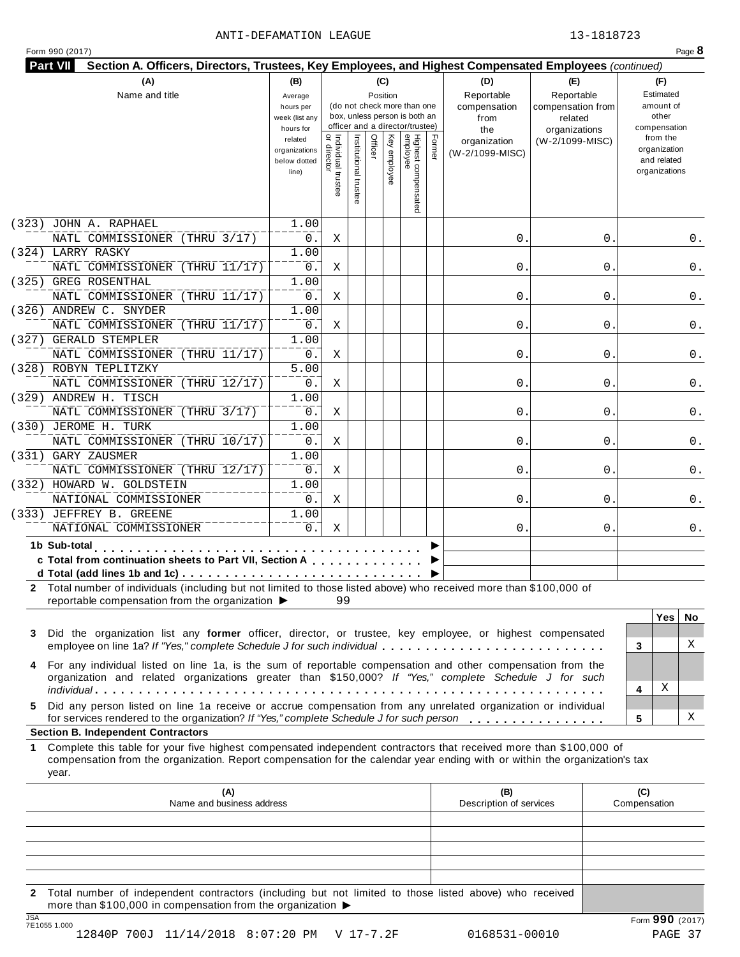| (A)<br>Name and title                                                                                                                                                                                                                                  | (B)<br>Average<br>hours per<br>week (list any<br>hours for | (C)<br>Position<br>(do not check more than one<br>box, unless person is both an<br>officer and a director/trustee) |                     |                         |                                 |        | (D)<br>Reportable<br>compensation<br>from<br>the | (E)<br>Reportable<br>compensation from<br>related<br>organizations | (F)<br>Estimated<br>amount of<br>other<br>compensation   |
|--------------------------------------------------------------------------------------------------------------------------------------------------------------------------------------------------------------------------------------------------------|------------------------------------------------------------|--------------------------------------------------------------------------------------------------------------------|---------------------|-------------------------|---------------------------------|--------|--------------------------------------------------|--------------------------------------------------------------------|----------------------------------------------------------|
|                                                                                                                                                                                                                                                        | related<br>organizations<br>below dotted<br>line)          | Individual t<br>dividual trustee                                                                                   | Institutional trust | Officer<br>Key employee | Highest compensated<br>employee | Former | organization<br>(W-2/1099-MISC)                  | (W-2/1099-MISC)                                                    | from the<br>organization<br>and related<br>organizations |
| JOHN A. RAPHAEL<br>(323)                                                                                                                                                                                                                               | 1.00                                                       |                                                                                                                    |                     |                         |                                 |        |                                                  |                                                                    |                                                          |
| NATL COMMISSIONER (THRU 3/17)<br>(324) LARRY RASKY                                                                                                                                                                                                     | 0.<br>1.00                                                 | Χ                                                                                                                  |                     |                         |                                 |        | 0                                                | 0                                                                  | 0.                                                       |
| NATL COMMISSIONER (THRU 11/17)                                                                                                                                                                                                                         | 0.                                                         | Χ                                                                                                                  |                     |                         |                                 |        | 0                                                | 0                                                                  | 0.                                                       |
| (325)<br><b>GREG ROSENTHAL</b>                                                                                                                                                                                                                         | 1.00                                                       |                                                                                                                    |                     |                         |                                 |        |                                                  |                                                                    |                                                          |
| NATL COMMISSIONER (THRU 11/17)                                                                                                                                                                                                                         | 0.                                                         | Χ                                                                                                                  |                     |                         |                                 |        | 0                                                | 0                                                                  | 0.                                                       |
| (326)<br>ANDREW C. SNYDER                                                                                                                                                                                                                              | 1.00                                                       |                                                                                                                    |                     |                         |                                 |        |                                                  |                                                                    |                                                          |
| NATL COMMISSIONER (THRU 11/17)                                                                                                                                                                                                                         | 0.                                                         | Χ                                                                                                                  |                     |                         |                                 |        | 0                                                | 0                                                                  | 0.                                                       |
| (327)<br><b>GERALD STEMPLER</b>                                                                                                                                                                                                                        | 1.00                                                       |                                                                                                                    |                     |                         |                                 |        |                                                  |                                                                    |                                                          |
| NATL COMMISSIONER (THRU 11/17)                                                                                                                                                                                                                         | 0.                                                         | Χ                                                                                                                  |                     |                         |                                 |        | 0                                                | 0                                                                  | 0.                                                       |
| (328) ROBYN TEPLITZKY                                                                                                                                                                                                                                  | 5.00                                                       |                                                                                                                    |                     |                         |                                 |        |                                                  |                                                                    |                                                          |
| NATL COMMISSIONER (THRU 12/17)                                                                                                                                                                                                                         | 0.                                                         | Χ                                                                                                                  |                     |                         |                                 |        | 0                                                | 0                                                                  | 0.                                                       |
| (329)<br>ANDREW H. TISCH                                                                                                                                                                                                                               | 1.00                                                       |                                                                                                                    |                     |                         |                                 |        |                                                  |                                                                    |                                                          |
| NATL COMMISSIONER (THRU 3/17)                                                                                                                                                                                                                          | 0.                                                         | Χ                                                                                                                  |                     |                         |                                 |        | 0                                                | 0                                                                  | 0.                                                       |
| (330)<br>JEROME H. TURK                                                                                                                                                                                                                                | 1.00                                                       |                                                                                                                    |                     |                         |                                 |        |                                                  |                                                                    |                                                          |
| NATL COMMISSIONER (THRU 10/17)                                                                                                                                                                                                                         | 0.                                                         | Χ                                                                                                                  |                     |                         |                                 |        | 0                                                | 0                                                                  | 0.                                                       |
| (331) GARY ZAUSMER                                                                                                                                                                                                                                     | 1.00<br>0.                                                 |                                                                                                                    |                     |                         |                                 |        |                                                  |                                                                    |                                                          |
| NATL COMMISSIONER (THRU 12/17)<br>(332) HOWARD W. GOLDSTEIN                                                                                                                                                                                            | 1.00                                                       | Χ                                                                                                                  |                     |                         |                                 |        | 0                                                | 0                                                                  | 0.                                                       |
| NATIONAL COMMISSIONER                                                                                                                                                                                                                                  | 0.                                                         | Χ                                                                                                                  |                     |                         |                                 |        | 0                                                | 0                                                                  | 0.                                                       |
| (333)<br>JEFFREY B. GREENE                                                                                                                                                                                                                             | 1.00                                                       |                                                                                                                    |                     |                         |                                 |        |                                                  |                                                                    |                                                          |
| NATIONAL COMMISSIONER                                                                                                                                                                                                                                  | 0.                                                         | Χ                                                                                                                  |                     |                         |                                 |        | 0                                                | 0                                                                  | 0.                                                       |
| 1b Sub-total<br>.<br>c Total from continuation sheets to Part VII, Section A                                                                                                                                                                           |                                                            |                                                                                                                    |                     |                         |                                 |        |                                                  |                                                                    |                                                          |
| 2 Total number of individuals (including but not limited to those listed above) who received more than \$100,000 of                                                                                                                                    |                                                            |                                                                                                                    |                     |                         |                                 |        |                                                  |                                                                    |                                                          |
| reportable compensation from the organization ▶                                                                                                                                                                                                        |                                                            | 99                                                                                                                 |                     |                         |                                 |        |                                                  |                                                                    |                                                          |
| Did the organization list any former officer, director, or trustee, key employee, or highest compensated<br>3<br>employee on line 1a? If "Yes," complete Schedule J for such individual                                                                |                                                            |                                                                                                                    |                     |                         |                                 |        |                                                  |                                                                    | <b>Yes</b><br>No.<br>Χ<br>3                              |
| For any individual listed on line 1a, is the sum of reportable compensation and other compensation from the<br>4<br>organization and related organizations greater than \$150,000? If "Yes," complete Schedule J for such                              |                                                            |                                                                                                                    |                     |                         |                                 |        |                                                  |                                                                    | Χ<br>4                                                   |
| Did any person listed on line 1a receive or accrue compensation from any unrelated organization or individual<br>5                                                                                                                                     |                                                            |                                                                                                                    |                     |                         |                                 |        |                                                  |                                                                    | X                                                        |
| for services rendered to the organization? If "Yes," complete Schedule J for such person<br><b>Section B. Independent Contractors</b>                                                                                                                  |                                                            |                                                                                                                    |                     |                         |                                 |        |                                                  |                                                                    | 5                                                        |
| Complete this table for your five highest compensated independent contractors that received more than \$100,000 of<br>1.<br>compensation from the organization. Report compensation for the calendar year ending with or within the organization's tax |                                                            |                                                                                                                    |                     |                         |                                 |        |                                                  |                                                                    |                                                          |
| year.                                                                                                                                                                                                                                                  |                                                            |                                                                                                                    |                     |                         |                                 |        | (B)                                              |                                                                    | (C)                                                      |
| (A)<br>Name and business address                                                                                                                                                                                                                       |                                                            |                                                                                                                    |                     |                         |                                 |        | Description of services                          |                                                                    | Compensation                                             |
|                                                                                                                                                                                                                                                        |                                                            |                                                                                                                    |                     |                         |                                 |        |                                                  |                                                                    |                                                          |
|                                                                                                                                                                                                                                                        |                                                            |                                                                                                                    |                     |                         |                                 |        |                                                  |                                                                    |                                                          |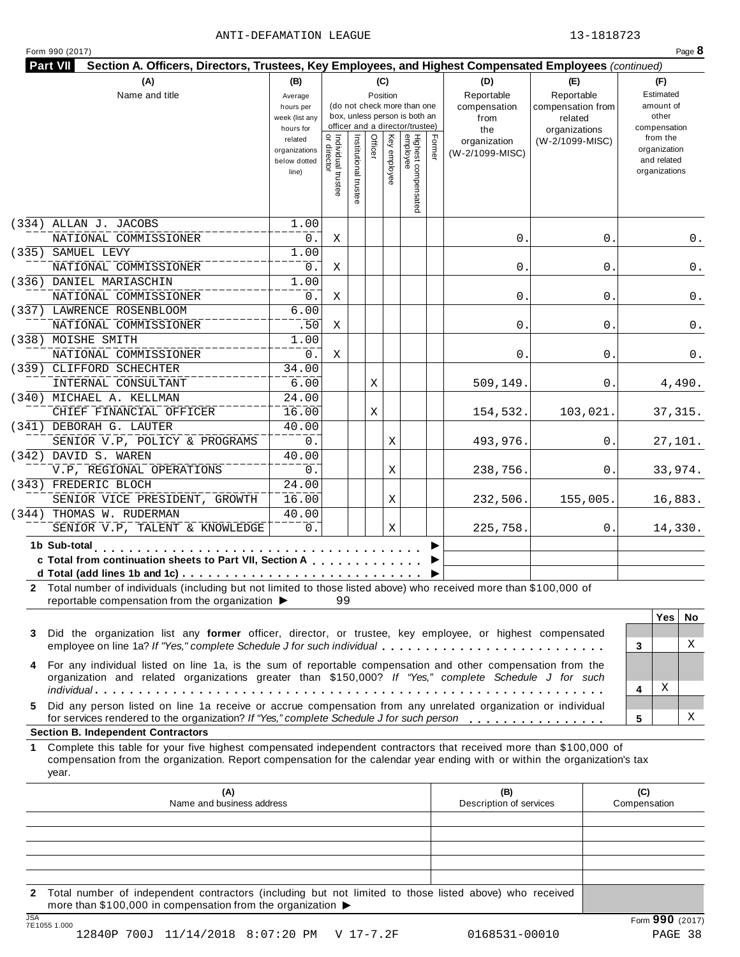|  | Form 990 (2017) |  |
|--|-----------------|--|
|  |                 |  |

| (A)<br>Name and title                                                                                                                                                                                                                                           | (B)<br>Average<br>hours per<br>week (list any<br>hours for | (C)<br>Position<br>(do not check more than one<br>box, unless person is both an<br>officer and a director/trustee) |                   |                            |                                 |        |                                 |                 |                                                          |  |  |  |  |  |  | (D)<br>Reportable<br>compensation<br>from<br>the | (E)<br>Reportable<br>compensation from<br>related<br>organizations | (F)<br>Estimated<br>amount of<br>other<br>compensation |
|-----------------------------------------------------------------------------------------------------------------------------------------------------------------------------------------------------------------------------------------------------------------|------------------------------------------------------------|--------------------------------------------------------------------------------------------------------------------|-------------------|----------------------------|---------------------------------|--------|---------------------------------|-----------------|----------------------------------------------------------|--|--|--|--|--|--|--------------------------------------------------|--------------------------------------------------------------------|--------------------------------------------------------|
|                                                                                                                                                                                                                                                                 | related<br>organizations<br>below dotted<br>line)          | <br>  Individual trustee<br>  or director                                                                          | Institutional tru | Officer<br>Ķey<br>employee | Highest compensated<br>employee | Former | organization<br>(W-2/1099-MISC) | (W-2/1099-MISC) | from the<br>organization<br>and related<br>organizations |  |  |  |  |  |  |                                                  |                                                                    |                                                        |
| (334) ALLAN J. JACOBS                                                                                                                                                                                                                                           | 1.00                                                       |                                                                                                                    |                   |                            |                                 |        |                                 |                 |                                                          |  |  |  |  |  |  |                                                  |                                                                    |                                                        |
| NATIONAL COMMISSIONER                                                                                                                                                                                                                                           | 0.                                                         | Χ                                                                                                                  |                   |                            |                                 |        | 0.                              | $0$ .           | 0.                                                       |  |  |  |  |  |  |                                                  |                                                                    |                                                        |
| (335) SAMUEL LEVY                                                                                                                                                                                                                                               | 1.00                                                       |                                                                                                                    |                   |                            |                                 |        |                                 |                 |                                                          |  |  |  |  |  |  |                                                  |                                                                    |                                                        |
| NATIONAL COMMISSIONER                                                                                                                                                                                                                                           | 0.                                                         | Χ                                                                                                                  |                   |                            |                                 |        | 0.                              | 0               | 0.                                                       |  |  |  |  |  |  |                                                  |                                                                    |                                                        |
| (336) DANIEL MARIASCHIN<br>NATIONAL COMMISSIONER                                                                                                                                                                                                                | 1.00<br>$0$ .                                              | Χ                                                                                                                  |                   |                            |                                 |        | $\mathsf{O}$                    | 0               | 0.                                                       |  |  |  |  |  |  |                                                  |                                                                    |                                                        |
| (337) LAWRENCE ROSENBLOOM<br>NATIONAL COMMISSIONER                                                                                                                                                                                                              | 6.00<br>.50                                                | Χ                                                                                                                  |                   |                            |                                 |        | $\mathsf{O}$                    | 0               | 0.                                                       |  |  |  |  |  |  |                                                  |                                                                    |                                                        |
| (338) MOISHE SMITH                                                                                                                                                                                                                                              | 1.00                                                       |                                                                                                                    |                   |                            |                                 |        |                                 |                 |                                                          |  |  |  |  |  |  |                                                  |                                                                    |                                                        |
| NATIONAL COMMISSIONER                                                                                                                                                                                                                                           | $0$ .                                                      | Χ                                                                                                                  |                   |                            |                                 |        | 0.                              | 0               | 0.                                                       |  |  |  |  |  |  |                                                  |                                                                    |                                                        |
| (339) CLIFFORD SCHECHTER                                                                                                                                                                                                                                        | 34.00                                                      |                                                                                                                    |                   |                            |                                 |        |                                 |                 |                                                          |  |  |  |  |  |  |                                                  |                                                                    |                                                        |
| INTERNAL CONSULTANT                                                                                                                                                                                                                                             | 6.00                                                       |                                                                                                                    |                   | Χ                          |                                 |        | 509,149.                        | 0.              | 4,490.                                                   |  |  |  |  |  |  |                                                  |                                                                    |                                                        |
| (340) MICHAEL A. KELLMAN                                                                                                                                                                                                                                        | 24.00                                                      |                                                                                                                    |                   |                            |                                 |        |                                 |                 |                                                          |  |  |  |  |  |  |                                                  |                                                                    |                                                        |
| CHIEF FINANCIAL OFFICER                                                                                                                                                                                                                                         | 16.00                                                      |                                                                                                                    |                   | Χ                          |                                 |        | 154,532.                        | 103,021.        | 37, 315.                                                 |  |  |  |  |  |  |                                                  |                                                                    |                                                        |
| (341) DEBORAH G. LAUTER<br>SENIOR V.P, POLICY & PROGRAMS                                                                                                                                                                                                        | 40.00<br>$0$ .                                             |                                                                                                                    |                   | Χ                          |                                 |        | 493,976.                        | $0$ .           | 27,101.                                                  |  |  |  |  |  |  |                                                  |                                                                    |                                                        |
| (342) DAVID S. WAREN                                                                                                                                                                                                                                            | 40.00                                                      |                                                                                                                    |                   |                            |                                 |        |                                 |                 |                                                          |  |  |  |  |  |  |                                                  |                                                                    |                                                        |
| V.P, REGIONAL OPERATIONS                                                                                                                                                                                                                                        | 0.                                                         |                                                                                                                    |                   | Χ                          |                                 |        | 238,756.                        | 0.              | 33,974.                                                  |  |  |  |  |  |  |                                                  |                                                                    |                                                        |
| (343) FREDERIC BLOCH                                                                                                                                                                                                                                            | 24.00                                                      |                                                                                                                    |                   |                            |                                 |        |                                 |                 |                                                          |  |  |  |  |  |  |                                                  |                                                                    |                                                        |
| SENIOR VICE PRESIDENT, GROWTH                                                                                                                                                                                                                                   | 16.00                                                      |                                                                                                                    |                   | Χ                          |                                 |        | 232,506.                        | 155,005.        | 16,883.                                                  |  |  |  |  |  |  |                                                  |                                                                    |                                                        |
| (344) THOMAS W. RUDERMAN                                                                                                                                                                                                                                        | 40.00<br>0.                                                |                                                                                                                    |                   |                            |                                 |        |                                 |                 |                                                          |  |  |  |  |  |  |                                                  |                                                                    |                                                        |
| SENIOR V.P, TALENT & KNOWLEDGE                                                                                                                                                                                                                                  |                                                            |                                                                                                                    |                   | Χ                          |                                 |        | 225,758.                        | 0.              | 14,330.                                                  |  |  |  |  |  |  |                                                  |                                                                    |                                                        |
| c Total from continuation sheets to Part VII, Section A<br>2 Total number of individuals (including but not limited to those listed above) who received more than \$100,000 of<br>reportable compensation from the organization ▶                               |                                                            |                                                                                                                    |                   |                            |                                 |        |                                 |                 |                                                          |  |  |  |  |  |  |                                                  |                                                                    |                                                        |
|                                                                                                                                                                                                                                                                 |                                                            | 99                                                                                                                 |                   |                            |                                 |        |                                 |                 | <b>Yes</b><br>No.                                        |  |  |  |  |  |  |                                                  |                                                                    |                                                        |
| Did the organization list any former officer, director, or trustee, key employee, or highest compensated<br>3<br>employee on line 1a? If "Yes," complete Schedule J for such individual                                                                         |                                                            |                                                                                                                    |                   |                            |                                 |        |                                 |                 | X<br>3                                                   |  |  |  |  |  |  |                                                  |                                                                    |                                                        |
| 4 For any individual listed on line 1a, is the sum of reportable compensation and other compensation from the<br>organization and related organizations greater than \$150,000? If "Yes," complete Schedule J for such                                          |                                                            |                                                                                                                    |                   |                            |                                 |        |                                 |                 | Χ<br>4                                                   |  |  |  |  |  |  |                                                  |                                                                    |                                                        |
| Did any person listed on line 1a receive or accrue compensation from any unrelated organization or individual<br>5                                                                                                                                              |                                                            |                                                                                                                    |                   |                            |                                 |        |                                 |                 |                                                          |  |  |  |  |  |  |                                                  |                                                                    |                                                        |
| for services rendered to the organization? If "Yes," complete Schedule J for such person                                                                                                                                                                        |                                                            |                                                                                                                    |                   |                            |                                 |        |                                 |                 | х<br>5                                                   |  |  |  |  |  |  |                                                  |                                                                    |                                                        |
| <b>Section B. Independent Contractors</b>                                                                                                                                                                                                                       |                                                            |                                                                                                                    |                   |                            |                                 |        |                                 |                 |                                                          |  |  |  |  |  |  |                                                  |                                                                    |                                                        |
| Complete this table for your five highest compensated independent contractors that received more than \$100,000 of<br>1.<br>compensation from the organization. Report compensation for the calendar year ending with or within the organization's tax<br>year. |                                                            |                                                                                                                    |                   |                            |                                 |        |                                 |                 |                                                          |  |  |  |  |  |  |                                                  |                                                                    |                                                        |
| (A)<br>Name and business address                                                                                                                                                                                                                                |                                                            |                                                                                                                    |                   |                            |                                 |        | (B)<br>Description of services  |                 | (C)<br>Compensation                                      |  |  |  |  |  |  |                                                  |                                                                    |                                                        |
|                                                                                                                                                                                                                                                                 |                                                            |                                                                                                                    |                   |                            |                                 |        |                                 |                 |                                                          |  |  |  |  |  |  |                                                  |                                                                    |                                                        |
|                                                                                                                                                                                                                                                                 |                                                            |                                                                                                                    |                   |                            |                                 |        |                                 |                 |                                                          |  |  |  |  |  |  |                                                  |                                                                    |                                                        |
| 2 Total number of independent contractors (including but not limited to those listed above) who received                                                                                                                                                        |                                                            |                                                                                                                    |                   |                            |                                 |        |                                 |                 |                                                          |  |  |  |  |  |  |                                                  |                                                                    |                                                        |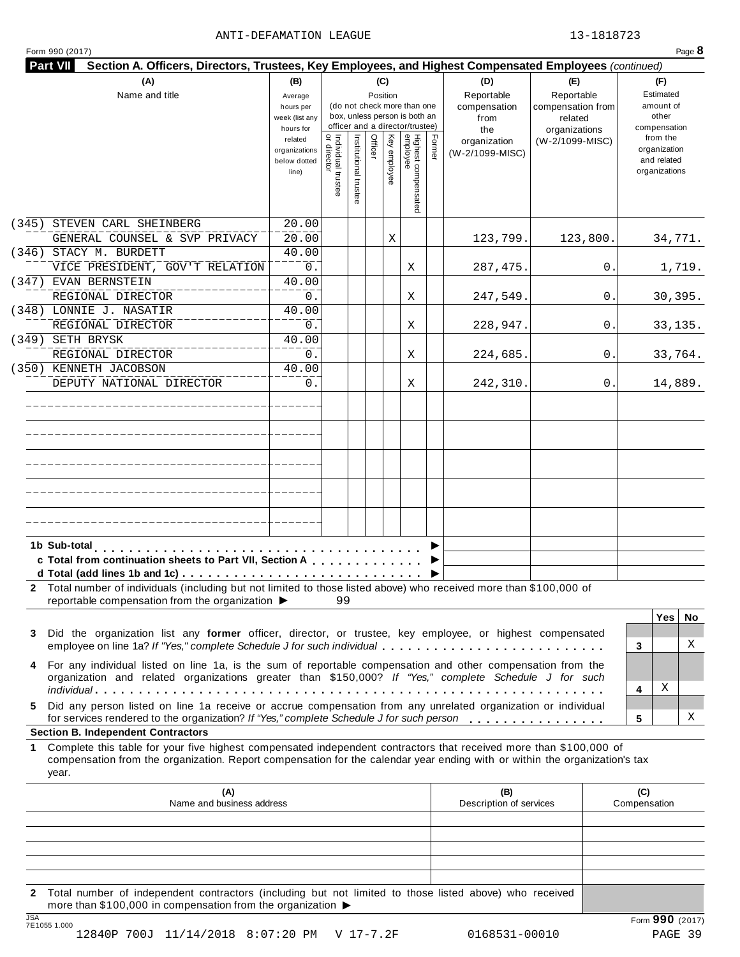|  |  |  | Form 990 (2017) |  |
|--|--|--|-----------------|--|
|--|--|--|-----------------|--|

| (A)<br>Name and title                                                                                                                                                                                                                                          | (B)<br>(C)<br>Position<br>Average<br>(do not check more than one<br>hours per<br>box, unless person is both an<br>week (list any<br>officer and a director/trustee)<br>hours for |                                      |                       |         | (D)<br>Reportable<br>compensation<br>from<br>the | (E)<br>Reportable<br>compensation from<br>related<br>organizations | (F)<br>Estimated<br>amount of<br>other<br>compensation |                                 |                 |                                                          |
|----------------------------------------------------------------------------------------------------------------------------------------------------------------------------------------------------------------------------------------------------------------|----------------------------------------------------------------------------------------------------------------------------------------------------------------------------------|--------------------------------------|-----------------------|---------|--------------------------------------------------|--------------------------------------------------------------------|--------------------------------------------------------|---------------------------------|-----------------|----------------------------------------------------------|
|                                                                                                                                                                                                                                                                | related<br>organizations<br>below dotted<br>line)                                                                                                                                | Individual trustee<br>   or director | Institutional trustee | Officer | Key employee                                     | Highest compensated<br>employee                                    | Former                                                 | organization<br>(W-2/1099-MISC) | (W-2/1099-MISC) | from the<br>organization<br>and related<br>organizations |
| (345) STEVEN CARL SHEINBERG                                                                                                                                                                                                                                    | 20.00                                                                                                                                                                            |                                      |                       |         |                                                  |                                                                    |                                                        |                                 |                 |                                                          |
| GENERAL COUNSEL & SVP PRIVACY                                                                                                                                                                                                                                  | 20.00                                                                                                                                                                            |                                      |                       |         | Χ                                                |                                                                    |                                                        | 123,799.                        | 123,800.        | 34,771.                                                  |
| (346) STACY M. BURDETT<br>VICE PRESIDENT, GOV'T RELATION                                                                                                                                                                                                       | 40.00<br>0.                                                                                                                                                                      |                                      |                       |         |                                                  | X                                                                  |                                                        | 287, 475.                       | 0.              | 1,719.                                                   |
| (347) EVAN BERNSTEIN                                                                                                                                                                                                                                           | 40.00                                                                                                                                                                            |                                      |                       |         |                                                  |                                                                    |                                                        |                                 |                 |                                                          |
| REGIONAL DIRECTOR                                                                                                                                                                                                                                              | 0.                                                                                                                                                                               |                                      |                       |         |                                                  | X                                                                  |                                                        | 247,549.                        | 0.              | 30, 395.                                                 |
| (348) LONNIE J. NASATIR                                                                                                                                                                                                                                        | 40.00                                                                                                                                                                            |                                      |                       |         |                                                  |                                                                    |                                                        |                                 |                 |                                                          |
| REGIONAL DIRECTOR                                                                                                                                                                                                                                              | 0.                                                                                                                                                                               |                                      |                       |         |                                                  | Χ                                                                  |                                                        | 228,947.                        | 0.              | 33,135.                                                  |
| (349) SETH BRYSK<br>REGIONAL DIRECTOR                                                                                                                                                                                                                          | 40.00<br>0.                                                                                                                                                                      |                                      |                       |         |                                                  | Χ                                                                  |                                                        | 224,685.                        | 0.              | 33,764.                                                  |
| (350) KENNETH JACOBSON                                                                                                                                                                                                                                         | 40.00                                                                                                                                                                            |                                      |                       |         |                                                  |                                                                    |                                                        |                                 |                 |                                                          |
| DEPUTY NATIONAL DIRECTOR                                                                                                                                                                                                                                       | 0.                                                                                                                                                                               |                                      |                       |         |                                                  | X                                                                  |                                                        | 242,310.                        | 0.              | 14,889.                                                  |
|                                                                                                                                                                                                                                                                |                                                                                                                                                                                  |                                      |                       |         |                                                  |                                                                    |                                                        |                                 |                 |                                                          |
|                                                                                                                                                                                                                                                                |                                                                                                                                                                                  |                                      |                       |         |                                                  |                                                                    |                                                        |                                 |                 |                                                          |
|                                                                                                                                                                                                                                                                |                                                                                                                                                                                  |                                      |                       |         |                                                  |                                                                    |                                                        |                                 |                 |                                                          |
|                                                                                                                                                                                                                                                                |                                                                                                                                                                                  |                                      |                       |         |                                                  |                                                                    |                                                        |                                 |                 |                                                          |
|                                                                                                                                                                                                                                                                |                                                                                                                                                                                  |                                      |                       |         |                                                  |                                                                    |                                                        |                                 |                 |                                                          |
|                                                                                                                                                                                                                                                                |                                                                                                                                                                                  |                                      |                       |         |                                                  |                                                                    |                                                        |                                 |                 |                                                          |
| 1b Sub-total<br>c Total from continuation sheets to Part VII, Section A<br>2 Total number of individuals (including but not limited to those listed above) who received more than \$100,000 of<br>reportable compensation from the organization ▶              | .                                                                                                                                                                                | 99                                   |                       |         |                                                  |                                                                    |                                                        |                                 |                 |                                                          |
| Did the organization list any former officer, director, or trustee, key employee, or highest compensated<br>3                                                                                                                                                  |                                                                                                                                                                                  |                                      |                       |         |                                                  |                                                                    |                                                        |                                 |                 | <b>Yes</b><br>No.                                        |
| employee on line 1a? If "Yes," complete Schedule J for such individual                                                                                                                                                                                         |                                                                                                                                                                                  |                                      |                       |         |                                                  |                                                                    |                                                        |                                 |                 | X<br>3                                                   |
| For any individual listed on line 1a, is the sum of reportable compensation and other compensation from the<br>4<br>organization and related organizations greater than \$150,000? If "Yes," complete Schedule J for such                                      |                                                                                                                                                                                  |                                      |                       |         |                                                  |                                                                    |                                                        |                                 |                 | х<br>4                                                   |
| Did any person listed on line 1a receive or accrue compensation from any unrelated organization or individual<br>5.                                                                                                                                            |                                                                                                                                                                                  |                                      |                       |         |                                                  |                                                                    |                                                        |                                 |                 |                                                          |
| for services rendered to the organization? If "Yes," complete Schedule J for such person                                                                                                                                                                       |                                                                                                                                                                                  |                                      |                       |         |                                                  |                                                                    |                                                        |                                 |                 | х<br>5                                                   |
| <b>Section B. Independent Contractors</b>                                                                                                                                                                                                                      |                                                                                                                                                                                  |                                      |                       |         |                                                  |                                                                    |                                                        |                                 |                 |                                                          |
| Complete this table for your five highest compensated independent contractors that received more than \$100,000 of<br>1<br>compensation from the organization. Report compensation for the calendar year ending with or within the organization's tax<br>year. |                                                                                                                                                                                  |                                      |                       |         |                                                  |                                                                    |                                                        |                                 |                 |                                                          |
| (A)<br>Name and business address                                                                                                                                                                                                                               |                                                                                                                                                                                  |                                      |                       |         |                                                  |                                                                    |                                                        | (B)<br>Description of services  |                 | (C)<br>Compensation                                      |
|                                                                                                                                                                                                                                                                |                                                                                                                                                                                  |                                      |                       |         |                                                  |                                                                    |                                                        |                                 |                 |                                                          |
|                                                                                                                                                                                                                                                                |                                                                                                                                                                                  |                                      |                       |         |                                                  |                                                                    |                                                        |                                 |                 |                                                          |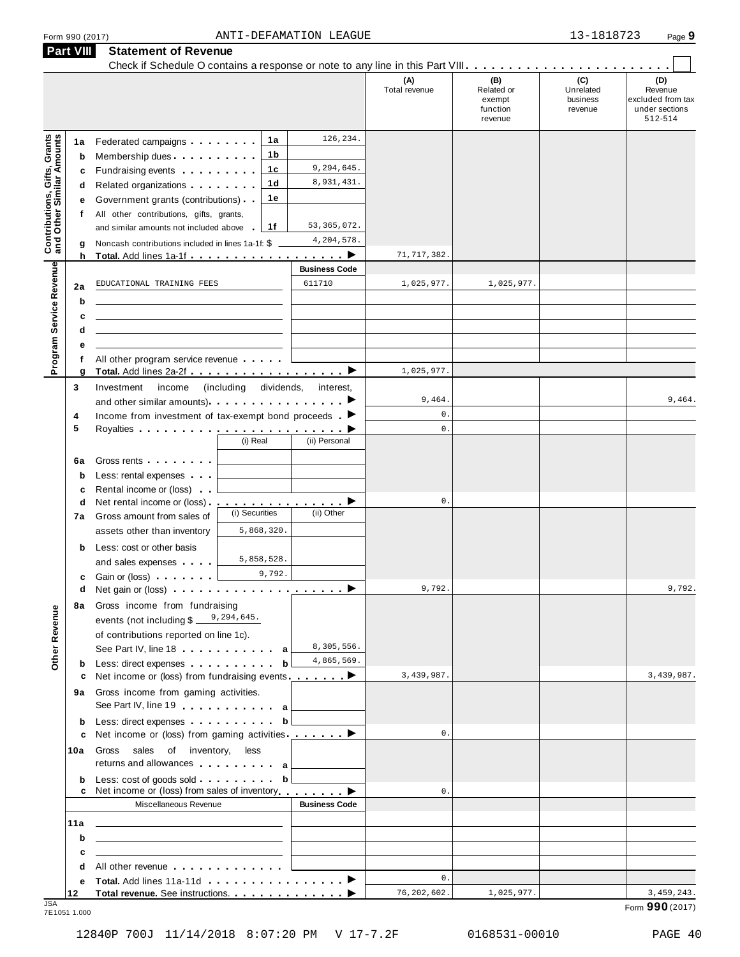|                                                                  | <b>Part VIII</b> | <b>Statement of Revenue</b>                                                                                                                                                                                                          |                                       |                      |                                                    |                                         |                                                                  |
|------------------------------------------------------------------|------------------|--------------------------------------------------------------------------------------------------------------------------------------------------------------------------------------------------------------------------------------|---------------------------------------|----------------------|----------------------------------------------------|-----------------------------------------|------------------------------------------------------------------|
|                                                                  |                  |                                                                                                                                                                                                                                      |                                       | (A)<br>Total revenue | (B)<br>Related or<br>exempt<br>function<br>revenue | (C)<br>Unrelated<br>business<br>revenue | (D)<br>Revenue<br>excluded from tax<br>under sections<br>512-514 |
|                                                                  | 1a               | Federated campaigns <b>Federated</b>                                                                                                                                                                                                 | 126,234.<br>1a                        |                      |                                                    |                                         |                                                                  |
|                                                                  | b                | Membership dues                                                                                                                                                                                                                      | 1b                                    |                      |                                                    |                                         |                                                                  |
|                                                                  | c                | Fundraising events <b>Fundraising</b>                                                                                                                                                                                                | 9,294,645.<br>1c                      |                      |                                                    |                                         |                                                                  |
|                                                                  | d                | Related organizations <b>and the set of the set of the set of the set of the set of the set of the set of the set of the set of the set of the set of the set of the set of the set of the set of the set of the set of the set </b> | 8,931,431.<br>1d                      |                      |                                                    |                                         |                                                                  |
| <b>Contributions, Gifts, Grants</b><br>and Other Similar Amounts | е                | Government grants (contributions)                                                                                                                                                                                                    | 1е                                    |                      |                                                    |                                         |                                                                  |
|                                                                  | f                | All other contributions, gifts, grants,                                                                                                                                                                                              |                                       |                      |                                                    |                                         |                                                                  |
|                                                                  |                  | and similar amounts not included above                                                                                                                                                                                               | 53, 365, 072.<br>1f                   |                      |                                                    |                                         |                                                                  |
|                                                                  | g                | Noncash contributions included in lines 1a-1f: \$                                                                                                                                                                                    | 4,204,578.                            |                      |                                                    |                                         |                                                                  |
|                                                                  | h                |                                                                                                                                                                                                                                      | . <b>.</b>                            | 71, 717, 382.        |                                                    |                                         |                                                                  |
| Program Service Revenue                                          |                  |                                                                                                                                                                                                                                      | <b>Business Code</b>                  |                      |                                                    |                                         |                                                                  |
|                                                                  | 2a               | EDUCATIONAL TRAINING FEES                                                                                                                                                                                                            | 611710                                | 1,025,977.           | 1,025,977.                                         |                                         |                                                                  |
|                                                                  | b                |                                                                                                                                                                                                                                      |                                       |                      |                                                    |                                         |                                                                  |
|                                                                  | c                |                                                                                                                                                                                                                                      |                                       |                      |                                                    |                                         |                                                                  |
|                                                                  | d                | <u> 1989 - Johann Stein, mars an deutscher Stein († 1958)</u>                                                                                                                                                                        |                                       |                      |                                                    |                                         |                                                                  |
|                                                                  | е<br>f           | All other program service revenue                                                                                                                                                                                                    |                                       |                      |                                                    |                                         |                                                                  |
|                                                                  | g                | Total. Add lines 2a-2f ▶                                                                                                                                                                                                             |                                       | 1,025,977.           |                                                    |                                         |                                                                  |
|                                                                  | 3                | Investment<br>income                                                                                                                                                                                                                 | (including dividends, interest,       |                      |                                                    |                                         |                                                                  |
|                                                                  |                  |                                                                                                                                                                                                                                      |                                       | 9,464.               |                                                    |                                         | 9,464.                                                           |
|                                                                  | 4                | Income from investment of tax-exempt bond proceeds $\blacktriangleright$                                                                                                                                                             |                                       | 0.                   |                                                    |                                         |                                                                  |
|                                                                  | 5                |                                                                                                                                                                                                                                      |                                       | $\mathbf{0}$ .       |                                                    |                                         |                                                                  |
|                                                                  |                  | (i) Real                                                                                                                                                                                                                             | (ii) Personal                         |                      |                                                    |                                         |                                                                  |
|                                                                  | 6a               | Gross rents <b>Container and Container</b>                                                                                                                                                                                           |                                       |                      |                                                    |                                         |                                                                  |
|                                                                  | $\mathbf b$      | Less: rental expenses                                                                                                                                                                                                                |                                       |                      |                                                    |                                         |                                                                  |
|                                                                  | c                | Rental income or (loss)                                                                                                                                                                                                              |                                       |                      |                                                    |                                         |                                                                  |
|                                                                  | d                | Net rental income or (loss).<br>(i) Securities                                                                                                                                                                                       | <u> 222222222222222</u><br>(ii) Other | 0.                   |                                                    |                                         |                                                                  |
|                                                                  | 7a               | Gross amount from sales of                                                                                                                                                                                                           | 5,868,320.                            |                      |                                                    |                                         |                                                                  |
|                                                                  |                  | assets other than inventory                                                                                                                                                                                                          |                                       |                      |                                                    |                                         |                                                                  |
|                                                                  | b                | Less: cost or other basis                                                                                                                                                                                                            | 5,858,528.                            |                      |                                                    |                                         |                                                                  |
|                                                                  | c                | and sales expenses<br>Gain or (loss) <b>Canada</b> Castro Control                                                                                                                                                                    | 9,792.                                |                      |                                                    |                                         |                                                                  |
|                                                                  | d                | Net gain or (loss) $\cdots$ $\cdots$ $\cdots$ $\cdots$ $\cdots$ $\cdots$                                                                                                                                                             |                                       | 9,792.               |                                                    |                                         | 9,792.                                                           |
|                                                                  |                  | 8a Gross income from fundraising                                                                                                                                                                                                     |                                       |                      |                                                    |                                         |                                                                  |
|                                                                  |                  | events (not including $$ \_\_\_9, 294, 645.$                                                                                                                                                                                         |                                       |                      |                                                    |                                         |                                                                  |
| Other Revenue                                                    |                  | of contributions reported on line 1c).                                                                                                                                                                                               |                                       |                      |                                                    |                                         |                                                                  |
|                                                                  |                  | See Part IV, line 18 a                                                                                                                                                                                                               | 8,305,556.                            |                      |                                                    |                                         |                                                                  |
|                                                                  | b                | Less: direct expenses                                                                                                                                                                                                                | 4,865,569.<br>$\mathbf b$             |                      |                                                    |                                         |                                                                  |
|                                                                  | с                | Net income or (loss) from fundraising events ________ ▶                                                                                                                                                                              |                                       | 3,439,987.           |                                                    |                                         | 3,439,987.                                                       |
|                                                                  | 9а               | Gross income from gaming activities.                                                                                                                                                                                                 |                                       |                      |                                                    |                                         |                                                                  |
|                                                                  |                  | See Part IV, line 19 a                                                                                                                                                                                                               |                                       |                      |                                                    |                                         |                                                                  |
|                                                                  | b                | Less: direct expenses<br>Net income or (loss) from gaming activities $\ldots$                                                                                                                                                        | b                                     | 0.                   |                                                    |                                         |                                                                  |
|                                                                  | c                | Gross sales of inventory, less                                                                                                                                                                                                       |                                       |                      |                                                    |                                         |                                                                  |
|                                                                  | 10a              |                                                                                                                                                                                                                                      |                                       |                      |                                                    |                                         |                                                                  |
|                                                                  | b                | Less: cost of goods sold b<br>Net income or (loss) from sales of inventory                                                                                                                                                           |                                       | 0.                   |                                                    |                                         |                                                                  |
|                                                                  |                  | Miscellaneous Revenue                                                                                                                                                                                                                | <b>Business Code</b>                  |                      |                                                    |                                         |                                                                  |
|                                                                  | 11a              |                                                                                                                                                                                                                                      |                                       |                      |                                                    |                                         |                                                                  |
|                                                                  | b                |                                                                                                                                                                                                                                      |                                       |                      |                                                    |                                         |                                                                  |
|                                                                  | c                |                                                                                                                                                                                                                                      |                                       |                      |                                                    |                                         |                                                                  |
|                                                                  | d                | All other revenue entrancements and the state of the state of the state of the state of the state of the state of the state of the state of the state of the state of the state of the state of the state of the state of the        |                                       |                      |                                                    |                                         |                                                                  |
|                                                                  | е                |                                                                                                                                                                                                                                      |                                       | $\mathbf{0}$ .       |                                                    |                                         |                                                                  |
| .ISA                                                             | 12               |                                                                                                                                                                                                                                      |                                       | 76, 202, 602.        | 1,025,977.                                         |                                         | 3,459,243.                                                       |

Form <sup>990</sup> (2017) Page **9** ANTI-DEFAMATION LEAGUE 13-1818723

JSA Form **990** (2017) 7E1051 1.000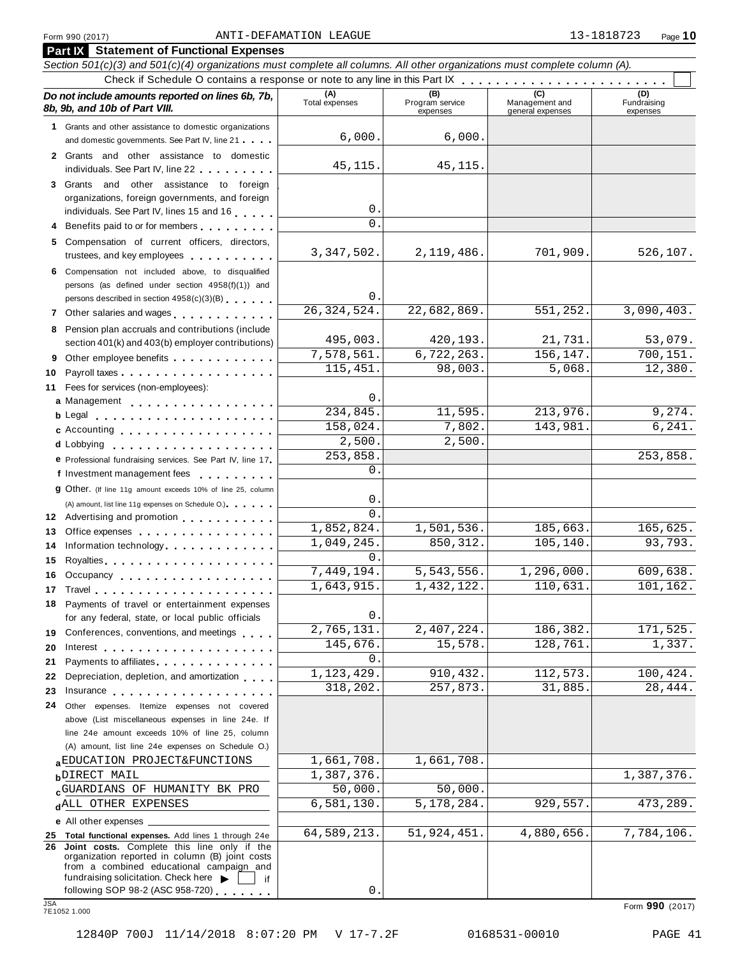## Form <sup>990</sup> (2017) Page **10** ANTI-DEFAMATION LEAGUE 13-1818723

|            | <b>Part IX</b> Statement of Functional Expenses                                                                                                                                                                                |                            |                                    |                                    |                                |
|------------|--------------------------------------------------------------------------------------------------------------------------------------------------------------------------------------------------------------------------------|----------------------------|------------------------------------|------------------------------------|--------------------------------|
|            | Section 501(c)(3) and 501(c)(4) organizations must complete all columns. All other organizations must complete column (A).                                                                                                     |                            |                                    |                                    |                                |
|            |                                                                                                                                                                                                                                |                            |                                    |                                    |                                |
|            | Do not include amounts reported on lines 6b, 7b,<br>8b, 9b, and 10b of Part VIII.                                                                                                                                              | (A)<br>Total expenses      | (B)<br>Program service<br>expenses | Management and<br>general expenses | (D)<br>Fundraising<br>expenses |
|            | 1 Grants and other assistance to domestic organizations<br>and domestic governments. See Part IV, line 21                                                                                                                      | 6,000.                     | 6,000.                             |                                    |                                |
|            | 2 Grants and other assistance to domestic                                                                                                                                                                                      |                            |                                    |                                    |                                |
|            | individuals. See Part IV, line 22                                                                                                                                                                                              | 45, 115.                   | 45,115.                            |                                    |                                |
|            | 3 Grants and other assistance to foreign                                                                                                                                                                                       |                            |                                    |                                    |                                |
|            | organizations, foreign governments, and foreign                                                                                                                                                                                | $\mathbf 0$ .              |                                    |                                    |                                |
|            | individuals. See Part IV, lines 15 and 16                                                                                                                                                                                      | $\Omega$ .                 |                                    |                                    |                                |
|            | 4 Benefits paid to or for members                                                                                                                                                                                              |                            |                                    |                                    |                                |
|            | 5 Compensation of current officers, directors,<br>trustees, and key employees                                                                                                                                                  | 3, 347, 502.               | 2,119,486.                         | 701,909.                           | 526,107.                       |
|            | 6 Compensation not included above, to disqualified                                                                                                                                                                             |                            |                                    |                                    |                                |
|            | persons (as defined under section 4958(f)(1)) and<br>persons described in section 4958(c)(3)(B)                                                                                                                                | 0.                         |                                    |                                    |                                |
|            | 7 Other salaries and wages                                                                                                                                                                                                     | $\overline{26,324}$ , 524. | 22,682,869.                        | 551,252.                           | 3,090,403.                     |
|            | 8 Pension plan accruals and contributions (include                                                                                                                                                                             |                            |                                    |                                    |                                |
|            | section 401(k) and 403(b) employer contributions)                                                                                                                                                                              | 495,003.                   | 420,193.                           | 21,731.                            | 53,079.                        |
|            | 9 Other employee benefits                                                                                                                                                                                                      | 7,578,561.                 | 6,722,263.                         | 156,147.                           | 700,151.                       |
| 10         | Payroll taxes                                                                                                                                                                                                                  | 115,451.                   | 98,003.                            | 5,068.                             | 12,380.                        |
| 11         | Fees for services (non-employees):                                                                                                                                                                                             |                            |                                    |                                    |                                |
|            | a Management                                                                                                                                                                                                                   | 0.                         |                                    |                                    |                                |
|            | <b>b</b> Legal <b>contained contained contained contained contained contained </b>                                                                                                                                             | 234,845.                   | 11,595.                            | 213,976.                           | 9,274.                         |
|            | c Accounting                                                                                                                                                                                                                   | 158,024.                   | 7,802.                             | 143,981.                           | 6, 241.                        |
|            | d Lobbying                                                                                                                                                                                                                     | 2,500.                     | 2,500.                             |                                    |                                |
|            | e Professional fundraising services. See Part IV, line 17                                                                                                                                                                      | 253,858.                   |                                    |                                    | 253,858.                       |
|            | f Investment management fees                                                                                                                                                                                                   | $\mathbf{0}$ .             |                                    |                                    |                                |
|            | <b>g</b> Other. (If line 11g amount exceeds 10% of line 25, column                                                                                                                                                             |                            |                                    |                                    |                                |
|            | (A) amount, list line 11g expenses on Schedule O.).                                                                                                                                                                            | $\mathbf 0$ .              |                                    |                                    |                                |
|            | 12 Advertising and promotion                                                                                                                                                                                                   | 0.                         |                                    |                                    |                                |
| 13         | Office expenses                                                                                                                                                                                                                | 1,852,824.                 | 1,501,536.                         | 185,663.                           | 165,625.                       |
| 14         | Information technology                                                                                                                                                                                                         | 1,049,245.                 | 850, 312.                          | 105,140.                           | 93,793.                        |
| 15         | Royalties Royalties                                                                                                                                                                                                            | $\Omega$ .                 |                                    |                                    |                                |
|            | 16 Occupancy                                                                                                                                                                                                                   | 7,449,194.                 | 5,543,556.                         | 1,296,000.                         | 609,638.                       |
|            | 17 Travel <b>17 Travel</b>                                                                                                                                                                                                     | 1,643,915.                 | 1,432,122.                         | 110,631.                           | 101, 162.                      |
|            | 18 Payments of travel or entertainment expenses                                                                                                                                                                                |                            |                                    |                                    |                                |
|            | for any federal, state, or local public officials                                                                                                                                                                              | $\mathsf{O}$ .             |                                    |                                    |                                |
|            | 19 Conferences, conventions, and meetings                                                                                                                                                                                      | 2,765,131.                 | 2,407,224.                         | 186,382.                           | 171,525.                       |
| 20         | Interest                                                                                                                                                                                                                       | 145,676.                   | 15,578.                            | 128,761.                           | 1,337.                         |
| 21         | Payments to affiliates <b>Exercise 2.1 Fig. 1.1 Fig. 1.1</b>                                                                                                                                                                   | 0.                         |                                    |                                    |                                |
| 22         | Depreciation, depletion, and amortization                                                                                                                                                                                      | 1, 123, 429.               | 910,432.                           | 112,573.                           | 100,424.                       |
| 23         | Insurance in the contract of the contract of the contract of the contract of the contract of the contract of the contract of the contract of the contract of the contract of the contract of the contract of the contract of t | 318,202.                   | 257,873.                           | 31,885.                            | 28,444.                        |
| 24         | Other expenses. Itemize expenses not covered                                                                                                                                                                                   |                            |                                    |                                    |                                |
|            | above (List miscellaneous expenses in line 24e. If                                                                                                                                                                             |                            |                                    |                                    |                                |
|            | line 24e amount exceeds 10% of line 25, column                                                                                                                                                                                 |                            |                                    |                                    |                                |
|            | (A) amount, list line 24e expenses on Schedule O.)                                                                                                                                                                             |                            |                                    |                                    |                                |
|            | a EDUCATION PROJECT& FUNCTIONS                                                                                                                                                                                                 | 1,661,708.                 | 1,661,708.                         |                                    |                                |
|            | <b>b</b> DIRECT MAIL                                                                                                                                                                                                           | 1,387,376.                 |                                    |                                    | 1,387,376.                     |
|            | <b>C</b> GUARDIANS OF HUMANITY BK PRO                                                                                                                                                                                          | 50,000.                    | 50,000.                            |                                    |                                |
|            | dALL OTHER EXPENSES                                                                                                                                                                                                            | 6,581,130.                 | 5,178,284.                         | 929,557.                           | 473,289.                       |
|            | e All other expenses ________                                                                                                                                                                                                  |                            |                                    |                                    |                                |
|            | 25 Total functional expenses. Add lines 1 through 24e<br>26 Joint costs. Complete this line only if the                                                                                                                        | 64,589,213.                | 51,924,451.                        | 4,880,656.                         | 7,784,106.                     |
|            | organization reported in column (B) joint costs                                                                                                                                                                                |                            |                                    |                                    |                                |
|            | from a combined educational campaign and                                                                                                                                                                                       |                            |                                    |                                    |                                |
|            | fundraising solicitation. Check here $\blacktriangleright$<br>if<br>following SOP 98-2 (ASC 958-720)                                                                                                                           | 0                          |                                    |                                    |                                |
| <b>JSA</b> |                                                                                                                                                                                                                                |                            |                                    |                                    | Form 990 (2017)                |
|            | 7E1052 1.000                                                                                                                                                                                                                   |                            |                                    |                                    |                                |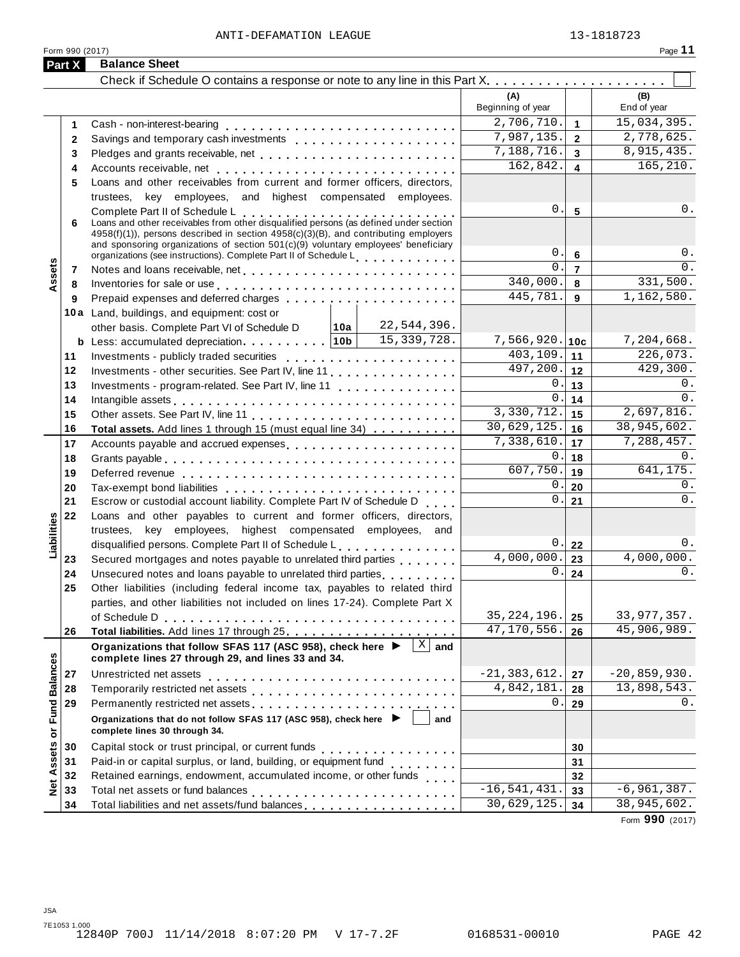Form 990 (2017)

|--|--|--|

|                      | Part X     | <b>Balance Sheet</b>                                                                                                                                                                                                                                                  |                             |                         |                            |
|----------------------|------------|-----------------------------------------------------------------------------------------------------------------------------------------------------------------------------------------------------------------------------------------------------------------------|-----------------------------|-------------------------|----------------------------|
|                      |            |                                                                                                                                                                                                                                                                       |                             |                         |                            |
|                      |            |                                                                                                                                                                                                                                                                       | (A)<br>Beginning of year    |                         | (B)<br>End of year         |
|                      | 1          |                                                                                                                                                                                                                                                                       | 2,706,710.                  | $\mathbf{1}$            | 15,034,395.                |
|                      | 2          | Savings and temporary cash investments                                                                                                                                                                                                                                | 7,987,135.                  | $\overline{2}$          | 2,778,625.                 |
|                      | 3          | Pledges and grants receivable, net enterpresent resonance of the set of the set of the set of the set of the s                                                                                                                                                        | 7,188,716.                  | 3                       | 8,915,435.                 |
|                      | 4          |                                                                                                                                                                                                                                                                       | 162,842.                    | $\overline{\mathbf{4}}$ | 165,210.                   |
|                      | 5          | Loans and other receivables from current and former officers, directors,                                                                                                                                                                                              |                             |                         |                            |
|                      |            | trustees, key employees, and highest compensated employees.                                                                                                                                                                                                           |                             |                         |                            |
|                      | 6          | Loans and other receivables from other disqualified persons (as defined under section                                                                                                                                                                                 | 0.                          | 5                       | $0$ .                      |
|                      |            | 4958(f)(1)), persons described in section 4958(c)(3)(B), and contributing employers<br>and sponsoring organizations of section $501(c)(9)$ voluntary employees' beneficiary<br>organizations (see instructions). Complete Part II of Schedule L.                      | 0.                          | 6                       | 0.                         |
|                      | 7          |                                                                                                                                                                                                                                                                       | $0$ .                       | $\overline{7}$          | 0.                         |
| Assets               | 8          | Inventories for sale or use enterpreteral resources in the set of the set of the set of the set of the set of the set of the set of the set of the set of the set of the set of the set of the set of the set of the set of th                                        | 340,000.                    | 8                       | 331,500.                   |
|                      | 9          | Prepaid expenses and deferred charges                                                                                                                                                                                                                                 | 445,781.                    | 9                       | 1,162,580.                 |
|                      |            | 10a Land, buildings, and equipment: cost or                                                                                                                                                                                                                           |                             |                         |                            |
|                      |            | 22,544,396.<br>other basis. Complete Part VI of Schedule D<br>│ 10a                                                                                                                                                                                                   |                             |                         |                            |
|                      |            | <b>b</b> Less: accumulated depreciation $ 10b $ 15, 339, 728.                                                                                                                                                                                                         | 7,566,920.                  | 10 <sub>c</sub>         | 7,204,668.                 |
|                      | 11         | Investments - publicly traded securities                                                                                                                                                                                                                              | 403,109.                    | 11                      | 226,073.                   |
|                      | 12         | Investments - other securities. See Part IV, line 11                                                                                                                                                                                                                  | 497,200.                    | 12                      | 429,300.                   |
|                      | 13         |                                                                                                                                                                                                                                                                       | 0 <sub>1</sub>              | 13                      | 0.                         |
|                      | 14         |                                                                                                                                                                                                                                                                       | 0                           | 14                      | 0.                         |
|                      | 15         |                                                                                                                                                                                                                                                                       | 3,330,712.                  | 15                      | 2,697,816.                 |
|                      | 16         | Total assets. Add lines 1 through 15 (must equal line 34)                                                                                                                                                                                                             | $\overline{30}$ , 629, 125. | 16                      | 38,945,602.                |
|                      | 17         | Accounts payable and accrued expenses entitled and accrue and accrued expenses                                                                                                                                                                                        | 7,338,610.                  | 17                      | 7,288,457.                 |
|                      | 18         |                                                                                                                                                                                                                                                                       | 0                           | 18                      | 0.                         |
|                      | 19         |                                                                                                                                                                                                                                                                       | 607,750.                    | 19                      | 641,175.                   |
|                      | 20         |                                                                                                                                                                                                                                                                       | 0                           | 20                      | $0$ .                      |
|                      | 21         | Escrow or custodial account liability. Complete Part IV of Schedule D                                                                                                                                                                                                 | 0.                          | 21                      | 0.                         |
|                      | 22         | Loans and other payables to current and former officers, directors,                                                                                                                                                                                                   |                             |                         |                            |
| Liabilities          |            | trustees, key employees, highest compensated employees, and                                                                                                                                                                                                           |                             |                         |                            |
|                      |            | disqualified persons. Complete Part II of Schedule L.                                                                                                                                                                                                                 | 0.1                         | 22                      | 0.                         |
|                      | 23         | Secured mortgages and notes payable to unrelated third parties                                                                                                                                                                                                        | 4,000,000.                  | 23                      | 4,000,000.                 |
|                      | 24         | Unsecured notes and loans payable to unrelated third parties <b>Common State and State and America</b>                                                                                                                                                                | $0$ .                       | 24                      | 0.                         |
|                      | 25         | Other liabilities (including federal income tax, payables to related third                                                                                                                                                                                            |                             |                         |                            |
|                      |            | parties, and other liabilities not included on lines 17-24). Complete Part X                                                                                                                                                                                          |                             |                         |                            |
|                      |            | of Schedule D                                                                                                                                                                                                                                                         | 35, 224, 196.               | 25                      | 33,977,357.<br>45,906,989. |
|                      | 26         | X                                                                                                                                                                                                                                                                     | 47,170,556.                 | 26                      |                            |
| <b>Fund Balances</b> |            | Organizations that follow SFAS 117 (ASC 958), check here ▶<br>and<br>complete lines 27 through 29, and lines 33 and 34.                                                                                                                                               |                             |                         |                            |
|                      | ${\bf 27}$ | Unrestricted net assets                                                                                                                                                                                                                                               | $-21, 383, 612.$            | 27                      | $-20,859,930.$             |
|                      | 28         |                                                                                                                                                                                                                                                                       | 4,842,181.                  | 28                      | 13,898,543.                |
|                      | 29         | Permanently restricted net assets<br>intervals and intervals are neglected to the set of the set of assets are neglected to the set of the set of the set of the set of the set of the set of the set of the set of the set of t                                      | 0.                          | 29                      | 0.                         |
|                      |            | Organizations that do not follow SFAS 117 (ASC 958), check here ▶ │<br>and<br>complete lines 30 through 34.                                                                                                                                                           |                             |                         |                            |
|                      | 30         |                                                                                                                                                                                                                                                                       |                             | 30                      |                            |
| Net Assets or        | 31         | Paid-in or capital surplus, or land, building, or equipment fund                                                                                                                                                                                                      |                             | 31                      |                            |
|                      | 32         | Retained earnings, endowment, accumulated income, or other funds                                                                                                                                                                                                      |                             | 32                      |                            |
|                      | 33         | Total net assets or fund balances                                                                                                                                                                                                                                     | $-16, 541, 431.$            | 33                      | $-6,961,387.$              |
|                      | 34         | Total liabilities and net assets/fund balances [1] [1] [1] Total liabilities and net assets/fund balances [1] $\cdot$ [1] $\cdot$ [1] $\cdot$ [1] $\cdot$ [1] $\cdot$ [1] $\cdot$ [1] $\cdot$ [1] $\cdot$ [1] $\cdot$ [1] $\cdot$ [1] $\cdot$ [1] $\cdot$ [1] $\cdot$ | 30,629,125.                 | 34                      | 38,945,602.                |

Form **990** (2017)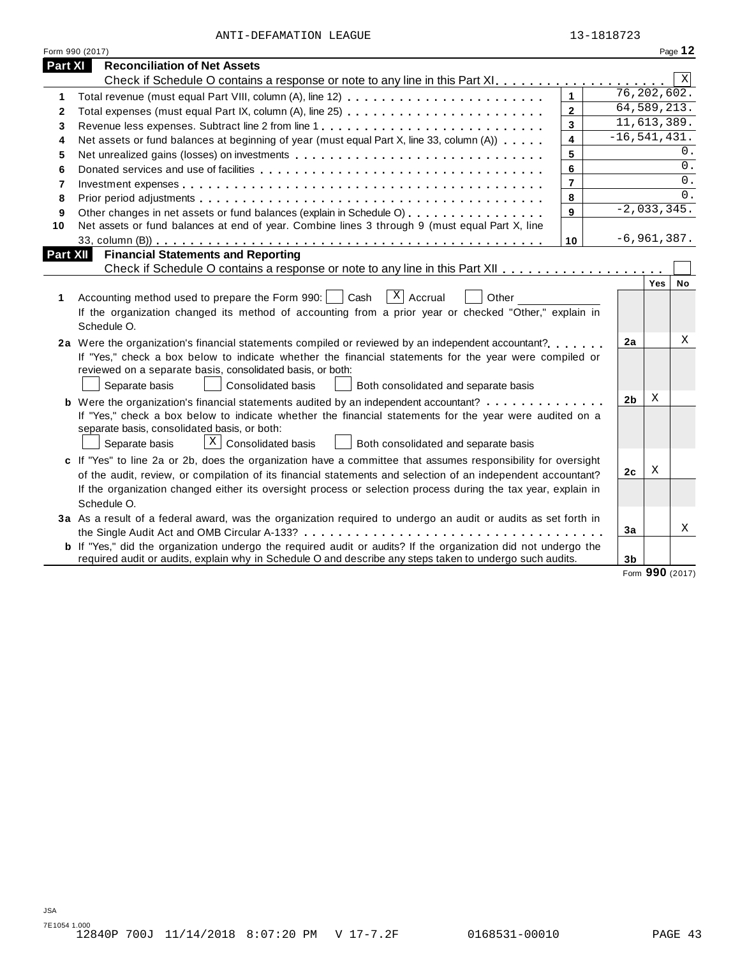|              | Form 990 (2017)                                                                                                                                                                                                                                                                                                                                                   |                         |                             |     | Page 12 |  |  |
|--------------|-------------------------------------------------------------------------------------------------------------------------------------------------------------------------------------------------------------------------------------------------------------------------------------------------------------------------------------------------------------------|-------------------------|-----------------------------|-----|---------|--|--|
| Part XI      | <b>Reconciliation of Net Assets</b>                                                                                                                                                                                                                                                                                                                               |                         |                             |     |         |  |  |
|              |                                                                                                                                                                                                                                                                                                                                                                   |                         |                             |     | X       |  |  |
| 1            |                                                                                                                                                                                                                                                                                                                                                                   | $\mathbf{1}$            | 76,202,602.                 |     |         |  |  |
| $\mathbf{2}$ | Total expenses (must equal Part IX, column (A), line 25)                                                                                                                                                                                                                                                                                                          | $\mathbf{2}$            | 64,589,213.                 |     |         |  |  |
| 3            | Revenue less expenses. Subtract line 2 from line 1                                                                                                                                                                                                                                                                                                                | 3                       | 11,613,389.                 |     |         |  |  |
| 4            | Net assets or fund balances at beginning of year (must equal Part X, line 33, column (A))                                                                                                                                                                                                                                                                         | $\overline{\mathbf{4}}$ | $-16, 541, 431.$            |     |         |  |  |
| 5            |                                                                                                                                                                                                                                                                                                                                                                   | 5                       |                             |     | $0$ .   |  |  |
| 6            |                                                                                                                                                                                                                                                                                                                                                                   | 6                       |                             |     | 0.      |  |  |
| 7            |                                                                                                                                                                                                                                                                                                                                                                   | $\overline{7}$          |                             |     | 0.      |  |  |
| 8            |                                                                                                                                                                                                                                                                                                                                                                   | 8                       |                             |     | 0.      |  |  |
| 9            | Other changes in net assets or fund balances (explain in Schedule O)                                                                                                                                                                                                                                                                                              | 9                       | $\overline{-2}$ , 033, 345. |     |         |  |  |
| 10           | Net assets or fund balances at end of year. Combine lines 3 through 9 (must equal Part X, line                                                                                                                                                                                                                                                                    |                         |                             |     |         |  |  |
|              |                                                                                                                                                                                                                                                                                                                                                                   | 10                      | $-6,961,387.$               |     |         |  |  |
| Part XII     | <b>Financial Statements and Reporting</b>                                                                                                                                                                                                                                                                                                                         |                         |                             |     |         |  |  |
|              |                                                                                                                                                                                                                                                                                                                                                                   |                         |                             |     |         |  |  |
| 1            | $ X $ Accrual<br>Accounting method used to prepare the Form 990:     Cash<br>Other<br>If the organization changed its method of accounting from a prior year or checked "Other," explain in<br>Schedule O.                                                                                                                                                        |                         |                             | Yes | No      |  |  |
|              | 2a Were the organization's financial statements compiled or reviewed by an independent accountant?<br>If "Yes," check a box below to indicate whether the financial statements for the year were compiled or<br>reviewed on a separate basis, consolidated basis, or both:<br>Separate basis<br><b>Consolidated basis</b><br>Both consolidated and separate basis |                         |                             |     |         |  |  |
|              | <b>b</b> Were the organization's financial statements audited by an independent accountant?<br>If "Yes," check a box below to indicate whether the financial statements for the year were audited on a<br>separate basis, consolidated basis, or both:<br>$X$ Consolidated basis<br>Separate basis<br>Both consolidated and separate basis                        |                         |                             |     |         |  |  |
|              | c If "Yes" to line 2a or 2b, does the organization have a committee that assumes responsibility for oversight<br>of the audit, review, or compilation of its financial statements and selection of an independent accountant?<br>If the organization changed either its oversight process or selection process during the tax year, explain in                    |                         | 2c                          | Χ   |         |  |  |
|              | Schedule O.                                                                                                                                                                                                                                                                                                                                                       |                         |                             |     |         |  |  |
|              | 3a As a result of a federal award, was the organization required to undergo an audit or audits as set forth in                                                                                                                                                                                                                                                    |                         | 3a                          |     | Χ       |  |  |
|              | <b>b</b> If "Yes," did the organization undergo the required audit or audits? If the organization did not undergo the<br>required audit or audits, explain why in Schedule O and describe any steps taken to undergo such audits.                                                                                                                                 |                         | 3b                          |     |         |  |  |

Form **990** (2017)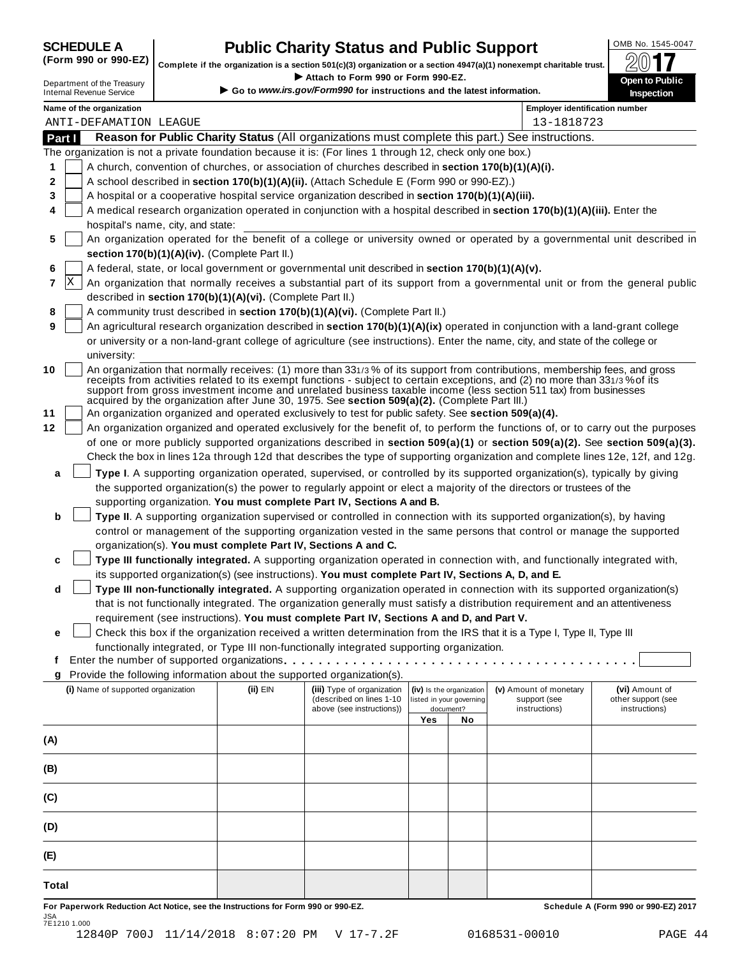# SCHEDULE A **Public Charity Status and Public Support** (Form 990 or 990-EZ) complete if the organization is a section 501(c)(3) organization or a section 4947(a)(1) nonexempt charitable trust.

(Form 990 or 990-EZ) complete if the organization is a section 501(c)(3) organization or a section 4947(a)(1) nonexempt charitable trust.  $2017$ 

| Department of the Treasury      |  |
|---------------------------------|--|
| <b>Internal Revenue Service</b> |  |

**10**

**11 12**

**(A)**

**(B)**

**(C)**

**(D)**

**(E)**

**Total**

|        |                                                               |                                                            |                                                                                                              |     |                                                                         | Complete if the organization is a section 501(c)(3) organization or a section $4947(a)(1)$ nonexempt charitable trust.                                                                                                                                                                                                                                                          | ZV I I                                                                                                                           |
|--------|---------------------------------------------------------------|------------------------------------------------------------|--------------------------------------------------------------------------------------------------------------|-----|-------------------------------------------------------------------------|---------------------------------------------------------------------------------------------------------------------------------------------------------------------------------------------------------------------------------------------------------------------------------------------------------------------------------------------------------------------------------|----------------------------------------------------------------------------------------------------------------------------------|
|        | Department of the Treasury<br><b>Internal Revenue Service</b> |                                                            | Attach to Form 990 or Form 990-EZ.<br>Go to www.irs.gov/Form990 for instructions and the latest information. |     |                                                                         |                                                                                                                                                                                                                                                                                                                                                                                 | Open to Public<br><b>Inspection</b>                                                                                              |
|        | Name of the organization                                      |                                                            |                                                                                                              |     |                                                                         | <b>Employer identification number</b>                                                                                                                                                                                                                                                                                                                                           |                                                                                                                                  |
|        | ANTI-DEFAMATION LEAGUE                                        |                                                            |                                                                                                              |     |                                                                         | 13-1818723                                                                                                                                                                                                                                                                                                                                                                      |                                                                                                                                  |
| Part I |                                                               |                                                            |                                                                                                              |     |                                                                         | Reason for Public Charity Status (All organizations must complete this part.) See instructions.                                                                                                                                                                                                                                                                                 |                                                                                                                                  |
|        |                                                               |                                                            | The organization is not a private foundation because it is: (For lines 1 through 12, check only one box.)    |     |                                                                         |                                                                                                                                                                                                                                                                                                                                                                                 |                                                                                                                                  |
| 1      |                                                               |                                                            | A church, convention of churches, or association of churches described in section 170(b)(1)(A)(i).           |     |                                                                         |                                                                                                                                                                                                                                                                                                                                                                                 |                                                                                                                                  |
| 2      |                                                               |                                                            | A school described in section 170(b)(1)(A)(ii). (Attach Schedule E (Form 990 or 990-EZ).)                    |     |                                                                         |                                                                                                                                                                                                                                                                                                                                                                                 |                                                                                                                                  |
| 3      |                                                               |                                                            | A hospital or a cooperative hospital service organization described in section 170(b)(1)(A)(iii).            |     |                                                                         |                                                                                                                                                                                                                                                                                                                                                                                 |                                                                                                                                  |
| 4      |                                                               |                                                            |                                                                                                              |     |                                                                         | A medical research organization operated in conjunction with a hospital described in section 170(b)(1)(A)(iii). Enter the                                                                                                                                                                                                                                                       |                                                                                                                                  |
|        | hospital's name, city, and state:                             |                                                            |                                                                                                              |     |                                                                         |                                                                                                                                                                                                                                                                                                                                                                                 |                                                                                                                                  |
| 5      |                                                               |                                                            |                                                                                                              |     |                                                                         |                                                                                                                                                                                                                                                                                                                                                                                 | An organization operated for the benefit of a college or university owned or operated by a governmental unit described in        |
|        |                                                               | section 170(b)(1)(A)(iv). (Complete Part II.)              |                                                                                                              |     |                                                                         |                                                                                                                                                                                                                                                                                                                                                                                 |                                                                                                                                  |
| 6      |                                                               |                                                            | A federal, state, or local government or governmental unit described in section 170(b)(1)(A)(v).             |     |                                                                         |                                                                                                                                                                                                                                                                                                                                                                                 |                                                                                                                                  |
| X<br>7 |                                                               |                                                            |                                                                                                              |     |                                                                         |                                                                                                                                                                                                                                                                                                                                                                                 | An organization that normally receives a substantial part of its support from a governmental unit or from the general public     |
|        |                                                               | described in section 170(b)(1)(A)(vi). (Complete Part II.) |                                                                                                              |     |                                                                         |                                                                                                                                                                                                                                                                                                                                                                                 |                                                                                                                                  |
| 8      |                                                               |                                                            | A community trust described in section 170(b)(1)(A)(vi). (Complete Part II.)                                 |     |                                                                         |                                                                                                                                                                                                                                                                                                                                                                                 |                                                                                                                                  |
| 9      |                                                               |                                                            |                                                                                                              |     |                                                                         | An agricultural research organization described in section 170(b)(1)(A)(ix) operated in conjunction with a land-grant college                                                                                                                                                                                                                                                   |                                                                                                                                  |
|        |                                                               |                                                            |                                                                                                              |     |                                                                         | or university or a non-land-grant college of agriculture (see instructions). Enter the name, city, and state of the college or                                                                                                                                                                                                                                                  |                                                                                                                                  |
|        | university:                                                   |                                                            |                                                                                                              |     |                                                                         |                                                                                                                                                                                                                                                                                                                                                                                 |                                                                                                                                  |
| 10     |                                                               |                                                            | acquired by the organization after June 30, 1975. See section 509(a)(2). (Complete Part III.)                |     |                                                                         | An organization that normally receives: (1) more than 331/3% of its support from contributions, membership fees, and gross<br>receipts from activities related to its exempt functions - subject to certain exceptions, and (2) no more than 331/3% of its<br>support from gross investment income and unrelated business taxable income (less section 511 tax) from businesses |                                                                                                                                  |
| 11     |                                                               |                                                            | An organization organized and operated exclusively to test for public safety. See section 509(a)(4).         |     |                                                                         |                                                                                                                                                                                                                                                                                                                                                                                 |                                                                                                                                  |
| 12     |                                                               |                                                            |                                                                                                              |     |                                                                         |                                                                                                                                                                                                                                                                                                                                                                                 | An organization organized and operated exclusively for the benefit of, to perform the functions of, or to carry out the purposes |
|        |                                                               |                                                            |                                                                                                              |     |                                                                         |                                                                                                                                                                                                                                                                                                                                                                                 | of one or more publicly supported organizations described in section 509(a)(1) or section 509(a)(2). See section 509(a)(3).      |
|        |                                                               |                                                            |                                                                                                              |     |                                                                         |                                                                                                                                                                                                                                                                                                                                                                                 | Check the box in lines 12a through 12d that describes the type of supporting organization and complete lines 12e, 12f, and 12g.  |
| а      |                                                               |                                                            |                                                                                                              |     |                                                                         | Type I. A supporting organization operated, supervised, or controlled by its supported organization(s), typically by giving                                                                                                                                                                                                                                                     |                                                                                                                                  |
|        |                                                               |                                                            |                                                                                                              |     |                                                                         | the supported organization(s) the power to regularly appoint or elect a majority of the directors or trustees of the                                                                                                                                                                                                                                                            |                                                                                                                                  |
|        |                                                               |                                                            | supporting organization. You must complete Part IV, Sections A and B.                                        |     |                                                                         |                                                                                                                                                                                                                                                                                                                                                                                 |                                                                                                                                  |
| b      |                                                               |                                                            |                                                                                                              |     |                                                                         | Type II. A supporting organization supervised or controlled in connection with its supported organization(s), by having                                                                                                                                                                                                                                                         |                                                                                                                                  |
|        |                                                               |                                                            |                                                                                                              |     |                                                                         | control or management of the supporting organization vested in the same persons that control or manage the supported                                                                                                                                                                                                                                                            |                                                                                                                                  |
|        |                                                               |                                                            | organization(s). You must complete Part IV, Sections A and C.                                                |     |                                                                         |                                                                                                                                                                                                                                                                                                                                                                                 |                                                                                                                                  |
| c      |                                                               |                                                            |                                                                                                              |     |                                                                         | Type III functionally integrated. A supporting organization operated in connection with, and functionally integrated with,                                                                                                                                                                                                                                                      |                                                                                                                                  |
|        |                                                               |                                                            | its supported organization(s) (see instructions). You must complete Part IV, Sections A, D, and E.           |     |                                                                         |                                                                                                                                                                                                                                                                                                                                                                                 |                                                                                                                                  |
| d      |                                                               |                                                            |                                                                                                              |     |                                                                         | Type III non-functionally integrated. A supporting organization operated in connection with its supported organization(s)                                                                                                                                                                                                                                                       |                                                                                                                                  |
|        |                                                               |                                                            | requirement (see instructions). You must complete Part IV, Sections A and D, and Part V.                     |     |                                                                         | that is not functionally integrated. The organization generally must satisfy a distribution requirement and an attentiveness                                                                                                                                                                                                                                                    |                                                                                                                                  |
| е      |                                                               |                                                            |                                                                                                              |     |                                                                         | Check this box if the organization received a written determination from the IRS that it is a Type I, Type II, Type III                                                                                                                                                                                                                                                         |                                                                                                                                  |
|        |                                                               |                                                            | functionally integrated, or Type III non-functionally integrated supporting organization.                    |     |                                                                         |                                                                                                                                                                                                                                                                                                                                                                                 |                                                                                                                                  |
|        |                                                               |                                                            |                                                                                                              |     |                                                                         |                                                                                                                                                                                                                                                                                                                                                                                 |                                                                                                                                  |
|        |                                                               |                                                            | Provide the following information about the supported organization(s).                                       |     |                                                                         |                                                                                                                                                                                                                                                                                                                                                                                 |                                                                                                                                  |
|        | (i) Name of supported organization                            | (ii) EIN                                                   | (iii) Type of organization<br>(described on lines 1-10<br>above (see instructions))                          | Yes | (iv) Is the organization<br>listed in your governing<br>document?<br>No | (v) Amount of monetary<br>support (see<br>instructions)                                                                                                                                                                                                                                                                                                                         | (vi) Amount of<br>other support (see<br>instructions)                                                                            |
| (A)    |                                                               |                                                            |                                                                                                              |     |                                                                         |                                                                                                                                                                                                                                                                                                                                                                                 |                                                                                                                                  |
|        |                                                               |                                                            |                                                                                                              |     |                                                                         |                                                                                                                                                                                                                                                                                                                                                                                 |                                                                                                                                  |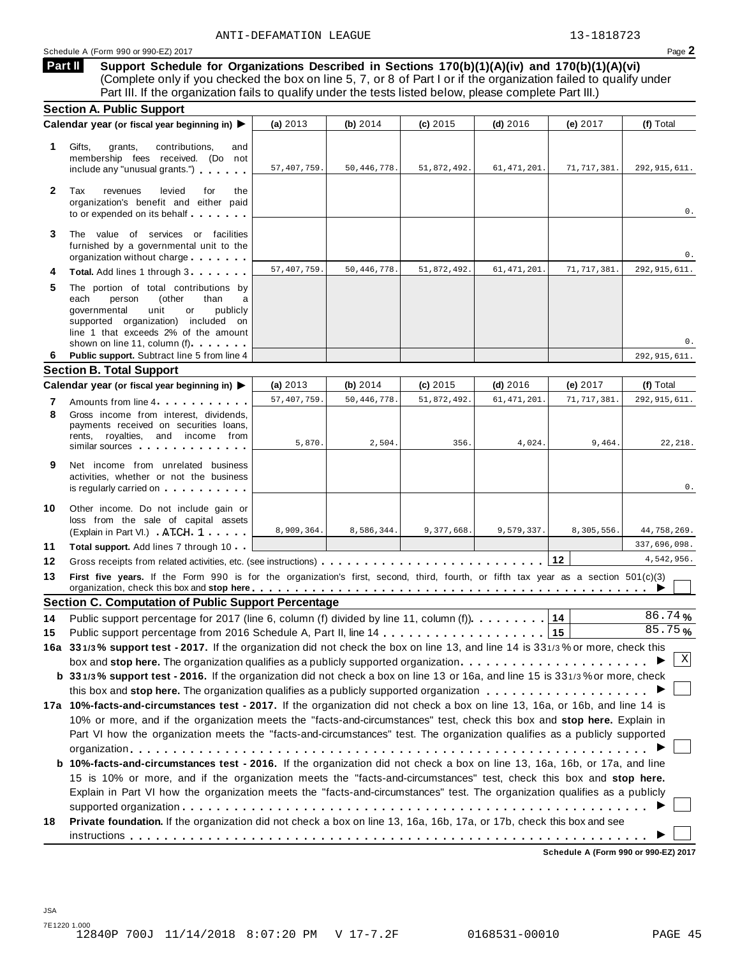**Support Schedule for Organizations Described in Sections 170(b)(1)(A)(iv) and 170(b)(1)(A)(vi)** (Complete only if you checked the box on line 5, 7, or 8 of Part I or if the organization failed to qualify under Part III. If the organization fails to qualify under the tests listed below, please complete Part III.) **Part II**

|              | <b>Section A. Public Support</b>                                                                                                                                                                                                                                                                                                                                     |               |               |                                                                                                                         |               |               |                |  |  |  |  |  |
|--------------|----------------------------------------------------------------------------------------------------------------------------------------------------------------------------------------------------------------------------------------------------------------------------------------------------------------------------------------------------------------------|---------------|---------------|-------------------------------------------------------------------------------------------------------------------------|---------------|---------------|----------------|--|--|--|--|--|
|              | Calendar year (or fiscal year beginning in) ▶                                                                                                                                                                                                                                                                                                                        | (a) 2013      | (b) 2014      | $(c)$ 2015                                                                                                              | $(d)$ 2016    | (e) 2017      | (f) Total      |  |  |  |  |  |
| 1.           | contributions,<br>Gifts,<br>grants,<br>and<br>membership fees received. (Do not<br>include any "unusual grants.")                                                                                                                                                                                                                                                    | 57, 407, 759. | 50, 446, 778. | 51,872,492.                                                                                                             | 61, 471, 201. | 71, 717, 381. | 292, 915, 611. |  |  |  |  |  |
| $\mathbf{2}$ | Tax<br>revenues<br>levied<br>for<br>the<br>organization's benefit and either paid<br>to or expended on its behalf                                                                                                                                                                                                                                                    |               |               |                                                                                                                         |               |               | 0.             |  |  |  |  |  |
| 3            | The value of services or facilities<br>furnished by a governmental unit to the<br>organization without charge                                                                                                                                                                                                                                                        |               |               |                                                                                                                         |               |               | 0.             |  |  |  |  |  |
| 4            | Total. Add lines 1 through 3                                                                                                                                                                                                                                                                                                                                         | 57, 407, 759  | 50, 446, 778  | 51,872,492.                                                                                                             | 61, 471, 201. | 71, 717, 381. | 292, 915, 611. |  |  |  |  |  |
| 5            | The portion of total contributions by<br>each<br>person<br>(other<br>than<br>a<br>governmental<br>unit<br>or<br>publicly<br>supported organization) included on<br>line 1 that exceeds 2% of the amount<br>shown on line 11, column (f)                                                                                                                              |               |               |                                                                                                                         |               |               | 0.             |  |  |  |  |  |
| 6            | Public support. Subtract line 5 from line 4                                                                                                                                                                                                                                                                                                                          |               |               |                                                                                                                         |               |               | 292, 915, 611. |  |  |  |  |  |
|              | <b>Section B. Total Support</b>                                                                                                                                                                                                                                                                                                                                      |               |               |                                                                                                                         |               |               |                |  |  |  |  |  |
|              | Calendar year (or fiscal year beginning in) ▶                                                                                                                                                                                                                                                                                                                        | (a) 2013      | (b) 2014      | $(c)$ 2015                                                                                                              | $(d)$ 2016    | (e) 2017      | (f) Total      |  |  |  |  |  |
| 7            | Amounts from line 4.                                                                                                                                                                                                                                                                                                                                                 | 57, 407, 759  | 50, 446, 778. | 51,872,492.                                                                                                             | 61, 471, 201  | 71, 717, 381. | 292, 915, 611. |  |  |  |  |  |
| 8            | Gross income from interest, dividends,<br>payments received on securities loans,<br>rents, royalties, and income from<br>similar sources and the same state of the state of the state of the state of the state of the state of the state of the state of the state of the state of the state of the state of the state of the state of the state of th              | 5,870.        | 2,504.        | 356.                                                                                                                    | 4,024.        | 9,464.        | 22, 218.       |  |  |  |  |  |
| 9            | Net income from unrelated business<br>activities, whether or not the business<br>is regularly carried on the control of the set of the set of the set of the set of the set of the set of the s                                                                                                                                                                      |               |               |                                                                                                                         |               |               | 0.             |  |  |  |  |  |
| 10           | Other income. Do not include gain or<br>loss from the sale of capital assets<br>(Explain in Part VI.) ATCH 1                                                                                                                                                                                                                                                         | 8,909,364.    | 8,586,344.    | 9,377,668.                                                                                                              | 9,579,337.    | 8,305,556.    | 44,758,269.    |  |  |  |  |  |
| 11           | <b>Total support.</b> Add lines 7 through 10                                                                                                                                                                                                                                                                                                                         |               |               |                                                                                                                         |               |               | 337,696,098.   |  |  |  |  |  |
| 12           |                                                                                                                                                                                                                                                                                                                                                                      |               |               |                                                                                                                         |               | 12            | 4,542,956.     |  |  |  |  |  |
| 13           | First five years. If the Form 990 is for the organization's first, second, third, fourth, or fifth tax year as a section 501(c)(3)<br>organization, check this box and stop here entitled and contain the state of the contact the state of the state of the state of the state of the state of the state of the state of the state of the state of the state of the |               |               |                                                                                                                         |               |               |                |  |  |  |  |  |
|              | <b>Section C. Computation of Public Support Percentage</b>                                                                                                                                                                                                                                                                                                           |               |               |                                                                                                                         |               |               |                |  |  |  |  |  |
| 14           | Public support percentage for 2017 (line 6, column (f) divided by line 11, column (f)).                                                                                                                                                                                                                                                                              |               |               |                                                                                                                         |               | 14            | 86.74%         |  |  |  |  |  |
| 15           |                                                                                                                                                                                                                                                                                                                                                                      |               |               |                                                                                                                         |               | 15            | 85.75%         |  |  |  |  |  |
|              | 16a 331/3% support test - 2017. If the organization did not check the box on line 13, and line 14 is 331/3% or more, check this                                                                                                                                                                                                                                      |               |               |                                                                                                                         |               |               |                |  |  |  |  |  |
|              | box and stop here. The organization qualifies as a publicly supported organization $\ldots \ldots \ldots \ldots \ldots \ldots \ldots$                                                                                                                                                                                                                                |               |               |                                                                                                                         |               |               | Χ              |  |  |  |  |  |
|              | b 331/3% support test - 2016. If the organization did not check a box on line 13 or 16a, and line 15 is 331/3% or more, check                                                                                                                                                                                                                                        |               |               |                                                                                                                         |               |               |                |  |  |  |  |  |
|              |                                                                                                                                                                                                                                                                                                                                                                      |               |               |                                                                                                                         |               |               |                |  |  |  |  |  |
|              | 17a 10%-facts-and-circumstances test - 2017. If the organization did not check a box on line 13, 16a, or 16b, and line 14 is                                                                                                                                                                                                                                         |               |               |                                                                                                                         |               |               |                |  |  |  |  |  |
|              |                                                                                                                                                                                                                                                                                                                                                                      |               |               | 10% or more, and if the organization meets the "facts-and-circumstances" test, check this box and stop here. Explain in |               |               |                |  |  |  |  |  |
|              |                                                                                                                                                                                                                                                                                                                                                                      |               |               |                                                                                                                         |               |               |                |  |  |  |  |  |
|              | Part VI how the organization meets the "facts-and-circumstances" test. The organization qualifies as a publicly supported                                                                                                                                                                                                                                            |               |               |                                                                                                                         |               |               |                |  |  |  |  |  |
|              |                                                                                                                                                                                                                                                                                                                                                                      |               |               |                                                                                                                         |               |               |                |  |  |  |  |  |
|              | b 10%-facts-and-circumstances test - 2016. If the organization did not check a box on line 13, 16a, 16b, or 17a, and line                                                                                                                                                                                                                                            |               |               |                                                                                                                         |               |               |                |  |  |  |  |  |
|              | 15 is 10% or more, and if the organization meets the "facts-and-circumstances" test, check this box and stop here.                                                                                                                                                                                                                                                   |               |               |                                                                                                                         |               |               |                |  |  |  |  |  |
|              | Explain in Part VI how the organization meets the "facts-and-circumstances" test. The organization qualifies as a publicly                                                                                                                                                                                                                                           |               |               |                                                                                                                         |               |               |                |  |  |  |  |  |
|              |                                                                                                                                                                                                                                                                                                                                                                      |               |               |                                                                                                                         |               |               |                |  |  |  |  |  |
| 18           | Private foundation. If the organization did not check a box on line 13, 16a, 16b, 17a, or 17b, check this box and see                                                                                                                                                                                                                                                |               |               |                                                                                                                         |               |               |                |  |  |  |  |  |

**Schedule A (Form 990 or 990-EZ) 2017**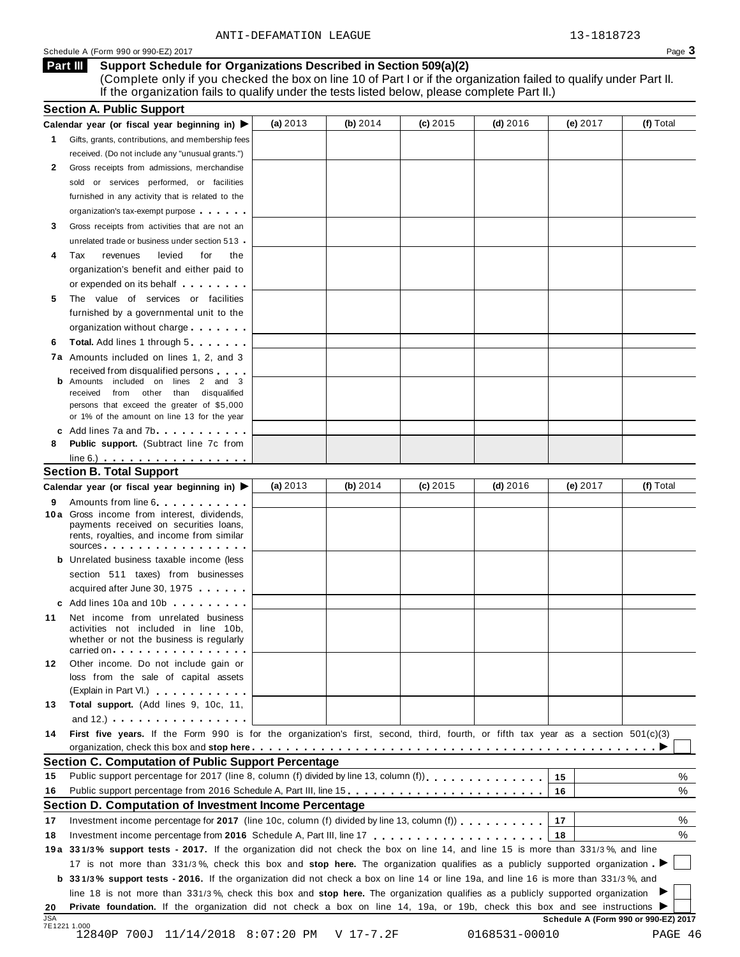## Schedule A (Form 990 or 990-EZ) 2017  $\qquad \qquad$

#### **Support Schedule for Organizations Described in Section 509(a)(2) Part III**

(Complete only if you checked the box on line 10 of Part I or if the organization failed to qualify under Part II. If the organization fails to qualify under the tests listed below, please complete Part II.)

|            | <b>Section A. Public Support</b>                                                                                                                                                                                              |            |            |            |               |                                      |           |
|------------|-------------------------------------------------------------------------------------------------------------------------------------------------------------------------------------------------------------------------------|------------|------------|------------|---------------|--------------------------------------|-----------|
|            | Calendar year (or fiscal year beginning in) ▶                                                                                                                                                                                 | (a) $2013$ | (b) $2014$ | $(c)$ 2015 | (d) $2016$    | (e) 2017                             | (f) Total |
| 1.         | Gifts, grants, contributions, and membership fees                                                                                                                                                                             |            |            |            |               |                                      |           |
|            | received. (Do not include any "unusual grants.")                                                                                                                                                                              |            |            |            |               |                                      |           |
| 2          | Gross receipts from admissions, merchandise                                                                                                                                                                                   |            |            |            |               |                                      |           |
|            | sold or services performed, or facilities                                                                                                                                                                                     |            |            |            |               |                                      |           |
|            | furnished in any activity that is related to the                                                                                                                                                                              |            |            |            |               |                                      |           |
|            | organization's tax-exempt purpose                                                                                                                                                                                             |            |            |            |               |                                      |           |
| 3          | Gross receipts from activities that are not an                                                                                                                                                                                |            |            |            |               |                                      |           |
|            | unrelated trade or business under section 513                                                                                                                                                                                 |            |            |            |               |                                      |           |
| 4          | Tax<br>revenues<br>levied<br>for<br>the                                                                                                                                                                                       |            |            |            |               |                                      |           |
|            | organization's benefit and either paid to                                                                                                                                                                                     |            |            |            |               |                                      |           |
|            | or expended on its behalf                                                                                                                                                                                                     |            |            |            |               |                                      |           |
| 5          | The value of services or facilities                                                                                                                                                                                           |            |            |            |               |                                      |           |
|            | furnished by a governmental unit to the                                                                                                                                                                                       |            |            |            |               |                                      |           |
|            | organization without charge                                                                                                                                                                                                   |            |            |            |               |                                      |           |
| 6          | <b>Total.</b> Add lines 1 through 5                                                                                                                                                                                           |            |            |            |               |                                      |           |
|            | 7a Amounts included on lines 1, 2, and 3                                                                                                                                                                                      |            |            |            |               |                                      |           |
|            |                                                                                                                                                                                                                               |            |            |            |               |                                      |           |
|            | received from disqualified persons<br>Amounts included on lines 2 and 3                                                                                                                                                       |            |            |            |               |                                      |           |
|            | from other than disqualified<br>received                                                                                                                                                                                      |            |            |            |               |                                      |           |
|            | persons that exceed the greater of \$5,000                                                                                                                                                                                    |            |            |            |               |                                      |           |
|            | or 1% of the amount on line 13 for the year                                                                                                                                                                                   |            |            |            |               |                                      |           |
|            | c Add lines 7a and 7b                                                                                                                                                                                                         |            |            |            |               |                                      |           |
| 8          | Public support. (Subtract line 7c from                                                                                                                                                                                        |            |            |            |               |                                      |           |
|            | $line 6.)$                                                                                                                                                                                                                    |            |            |            |               |                                      |           |
|            | <b>Section B. Total Support</b>                                                                                                                                                                                               |            |            |            |               |                                      |           |
|            | Calendar year (or fiscal year beginning in) ▶                                                                                                                                                                                 | (a) $2013$ | (b) $2014$ | $(c)$ 2015 | (d) $2016$    | (e) 2017                             | (f) Total |
| 9          | Amounts from line 6                                                                                                                                                                                                           |            |            |            |               |                                      |           |
|            | 10 a Gross income from interest, dividends,<br>payments received on securities loans,<br>rents, royalties, and income from similar                                                                                            |            |            |            |               |                                      |           |
|            | sources <b>contracts</b>                                                                                                                                                                                                      |            |            |            |               |                                      |           |
|            | <b>b</b> Unrelated business taxable income (less                                                                                                                                                                              |            |            |            |               |                                      |           |
|            | section 511 taxes) from businesses                                                                                                                                                                                            |            |            |            |               |                                      |           |
|            | acquired after June 30, 1975                                                                                                                                                                                                  |            |            |            |               |                                      |           |
|            | c Add lines 10a and 10b and the control of the state of the state of the state of the state of the state of the state of the state of the state of the state of the state of the state of the state of the state of the state |            |            |            |               |                                      |           |
| 11         | Net income from unrelated business<br>activities not included in line 10b,<br>whether or not the business is regularly                                                                                                        |            |            |            |               |                                      |           |
| 12         | carried on entering the entering term in the care in the case of the case of the case of the case of the case of<br>Other income. Do not include gain or                                                                      |            |            |            |               |                                      |           |
|            | loss from the sale of capital assets                                                                                                                                                                                          |            |            |            |               |                                      |           |
|            | (Explain in Part VI.) <b>Container and Containers</b>                                                                                                                                                                         |            |            |            |               |                                      |           |
| 13         | Total support. (Add lines 9, 10c, 11,                                                                                                                                                                                         |            |            |            |               |                                      |           |
|            | and 12.) $\cdots$ $\cdots$ $\cdots$ $\cdots$ $\cdots$                                                                                                                                                                         |            |            |            |               |                                      |           |
| 14         | First five years. If the Form 990 is for the organization's first, second, third, fourth, or fifth tax year as a section 501(c)(3)                                                                                            |            |            |            |               |                                      |           |
|            |                                                                                                                                                                                                                               |            |            |            |               |                                      |           |
|            | Section C. Computation of Public Support Percentage                                                                                                                                                                           |            |            |            |               |                                      |           |
|            | Public support percentage for 2017 (line 8, column (f) divided by line 13, column (f)                                                                                                                                         |            |            |            |               |                                      | ℅         |
| 15         |                                                                                                                                                                                                                               |            |            |            |               | 15                                   |           |
| 16         | Public support percentage from 2016 Schedule A, Part III, line 15.                                                                                                                                                            |            |            |            |               | 16                                   | %         |
|            | Section D. Computation of Investment Income Percentage                                                                                                                                                                        |            |            |            |               |                                      |           |
| 17         | Investment income percentage for 2017 (line 10c, column (f) divided by line 13, column (f) $\ldots$ ,,,,,,,                                                                                                                   |            |            |            |               | 17                                   | %         |
| 18         |                                                                                                                                                                                                                               |            |            |            |               | 18                                   | %         |
|            | 19a 331/3% support tests - 2017. If the organization did not check the box on line 14, and line 15 is more than 331/3%, and line                                                                                              |            |            |            |               |                                      |           |
|            | 17 is not more than 331/3%, check this box and stop here. The organization qualifies as a publicly supported organization                                                                                                     |            |            |            |               |                                      |           |
|            | <b>b</b> 331/3% support tests - 2016. If the organization did not check a box on line 14 or line 19a, and line 16 is more than 331/3%, and                                                                                    |            |            |            |               |                                      |           |
|            | line 18 is not more than 331/3%, check this box and stop here. The organization qualifies as a publicly supported organization                                                                                                |            |            |            |               |                                      |           |
| 20         | Private foundation. If the organization did not check a box on line 14, 19a, or 19b, check this box and see instructions ▶                                                                                                    |            |            |            |               |                                      |           |
| <b>JSA</b> | 7E1221 1.000                                                                                                                                                                                                                  |            |            |            |               | Schedule A (Form 990 or 990-EZ) 2017 |           |
|            | 12840P 700J 11/14/2018 8:07:20 PM                                                                                                                                                                                             |            | V 17-7.2F  |            | 0168531-00010 |                                      | PAGE 46   |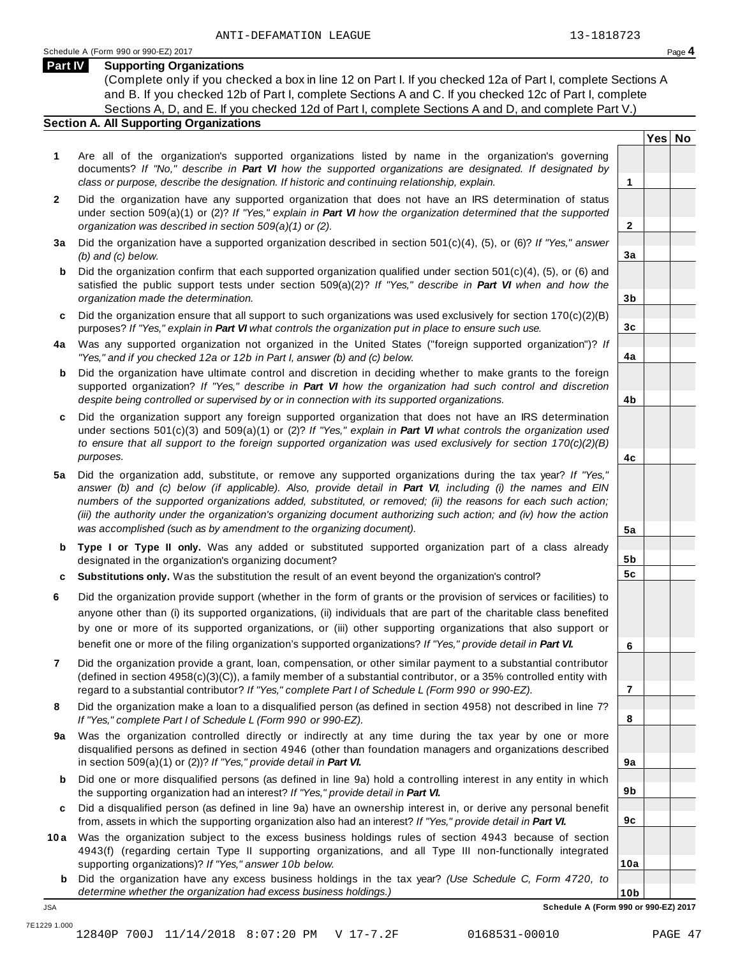**Yes No**

**2**

**3a**

**3b**

**3c**

**4a**

**4b**

**4c**

**5a**

**5b 5c**

**6**

**7**

**8**

**9a**

**9b**

**9c**

**10a**

# **Part IV Supporting Organizations**

(Complete only if you checked a box in line 12 on Part I. If you checked 12a of Part I, complete Sections A and B. If you checked 12b of Part I, complete Sections A and C. If you checked 12c of Part I, complete Sections A, D, and E. If you checked 12d of Part I, complete Sections A and D, and complete Part V.)

# **Section A. All Supporting Organizations**

- **1** Are all of the organization's supported organizations listed by name in the organization's governing documents? *If "No," describe in Part VI how the supported organizations are designated. If designated by class or purpose, describe the designation. If historic and continuing relationship, explain.* **1**
- **2** Did the organization have any supported organization that does not have an IRS determination of status under section 509(a)(1) or (2)? *If"Yes," explain in Part VI how the organization determined that the supported organization was described in section 509(a)(1) or (2).*
- **3 a** Did the organization have a supported organization described in section 501(c)(4), (5), or (6)? *If "Yes," answer (b) and (c) below.*
- **b** Did the organization confirm that each supported organization qualified under section 501(c)(4), (5), or (6) and | satisfied the public support tests under section 509(a)(2)? *If "Yes," describe in Part VI when and how the organization made the determination.*
- **c** Did the organization ensure that all support to such organizations was used exclusively for section 170(c)(2)(B) purposes? *If"Yes," explain in Part VI what controls the organization put in place to ensure such use.*
- **4 a** Was any supported organization not organized in the United States ("foreign supported organization")? *If "Yes," and if you checked 12a or 12b in Part I, answer (b) and (c) below.*
- **b** Did the organization have ultimate control and discretion in deciding whether to make grants to the foreign | supported organization? *If "Yes," describe in Part VI how the organization had such control and discretion despite being controlled or supervised by or in connection with its supported organizations.*
- **c** Did the organization support any foreign supported organization that does not have an IRS determination | under sections 501(c)(3) and 509(a)(1) or (2)? *If "Yes," explain in Part VI what controls the organization used to ensure that all support to the foreign supported organization was used exclusively for section 170(c)(2)(B) purposes.*
- **5 a** Did the organization add, substitute, or remove any supported organizations during the tax year? *If "Yes,"* answer (b) and (c) below (if applicable). Also, provide detail in Part VI, including (i) the names and EIN *numbers of the supported organizations added, substituted, or removed; (ii) the reasons for each such action;* (iii) the authority under the organization's organizing document authorizing such action; and (iv) how the action *was accomplished (such as by amendment to the organizing document).*
- **b** Type I or Type II only. Was any added or substituted supported organization part of a class already | designated in the organization's organizing document?
- **c Substitutions only.** Was the substitution the result of an event beyond the organization's control?
- **6** Did the organization provide support (whether in the form of grants or the provision of services or facilities) to anyone other than (i) its supported organizations, (ii) individuals that are part of the charitable class benefited by one or more of its supported organizations, or (iii) other supporting organizations that also support or benefit one or more of the filing organization's supported organizations? *If"Yes," provide detail in Part VI.*
- **7** Did the organization provide a grant, loan, compensation, or other similar payment to a substantial contributor (defined in section 4958(c)(3)(C)), a family member of a substantial contributor, or a 35% controlled entity with regard to a substantial contributor? *If"Yes," complete Part I of Schedule L (Form 990 or 990-EZ).*
- **8** Did the organization make a loan to a disqualified person (as defined in section 4958) not described in line 7? *If "Yes," complete Part I of Schedule L (Form 990 or 990-EZ).*
- **a** Was the organization controlled directly or indirectly at any time during the tax year by one or more | **9** disqualified persons as defined in section 4946 (other than foundation managers and organizations described in section 509(a)(1) or (2))? *If"Yes," provide detail in Part VI.*
- **b** Did one or more disqualified persons (as defined in line 9a) hold a controlling interest in any entity in which | the supporting organization had an interest? *If"Yes," provide detail in Part VI.*
- **c** Did a disqualified person (as defined in line 9a) have an ownership interest in, or derive any personal benefit from, assets in which the supporting organization also had an interest? *If"Yes," provide detail in Part VI.*
- **10a** Was the organization subject to the excess business holdings rules of section 4943 because of section | 4943(f) (regarding certain Type II supporting organizations, and all Type III non-functionally integrated supporting organizations)? *If"Yes," answer 10b below.*
	- **b** Did the organization have any excess business holdings in the tax year? *(Use Schedule C, Form 4720, to determine whether the organization had excess business holdings.)*

**10b** JSA **Schedule A (Form 990 or 990-EZ) 2017**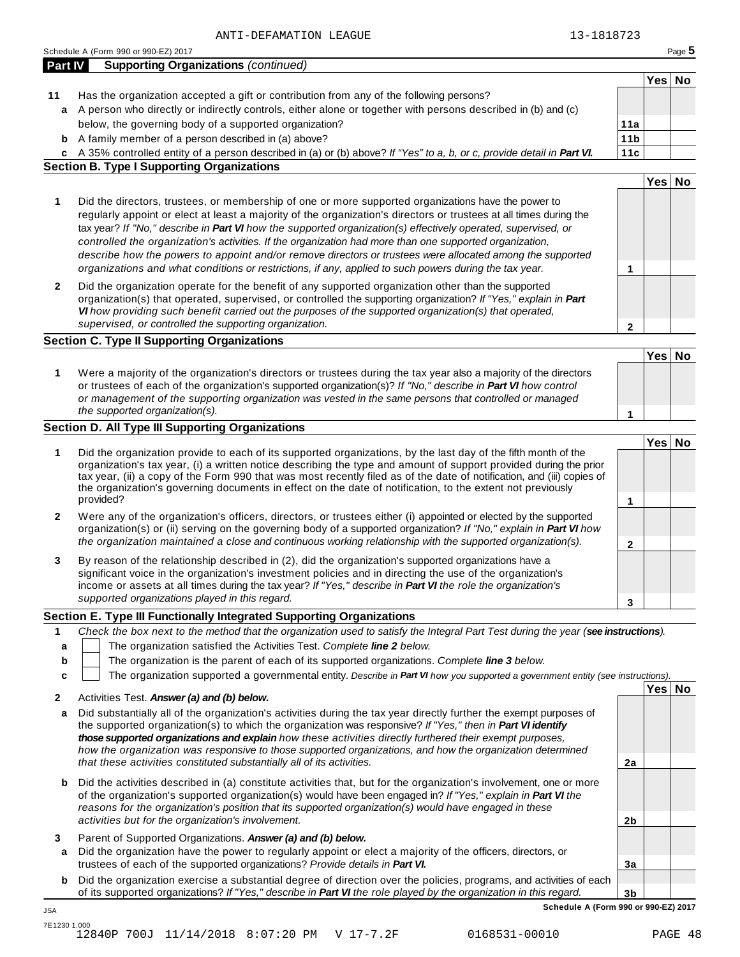|                  | Schedule A (Form 990 or 990-EZ) 2017                                                                                                                                                                                                                                                                                                                                                                                                                                                                                                                                                                                                                                         |                 |        | Page 5 |
|------------------|------------------------------------------------------------------------------------------------------------------------------------------------------------------------------------------------------------------------------------------------------------------------------------------------------------------------------------------------------------------------------------------------------------------------------------------------------------------------------------------------------------------------------------------------------------------------------------------------------------------------------------------------------------------------------|-----------------|--------|--------|
| <b>Part IV</b>   | <b>Supporting Organizations (continued)</b>                                                                                                                                                                                                                                                                                                                                                                                                                                                                                                                                                                                                                                  |                 |        |        |
|                  |                                                                                                                                                                                                                                                                                                                                                                                                                                                                                                                                                                                                                                                                              |                 | Yes No |        |
| 11               | Has the organization accepted a gift or contribution from any of the following persons?                                                                                                                                                                                                                                                                                                                                                                                                                                                                                                                                                                                      |                 |        |        |
| a                | A person who directly or indirectly controls, either alone or together with persons described in (b) and (c)                                                                                                                                                                                                                                                                                                                                                                                                                                                                                                                                                                 |                 |        |        |
|                  | below, the governing body of a supported organization?                                                                                                                                                                                                                                                                                                                                                                                                                                                                                                                                                                                                                       | 11a             |        |        |
|                  | <b>b</b> A family member of a person described in (a) above?                                                                                                                                                                                                                                                                                                                                                                                                                                                                                                                                                                                                                 | 11 <sub>b</sub> |        |        |
|                  | c A 35% controlled entity of a person described in (a) or (b) above? If "Yes" to a, b, or c, provide detail in Part VI.                                                                                                                                                                                                                                                                                                                                                                                                                                                                                                                                                      | 11c             |        |        |
|                  | <b>Section B. Type I Supporting Organizations</b>                                                                                                                                                                                                                                                                                                                                                                                                                                                                                                                                                                                                                            |                 |        |        |
|                  |                                                                                                                                                                                                                                                                                                                                                                                                                                                                                                                                                                                                                                                                              |                 | Yes No |        |
| 1                | Did the directors, trustees, or membership of one or more supported organizations have the power to<br>regularly appoint or elect at least a majority of the organization's directors or trustees at all times during the<br>tax year? If "No," describe in Part VI how the supported organization(s) effectively operated, supervised, or<br>controlled the organization's activities. If the organization had more than one supported organization,<br>describe how the powers to appoint and/or remove directors or trustees were allocated among the supported<br>organizations and what conditions or restrictions, if any, applied to such powers during the tax year. | 1               |        |        |
| 2                | Did the organization operate for the benefit of any supported organization other than the supported<br>organization(s) that operated, supervised, or controlled the supporting organization? If "Yes," explain in Part<br>VI how providing such benefit carried out the purposes of the supported organization(s) that operated,<br>supervised, or controlled the supporting organization.                                                                                                                                                                                                                                                                                   | $\mathbf{2}$    |        |        |
|                  | <b>Section C. Type II Supporting Organizations</b>                                                                                                                                                                                                                                                                                                                                                                                                                                                                                                                                                                                                                           |                 |        |        |
|                  |                                                                                                                                                                                                                                                                                                                                                                                                                                                                                                                                                                                                                                                                              |                 | Yes No |        |
| 1                | Were a majority of the organization's directors or trustees during the tax year also a majority of the directors<br>or trustees of each of the organization's supported organization(s)? If "No," describe in Part VI how control<br>or management of the supporting organization was vested in the same persons that controlled or managed<br>the supported organization(s).                                                                                                                                                                                                                                                                                                | 1               |        |        |
|                  | Section D. All Type III Supporting Organizations                                                                                                                                                                                                                                                                                                                                                                                                                                                                                                                                                                                                                             |                 |        |        |
|                  |                                                                                                                                                                                                                                                                                                                                                                                                                                                                                                                                                                                                                                                                              |                 | Yes No |        |
| 1                | Did the organization provide to each of its supported organizations, by the last day of the fifth month of the<br>organization's tax year, (i) a written notice describing the type and amount of support provided during the prior<br>tax year, (ii) a copy of the Form 990 that was most recently filed as of the date of notification, and (iii) copies of<br>the organization's governing documents in effect on the date of notification, to the extent not previously<br>provided?                                                                                                                                                                                     | 1               |        |        |
|                  |                                                                                                                                                                                                                                                                                                                                                                                                                                                                                                                                                                                                                                                                              |                 |        |        |
| 2                | Were any of the organization's officers, directors, or trustees either (i) appointed or elected by the supported<br>organization(s) or (ii) serving on the governing body of a supported organization? If "No," explain in Part VI how<br>the organization maintained a close and continuous working relationship with the supported organization(s).                                                                                                                                                                                                                                                                                                                        | $\overline{2}$  |        |        |
| 3                | By reason of the relationship described in (2), did the organization's supported organizations have a<br>significant voice in the organization's investment policies and in directing the use of the organization's<br>income or assets at all times during the tax year? If "Yes," describe in Part VI the role the organization's<br>supported organizations played in this regard.                                                                                                                                                                                                                                                                                        | 3               |        |        |
|                  | Section E. Type III Functionally Integrated Supporting Organizations                                                                                                                                                                                                                                                                                                                                                                                                                                                                                                                                                                                                         |                 |        |        |
| 1<br>а<br>b<br>c | Check the box next to the method that the organization used to satisfy the Integral Part Test during the year (see instructions).<br>The organization satisfied the Activities Test. Complete line 2 below.<br>The organization is the parent of each of its supported organizations. Complete line 3 below.<br>The organization supported a governmental entity. Describe in Part VI how you supported a government entity (see instructions).                                                                                                                                                                                                                              |                 |        |        |
|                  |                                                                                                                                                                                                                                                                                                                                                                                                                                                                                                                                                                                                                                                                              |                 | Yes No |        |
| 2<br>a           | Activities Test. Answer (a) and (b) below.<br>Did substantially all of the organization's activities during the tax year directly further the exempt purposes of<br>the supported organization(s) to which the organization was responsive? If "Yes," then in Part VI identify<br>those supported organizations and explain how these activities directly furthered their exempt purposes,<br>how the organization was responsive to those supported organizations, and how the organization determined                                                                                                                                                                      |                 |        |        |
|                  | that these activities constituted substantially all of its activities.                                                                                                                                                                                                                                                                                                                                                                                                                                                                                                                                                                                                       | 2a              |        |        |
| b                | Did the activities described in (a) constitute activities that, but for the organization's involvement, one or more<br>of the organization's supported organization(s) would have been engaged in? If "Yes," explain in Part VI the<br>reasons for the organization's position that its supported organization(s) would have engaged in these<br>activities but for the organization's involvement.                                                                                                                                                                                                                                                                          | 2 <sub>b</sub>  |        |        |
| 3<br>a           | Parent of Supported Organizations. Answer (a) and (b) below.<br>Did the organization have the power to regularly appoint or elect a majority of the officers, directors, or<br>trustees of each of the supported organizations? Provide details in Part VI.                                                                                                                                                                                                                                                                                                                                                                                                                  |                 |        |        |
|                  |                                                                                                                                                                                                                                                                                                                                                                                                                                                                                                                                                                                                                                                                              | За              |        |        |

**3b b** Did the organization exercise a substantial degree of direction over the policies, programs, and activities of each of its supported organizations? *If"Yes," describe in Part VI the role played by the organization in this regard.*

**Schedule A (Form 990 or 990-EZ) 2017**

JSA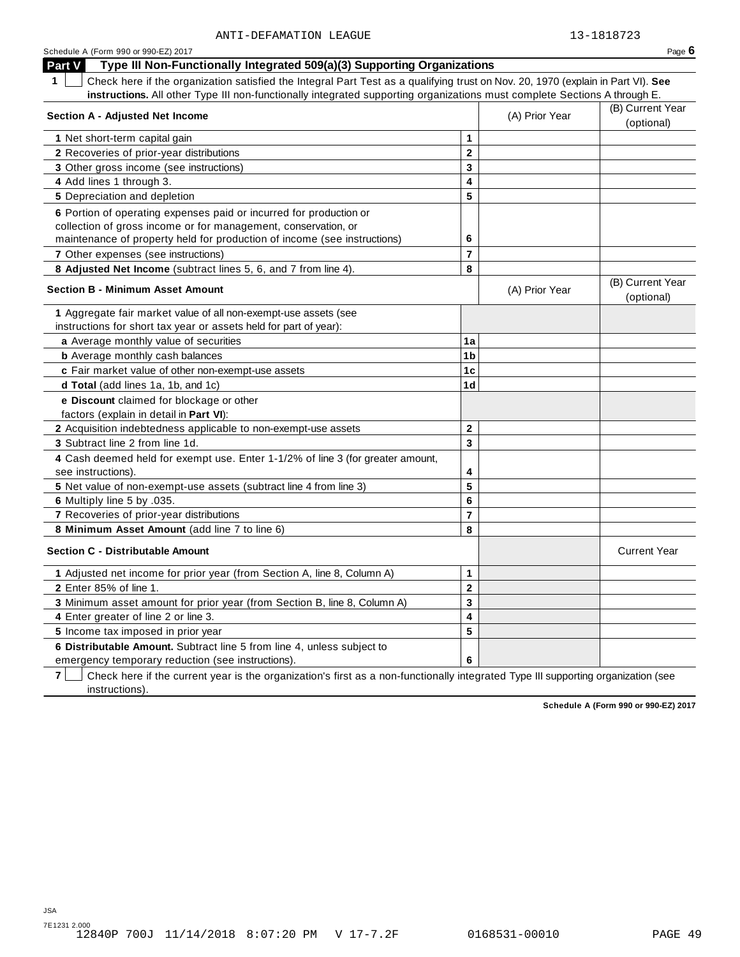| Schedule A (Form 990 or 990-EZ) 2017                                                                                                            |                         |                | Page $6$                       |
|-------------------------------------------------------------------------------------------------------------------------------------------------|-------------------------|----------------|--------------------------------|
| Type III Non-Functionally Integrated 509(a)(3) Supporting Organizations<br><b>Part V</b>                                                        |                         |                |                                |
| $\mathbf 1$<br>Check here if the organization satisfied the Integral Part Test as a qualifying trust on Nov. 20, 1970 (explain in Part VI). See |                         |                |                                |
| instructions. All other Type III non-functionally integrated supporting organizations must complete Sections A through E.                       |                         |                |                                |
| <b>Section A - Adjusted Net Income</b>                                                                                                          |                         | (A) Prior Year | (B) Current Year               |
|                                                                                                                                                 |                         |                | (optional)                     |
| 1 Net short-term capital gain                                                                                                                   | $\mathbf{1}$            |                |                                |
| 2 Recoveries of prior-year distributions                                                                                                        | $\mathbf 2$             |                |                                |
| 3 Other gross income (see instructions)                                                                                                         | 3                       |                |                                |
| 4 Add lines 1 through 3.                                                                                                                        | 4                       |                |                                |
| 5 Depreciation and depletion                                                                                                                    | 5                       |                |                                |
| 6 Portion of operating expenses paid or incurred for production or                                                                              |                         |                |                                |
| collection of gross income or for management, conservation, or                                                                                  |                         |                |                                |
| maintenance of property held for production of income (see instructions)                                                                        | 6                       |                |                                |
| 7 Other expenses (see instructions)                                                                                                             | $\overline{7}$          |                |                                |
| 8 Adjusted Net Income (subtract lines 5, 6, and 7 from line 4).                                                                                 | 8                       |                |                                |
| <b>Section B - Minimum Asset Amount</b>                                                                                                         |                         | (A) Prior Year | (B) Current Year<br>(optional) |
| 1 Aggregate fair market value of all non-exempt-use assets (see                                                                                 |                         |                |                                |
| instructions for short tax year or assets held for part of year):                                                                               |                         |                |                                |
| a Average monthly value of securities                                                                                                           | 1a                      |                |                                |
| <b>b</b> Average monthly cash balances                                                                                                          | 1 <sub>b</sub>          |                |                                |
| c Fair market value of other non-exempt-use assets                                                                                              | 1 <sub>c</sub>          |                |                                |
| d Total (add lines 1a, 1b, and 1c)                                                                                                              | 1 <sub>d</sub>          |                |                                |
| e Discount claimed for blockage or other                                                                                                        |                         |                |                                |
| factors (explain in detail in <b>Part VI</b> ):                                                                                                 |                         |                |                                |
| 2 Acquisition indebtedness applicable to non-exempt-use assets                                                                                  | $\mathbf{2}$            |                |                                |
| 3 Subtract line 2 from line 1d.                                                                                                                 | $\overline{3}$          |                |                                |
| 4 Cash deemed held for exempt use. Enter 1-1/2% of line 3 (for greater amount,<br>see instructions).                                            | 4                       |                |                                |
| 5 Net value of non-exempt-use assets (subtract line 4 from line 3)                                                                              | 5                       |                |                                |
| 6 Multiply line 5 by .035.                                                                                                                      | 6                       |                |                                |
| 7 Recoveries of prior-year distributions                                                                                                        | $\overline{7}$          |                |                                |
| 8 Minimum Asset Amount (add line 7 to line 6)                                                                                                   | 8                       |                |                                |
| <b>Section C - Distributable Amount</b>                                                                                                         |                         |                | <b>Current Year</b>            |
| 1 Adjusted net income for prior year (from Section A, line 8, Column A)                                                                         | $\mathbf{1}$            |                |                                |
| 2 Enter 85% of line 1.                                                                                                                          | $\mathbf 2$             |                |                                |
| 3 Minimum asset amount for prior year (from Section B, line 8, Column A)                                                                        | 3                       |                |                                |
| 4 Enter greater of line 2 or line 3.                                                                                                            | $\overline{\mathbf{4}}$ |                |                                |
| 5 Income tax imposed in prior year                                                                                                              | 5                       |                |                                |
| 6 Distributable Amount. Subtract line 5 from line 4, unless subject to                                                                          |                         |                |                                |
| emergency temporary reduction (see instructions).                                                                                               | 6                       |                |                                |

**7**  $\Box$  Check here if the current year is the organization's first as a non-functionally integrated Type III supporting organization (see instructions).

**Schedule A (Form 990 or 990-EZ) 2017**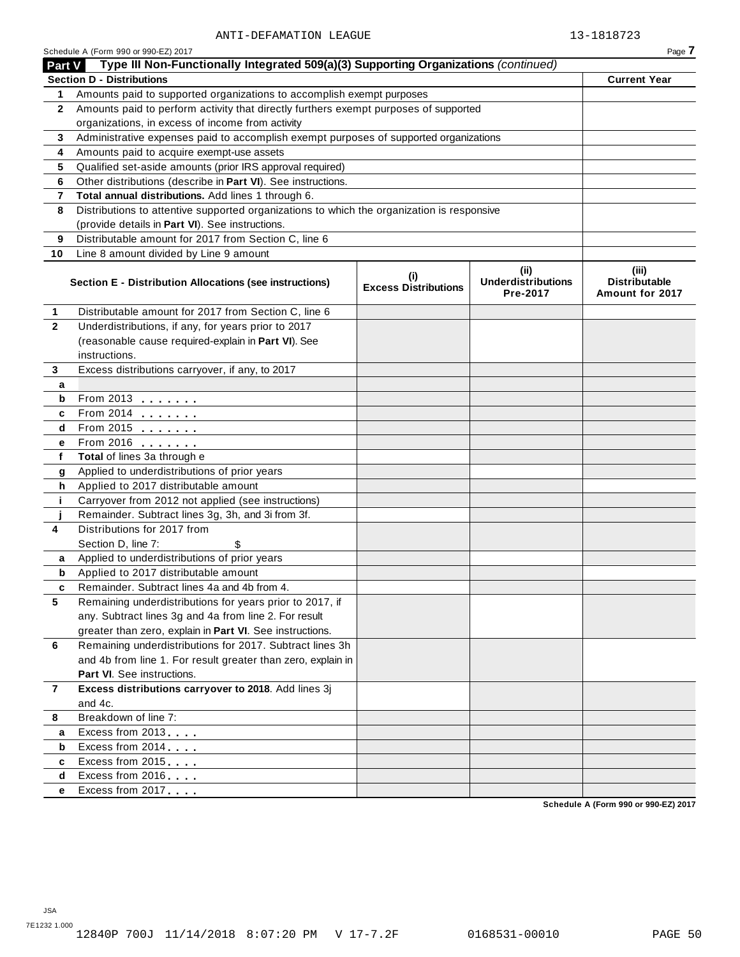|                | ANTI-DEFAMATION LEAGUE                                                                     |                                    |                                               | 13-1818723                                       |
|----------------|--------------------------------------------------------------------------------------------|------------------------------------|-----------------------------------------------|--------------------------------------------------|
|                | Schedule A (Form 990 or 990-EZ) 2017                                                       |                                    |                                               | Page 7                                           |
| <b>Part V</b>  | Type III Non-Functionally Integrated 509(a)(3) Supporting Organizations (continued)        |                                    |                                               |                                                  |
|                | <b>Section D - Distributions</b>                                                           |                                    |                                               | <b>Current Year</b>                              |
| 1.             | Amounts paid to supported organizations to accomplish exempt purposes                      |                                    |                                               |                                                  |
| $\mathbf{2}$   | Amounts paid to perform activity that directly furthers exempt purposes of supported       |                                    |                                               |                                                  |
|                | organizations, in excess of income from activity                                           |                                    |                                               |                                                  |
| 3              | Administrative expenses paid to accomplish exempt purposes of supported organizations      |                                    |                                               |                                                  |
| 4              | Amounts paid to acquire exempt-use assets                                                  |                                    |                                               |                                                  |
| 5              | Qualified set-aside amounts (prior IRS approval required)                                  |                                    |                                               |                                                  |
| 6              | Other distributions (describe in Part VI). See instructions.                               |                                    |                                               |                                                  |
| $\mathbf{7}$   | Total annual distributions. Add lines 1 through 6.                                         |                                    |                                               |                                                  |
| 8              | Distributions to attentive supported organizations to which the organization is responsive |                                    |                                               |                                                  |
|                | (provide details in Part VI). See instructions.                                            |                                    |                                               |                                                  |
| 9              | Distributable amount for 2017 from Section C, line 6                                       |                                    |                                               |                                                  |
| 10             | Line 8 amount divided by Line 9 amount                                                     |                                    |                                               |                                                  |
|                | Section E - Distribution Allocations (see instructions)                                    | (i)<br><b>Excess Distributions</b> | (ii)<br><b>Underdistributions</b><br>Pre-2017 | (iii)<br><b>Distributable</b><br>Amount for 2017 |
| 1              | Distributable amount for 2017 from Section C, line 6                                       |                                    |                                               |                                                  |
| $\mathbf{2}$   | Underdistributions, if any, for years prior to 2017                                        |                                    |                                               |                                                  |
|                | (reasonable cause required-explain in Part VI). See                                        |                                    |                                               |                                                  |
|                | instructions.                                                                              |                                    |                                               |                                                  |
| 3              | Excess distributions carryover, if any, to 2017                                            |                                    |                                               |                                                  |
| а              |                                                                                            |                                    |                                               |                                                  |
| b              | $From 2013$ . The set of $1.1$                                                             |                                    |                                               |                                                  |
| c              | $From 2014$                                                                                |                                    |                                               |                                                  |
| d              | From 2015 <b></b>                                                                          |                                    |                                               |                                                  |
| е              | From 2016                                                                                  |                                    |                                               |                                                  |
| f              | Total of lines 3a through e                                                                |                                    |                                               |                                                  |
| g              | Applied to underdistributions of prior years                                               |                                    |                                               |                                                  |
| h              | Applied to 2017 distributable amount                                                       |                                    |                                               |                                                  |
| j.             | Carryover from 2012 not applied (see instructions)                                         |                                    |                                               |                                                  |
|                | Remainder. Subtract lines 3g, 3h, and 3i from 3f.                                          |                                    |                                               |                                                  |
| 4              | Distributions for 2017 from                                                                |                                    |                                               |                                                  |
|                | Section D, line 7:                                                                         |                                    |                                               |                                                  |
| a              | Applied to underdistributions of prior years                                               |                                    |                                               |                                                  |
| b              | Applied to 2017 distributable amount                                                       |                                    |                                               |                                                  |
| C              | Remainder. Subtract lines 4a and 4b from 4.                                                |                                    |                                               |                                                  |
| 5              | Remaining underdistributions for years prior to 2017, if                                   |                                    |                                               |                                                  |
|                | any. Subtract lines 3g and 4a from line 2. For result                                      |                                    |                                               |                                                  |
|                | greater than zero, explain in Part VI. See instructions.                                   |                                    |                                               |                                                  |
| 6              | Remaining underdistributions for 2017. Subtract lines 3h                                   |                                    |                                               |                                                  |
|                | and 4b from line 1. For result greater than zero, explain in                               |                                    |                                               |                                                  |
|                | Part VI. See instructions.                                                                 |                                    |                                               |                                                  |
| $\overline{7}$ | Excess distributions carryover to 2018. Add lines 3j                                       |                                    |                                               |                                                  |
|                | and 4c.                                                                                    |                                    |                                               |                                                  |
| 8              | Breakdown of line 7:                                                                       |                                    |                                               |                                                  |
| a              | Excess from 2013                                                                           |                                    |                                               |                                                  |
| b              | Excess from 2014                                                                           |                                    |                                               |                                                  |
| c              | Excess from 2015                                                                           |                                    |                                               |                                                  |
| d              | Excess from 2016                                                                           |                                    |                                               |                                                  |
| е              | Excess from 2017                                                                           |                                    |                                               | Schedule A (Form 990 or 990-F7) 2017             |

**Schedule A (Form 990 or 990-EZ) 2017**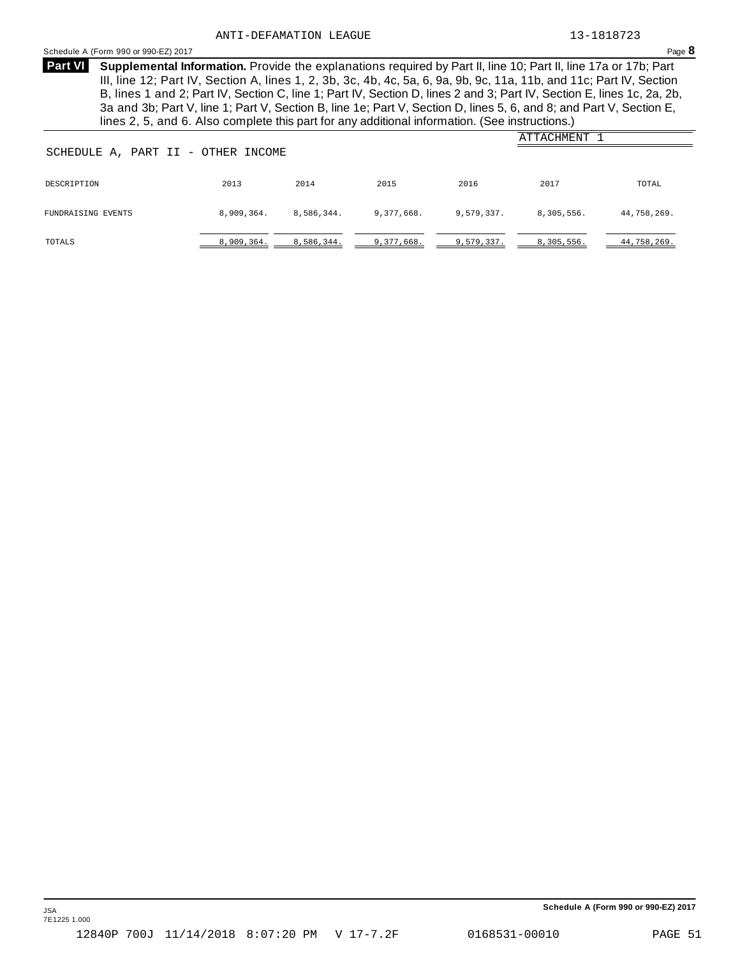### <span id="page-50-0"></span>Schedule <sup>A</sup> (Form <sup>990</sup> or 990-EZ) <sup>2017</sup> Page **8**

**Supplemental Information.** Provide the explanations required by Part II, line 10; Part II, line 17a or 17b; Part **Part VI** III, line 12; Part IV, Section A, lines 1, 2, 3b, 3c, 4b, 4c, 5a, 6, 9a, 9b, 9c, 11a, 11b, and 11c; Part IV, Section B, lines 1 and 2; Part IV, Section C, line 1; Part IV, Section D, lines 2 and 3; Part IV, Section E, lines 1c, 2a, 2b, 3a and 3b; Part V, line 1; Part V, Section B, line 1e; Part V, Section D, lines 5, 6, and 8; and Part V, Section E, lines 2, 5, and 6. Also complete this part for any additional information. (See instructions.)

|                                    |            |            |            |            | ATTACHMENT |             |
|------------------------------------|------------|------------|------------|------------|------------|-------------|
| SCHEDULE A, PART II - OTHER INCOME |            |            |            |            |            |             |
| DESCRIPTION                        | 2013       | 2014       | 2015       | 2016       | 2017       | TOTAL       |
| FUNDRAISING EVENTS                 | 8,909,364. | 8,586,344. | 9,377,668. | 9,579,337. | 8,305,556. | 44,758,269. |
| TOTALS                             | 8,909,364. | 8,586,344. | 9,377,668. | 9,579,337. | 8,305,556. | 44,758,269. |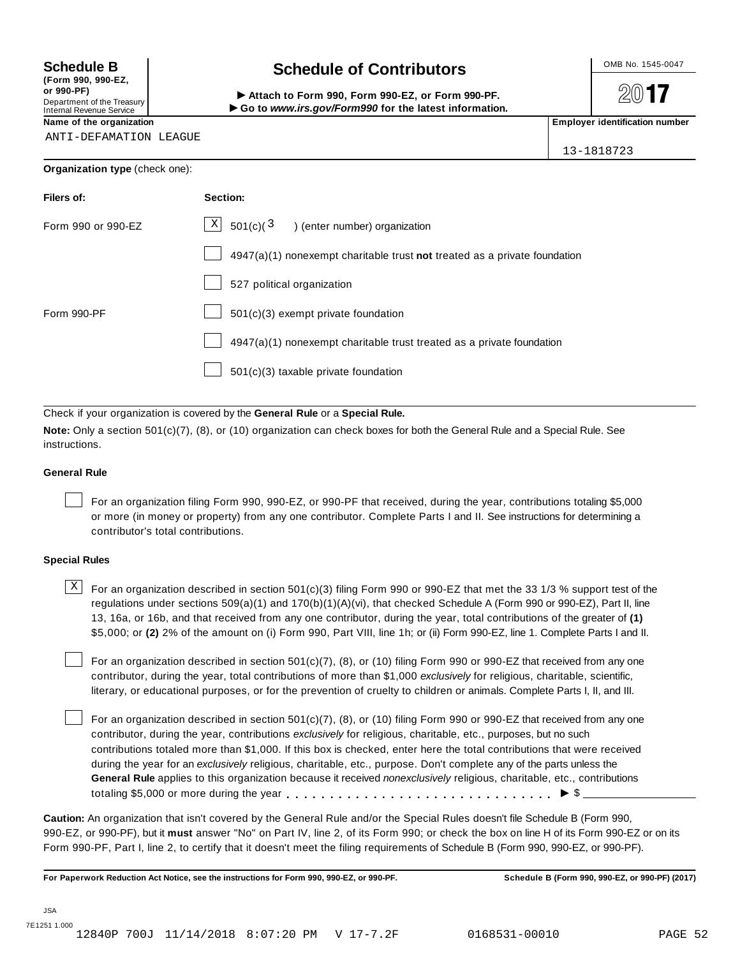**(Form 990, 990-EZ, or 990-PF)** Department of the Treasury<br>Internal Revenue Service

# **Schedule B**  $\leftarrow$  **Contributors**

(Porm 990, Form 990, Form 990-EZ, or Form 990-PF.<br>Department of the Treasury → Attach to Form 990, Form 990-EZ, or Form 990-PF.<br>Internal Revenue Service → → Go to www.irs.gov/Form990 for the latest information.<br>Name of th

 $20$ **17** 

ANTI-DEFAMATION LEAGUE

| Organization type (check one): |  |  |
|--------------------------------|--|--|

| 13-1818723 |  |
|------------|--|

| Filers of:         | Section:                                                                    |
|--------------------|-----------------------------------------------------------------------------|
| Form 990 or 990-EZ | $\mathbb{X}$ 501(c)( $^3$ ) (enter number) organization                     |
|                    | $4947(a)(1)$ nonexempt charitable trust not treated as a private foundation |
|                    | 527 political organization                                                  |
| Form 990-PF        | $501(c)(3)$ exempt private foundation                                       |
|                    | 4947(a)(1) nonexempt charitable trust treated as a private foundation       |
|                    | $501(c)(3)$ taxable private foundation                                      |

Check if your organization is covered by the **General Rule** or a **Special Rule.**

**Note:** Only a section 501(c)(7), (8), or (10) organization can check boxes for both the General Rule and a Special Rule. See instructions.

# **General Rule**

For an organization filing Form 990, 990-EZ, or 990-PF that received, during the year, contributions totaling \$5,000 or more (in money or property) from any one contributor. Complete Parts I and II. See instructions for determining a contributor's total contributions.

# **Special Rules**

 $\text{X}$  For an organization described in section 501(c)(3) filing Form 990 or 990-EZ that met the 33 1/3 % support test of the regulations under sections 509(a)(1) and 170(b)(1)(A)(vi), that checked Schedule A (Form 990 or 990-EZ), Part II, line 13, 16a, or 16b, and that received from any one contributor, during the year, total contributions of the greater of **(1)** \$5,000; or **(2)** 2% of the amount on (i) Form 990, Part VIII, line 1h; or (ii) Form 990-EZ, line 1. Complete Parts I and II.

For an organization described in section 501(c)(7), (8), or (10) filing Form 990 or 990-EZ that received from any one contributor, during the year, total contributions of more than \$1,000 *exclusively* for religious, charitable, scientific, literary, or educational purposes, or for the prevention of cruelty to children or animals. Complete Parts I, II, and III.

For an organization described in section 501(c)(7), (8), or (10) filing Form 990 or 990-EZ that received from any one contributor, during the year, contributions *exclusively* for religious, charitable, etc., purposes, but no such contributions totaled more than \$1,000. If this box is checked, enter here the total contributions that were received during the year for an *exclusively* religious, charitable, etc., purpose. Don't complete any of the parts unless the **General Rule** applies to this organization because it received *nonexclusively* religious, charitable, etc., contributions totaling \$5,000 or more during the year m m m m m m m m m m m m m m m m m m m m m m m m m m m m m m m I \$

**Caution:** An organization that isn't covered by the General Rule and/or the Special Rules doesn't file Schedule B (Form 990, 990-EZ, or 990-PF), but it **must** answer "No" on Part IV, line 2, of its Form 990; or check the box on line H of its Form 990-EZ or on its Form 990-PF, Part I, line 2, to certify that it doesn't meet the filing requirements of Schedule B (Form 990, 990-EZ, or 990-PF).

For Paperwork Reduction Act Notice, see the instructions for Form 990, 990-EZ, or 990-PF. Schedule B (Form 990, 990-EZ, or 990-PF) (2017)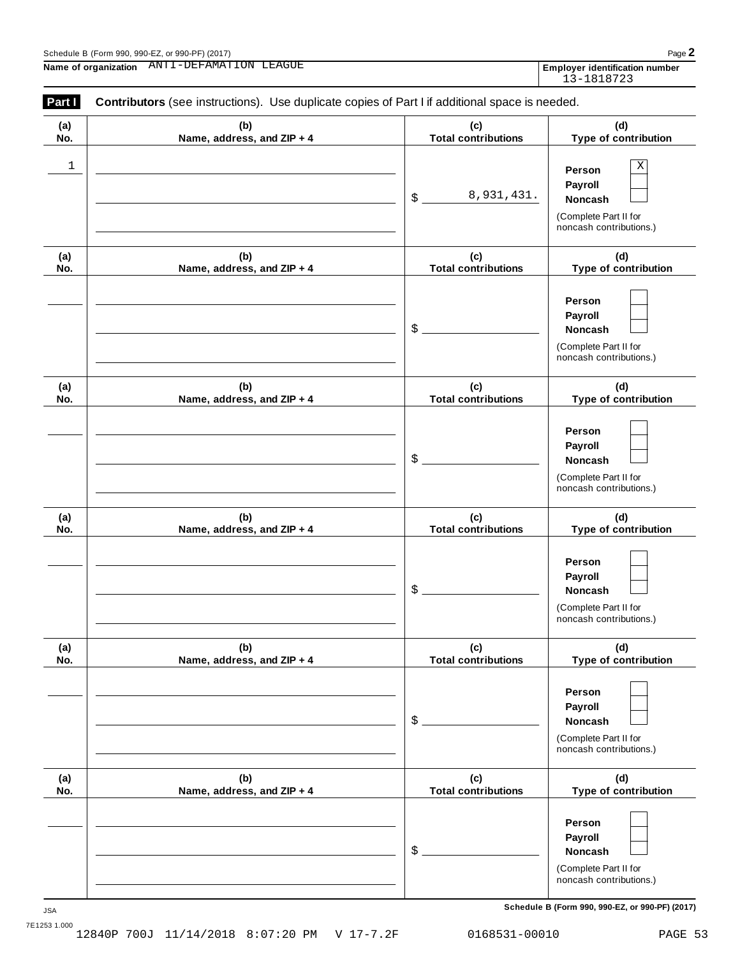| (a)        | (b)                               | (c)                               | (d)                                              |
|------------|-----------------------------------|-----------------------------------|--------------------------------------------------|
| No.        | Name, address, and ZIP + 4        | <b>Total contributions</b>        | Type of contribution                             |
|            |                                   | \$                                | Person<br>Payroll<br>Noncash                     |
|            |                                   |                                   | (Complete Part II for<br>noncash contributions.) |
| (a)<br>No. | (b)<br>Name, address, and ZIP + 4 | (c)<br><b>Total contributions</b> | (d)<br>Type of contribution                      |
|            |                                   | \$                                | Person<br>Payroll<br><b>Noncash</b>              |
|            |                                   |                                   | (Complete Part II for<br>noncash contributions.) |
| (a)<br>No. | (b)<br>Name, address, and ZIP + 4 | (c)<br><b>Total contributions</b> | (d)<br>Type of contribution                      |
|            |                                   | \$                                | Person<br>Payroll<br>Noncash                     |
|            |                                   |                                   | (Complete Part II for<br>noncash contributions.) |
| (a)<br>No. | (b)<br>Name, address, and ZIP + 4 | (c)<br><b>Total contributions</b> | (d)<br>Type of contribution                      |
|            |                                   | $\mathsf{\$}$                     | Person<br>Payroll<br>Noncash                     |
|            |                                   |                                   | (Complete Part II for                            |

# **Name of organization** ANTI-DEFAMATION LEAGUE **And a structure of the structure of the structure of the structure of the structure of the structure of the structure of the structure of the structure of the structure of the**

**Part <b>I** Contributors (see instructions). Use duplicate copies of Part I if additional space is needed.

 $1$  **person**  $X$ 

**(c) Total contributions**

**(c) Total contributions**

\$ **Noncash** 8,931,431.

\$ **Noncash**

**(b) Name, address, and ZIP + 4**

**(b) Name, address, and ZIP + 4**

**(a) No.**

**(a) No.** 13-1818723

**(d) Type of contribution**

**(d) Type of contribution**

**Person Payroll**

**Person Payroll**

(Complete Part II for noncash contributions.)

(Complete Part II for noncash contributions.)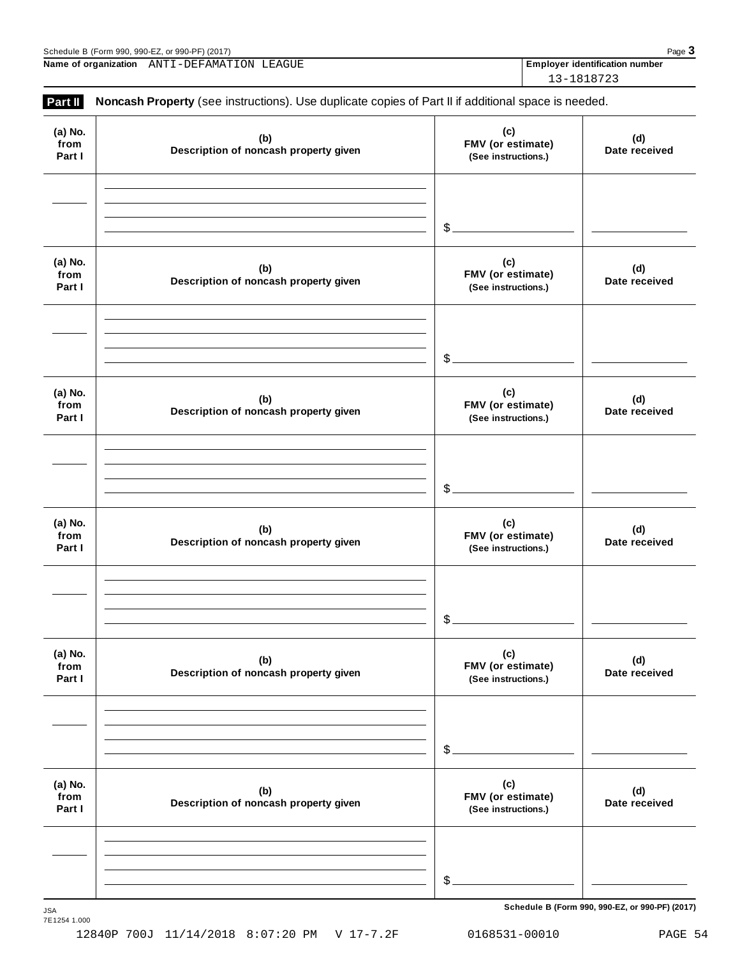12840P 700J 11/14/2018 8:07:20 PM V 17-7.2F 0168531-00010 PAGE 54

 $S$ chedule B (Form 990, 990-EZ, or 990-PF) (2017)

| Part II                   | Noncash Property (see instructions). Use duplicate copies of Part II if additional space is needed. |                                                 |                      |
|---------------------------|-----------------------------------------------------------------------------------------------------|-------------------------------------------------|----------------------|
| (a) No.<br>from<br>Part I | (b)<br>Description of noncash property given                                                        | (c)<br>FMV (or estimate)<br>(See instructions.) | (d)<br>Date received |
|                           |                                                                                                     | $\mathcal{L}_{-}$                               |                      |
| (a) No.<br>from<br>Part I | (b)<br>Description of noncash property given                                                        | (c)<br>FMV (or estimate)<br>(See instructions.) | (d)<br>Date received |
|                           |                                                                                                     | $\mathcal{L}_{-}$                               |                      |
| (a) No.<br>from<br>Part I | (b)<br>Description of noncash property given                                                        | (c)<br>FMV (or estimate)<br>(See instructions.) | (d)<br>Date received |
|                           |                                                                                                     | $\mathcal{L}_{-}$                               |                      |
| (a) No.<br>from<br>Part I | (b)<br>Description of noncash property given                                                        | (c)<br>FMV (or estimate)<br>(See instructions.) | (d)<br>Date received |
|                           |                                                                                                     | \$                                              |                      |
| (a) No.<br>from<br>Part I | (b)<br>Description of noncash property given                                                        | (c)<br>FMV (or estimate)<br>(See instructions.) | (d)<br>Date received |
|                           |                                                                                                     | $\mathcal{L}_{-}$                               |                      |
| (a) No.<br>from<br>Part I | (b)<br>Description of noncash property given                                                        | (c)<br>FMV (or estimate)<br>(See instructions.) | (d)<br>Date received |
|                           |                                                                                                     | \$                                              |                      |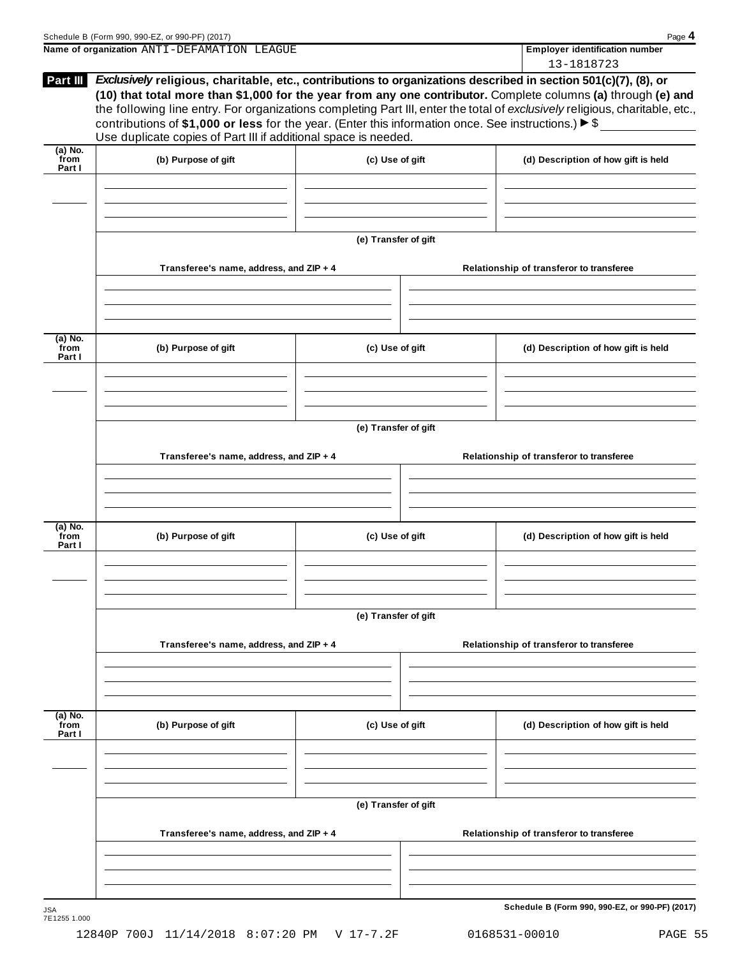| Schedule B (Form 990, 990-EZ, or 990-PF) (2017) | Page 4                                |
|-------------------------------------------------|---------------------------------------|
| Name of organization ANTI-DEFAMATION LEAGUE     | <b>Employer identification number</b> |
|                                                 | 13-1818723                            |

|                                         |                 |                                                                                                                                                                                                  | Exclusively religious, charitable, etc., contributions to organizations described in section 501(c)(7), (8), or                                                                                                                                                                                                                                                                                                                                                                                                |  |
|-----------------------------------------|-----------------|--------------------------------------------------------------------------------------------------------------------------------------------------------------------------------------------------|----------------------------------------------------------------------------------------------------------------------------------------------------------------------------------------------------------------------------------------------------------------------------------------------------------------------------------------------------------------------------------------------------------------------------------------------------------------------------------------------------------------|--|
| (b) Purpose of gift                     | (c) Use of gift |                                                                                                                                                                                                  | (d) Description of how gift is held                                                                                                                                                                                                                                                                                                                                                                                                                                                                            |  |
|                                         |                 |                                                                                                                                                                                                  |                                                                                                                                                                                                                                                                                                                                                                                                                                                                                                                |  |
|                                         |                 |                                                                                                                                                                                                  | Relationship of transferor to transferee                                                                                                                                                                                                                                                                                                                                                                                                                                                                       |  |
|                                         |                 |                                                                                                                                                                                                  |                                                                                                                                                                                                                                                                                                                                                                                                                                                                                                                |  |
| (b) Purpose of gift                     |                 |                                                                                                                                                                                                  | (d) Description of how gift is held                                                                                                                                                                                                                                                                                                                                                                                                                                                                            |  |
| Transferee's name, address, and ZIP + 4 |                 |                                                                                                                                                                                                  | Relationship of transferor to transferee                                                                                                                                                                                                                                                                                                                                                                                                                                                                       |  |
|                                         |                 |                                                                                                                                                                                                  |                                                                                                                                                                                                                                                                                                                                                                                                                                                                                                                |  |
| (b) Purpose of gift                     |                 |                                                                                                                                                                                                  | (d) Description of how gift is held                                                                                                                                                                                                                                                                                                                                                                                                                                                                            |  |
|                                         |                 |                                                                                                                                                                                                  |                                                                                                                                                                                                                                                                                                                                                                                                                                                                                                                |  |
|                                         |                 |                                                                                                                                                                                                  | Relationship of transferor to transferee                                                                                                                                                                                                                                                                                                                                                                                                                                                                       |  |
| (b) Purpose of gift                     |                 |                                                                                                                                                                                                  | (d) Description of how gift is held                                                                                                                                                                                                                                                                                                                                                                                                                                                                            |  |
|                                         |                 |                                                                                                                                                                                                  |                                                                                                                                                                                                                                                                                                                                                                                                                                                                                                                |  |
|                                         |                 |                                                                                                                                                                                                  | Relationship of transferor to transferee                                                                                                                                                                                                                                                                                                                                                                                                                                                                       |  |
|                                         |                 |                                                                                                                                                                                                  | Schedule B (Form 990, 990-EZ, or 990-PF) (2017)                                                                                                                                                                                                                                                                                                                                                                                                                                                                |  |
|                                         |                 | Use duplicate copies of Part III if additional space is needed.<br>Transferee's name, address, and ZIP + 4<br>Transferee's name, address, and ZIP + 4<br>Transferee's name, address, and ZIP + 4 | (10) that total more than \$1,000 for the year from any one contributor. Complete columns (a) through (e) and<br>the following line entry. For organizations completing Part III, enter the total of exclusively religious, charitable, etc.,<br>contributions of \$1,000 or less for the year. (Enter this information once. See instructions.) ▶ \$<br>(e) Transfer of gift<br>(c) Use of gift<br>(e) Transfer of gift<br>(c) Use of gift<br>(e) Transfer of gift<br>(c) Use of gift<br>(e) Transfer of gift |  |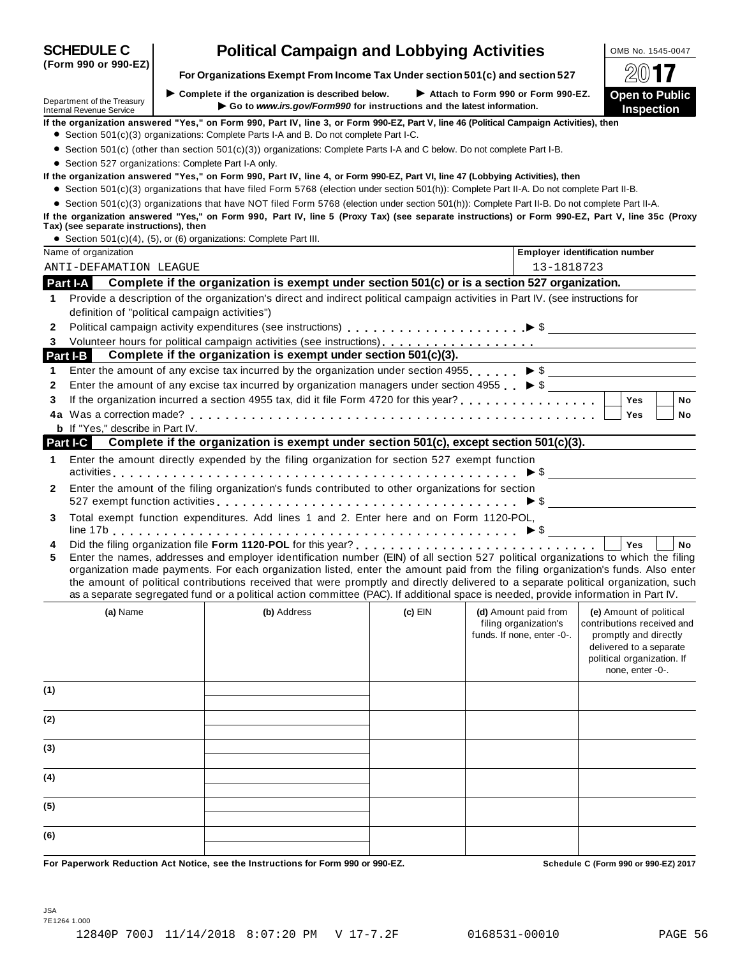| Department of the Treasury<br><b>Internal Revenue Service</b> | $\blacktriangleright$ Complete if the organization is described below.<br>Go to www.irs.gov/Form990 for instructions and the latest information. |           | Attach to Form 990 or Form 990-EZ.                                          | <b>Open to Public</b><br><b>Inspection</b>                                                                                                                  |
|---------------------------------------------------------------|--------------------------------------------------------------------------------------------------------------------------------------------------|-----------|-----------------------------------------------------------------------------|-------------------------------------------------------------------------------------------------------------------------------------------------------------|
|                                                               | If the organization answered "Yes," on Form 990, Part IV, line 3, or Form 990-EZ, Part V, line 46 (Political Campaign Activities), then          |           |                                                                             |                                                                                                                                                             |
|                                                               | • Section 501(c)(3) organizations: Complete Parts I-A and B. Do not complete Part I-C.                                                           |           |                                                                             |                                                                                                                                                             |
|                                                               | • Section 501(c) (other than section 501(c)(3)) organizations: Complete Parts I-A and C below. Do not complete Part I-B.                         |           |                                                                             |                                                                                                                                                             |
| • Section 527 organizations: Complete Part I-A only.          |                                                                                                                                                  |           |                                                                             |                                                                                                                                                             |
|                                                               | If the organization answered "Yes," on Form 990, Part IV, line 4, or Form 990-EZ, Part VI, line 47 (Lobbying Activities), then                   |           |                                                                             |                                                                                                                                                             |
|                                                               | • Section 501(c)(3) organizations that have filed Form 5768 (election under section 501(h)): Complete Part II-A. Do not complete Part II-B.      |           |                                                                             |                                                                                                                                                             |
|                                                               | • Section 501(c)(3) organizations that have NOT filed Form 5768 (election under section 501(h)): Complete Part II-B. Do not complete Part II-A.  |           |                                                                             |                                                                                                                                                             |
| Tax) (see separate instructions), then                        | If the organization answered "Yes," on Form 990, Part IV, line 5 (Proxy Tax) (see separate instructions) or Form 990-EZ, Part V, line 35c (Proxy |           |                                                                             |                                                                                                                                                             |
|                                                               | • Section 501(c)(4), (5), or (6) organizations: Complete Part III.                                                                               |           |                                                                             |                                                                                                                                                             |
| Name of organization                                          |                                                                                                                                                  |           |                                                                             | <b>Employer identification number</b>                                                                                                                       |
| ANTI-DEFAMATION LEAGUE                                        |                                                                                                                                                  |           | 13-1818723                                                                  |                                                                                                                                                             |
| <b>Part I-A</b>                                               | Complete if the organization is exempt under section 501(c) or is a section 527 organization.                                                    |           |                                                                             |                                                                                                                                                             |
| 1                                                             | Provide a description of the organization's direct and indirect political campaign activities in Part IV. (see instructions for                  |           |                                                                             |                                                                                                                                                             |
| definition of "political campaign activities")                |                                                                                                                                                  |           |                                                                             |                                                                                                                                                             |
| 2                                                             |                                                                                                                                                  |           |                                                                             |                                                                                                                                                             |
| 3                                                             |                                                                                                                                                  |           |                                                                             |                                                                                                                                                             |
| Part I-B                                                      | Complete if the organization is exempt under section 501(c)(3).                                                                                  |           |                                                                             |                                                                                                                                                             |
| 1                                                             | Enter the amount of any excise tax incurred by the organization under section 4955. $\triangleright$ \$                                          |           |                                                                             |                                                                                                                                                             |
| 2                                                             | Enter the amount of any excise tax incurred by organization managers under section 4955 $\triangleright$ \$                                      |           |                                                                             |                                                                                                                                                             |
| 3                                                             |                                                                                                                                                  |           |                                                                             | <b>Yes</b><br>No                                                                                                                                            |
|                                                               |                                                                                                                                                  |           |                                                                             | Yes<br>No                                                                                                                                                   |
| <b>b</b> If "Yes," describe in Part IV.                       |                                                                                                                                                  |           |                                                                             |                                                                                                                                                             |
| Part I-C I                                                    | Complete if the organization is exempt under section 501(c), except section 501(c)(3).                                                           |           |                                                                             |                                                                                                                                                             |
| 1                                                             | Enter the amount directly expended by the filing organization for section 527 exempt function                                                    |           |                                                                             |                                                                                                                                                             |
|                                                               |                                                                                                                                                  |           |                                                                             | $\triangleright$ \$                                                                                                                                         |
| 2                                                             | Enter the amount of the filing organization's funds contributed to other organizations for section                                               |           |                                                                             |                                                                                                                                                             |
| 3                                                             | Total exempt function expenditures. Add lines 1 and 2. Enter here and on Form 1120-POL,                                                          |           |                                                                             |                                                                                                                                                             |
|                                                               |                                                                                                                                                  |           |                                                                             |                                                                                                                                                             |
| 4                                                             | Enter the names, addresses and employer identification number (EIN) of all section 527 political organizations to which the filing               |           |                                                                             | <b>No</b><br><b>Yes</b>                                                                                                                                     |
| 5                                                             | organization made payments. For each organization listed, enter the amount paid from the filing organization's funds. Also enter                 |           |                                                                             |                                                                                                                                                             |
|                                                               | the amount of political contributions received that were promptly and directly delivered to a separate political organization, such              |           |                                                                             |                                                                                                                                                             |
|                                                               | as a separate segregated fund or a political action committee (PAC). If additional space is needed, provide information in Part IV.              |           |                                                                             |                                                                                                                                                             |
| (a) Name                                                      | (b) Address                                                                                                                                      | $(c)$ EIN | (d) Amount paid from<br>filing organization's<br>funds. If none, enter -0-. | (e) Amount of political<br>contributions received and<br>promptly and directly<br>delivered to a separate<br>political organization. If<br>none, enter -0-. |
| (1)                                                           |                                                                                                                                                  |           |                                                                             |                                                                                                                                                             |
| (2)                                                           |                                                                                                                                                  |           |                                                                             |                                                                                                                                                             |
| (3)                                                           |                                                                                                                                                  |           |                                                                             |                                                                                                                                                             |
| (4)                                                           |                                                                                                                                                  |           |                                                                             |                                                                                                                                                             |
| (5)                                                           |                                                                                                                                                  |           |                                                                             |                                                                                                                                                             |
|                                                               |                                                                                                                                                  |           |                                                                             |                                                                                                                                                             |
| (6)                                                           |                                                                                                                                                  |           |                                                                             |                                                                                                                                                             |
|                                                               | For Paperwork Reduction Act Notice, see the Instructions for Form 990 or 990-EZ.                                                                 |           |                                                                             | Schedule C (Form 990 or 990-EZ) 2017                                                                                                                        |

# **SCHEDULE C Political Campaign and Lobbying Activities LOMB No. 1545-0047**

7E1264 1.000

JSA

**(Form 990 or 990-EZ)**

**For Organizations Exempt From Income Tax Under section 501(c) and section <sup>527</sup>** À¾µ»

I **Complete if the organization is described below.** I **Attach to Form <sup>990</sup> or Form 990-EZ. Open to Public**

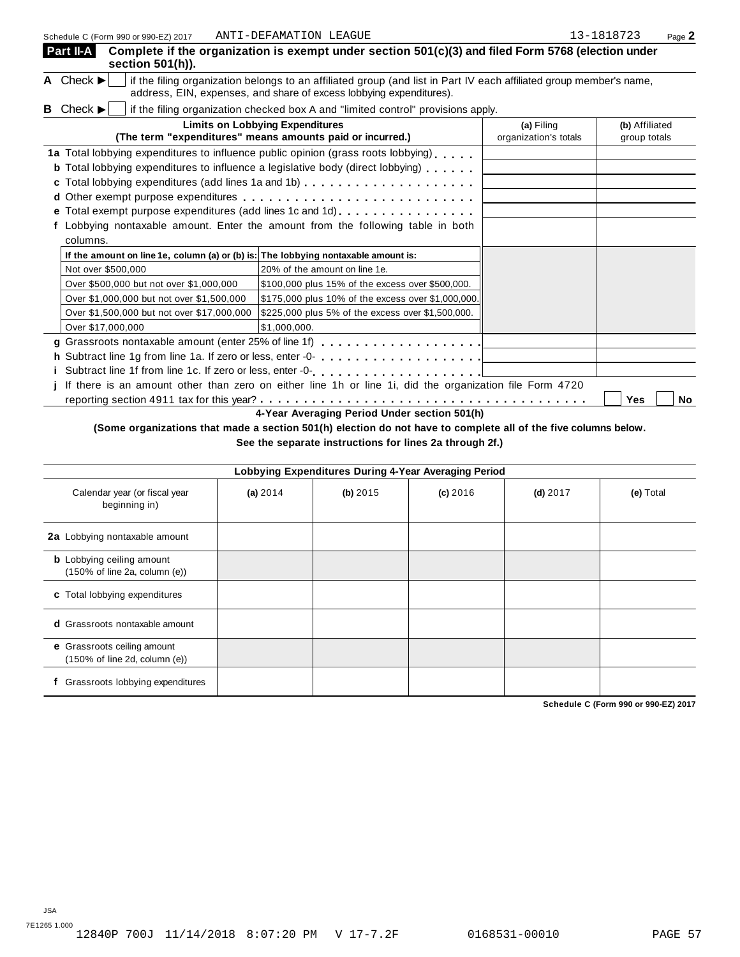|                                                                                                                          | Schedule C (Form 990 or 990-EZ) 2017                                                                                                                                                                                        | ANTI-DEFAMATION LEAGUE                                                                                          |                                     | 13-1818723<br>Page 2           |  |  |
|--------------------------------------------------------------------------------------------------------------------------|-----------------------------------------------------------------------------------------------------------------------------------------------------------------------------------------------------------------------------|-----------------------------------------------------------------------------------------------------------------|-------------------------------------|--------------------------------|--|--|
|                                                                                                                          | Part II-A<br>section 501(h)).                                                                                                                                                                                               | Complete if the organization is exempt under section 501(c)(3) and filed Form 5768 (election under              |                                     |                                |  |  |
|                                                                                                                          | if the filing organization belongs to an affiliated group (and list in Part IV each affiliated group member's name,<br>A Check $\blacktriangleright$<br>address, EIN, expenses, and share of excess lobbying expenditures). |                                                                                                                 |                                     |                                |  |  |
| <b>B</b> Check $\blacktriangleright$<br>if the filing organization checked box A and "limited control" provisions apply. |                                                                                                                                                                                                                             |                                                                                                                 |                                     |                                |  |  |
|                                                                                                                          |                                                                                                                                                                                                                             | <b>Limits on Lobbying Expenditures</b><br>(The term "expenditures" means amounts paid or incurred.)             | (a) Filing<br>organization's totals | (b) Affiliated<br>group totals |  |  |
|                                                                                                                          |                                                                                                                                                                                                                             | 1a Total lobbying expenditures to influence public opinion (grass roots lobbying)                               |                                     |                                |  |  |
|                                                                                                                          |                                                                                                                                                                                                                             | <b>b</b> Total lobbying expenditures to influence a legislative body (direct lobbying)                          |                                     |                                |  |  |
|                                                                                                                          |                                                                                                                                                                                                                             |                                                                                                                 |                                     |                                |  |  |
|                                                                                                                          |                                                                                                                                                                                                                             |                                                                                                                 |                                     |                                |  |  |
|                                                                                                                          |                                                                                                                                                                                                                             | <b>e</b> Total exempt purpose expenditures (add lines 1c and 1d)                                                |                                     |                                |  |  |
|                                                                                                                          |                                                                                                                                                                                                                             | f Lobbying nontaxable amount. Enter the amount from the following table in both                                 |                                     |                                |  |  |
|                                                                                                                          | columns.                                                                                                                                                                                                                    |                                                                                                                 |                                     |                                |  |  |
|                                                                                                                          | If the amount on line 1e, column (a) or (b) is: The lobbying nontaxable amount is:                                                                                                                                          |                                                                                                                 |                                     |                                |  |  |
|                                                                                                                          | Not over \$500,000                                                                                                                                                                                                          | 20% of the amount on line 1e.                                                                                   |                                     |                                |  |  |
|                                                                                                                          | Over \$500,000 but not over \$1,000,000                                                                                                                                                                                     | \$100,000 plus 15% of the excess over \$500,000.                                                                |                                     |                                |  |  |
|                                                                                                                          | Over \$1,000,000 but not over \$1,500,000                                                                                                                                                                                   | $ \$175,000$ plus 10% of the excess over \$1,000,000.                                                           |                                     |                                |  |  |
|                                                                                                                          | Over \$1,500,000 but not over \$17,000,000                                                                                                                                                                                  | \$225,000 plus 5% of the excess over \$1,500,000.                                                               |                                     |                                |  |  |
|                                                                                                                          | Over \$17,000,000                                                                                                                                                                                                           | \$1.000.000.                                                                                                    |                                     |                                |  |  |
|                                                                                                                          |                                                                                                                                                                                                                             | g Grassroots nontaxable amount (enter 25% of line 1f) $\ldots \ldots \ldots \ldots \ldots$                      |                                     |                                |  |  |
|                                                                                                                          |                                                                                                                                                                                                                             |                                                                                                                 |                                     |                                |  |  |
|                                                                                                                          |                                                                                                                                                                                                                             | i Subtract line 1f from line 1c. If zero or less, enter -0-<br>interior-conter-0-contexts and the 1c. If $\sim$ |                                     |                                |  |  |
|                                                                                                                          |                                                                                                                                                                                                                             | If there is an amount other than zero on either line 1h or line 1i, did the organization file Form 4720         |                                     |                                |  |  |
|                                                                                                                          | <b>No</b><br>Yes                                                                                                                                                                                                            |                                                                                                                 |                                     |                                |  |  |

**4-Year Averaging Period Under section 501(h)**

(Some organizations that made a section 501(h) election do not have to complete all of the five columns below.

**See the separate instructions for lines 2a through 2f.)**

| Lobbying Expenditures During 4-Year Averaging Period              |            |            |            |            |           |
|-------------------------------------------------------------------|------------|------------|------------|------------|-----------|
| Calendar year (or fiscal year<br>beginning in)                    | (a) $2014$ | $(b)$ 2015 | $(c)$ 2016 | $(d)$ 2017 | (e) Total |
| 2a Lobbying nontaxable amount                                     |            |            |            |            |           |
| <b>b</b> Lobbying ceiling amount<br>(150% of line 2a, column (e)) |            |            |            |            |           |
| c Total lobbying expenditures                                     |            |            |            |            |           |
| <b>d</b> Grassroots nontaxable amount                             |            |            |            |            |           |
| e Grassroots ceiling amount<br>(150% of line 2d, column (e))      |            |            |            |            |           |
| Grassroots lobbying expenditures                                  |            |            |            |            |           |

**Schedule C (Form 990 or 990-EZ) 2017**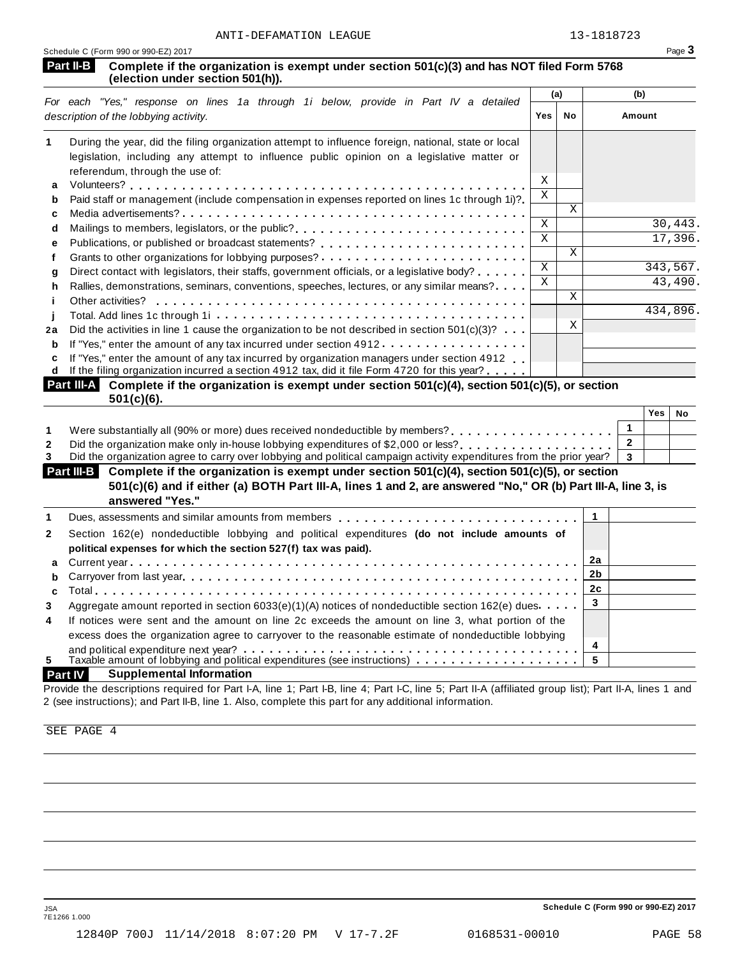| Schedule C (Form 990 or 990-EZ) 2017 | $P$ aqe $\sim$ |
|--------------------------------------|----------------|
|--------------------------------------|----------------|

|    | For each "Yes," response on lines 1a through 1i below, provide in Part IV a detailed                                                                                                                                                                  |                         | (a)          |                | (b)      |           |
|----|-------------------------------------------------------------------------------------------------------------------------------------------------------------------------------------------------------------------------------------------------------|-------------------------|--------------|----------------|----------|-----------|
|    | description of the lobbying activity.                                                                                                                                                                                                                 | Yes<br><b>No</b>        |              | Amount         |          |           |
|    | During the year, did the filing organization attempt to influence foreign, national, state or local                                                                                                                                                   |                         |              |                |          |           |
|    | legislation, including any attempt to influence public opinion on a legislative matter or                                                                                                                                                             |                         |              |                |          |           |
|    | referendum, through the use of:                                                                                                                                                                                                                       | $\mathbf x$             |              |                |          |           |
| a  |                                                                                                                                                                                                                                                       | $\mathbf X$             |              |                |          |           |
| b  | Paid staff or management (include compensation in expenses reported on lines 1c through 1i)?                                                                                                                                                          |                         | X            |                |          |           |
| c  |                                                                                                                                                                                                                                                       | $\mathbf x$             |              |                |          | 30,443.   |
| d  |                                                                                                                                                                                                                                                       | $\overline{\mathbf{x}}$ |              |                |          | 17,396.   |
| e  |                                                                                                                                                                                                                                                       |                         | $\mathbf{X}$ |                |          |           |
| f  |                                                                                                                                                                                                                                                       | $\mathbf x$             |              |                | 343,567. |           |
| g  | Direct contact with legislators, their staffs, government officials, or a legislative body?                                                                                                                                                           | $\mathbf{x}$            |              |                |          |           |
| h  | Rallies, demonstrations, seminars, conventions, speeches, lectures, or any similar means?                                                                                                                                                             |                         | $\mathbf{X}$ |                |          | 43,490.   |
|    | Other activities?                                                                                                                                                                                                                                     |                         |              |                |          |           |
|    |                                                                                                                                                                                                                                                       |                         |              |                | 434,896. |           |
| 2a | Did the activities in line 1 cause the organization to be not described in section $501(c)(3)$ ?                                                                                                                                                      |                         | X            |                |          |           |
| b  | If "Yes," enter the amount of any tax incurred under section 4912                                                                                                                                                                                     |                         |              |                |          |           |
| c  | If "Yes," enter the amount of any tax incurred by organization managers under section 4912                                                                                                                                                            |                         |              |                |          |           |
|    | If the filing organization incurred a section 4912 tax, did it file Form 4720 for this year?                                                                                                                                                          |                         |              |                |          |           |
|    | Complete if the organization is exempt under section 501(c)(4), section 501(c)(5), or section<br><b>Part III-A</b><br>$501(c)(6)$ .                                                                                                                   |                         |              |                |          |           |
|    |                                                                                                                                                                                                                                                       |                         |              |                | Yes      | <b>No</b> |
| 1  | Were substantially all (90% or more) dues received nondeductible by members? [1] [1]  [1] [1]  [1]  [1]                                                                                                                                               |                         |              | $\mathbf{1}$   |          |           |
| 2  | Did the organization make only in-house lobbying expenditures of \$2,000 or less?                                                                                                                                                                     |                         |              | $\overline{2}$ |          |           |
| 3  | Did the organization agree to carry over lobbying and political campaign activity expenditures from the prior year?                                                                                                                                   |                         |              | $\mathbf{3}$   |          |           |
|    | <b>Part III-B</b><br>Complete if the organization is exempt under section 501(c)(4), section 501(c)(5), or section<br>501(c)(6) and if either (a) BOTH Part III-A, lines 1 and 2, are answered "No," OR (b) Part III-A, line 3, is<br>answered "Yes." |                         |              |                |          |           |
|    |                                                                                                                                                                                                                                                       |                         |              |                |          |           |
| 1  | Dues, assessments and similar amounts from members entitled in the entitled visitor of the system of the system                                                                                                                                       |                         |              | 1              |          |           |

|   | z Section 162(e) nondequatible lobbying and political expenditures <b>(do not include amounts of</b>                                      |    |  |
|---|-------------------------------------------------------------------------------------------------------------------------------------------|----|--|
|   | political expenses for which the section 527(f) tax was paid).                                                                            |    |  |
|   |                                                                                                                                           | 2a |  |
|   |                                                                                                                                           |    |  |
|   |                                                                                                                                           |    |  |
|   | 3 Aggregate amount reported in section 6033(e)(1)(A) notices of nondeductible section 162(e) dues. $\dots \dots \overset{3}{\phantom{2}}$ |    |  |
|   | 4 If notices were sent and the amount on line 2c exceeds the amount on line 3, what portion of the                                        |    |  |
|   | excess does the organization agree to carryover to the reasonable estimate of nondeductible lobbying                                      |    |  |
|   |                                                                                                                                           |    |  |
| 5 |                                                                                                                                           |    |  |
|   |                                                                                                                                           |    |  |

# **Part IV Supplemental Information**

Provide the descriptions required for Part I-A, line 1; Part I-B, line 4; Part I-C, line 5; Part II-A (affiliated group list); Part II-A, lines 1 and 2 (see instructions); and Part II-B, line 1. Also, complete this part for any additional information.

SEE PAGE 4

JSA<br>7E1266 1.000

JSA **Schedule C (Form 990 or 990-EZ) 2017**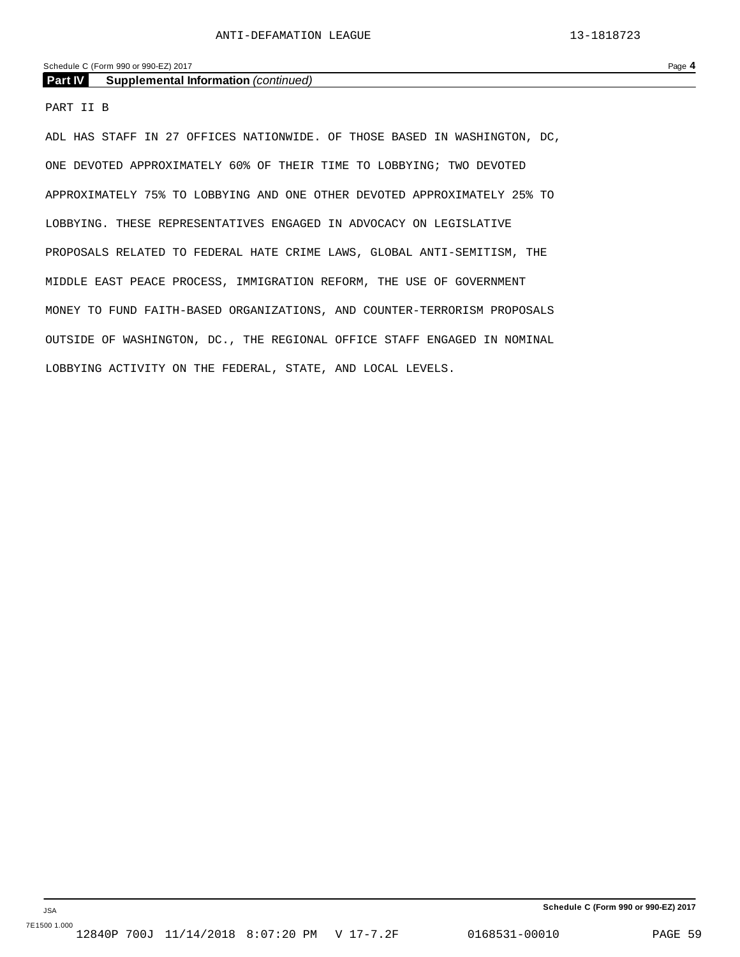# Schedule C (Form 990 or 990-EZ) 2017 Page **4**

# **Part IV Supplemental Information** *(continued)*

## PART II B

ADL HAS STAFF IN 27 OFFICES NATIONWIDE. OF THOSE BASED IN WASHINGTON, DC, ONE DEVOTED APPROXIMATELY 60% OF THEIR TIME TO LOBBYING; TWO DEVOTED APPROXIMATELY 75% TO LOBBYING AND ONE OTHER DEVOTED APPROXIMATELY 25% TO LOBBYING. THESE REPRESENTATIVES ENGAGED IN ADVOCACY ON LEGISLATIVE PROPOSALS RELATED TO FEDERAL HATE CRIME LAWS, GLOBAL ANTI-SEMITISM, THE MIDDLE EAST PEACE PROCESS, IMMIGRATION REFORM, THE USE OF GOVERNMENT MONEY TO FUND FAITH-BASED ORGANIZATIONS, AND COUNTER-TERRORISM PROPOSALS OUTSIDE OF WASHINGTON, DC., THE REGIONAL OFFICE STAFF ENGAGED IN NOMINAL LOBBYING ACTIVITY ON THE FEDERAL, STATE, AND LOCAL LEVELS.

JSA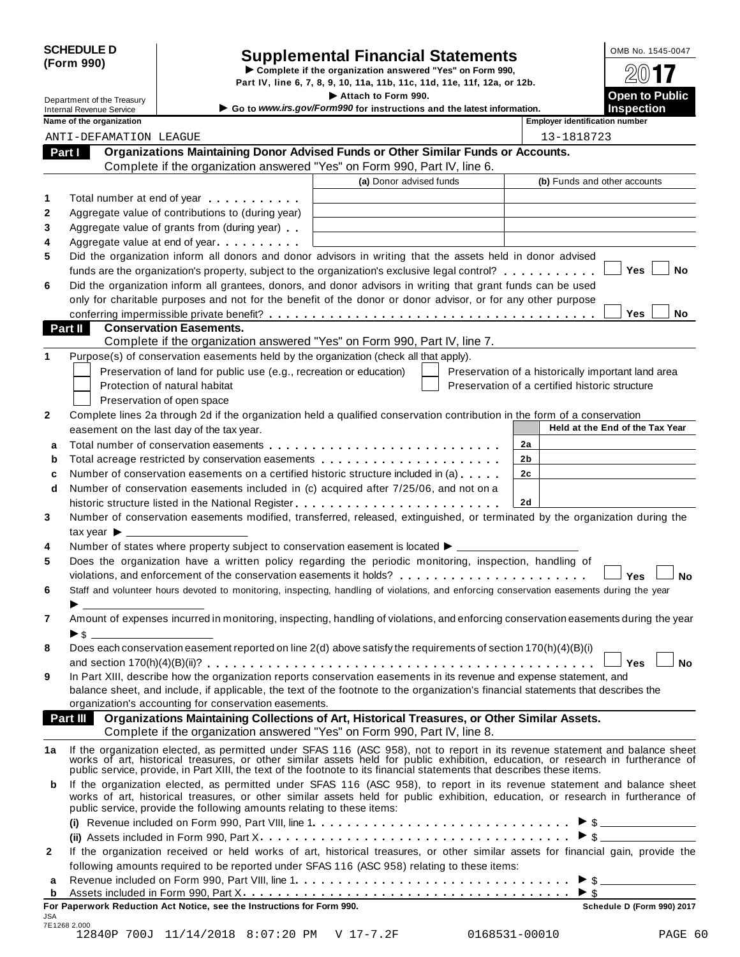| <b>SCHEDULE D</b> |  |
|-------------------|--|
| (Form 990)        |  |

# SCHEDULE D<br>
Supplemental Financial Statements<br>
Form 990) Part IV, line 6, 7, 8, 9, 10, 11a, 11b, 11c, 11d, 11e, 11f, 12a, or 12b.

Department of the Treasury Integration of the Treasury Integration of the Treasury **I and CO2 Contract of the Treasury Contract of the Treasury Contract of the Treasury <b>I** and CO2 **Contract of the Integration** of th

Department of the Treasury<br>Internal Revenue Service I is a service in the Go to www.irs.gov/Form990 for instructions and the latest information.<br>Inspection

**Name of the organization intervalse the control of the organization intervalse the control of the organization intervalse the control of the organization intervalse the control of the organization intervalse the** 

| ANTI-DEFAMATION LEAGUE |  |
|------------------------|--|

| <u>p.0,0. .aoou.o as</u> |  |
|--------------------------|--|
| $12 - 1818722$           |  |

|              | ANTI-DEFAMATION LEAGUE                                                                                                                                                                                                               |                         | 13-1818723                                         |
|--------------|--------------------------------------------------------------------------------------------------------------------------------------------------------------------------------------------------------------------------------------|-------------------------|----------------------------------------------------|
|              | Organizations Maintaining Donor Advised Funds or Other Similar Funds or Accounts.<br>Part I                                                                                                                                          |                         |                                                    |
|              | Complete if the organization answered "Yes" on Form 990, Part IV, line 6.                                                                                                                                                            |                         |                                                    |
|              |                                                                                                                                                                                                                                      | (a) Donor advised funds | (b) Funds and other accounts                       |
| 1            | Total number at end of year <b>that is a state of the state of the state of the state of the state of the state of the state of the state of the state of the state of the state of the state of the state of the state of the s</b> |                         |                                                    |
| 2            | Aggregate value of contributions to (during year)                                                                                                                                                                                    |                         |                                                    |
| 3            | Aggregate value of grants from (during year)                                                                                                                                                                                         |                         |                                                    |
| 4            | Aggregate value at end of year                                                                                                                                                                                                       |                         |                                                    |
| 5            | Did the organization inform all donors and donor advisors in writing that the assets held in donor advised                                                                                                                           |                         |                                                    |
|              | funds are the organization's property, subject to the organization's exclusive legal control?                                                                                                                                        |                         | <b>Yes</b><br>No                                   |
| 6            | Did the organization inform all grantees, donors, and donor advisors in writing that grant funds can be used                                                                                                                         |                         |                                                    |
|              | only for charitable purposes and not for the benefit of the donor or donor advisor, or for any other purpose                                                                                                                         |                         |                                                    |
|              |                                                                                                                                                                                                                                      |                         | <b>Yes</b><br>No                                   |
|              | <b>Conservation Easements.</b><br>Part II                                                                                                                                                                                            |                         |                                                    |
|              | Complete if the organization answered "Yes" on Form 990, Part IV, line 7.                                                                                                                                                            |                         |                                                    |
| 1            | Purpose(s) of conservation easements held by the organization (check all that apply).                                                                                                                                                |                         |                                                    |
|              | Preservation of land for public use (e.g., recreation or education)                                                                                                                                                                  |                         | Preservation of a historically important land area |
|              | Protection of natural habitat                                                                                                                                                                                                        |                         | Preservation of a certified historic structure     |
|              | Preservation of open space                                                                                                                                                                                                           |                         |                                                    |
| 2            | Complete lines 2a through 2d if the organization held a qualified conservation contribution in the form of a conservation                                                                                                            |                         |                                                    |
|              | easement on the last day of the tax year.                                                                                                                                                                                            |                         | Held at the End of the Tax Year                    |
| а            |                                                                                                                                                                                                                                      |                         | 2a                                                 |
| b            | Total acreage restricted by conservation easements entitled properties of the content of the content of the co                                                                                                                       |                         | 2b                                                 |
| c            | Number of conservation easements on a certified historic structure included in (a)                                                                                                                                                   |                         | 2 <sub>c</sub>                                     |
| d            | Number of conservation easements included in (c) acquired after 7/25/06, and not on a                                                                                                                                                |                         |                                                    |
|              | historic structure listed in the National Register                                                                                                                                                                                   |                         | 2d                                                 |
| 3            | Number of conservation easements modified, transferred, released, extinguished, or terminated by the organization during the                                                                                                         |                         |                                                    |
|              | tax year $\blacktriangleright$ $\_\_$                                                                                                                                                                                                |                         |                                                    |
| 4            | Number of states where property subject to conservation easement is located ▶ ____                                                                                                                                                   |                         |                                                    |
| 5            | Does the organization have a written policy regarding the periodic monitoring, inspection, handling of                                                                                                                               |                         |                                                    |
|              | violations, and enforcement of the conservation easements it holds?                                                                                                                                                                  |                         | <b>Yes</b><br>No                                   |
| 6            | Staff and volunteer hours devoted to monitoring, inspecting, handling of violations, and enforcing conservation easements during the year                                                                                            |                         |                                                    |
|              |                                                                                                                                                                                                                                      |                         |                                                    |
| 7            | Amount of expenses incurred in monitoring, inspecting, handling of violations, and enforcing conservation easements during the year                                                                                                  |                         |                                                    |
|              | $\blacktriangleright$ s                                                                                                                                                                                                              |                         |                                                    |
| 8            | Does each conservation easement reported on line 2(d) above satisfy the requirements of section 170(h)(4)(B)(i)                                                                                                                      |                         |                                                    |
|              |                                                                                                                                                                                                                                      |                         | <b>Yes</b><br>No                                   |
| 9            | In Part XIII, describe how the organization reports conservation easements in its revenue and expense statement, and                                                                                                                 |                         |                                                    |
|              | balance sheet, and include, if applicable, the text of the footnote to the organization's financial statements that describes the                                                                                                    |                         |                                                    |
|              | organization's accounting for conservation easements.                                                                                                                                                                                |                         |                                                    |
|              | Part III<br>Organizations Maintaining Collections of Art, Historical Treasures, or Other Similar Assets.                                                                                                                             |                         |                                                    |
|              | Complete if the organization answered "Yes" on Form 990, Part IV, line 8.                                                                                                                                                            |                         |                                                    |
| 1a           |                                                                                                                                                                                                                                      |                         |                                                    |
|              | If the organization elected, as permitted under SFAS 116 (ASC 958), not to report in its revenue statement and balance sheet works of art, historical treasures, or other similar assets held for public exhibition, education       |                         |                                                    |
| b            | If the organization elected, as permitted under SFAS 116 (ASC 958), to report in its revenue statement and balance sheet                                                                                                             |                         |                                                    |
|              | works of art, historical treasures, or other similar assets held for public exhibition, education, or research in furtherance of                                                                                                     |                         |                                                    |
|              | public service, provide the following amounts relating to these items:                                                                                                                                                               |                         |                                                    |
|              |                                                                                                                                                                                                                                      |                         | $\triangleright$ \$                                |
|              |                                                                                                                                                                                                                                      |                         |                                                    |
| $\mathbf{2}$ | If the organization received or held works of art, historical treasures, or other similar assets for financial gain, provide the                                                                                                     |                         |                                                    |
|              | following amounts required to be reported under SFAS 116 (ASC 958) relating to these items:                                                                                                                                          |                         |                                                    |
| a            |                                                                                                                                                                                                                                      |                         | $\triangleright$ \$                                |
| b            |                                                                                                                                                                                                                                      |                         | $\blacktriangleright$ s                            |
|              | For Paperwork Reduction Act Notice, see the Instructions for Form 990.                                                                                                                                                               |                         | Schedule D (Form 990) 2017                         |
| JSA          | 7E1268 2.000                                                                                                                                                                                                                         |                         |                                                    |
|              | 12840P 700J 11/14/2018 8:07:20 PM V 17-7.2F                                                                                                                                                                                          |                         | 0168531-00010<br>PAGE 60                           |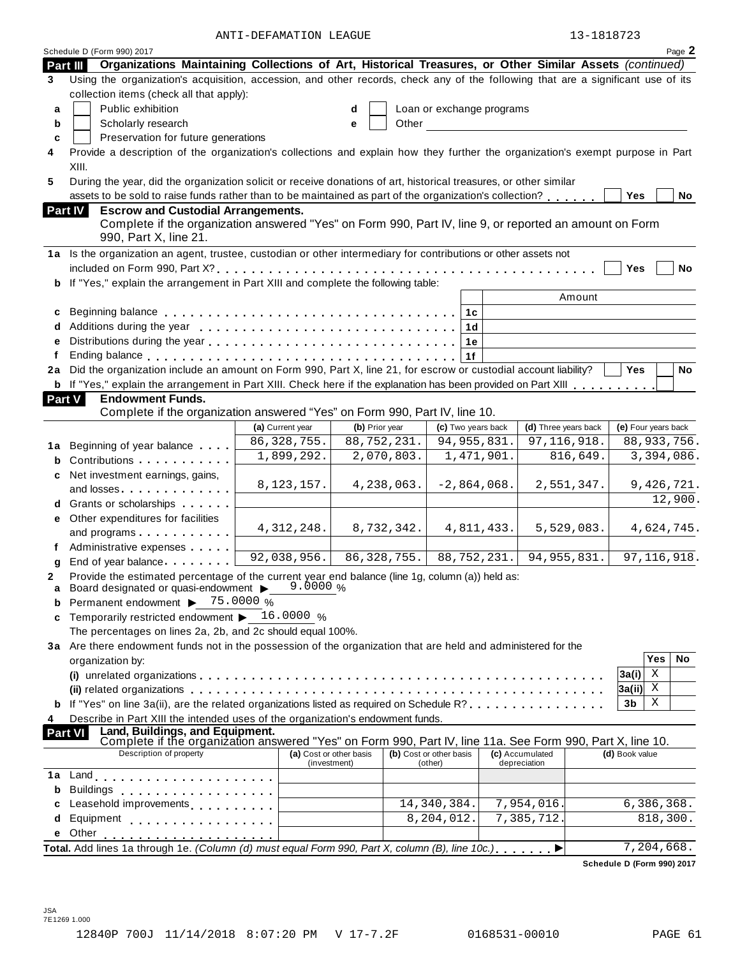| 3-1818723 |  |
|-----------|--|
|-----------|--|

|        | Schedule D (Form 990) 2017                                                                                                                                                                                                                                      |                                         |                |               |                                    |                    |                                 |                            | Page 2                  |  |
|--------|-----------------------------------------------------------------------------------------------------------------------------------------------------------------------------------------------------------------------------------------------------------------|-----------------------------------------|----------------|---------------|------------------------------------|--------------------|---------------------------------|----------------------------|-------------------------|--|
|        | Organizations Maintaining Collections of Art, Historical Treasures, or Other Similar Assets (continued)<br>Part III                                                                                                                                             |                                         |                |               |                                    |                    |                                 |                            |                         |  |
| 3      | Using the organization's acquisition, accession, and other records, check any of the following that are a significant use of its                                                                                                                                |                                         |                |               |                                    |                    |                                 |                            |                         |  |
|        | collection items (check all that apply):                                                                                                                                                                                                                        |                                         |                |               |                                    |                    |                                 |                            |                         |  |
| a      | Public exhibition                                                                                                                                                                                                                                               |                                         | d              |               | Loan or exchange programs          |                    |                                 |                            |                         |  |
| b      | Scholarly research                                                                                                                                                                                                                                              |                                         | е              | Other         |                                    |                    |                                 |                            |                         |  |
| c      | Preservation for future generations                                                                                                                                                                                                                             |                                         |                |               |                                    |                    |                                 |                            |                         |  |
| 4      | Provide a description of the organization's collections and explain how they further the organization's exempt purpose in Part                                                                                                                                  |                                         |                |               |                                    |                    |                                 |                            |                         |  |
|        | XIII.                                                                                                                                                                                                                                                           |                                         |                |               |                                    |                    |                                 |                            |                         |  |
| 5      | During the year, did the organization solicit or receive donations of art, historical treasures, or other similar                                                                                                                                               |                                         |                |               |                                    |                    |                                 |                            |                         |  |
|        | assets to be sold to raise funds rather than to be maintained as part of the organization's collection?                                                                                                                                                         |                                         |                |               |                                    |                    |                                 | Yes                        | No                      |  |
|        | Part IV<br><b>Escrow and Custodial Arrangements.</b>                                                                                                                                                                                                            |                                         |                |               |                                    |                    |                                 |                            |                         |  |
|        | Complete if the organization answered "Yes" on Form 990, Part IV, line 9, or reported an amount on Form<br>990, Part X, line 21.                                                                                                                                |                                         |                |               |                                    |                    |                                 |                            |                         |  |
|        | 1a Is the organization an agent, trustee, custodian or other intermediary for contributions or other assets not                                                                                                                                                 |                                         |                |               |                                    |                    |                                 |                            |                         |  |
|        |                                                                                                                                                                                                                                                                 |                                         |                |               |                                    |                    |                                 | Yes                        | <b>No</b>               |  |
|        | b If "Yes," explain the arrangement in Part XIII and complete the following table:                                                                                                                                                                              |                                         |                |               |                                    |                    |                                 |                            |                         |  |
|        |                                                                                                                                                                                                                                                                 |                                         |                |               |                                    |                    | Amount                          |                            |                         |  |
| c      |                                                                                                                                                                                                                                                                 |                                         |                |               |                                    | 1 <sub>c</sub>     |                                 |                            |                         |  |
| d      |                                                                                                                                                                                                                                                                 |                                         |                |               |                                    | 1 <sub>d</sub>     |                                 |                            |                         |  |
| e      |                                                                                                                                                                                                                                                                 |                                         |                |               |                                    | 1e                 |                                 |                            |                         |  |
| f      |                                                                                                                                                                                                                                                                 |                                         |                |               |                                    | 1f                 |                                 |                            |                         |  |
| 2a     | Did the organization include an amount on Form 990, Part X, line 21, for escrow or custodial account liability?                                                                                                                                                 |                                         |                |               |                                    |                    |                                 | Yes                        | No                      |  |
|        | <b>b</b> If "Yes," explain the arrangement in Part XIII. Check here if the explanation has been provided on Part XIII                                                                                                                                           |                                         |                |               |                                    |                    |                                 |                            |                         |  |
|        | <b>Endowment Funds.</b><br><b>Part V</b>                                                                                                                                                                                                                        |                                         |                |               |                                    |                    |                                 |                            |                         |  |
|        | Complete if the organization answered "Yes" on Form 990, Part IV, line 10.                                                                                                                                                                                      |                                         |                |               |                                    |                    |                                 |                            |                         |  |
|        |                                                                                                                                                                                                                                                                 | (a) Current year                        | (b) Prior year |               |                                    | (c) Two years back | (d) Three years back            |                            | (e) Four years back     |  |
| 1a     | Beginning of year balance                                                                                                                                                                                                                                       | 86, 328, 755.                           | 88,752,231.    |               |                                    | 94, 955, 831.      | 97, 116, 918.                   |                            | 88, 933, 756.           |  |
| b      | Contributions                                                                                                                                                                                                                                                   | 1,899,292.                              |                | 2,070,803.    |                                    | 1,471,901.         | 816,649.                        |                            | 3,394,086.              |  |
| c      | Net investment earnings, gains,                                                                                                                                                                                                                                 |                                         |                |               |                                    |                    |                                 |                            |                         |  |
|        | and losses                                                                                                                                                                                                                                                      | 8, 123, 157.                            |                | 4,238,063.    |                                    | $-2,864,068.$      | 2,551,347.                      |                            | 9,426,721.              |  |
| d      | Grants or scholarships                                                                                                                                                                                                                                          |                                         |                |               |                                    |                    |                                 |                            | 12,900.                 |  |
| е      | Other expenditures for facilities                                                                                                                                                                                                                               |                                         |                |               |                                    | 4,811,433.         |                                 |                            |                         |  |
|        | and programs                                                                                                                                                                                                                                                    | 4, 312, 248.                            |                | 8,732,342.    |                                    |                    | 5,529,083.                      |                            | 4,624,745.              |  |
|        | Administrative expenses                                                                                                                                                                                                                                         | 92,038,956.                             |                | 86, 328, 755. |                                    | 88,752,231.        | 94, 955, 831.                   |                            | 97, 116, 918.           |  |
| g      | End of year balance                                                                                                                                                                                                                                             |                                         |                |               |                                    |                    |                                 |                            |                         |  |
| 2<br>a | Provide the estimated percentage of the current year end balance (line 1g, column (a)) held as:<br>Board designated or quasi-endowment > 9.0000 %                                                                                                               |                                         |                |               |                                    |                    |                                 |                            |                         |  |
| b      | Permanent endowment $\triangleright$ 75.0000 %                                                                                                                                                                                                                  |                                         |                |               |                                    |                    |                                 |                            |                         |  |
| c      | Temporarily restricted endowment $\blacktriangleright$ 16.0000 %                                                                                                                                                                                                |                                         |                |               |                                    |                    |                                 |                            |                         |  |
|        | The percentages on lines 2a, 2b, and 2c should equal 100%.                                                                                                                                                                                                      |                                         |                |               |                                    |                    |                                 |                            |                         |  |
|        | 3a Are there endowment funds not in the possession of the organization that are held and administered for the                                                                                                                                                   |                                         |                |               |                                    |                    |                                 |                            |                         |  |
|        | organization by:                                                                                                                                                                                                                                                |                                         |                |               |                                    |                    |                                 |                            | <b>Yes</b><br><b>No</b> |  |
|        |                                                                                                                                                                                                                                                                 |                                         |                |               |                                    |                    |                                 | 3a(i)                      | Χ                       |  |
|        |                                                                                                                                                                                                                                                                 |                                         |                |               |                                    |                    |                                 | 3a(i)                      | Χ                       |  |
|        | If "Yes" on line 3a(ii), are the related organizations listed as required on Schedule R?                                                                                                                                                                        |                                         |                |               |                                    |                    |                                 | 3b                         | Χ                       |  |
| 4      | Describe in Part XIII the intended uses of the organization's endowment funds.                                                                                                                                                                                  |                                         |                |               |                                    |                    |                                 |                            |                         |  |
|        | Land, Buildings, and Equipment.<br><b>Part VI</b><br>Complete if the organization answered "Yes" on Form 990, Part IV, line 11a. See Form 990, Part X, line 10.                                                                                                 |                                         |                |               |                                    |                    |                                 |                            |                         |  |
|        | Description of property<br><u> Andreas Andreas Andreas Andreas Andreas Andreas Andreas Andreas Andreas Andreas Andreas Andreas Andreas Andreas Andreas Andreas Andreas Andreas Andreas Andreas Andreas Andreas Andreas Andreas Andreas Andreas Andreas Andr</u> | (a) Cost or other basis<br>(investment) |                |               | (b) Cost or other basis<br>(other) |                    | (c) Accumulated<br>depreciation | (d) Book value             |                         |  |
| 1a     |                                                                                                                                                                                                                                                                 |                                         |                |               |                                    |                    |                                 |                            |                         |  |
| b      | <b>Buildings</b><br>. <b>.</b> .                                                                                                                                                                                                                                |                                         |                |               |                                    |                    |                                 |                            |                         |  |
| c      | Leasehold improvements [1, 1, 1, 1, 1, 1]                                                                                                                                                                                                                       |                                         |                |               | 14,340,384.                        |                    | 7,954,016.                      |                            | 6,386,368.              |  |
| d      | Equipment                                                                                                                                                                                                                                                       |                                         |                |               | 8, 204, 012.                       |                    | 7,385,712.                      |                            | 818,300.                |  |
| е      | Total. Add lines 1a through 1e. (Column (d) must equal Form 990, Part X, column (B), line 10c.)                                                                                                                                                                 |                                         |                |               |                                    |                    |                                 |                            | 7,204,668.              |  |
|        |                                                                                                                                                                                                                                                                 |                                         |                |               |                                    |                    |                                 | Schedule D (Form 990) 2017 |                         |  |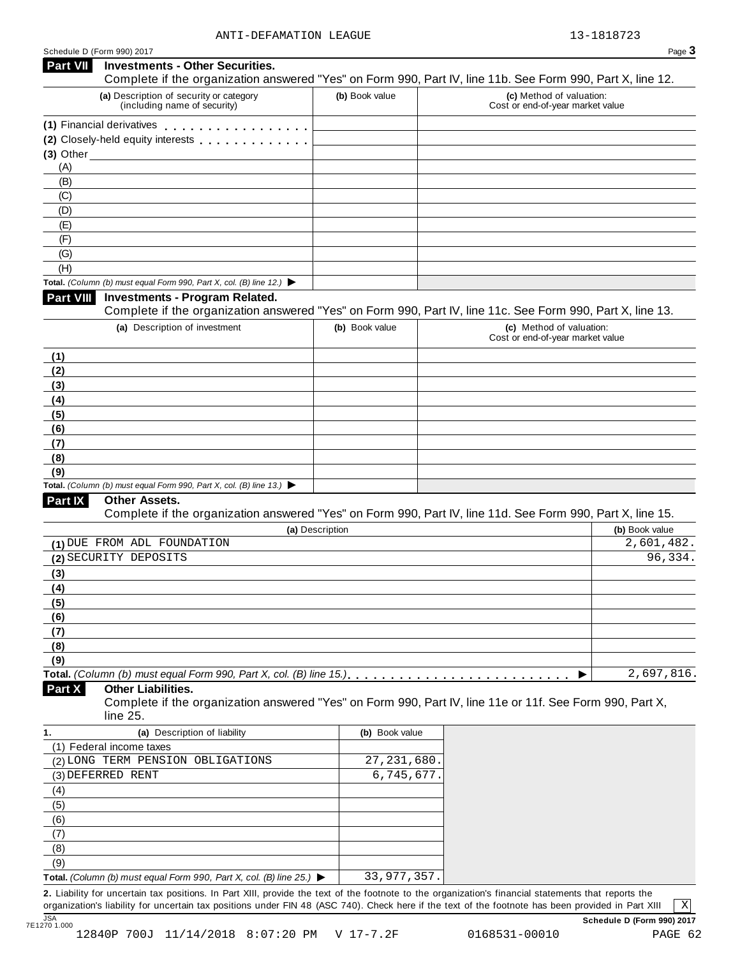# Schedule <sup>D</sup> (Form 990) <sup>2017</sup> Page **3 Investments - Other Securities. Part VII** Investments - Other Securities.<br>Complete if the organization answered "Yes" on Form 990, Part IV, line 11b. See Form 990, Part X, line 12. **(a)** Description of security or category (including name of security) **(b)** Book value **(c)** Method of valuation: Cost or end-of-year market value **(1)** Financial derivatives m m m m m m m m m m m m m m m m m **(1)** Financial derivatives **maturity of minimum metallicity** Closely-held equity interests **maturity of momental (3)** Other (A) (B) (C) (D) (E) (F) (G) (H) **Total.** *(Column (b) must equal Form 990, Part X, col. (B) line 12.)* I **Investments - Program Related.** Complete if the organization answered "Yes" on Form 990, Part IV, line 11c. See Form 990, Part X, line 13. **(a)** Description of investment **(b)** Book value **(c)** Method of valuation: Cost or end-of-year market value **(1) (2) (3) (4) (5) (6) (7) (8) (9) Total.** *(Column (b) must equal Form 990, Part X, col. (B) line 13.)* I **Other Assets.** Complete if the organization answered "Yes" on Form 990, Part IV, line 11d. See Form 990, Part X, line 15. **(a)** Description **(b)** Book value **(1)** DUE FROM ADL FOUNDATION 2,601,482. **(2)** SECURITY DEPOSITS 96,334. **(3) (4) (5) (6) (7) (8) (9) Total.** (Column (b) must equal Form 990, Part  $X$ , col. (B) line 15.).  $\ldots$  .  $\ldots$   $\ldots$   $\ldots$   $\ldots$   $\ldots$   $\ldots$  .  $\ldots$   $\blacktriangleright$ **Other Liabilities.** Complete if the organization answered "Yes" on Form 990, Part IV, line 11e or 11f. See Form 990, Part X, line 25. **Part X 1. (a)** Description of liability **(b)** Book value (1) Federal income taxes (2) LONG TERM PENSION OBLIGATIONS 27,231,680. (3) DEFERRED RENT 6,745,677. (4) (5) (6) (7) (8) (9) **Total.** *(Column (b) must equal Form 990, Part X, col. (B) line 25.)* I 2,697,816. 33,977,357.

**2.** Liability for uncertain tax positions. In Part XIII, provide the text of the footnote to the organization's financial statements that reports the organization's liability for uncertain tax positions under FIN 48 (ASC 740). Check here if the text of the footnote has been provided in Part XIII

X

JSA **Schedule D (Form 990) 2017**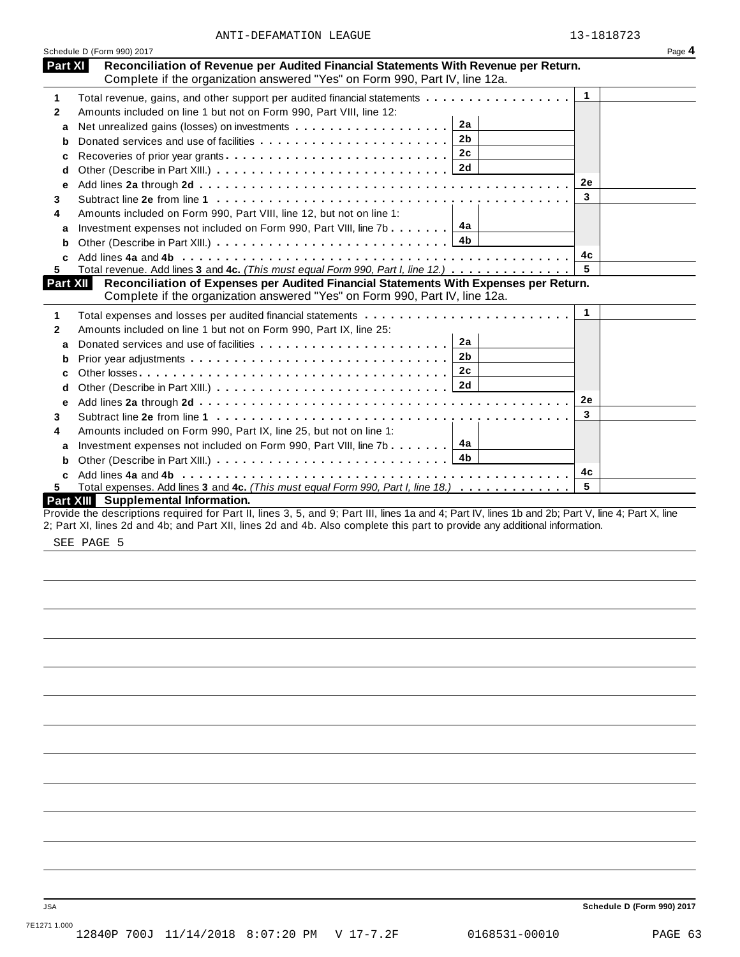| ANTI-DEFAMATION LEAGUE<br>$\sim$ | 13-1818723 |
|----------------------------------|------------|
|                                  |            |

| Part XI                         | Schedule D (Form 990) 2017                                                                                                                                                                                                                                                       |    | Page 4 |
|---------------------------------|----------------------------------------------------------------------------------------------------------------------------------------------------------------------------------------------------------------------------------------------------------------------------------|----|--------|
|                                 | Reconciliation of Revenue per Audited Financial Statements With Revenue per Return.<br>Complete if the organization answered "Yes" on Form 990, Part IV, line 12a.                                                                                                               |    |        |
| 1                               | Total revenue, gains, and other support per audited financial statements                                                                                                                                                                                                         | 1  |        |
|                                 | Amounts included on line 1 but not on Form 990, Part VIII, line 12:                                                                                                                                                                                                              |    |        |
| a                               | 2a<br>Net unrealized gains (losses) on investments                                                                                                                                                                                                                               |    |        |
| b                               | 2 <sub>b</sub>                                                                                                                                                                                                                                                                   |    |        |
| c                               | 2c                                                                                                                                                                                                                                                                               |    |        |
| d                               | 2d                                                                                                                                                                                                                                                                               |    |        |
| e                               |                                                                                                                                                                                                                                                                                  | 2e |        |
|                                 |                                                                                                                                                                                                                                                                                  | 3  |        |
|                                 | Amounts included on Form 990, Part VIII, line 12, but not on line 1:                                                                                                                                                                                                             |    |        |
| a                               | 4a<br>Investment expenses not included on Form 990, Part VIII, line 7b                                                                                                                                                                                                           |    |        |
| b                               |                                                                                                                                                                                                                                                                                  |    |        |
|                                 |                                                                                                                                                                                                                                                                                  | 4c |        |
|                                 | Total revenue. Add lines 3 and 4c. (This must equal Form 990, Part I, line 12.)                                                                                                                                                                                                  | 5  |        |
| <b>Part XII</b>                 | Reconciliation of Expenses per Audited Financial Statements With Expenses per Return.<br>Complete if the organization answered "Yes" on Form 990, Part IV, line 12a.                                                                                                             |    |        |
|                                 |                                                                                                                                                                                                                                                                                  |    |        |
|                                 |                                                                                                                                                                                                                                                                                  | 1  |        |
|                                 | Amounts included on line 1 but not on Form 990, Part IX, line 25:                                                                                                                                                                                                                |    |        |
| a                               | 2a                                                                                                                                                                                                                                                                               |    |        |
|                                 | 2 <sub>b</sub>                                                                                                                                                                                                                                                                   |    |        |
|                                 |                                                                                                                                                                                                                                                                                  |    |        |
|                                 | 2c                                                                                                                                                                                                                                                                               |    |        |
|                                 |                                                                                                                                                                                                                                                                                  |    |        |
|                                 |                                                                                                                                                                                                                                                                                  | 2e |        |
|                                 |                                                                                                                                                                                                                                                                                  | 3  |        |
|                                 | Amounts included on Form 990, Part IX, line 25, but not on line 1:                                                                                                                                                                                                               |    |        |
|                                 | 4a<br>Investment expenses not included on Form 990, Part VIII, line 7b                                                                                                                                                                                                           |    |        |
|                                 | 4b                                                                                                                                                                                                                                                                               |    |        |
|                                 |                                                                                                                                                                                                                                                                                  | 4c |        |
|                                 | Total expenses. Add lines 3 and 4c. (This must equal Form 990, Part I, line 18.)                                                                                                                                                                                                 | 5  |        |
| b<br>C<br>d<br>е<br>a<br>b<br>5 | Part XIII Supplemental Information.                                                                                                                                                                                                                                              |    |        |
|                                 | Provide the descriptions required for Part II, lines 3, 5, and 9; Part III, lines 1a and 4; Part IV, lines 1b and 2b; Part V, line 4; Part X, line<br>2; Part XI, lines 2d and 4b; and Part XII, lines 2d and 4b. Also complete this part to provide any additional information. |    |        |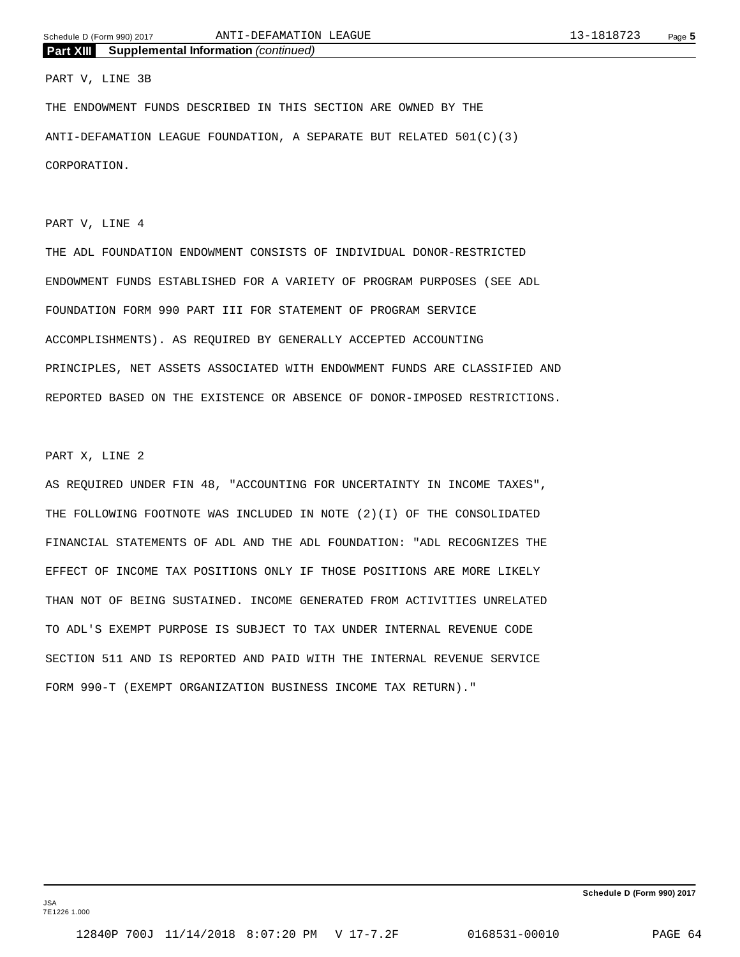**Part XIII Supplemental Information** *(continued)*

#### PART V, LINE 3B

THE ENDOWMENT FUNDS DESCRIBED IN THIS SECTION ARE OWNED BY THE ANTI-DEFAMATION LEAGUE FOUNDATION, A SEPARATE BUT RELATED 501(C)(3) CORPORATION.

# PART V, LINE 4

THE ADL FOUNDATION ENDOWMENT CONSISTS OF INDIVIDUAL DONOR-RESTRICTED ENDOWMENT FUNDS ESTABLISHED FOR A VARIETY OF PROGRAM PURPOSES (SEE ADL FOUNDATION FORM 990 PART III FOR STATEMENT OF PROGRAM SERVICE ACCOMPLISHMENTS). AS REQUIRED BY GENERALLY ACCEPTED ACCOUNTING PRINCIPLES, NET ASSETS ASSOCIATED WITH ENDOWMENT FUNDS ARE CLASSIFIED AND REPORTED BASED ON THE EXISTENCE OR ABSENCE OF DONOR-IMPOSED RESTRICTIONS.

### PART X, LINE 2

AS REQUIRED UNDER FIN 48, "ACCOUNTING FOR UNCERTAINTY IN INCOME TAXES", THE FOLLOWING FOOTNOTE WAS INCLUDED IN NOTE (2)(I) OF THE CONSOLIDATED FINANCIAL STATEMENTS OF ADL AND THE ADL FOUNDATION: "ADL RECOGNIZES THE EFFECT OF INCOME TAX POSITIONS ONLY IF THOSE POSITIONS ARE MORE LIKELY THAN NOT OF BEING SUSTAINED. INCOME GENERATED FROM ACTIVITIES UNRELATED TO ADL'S EXEMPT PURPOSE IS SUBJECT TO TAX UNDER INTERNAL REVENUE CODE SECTION 511 AND IS REPORTED AND PAID WITH THE INTERNAL REVENUE SERVICE FORM 990-T (EXEMPT ORGANIZATION BUSINESS INCOME TAX RETURN)."

JSA 7E1226 1.000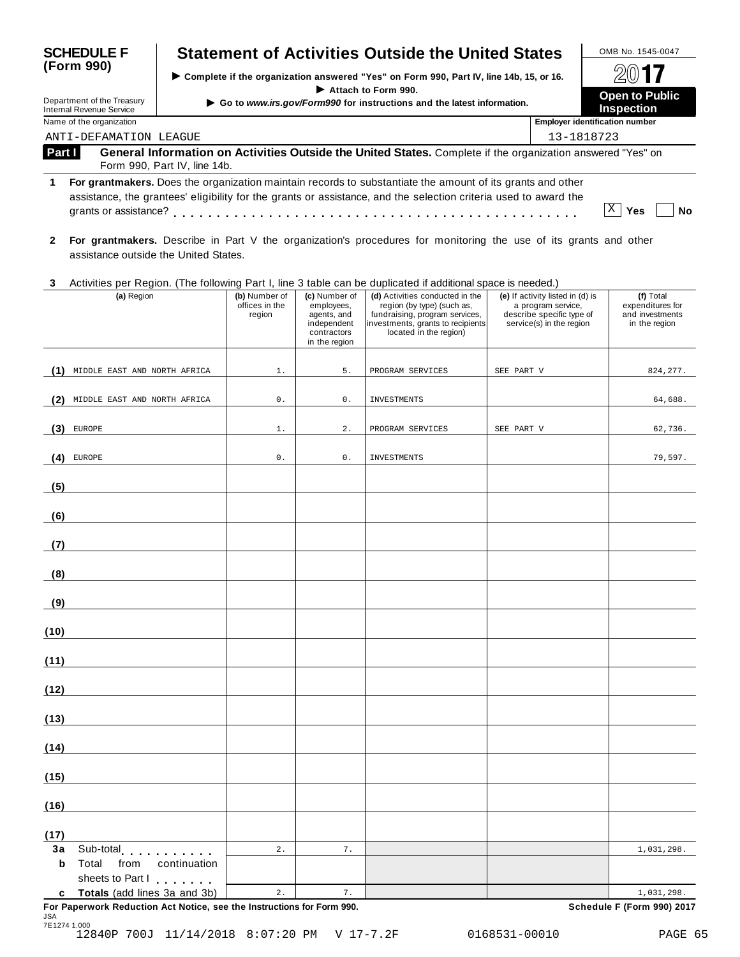| <b>SCHEDULE F</b> |                                                               |                              |                                                                                          |                                                                                           | <b>Statement of Activities Outside the United States</b>                                                                                                                                                                       |                                                                                                                 | OMB No. 1545-0047                                                 |
|-------------------|---------------------------------------------------------------|------------------------------|------------------------------------------------------------------------------------------|-------------------------------------------------------------------------------------------|--------------------------------------------------------------------------------------------------------------------------------------------------------------------------------------------------------------------------------|-----------------------------------------------------------------------------------------------------------------|-------------------------------------------------------------------|
|                   | (Form 990)                                                    |                              | > Complete if the organization answered "Yes" on Form 990, Part IV, line 14b, 15, or 16. |                                                                                           |                                                                                                                                                                                                                                |                                                                                                                 |                                                                   |
|                   | Department of the Treasury<br><b>Internal Revenue Service</b> |                              | Go to www.irs.gov/Form990 for instructions and the latest information.                   | Open to Public<br><b>Inspection</b>                                                       |                                                                                                                                                                                                                                |                                                                                                                 |                                                                   |
|                   | Name of the organization                                      |                              |                                                                                          |                                                                                           |                                                                                                                                                                                                                                |                                                                                                                 | <b>Employer identification number</b>                             |
|                   | ANTI-DEFAMATION LEAGUE                                        |                              |                                                                                          |                                                                                           |                                                                                                                                                                                                                                | 13-1818723                                                                                                      |                                                                   |
| Part I            |                                                               | Form 990, Part IV, line 14b. |                                                                                          |                                                                                           | General Information on Activities Outside the United States. Complete if the organization answered "Yes" on                                                                                                                    |                                                                                                                 |                                                                   |
| 1                 |                                                               |                              |                                                                                          |                                                                                           | For grantmakers. Does the organization maintain records to substantiate the amount of its grants and other<br>assistance, the grantees' eligibility for the grants or assistance, and the selection criteria used to award the |                                                                                                                 |                                                                   |
|                   |                                                               |                              |                                                                                          |                                                                                           |                                                                                                                                                                                                                                |                                                                                                                 | $X \mid$<br>Yes<br>No                                             |
| $\mathbf{2}$      | assistance outside the United States.                         |                              |                                                                                          |                                                                                           | For grantmakers. Describe in Part V the organization's procedures for monitoring the use of its grants and other                                                                                                               |                                                                                                                 |                                                                   |
| 3                 |                                                               |                              |                                                                                          |                                                                                           | Activities per Region. (The following Part I, line 3 table can be duplicated if additional space is needed.)                                                                                                                   |                                                                                                                 |                                                                   |
|                   | (a) Region                                                    |                              | (b) Number of<br>offices in the<br>region                                                | (c) Number of<br>employees,<br>agents, and<br>independent<br>contractors<br>in the region | (d) Activities conducted in the<br>region (by type) (such as,<br>fundraising, program services,<br>investments, grants to recipients<br>located in the region)                                                                 | (e) If activity listed in (d) is<br>a program service,<br>describe specific type of<br>service(s) in the region | (f) Total<br>expenditures for<br>and investments<br>in the region |
| (1)               | MIDDLE EAST AND NORTH AFRICA                                  |                              | 1.                                                                                       | 5.                                                                                        | PROGRAM SERVICES                                                                                                                                                                                                               | SEE PART V                                                                                                      | 824,277.                                                          |
| (2)               | MIDDLE EAST AND NORTH AFRICA                                  |                              | 0.                                                                                       | 0.                                                                                        | INVESTMENTS                                                                                                                                                                                                                    |                                                                                                                 | 64,688.                                                           |
| (3)               | <b>EUROPE</b>                                                 |                              | 1.                                                                                       | 2.                                                                                        | PROGRAM SERVICES                                                                                                                                                                                                               | SEE PART V                                                                                                      | 62,736.                                                           |
| (4)               | <b>EUROPE</b>                                                 |                              | 0.                                                                                       | 0.                                                                                        | INVESTMENTS                                                                                                                                                                                                                    |                                                                                                                 | 79,597.                                                           |
| (5)               |                                                               |                              |                                                                                          |                                                                                           |                                                                                                                                                                                                                                |                                                                                                                 |                                                                   |
| (6)               |                                                               |                              |                                                                                          |                                                                                           |                                                                                                                                                                                                                                |                                                                                                                 |                                                                   |
| (7)               |                                                               |                              |                                                                                          |                                                                                           |                                                                                                                                                                                                                                |                                                                                                                 |                                                                   |
| (8)               |                                                               |                              |                                                                                          |                                                                                           |                                                                                                                                                                                                                                |                                                                                                                 |                                                                   |
| (9)               |                                                               |                              |                                                                                          |                                                                                           |                                                                                                                                                                                                                                |                                                                                                                 |                                                                   |
| (10)              |                                                               |                              |                                                                                          |                                                                                           |                                                                                                                                                                                                                                |                                                                                                                 |                                                                   |
| (11)              |                                                               |                              |                                                                                          |                                                                                           |                                                                                                                                                                                                                                |                                                                                                                 |                                                                   |
| (12)              |                                                               |                              |                                                                                          |                                                                                           |                                                                                                                                                                                                                                |                                                                                                                 |                                                                   |
| (13)              |                                                               |                              |                                                                                          |                                                                                           |                                                                                                                                                                                                                                |                                                                                                                 |                                                                   |
| (14)              |                                                               |                              |                                                                                          |                                                                                           |                                                                                                                                                                                                                                |                                                                                                                 |                                                                   |
| (15)              |                                                               |                              |                                                                                          |                                                                                           |                                                                                                                                                                                                                                |                                                                                                                 |                                                                   |
| (16)              |                                                               |                              |                                                                                          |                                                                                           |                                                                                                                                                                                                                                |                                                                                                                 |                                                                   |
| (17)              |                                                               |                              |                                                                                          |                                                                                           |                                                                                                                                                                                                                                |                                                                                                                 |                                                                   |
| Зa<br>b           | Sub-total experience<br>Total from<br>sheets to Part I        | continuation                 | 2.                                                                                       | 7.                                                                                        |                                                                                                                                                                                                                                |                                                                                                                 | 1,031,298.                                                        |
| c                 | <b>Totals</b> (add lines 3a and 3b)                           |                              | $2$ .                                                                                    | 7.                                                                                        |                                                                                                                                                                                                                                |                                                                                                                 | 1,031,298.                                                        |
|                   |                                                               |                              |                                                                                          |                                                                                           |                                                                                                                                                                                                                                |                                                                                                                 |                                                                   |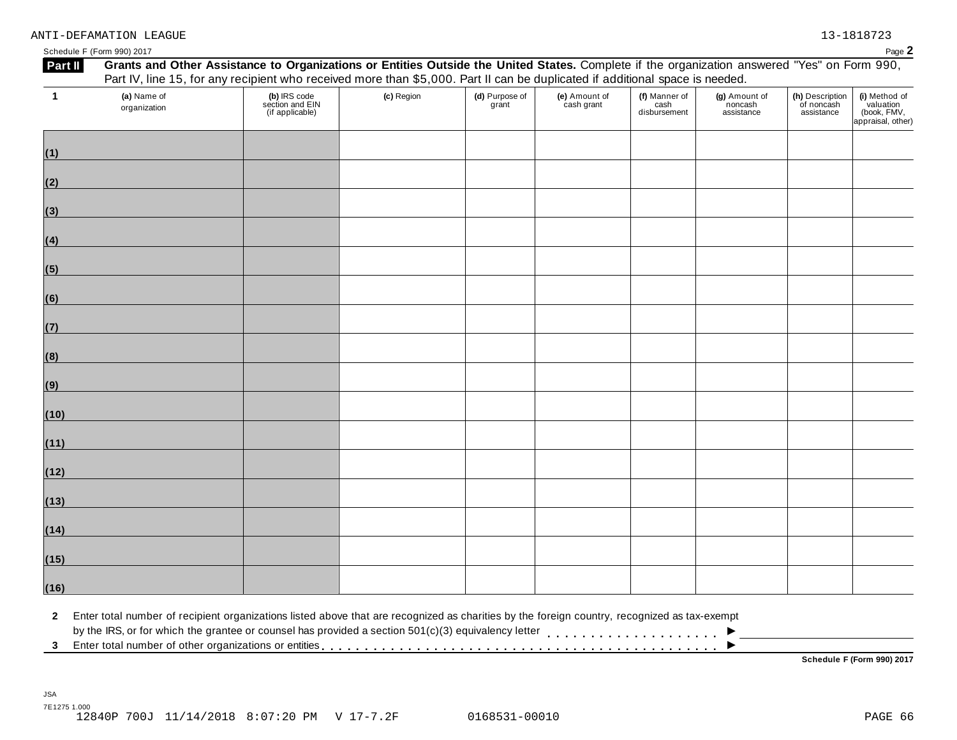| ANTI-DEFAMATION LEAGUE | 13-1818723 |
|------------------------|------------|
|------------------------|------------|

Schedule F (Form 990) 2017  $P$ age  $2$ 

| $\mathbf{1}$         | (a) Name of<br>organization | (b) IRS code<br>section and EIN<br>(if applicable)                                                                                                                                                                                                  | (c) Region | (d) Purpose of<br>grant | (e) Amount of<br>cash grant | (f) Manner of<br>cash<br>disbursement | (g) Amount of<br>noncash<br>assistance | (h) Description<br>of noncash<br>assistance | (i) Method of<br>valuation<br>(book, FMV,<br>appraisal, other) |
|----------------------|-----------------------------|-----------------------------------------------------------------------------------------------------------------------------------------------------------------------------------------------------------------------------------------------------|------------|-------------------------|-----------------------------|---------------------------------------|----------------------------------------|---------------------------------------------|----------------------------------------------------------------|
| (1)                  |                             |                                                                                                                                                                                                                                                     |            |                         |                             |                                       |                                        |                                             |                                                                |
| (2)                  |                             |                                                                                                                                                                                                                                                     |            |                         |                             |                                       |                                        |                                             |                                                                |
| (3)                  |                             |                                                                                                                                                                                                                                                     |            |                         |                             |                                       |                                        |                                             |                                                                |
| (4)                  |                             |                                                                                                                                                                                                                                                     |            |                         |                             |                                       |                                        |                                             |                                                                |
| (5)                  |                             |                                                                                                                                                                                                                                                     |            |                         |                             |                                       |                                        |                                             |                                                                |
| (6)                  |                             |                                                                                                                                                                                                                                                     |            |                         |                             |                                       |                                        |                                             |                                                                |
| (7)                  |                             |                                                                                                                                                                                                                                                     |            |                         |                             |                                       |                                        |                                             |                                                                |
| (8)                  |                             |                                                                                                                                                                                                                                                     |            |                         |                             |                                       |                                        |                                             |                                                                |
| (9)                  |                             |                                                                                                                                                                                                                                                     |            |                         |                             |                                       |                                        |                                             |                                                                |
| (10)                 |                             |                                                                                                                                                                                                                                                     |            |                         |                             |                                       |                                        |                                             |                                                                |
| (11)                 |                             |                                                                                                                                                                                                                                                     |            |                         |                             |                                       |                                        |                                             |                                                                |
|                      |                             |                                                                                                                                                                                                                                                     |            |                         |                             |                                       |                                        |                                             |                                                                |
| (12)                 |                             |                                                                                                                                                                                                                                                     |            |                         |                             |                                       |                                        |                                             |                                                                |
| (13)                 |                             |                                                                                                                                                                                                                                                     |            |                         |                             |                                       |                                        |                                             |                                                                |
| (14)                 |                             |                                                                                                                                                                                                                                                     |            |                         |                             |                                       |                                        |                                             |                                                                |
| (15)                 |                             |                                                                                                                                                                                                                                                     |            |                         |                             |                                       |                                        |                                             |                                                                |
| (16)<br>$\mathbf{2}$ |                             | Enter total number of recipient organizations listed above that are recognized as charities by the foreign country, recognized as tax-exempt<br>by the IRS, or for which the grantee or counsel has provided a section 501(c)(3) equivalency letter |            |                         |                             |                                       |                                        |                                             |                                                                |

**Schedule F (Form 990) 2017**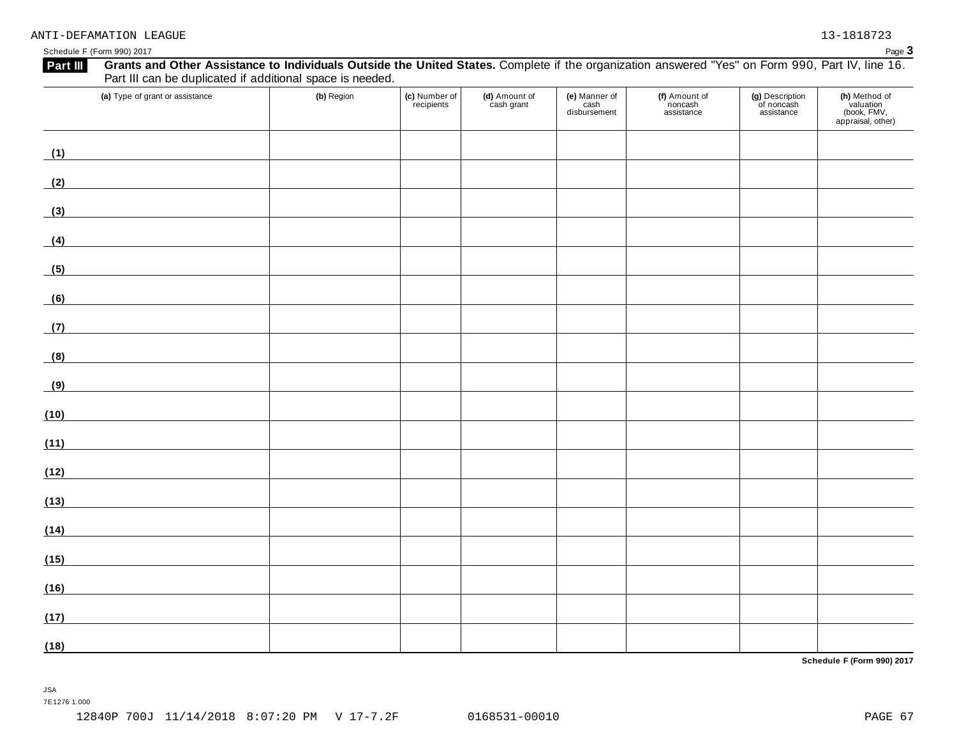| (a) Type of grant or assistance                          | Part III can be duplicated if additional space is needed.<br>(b) Region | (c) Number of |                             | (e) Manner of        | (f) Amount of         |                                             | (h) Method of                                 |
|----------------------------------------------------------|-------------------------------------------------------------------------|---------------|-----------------------------|----------------------|-----------------------|---------------------------------------------|-----------------------------------------------|
|                                                          |                                                                         | recipients    | (d) Amount of<br>cash grant | cash<br>disbursement | noncash<br>assistance | (g) Description<br>of noncash<br>assistance | valuation<br>(book, FMV,<br>appraisal, other) |
| (1)<br><u> 1980 - Johann Barbara, martxa al</u>          |                                                                         |               |                             |                      |                       |                                             |                                               |
| (2)<br><u> 1989 - Johann Barn, mars ann an t-A</u>       |                                                                         |               |                             |                      |                       |                                             |                                               |
| (3)<br><u> 1980 - Johann Barbara, martxa alemaniar a</u> |                                                                         |               |                             |                      |                       |                                             |                                               |
| (4)                                                      |                                                                         |               |                             |                      |                       |                                             |                                               |
| (5)                                                      |                                                                         |               |                             |                      |                       |                                             |                                               |
| (6)                                                      |                                                                         |               |                             |                      |                       |                                             |                                               |
| (7)                                                      |                                                                         |               |                             |                      |                       |                                             |                                               |
| (8)                                                      |                                                                         |               |                             |                      |                       |                                             |                                               |
| (9)<br><u> 1989 - Johann Barbara, martxa alemaniar a</u> |                                                                         |               |                             |                      |                       |                                             |                                               |
| (10)                                                     |                                                                         |               |                             |                      |                       |                                             |                                               |
| (11)                                                     |                                                                         |               |                             |                      |                       |                                             |                                               |
| (12)                                                     |                                                                         |               |                             |                      |                       |                                             |                                               |
| (13)                                                     |                                                                         |               |                             |                      |                       |                                             |                                               |
| (14)                                                     |                                                                         |               |                             |                      |                       |                                             |                                               |
| (15)                                                     |                                                                         |               |                             |                      |                       |                                             |                                               |
| (16)                                                     |                                                                         |               |                             |                      |                       |                                             |                                               |
| (17)                                                     |                                                                         |               |                             |                      |                       |                                             |                                               |
| (18)                                                     |                                                                         |               |                             |                      |                       |                                             |                                               |

**Schedule F (Form 990) 2017**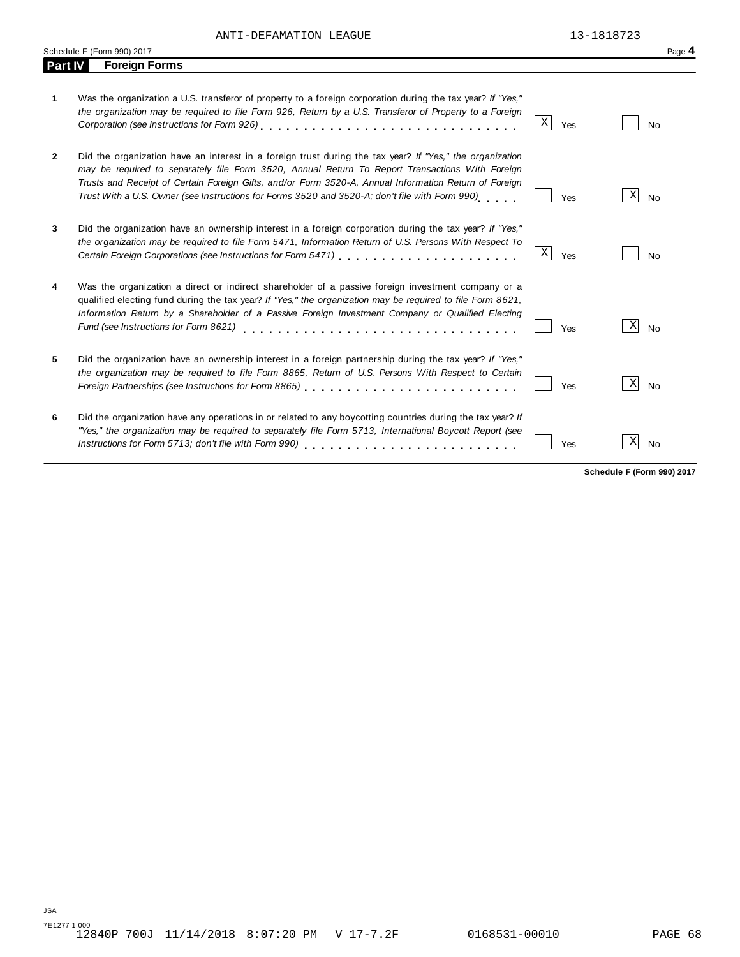|                | Schedule F (Form 990) 2017                                                                                                                                                                                                                                                                                                                                                                                             |          | Page 4         |
|----------------|------------------------------------------------------------------------------------------------------------------------------------------------------------------------------------------------------------------------------------------------------------------------------------------------------------------------------------------------------------------------------------------------------------------------|----------|----------------|
| <b>Part IV</b> | <b>Foreign Forms</b>                                                                                                                                                                                                                                                                                                                                                                                                   |          |                |
| 1              | Was the organization a U.S. transferor of property to a foreign corporation during the tax year? If "Yes,"<br>the organization may be required to file Form 926, Return by a U.S. Transferor of Property to a Foreign                                                                                                                                                                                                  | Χ<br>Yes | No             |
| $\mathbf{2}$   | Did the organization have an interest in a foreign trust during the tax year? If "Yes," the organization<br>may be required to separately file Form 3520, Annual Return To Report Transactions With Foreign<br>Trusts and Receipt of Certain Foreign Gifts, and/or Form 3520-A, Annual Information Return of Foreign<br>Trust With a U.S. Owner (see Instructions for Forms 3520 and 3520-A; don't file with Form 990) | Yes      | Χ<br><b>No</b> |
| 3              | Did the organization have an ownership interest in a foreign corporation during the tax year? If "Yes,"<br>the organization may be required to file Form 5471, Information Return of U.S. Persons With Respect To                                                                                                                                                                                                      | Χ<br>Yes | <b>No</b>      |
| 4              | Was the organization a direct or indirect shareholder of a passive foreign investment company or a<br>qualified electing fund during the tax year? If "Yes," the organization may be required to file Form 8621,<br>Information Return by a Shareholder of a Passive Foreign Investment Company or Qualified Electing<br>Fund (see Instructions for Form 8621)                                                         | Yes      | Х<br><b>No</b> |
| 5              | Did the organization have an ownership interest in a foreign partnership during the tax year? If "Yes,"<br>the organization may be required to file Form 8865, Return of U.S. Persons With Respect to Certain<br>Foreign Partnerships (see Instructions for Form 8865)                                                                                                                                                 | Yes      | Χ<br><b>No</b> |
| 6              | Did the organization have any operations in or related to any boycotting countries during the tax year? If<br>"Yes," the organization may be required to separately file Form 5713, International Boycott Report (see<br>Instructions for Form 5713; don't file with Form 990)                                                                                                                                         | Yes      | Х<br><b>No</b> |

**Schedule F (Form 990) 2017**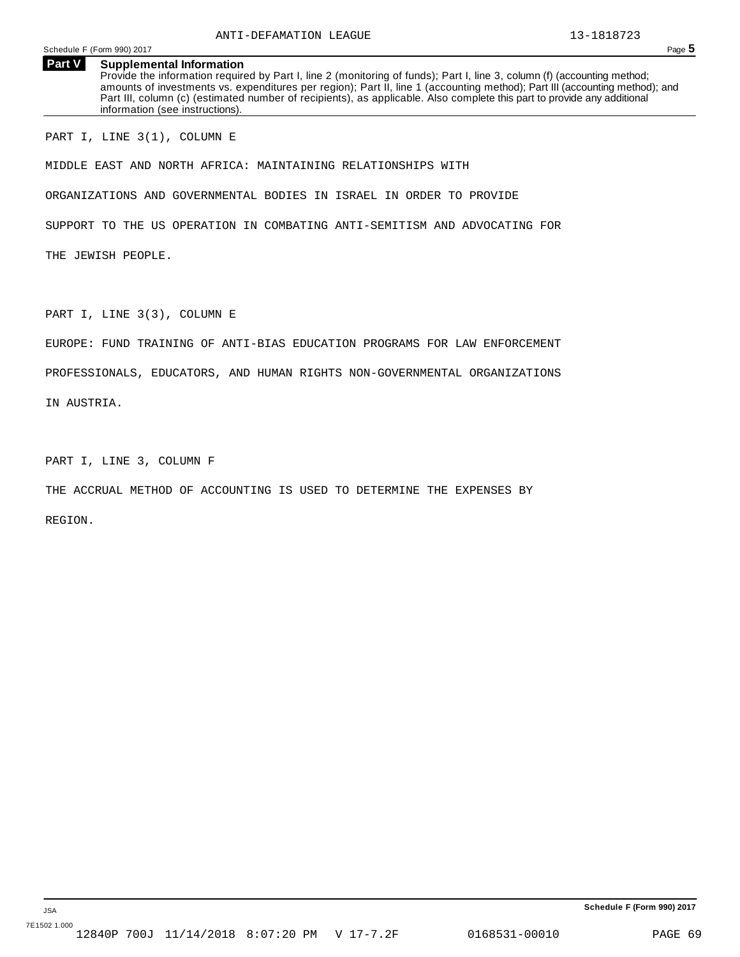Schedule <sup>F</sup> (Form 990) <sup>2017</sup> Page **5**

**Part V Supplemental Information** Provide the information required by Part I, line 2 (monitoring of funds); Part I, line 3, column (f) (accounting method; amounts of investments vs. expenditures per region); Part II, line 1 (accounting method); Part III (accounting method); and Part III, column (c) (estimated number of recipients), as applicable. Also complete this part to provide any additional information (see instructions).

PART I, LINE 3(1), COLUMN E

MIDDLE EAST AND NORTH AFRICA: MAINTAINING RELATIONSHIPS WITH

ORGANIZATIONS AND GOVERNMENTAL BODIES IN ISRAEL IN ORDER TO PROVIDE

SUPPORT TO THE US OPERATION IN COMBATING ANTI-SEMITISM AND ADVOCATING FOR

THE JEWISH PEOPLE.

PART I, LINE 3(3), COLUMN E

EUROPE: FUND TRAINING OF ANTI-BIAS EDUCATION PROGRAMS FOR LAW ENFORCEMENT

PROFESSIONALS, EDUCATORS, AND HUMAN RIGHTS NON-GOVERNMENTAL ORGANIZATIONS

IN AUSTRIA.

PART I, LINE 3, COLUMN F

THE ACCRUAL METHOD OF ACCOUNTING IS USED TO DETERMINE THE EXPENSES BY

REGION.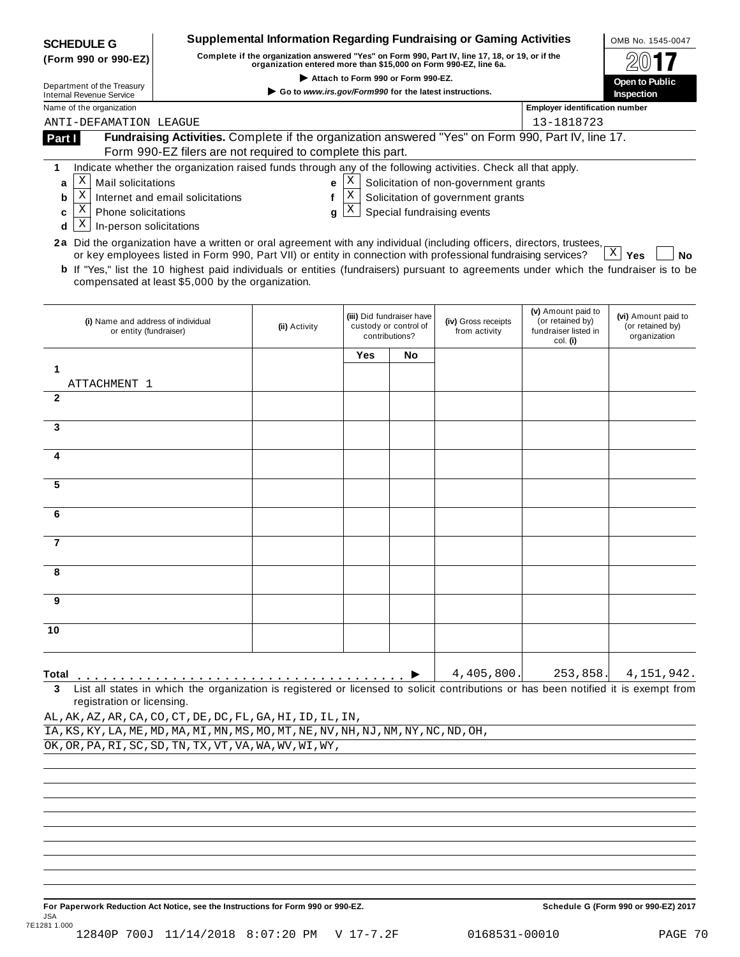| <b>SCHEDULE G</b>                                                                                                      |                                                                                                                                                                                                   | <b>Supplemental Information Regarding Fundraising or Gaming Activities</b> |                                    |                                         |                                                                            |                                        | OMB No. 1545-0047                |
|------------------------------------------------------------------------------------------------------------------------|---------------------------------------------------------------------------------------------------------------------------------------------------------------------------------------------------|----------------------------------------------------------------------------|------------------------------------|-----------------------------------------|----------------------------------------------------------------------------|----------------------------------------|----------------------------------|
| (Form 990 or 990-EZ)                                                                                                   | Complete if the organization answered "Yes" on Form 990, Part IV, line 17, 18, or 19, or if the<br>organization entered more than \$15,000 on Form 990-EZ, line 6a.                               |                                                                            |                                    |                                         |                                                                            |                                        |                                  |
| Department of the Treasury                                                                                             |                                                                                                                                                                                                   |                                                                            | Attach to Form 990 or Form 990-EZ. |                                         |                                                                            |                                        | <b>Open to Public</b>            |
| <b>Internal Revenue Service</b><br>Name of the organization                                                            |                                                                                                                                                                                                   | Go to www.irs.gov/Form990 for the latest instructions.                     |                                    |                                         |                                                                            | <b>Employer identification number</b>  | Inspection                       |
| <b>ANTI-DEFAMATION LEAGUE</b>                                                                                          |                                                                                                                                                                                                   |                                                                            |                                    |                                         |                                                                            | 13-1818723                             |                                  |
| Part I                                                                                                                 | Fundraising Activities. Complete if the organization answered "Yes" on Form 990, Part IV, line 17.                                                                                                |                                                                            |                                    |                                         |                                                                            |                                        |                                  |
|                                                                                                                        | Form 990-EZ filers are not required to complete this part.                                                                                                                                        |                                                                            |                                    |                                         |                                                                            |                                        |                                  |
| 1                                                                                                                      | Indicate whether the organization raised funds through any of the following activities. Check all that apply.                                                                                     |                                                                            |                                    |                                         |                                                                            |                                        |                                  |
| Χ<br>Mail solicitations<br>a<br>Χ<br>b                                                                                 | Internet and email solicitations                                                                                                                                                                  | е<br>$\mathbf{f}$                                                          | Χ<br>Χ                             |                                         | Solicitation of non-government grants<br>Solicitation of government grants |                                        |                                  |
| Χ<br>Phone solicitations<br>C                                                                                          |                                                                                                                                                                                                   | g                                                                          | Χ                                  |                                         | Special fundraising events                                                 |                                        |                                  |
| Χ<br>In-person solicitations<br>d                                                                                      |                                                                                                                                                                                                   |                                                                            |                                    |                                         |                                                                            |                                        |                                  |
| 2a Did the organization have a written or oral agreement with any individual (including officers, directors, trustees, |                                                                                                                                                                                                   |                                                                            |                                    |                                         |                                                                            |                                        |                                  |
|                                                                                                                        | or key employees listed in Form 990, Part VII) or entity in connection with professional fundraising services?                                                                                    |                                                                            |                                    |                                         |                                                                            |                                        | Χ<br><b>No</b><br>Yes            |
|                                                                                                                        | <b>b</b> If "Yes," list the 10 highest paid individuals or entities (fundraisers) pursuant to agreements under which the fundraiser is to be<br>compensated at least \$5,000 by the organization. |                                                                            |                                    |                                         |                                                                            |                                        |                                  |
|                                                                                                                        |                                                                                                                                                                                                   |                                                                            |                                    |                                         |                                                                            |                                        |                                  |
| (i) Name and address of individual                                                                                     |                                                                                                                                                                                                   |                                                                            |                                    | (iii) Did fundraiser have               | (iv) Gross receipts                                                        | (v) Amount paid to<br>(or retained by) | (vi) Amount paid to              |
| or entity (fundraiser)                                                                                                 |                                                                                                                                                                                                   | (ii) Activity                                                              |                                    | custody or control of<br>contributions? | from activity                                                              | fundraiser listed in<br>col. (i)       | (or retained by)<br>organization |
|                                                                                                                        |                                                                                                                                                                                                   |                                                                            | Yes                                | No                                      |                                                                            |                                        |                                  |
| 1                                                                                                                      |                                                                                                                                                                                                   |                                                                            |                                    |                                         |                                                                            |                                        |                                  |
| ATTACHMENT 1<br>$\mathbf{2}$                                                                                           |                                                                                                                                                                                                   |                                                                            |                                    |                                         |                                                                            |                                        |                                  |
|                                                                                                                        |                                                                                                                                                                                                   |                                                                            |                                    |                                         |                                                                            |                                        |                                  |
| 3                                                                                                                      |                                                                                                                                                                                                   |                                                                            |                                    |                                         |                                                                            |                                        |                                  |
|                                                                                                                        |                                                                                                                                                                                                   |                                                                            |                                    |                                         |                                                                            |                                        |                                  |
| 4                                                                                                                      |                                                                                                                                                                                                   |                                                                            |                                    |                                         |                                                                            |                                        |                                  |
| 5                                                                                                                      |                                                                                                                                                                                                   |                                                                            |                                    |                                         |                                                                            |                                        |                                  |
|                                                                                                                        |                                                                                                                                                                                                   |                                                                            |                                    |                                         |                                                                            |                                        |                                  |
| 6                                                                                                                      |                                                                                                                                                                                                   |                                                                            |                                    |                                         |                                                                            |                                        |                                  |
| $\overline{7}$                                                                                                         |                                                                                                                                                                                                   |                                                                            |                                    |                                         |                                                                            |                                        |                                  |
| 8                                                                                                                      |                                                                                                                                                                                                   |                                                                            |                                    |                                         |                                                                            |                                        |                                  |
|                                                                                                                        |                                                                                                                                                                                                   |                                                                            |                                    |                                         |                                                                            |                                        |                                  |
| 9                                                                                                                      |                                                                                                                                                                                                   |                                                                            |                                    |                                         |                                                                            |                                        |                                  |
| 10                                                                                                                     |                                                                                                                                                                                                   |                                                                            |                                    |                                         |                                                                            |                                        |                                  |
|                                                                                                                        |                                                                                                                                                                                                   |                                                                            |                                    |                                         |                                                                            |                                        |                                  |
|                                                                                                                        |                                                                                                                                                                                                   |                                                                            |                                    |                                         |                                                                            |                                        |                                  |
| Total                                                                                                                  |                                                                                                                                                                                                   |                                                                            |                                    |                                         | 4,405,800.                                                                 | 253,858.                               | 4,151,942.                       |
| 3<br>registration or licensing.                                                                                        | List all states in which the organization is registered or licensed to solicit contributions or has been notified it is exempt from                                                               |                                                                            |                                    |                                         |                                                                            |                                        |                                  |
| AL, AK, AZ, AR, CA, CO, CT, DE, DC, FL, GA, HI, ID, IL, IN,                                                            |                                                                                                                                                                                                   |                                                                            |                                    |                                         |                                                                            |                                        |                                  |
| IA, KS, KY, LA, ME, MD, MA, MI, MN, MS, MO, MT, NE, NV, NH, NJ, NM, NY, NC, ND, OH,                                    |                                                                                                                                                                                                   |                                                                            |                                    |                                         |                                                                            |                                        |                                  |
| OK, OR, PA, RI, SC, SD, TN, TX, VT, VA, WA, WV, WI, WY,                                                                |                                                                                                                                                                                                   |                                                                            |                                    |                                         |                                                                            |                                        |                                  |
|                                                                                                                        |                                                                                                                                                                                                   |                                                                            |                                    |                                         |                                                                            |                                        |                                  |
|                                                                                                                        |                                                                                                                                                                                                   |                                                                            |                                    |                                         |                                                                            |                                        |                                  |
|                                                                                                                        |                                                                                                                                                                                                   |                                                                            |                                    |                                         |                                                                            |                                        |                                  |
|                                                                                                                        |                                                                                                                                                                                                   |                                                                            |                                    |                                         |                                                                            |                                        |                                  |
|                                                                                                                        |                                                                                                                                                                                                   |                                                                            |                                    |                                         |                                                                            |                                        |                                  |
|                                                                                                                        |                                                                                                                                                                                                   |                                                                            |                                    |                                         |                                                                            |                                        |                                  |
|                                                                                                                        |                                                                                                                                                                                                   |                                                                            |                                    |                                         |                                                                            |                                        |                                  |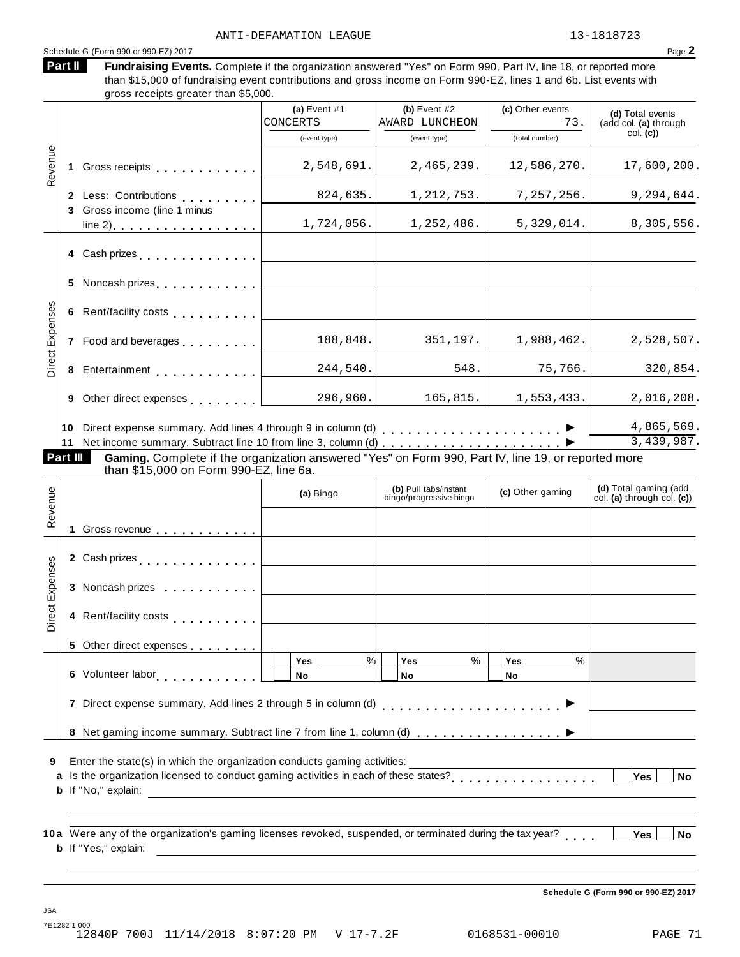# Schedule <sup>G</sup> (Form <sup>990</sup> or 990-EZ) <sup>2017</sup> Page **2**

**Part II**

Fundraising Events. Complete if the organization answered "Yes" on Form 990, Part IV, line 18, or reported more than \$15,000 of fundraising event contributions and gross income on Form 990-EZ, lines 1 and 6b. List events with gross receipts greater than \$5,000.

|          |    | gross roccipis groater than ps,000.                                                                                                                                                                                                  |                |                                                  |                  |                                                     |
|----------|----|--------------------------------------------------------------------------------------------------------------------------------------------------------------------------------------------------------------------------------------|----------------|--------------------------------------------------|------------------|-----------------------------------------------------|
|          |    |                                                                                                                                                                                                                                      | (a) Event $#1$ | (b) Event $#2$                                   | (c) Other events | (d) Total events                                    |
|          |    |                                                                                                                                                                                                                                      | CONCERTS       | AWARD LUNCHEON                                   | 73.              | (add col. (a) through<br>$col.$ (c))                |
|          |    |                                                                                                                                                                                                                                      | (event type)   | (event type)                                     | (total number)   |                                                     |
| Revenue  | 1  | Gross receipts <b>Container and Container</b>                                                                                                                                                                                        | 2,548,691.     | 2,465,239.                                       | 12,586,270.      | 17,600,200.                                         |
|          |    | 2 Less: Contributions                                                                                                                                                                                                                | 824,635.       | 1,212,753.                                       | 7,257,256.       | 9,294,644.                                          |
|          |    | 3 Gross income (line 1 minus<br>line 2).                                                                                                                                                                                             | 1,724,056.     | 1,252,486.                                       | 5,329,014.       | 8,305,556.                                          |
|          |    | 4 Cash prizes                                                                                                                                                                                                                        |                |                                                  |                  |                                                     |
|          | 5. | Noncash prizes <b>with the set of the set of the set of the set of the set of the set of the set of the set of the set of the set of the set of the set of the set of the set of the set of the set of the set of the set of the</b> |                |                                                  |                  |                                                     |
| Expenses |    | 6 Rent/facility costs                                                                                                                                                                                                                |                |                                                  |                  |                                                     |
|          |    | 7 Food and beverages                                                                                                                                                                                                                 | 188,848.       | 351,197.                                         | 1,988,462.       | 2,528,507.                                          |
| Direct I |    | 8 Entertainment <b>8</b> Entertainment                                                                                                                                                                                               | 244,540.       | 548.                                             | 75,766.          | 320,854.                                            |
|          | 9  | Other direct expenses                                                                                                                                                                                                                | 296,960.       | 165,815.                                         | 1,553,433.       | 2,016,208.                                          |
|          |    |                                                                                                                                                                                                                                      |                |                                                  |                  | 4,865,569.                                          |
|          |    |                                                                                                                                                                                                                                      |                |                                                  |                  | 3,439,987.                                          |
| Part III |    | Gaming. Complete if the organization answered "Yes" on Form 990, Part IV, line 19, or reported more<br>than \$15,000 on Form 990-EZ, line 6a.                                                                                        |                |                                                  |                  |                                                     |
| Revenue  |    |                                                                                                                                                                                                                                      | (a) Bingo      | (b) Pull tabs/instant<br>bingo/progressive bingo | (c) Other gaming | (d) Total gaming (add<br>col. (a) through col. (c)) |
|          |    | 1 Gross revenue                                                                                                                                                                                                                      |                |                                                  |                  |                                                     |
|          |    | 2 Cash prizes                                                                                                                                                                                                                        |                |                                                  |                  |                                                     |
| Expenses |    | 3 Noncash prizes                                                                                                                                                                                                                     |                |                                                  |                  |                                                     |
| Direct I |    | 4 Rent/facility costs                                                                                                                                                                                                                |                |                                                  |                  |                                                     |

**9** Enter the state(s) in which the organization conducts gaming activities:

. <u>. . . . . . .</u>

**8** Net gaming income summary. Subtract line 7 from line 1, column (d)

**5** Other direct expenses

**6** Volunteer labor **manual** m m m m m m m m m

Is the organization licensed to conduct gaming activities in each of these states? **a** m m m m m m m m m m m m m m m m m **Yes No b** If "No," explain:

**Yes No**

**7** Direct expense summary. Add lines 2 through 5 in column (d) m m m m m m m m m m m m m m m m m m m m m I

**Yes No**

**10a** Were any of the organization's gaming licenses revoked, suspended, or terminated during the tax year?<br> **a** *Were* **and** *a* **b** If "Yes," explain:

**Schedule G (Form 990 or 990-EZ) 2017**

**Yes**

m m m m m m m m m m m m m m m m m I

**No** % % %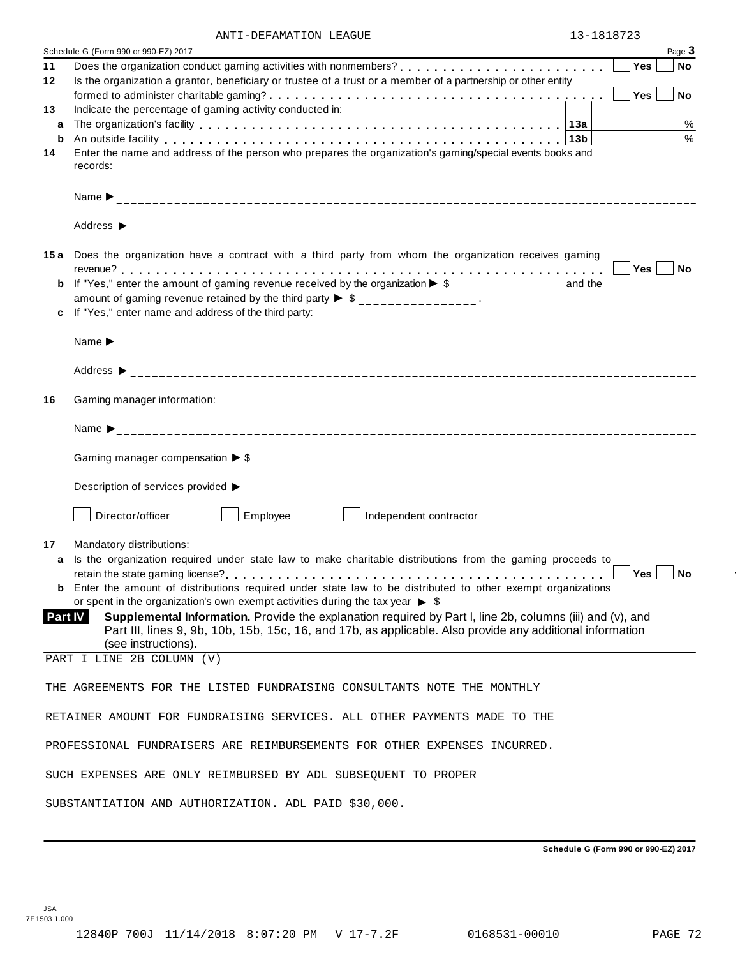| ANTI-DEFAMATION LEAGUE |  |
|------------------------|--|
|------------------------|--|

|                                                                          | Schedule G (Form 990 or 990-EZ) 2017                                                                                                                                                                                           |  |     | Page 3            |  |
|--------------------------------------------------------------------------|--------------------------------------------------------------------------------------------------------------------------------------------------------------------------------------------------------------------------------|--|-----|-------------------|--|
| 11                                                                       |                                                                                                                                                                                                                                |  | Yes | <b>No</b>         |  |
| 12                                                                       | Is the organization a grantor, beneficiary or trustee of a trust or a member of a partnership or other entity                                                                                                                  |  |     |                   |  |
|                                                                          |                                                                                                                                                                                                                                |  | Yes | <b>No</b>         |  |
| 13                                                                       | Indicate the percentage of gaming activity conducted in:                                                                                                                                                                       |  |     |                   |  |
| a                                                                        |                                                                                                                                                                                                                                |  |     | $\%$              |  |
| b                                                                        | An outside facility enterpreteration of the control of the control of the control of the control of the control of the control of the control of the control of the control of the control of the control of the control of th |  |     | %                 |  |
| 14                                                                       | Enter the name and address of the person who prepares the organization's gaming/special events books and                                                                                                                       |  |     |                   |  |
|                                                                          | records:                                                                                                                                                                                                                       |  |     |                   |  |
|                                                                          |                                                                                                                                                                                                                                |  |     |                   |  |
|                                                                          |                                                                                                                                                                                                                                |  |     |                   |  |
|                                                                          |                                                                                                                                                                                                                                |  |     |                   |  |
|                                                                          |                                                                                                                                                                                                                                |  |     |                   |  |
|                                                                          |                                                                                                                                                                                                                                |  |     |                   |  |
|                                                                          | 15a Does the organization have a contract with a third party from whom the organization receives gaming                                                                                                                        |  |     |                   |  |
|                                                                          |                                                                                                                                                                                                                                |  |     | $\blacksquare$ No |  |
| b                                                                        | If "Yes," enter the amount of gaming revenue received by the organization $\blacktriangleright$ \$______________ and the                                                                                                       |  |     |                   |  |
|                                                                          | amount of gaming revenue retained by the third party $\triangleright$ \$ _______________.                                                                                                                                      |  |     |                   |  |
| c                                                                        | If "Yes," enter name and address of the third party:                                                                                                                                                                           |  |     |                   |  |
|                                                                          |                                                                                                                                                                                                                                |  |     |                   |  |
|                                                                          |                                                                                                                                                                                                                                |  |     |                   |  |
|                                                                          |                                                                                                                                                                                                                                |  |     |                   |  |
|                                                                          |                                                                                                                                                                                                                                |  |     |                   |  |
| 16                                                                       | Gaming manager information:                                                                                                                                                                                                    |  |     |                   |  |
|                                                                          |                                                                                                                                                                                                                                |  |     |                   |  |
|                                                                          |                                                                                                                                                                                                                                |  |     |                   |  |
|                                                                          |                                                                                                                                                                                                                                |  |     |                   |  |
|                                                                          | Gaming manager compensation $\triangleright$ \$ ________________                                                                                                                                                               |  |     |                   |  |
|                                                                          |                                                                                                                                                                                                                                |  |     |                   |  |
|                                                                          |                                                                                                                                                                                                                                |  |     |                   |  |
|                                                                          |                                                                                                                                                                                                                                |  |     |                   |  |
|                                                                          | Director/officer<br>Employee<br>Independent contractor                                                                                                                                                                         |  |     |                   |  |
|                                                                          |                                                                                                                                                                                                                                |  |     |                   |  |
| 17                                                                       | Mandatory distributions:                                                                                                                                                                                                       |  |     |                   |  |
|                                                                          | Is the organization required under state law to make charitable distributions from the gaming proceeds to<br>a                                                                                                                 |  |     |                   |  |
|                                                                          | Yes<br>No<br><b>b</b> Enter the amount of distributions required under state law to be distributed to other exempt organizations                                                                                               |  |     |                   |  |
|                                                                          | or spent in the organization's own exempt activities during the tax year $\triangleright$ \$                                                                                                                                   |  |     |                   |  |
| Part IV                                                                  | Supplemental Information. Provide the explanation required by Part I, line 2b, columns (iii) and (v), and                                                                                                                      |  |     |                   |  |
|                                                                          | Part III, lines 9, 9b, 10b, 15b, 15c, 16, and 17b, as applicable. Also provide any additional information                                                                                                                      |  |     |                   |  |
|                                                                          | (see instructions).                                                                                                                                                                                                            |  |     |                   |  |
|                                                                          | PART I LINE 2B COLUMN (V)                                                                                                                                                                                                      |  |     |                   |  |
|                                                                          |                                                                                                                                                                                                                                |  |     |                   |  |
|                                                                          | THE AGREEMENTS FOR THE LISTED FUNDRAISING CONSULTANTS NOTE THE MONTHLY                                                                                                                                                         |  |     |                   |  |
|                                                                          |                                                                                                                                                                                                                                |  |     |                   |  |
| RETAINER AMOUNT FOR FUNDRAISING SERVICES. ALL OTHER PAYMENTS MADE TO THE |                                                                                                                                                                                                                                |  |     |                   |  |
|                                                                          |                                                                                                                                                                                                                                |  |     |                   |  |
| PROFESSIONAL FUNDRAISERS ARE REIMBURSEMENTS FOR OTHER EXPENSES INCURRED. |                                                                                                                                                                                                                                |  |     |                   |  |
|                                                                          |                                                                                                                                                                                                                                |  |     |                   |  |
| SUCH EXPENSES ARE ONLY REIMBURSED BY ADL SUBSEQUENT TO PROPER            |                                                                                                                                                                                                                                |  |     |                   |  |
|                                                                          |                                                                                                                                                                                                                                |  |     |                   |  |
| SUBSTANTIATION AND AUTHORIZATION. ADL PAID \$30,000.                     |                                                                                                                                                                                                                                |  |     |                   |  |

**Schedule G (Form 990 or 990-EZ) 2017**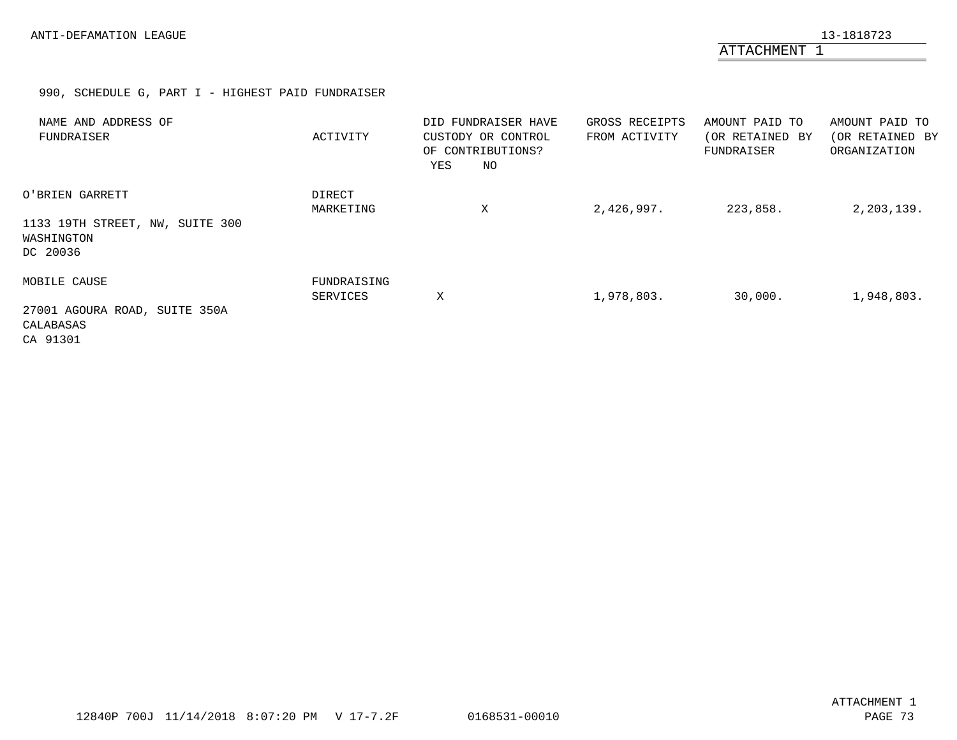ATTACHMENT 1

990, SCHEDULE G, PART I - HIGHEST PAID FUNDRAISER

| NAME AND ADDRESS OF<br>FUNDRAISER             | ACTIVITY      | YES | DID FUNDRAISER HAVE<br>CUSTODY OR CONTROL<br>OF CONTRIBUTIONS?<br>ΝO | GROSS RECEIPTS<br>FROM ACTIVITY | AMOUNT PAID TO<br>(OR RETAINED BY<br>FUNDRAISER | AMOUNT PAID TO<br>(OR RETAINED BY<br>ORGANIZATION |
|-----------------------------------------------|---------------|-----|----------------------------------------------------------------------|---------------------------------|-------------------------------------------------|---------------------------------------------------|
| O'BRIEN GARRETT                               | <b>DIRECT</b> |     |                                                                      |                                 |                                                 |                                                   |
|                                               | MARKETING     |     | Χ                                                                    | 2,426,997.                      | 223,858.                                        | 2,203,139.                                        |
| 1133 19TH STREET, NW, SUITE 300<br>WASHINGTON |               |     |                                                                      |                                 |                                                 |                                                   |
| DC 20036                                      |               |     |                                                                      |                                 |                                                 |                                                   |
| MOBILE CAUSE                                  | FUNDRAISING   |     |                                                                      |                                 |                                                 |                                                   |
|                                               | SERVICES      | X   |                                                                      | 1,978,803.                      | 30,000.                                         | 1,948,803.                                        |
| 27001 AGOURA ROAD, SUITE 350A                 |               |     |                                                                      |                                 |                                                 |                                                   |
| CALABASAS                                     |               |     |                                                                      |                                 |                                                 |                                                   |
| CA 91301                                      |               |     |                                                                      |                                 |                                                 |                                                   |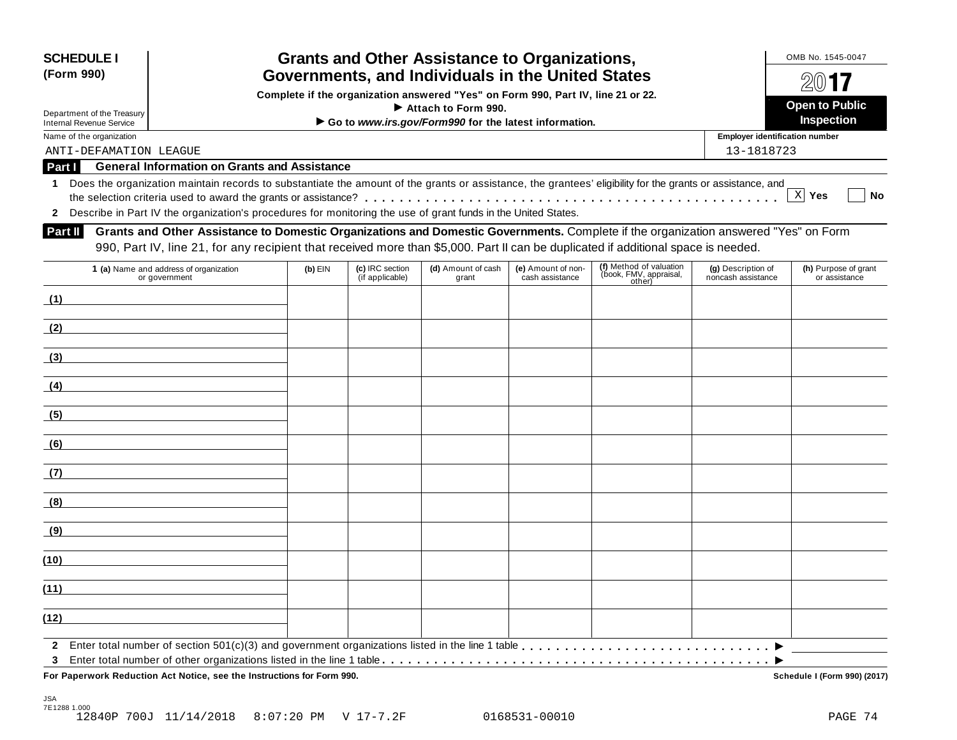| <b>SCHEDULE I</b><br>(Form 990)                    |                                                                                                                                                                                                                                                                           |           |                                    | <b>Grants and Other Assistance to Organizations,</b><br>Governments, and Individuals in the United States |                                       |                                                             |                                                     | OMB No. 1545-0047<br>$200$ 17         |  |  |
|----------------------------------------------------|---------------------------------------------------------------------------------------------------------------------------------------------------------------------------------------------------------------------------------------------------------------------------|-----------|------------------------------------|-----------------------------------------------------------------------------------------------------------|---------------------------------------|-------------------------------------------------------------|-----------------------------------------------------|---------------------------------------|--|--|
|                                                    |                                                                                                                                                                                                                                                                           |           |                                    | Complete if the organization answered "Yes" on Form 990, Part IV, line 21 or 22.                          |                                       |                                                             |                                                     | <b>Open to Public</b>                 |  |  |
| Department of the Treasury                         | $\blacktriangleright$ Attach to Form 990.                                                                                                                                                                                                                                 |           |                                    |                                                                                                           |                                       |                                                             |                                                     |                                       |  |  |
| <b>Internal Revenue Service</b>                    |                                                                                                                                                                                                                                                                           |           |                                    | Go to www.irs.gov/Form990 for the latest information.                                                     |                                       |                                                             |                                                     | Inspection                            |  |  |
| Name of the organization<br>ANTI-DEFAMATION LEAGUE |                                                                                                                                                                                                                                                                           |           |                                    |                                                                                                           |                                       |                                                             | <b>Employer identification number</b><br>13-1818723 |                                       |  |  |
| Part I                                             | <b>General Information on Grants and Assistance</b>                                                                                                                                                                                                                       |           |                                    |                                                                                                           |                                       |                                                             |                                                     |                                       |  |  |
| 1.                                                 | Does the organization maintain records to substantiate the amount of the grants or assistance, the grantees' eligibility for the grants or assistance, and                                                                                                                |           |                                    |                                                                                                           |                                       |                                                             |                                                     |                                       |  |  |
|                                                    |                                                                                                                                                                                                                                                                           |           |                                    |                                                                                                           |                                       |                                                             |                                                     | X Yes<br>No                           |  |  |
|                                                    | 2 Describe in Part IV the organization's procedures for monitoring the use of grant funds in the United States.                                                                                                                                                           |           |                                    |                                                                                                           |                                       |                                                             |                                                     |                                       |  |  |
| <b>Part II</b>                                     | Grants and Other Assistance to Domestic Organizations and Domestic Governments. Complete if the organization answered "Yes" on Form<br>990, Part IV, line 21, for any recipient that received more than \$5,000. Part II can be duplicated if additional space is needed. |           |                                    |                                                                                                           |                                       |                                                             |                                                     |                                       |  |  |
|                                                    | 1 (a) Name and address of organization<br>or government                                                                                                                                                                                                                   | $(b)$ EIN | (c) IRC section<br>(if applicable) | (d) Amount of cash<br>grant                                                                               | (e) Amount of non-<br>cash assistance | (f) Method of valuation<br>(book, FMV, appraisal,<br>other) | (g) Description of<br>noncash assistance            | (h) Purpose of grant<br>or assistance |  |  |
| (1)                                                |                                                                                                                                                                                                                                                                           |           |                                    |                                                                                                           |                                       |                                                             |                                                     |                                       |  |  |
| (2)                                                |                                                                                                                                                                                                                                                                           |           |                                    |                                                                                                           |                                       |                                                             |                                                     |                                       |  |  |
| (3)                                                |                                                                                                                                                                                                                                                                           |           |                                    |                                                                                                           |                                       |                                                             |                                                     |                                       |  |  |
| (4)                                                |                                                                                                                                                                                                                                                                           |           |                                    |                                                                                                           |                                       |                                                             |                                                     |                                       |  |  |
| (5)                                                |                                                                                                                                                                                                                                                                           |           |                                    |                                                                                                           |                                       |                                                             |                                                     |                                       |  |  |
| (6)                                                |                                                                                                                                                                                                                                                                           |           |                                    |                                                                                                           |                                       |                                                             |                                                     |                                       |  |  |
| (7)                                                |                                                                                                                                                                                                                                                                           |           |                                    |                                                                                                           |                                       |                                                             |                                                     |                                       |  |  |
| (8)                                                |                                                                                                                                                                                                                                                                           |           |                                    |                                                                                                           |                                       |                                                             |                                                     |                                       |  |  |
| (9)                                                |                                                                                                                                                                                                                                                                           |           |                                    |                                                                                                           |                                       |                                                             |                                                     |                                       |  |  |
| (10)                                               |                                                                                                                                                                                                                                                                           |           |                                    |                                                                                                           |                                       |                                                             |                                                     |                                       |  |  |
| (11)                                               |                                                                                                                                                                                                                                                                           |           |                                    |                                                                                                           |                                       |                                                             |                                                     |                                       |  |  |
| (12)                                               |                                                                                                                                                                                                                                                                           |           |                                    |                                                                                                           |                                       |                                                             |                                                     |                                       |  |  |
| $\mathbf{2}$                                       |                                                                                                                                                                                                                                                                           |           |                                    |                                                                                                           |                                       |                                                             |                                                     |                                       |  |  |
| 3                                                  | For Paperwork Reduction Act Notice, see the Instructions for Form 990.                                                                                                                                                                                                    |           |                                    |                                                                                                           |                                       |                                                             |                                                     | Schedule I (Form 990) (2017)          |  |  |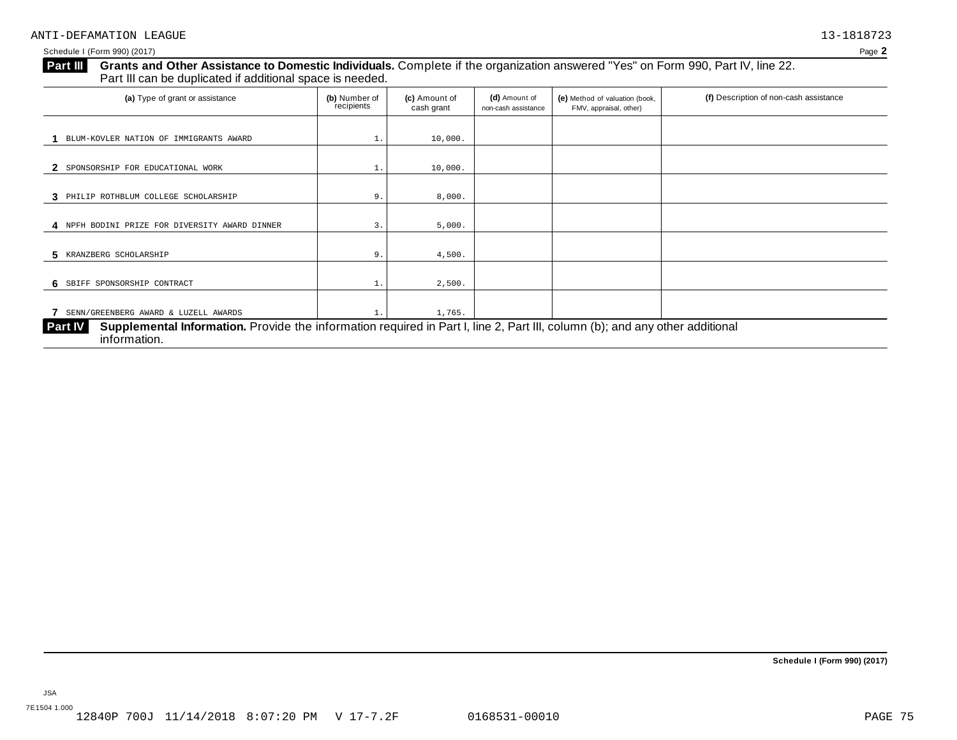# **Part III** Grants and Other Assistance to Domestic Individuals. Complete if the organization answered "Yes" on Form 990, Part IV, line 22.<br>Part III can be duplicated if additional space is needed.

| (a) Type of grant or assistance                                                                                                                         | (b) Number of<br>recipients | (c) Amount of<br>cash grant | (d) Amount of<br>non-cash assistance | (e) Method of valuation (book,<br>FMV, appraisal, other) | (f) Description of non-cash assistance |
|---------------------------------------------------------------------------------------------------------------------------------------------------------|-----------------------------|-----------------------------|--------------------------------------|----------------------------------------------------------|----------------------------------------|
|                                                                                                                                                         |                             |                             |                                      |                                                          |                                        |
| BLUM-KOVLER NATION OF IMMIGRANTS AWARD                                                                                                                  |                             | 10,000.                     |                                      |                                                          |                                        |
| 2 SPONSORSHIP FOR EDUCATIONAL WORK                                                                                                                      |                             | 10,000.                     |                                      |                                                          |                                        |
| 3 PHILIP ROTHBLUM COLLEGE SCHOLARSHIP                                                                                                                   | 9.                          | 8,000.                      |                                      |                                                          |                                        |
| 4 NPFH BODINI PRIZE FOR DIVERSITY AWARD DINNER                                                                                                          | 3.                          | 5,000.                      |                                      |                                                          |                                        |
| 5 KRANZBERG SCHOLARSHIP                                                                                                                                 | 9.                          | 4,500.                      |                                      |                                                          |                                        |
| SBIFF SPONSORSHIP CONTRACT<br>6                                                                                                                         |                             | 2,500.                      |                                      |                                                          |                                        |
| SENN/GREENBERG AWARD & LUZELL AWARDS                                                                                                                    |                             | 1,765.                      |                                      |                                                          |                                        |
| Supplemental Information. Provide the information required in Part I, line 2, Part III, column (b); and any other additional<br>Part IV<br>information. |                             |                             |                                      |                                                          |                                        |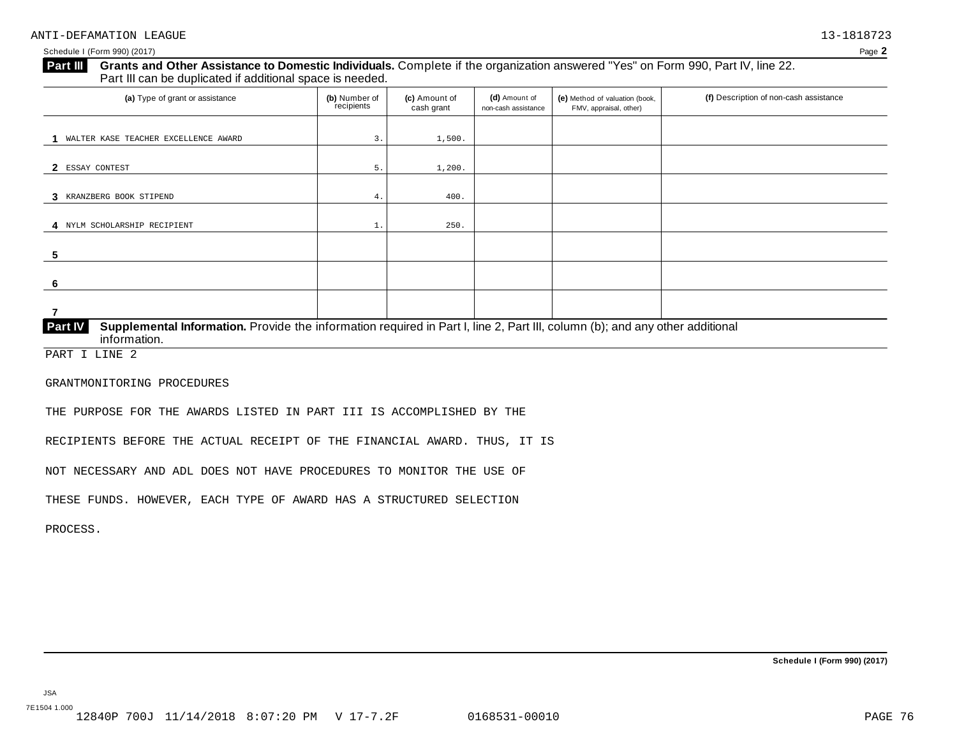#### **Grants and Other Assistance to Domestic Individuals.** Complete ifthe organization answered "Yes" on Form 990, Part IV, line 22. **Part III** Grants and Other Assistance to Domestic Individuals<br>Part III can be duplicated if additional space is needed.

| (a) Type of grant or assistance                                                                                                                         | (b) Number of<br>recipients | (c) Amount of<br>cash grant | (d) Amount of<br>non-cash assistance | (e) Method of valuation (book,<br>FMV, appraisal, other) | (f) Description of non-cash assistance |
|---------------------------------------------------------------------------------------------------------------------------------------------------------|-----------------------------|-----------------------------|--------------------------------------|----------------------------------------------------------|----------------------------------------|
| WALTER KASE TEACHER EXCELLENCE AWARD                                                                                                                    | 3.                          | 1,500.                      |                                      |                                                          |                                        |
| 2 ESSAY CONTEST                                                                                                                                         | 5.                          | 1,200.                      |                                      |                                                          |                                        |
| 3 KRANZBERG BOOK STIPEND                                                                                                                                | 4.                          | 400.                        |                                      |                                                          |                                        |
| 4 NYLM SCHOLARSHIP RECIPIENT                                                                                                                            | $1$ .                       | 250.                        |                                      |                                                          |                                        |
| 5                                                                                                                                                       |                             |                             |                                      |                                                          |                                        |
| 6                                                                                                                                                       |                             |                             |                                      |                                                          |                                        |
| 7                                                                                                                                                       |                             |                             |                                      |                                                          |                                        |
| Part IV<br>Supplemental Information. Provide the information required in Part I, line 2, Part III, column (b); and any other additional<br>information. |                             |                             |                                      |                                                          |                                        |

PART I LINE 2

GRANTMONITORING PROCEDURES

THE PURPOSE FOR THE AWARDS LISTED IN PART III IS ACCOMPLISHED BY THE

RECIPIENTS BEFORE THE ACTUAL RECEIPT OF THE FINANCIAL AWARD. THUS, IT IS

NOT NECESSARY AND ADL DOES NOT HAVE PROCEDURES TO MONITOR THE USE OF

THESE FUNDS. HOWEVER, EACH TYPE OF AWARD HAS A STRUCTURED SELECTION

PROCESS.

JSA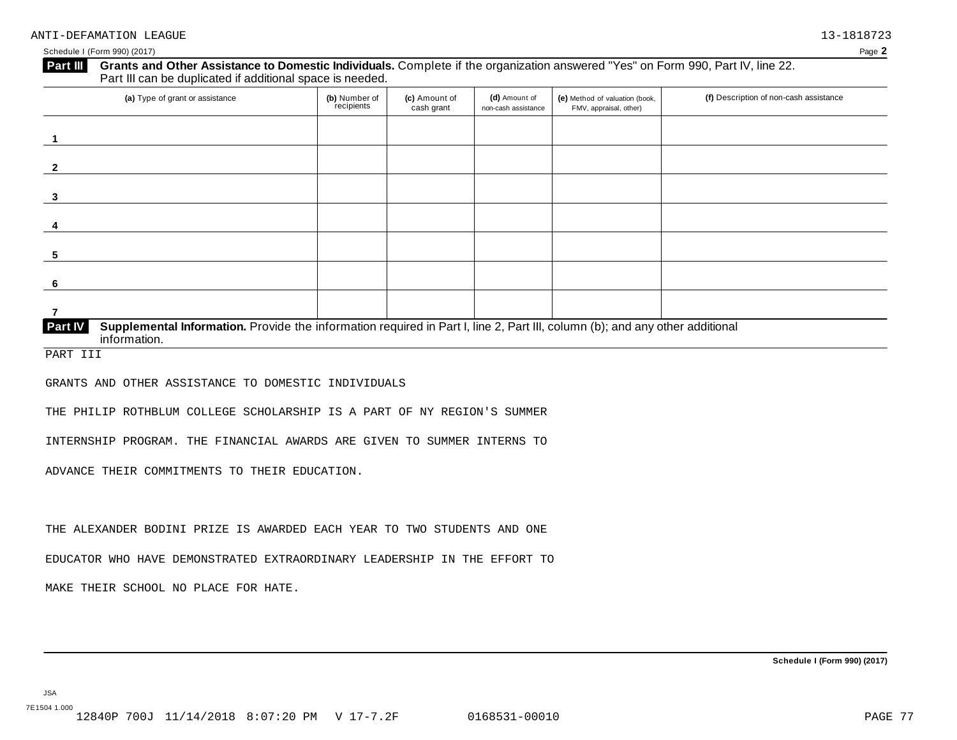#### **Grants and Other Assistance to Domestic Individuals.** Complete ifthe organization answered "Yes" on Form 990, Part IV, line 22. **Part III** Grants and Other Assistance to Domestic Individuals<br>Part III can be duplicated if additional space is needed.

| (a) Type of grant or assistance                                                                                                                         | (b) Number of<br>recipients | (c) Amount of<br>cash grant | (d) Amount of<br>non-cash assistance | (e) Method of valuation (book,<br>FMV, appraisal, other) | (f) Description of non-cash assistance |
|---------------------------------------------------------------------------------------------------------------------------------------------------------|-----------------------------|-----------------------------|--------------------------------------|----------------------------------------------------------|----------------------------------------|
|                                                                                                                                                         |                             |                             |                                      |                                                          |                                        |
| $\overline{2}$                                                                                                                                          |                             |                             |                                      |                                                          |                                        |
| 3                                                                                                                                                       |                             |                             |                                      |                                                          |                                        |
| 4                                                                                                                                                       |                             |                             |                                      |                                                          |                                        |
| 5                                                                                                                                                       |                             |                             |                                      |                                                          |                                        |
| 6                                                                                                                                                       |                             |                             |                                      |                                                          |                                        |
|                                                                                                                                                         |                             |                             |                                      |                                                          |                                        |
| Part IV<br>Supplemental Information. Provide the information required in Part I, line 2, Part III, column (b); and any other additional<br>information. |                             |                             |                                      |                                                          |                                        |

PART III

GRANTS AND OTHER ASSISTANCE TO DOMESTIC INDIVIDUALS

THE PHILIP ROTHBLUM COLLEGE SCHOLARSHIP IS A PART OF NY REGION'S SUMMER

INTERNSHIP PROGRAM. THE FINANCIAL AWARDS ARE GIVEN TO SUMMER INTERNS TO

ADVANCE THEIR COMMITMENTS TO THEIR EDUCATION.

THE ALEXANDER BODINI PRIZE IS AWARDED EACH YEAR TO TWO STUDENTS AND ONE

EDUCATOR WHO HAVE DEMONSTRATED EXTRAORDINARY LEADERSHIP IN THE EFFORT TO

MAKE THEIR SCHOOL NO PLACE FOR HATE.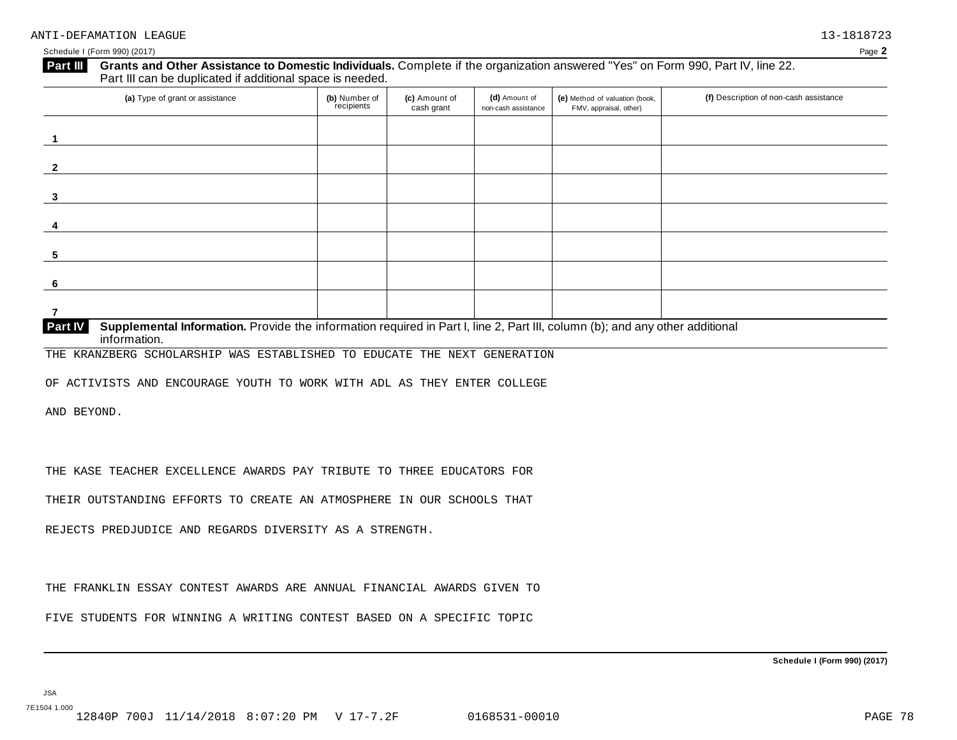#### **Grants and Other Assistance to Domestic Individuals.** Complete ifthe organization answered "Yes" on Form 990, Part IV, line 22. **Part III** Grants and Other Assistance to Domestic Individuals<br>Part III can be duplicated if additional space is needed.

| (b) Number of<br>recipients | (c) Amount of<br>cash grant | (d) Amount of<br>non-cash assistance | (e) Method of valuation (book,<br>FMV, appraisal, other) | (f) Description of non-cash assistance                                                                                                                                                                                                                                                                                                                                                                                                 |
|-----------------------------|-----------------------------|--------------------------------------|----------------------------------------------------------|----------------------------------------------------------------------------------------------------------------------------------------------------------------------------------------------------------------------------------------------------------------------------------------------------------------------------------------------------------------------------------------------------------------------------------------|
|                             |                             |                                      |                                                          |                                                                                                                                                                                                                                                                                                                                                                                                                                        |
|                             |                             |                                      |                                                          |                                                                                                                                                                                                                                                                                                                                                                                                                                        |
|                             |                             |                                      |                                                          |                                                                                                                                                                                                                                                                                                                                                                                                                                        |
|                             |                             |                                      |                                                          |                                                                                                                                                                                                                                                                                                                                                                                                                                        |
|                             |                             |                                      |                                                          |                                                                                                                                                                                                                                                                                                                                                                                                                                        |
|                             |                             |                                      |                                                          |                                                                                                                                                                                                                                                                                                                                                                                                                                        |
|                             |                             |                                      |                                                          |                                                                                                                                                                                                                                                                                                                                                                                                                                        |
|                             |                             |                                      |                                                          | $\blacksquare$ ( $\blacksquare$ ) $\blacksquare$ ( $\blacksquare$ ) $\blacksquare$ ( $\blacksquare$ ) $\blacksquare$ ( $\blacksquare$ ) $\blacksquare$ ( $\blacksquare$ ) $\blacksquare$ ( $\blacksquare$ ) $\blacksquare$ ( $\blacksquare$ ) $\blacksquare$ ( $\blacksquare$ ) $\blacksquare$ ( $\blacksquare$ ) $\blacksquare$ ( $\blacksquare$ ) $\blacksquare$ ( $\blacksquare$ ) $\blacksquare$ ( $\blacksquare$ ) $\blacksquare$ |

**Supplemental Information.** Provide the information required in Part I, line 2, Part III, column (b); and any other additional information. **Part IV**

THE KRANZBERG SCHOLARSHIP WAS ESTABLISHED TO EDUCATE THE NEXT GENERATION

OF ACTIVISTS AND ENCOURAGE YOUTH TO WORK WITH ADL AS THEY ENTER COLLEGE

AND BEYOND.

THE KASE TEACHER EXCELLENCE AWARDS PAY TRIBUTE TO THREE EDUCATORS FOR

THEIR OUTSTANDING EFFORTS TO CREATE AN ATMOSPHERE IN OUR SCHOOLS THAT

REJECTS PREDJUDICE AND REGARDS DIVERSITY AS A STRENGTH.

THE FRANKLIN ESSAY CONTEST AWARDS ARE ANNUAL FINANCIAL AWARDS GIVEN TO

FIVE STUDENTS FOR WINNING A WRITING CONTEST BASED ON A SPECIFIC TOPIC

**Schedule I (Form 990) (2017)**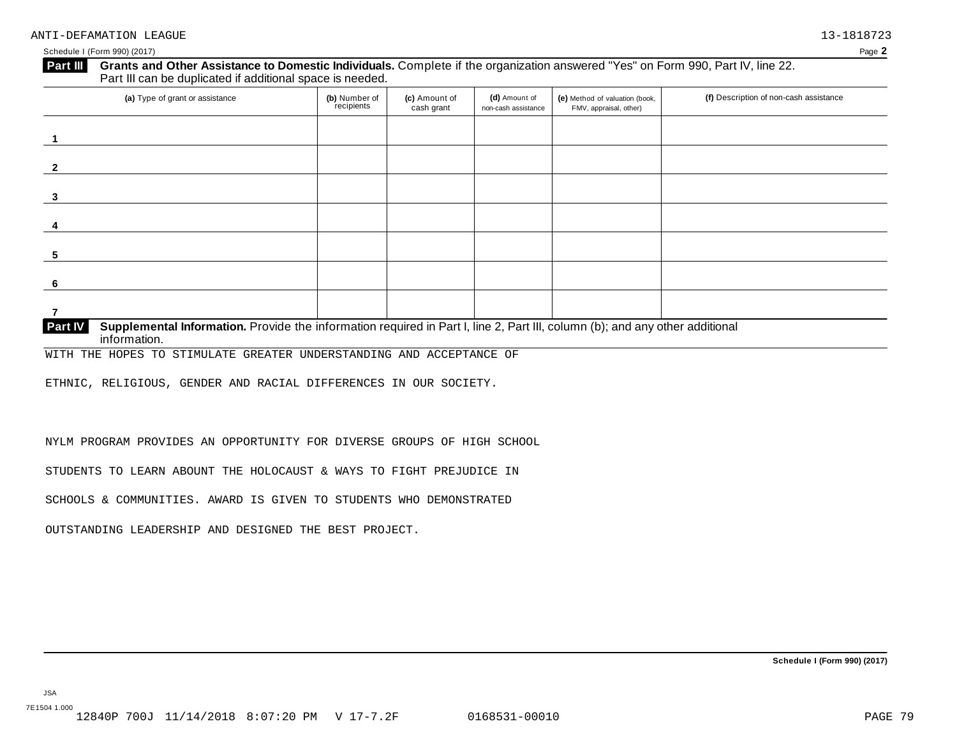#### **Grants and Other Assistance to Domestic Individuals.** Complete ifthe organization answered "Yes" on Form 990, Part IV, line 22. **Part III** Grants and Other Assistance to Domestic Individuals<br>Part III can be duplicated if additional space is needed.

| (a) Type of grant or assistance                                                                                                                     | (b) Number of<br>recipients | (c) Amount of<br>cash grant | (d) Amount of<br>non-cash assistance | (e) Method of valuation (book,<br>FMV, appraisal, other) | (f) Description of non-cash assistance |
|-----------------------------------------------------------------------------------------------------------------------------------------------------|-----------------------------|-----------------------------|--------------------------------------|----------------------------------------------------------|----------------------------------------|
|                                                                                                                                                     |                             |                             |                                      |                                                          |                                        |
| $\overline{2}$                                                                                                                                      |                             |                             |                                      |                                                          |                                        |
| 3                                                                                                                                                   |                             |                             |                                      |                                                          |                                        |
|                                                                                                                                                     |                             |                             |                                      |                                                          |                                        |
| 4                                                                                                                                                   |                             |                             |                                      |                                                          |                                        |
| 5                                                                                                                                                   |                             |                             |                                      |                                                          |                                        |
| 6                                                                                                                                                   |                             |                             |                                      |                                                          |                                        |
| 7<br><b>Part IV</b><br>Supplemental Information. Provide the information required in Part I, line 2, Part III, column (b); and any other additional |                             |                             |                                      |                                                          |                                        |

**Partic Supplement**<br> **Information** 

JSA

WITH THE HOPES TO STIMULATE GREATER UNDERSTANDING AND ACCEPTANCE OF

ETHNIC, RELIGIOUS, GENDER AND RACIAL DIFFERENCES IN OUR SOCIETY.

#### NYLM PROGRAM PROVIDES AN OPPORTUNITY FOR DIVERSE GROUPS OF HIGH SCHOOL

STUDENTS TO LEARN ABOUNT THE HOLOCAUST & WAYS TO FIGHT PREJUDICE IN

SCHOOLS & COMMUNITIES. AWARD IS GIVEN TO STUDENTS WHO DEMONSTRATED

OUTSTANDING LEADERSHIP AND DESIGNED THE BEST PROJECT.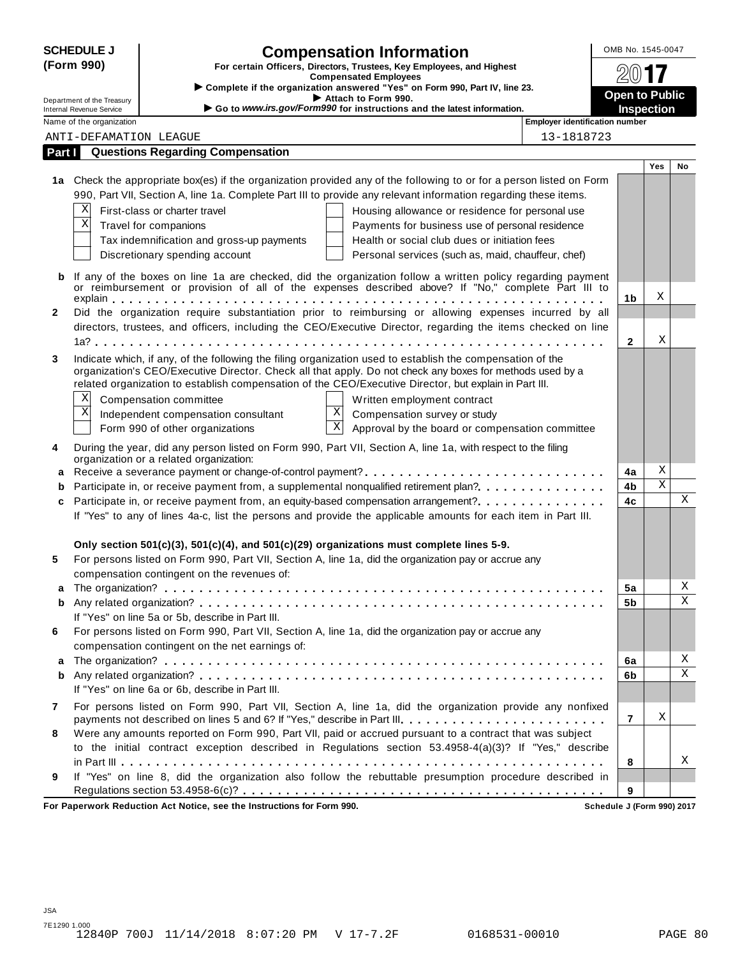| <b>SCHEDULE J</b> | OMB No. 1545-0047                                           |                                                                                                                                                                                                                         |                 |             |    |
|-------------------|-------------------------------------------------------------|-------------------------------------------------------------------------------------------------------------------------------------------------------------------------------------------------------------------------|-----------------|-------------|----|
|                   | (Form 990)                                                  | <b>Compensation Information</b><br>For certain Officers, Directors, Trustees, Key Employees, and Highest                                                                                                                | $201$ <b>17</b> |             |    |
|                   |                                                             | <b>Compensated Employees</b><br>> Complete if the organization answered "Yes" on Form 990, Part IV, line 23.                                                                                                            |                 |             |    |
|                   | Department of the Treasury                                  | Attach to Form 990.                                                                                                                                                                                                     | Open to Public  |             |    |
|                   | <b>Internal Revenue Service</b><br>Name of the organization | Go to www.irs.gov/Form990 for instructions and the latest information.<br><b>Employer identification number</b>                                                                                                         | Inspection      |             |    |
|                   | ANTI-DEFAMATION LEAGUE                                      | 13-1818723                                                                                                                                                                                                              |                 |             |    |
| Part I            |                                                             | <b>Questions Regarding Compensation</b>                                                                                                                                                                                 |                 |             |    |
|                   |                                                             |                                                                                                                                                                                                                         |                 | <b>Yes</b>  | No |
|                   |                                                             | 1a Check the appropriate box(es) if the organization provided any of the following to or for a person listed on Form                                                                                                    |                 |             |    |
|                   |                                                             | 990, Part VII, Section A, line 1a. Complete Part III to provide any relevant information regarding these items.                                                                                                         |                 |             |    |
|                   | Χ                                                           | First-class or charter travel<br>Housing allowance or residence for personal use                                                                                                                                        |                 |             |    |
|                   | $\mathbf X$                                                 | Payments for business use of personal residence<br>Travel for companions                                                                                                                                                |                 |             |    |
|                   |                                                             | Health or social club dues or initiation fees<br>Tax indemnification and gross-up payments                                                                                                                              |                 |             |    |
|                   |                                                             | Discretionary spending account<br>Personal services (such as, maid, chauffeur, chef)                                                                                                                                    |                 |             |    |
| b                 |                                                             | If any of the boxes on line 1a are checked, did the organization follow a written policy regarding payment                                                                                                              |                 |             |    |
|                   |                                                             | or reimbursement or provision of all of the expenses described above? If "No," complete Part III to                                                                                                                     |                 |             |    |
|                   |                                                             |                                                                                                                                                                                                                         | 1b              | Χ           |    |
| $\mathbf{2}$      |                                                             | Did the organization require substantiation prior to reimbursing or allowing expenses incurred by all<br>directors, trustees, and officers, including the CEO/Executive Director, regarding the items checked on line   |                 |             |    |
|                   |                                                             |                                                                                                                                                                                                                         | $\mathbf{2}$    | Χ           |    |
|                   |                                                             |                                                                                                                                                                                                                         |                 |             |    |
| 3                 |                                                             | Indicate which, if any, of the following the filing organization used to establish the compensation of the<br>organization's CEO/Executive Director. Check all that apply. Do not check any boxes for methods used by a |                 |             |    |
|                   |                                                             | related organization to establish compensation of the CEO/Executive Director, but explain in Part III.                                                                                                                  |                 |             |    |
|                   | Χ                                                           | Compensation committee<br>Written employment contract                                                                                                                                                                   |                 |             |    |
|                   | $\overline{\mathbf{X}}$                                     | $\mathbf X$<br>Independent compensation consultant<br>Compensation survey or study                                                                                                                                      |                 |             |    |
|                   |                                                             | $\overline{\mathbf{x}}$<br>Form 990 of other organizations<br>Approval by the board or compensation committee                                                                                                           |                 |             |    |
| 4                 |                                                             | During the year, did any person listed on Form 990, Part VII, Section A, line 1a, with respect to the filing                                                                                                            |                 |             |    |
|                   |                                                             | organization or a related organization:                                                                                                                                                                                 |                 |             |    |
| а                 |                                                             | Receive a severance payment or change-of-control payment?                                                                                                                                                               | 4a              | Χ           |    |
| b                 |                                                             | Participate in, or receive payment from, a supplemental nonqualified retirement plan?.                                                                                                                                  | 4b              | $\mathbf X$ |    |
| c                 |                                                             | Participate in, or receive payment from, an equity-based compensation arrangement?                                                                                                                                      | 4c              |             | X  |
|                   |                                                             | If "Yes" to any of lines 4a-c, list the persons and provide the applicable amounts for each item in Part III.                                                                                                           |                 |             |    |
|                   |                                                             |                                                                                                                                                                                                                         |                 |             |    |
|                   |                                                             | Only section 501(c)(3), 501(c)(4), and 501(c)(29) organizations must complete lines 5-9.                                                                                                                                |                 |             |    |
| 5                 |                                                             | For persons listed on Form 990, Part VII, Section A, line 1a, did the organization pay or accrue any                                                                                                                    |                 |             |    |
|                   |                                                             | compensation contingent on the revenues of:                                                                                                                                                                             | 5a              |             | Χ  |
| a<br>b            |                                                             |                                                                                                                                                                                                                         | 5b              |             | Χ  |
|                   |                                                             | If "Yes" on line 5a or 5b, describe in Part III.                                                                                                                                                                        |                 |             |    |
| 6                 |                                                             | For persons listed on Form 990, Part VII, Section A, line 1a, did the organization pay or accrue any                                                                                                                    |                 |             |    |
|                   |                                                             | compensation contingent on the net earnings of:                                                                                                                                                                         |                 |             |    |
| a                 |                                                             |                                                                                                                                                                                                                         | 6a              |             | Χ  |
| b                 |                                                             |                                                                                                                                                                                                                         | 6b              |             | X  |
|                   |                                                             | If "Yes" on line 6a or 6b, describe in Part III.                                                                                                                                                                        |                 |             |    |
| 7                 |                                                             | For persons listed on Form 990, Part VII, Section A, line 1a, did the organization provide any nonfixed                                                                                                                 |                 |             |    |
|                   |                                                             | payments not described on lines 5 and 6? If "Yes," describe in Part III.                                                                                                                                                | 7               | Χ           |    |
| 8                 |                                                             | Were any amounts reported on Form 990, Part VII, paid or accrued pursuant to a contract that was subject                                                                                                                |                 |             |    |
|                   |                                                             | to the initial contract exception described in Regulations section 53.4958-4(a)(3)? If "Yes," describe                                                                                                                  |                 |             |    |
|                   |                                                             |                                                                                                                                                                                                                         | 8               |             | Χ  |
| 9                 |                                                             | If "Yes" on line 8, did the organization also follow the rebuttable presumption procedure described in                                                                                                                  |                 |             |    |
|                   |                                                             |                                                                                                                                                                                                                         | 9               |             |    |

**For Paperwork Reduction Act Notice, see the Instructions for Form 990. Schedule J (Form 990) 2017**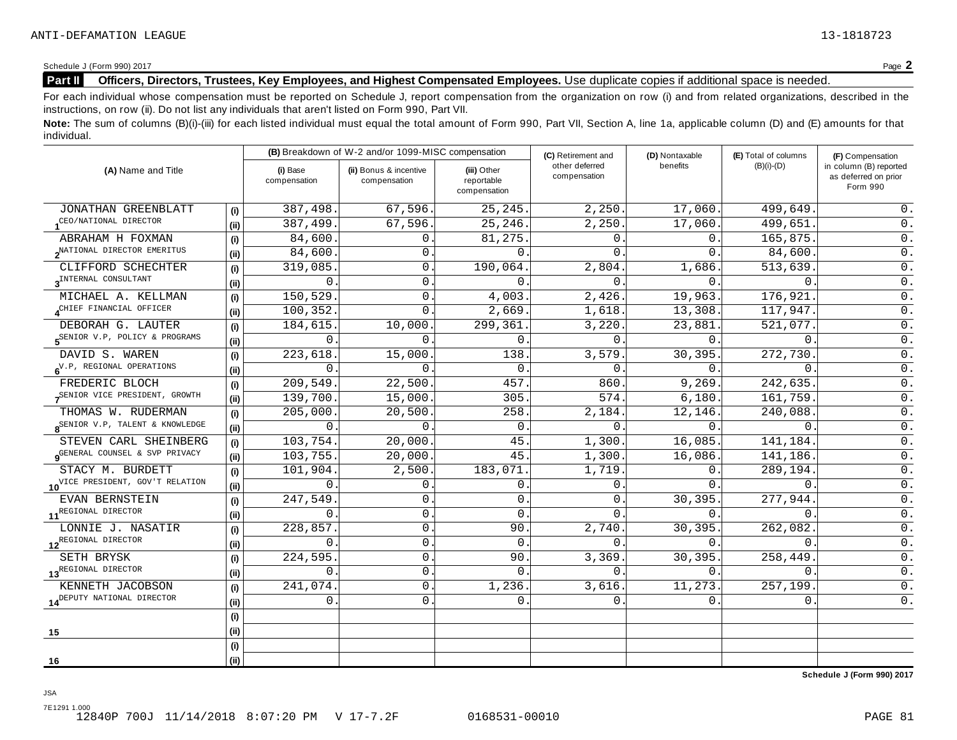#### Schedule J (Form 990) 2017<br>**Part II** Officers, Directors, Trustees, Key Employees, and Highest Compensated Employees. Use duplicate copies if additional space is needed. **Part II Officers, Directors, Trustees, Key Employees, and Highest Compensated Employees.** Use duplicate copies ifadditional space is needed.

For each individual whose compensation must be reported on Schedule J, report compensation from the organization on row (i) and from related organizations, described in the instructions, on row (ii). Do not list any individuals that aren't listed on Form 990, Part VII.

Note: The sum of columns (B)(i)-(iii) for each listed individual must equal the total amount of Form 990, Part VII, Section A, line 1a, applicable column (D) and (E) amounts for that individual.

|                                                      |      |                          | (B) Breakdown of W-2 and/or 1099-MISC compensation |                                           | (C) Retirement and             | (D) Nontaxable | (E) Total of columns | (F) Compensation                                           |
|------------------------------------------------------|------|--------------------------|----------------------------------------------------|-------------------------------------------|--------------------------------|----------------|----------------------|------------------------------------------------------------|
| (A) Name and Title                                   |      | (i) Base<br>compensation | (ii) Bonus & incentive<br>compensation             | (iii) Other<br>reportable<br>compensation | other deferred<br>compensation | benefits       | $(B)(i)-(D)$         | in column (B) reported<br>as deferred on prior<br>Form 990 |
| JONATHAN GREENBLATT                                  | (i)  | 387,498.                 | 67,596.                                            | 25, 245.                                  | 2,250.                         | 17,060.        | 499,649.             | $0$ .                                                      |
| CEO/NATIONAL DIRECTOR                                | (i)  | 387,499.                 | 67,596.                                            | 25,246.                                   | 2,250                          | 17,060.        | 499,651.             | 0.                                                         |
| ABRAHAM H FOXMAN                                     | (i)  | 84,600.                  | 0.                                                 | 81,275.                                   | $\Omega$                       | $\Omega$ .     | 165,875.             | $0$ .                                                      |
| MATIONAL DIRECTOR EMERITUS                           | (ii) | 84,600.                  | 0.                                                 | $\Omega$ .                                | $\Omega$                       | 0.             | 84,600.              | $\overline{0}$ .                                           |
| CLIFFORD SCHECHTER                                   | (i)  | 319,085.                 | 0.                                                 | 190,064.                                  | 2,804                          | 1,686.         | 513,639.             | $\mathsf 0$ .                                              |
| 3 <sup>INTERNAL</sup> CONSULTANT                     | (i)  | $\mathsf{O}$ .           | $\mathbf 0$ .                                      | $\Omega$ .                                | $\mathbf{0}$ .                 | 0.             | 0.                   | $\overline{0}$ .                                           |
| MICHAEL A. KELLMAN                                   | (i)  | 150,529.                 | $\Omega$ .                                         | 4,003.                                    | 2,426                          | 19,963.        | 176,921.             | $0$ .                                                      |
| ACHIEF FINANCIAL OFFICER                             | (ii) | 100,352.                 | $0$ .                                              | 2,669.                                    | 1,618.                         | 13,308.        | 117,947.             | $0$ .                                                      |
| DEBORAH G. LAUTER                                    | (i)  | 184,615.                 | 10,000                                             | 299,361.                                  | 3,220                          | 23,881.        | 521,077.             | 0.                                                         |
| SENIOR V.P, POLICY & PROGRAMS                        | (ii) | $\mathbf 0$ .            | $\mathbf{0}$ .                                     | 0.                                        | $\Omega$                       | $0$ .          | $\overline{0}$ .     | $\overline{0}$ .                                           |
| DAVID S. WAREN                                       | (i)  | 223,618.                 | 15,000                                             | 138.                                      | 3,579                          | 30,395.        | 272,730.             | $\overline{0}$ .                                           |
| $6^{\mathrm{V.F}}$ , REGIONAL OPERATIONS             | (i)  | $\mathbf{0}$ .           | 0.                                                 | $\mathbf{0}$ .                            | $\mathbf{0}$ .                 | 0.             | $\overline{0}$ .     | $0$ .                                                      |
| FREDERIC BLOCH                                       | (i)  | 209,549.                 | 22,500.                                            | 457.                                      | 860                            | 9,269.         | 242,635.             | $\overline{0}$ .                                           |
| SENIOR VICE PRESIDENT, GROWTH                        | (ii) | 139,700.                 | 15,000.                                            | 305.                                      | 574.                           | 6,180.         | 161,759.             | $\overline{0}$ .                                           |
| THOMAS W. RUDERMAN                                   | (i)  | 205,000.                 | 20,500.                                            | 258.                                      | 2,184                          | 12,146.        | 240,088              | $\overline{0}$ .                                           |
| $\mathbf{a}^{\text{SENIOR}}$ V.P, TALENT & KNOWLEDGE | (ii) | $\Omega$                 | $\Omega$                                           | $\Omega$ .                                | $\Omega$                       | $\Omega$ .     | $\Omega$ .           | 0.                                                         |
| STEVEN CARL SHEINBERG                                | (i)  | 103,754.                 | 20,000.                                            | 45.                                       | 1,300.                         | 16,085.        | 141,184.             | $0$ .                                                      |
| Q <sup>GENERAL</sup> COUNSEL & SVP PRIVACY           | (ii) | 103,755.                 | 20,000.                                            | 45                                        | 1,300                          | 16,086.        | 141,186.             | $\overline{0}$ .                                           |
| STACY M. BURDETT                                     | (i)  | 101,904.                 | 2,500.                                             | 183,071                                   | 1,719                          | 0.             | 289,194.             | $\mathsf 0$ .                                              |
| 10 <sup>VICE</sup> PRESIDENT, GOV'T RELATION         | (i)  | $\Omega$ .               | 0.                                                 | $\overline{0}$ .                          | 0                              | 0.             | $\overline{0}$ .     | $0$ .                                                      |
| EVAN BERNSTEIN                                       | (i)  | 247,549                  | $\mathbf{0}$ .                                     | $\mathbf{0}$ .                            | $\mathbf{0}$ .                 | 30,395.        | 277,944.             | $0$ .                                                      |
| 11 <sup>REGIONAL</sup> DIRECTOR                      | (ii) | $\Omega$ .               | $\mathsf{O}$ .                                     | $\mathbf{0}$ .                            | $\Omega$                       | $0$ .          | $\Omega$ .           | 0.                                                         |
| LONNIE J. NASATIR                                    | (i)  | 228,857.                 | 0.                                                 | 90                                        | 2,740                          | 30, 395.       | 262,082.             | $\mathsf 0$ .                                              |
| 12 <sup>REGIONAL</sup> DIRECTOR                      | (ii) | $\mathbf{0}$ .           | $\mathsf{O}\xspace$                                | $\mathbf{0}$ .                            | $\Omega$                       | $0$ .          | $\mathbf{0}$ .       | $\overline{0}$ .                                           |
| SETH BRYSK                                           | (i)  | 224,595                  | 0.                                                 | 90                                        | 3,369                          | 30,395.        | 258,449.             | $\overline{0}$ .                                           |
| 13 <sup>REGIONAL</sup> DIRECTOR                      | (ii) | $\mathsf{O}$ .           | 0.                                                 | $\Omega$ .                                | $\Omega$                       | $0$ .          | $\Omega$ .           | $0$ .                                                      |
| KENNETH JACOBSON                                     | (i)  | 241,074.                 | 0.                                                 | 1,236.                                    | 3,616                          | 11,273.        | 257,199.             | $0$ .                                                      |
| 14 <sup>DEPUTY</sup> NATIONAL DIRECTOR               | (ii) | $\mathsf{0}$ .           | 0.                                                 | $\overline{0}$ .                          | $\mathbf 0$ .                  | $0$ .          | 0.                   | $\overline{0}$ .                                           |
|                                                      | (i)  |                          |                                                    |                                           |                                |                |                      |                                                            |
| 15                                                   | (ii) |                          |                                                    |                                           |                                |                |                      |                                                            |
|                                                      | (i)  |                          |                                                    |                                           |                                |                |                      |                                                            |
| 16                                                   | (i)  |                          |                                                    |                                           |                                |                |                      |                                                            |

**Schedule J (Form 990) 2017**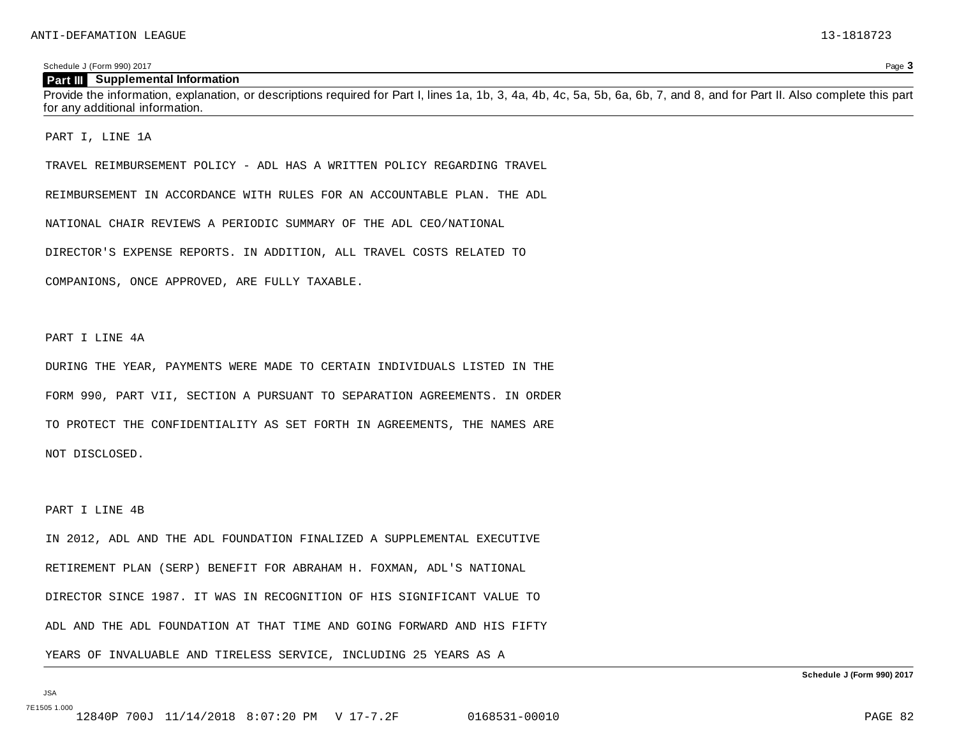#### **Part III Supplemental Information**

Provide the information, explanation, or descriptions required for Part I, lines 1a, 1b, 3, 4a, 4b, 4c, 5a, 5b, 6a, 6b, 7, and 8, and for Part II. Also complete this part for any additional information.

PART I, LINE 1A

TRAVEL REIMBURSEMENT POLICY - ADL HAS A WRITTEN POLICY REGARDING TRAVEL

REIMBURSEMENT IN ACCORDANCE WITH RULES FOR AN ACCOUNTABLE PLAN. THE ADL

NATIONAL CHAIR REVIEWS A PERIODIC SUMMARY OF THE ADL CEO/NATIONAL

DIRECTOR'S EXPENSE REPORTS. IN ADDITION, ALL TRAVEL COSTS RELATED TO

COMPANIONS, ONCE APPROVED, ARE FULLY TAXABLE.

PART I LINE 4A

DURING THE YEAR, PAYMENTS WERE MADE TO CERTAIN INDIVIDUALS LISTED IN THE FORM 990, PART VII, SECTION A PURSUANT TO SEPARATION AGREEMENTS. IN ORDER TO PROTECT THE CONFIDENTIALITY AS SET FORTH IN AGREEMENTS, THE NAMES ARE NOT DISCLOSED.

#### PART I LINE 4B

IN 2012, ADL AND THE ADL FOUNDATION FINALIZED A SUPPLEMENTAL EXECUTIVE RETIREMENT PLAN (SERP) BENEFIT FOR ABRAHAM H. FOXMAN, ADL'S NATIONAL DIRECTOR SINCE 1987. IT WAS IN RECOGNITION OF HIS SIGNIFICANT VALUE TO ADL AND THE ADL FOUNDATION AT THAT TIME AND GOING FORWARD AND HIS FIFTY YEARS OF INVALUABLE AND TIRELESS SERVICE, INCLUDING 25 YEARS AS A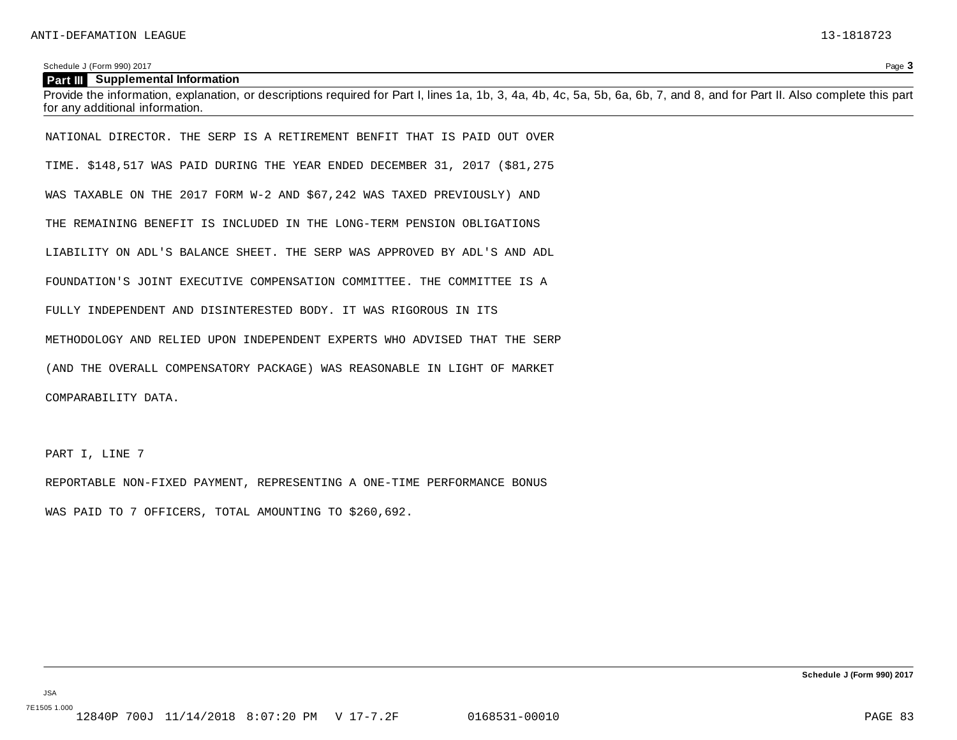#### **Part III Supplemental Information**

Provide the information, explanation, or descriptions required for Part I, lines 1a, 1b, 3, 4a, 4b, 4c, 5a, 5b, 6a, 6b, 7, and 8, and for Part II. Also complete this part for any additional information.

NATIONAL DIRECTOR. THE SERP IS A RETIREMENT BENFIT THAT IS PAID OUT OVER TIME. \$148,517 WAS PAID DURING THE YEAR ENDED DECEMBER 31, 2017 (\$81,275 WAS TAXABLE ON THE 2017 FORM W-2 AND \$67,242 WAS TAXED PREVIOUSLY) AND THE REMAINING BENEFIT IS INCLUDED IN THE LONG-TERM PENSION OBLIGATIONS LIABILITY ON ADL'S BALANCE SHEET. THE SERP WAS APPROVED BY ADL'S AND ADL FOUNDATION'S JOINT EXECUTIVE COMPENSATION COMMITTEE. THE COMMITTEE IS A FULLY INDEPENDENT AND DISINTERESTED BODY. IT WAS RIGOROUS IN ITS METHODOLOGY AND RELIED UPON INDEPENDENT EXPERTS WHO ADVISED THAT THE SERP (AND THE OVERALL COMPENSATORY PACKAGE) WAS REASONABLE IN LIGHT OF MARKET COMPARABILITY DATA.

PART I, LINE 7

REPORTABLE NON-FIXED PAYMENT, REPRESENTING A ONE-TIME PERFORMANCE BONUS WAS PAID TO 7 OFFICERS, TOTAL AMOUNTING TO \$260,692.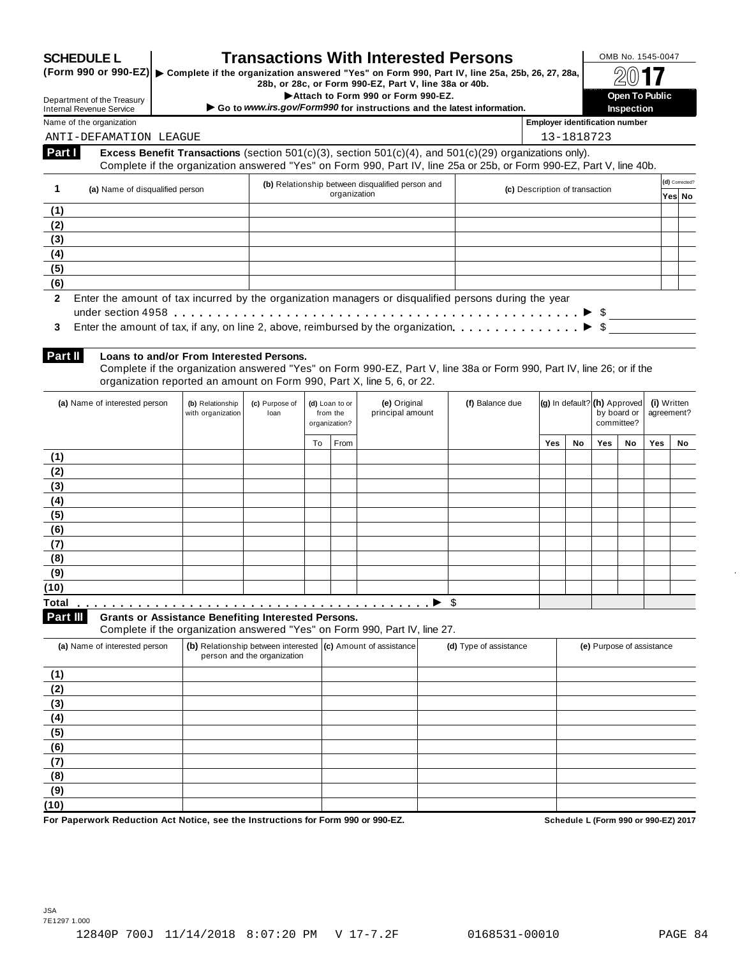| (Form 990 or 990-EZ) > Complete if the organization answered "Yes" on Form 990, Part IV, line 25a, 25b, 26, 27, 28a,         |                                                                                                                                          |                                                                  |    |                                             | 28b, or 28c, or Form 990-EZ, Part V, line 38a or 40b. |                                | <b>Transactions With Interested Persons</b>                                                                                                                                                                                    |                                       |            |                                                             |                          |                           |                           |  |
|------------------------------------------------------------------------------------------------------------------------------|------------------------------------------------------------------------------------------------------------------------------------------|------------------------------------------------------------------|----|---------------------------------------------|-------------------------------------------------------|--------------------------------|--------------------------------------------------------------------------------------------------------------------------------------------------------------------------------------------------------------------------------|---------------------------------------|------------|-------------------------------------------------------------|--------------------------|---------------------------|---------------------------|--|
| Department of the Treasury<br><b>Internal Revenue Service</b>                                                                |                                                                                                                                          |                                                                  |    |                                             | Attach to Form 990 or Form 990-EZ.                    |                                | $\triangleright$ Go to www.irs.gov/Form990 for instructions and the latest information.                                                                                                                                        |                                       |            |                                                             | <b>Inspection</b>        | <b>Open To Public</b>     |                           |  |
| Name of the organization                                                                                                     |                                                                                                                                          |                                                                  |    |                                             |                                                       |                                |                                                                                                                                                                                                                                | <b>Employer identification number</b> |            |                                                             |                          |                           |                           |  |
| ANTI-DEFAMATION LEAGUE                                                                                                       |                                                                                                                                          |                                                                  |    |                                             |                                                       |                                |                                                                                                                                                                                                                                |                                       | 13-1818723 |                                                             |                          |                           |                           |  |
| Part I                                                                                                                       |                                                                                                                                          |                                                                  |    |                                             |                                                       |                                | Excess Benefit Transactions (section 501(c)(3), section 501(c)(4), and 501(c)(29) organizations only).<br>Complete if the organization answered "Yes" on Form 990, Part IV, line 25a or 25b, or Form 990-EZ, Part V, line 40b. |                                       |            |                                                             |                          |                           |                           |  |
| 1<br>(a) Name of disqualified person                                                                                         |                                                                                                                                          | (b) Relationship between disqualified person and<br>organization |    |                                             |                                                       | (c) Description of transaction |                                                                                                                                                                                                                                |                                       |            |                                                             | (d) Corrected?<br>Yes No |                           |                           |  |
| (1)                                                                                                                          |                                                                                                                                          |                                                                  |    |                                             |                                                       |                                |                                                                                                                                                                                                                                |                                       |            |                                                             |                          |                           |                           |  |
| (2)                                                                                                                          |                                                                                                                                          |                                                                  |    |                                             |                                                       |                                |                                                                                                                                                                                                                                |                                       |            |                                                             |                          |                           |                           |  |
| (3)                                                                                                                          |                                                                                                                                          |                                                                  |    |                                             |                                                       |                                |                                                                                                                                                                                                                                |                                       |            |                                                             |                          |                           |                           |  |
| (4)                                                                                                                          |                                                                                                                                          |                                                                  |    |                                             |                                                       |                                |                                                                                                                                                                                                                                |                                       |            |                                                             |                          |                           |                           |  |
| (5)                                                                                                                          |                                                                                                                                          |                                                                  |    |                                             |                                                       |                                |                                                                                                                                                                                                                                |                                       |            |                                                             |                          |                           |                           |  |
| (6)<br>Enter the amount of tax incurred by the organization managers or disqualified persons during the year<br>$\mathbf{2}$ |                                                                                                                                          |                                                                  |    |                                             |                                                       |                                |                                                                                                                                                                                                                                |                                       |            |                                                             |                          |                           |                           |  |
| <b>Part II</b>                                                                                                               | Loans to and/or From Interested Persons.<br>organization reported an amount on Form 990, Part X, line 5, 6, or 22.                       |                                                                  |    |                                             |                                                       |                                | Complete if the organization answered "Yes" on Form 990-EZ, Part V, line 38a or Form 990, Part IV, line 26; or if the                                                                                                          |                                       |            |                                                             |                          |                           |                           |  |
| (a) Name of interested person                                                                                                | (b) Relationship<br>with organization                                                                                                    | (c) Purpose of<br>loan                                           |    | (d) Loan to or<br>from the<br>organization? | (e) Original<br>principal amount                      |                                | (f) Balance due                                                                                                                                                                                                                |                                       |            | (g) In default? $(h)$ Approved<br>by board or<br>committee? |                          |                           | (i) Written<br>agreement? |  |
|                                                                                                                              |                                                                                                                                          |                                                                  | To | From                                        |                                                       |                                |                                                                                                                                                                                                                                | Yes                                   | <b>No</b>  | Yes                                                         | No                       | Yes                       | No                        |  |
| (1)                                                                                                                          |                                                                                                                                          |                                                                  |    |                                             |                                                       |                                |                                                                                                                                                                                                                                |                                       |            |                                                             |                          |                           |                           |  |
| (2)                                                                                                                          |                                                                                                                                          |                                                                  |    |                                             |                                                       |                                |                                                                                                                                                                                                                                |                                       |            |                                                             |                          |                           |                           |  |
| (3)                                                                                                                          |                                                                                                                                          |                                                                  |    |                                             |                                                       |                                |                                                                                                                                                                                                                                |                                       |            |                                                             |                          |                           |                           |  |
| (4)                                                                                                                          |                                                                                                                                          |                                                                  |    |                                             |                                                       |                                |                                                                                                                                                                                                                                |                                       |            |                                                             |                          |                           |                           |  |
| (5)                                                                                                                          |                                                                                                                                          |                                                                  |    |                                             |                                                       |                                |                                                                                                                                                                                                                                |                                       |            |                                                             |                          |                           |                           |  |
| (6)                                                                                                                          |                                                                                                                                          |                                                                  |    |                                             |                                                       |                                |                                                                                                                                                                                                                                |                                       |            |                                                             |                          |                           |                           |  |
| (7)                                                                                                                          |                                                                                                                                          |                                                                  |    |                                             |                                                       |                                |                                                                                                                                                                                                                                |                                       |            |                                                             |                          |                           |                           |  |
| (8)                                                                                                                          |                                                                                                                                          |                                                                  |    |                                             |                                                       |                                |                                                                                                                                                                                                                                |                                       |            |                                                             |                          |                           |                           |  |
| (9)                                                                                                                          |                                                                                                                                          |                                                                  |    |                                             |                                                       |                                |                                                                                                                                                                                                                                |                                       |            |                                                             |                          |                           |                           |  |
| (10)<br><b>Total</b><br>Part III                                                                                             | <b>Grants or Assistance Benefiting Interested Persons.</b><br>Complete if the organization answered "Yes" on Form 990, Part IV, line 27. |                                                                  |    |                                             |                                                       |                                | \$                                                                                                                                                                                                                             |                                       |            |                                                             |                          |                           |                           |  |
| (a) Name of interested person                                                                                                | (b) Relationship between interested (c) Amount of assistance                                                                             | person and the organization                                      |    |                                             |                                                       |                                | (d) Type of assistance                                                                                                                                                                                                         |                                       |            |                                                             |                          | (e) Purpose of assistance |                           |  |
| (1)                                                                                                                          |                                                                                                                                          |                                                                  |    |                                             |                                                       |                                |                                                                                                                                                                                                                                |                                       |            |                                                             |                          |                           |                           |  |
| (2)                                                                                                                          |                                                                                                                                          |                                                                  |    |                                             |                                                       |                                |                                                                                                                                                                                                                                |                                       |            |                                                             |                          |                           |                           |  |
| (3)                                                                                                                          |                                                                                                                                          |                                                                  |    |                                             |                                                       |                                |                                                                                                                                                                                                                                |                                       |            |                                                             |                          |                           |                           |  |
| (4)                                                                                                                          |                                                                                                                                          |                                                                  |    |                                             |                                                       |                                |                                                                                                                                                                                                                                |                                       |            |                                                             |                          |                           |                           |  |
| (5)                                                                                                                          |                                                                                                                                          |                                                                  |    |                                             |                                                       |                                |                                                                                                                                                                                                                                |                                       |            |                                                             |                          |                           |                           |  |
| (6)                                                                                                                          |                                                                                                                                          |                                                                  |    |                                             |                                                       |                                |                                                                                                                                                                                                                                |                                       |            |                                                             |                          |                           |                           |  |
| (7)                                                                                                                          |                                                                                                                                          |                                                                  |    |                                             |                                                       |                                |                                                                                                                                                                                                                                |                                       |            |                                                             |                          |                           |                           |  |
| (8)<br>(9)                                                                                                                   |                                                                                                                                          |                                                                  |    |                                             |                                                       |                                |                                                                                                                                                                                                                                |                                       |            |                                                             |                          |                           |                           |  |
|                                                                                                                              |                                                                                                                                          |                                                                  |    |                                             |                                                       |                                |                                                                                                                                                                                                                                |                                       |            |                                                             |                          |                           |                           |  |
| (10)                                                                                                                         |                                                                                                                                          |                                                                  |    |                                             |                                                       |                                |                                                                                                                                                                                                                                |                                       |            |                                                             |                          |                           |                           |  |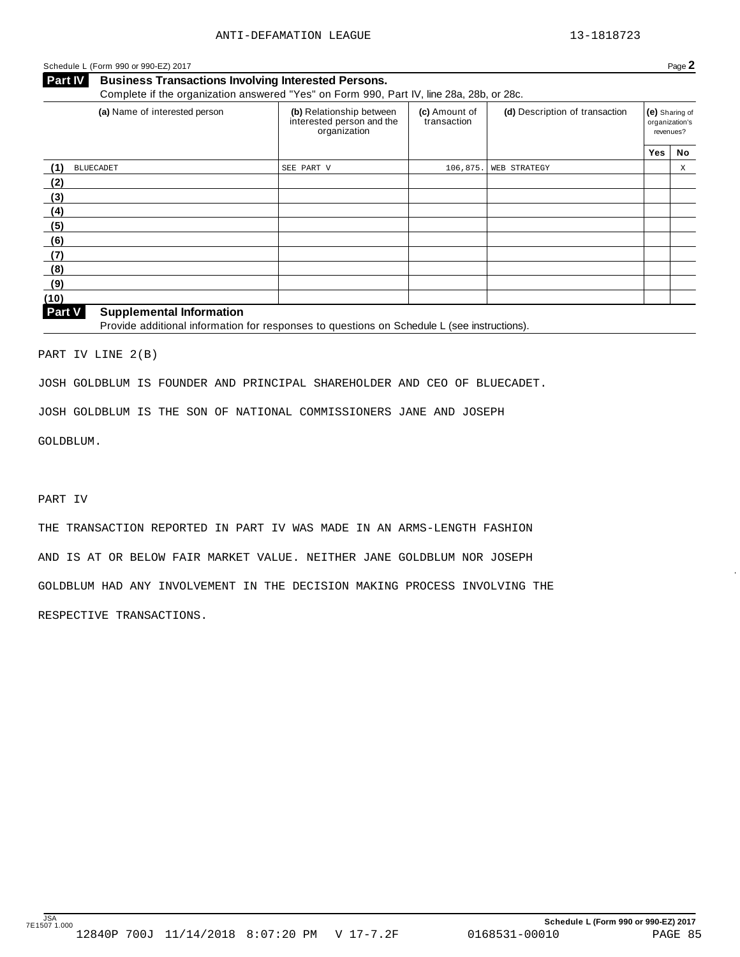Schedule <sup>L</sup> (Form <sup>990</sup> or 990-EZ) <sup>2017</sup> Page **2**

**Business Transactions Involving Interested Persons.** Complete if the organization answered "Yes" on Form 990, Part IV, line 28a, 28b, or 28c.

| (a) Name of interested person | (b) Relationship between<br>interested person and the<br>organization | (c) Amount of<br>transaction | (d) Description of transaction |            | (e) Sharing of<br>organization's<br>revenues? |  |
|-------------------------------|-----------------------------------------------------------------------|------------------------------|--------------------------------|------------|-----------------------------------------------|--|
|                               |                                                                       |                              |                                | <b>Yes</b> | No                                            |  |
| (1)<br><b>BLUECADET</b>       | SEE PART V                                                            | 106,875.                     | WEB STRATEGY                   |            | X                                             |  |
| (2)                           |                                                                       |                              |                                |            |                                               |  |
| (3)                           |                                                                       |                              |                                |            |                                               |  |
| (4)                           |                                                                       |                              |                                |            |                                               |  |
| (5)                           |                                                                       |                              |                                |            |                                               |  |
| (6)                           |                                                                       |                              |                                |            |                                               |  |
| (7)                           |                                                                       |                              |                                |            |                                               |  |
| (8)                           |                                                                       |                              |                                |            |                                               |  |
| (9)                           |                                                                       |                              |                                |            |                                               |  |
| (10)                          |                                                                       |                              |                                |            |                                               |  |

**Supplemental Information**

Provide additional information for responses to questions on Schedule L (see instructions).

PART IV LINE 2(B)

JOSH GOLDBLUM IS FOUNDER AND PRINCIPAL SHAREHOLDER AND CEO OF BLUECADET.

JOSH GOLDBLUM IS THE SON OF NATIONAL COMMISSIONERS JANE AND JOSEPH

GOLDBLUM.

#### PART IV

THE TRANSACTION REPORTED IN PART IV WAS MADE IN AN ARMS-LENGTH FASHION AND IS AT OR BELOW FAIR MARKET VALUE. NEITHER JANE GOLDBLUM NOR JOSEPH GOLDBLUM HAD ANY INVOLVEMENT IN THE DECISION MAKING PROCESS INVOLVING THE RESPECTIVE TRANSACTIONS.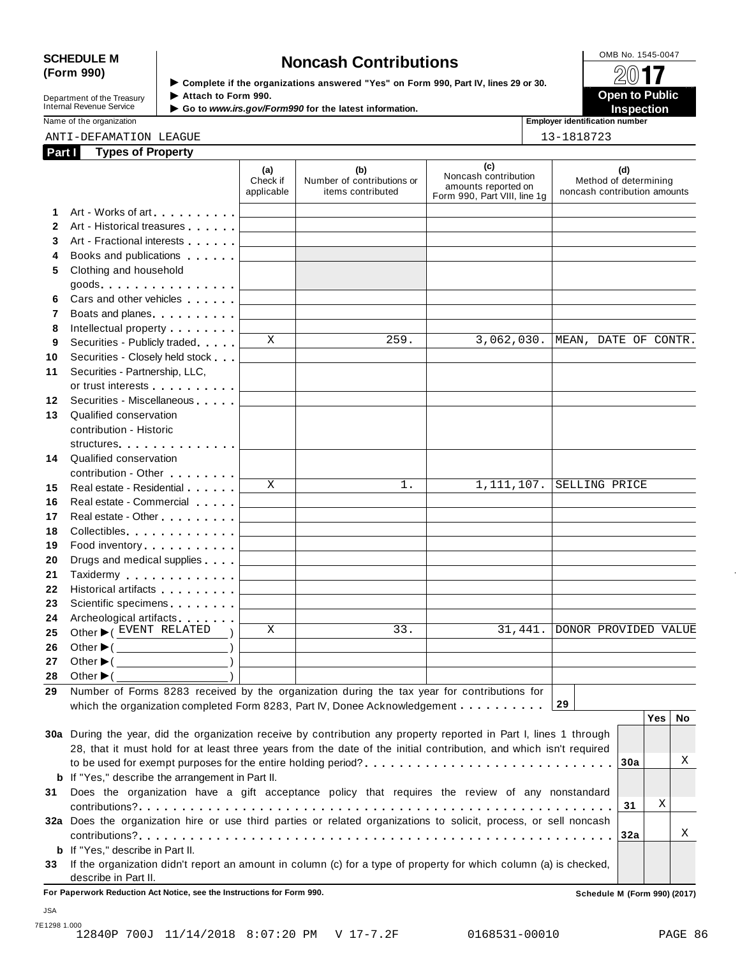# SCHEDULE M<br> **SCHEDULE M SCHEDULE M SCHEDULE M Noncash Contributions**<br> **SCHEDULE M None All <b>non- SCHEDULE M SCHEDULE M SCHEDULE M SCHEDULE M SCHEDULE M SCHEDULE M SCHEDULE M SC**

Department of the Treasury<br>Internal Revenue Service

**(Form 990)** I **Complete if the organizations answered "Yes" on Form 990, Part IV, lines <sup>29</sup> or 30.** À¾µ» **Department of the Treasury ▶ Attach to Form 990.**<br>Internal Revenue Service ▶ Go to *www.irs.gov/Form990* for the latest information.<br>Nome of the organization, authorities in a support of the latest information.

Name of the organization **intervalse of the organization intervalse of the organization <b>intervalse of the organization intervalse of the organization intervalse of the organization intervalse of the organization**

| ANTI-DEFAMATION LEAGUE |  |
|------------------------|--|
|                        |  |

| $\blacksquare$ Employer Tuemmoduor |
|------------------------------------|
| 13-1818723                         |

| Part I       | <b>Types of Property</b>                                                                                                                                                                                                       |                               |                                                        |                                                                                    |                                                              |
|--------------|--------------------------------------------------------------------------------------------------------------------------------------------------------------------------------------------------------------------------------|-------------------------------|--------------------------------------------------------|------------------------------------------------------------------------------------|--------------------------------------------------------------|
|              |                                                                                                                                                                                                                                | (a)<br>Check if<br>applicable | (b)<br>Number of contributions or<br>items contributed | (c)<br>Noncash contribution<br>amounts reported on<br>Form 990, Part VIII, line 1g | (d)<br>Method of determining<br>noncash contribution amounts |
| 1            | Art - Works of art                                                                                                                                                                                                             |                               |                                                        |                                                                                    |                                                              |
| $\mathbf{2}$ | Art - Historical treasures                                                                                                                                                                                                     |                               |                                                        |                                                                                    |                                                              |
| 3            | Art - Fractional interests                                                                                                                                                                                                     |                               |                                                        |                                                                                    |                                                              |
| 4            | Books and publications <b>Solutions</b>                                                                                                                                                                                        |                               |                                                        |                                                                                    |                                                              |
| 5.           | Clothing and household                                                                                                                                                                                                         |                               |                                                        |                                                                                    |                                                              |
|              | $goods.$                                                                                                                                                                                                                       |                               |                                                        |                                                                                    |                                                              |
| 6            | Cars and other vehicles                                                                                                                                                                                                        |                               |                                                        |                                                                                    |                                                              |
| 7            | Boats and planes.                                                                                                                                                                                                              |                               |                                                        |                                                                                    |                                                              |
| 8            | Intellectual property entering the state of the state of the state of the state of the state of the state of the state of the state of the state of the state of the state of the state of the state of the state of the state |                               |                                                        |                                                                                    |                                                              |
| 9            | Securities - Publicly traded                                                                                                                                                                                                   | X                             | 259.                                                   | 3,062,030.                                                                         | MEAN, DATE OF CONTR.                                         |
| 10           | Securities - Closely held stock                                                                                                                                                                                                |                               |                                                        |                                                                                    |                                                              |
| 11           | Securities - Partnership, LLC,                                                                                                                                                                                                 |                               |                                                        |                                                                                    |                                                              |
|              | or trust interests                                                                                                                                                                                                             |                               |                                                        |                                                                                    |                                                              |
| $12 \,$      | Securities - Miscellaneous                                                                                                                                                                                                     |                               |                                                        |                                                                                    |                                                              |
| 13           | Qualified conservation                                                                                                                                                                                                         |                               |                                                        |                                                                                    |                                                              |
|              | contribution - Historic                                                                                                                                                                                                        |                               |                                                        |                                                                                    |                                                              |
|              | structures                                                                                                                                                                                                                     |                               |                                                        |                                                                                    |                                                              |
| 14           | Qualified conservation                                                                                                                                                                                                         |                               |                                                        |                                                                                    |                                                              |
|              | contribution - Other <b>All Accords</b>                                                                                                                                                                                        |                               |                                                        |                                                                                    |                                                              |
| 15           | Real estate - Residential                                                                                                                                                                                                      | $\mathbf X$                   | $1$ .                                                  | 1,111,107.                                                                         | SELLING PRICE                                                |
| 16           | Real estate - Commercial                                                                                                                                                                                                       |                               |                                                        |                                                                                    |                                                              |
| 17           |                                                                                                                                                                                                                                |                               |                                                        |                                                                                    |                                                              |
| 18           | Collectibles                                                                                                                                                                                                                   |                               |                                                        |                                                                                    |                                                              |
| 19           | Food inventory experience in the set of the set of the set of the set of the set of the set of the set of the set of the set of the set of the set of the set of the set of the set of the set of the set of the set of the se |                               |                                                        |                                                                                    |                                                              |
| 20           | Drugs and medical supplies                                                                                                                                                                                                     |                               |                                                        |                                                                                    |                                                              |
| 21           | Taxidermy                                                                                                                                                                                                                      |                               |                                                        |                                                                                    |                                                              |
| 22           | Historical artifacts <b>All Accords</b>                                                                                                                                                                                        |                               |                                                        |                                                                                    |                                                              |
| 23           | Scientific specimens                                                                                                                                                                                                           |                               |                                                        |                                                                                    |                                                              |
| 24           | Archeological artifacts                                                                                                                                                                                                        |                               |                                                        |                                                                                    |                                                              |
| 25           | Other $\blacktriangleright$ ( EVENT RELATED                                                                                                                                                                                    | X                             | 33.                                                    | 31,441.                                                                            | DONOR PROVIDED VALUE                                         |
| 26           | Other $\blacktriangleright$ ( $\_\_\_\_\_\_\_\_\_\_\_\_\_\_\_\_\_\_\_\_$                                                                                                                                                       |                               |                                                        |                                                                                    |                                                              |
| 27           | Other $\blacktriangleright$ (                                                                                                                                                                                                  |                               |                                                        |                                                                                    |                                                              |
| 28           | Other $\blacktriangleright$ (                                                                                                                                                                                                  |                               |                                                        |                                                                                    |                                                              |
|              | 29 Number of Forms 8283 received by the organization during the tax year for contributions for                                                                                                                                 |                               |                                                        |                                                                                    |                                                              |
|              | which the organization completed Form 8283, Part IV, Donee Acknowledgement                                                                                                                                                     |                               |                                                        |                                                                                    | 29                                                           |
|              |                                                                                                                                                                                                                                |                               |                                                        |                                                                                    | Yes  <br><b>No</b>                                           |
|              | 30a During the year, did the organization receive by contribution any property reported in Part I, lines 1 through                                                                                                             |                               |                                                        |                                                                                    |                                                              |
|              | 28, that it must hold for at least three years from the date of the initial contribution, and which isn't required                                                                                                             |                               |                                                        |                                                                                    |                                                              |
|              | to be used for exempt purposes for the entire holding period?                                                                                                                                                                  |                               |                                                        |                                                                                    | Χ<br>30a                                                     |
|              | <b>b</b> If "Yes," describe the arrangement in Part II.                                                                                                                                                                        |                               |                                                        |                                                                                    |                                                              |
| 31           | Does the organization have a gift acceptance policy that requires the review of any nonstandard                                                                                                                                |                               |                                                        |                                                                                    |                                                              |
|              |                                                                                                                                                                                                                                |                               |                                                        |                                                                                    | Χ<br>31                                                      |
|              | 32a Does the organization hire or use third parties or related organizations to solicit, process, or sell noncash                                                                                                              |                               |                                                        |                                                                                    |                                                              |
|              |                                                                                                                                                                                                                                |                               |                                                        |                                                                                    | Χ<br>32a                                                     |
|              | <b>b</b> If "Yes," describe in Part II.                                                                                                                                                                                        |                               |                                                        |                                                                                    |                                                              |
| 33           | If the organization didn't report an amount in column (c) for a type of property for which column (a) is checked,                                                                                                              |                               |                                                        |                                                                                    |                                                              |
|              | describe in Part II.                                                                                                                                                                                                           |                               |                                                        |                                                                                    |                                                              |
|              | For Paperwork Reduction Act Notice, see the Instructions for Form 990.                                                                                                                                                         |                               |                                                        |                                                                                    | Schedule M (Form 990) (2017)                                 |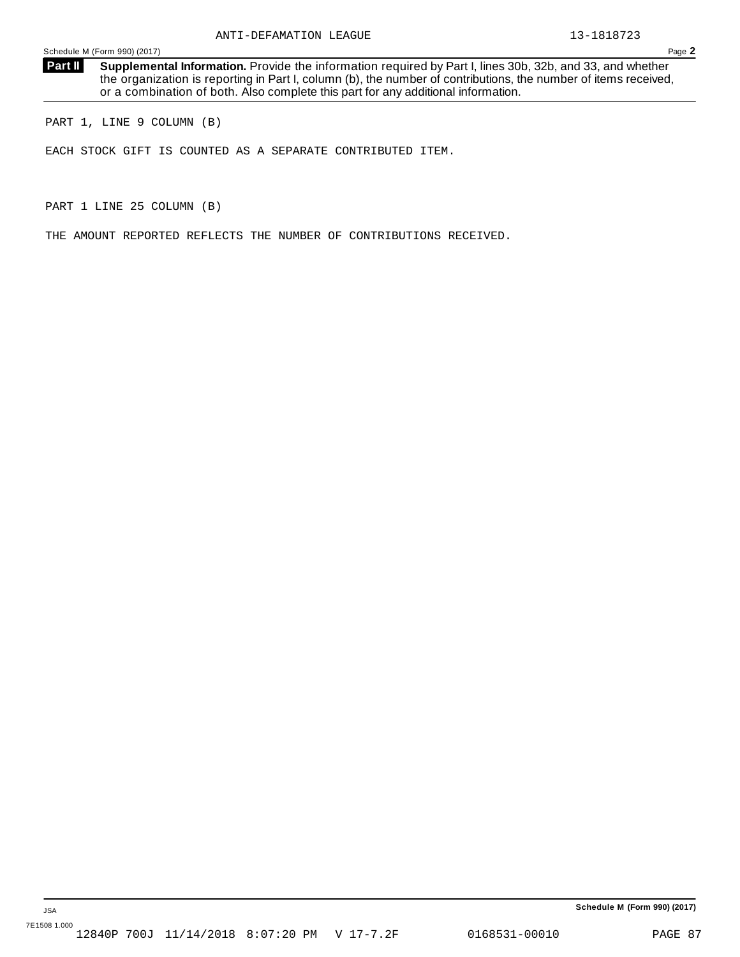**Supplemental Information.** Provide the information required by Part I, lines 30b, 32b, and 33, and whether the organization is reporting in Part I, column (b), the number of contributions, the number of items received, or a combination of both. Also complete this part for any additional information. **Part II**

PART 1, LINE 9 COLUMN (B)

EACH STOCK GIFT IS COUNTED AS A SEPARATE CONTRIBUTED ITEM.

PART 1 LINE 25 COLUMN (B)

THE AMOUNT REPORTED REFLECTS THE NUMBER OF CONTRIBUTIONS RECEIVED.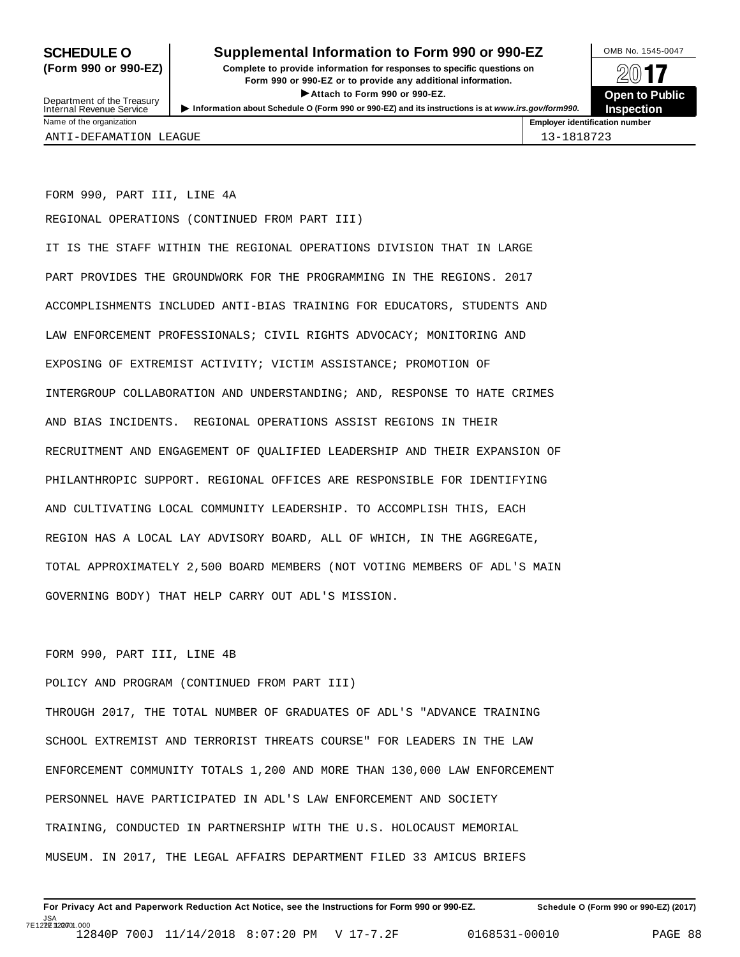## **SCHEDULE O** Supplemental Information to Form 990 or 990-EZ DMB No. 1545-0047

**(Form 990 or 990-EZ) Complete to provide information for responses to specific questions on** plete to provide information for responses to specific questions on  $\Box$   $\Box$   $\Box$ **EXECTED TO PUBLIC 2012 CONSIDER**<br> **EXECTED EXECTED COPEN COPEN COPEN COPEN COPEN COPEN COPEN COPEN COPEN COPEN COPEN COPEN COPEN COPEN COPEN COPEN COPEN COPEN COPEN COPEN C** Department of the Treasury <br>Depen to Public<br>Name of the organization<br>Name of the organization<br>Name of the organization<br>Name of the organization

**Inspection**

Department of the Treasury<br>Internal Revenue Service

ANTI-DEFAMATION LEAGUE 13-1818723

FORM 990, PART III, LINE 4A REGIONAL OPERATIONS (CONTINUED FROM PART III) IT IS THE STAFF WITHIN THE REGIONAL OPERATIONS DIVISION THAT IN LARGE PART PROVIDES THE GROUNDWORK FOR THE PROGRAMMING IN THE REGIONS. 2017 ACCOMPLISHMENTS INCLUDED ANTI-BIAS TRAINING FOR EDUCATORS, STUDENTS AND LAW ENFORCEMENT PROFESSIONALS; CIVIL RIGHTS ADVOCACY; MONITORING AND EXPOSING OF EXTREMIST ACTIVITY; VICTIM ASSISTANCE; PROMOTION OF INTERGROUP COLLABORATION AND UNDERSTANDING; AND, RESPONSE TO HATE CRIMES AND BIAS INCIDENTS. REGIONAL OPERATIONS ASSIST REGIONS IN THEIR RECRUITMENT AND ENGAGEMENT OF QUALIFIED LEADERSHIP AND THEIR EXPANSION OF PHILANTHROPIC SUPPORT. REGIONAL OFFICES ARE RESPONSIBLE FOR IDENTIFYING AND CULTIVATING LOCAL COMMUNITY LEADERSHIP. TO ACCOMPLISH THIS, EACH REGION HAS A LOCAL LAY ADVISORY BOARD, ALL OF WHICH, IN THE AGGREGATE, TOTAL APPROXIMATELY 2,500 BOARD MEMBERS (NOT VOTING MEMBERS OF ADL'S MAIN GOVERNING BODY) THAT HELP CARRY OUT ADL'S MISSION.

#### FORM 990, PART III, LINE 4B

POLICY AND PROGRAM (CONTINUED FROM PART III)

THROUGH 2017, THE TOTAL NUMBER OF GRADUATES OF ADL'S "ADVANCE TRAINING SCHOOL EXTREMIST AND TERRORIST THREATS COURSE" FOR LEADERS IN THE LAW ENFORCEMENT COMMUNITY TOTALS 1,200 AND MORE THAN 130,000 LAW ENFORCEMENT PERSONNEL HAVE PARTICIPATED IN ADL'S LAW ENFORCEMENT AND SOCIETY TRAINING, CONDUCTED IN PARTNERSHIP WITH THE U.S. HOLOCAUST MEMORIAL MUSEUM. IN 2017, THE LEGAL AFFAIRS DEPARTMENT FILED 33 AMICUS BRIEFS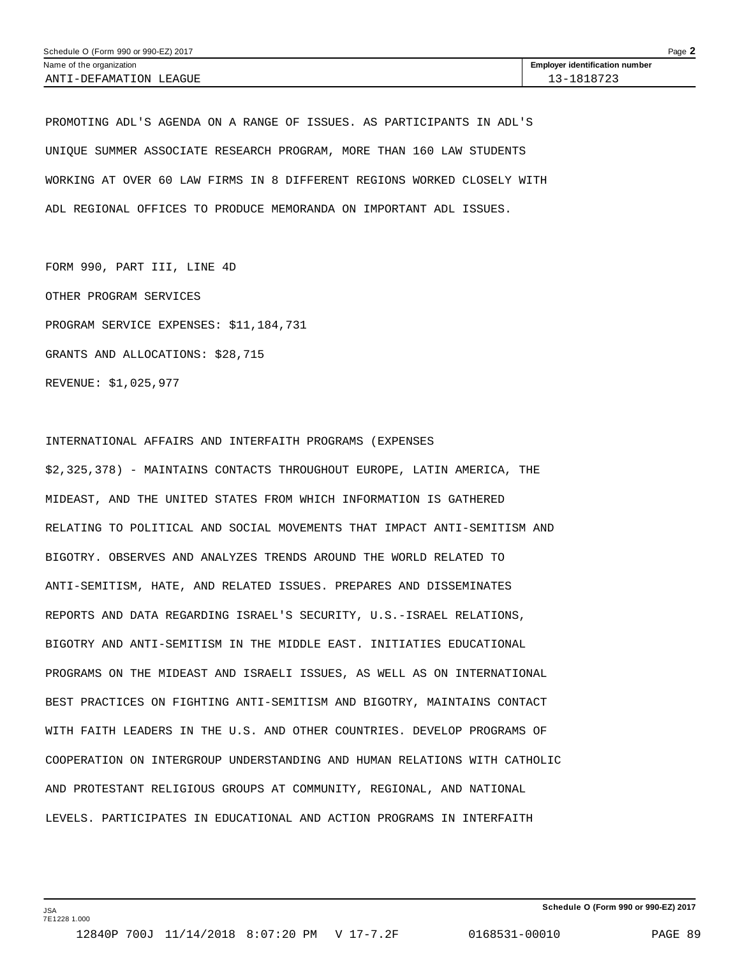PROMOTING ADL'S AGENDA ON A RANGE OF ISSUES. AS PARTICIPANTS IN ADL'S UNIQUE SUMMER ASSOCIATE RESEARCH PROGRAM, MORE THAN 160 LAW STUDENTS WORKING AT OVER 60 LAW FIRMS IN 8 DIFFERENT REGIONS WORKED CLOSELY WITH ADL REGIONAL OFFICES TO PRODUCE MEMORANDA ON IMPORTANT ADL ISSUES.

FORM 990, PART III, LINE 4D OTHER PROGRAM SERVICES PROGRAM SERVICE EXPENSES: \$11,184,731 GRANTS AND ALLOCATIONS: \$28,715 REVENUE: \$1,025,977

INTERNATIONAL AFFAIRS AND INTERFAITH PROGRAMS (EXPENSES \$2,325,378) - MAINTAINS CONTACTS THROUGHOUT EUROPE, LATIN AMERICA, THE MIDEAST, AND THE UNITED STATES FROM WHICH INFORMATION IS GATHERED RELATING TO POLITICAL AND SOCIAL MOVEMENTS THAT IMPACT ANTI-SEMITISM AND BIGOTRY. OBSERVES AND ANALYZES TRENDS AROUND THE WORLD RELATED TO ANTI-SEMITISM, HATE, AND RELATED ISSUES. PREPARES AND DISSEMINATES REPORTS AND DATA REGARDING ISRAEL'S SECURITY, U.S.-ISRAEL RELATIONS, BIGOTRY AND ANTI-SEMITISM IN THE MIDDLE EAST. INITIATIES EDUCATIONAL PROGRAMS ON THE MIDEAST AND ISRAELI ISSUES, AS WELL AS ON INTERNATIONAL BEST PRACTICES ON FIGHTING ANTI-SEMITISM AND BIGOTRY, MAINTAINS CONTACT WITH FAITH LEADERS IN THE U.S. AND OTHER COUNTRIES. DEVELOP PROGRAMS OF COOPERATION ON INTERGROUP UNDERSTANDING AND HUMAN RELATIONS WITH CATHOLIC AND PROTESTANT RELIGIOUS GROUPS AT COMMUNITY, REGIONAL, AND NATIONAL LEVELS. PARTICIPATES IN EDUCATIONAL AND ACTION PROGRAMS IN INTERFAITH

JSA 7E1228 1.000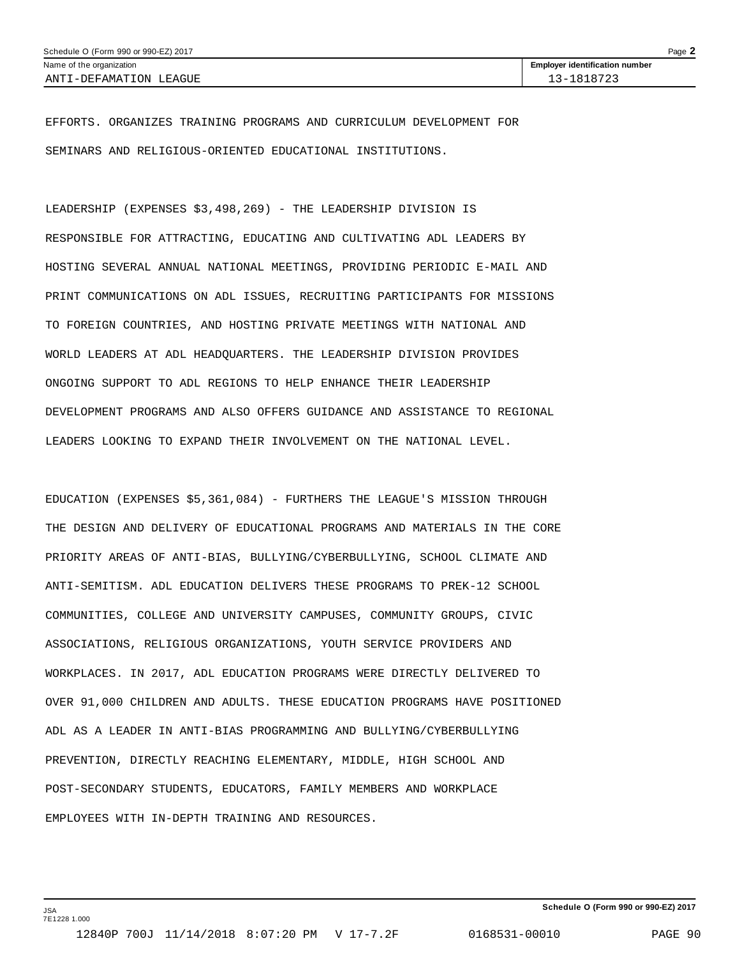EFFORTS. ORGANIZES TRAINING PROGRAMS AND CURRICULUM DEVELOPMENT FOR SEMINARS AND RELIGIOUS-ORIENTED EDUCATIONAL INSTITUTIONS.

LEADERSHIP (EXPENSES \$3,498,269) - THE LEADERSHIP DIVISION IS RESPONSIBLE FOR ATTRACTING, EDUCATING AND CULTIVATING ADL LEADERS BY HOSTING SEVERAL ANNUAL NATIONAL MEETINGS, PROVIDING PERIODIC E-MAIL AND PRINT COMMUNICATIONS ON ADL ISSUES, RECRUITING PARTICIPANTS FOR MISSIONS TO FOREIGN COUNTRIES, AND HOSTING PRIVATE MEETINGS WITH NATIONAL AND WORLD LEADERS AT ADL HEADQUARTERS. THE LEADERSHIP DIVISION PROVIDES ONGOING SUPPORT TO ADL REGIONS TO HELP ENHANCE THEIR LEADERSHIP DEVELOPMENT PROGRAMS AND ALSO OFFERS GUIDANCE AND ASSISTANCE TO REGIONAL LEADERS LOOKING TO EXPAND THEIR INVOLVEMENT ON THE NATIONAL LEVEL.

EDUCATION (EXPENSES \$5,361,084) - FURTHERS THE LEAGUE'S MISSION THROUGH THE DESIGN AND DELIVERY OF EDUCATIONAL PROGRAMS AND MATERIALS IN THE CORE PRIORITY AREAS OF ANTI-BIAS, BULLYING/CYBERBULLYING, SCHOOL CLIMATE AND ANTI-SEMITISM. ADL EDUCATION DELIVERS THESE PROGRAMS TO PREK-12 SCHOOL COMMUNITIES, COLLEGE AND UNIVERSITY CAMPUSES, COMMUNITY GROUPS, CIVIC ASSOCIATIONS, RELIGIOUS ORGANIZATIONS, YOUTH SERVICE PROVIDERS AND WORKPLACES. IN 2017, ADL EDUCATION PROGRAMS WERE DIRECTLY DELIVERED TO OVER 91,000 CHILDREN AND ADULTS. THESE EDUCATION PROGRAMS HAVE POSITIONED ADL AS A LEADER IN ANTI-BIAS PROGRAMMING AND BULLYING/CYBERBULLYING PREVENTION, DIRECTLY REACHING ELEMENTARY, MIDDLE, HIGH SCHOOL AND POST-SECONDARY STUDENTS, EDUCATORS, FAMILY MEMBERS AND WORKPLACE EMPLOYEES WITH IN-DEPTH TRAINING AND RESOURCES.

JSA 7E1228 1.000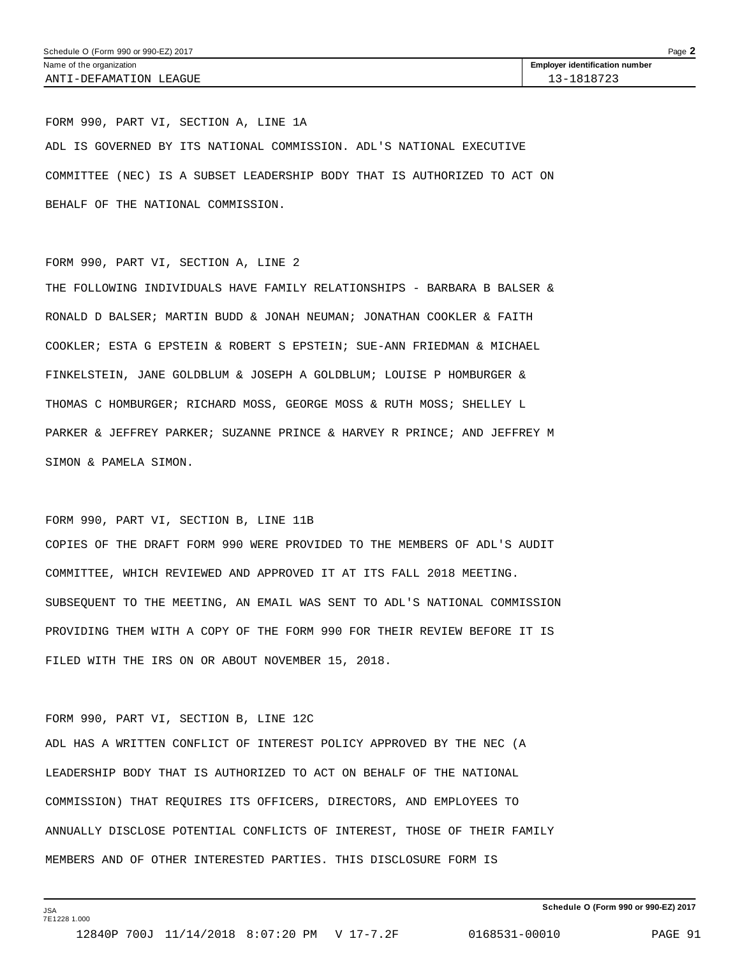FORM 990, PART VI, SECTION A, LINE 1A ADL IS GOVERNED BY ITS NATIONAL COMMISSION. ADL'S NATIONAL EXECUTIVE COMMITTEE (NEC) IS A SUBSET LEADERSHIP BODY THAT IS AUTHORIZED TO ACT ON BEHALF OF THE NATIONAL COMMISSION.

#### FORM 990, PART VI, SECTION A, LINE 2

THE FOLLOWING INDIVIDUALS HAVE FAMILY RELATIONSHIPS - BARBARA B BALSER & RONALD D BALSER; MARTIN BUDD & JONAH NEUMAN; JONATHAN COOKLER & FAITH COOKLER; ESTA G EPSTEIN & ROBERT S EPSTEIN; SUE-ANN FRIEDMAN & MICHAEL FINKELSTEIN, JANE GOLDBLUM & JOSEPH A GOLDBLUM; LOUISE P HOMBURGER & THOMAS C HOMBURGER; RICHARD MOSS, GEORGE MOSS & RUTH MOSS; SHELLEY L PARKER & JEFFREY PARKER; SUZANNE PRINCE & HARVEY R PRINCE; AND JEFFREY M SIMON & PAMELA SIMON.

#### FORM 990, PART VI, SECTION B, LINE 11B

COPIES OF THE DRAFT FORM 990 WERE PROVIDED TO THE MEMBERS OF ADL'S AUDIT COMMITTEE, WHICH REVIEWED AND APPROVED IT AT ITS FALL 2018 MEETING. SUBSEQUENT TO THE MEETING, AN EMAIL WAS SENT TO ADL'S NATIONAL COMMISSION PROVIDING THEM WITH A COPY OF THE FORM 990 FOR THEIR REVIEW BEFORE IT IS FILED WITH THE IRS ON OR ABOUT NOVEMBER 15, 2018.

#### FORM 990, PART VI, SECTION B, LINE 12C

JSA 7E1228 1.000

ADL HAS A WRITTEN CONFLICT OF INTEREST POLICY APPROVED BY THE NEC (A LEADERSHIP BODY THAT IS AUTHORIZED TO ACT ON BEHALF OF THE NATIONAL COMMISSION) THAT REQUIRES ITS OFFICERS, DIRECTORS, AND EMPLOYEES TO ANNUALLY DISCLOSE POTENTIAL CONFLICTS OF INTEREST, THOSE OF THEIR FAMILY MEMBERS AND OF OTHER INTERESTED PARTIES. THIS DISCLOSURE FORM IS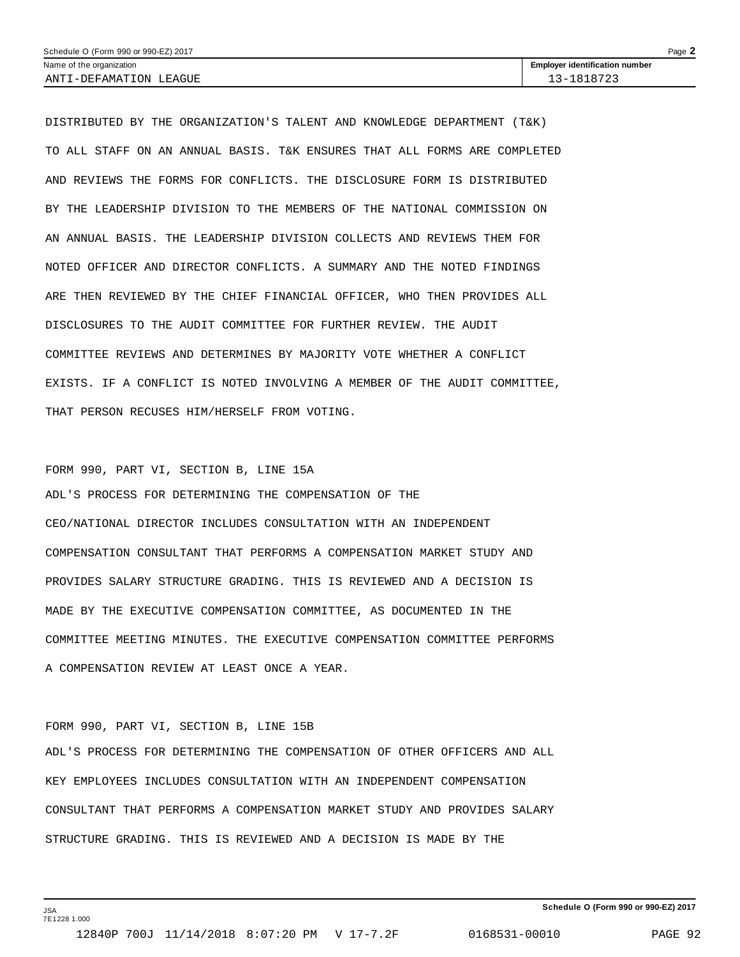| Schedule O (Form 990 or 990-EZ) 2017 |                                       | Page |
|--------------------------------------|---------------------------------------|------|
| Name of the organization             | <b>Employer identification number</b> |      |
| ANTI-DEFAMATION LEAGUE               | 1818723<br>$\leftarrow$               |      |

DISTRIBUTED BY THE ORGANIZATION'S TALENT AND KNOWLEDGE DEPARTMENT (T&K) TO ALL STAFF ON AN ANNUAL BASIS. T&K ENSURES THAT ALL FORMS ARE COMPLETED AND REVIEWS THE FORMS FOR CONFLICTS. THE DISCLOSURE FORM IS DISTRIBUTED BY THE LEADERSHIP DIVISION TO THE MEMBERS OF THE NATIONAL COMMISSION ON AN ANNUAL BASIS. THE LEADERSHIP DIVISION COLLECTS AND REVIEWS THEM FOR NOTED OFFICER AND DIRECTOR CONFLICTS. A SUMMARY AND THE NOTED FINDINGS ARE THEN REVIEWED BY THE CHIEF FINANCIAL OFFICER, WHO THEN PROVIDES ALL DISCLOSURES TO THE AUDIT COMMITTEE FOR FURTHER REVIEW. THE AUDIT COMMITTEE REVIEWS AND DETERMINES BY MAJORITY VOTE WHETHER A CONFLICT EXISTS. IF A CONFLICT IS NOTED INVOLVING A MEMBER OF THE AUDIT COMMITTEE, THAT PERSON RECUSES HIM/HERSELF FROM VOTING.

FORM 990, PART VI, SECTION B, LINE 15A ADL'S PROCESS FOR DETERMINING THE COMPENSATION OF THE CEO/NATIONAL DIRECTOR INCLUDES CONSULTATION WITH AN INDEPENDENT COMPENSATION CONSULTANT THAT PERFORMS A COMPENSATION MARKET STUDY AND PROVIDES SALARY STRUCTURE GRADING. THIS IS REVIEWED AND A DECISION IS MADE BY THE EXECUTIVE COMPENSATION COMMITTEE, AS DOCUMENTED IN THE COMMITTEE MEETING MINUTES. THE EXECUTIVE COMPENSATION COMMITTEE PERFORMS A COMPENSATION REVIEW AT LEAST ONCE A YEAR.

#### FORM 990, PART VI, SECTION B, LINE 15B

JSA 7E1228 1.000

ADL'S PROCESS FOR DETERMINING THE COMPENSATION OF OTHER OFFICERS AND ALL KEY EMPLOYEES INCLUDES CONSULTATION WITH AN INDEPENDENT COMPENSATION CONSULTANT THAT PERFORMS A COMPENSATION MARKET STUDY AND PROVIDES SALARY STRUCTURE GRADING. THIS IS REVIEWED AND A DECISION IS MADE BY THE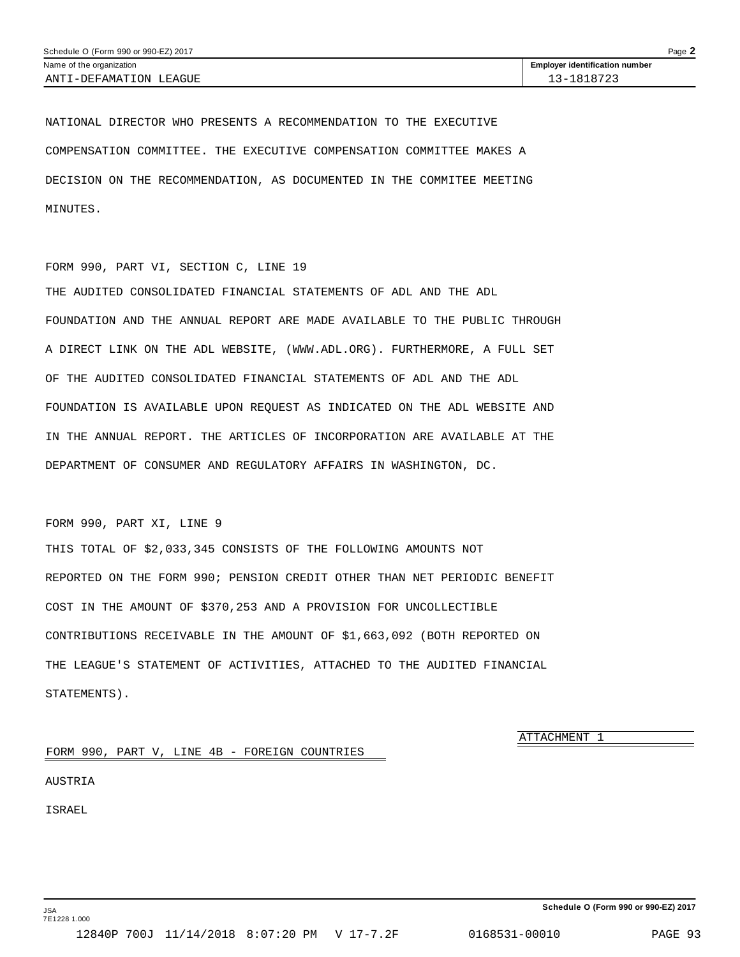NATIONAL DIRECTOR WHO PRESENTS A RECOMMENDATION TO THE EXECUTIVE COMPENSATION COMMITTEE. THE EXECUTIVE COMPENSATION COMMITTEE MAKES A DECISION ON THE RECOMMENDATION, AS DOCUMENTED IN THE COMMITEE MEETING MINUTES.

#### FORM 990, PART VI, SECTION C, LINE 19

THE AUDITED CONSOLIDATED FINANCIAL STATEMENTS OF ADL AND THE ADL FOUNDATION AND THE ANNUAL REPORT ARE MADE AVAILABLE TO THE PUBLIC THROUGH A DIRECT LINK ON THE ADL WEBSITE, (WWW.ADL.ORG). FURTHERMORE, A FULL SET OF THE AUDITED CONSOLIDATED FINANCIAL STATEMENTS OF ADL AND THE ADL FOUNDATION IS AVAILABLE UPON REQUEST AS INDICATED ON THE ADL WEBSITE AND IN THE ANNUAL REPORT. THE ARTICLES OF INCORPORATION ARE AVAILABLE AT THE DEPARTMENT OF CONSUMER AND REGULATORY AFFAIRS IN WASHINGTON, DC.

#### FORM 990, PART XI, LINE 9

THIS TOTAL OF \$2,033,345 CONSISTS OF THE FOLLOWING AMOUNTS NOT REPORTED ON THE FORM 990; PENSION CREDIT OTHER THAN NET PERIODIC BENEFIT COST IN THE AMOUNT OF \$370,253 AND A PROVISION FOR UNCOLLECTIBLE CONTRIBUTIONS RECEIVABLE IN THE AMOUNT OF \$1,663,092 (BOTH REPORTED ON THE LEAGUE'S STATEMENT OF ACTIVITIES, ATTACHED TO THE AUDITED FINANCIAL STATEMENTS).

ATTACHMENT 1

#### FORM 990, PART V, LINE 4B - FOREIGN COUNTRIES

AUSTRIA

ISRAEL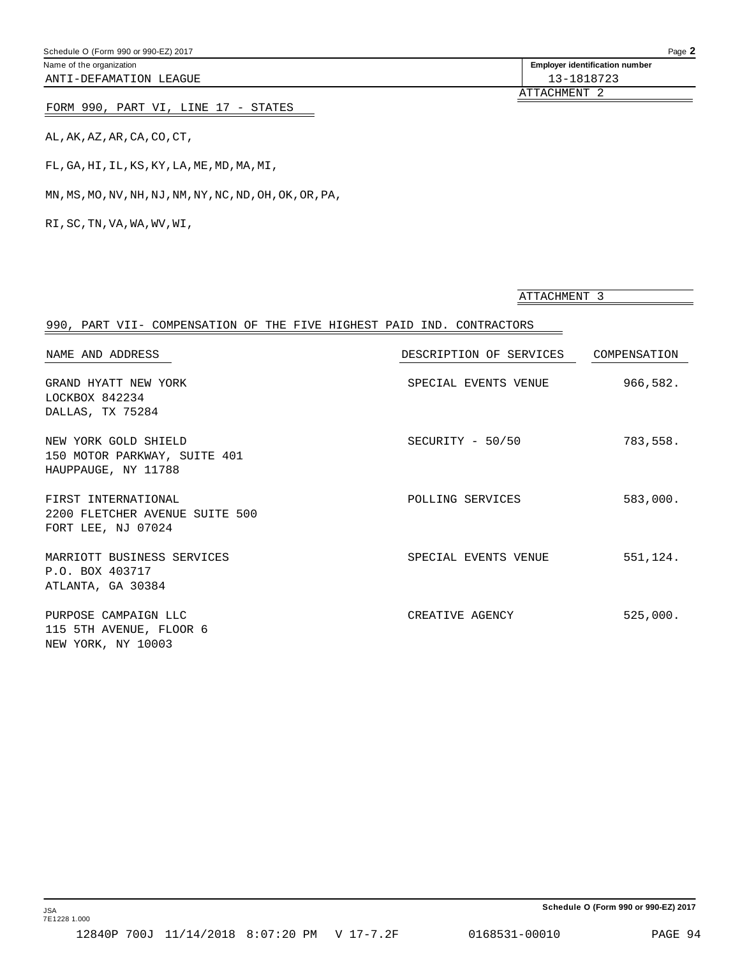ANTI-DEFAMATION LEAGUE 13-1818723

Name of the organization **intervalse of the organization intervalse of the organization <b>intervalse of the organization intervalse of the organization intervalse of the organization intervalse of the organization** ATTACHMENT 2

## FORM 990, PART VI, LINE 17 - STATES

AL,AK,AZ,AR,CA,CO,CT,

FL,GA,HI,IL,KS,KY,LA,ME,MD,MA,MI,

MN,MS,MO,NV,NH,NJ,NM,NY,NC,ND,OH,OK,OR,PA,

RI,SC,TN,VA,WA,WV,WI,

ATTACHMENT 3

## 990, PART VII- COMPENSATION OF THE FIVE HIGHEST PAID IND. CONTRACTORS

| NAME AND ADDRESS                                                            | DESCRIPTION OF SERVICES | COMPENSATION |
|-----------------------------------------------------------------------------|-------------------------|--------------|
| GRAND HYATT NEW YORK<br>LOCKBOX 842234<br>DALLAS, TX 75284                  | SPECIAL EVENTS VENUE    | 966,582.     |
| NEW YORK GOLD SHIELD<br>150 MOTOR PARKWAY, SUITE 401<br>HAUPPAUGE, NY 11788 | SECURITY - 50/50        | 783,558.     |
| FIRST INTERNATIONAL<br>2200 FLETCHER AVENUE SUITE 500<br>FORT LEE, NJ 07024 | POLLING SERVICES        | 583,000.     |
| MARRIOTT BUSINESS SERVICES<br>P.O. BOX 403717<br>ATLANTA, GA 30384          | SPECIAL EVENTS VENUE    | 551,124.     |
| PURPOSE CAMPAIGN LLC<br>115 5TH AVENUE, FLOOR 6<br>NEW YORK, NY 10003       | CREATIVE AGENCY         | 525,000.     |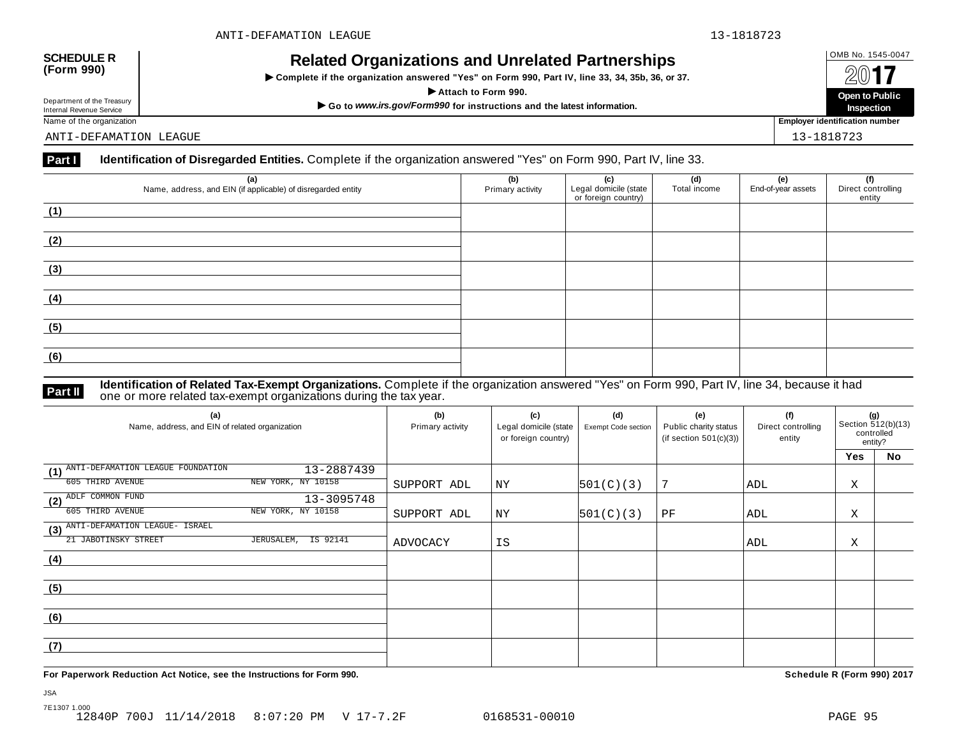## OMB No. 1545-0047 **SCHEDULE R (Form 990) Related Organizations and Unrelated Partnerships**

 $\triangleright$  Complete if the organization answered "Yes" on Form 990, Part IV, line 33, 34, 35b, 36, or 37.



Department of the Treasury<br>Internal Revenue Service

ANTI-DEFAMATION LEAGUE 13-1818723

#### **Part I Identification of Disregarded Entities.** Complete if the organization answered "Yes" on Form 990, Part IV, line 33.

| (a)<br>Name, address, and EIN (if applicable) of disregarded entity | (b)<br>Primary activity | (c)<br>Legal domicile (state<br>or foreign country) | (d)<br>Total income | (e)<br>End-of-year assets | (f)<br>Direct controlling<br>entity |
|---------------------------------------------------------------------|-------------------------|-----------------------------------------------------|---------------------|---------------------------|-------------------------------------|
| (1)                                                                 |                         |                                                     |                     |                           |                                     |
| (2)                                                                 |                         |                                                     |                     |                           |                                     |
| (3)                                                                 |                         |                                                     |                     |                           |                                     |
| (4)                                                                 |                         |                                                     |                     |                           |                                     |
| (5)                                                                 |                         |                                                     |                     |                           |                                     |
| (6)                                                                 |                         |                                                     |                     |                           |                                     |

**Identification of Related Tax-Exempt Organizations.** Complete if the organization answered "Yes" on Form 990, Part IV, line 34, because it had **Part II** one or more related tax-exempt organizations during the tax year.

| (a)<br>Name, address, and EIN of related organization  | (b)<br>Primary activity | (c)<br>Legal domicile (state<br>or foreign country) | (d)<br>Exempt Code section | (e)<br>Public charity status<br>(if section $501(c)(3)$ ) | (f)<br>Direct controlling<br>entity | (g)<br>Section 512(b)(13)<br>controlled<br>entity? |    |
|--------------------------------------------------------|-------------------------|-----------------------------------------------------|----------------------------|-----------------------------------------------------------|-------------------------------------|----------------------------------------------------|----|
|                                                        |                         |                                                     |                            |                                                           |                                     | <b>Yes</b>                                         | No |
| ANTI-DEFAMATION LEAGUE FOUNDATION<br>13-2887439<br>(1) |                         |                                                     |                            |                                                           |                                     |                                                    |    |
| NEW YORK, NY 10158<br>605 THIRD AVENUE                 | SUPPORT ADL             | ΝY                                                  | 501(C)(3)                  |                                                           | ADL                                 | Χ                                                  |    |
| (2) ADLF COMMON FUND<br>13-3095748                     |                         |                                                     |                            |                                                           |                                     |                                                    |    |
| NEW YORK, NY 10158<br>605 THIRD AVENUE                 | SUPPORT ADL             | ΝY                                                  | 501(C)(3)                  | PF                                                        | ADL                                 | Χ                                                  |    |
| ANTI-DEFAMATION LEAGUE- ISRAEL<br>(3)                  |                         |                                                     |                            |                                                           |                                     |                                                    |    |
| 21 JABOTINSKY STREET<br>JERUSALEM, IS 92141            | ADVOCACY                | IS                                                  |                            |                                                           | ADL                                 | Χ                                                  |    |
| (4)                                                    |                         |                                                     |                            |                                                           |                                     |                                                    |    |
|                                                        |                         |                                                     |                            |                                                           |                                     |                                                    |    |
| (5)                                                    |                         |                                                     |                            |                                                           |                                     |                                                    |    |
|                                                        |                         |                                                     |                            |                                                           |                                     |                                                    |    |
| (6)                                                    |                         |                                                     |                            |                                                           |                                     |                                                    |    |
|                                                        |                         |                                                     |                            |                                                           |                                     |                                                    |    |
| (7)                                                    |                         |                                                     |                            |                                                           |                                     |                                                    |    |
|                                                        |                         |                                                     |                            |                                                           |                                     |                                                    |    |

**For Paperwork Reduction Act Notice, see the Instructions for Form 990. Schedule R (Form 990) 2017**

JSA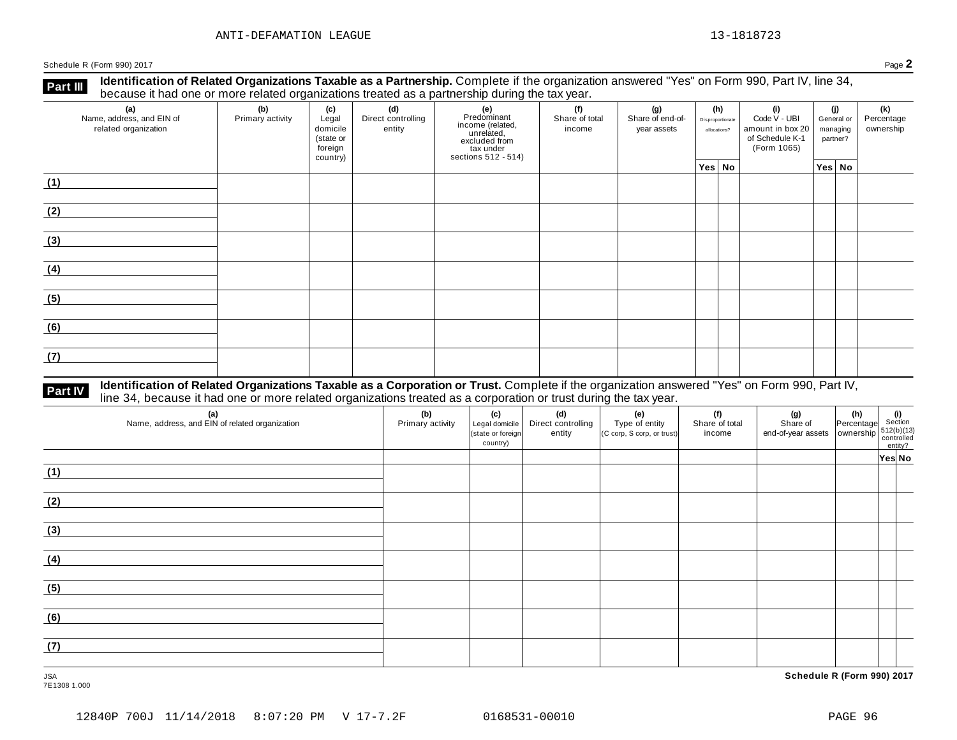**Part III** Identification of Related Organizations Taxable as a Partnership. Complete if the organization answered "Yes" on Form 990, Part IV, line 34,<br>because it had one or more related organizations treated as a partners

| (a)<br>Name, address, and EIN of<br>related organization | (b)<br>Primary activity | (c)<br>Legal<br>domicile<br>(state or<br>foreign<br>country) | (d)<br>Direct controlling<br>entity | (e)<br>Predominant<br>Frecomman<br>income (related,<br>unrelated,<br>excluded from<br>sections 512 - 514) | (f)<br>Share of total<br>income | (g)<br>Share of end-of-<br>year assets | (h)<br>Disproportionate<br>allocations? | (i)<br>Code V - UBI<br>amount in box 20<br>of Schedule K-1<br>(Form 1065) | (j)<br>managing<br>partner? | General or | (k)<br>Percentage<br>ownership |
|----------------------------------------------------------|-------------------------|--------------------------------------------------------------|-------------------------------------|-----------------------------------------------------------------------------------------------------------|---------------------------------|----------------------------------------|-----------------------------------------|---------------------------------------------------------------------------|-----------------------------|------------|--------------------------------|
|                                                          |                         |                                                              |                                     |                                                                                                           |                                 |                                        | Yes No                                  |                                                                           | Yes   No                    |            |                                |
| (1)                                                      |                         |                                                              |                                     |                                                                                                           |                                 |                                        |                                         |                                                                           |                             |            |                                |
| (2)                                                      |                         |                                                              |                                     |                                                                                                           |                                 |                                        |                                         |                                                                           |                             |            |                                |
| (3)                                                      |                         |                                                              |                                     |                                                                                                           |                                 |                                        |                                         |                                                                           |                             |            |                                |
| (4)                                                      |                         |                                                              |                                     |                                                                                                           |                                 |                                        |                                         |                                                                           |                             |            |                                |
| (5)                                                      |                         |                                                              |                                     |                                                                                                           |                                 |                                        |                                         |                                                                           |                             |            |                                |
| (6)                                                      |                         |                                                              |                                     |                                                                                                           |                                 |                                        |                                         |                                                                           |                             |            |                                |
| (7)                                                      |                         |                                                              |                                     |                                                                                                           |                                 |                                        |                                         |                                                                           |                             |            |                                |

# **Part IV** Identification of Related Organizations Taxable as a Corporation or Trust. Complete if the organization answered "Yes" on Form 990, Part IV,<br>line 34, because it had one or more related organizations treated as a

| (a)<br>Name, address, and EIN of related organization | (b)<br>Primary activity | (c)<br>Legal domicile<br>(state or foreign<br>country) | (d)<br>Direct controlling<br>entity | (e)<br>Type of entity<br>(C corp, S corp, or trust) | (f)<br>Share of total<br>income | (g)<br>Share of<br>end-of-year assets   ownership | $\begin{bmatrix} \mathbf{n} \\ \mathbf{P} \text{ercentage} \\ \text{vnership} \\ \text{controlled} \\ \text{controlled} \\ \text{entify?} \end{bmatrix}$ |        |
|-------------------------------------------------------|-------------------------|--------------------------------------------------------|-------------------------------------|-----------------------------------------------------|---------------------------------|---------------------------------------------------|----------------------------------------------------------------------------------------------------------------------------------------------------------|--------|
|                                                       |                         |                                                        |                                     |                                                     |                                 |                                                   |                                                                                                                                                          | Yes No |
| (1)                                                   |                         |                                                        |                                     |                                                     |                                 |                                                   |                                                                                                                                                          |        |
| (2)                                                   |                         |                                                        |                                     |                                                     |                                 |                                                   |                                                                                                                                                          |        |
| (3)                                                   |                         |                                                        |                                     |                                                     |                                 |                                                   |                                                                                                                                                          |        |
| (4)                                                   |                         |                                                        |                                     |                                                     |                                 |                                                   |                                                                                                                                                          |        |
| (5)                                                   |                         |                                                        |                                     |                                                     |                                 |                                                   |                                                                                                                                                          |        |
| (6)                                                   |                         |                                                        |                                     |                                                     |                                 |                                                   |                                                                                                                                                          |        |
| (7)                                                   |                         |                                                        |                                     |                                                     |                                 |                                                   |                                                                                                                                                          |        |
| ${\sf JSA}$                                           |                         |                                                        |                                     |                                                     |                                 | Schedule R (Form 990) 2017                        |                                                                                                                                                          |        |

7E1308 1.000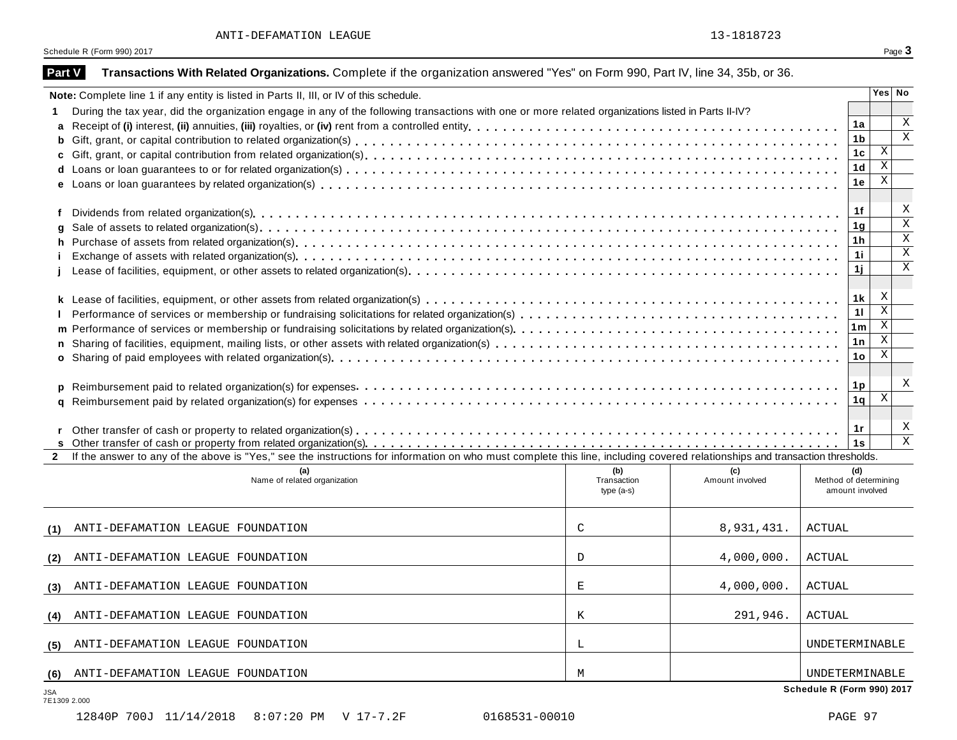ANTI-DEFAMATION LEAGUE 13-1818723

Schedule R (Form 990) 2017 Page 3

|                        | Note: Complete line 1 if any entity is listed in Parts II, III, or IV of this schedule.                                                                                      |                                    |                        |                                          |                | Yes No                  |                                   |
|------------------------|------------------------------------------------------------------------------------------------------------------------------------------------------------------------------|------------------------------------|------------------------|------------------------------------------|----------------|-------------------------|-----------------------------------|
| 1.                     | During the tax year, did the organization engage in any of the following transactions with one or more related organizations listed in Parts II-IV?                          |                                    |                        |                                          |                |                         |                                   |
| a                      |                                                                                                                                                                              |                                    |                        |                                          | 1a             |                         | Χ                                 |
| b                      |                                                                                                                                                                              |                                    |                        |                                          | 1 <sub>b</sub> |                         | $\overline{\mathbf{x}}$           |
|                        |                                                                                                                                                                              |                                    |                        |                                          | 1 <sub>c</sub> | $\mathbf X$             |                                   |
|                        |                                                                                                                                                                              |                                    |                        |                                          | 1 <sub>d</sub> | $\,$ X                  |                                   |
|                        |                                                                                                                                                                              |                                    |                        |                                          | 1e             | Χ                       |                                   |
| f                      |                                                                                                                                                                              |                                    |                        |                                          | 1f             |                         | Χ                                 |
| q                      |                                                                                                                                                                              |                                    |                        |                                          | 1 <sub>g</sub> |                         | $\overline{\mathbf{x}}$           |
|                        |                                                                                                                                                                              |                                    |                        |                                          | 1h             |                         | $\mathbf X$                       |
|                        |                                                                                                                                                                              |                                    |                        |                                          | 1i             |                         | $\mathbf X$                       |
|                        |                                                                                                                                                                              |                                    |                        |                                          | 1j             |                         | $\mathbf x$                       |
|                        |                                                                                                                                                                              |                                    |                        |                                          | 1k             | X                       |                                   |
|                        |                                                                                                                                                                              |                                    |                        |                                          | 11             | $\overline{\mathbf{x}}$ |                                   |
| m                      |                                                                                                                                                                              |                                    |                        |                                          | 1 <sub>m</sub> | Χ                       |                                   |
| n                      |                                                                                                                                                                              |                                    |                        |                                          | 1 n            | X                       |                                   |
|                        |                                                                                                                                                                              |                                    |                        |                                          | 1o             | X                       |                                   |
|                        |                                                                                                                                                                              |                                    |                        |                                          |                |                         |                                   |
|                        |                                                                                                                                                                              |                                    |                        |                                          | 1 <sub>p</sub> |                         |                                   |
|                        |                                                                                                                                                                              |                                    |                        |                                          | 1q             | Χ                       |                                   |
|                        |                                                                                                                                                                              |                                    |                        |                                          |                |                         |                                   |
|                        |                                                                                                                                                                              |                                    |                        |                                          | 1r             |                         |                                   |
|                        |                                                                                                                                                                              |                                    |                        |                                          | 1s             |                         | Χ<br>Χ<br>$\overline{\mathbf{x}}$ |
| p<br>a<br>$\mathbf{2}$ | If the answer to any of the above is "Yes," see the instructions for information on who must complete this line, including covered relationships and transaction thresholds. |                                    |                        |                                          |                |                         |                                   |
|                        | (a)<br>Name of related organization                                                                                                                                          | (b)<br>Transaction<br>type $(a-s)$ | (c)<br>Amount involved | Method of determining<br>amount involved | (d)            |                         |                                   |
|                        | ANTI-DEFAMATION LEAGUE FOUNDATION                                                                                                                                            | C                                  | 8,931,431.             | <b>ACTUAL</b>                            |                |                         |                                   |
| (1)<br>(2)             | ANTI-DEFAMATION LEAGUE FOUNDATION                                                                                                                                            | D                                  | 4,000,000.             | <b>ACTUAL</b>                            |                |                         |                                   |
|                        | ANTI-DEFAMATION LEAGUE FOUNDATION                                                                                                                                            | Е                                  | 4,000,000.             | <b>ACTUAL</b>                            |                |                         |                                   |
| (3)<br>(4)             | ANTI-DEFAMATION LEAGUE FOUNDATION                                                                                                                                            | К                                  | 291,946.               | ACTUAL                                   |                |                         |                                   |
|                        | ANTI-DEFAMATION LEAGUE FOUNDATION                                                                                                                                            | L                                  |                        | UNDETERMINABLE                           |                |                         |                                   |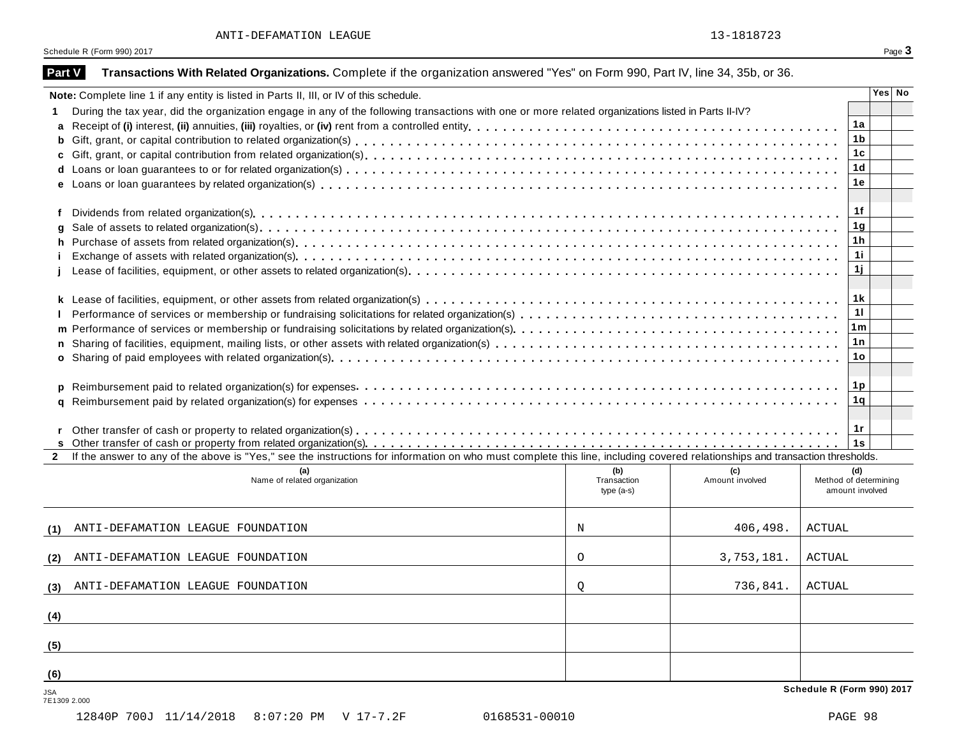ANTI-DEFAMATION LEAGUE 13-1818723

Schedule R (Form 990) 2017 Page 3

| <b>Part V</b>       | Transactions With Related Organizations. Complete if the organization answered "Yes" on Form 990, Part IV, line 34, 35b, or 36.                                              |                           |                 |                                          |                      |          |
|---------------------|------------------------------------------------------------------------------------------------------------------------------------------------------------------------------|---------------------------|-----------------|------------------------------------------|----------------------|----------|
|                     | Note: Complete line 1 if any entity is listed in Parts II, III, or IV of this schedule.                                                                                      |                           |                 |                                          |                      | Yes   No |
|                     | During the tax year, did the organization engage in any of the following transactions with one or more related organizations listed in Parts II-IV?                          |                           |                 |                                          |                      |          |
| a                   |                                                                                                                                                                              |                           |                 |                                          | 1a                   |          |
|                     |                                                                                                                                                                              |                           |                 |                                          | 1 <sub>b</sub>       |          |
| C                   |                                                                                                                                                                              |                           |                 |                                          | 1 <sub>c</sub>       |          |
|                     |                                                                                                                                                                              |                           |                 |                                          | 1 <sub>d</sub>       |          |
|                     |                                                                                                                                                                              |                           |                 |                                          | 1e                   |          |
| f                   |                                                                                                                                                                              |                           |                 |                                          | 1f                   |          |
|                     |                                                                                                                                                                              |                           |                 |                                          | 1 <sub>g</sub>       |          |
| h                   |                                                                                                                                                                              |                           |                 |                                          | 1 <sub>h</sub>       |          |
|                     |                                                                                                                                                                              |                           |                 |                                          | 11                   |          |
|                     |                                                                                                                                                                              |                           |                 |                                          | 1j                   |          |
|                     |                                                                                                                                                                              |                           |                 |                                          | 1 <sub>k</sub>       |          |
|                     |                                                                                                                                                                              |                           |                 |                                          | 11                   |          |
|                     |                                                                                                                                                                              |                           |                 |                                          | 1 <sub>m</sub>       |          |
|                     |                                                                                                                                                                              |                           |                 |                                          | 1n                   |          |
|                     |                                                                                                                                                                              |                           |                 |                                          | 1 <sub>o</sub>       |          |
| a                   |                                                                                                                                                                              |                           |                 |                                          | 1 <sub>p</sub><br>1q |          |
|                     |                                                                                                                                                                              |                           |                 |                                          | 1r                   |          |
|                     | If the answer to any of the above is "Yes," see the instructions for information on who must complete this line, including covered relationships and transaction thresholds. |                           |                 |                                          | 1s                   |          |
| $\mathbf{2}$        | (a)                                                                                                                                                                          | (b)                       | (c)             | (d)                                      |                      |          |
|                     | Name of related organization                                                                                                                                                 | Transaction<br>type (a-s) | Amount involved | Method of determining<br>amount involved |                      |          |
| (1)                 | ANTI-DEFAMATION LEAGUE FOUNDATION                                                                                                                                            | N                         | 406,498.        | <b>ACTUAL</b>                            |                      |          |
| (2)                 | ANTI-DEFAMATION LEAGUE FOUNDATION                                                                                                                                            | $\circ$                   | 3,753,181.      | <b>ACTUAL</b>                            |                      |          |
| (3)                 | ANTI-DEFAMATION LEAGUE FOUNDATION                                                                                                                                            | Q                         | 736,841.        | <b>ACTUAL</b>                            |                      |          |
| (4)                 |                                                                                                                                                                              |                           |                 |                                          |                      |          |
| (5)                 |                                                                                                                                                                              |                           |                 |                                          |                      |          |
| (6)                 |                                                                                                                                                                              |                           |                 |                                          |                      |          |
| JSA<br>7E1309 2.000 |                                                                                                                                                                              |                           |                 | Schedule R (Form 990) 2017               |                      |          |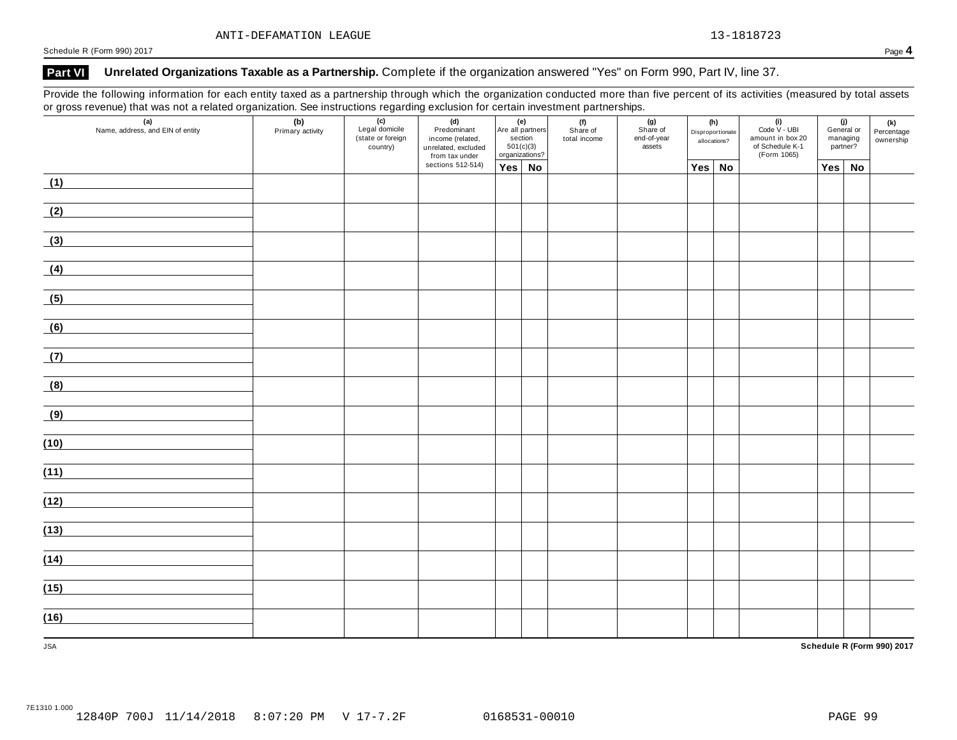## **Part VI Unrelated Organizations Taxable as a Partnership.** Complete if the organization answered "Yes" on Form 990, Part IV, line 37.

Provide the following information for each entity taxed as a partnership through which the organization conducted more than five percent of its activities (measured by total assets or gross revenue) that was not a related organization. See instructions regarding exclusion for certain investment partnerships.

| $\mathbf{v}$<br>$\sim$ $\sim$ $\sim$<br>(a)<br>Name, address, and EIN of entity | (b)<br>Primary activity | ໍ້<br>$\overline{(c)}$<br>Legal domicile<br>(state or foreign<br>country) | (d)<br>Predominant<br>income (related,<br>unrelated, excluded<br>from tax under | (e)<br>Are all partners<br>section<br>501(c)(3)<br>organizations? | (f)<br>Share of<br>total income | (g)<br>Share of<br>end-of-year<br>assets | (h)<br>Disproportionate<br>allocations? | $(i)$<br>Code $\vee$ - UBI<br>amount in box 20<br>of Schedule K-1<br>(Form 1065) | General or<br>managing | (j)<br>partner? | (k)<br>Percentage<br>ownership |
|---------------------------------------------------------------------------------|-------------------------|---------------------------------------------------------------------------|---------------------------------------------------------------------------------|-------------------------------------------------------------------|---------------------------------|------------------------------------------|-----------------------------------------|----------------------------------------------------------------------------------|------------------------|-----------------|--------------------------------|
|                                                                                 |                         |                                                                           | sections 512-514)                                                               | Yes No                                                            |                                 |                                          | Yes No                                  |                                                                                  | Yes                    | No              |                                |
| (1)                                                                             |                         |                                                                           |                                                                                 |                                                                   |                                 |                                          |                                         |                                                                                  |                        |                 |                                |
| (2)                                                                             |                         |                                                                           |                                                                                 |                                                                   |                                 |                                          |                                         |                                                                                  |                        |                 |                                |
| (3)                                                                             |                         |                                                                           |                                                                                 |                                                                   |                                 |                                          |                                         |                                                                                  |                        |                 |                                |
| (4)                                                                             |                         |                                                                           |                                                                                 |                                                                   |                                 |                                          |                                         |                                                                                  |                        |                 |                                |
| (5)                                                                             |                         |                                                                           |                                                                                 |                                                                   |                                 |                                          |                                         |                                                                                  |                        |                 |                                |
| (6)                                                                             |                         |                                                                           |                                                                                 |                                                                   |                                 |                                          |                                         |                                                                                  |                        |                 |                                |
| (7)                                                                             |                         |                                                                           |                                                                                 |                                                                   |                                 |                                          |                                         |                                                                                  |                        |                 |                                |
| (8)                                                                             |                         |                                                                           |                                                                                 |                                                                   |                                 |                                          |                                         |                                                                                  |                        |                 |                                |
| (9)                                                                             |                         |                                                                           |                                                                                 |                                                                   |                                 |                                          |                                         |                                                                                  |                        |                 |                                |
| (10)                                                                            |                         |                                                                           |                                                                                 |                                                                   |                                 |                                          |                                         |                                                                                  |                        |                 |                                |
| (11)                                                                            |                         |                                                                           |                                                                                 |                                                                   |                                 |                                          |                                         |                                                                                  |                        |                 |                                |
| (12)                                                                            |                         |                                                                           |                                                                                 |                                                                   |                                 |                                          |                                         |                                                                                  |                        |                 |                                |
| (13)                                                                            |                         |                                                                           |                                                                                 |                                                                   |                                 |                                          |                                         |                                                                                  |                        |                 |                                |
| (14)                                                                            |                         |                                                                           |                                                                                 |                                                                   |                                 |                                          |                                         |                                                                                  |                        |                 |                                |
| (15)                                                                            |                         |                                                                           |                                                                                 |                                                                   |                                 |                                          |                                         |                                                                                  |                        |                 |                                |
| (16)                                                                            |                         |                                                                           |                                                                                 |                                                                   |                                 |                                          |                                         |                                                                                  |                        |                 |                                |
| <b>JSA</b>                                                                      |                         |                                                                           |                                                                                 |                                                                   |                                 |                                          |                                         |                                                                                  |                        |                 | Schedule R (Form 990) 2017     |